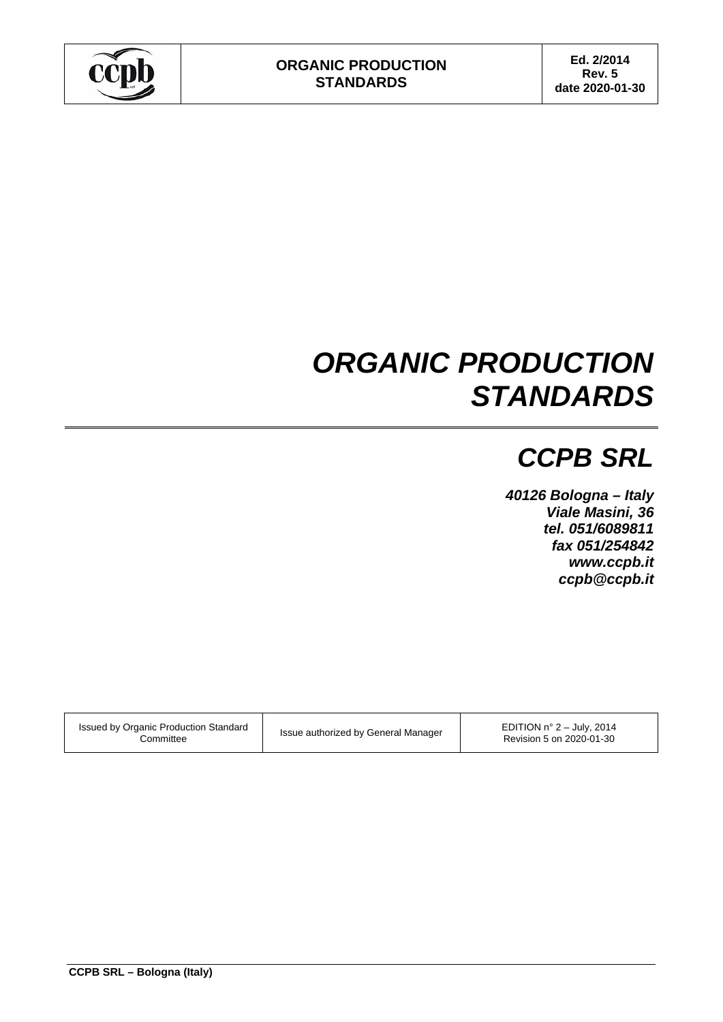

# *CCPB SRL*

*40126 Bologna – Italy Viale Masini, 36 tel. 051/6089811 fax 051/254842 www.ccpb.it ccpb@ccpb.it*

| Issued by Organic Production Standard<br>∴ommittee | Issue authorized by General Manager | EDITION $n^{\circ}$ 2 – July, 2014<br>Revision 5 on 2020-01-30 |
|----------------------------------------------------|-------------------------------------|----------------------------------------------------------------|
|----------------------------------------------------|-------------------------------------|----------------------------------------------------------------|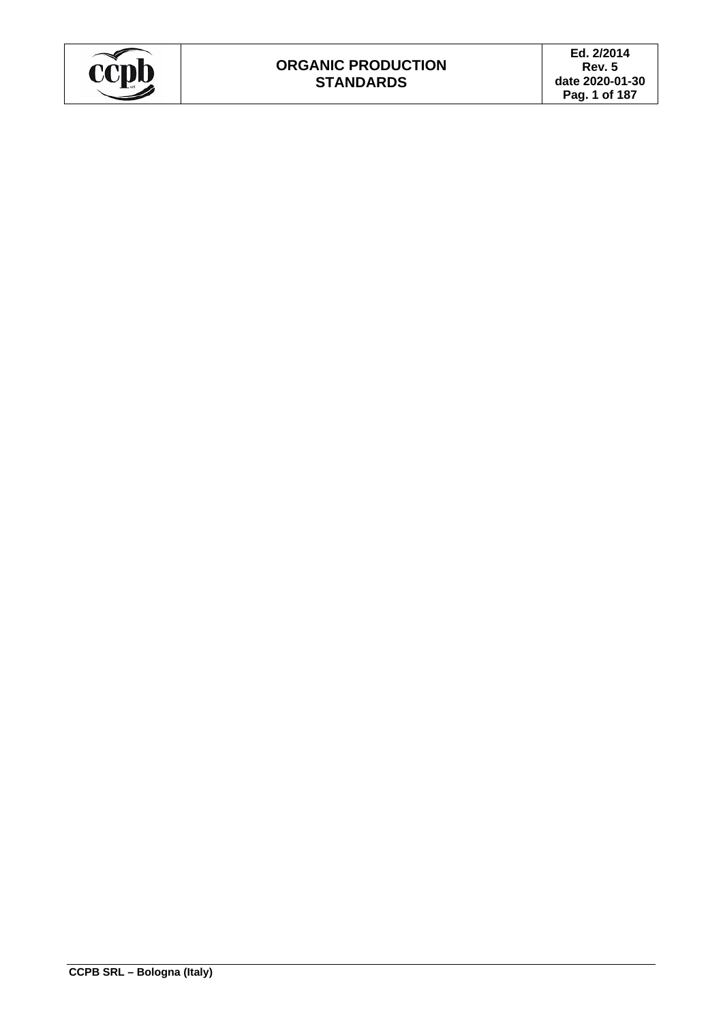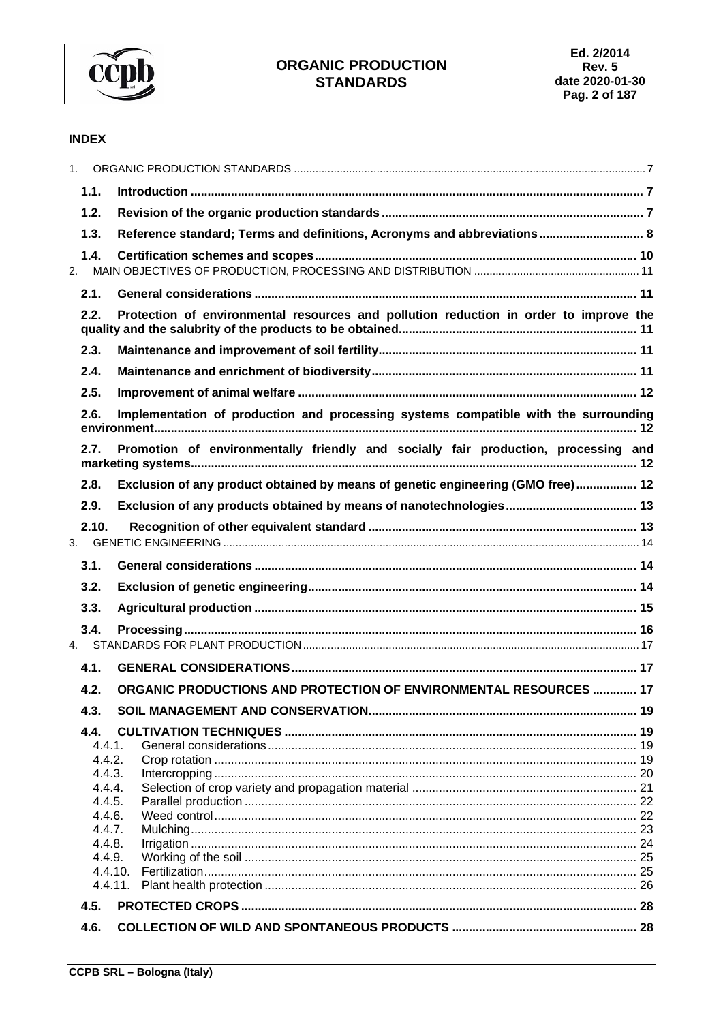

#### **INDEX**

| 1 <sub>1</sub> |                  |                                                                                       |  |  |
|----------------|------------------|---------------------------------------------------------------------------------------|--|--|
|                | 1.1.             |                                                                                       |  |  |
|                | 1.2.             |                                                                                       |  |  |
|                | 1.3.             | Reference standard; Terms and definitions, Acronyms and abbreviations 8               |  |  |
|                | 1.4.             |                                                                                       |  |  |
|                | 2.               |                                                                                       |  |  |
|                | 2.1.             |                                                                                       |  |  |
|                | 2.2.             | Protection of environmental resources and pollution reduction in order to improve the |  |  |
|                | 2.3.             |                                                                                       |  |  |
|                | 2.4.             |                                                                                       |  |  |
|                | 2.5.             |                                                                                       |  |  |
|                | 2.6.             | Implementation of production and processing systems compatible with the surrounding   |  |  |
|                | 2.7.             | Promotion of environmentally friendly and socially fair production, processing and    |  |  |
|                | 2.8.             | Exclusion of any product obtained by means of genetic engineering (GMO free) 12       |  |  |
|                | 2.9.             |                                                                                       |  |  |
|                | 2.10.<br>3.      |                                                                                       |  |  |
|                | 3.1.             |                                                                                       |  |  |
|                | 3.2.             |                                                                                       |  |  |
|                | 3.3.             |                                                                                       |  |  |
|                | 3.4.             |                                                                                       |  |  |
| 4.             |                  |                                                                                       |  |  |
|                | 4.1.             |                                                                                       |  |  |
|                | 4.2.             | ORGANIC PRODUCTIONS AND PROTECTION OF ENVIRONMENTAL RESOURCES  17                     |  |  |
|                | 4.3.             |                                                                                       |  |  |
|                | 44               |                                                                                       |  |  |
|                | 4.4.1.<br>4.4.2. |                                                                                       |  |  |
|                | 4.4.3.           |                                                                                       |  |  |
|                | 4.4.4.           |                                                                                       |  |  |
|                | 4.4.5.           |                                                                                       |  |  |
|                | 4.4.6.<br>4.4.7. |                                                                                       |  |  |
|                | 4.4.8.           |                                                                                       |  |  |
|                | 4.4.9.           |                                                                                       |  |  |
|                | 4.4.10.          |                                                                                       |  |  |
|                | 4.4.11.          |                                                                                       |  |  |
|                | 4.5.             |                                                                                       |  |  |
|                | 4.6.             |                                                                                       |  |  |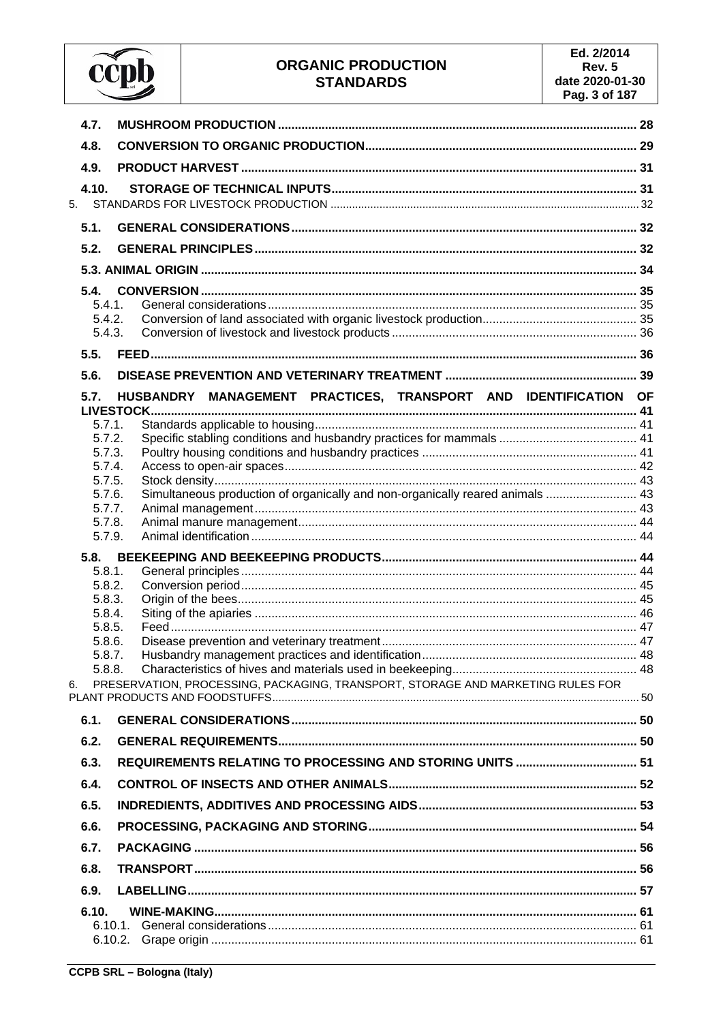

| 4.7.             |                                                                                 |  |  |
|------------------|---------------------------------------------------------------------------------|--|--|
| 4.8.             |                                                                                 |  |  |
| 4.9.             |                                                                                 |  |  |
| 4.10.            |                                                                                 |  |  |
|                  |                                                                                 |  |  |
| 5.1.             |                                                                                 |  |  |
| 5.2.             |                                                                                 |  |  |
|                  |                                                                                 |  |  |
| 5.4.             |                                                                                 |  |  |
| 5.4.1.           |                                                                                 |  |  |
| 5.4.2.<br>5.4.3. |                                                                                 |  |  |
|                  |                                                                                 |  |  |
| 5.5.             |                                                                                 |  |  |
| 5.6.             |                                                                                 |  |  |
| 5.7.             | HUSBANDRY MANAGEMENT PRACTICES, TRANSPORT AND IDENTIFICATION OF                 |  |  |
| 5.7.1.           |                                                                                 |  |  |
| 5.7.2.           |                                                                                 |  |  |
| 5.7.3.<br>5.7.4. |                                                                                 |  |  |
| 5.7.5.           |                                                                                 |  |  |
| 5.7.6.           | Simultaneous production of organically and non-organically reared animals  43   |  |  |
| 5.7.7.           |                                                                                 |  |  |
| 5.7.8.<br>5.7.9. |                                                                                 |  |  |
|                  |                                                                                 |  |  |
| 5.8.<br>5.8.1.   |                                                                                 |  |  |
| 5.8.2.           |                                                                                 |  |  |
| 5.8.3.           |                                                                                 |  |  |
| 5.8.4.           |                                                                                 |  |  |
| 5.8.5.           |                                                                                 |  |  |
| 5.8.6.<br>5.8.7. |                                                                                 |  |  |
| 5.8.8.           |                                                                                 |  |  |
| 6.               | PRESERVATION, PROCESSING, PACKAGING, TRANSPORT, STORAGE AND MARKETING RULES FOR |  |  |
|                  |                                                                                 |  |  |
| 6.1.             |                                                                                 |  |  |
| 6.2.             |                                                                                 |  |  |
| 6.3.             |                                                                                 |  |  |
| 6.4.             |                                                                                 |  |  |
| 6.5.             |                                                                                 |  |  |
| 6.6.             |                                                                                 |  |  |
| 6.7.             |                                                                                 |  |  |
| 6.8.             |                                                                                 |  |  |
| 6.9.             |                                                                                 |  |  |
| 6.10.            |                                                                                 |  |  |
|                  | 6.10.1.                                                                         |  |  |
|                  |                                                                                 |  |  |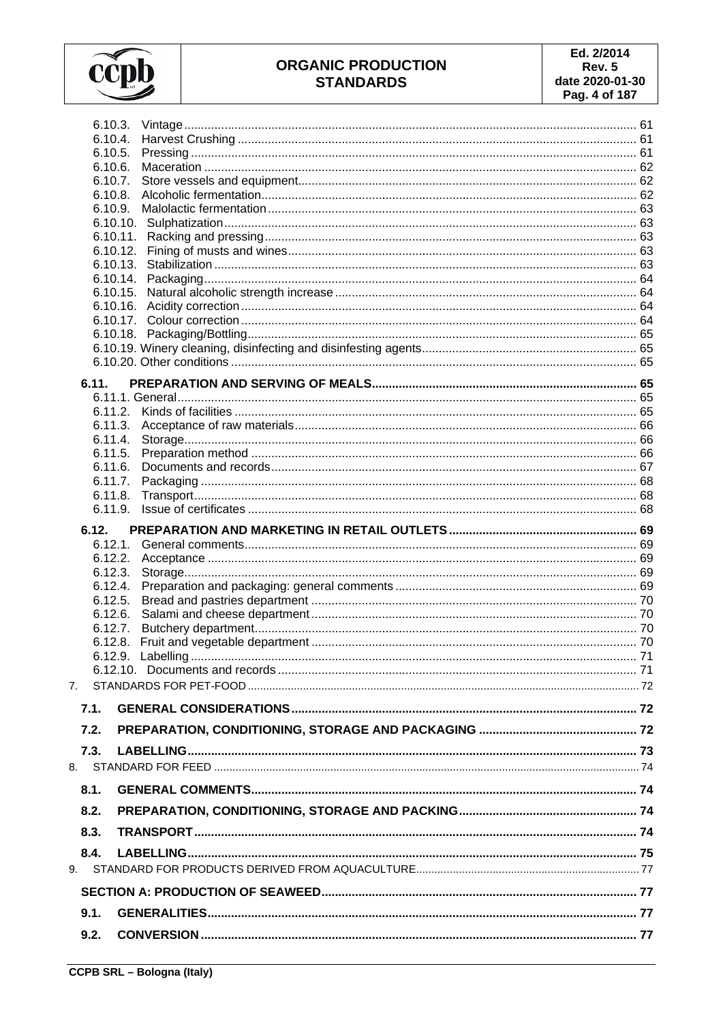

|       | 6.10.3.  |  |
|-------|----------|--|
|       | 6.10.4.  |  |
|       | 6.10.5.  |  |
|       | 6.10.6.  |  |
|       | 6.10.7.  |  |
|       | 6.10.8.  |  |
|       | 6.10.9.  |  |
|       |          |  |
|       |          |  |
|       | 6.10.12. |  |
|       | 6.10.13. |  |
|       |          |  |
|       |          |  |
|       |          |  |
|       |          |  |
|       |          |  |
|       |          |  |
|       |          |  |
| 6.11. |          |  |
|       |          |  |
|       | 6.11.2.  |  |
|       | 6.11.3.  |  |
|       | 6.11.4.  |  |
|       | 6.11.5.  |  |
|       | 6.11.6.  |  |
|       | 6.11.7.  |  |
|       | 6.11.8.  |  |
|       | 6.11.9.  |  |
| 6.12. |          |  |
|       | 6.12.1.  |  |
|       | 6.12.2.  |  |
|       | 6.12.3.  |  |
|       | 6.12.4.  |  |
|       | 6.12.5.  |  |
|       | 6.12.6.  |  |
|       | 6.12.7.  |  |
|       | 6.12.8.  |  |
|       | 6.12.9.  |  |
|       |          |  |
| 7.    |          |  |
|       |          |  |
| 7.1.  |          |  |
| 7.2.  |          |  |
|       |          |  |
| 7.3.  |          |  |
|       |          |  |
|       |          |  |
| 8.1.  |          |  |
| 8.2.  |          |  |
| 8.3.  |          |  |
|       |          |  |
| 8.4.  |          |  |
|       |          |  |
|       |          |  |
| 9.1.  |          |  |
|       |          |  |
| 9.2.  |          |  |
|       |          |  |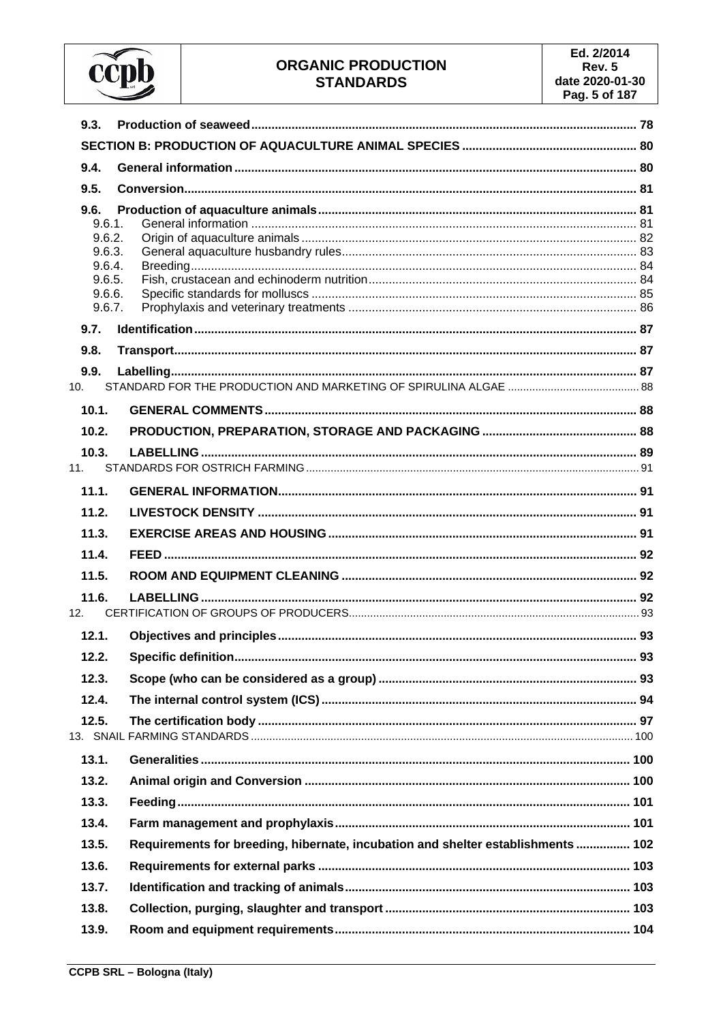

| 9.3.             |                                                                                  |  |  |  |
|------------------|----------------------------------------------------------------------------------|--|--|--|
|                  |                                                                                  |  |  |  |
| 9.4.             |                                                                                  |  |  |  |
| 9.5.             |                                                                                  |  |  |  |
| 9.6.             |                                                                                  |  |  |  |
| 9.6.1.           |                                                                                  |  |  |  |
| 9.6.2.<br>9.6.3. |                                                                                  |  |  |  |
| 9.6.4.           |                                                                                  |  |  |  |
| 9.6.5.           |                                                                                  |  |  |  |
| 9.6.6.<br>9.6.7. |                                                                                  |  |  |  |
| 9.7.             |                                                                                  |  |  |  |
| 9.8.             |                                                                                  |  |  |  |
|                  |                                                                                  |  |  |  |
| 9.9.<br>10.      |                                                                                  |  |  |  |
| 10.1.            |                                                                                  |  |  |  |
|                  |                                                                                  |  |  |  |
| 10.2.            |                                                                                  |  |  |  |
| 10.3.<br>11.     |                                                                                  |  |  |  |
|                  |                                                                                  |  |  |  |
| 11.1.            |                                                                                  |  |  |  |
| 11.2.            |                                                                                  |  |  |  |
| 11.3.            |                                                                                  |  |  |  |
| 11.4.            |                                                                                  |  |  |  |
| 11.5.            |                                                                                  |  |  |  |
| 11.6.            |                                                                                  |  |  |  |
| 12.              |                                                                                  |  |  |  |
| 12.1.            |                                                                                  |  |  |  |
| 12.2.            |                                                                                  |  |  |  |
| 12.3.            |                                                                                  |  |  |  |
| 12.4.            |                                                                                  |  |  |  |
| 12.5.            |                                                                                  |  |  |  |
|                  |                                                                                  |  |  |  |
| 13.1.            |                                                                                  |  |  |  |
| 13.2.            |                                                                                  |  |  |  |
| 13.3.            |                                                                                  |  |  |  |
| 13.4.            |                                                                                  |  |  |  |
| 13.5.            | Requirements for breeding, hibernate, incubation and shelter establishments  102 |  |  |  |
| 13.6.            |                                                                                  |  |  |  |
| 13.7.            |                                                                                  |  |  |  |
| 13.8.            |                                                                                  |  |  |  |
| 13.9.            |                                                                                  |  |  |  |
|                  |                                                                                  |  |  |  |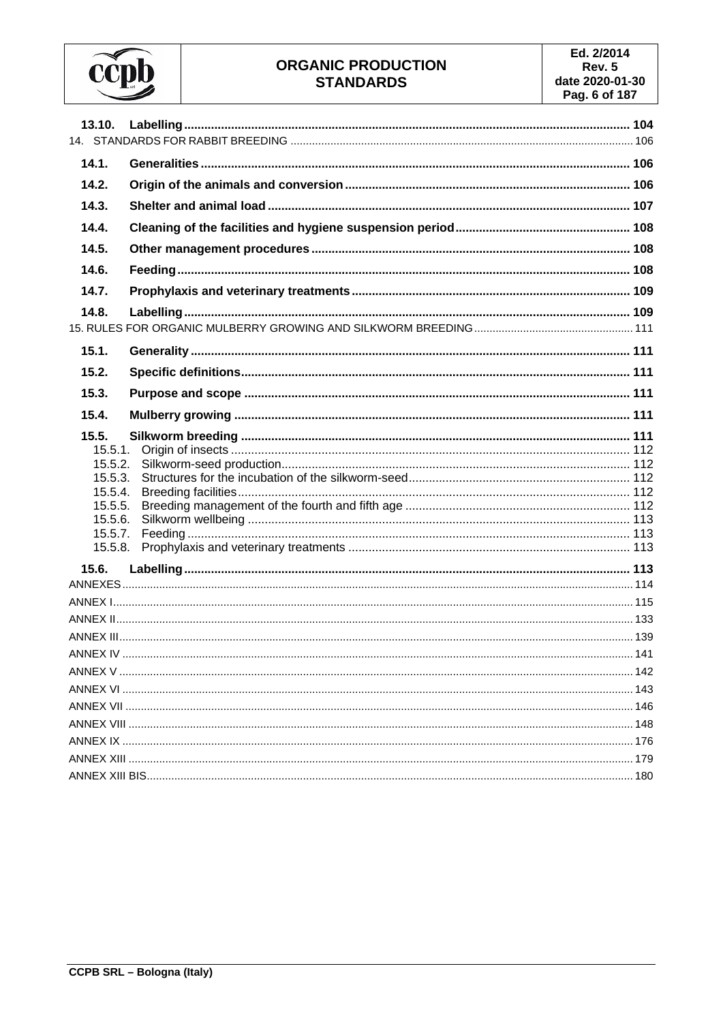

| 13.10.             |  |
|--------------------|--|
|                    |  |
| 14.1.              |  |
| 14.2.              |  |
| 14.3.              |  |
| 14.4.              |  |
| 14.5.              |  |
| 14.6.              |  |
| 14.7.              |  |
| 14.8.              |  |
|                    |  |
| 15.1.              |  |
| 15.2.              |  |
| 15.3.              |  |
| 15.4.              |  |
| 15.5.              |  |
| 15.5.1.            |  |
| 15.5.2.            |  |
| 15.5.3.<br>15.5.4. |  |
| 15.5.5.            |  |
| 15.5.6.            |  |
| 15.5.7.            |  |
| 15.5.8.            |  |
| 15.6.              |  |
|                    |  |
|                    |  |
|                    |  |
|                    |  |
|                    |  |
|                    |  |
|                    |  |
|                    |  |
|                    |  |
|                    |  |
|                    |  |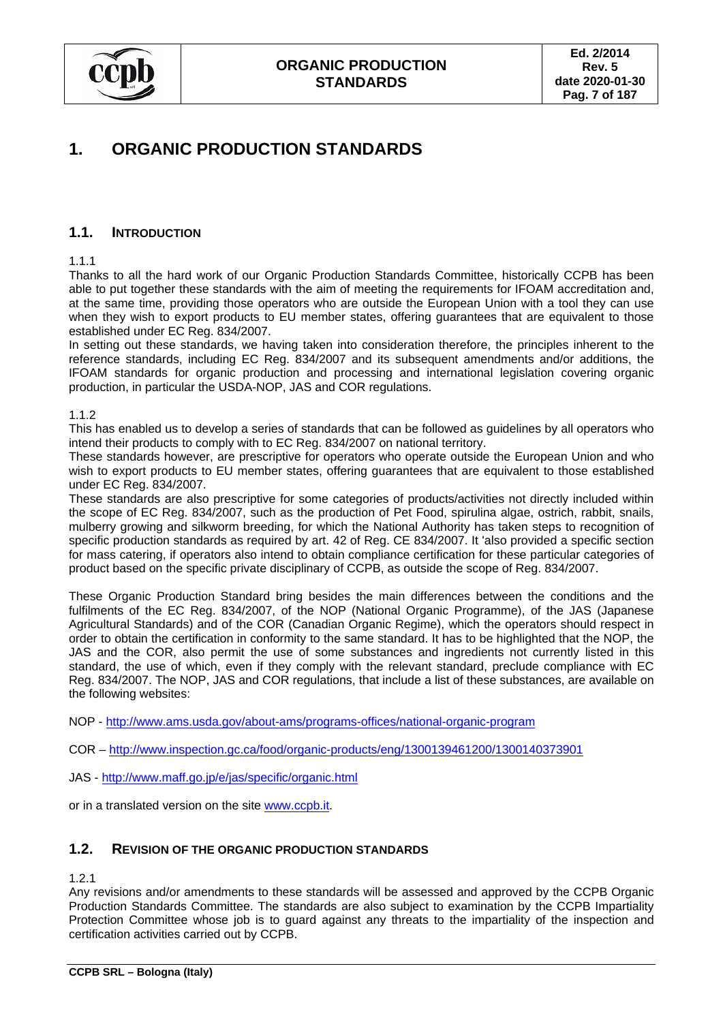

#### **1.1. INTRODUCTION**

#### 1.1.1

Thanks to all the hard work of our Organic Production Standards Committee, historically CCPB has been able to put together these standards with the aim of meeting the requirements for IFOAM accreditation and, at the same time, providing those operators who are outside the European Union with a tool they can use when they wish to export products to EU member states, offering guarantees that are equivalent to those established under EC Reg. 834/2007.

In setting out these standards, we having taken into consideration therefore, the principles inherent to the reference standards, including EC Reg. 834/2007 and its subsequent amendments and/or additions, the IFOAM standards for organic production and processing and international legislation covering organic production, in particular the USDA-NOP, JAS and COR regulations.

#### 1.1.2

This has enabled us to develop a series of standards that can be followed as guidelines by all operators who intend their products to comply with to EC Reg. 834/2007 on national territory.

These standards however, are prescriptive for operators who operate outside the European Union and who wish to export products to EU member states, offering guarantees that are equivalent to those established under EC Reg. 834/2007.

These standards are also prescriptive for some categories of products/activities not directly included within the scope of EC Reg. 834/2007, such as the production of Pet Food, spirulina algae, ostrich, rabbit, snails, mulberry growing and silkworm breeding, for which the National Authority has taken steps to recognition of specific production standards as required by art. 42 of Reg. CE 834/2007. It 'also provided a specific section for mass catering, if operators also intend to obtain compliance certification for these particular categories of product based on the specific private disciplinary of CCPB, as outside the scope of Reg. 834/2007.

These Organic Production Standard bring besides the main differences between the conditions and the fulfilments of the EC Reg. 834/2007, of the NOP (National Organic Programme), of the JAS (Japanese Agricultural Standards) and of the COR (Canadian Organic Regime), which the operators should respect in order to obtain the certification in conformity to the same standard. It has to be highlighted that the NOP, the JAS and the COR, also permit the use of some substances and ingredients not currently listed in this standard, the use of which, even if they comply with the relevant standard, preclude compliance with EC Reg. 834/2007. The NOP, JAS and COR regulations, that include a list of these substances, are available on the following websites:

NOP - http://www.ams.usda.gov/about-ams/programs-offices/national-organic-program

- COR http://www.inspection.gc.ca/food/organic-products/eng/1300139461200/1300140373901
- JAS http://www.maff.go.jp/e/jas/specific/organic.html

or in a translated version on the site www.ccpb.it.

#### **1.2. REVISION OF THE ORGANIC PRODUCTION STANDARDS**

#### 1.2.1

Any revisions and/or amendments to these standards will be assessed and approved by the CCPB Organic Production Standards Committee. The standards are also subject to examination by the CCPB Impartiality Protection Committee whose job is to guard against any threats to the impartiality of the inspection and certification activities carried out by CCPB.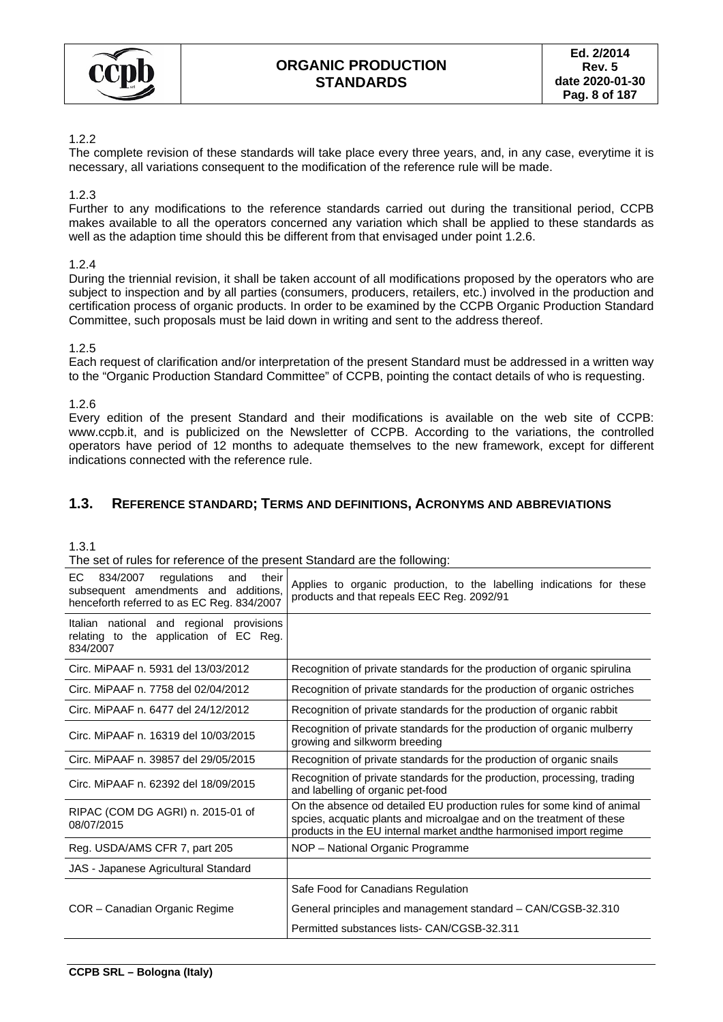

#### 1.2.2

The complete revision of these standards will take place every three years, and, in any case, everytime it is necessary, all variations consequent to the modification of the reference rule will be made.

#### 1.2.3

Further to any modifications to the reference standards carried out during the transitional period, CCPB makes available to all the operators concerned any variation which shall be applied to these standards as well as the adaption time should this be different from that envisaged under point 1.2.6.

#### 1.2.4

During the triennial revision, it shall be taken account of all modifications proposed by the operators who are subject to inspection and by all parties (consumers, producers, retailers, etc.) involved in the production and certification process of organic products. In order to be examined by the CCPB Organic Production Standard Committee, such proposals must be laid down in writing and sent to the address thereof.

1.2.5

Each request of clarification and/or interpretation of the present Standard must be addressed in a written way to the "Organic Production Standard Committee" of CCPB, pointing the contact details of who is requesting.

1.2.6

Every edition of the present Standard and their modifications is available on the web site of CCPB: www.ccpb.it, and is publicized on the Newsletter of CCPB. According to the variations, the controlled operators have period of 12 months to adequate themselves to the new framework, except for different indications connected with the reference rule.

## **1.3. REFERENCE STANDARD; TERMS AND DEFINITIONS, ACRONYMS AND ABBREVIATIONS**

#### 1.3.1

The set of rules for reference of the present Standard are the following:

EC 834/2007 regulations and their<br>subsequent amendments and additions, subsequent amendments and additions, subsequent amendments and additions, products and that repeals EEC Reg. 2092/91<br>henceforth referred to as EC Reg. 834/2007 Applies to organic production, to the labelling indications for these

| Italian national and regional provisions<br>relating to the application of EC Reg.<br>834/2007 |                                                                                                                                                                                                                      |
|------------------------------------------------------------------------------------------------|----------------------------------------------------------------------------------------------------------------------------------------------------------------------------------------------------------------------|
| Circ. MiPAAF n. 5931 del 13/03/2012                                                            | Recognition of private standards for the production of organic spirulina                                                                                                                                             |
| Circ. MiPAAF n. 7758 del 02/04/2012                                                            | Recognition of private standards for the production of organic ostriches                                                                                                                                             |
| Circ. MiPAAF n. 6477 del 24/12/2012                                                            | Recognition of private standards for the production of organic rabbit                                                                                                                                                |
| Circ. MiPAAF n. 16319 del 10/03/2015                                                           | Recognition of private standards for the production of organic mulberry<br>growing and silkworm breeding                                                                                                             |
| Circ. MiPAAF n. 39857 del 29/05/2015                                                           | Recognition of private standards for the production of organic snails                                                                                                                                                |
| Circ. MiPAAF n. 62392 del 18/09/2015                                                           | Recognition of private standards for the production, processing, trading<br>and labelling of organic pet-food                                                                                                        |
| RIPAC (COM DG AGRI) n. 2015-01 of<br>08/07/2015                                                | On the absence od detailed EU production rules for some kind of animal<br>spcies, acquatic plants and microalgae and on the treatment of these<br>products in the EU internal market andthe harmonised import regime |
| Reg. USDA/AMS CFR 7, part 205                                                                  | NOP - National Organic Programme                                                                                                                                                                                     |
| JAS - Japanese Agricultural Standard                                                           |                                                                                                                                                                                                                      |
|                                                                                                | Safe Food for Canadians Regulation                                                                                                                                                                                   |
| COR - Canadian Organic Regime                                                                  | General principles and management standard – CAN/CGSB-32.310                                                                                                                                                         |
|                                                                                                | Permitted substances lists- CAN/CGSB-32.311                                                                                                                                                                          |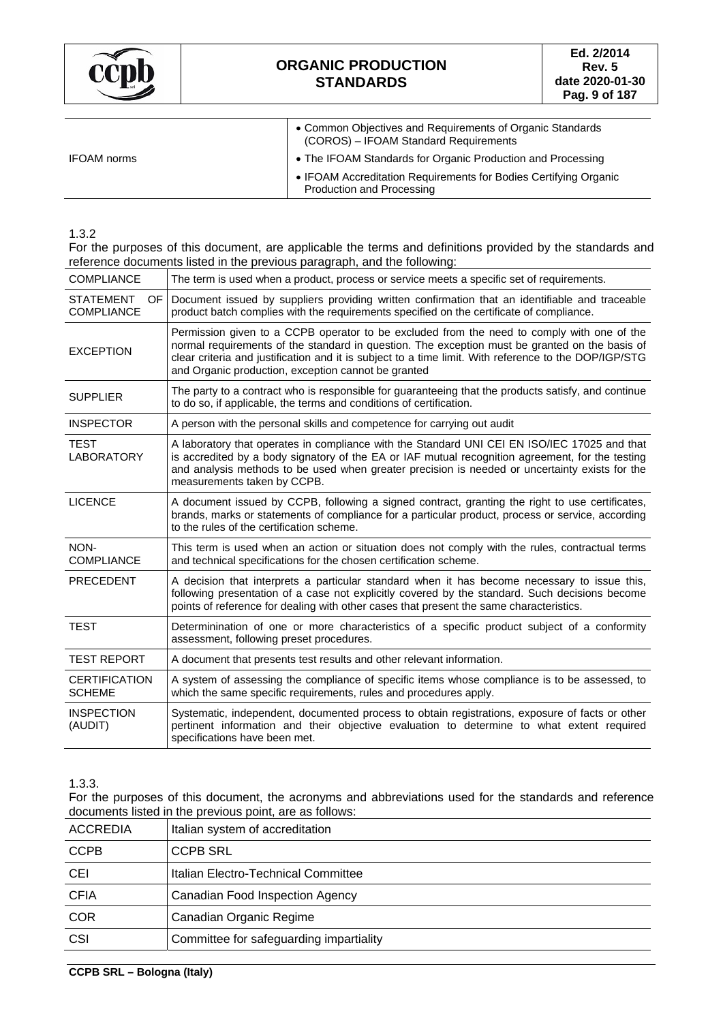

|             | • Common Objectives and Requirements of Organic Standards<br>(COROS) – IFOAM Standard Requirements |
|-------------|----------------------------------------------------------------------------------------------------|
| IFOAM norms | • The IFOAM Standards for Organic Production and Processing                                        |
|             | • IFOAM Accreditation Requirements for Bodies Certifying Organic<br>Production and Processing      |

#### 1.3.2

For the purposes of this document, are applicable the terms and definitions provided by the standards and reference documents listed in the previous paragraph, and the following:

| <b>COMPLIANCE</b>                                                                                                                                                                                                                                                                                                                                                                | The term is used when a product, process or service meets a specific set of requirements.                                                                                                                                                                                                                                         |  |
|----------------------------------------------------------------------------------------------------------------------------------------------------------------------------------------------------------------------------------------------------------------------------------------------------------------------------------------------------------------------------------|-----------------------------------------------------------------------------------------------------------------------------------------------------------------------------------------------------------------------------------------------------------------------------------------------------------------------------------|--|
| <b>STATEMENT</b><br>OF I<br><b>COMPLIANCE</b>                                                                                                                                                                                                                                                                                                                                    | Document issued by suppliers providing written confirmation that an identifiable and traceable<br>product batch complies with the requirements specified on the certificate of compliance.                                                                                                                                        |  |
| Permission given to a CCPB operator to be excluded from the need to comply with one of the<br>normal requirements of the standard in question. The exception must be granted on the basis of<br><b>EXCEPTION</b><br>clear criteria and justification and it is subject to a time limit. With reference to the DOP/IGP/STG<br>and Organic production, exception cannot be granted |                                                                                                                                                                                                                                                                                                                                   |  |
| The party to a contract who is responsible for guaranteeing that the products satisfy, and continue<br><b>SUPPLIER</b><br>to do so, if applicable, the terms and conditions of certification.                                                                                                                                                                                    |                                                                                                                                                                                                                                                                                                                                   |  |
| <b>INSPECTOR</b>                                                                                                                                                                                                                                                                                                                                                                 | A person with the personal skills and competence for carrying out audit                                                                                                                                                                                                                                                           |  |
| <b>TEST</b><br><b>LABORATORY</b>                                                                                                                                                                                                                                                                                                                                                 | A laboratory that operates in compliance with the Standard UNI CEI EN ISO/IEC 17025 and that<br>is accredited by a body signatory of the EA or IAF mutual recognition agreement, for the testing<br>and analysis methods to be used when greater precision is needed or uncertainty exists for the<br>measurements taken by CCPB. |  |
| <b>LICENCE</b>                                                                                                                                                                                                                                                                                                                                                                   | A document issued by CCPB, following a signed contract, granting the right to use certificates,<br>brands, marks or statements of compliance for a particular product, process or service, according<br>to the rules of the certification scheme.                                                                                 |  |
| NON-<br><b>COMPLIANCE</b>                                                                                                                                                                                                                                                                                                                                                        | This term is used when an action or situation does not comply with the rules, contractual terms<br>and technical specifications for the chosen certification scheme.                                                                                                                                                              |  |
| <b>PRECEDENT</b>                                                                                                                                                                                                                                                                                                                                                                 | A decision that interprets a particular standard when it has become necessary to issue this,<br>following presentation of a case not explicitly covered by the standard. Such decisions become<br>points of reference for dealing with other cases that present the same characteristics.                                         |  |
| <b>TEST</b>                                                                                                                                                                                                                                                                                                                                                                      | Determinination of one or more characteristics of a specific product subject of a conformity<br>assessment, following preset procedures.                                                                                                                                                                                          |  |
| <b>TEST REPORT</b>                                                                                                                                                                                                                                                                                                                                                               | A document that presents test results and other relevant information.                                                                                                                                                                                                                                                             |  |
| <b>CERTIFICATION</b><br><b>SCHEME</b>                                                                                                                                                                                                                                                                                                                                            | A system of assessing the compliance of specific items whose compliance is to be assessed, to<br>which the same specific requirements, rules and procedures apply.                                                                                                                                                                |  |
| <b>INSPECTION</b><br>Systematic, independent, documented process to obtain registrations, exposure of facts or other<br>pertinent information and their objective evaluation to determine to what extent required<br>(AUDIT)<br>specifications have been met.                                                                                                                    |                                                                                                                                                                                                                                                                                                                                   |  |

#### 1.3.3.

For the purposes of this document, the acronyms and abbreviations used for the standards and reference documents listed in the previous point, are as follows:

| <b>ACCREDIA</b> | Italian system of accreditation         |  |
|-----------------|-----------------------------------------|--|
| <b>CCPB</b>     | <b>CCPB SRL</b>                         |  |
| CEI             | Italian Electro-Technical Committee     |  |
| <b>CFIA</b>     | Canadian Food Inspection Agency         |  |
| <b>COR</b>      | Canadian Organic Regime                 |  |
| CSI             | Committee for safeguarding impartiality |  |
|                 |                                         |  |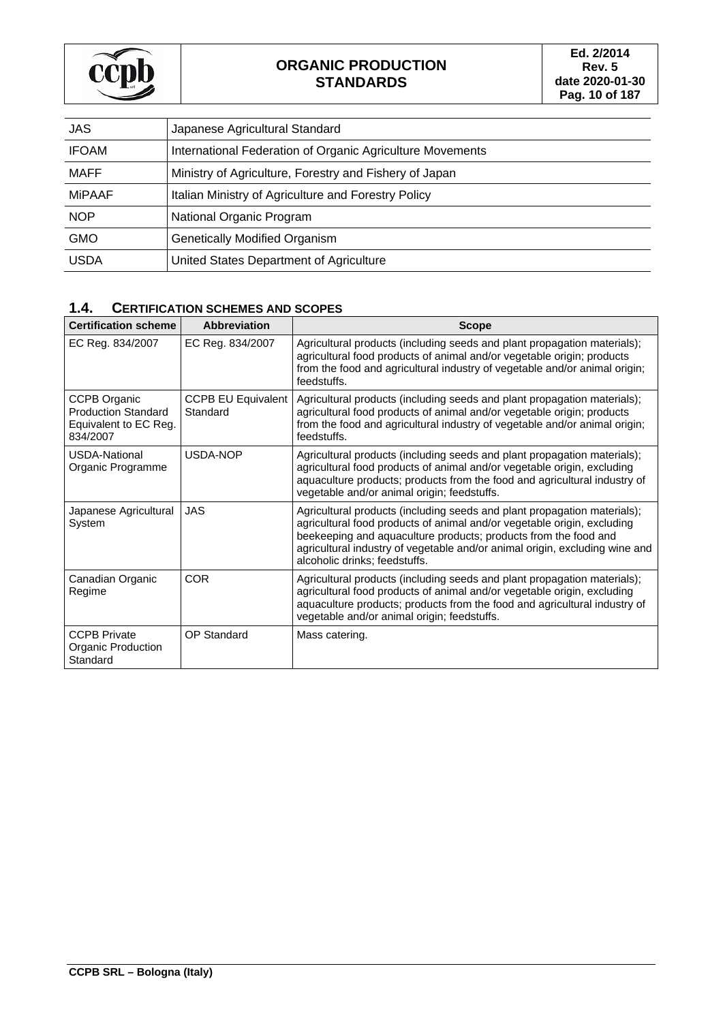

| JAS           | Japanese Agricultural Standard                            |  |
|---------------|-----------------------------------------------------------|--|
| <b>IFOAM</b>  | International Federation of Organic Agriculture Movements |  |
| <b>MAFF</b>   | Ministry of Agriculture, Forestry and Fishery of Japan    |  |
| <b>MiPAAF</b> | Italian Ministry of Agriculture and Forestry Policy       |  |
| <b>NOP</b>    | National Organic Program                                  |  |
| <b>GMO</b>    | <b>Genetically Modified Organism</b>                      |  |
| <b>USDA</b>   | United States Department of Agriculture                   |  |

## **1.4. CERTIFICATION SCHEMES AND SCOPES**

| <b>Certification scheme</b>                                                            | <b>Abbreviation</b>                   | <b>Scope</b>                                                                                                                                                                                                                                                                                                                           |
|----------------------------------------------------------------------------------------|---------------------------------------|----------------------------------------------------------------------------------------------------------------------------------------------------------------------------------------------------------------------------------------------------------------------------------------------------------------------------------------|
| EC Reg. 834/2007                                                                       | EC Reg. 834/2007                      | Agricultural products (including seeds and plant propagation materials);<br>agricultural food products of animal and/or vegetable origin; products<br>from the food and agricultural industry of vegetable and/or animal origin;<br>feedstuffs.                                                                                        |
| <b>CCPB Organic</b><br><b>Production Standard</b><br>Equivalent to EC Reg.<br>834/2007 | <b>CCPB EU Equivalent</b><br>Standard | Agricultural products (including seeds and plant propagation materials);<br>agricultural food products of animal and/or vegetable origin; products<br>from the food and agricultural industry of vegetable and/or animal origin;<br>feedstuffs.                                                                                        |
| <b>USDA-National</b><br>Organic Programme                                              | USDA-NOP                              | Agricultural products (including seeds and plant propagation materials);<br>agricultural food products of animal and/or vegetable origin, excluding<br>aquaculture products; products from the food and agricultural industry of<br>vegetable and/or animal origin; feedstuffs.                                                        |
| Japanese Agricultural<br>System                                                        | <b>JAS</b>                            | Agricultural products (including seeds and plant propagation materials);<br>agricultural food products of animal and/or vegetable origin, excluding<br>beekeeping and aquaculture products; products from the food and<br>agricultural industry of vegetable and/or animal origin, excluding wine and<br>alcoholic drinks; feedstuffs. |
| Canadian Organic<br>Regime                                                             | <b>COR</b>                            | Agricultural products (including seeds and plant propagation materials);<br>agricultural food products of animal and/or vegetable origin, excluding<br>aquaculture products; products from the food and agricultural industry of<br>vegetable and/or animal origin; feedstuffs.                                                        |
| <b>CCPB Private</b><br>Organic Production<br>Standard                                  | <b>OP Standard</b>                    | Mass catering.                                                                                                                                                                                                                                                                                                                         |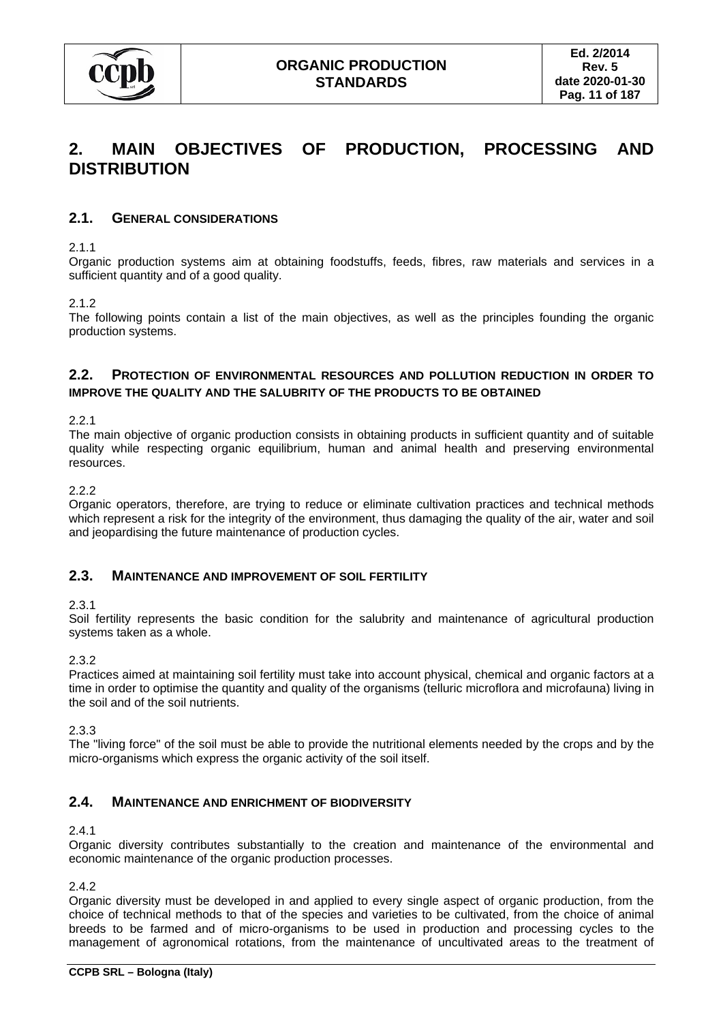

# **2. MAIN OBJECTIVES OF PRODUCTION, PROCESSING AND DISTRIBUTION**

#### **2.1. GENERAL CONSIDERATIONS**

2.1.1

Organic production systems aim at obtaining foodstuffs, feeds, fibres, raw materials and services in a sufficient quantity and of a good quality.

2.1.2

The following points contain a list of the main objectives, as well as the principles founding the organic production systems.

#### **2.2. PROTECTION OF ENVIRONMENTAL RESOURCES AND POLLUTION REDUCTION IN ORDER TO IMPROVE THE QUALITY AND THE SALUBRITY OF THE PRODUCTS TO BE OBTAINED**

2.2.1

The main objective of organic production consists in obtaining products in sufficient quantity and of suitable quality while respecting organic equilibrium, human and animal health and preserving environmental resources.

2.2.2

Organic operators, therefore, are trying to reduce or eliminate cultivation practices and technical methods which represent a risk for the integrity of the environment, thus damaging the quality of the air, water and soil and jeopardising the future maintenance of production cycles.

#### **2.3. MAINTENANCE AND IMPROVEMENT OF SOIL FERTILITY**

#### $2.3.1$

Soil fertility represents the basic condition for the salubrity and maintenance of agricultural production systems taken as a whole.

#### 2.3.2

Practices aimed at maintaining soil fertility must take into account physical, chemical and organic factors at a time in order to optimise the quantity and quality of the organisms (telluric microflora and microfauna) living in the soil and of the soil nutrients.

2.3.3

The "living force" of the soil must be able to provide the nutritional elements needed by the crops and by the micro-organisms which express the organic activity of the soil itself.

## **2.4. MAINTENANCE AND ENRICHMENT OF BIODIVERSITY**

#### 2.4.1

Organic diversity contributes substantially to the creation and maintenance of the environmental and economic maintenance of the organic production processes.

2.42

Organic diversity must be developed in and applied to every single aspect of organic production, from the choice of technical methods to that of the species and varieties to be cultivated, from the choice of animal breeds to be farmed and of micro-organisms to be used in production and processing cycles to the management of agronomical rotations, from the maintenance of uncultivated areas to the treatment of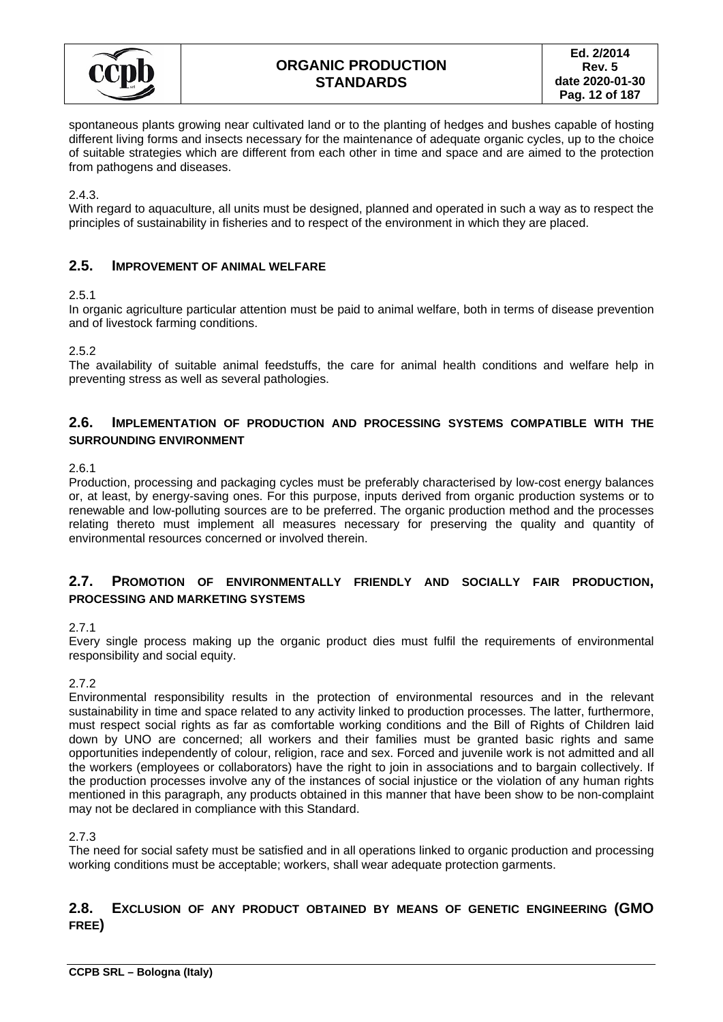

spontaneous plants growing near cultivated land or to the planting of hedges and bushes capable of hosting different living forms and insects necessary for the maintenance of adequate organic cycles, up to the choice of suitable strategies which are different from each other in time and space and are aimed to the protection from pathogens and diseases.

2.4.3.

With regard to aquaculture, all units must be designed, planned and operated in such a way as to respect the principles of sustainability in fisheries and to respect of the environment in which they are placed.

## **2.5. IMPROVEMENT OF ANIMAL WELFARE**

2.5.1

In organic agriculture particular attention must be paid to animal welfare, both in terms of disease prevention and of livestock farming conditions.

2.5.2

The availability of suitable animal feedstuffs, the care for animal health conditions and welfare help in preventing stress as well as several pathologies.

#### **2.6. IMPLEMENTATION OF PRODUCTION AND PROCESSING SYSTEMS COMPATIBLE WITH THE SURROUNDING ENVIRONMENT**

2.6.1

Production, processing and packaging cycles must be preferably characterised by low-cost energy balances or, at least, by energy-saving ones. For this purpose, inputs derived from organic production systems or to renewable and low-polluting sources are to be preferred. The organic production method and the processes relating thereto must implement all measures necessary for preserving the quality and quantity of environmental resources concerned or involved therein.

#### **2.7. PROMOTION OF ENVIRONMENTALLY FRIENDLY AND SOCIALLY FAIR PRODUCTION, PROCESSING AND MARKETING SYSTEMS**

2.7.1

Every single process making up the organic product dies must fulfil the requirements of environmental responsibility and social equity.

2.7.2

Environmental responsibility results in the protection of environmental resources and in the relevant sustainability in time and space related to any activity linked to production processes. The latter, furthermore, must respect social rights as far as comfortable working conditions and the Bill of Rights of Children laid down by UNO are concerned; all workers and their families must be granted basic rights and same opportunities independently of colour, religion, race and sex. Forced and juvenile work is not admitted and all the workers (employees or collaborators) have the right to join in associations and to bargain collectively. If the production processes involve any of the instances of social injustice or the violation of any human rights mentioned in this paragraph, any products obtained in this manner that have been show to be non-complaint may not be declared in compliance with this Standard.

2.7.3

The need for social safety must be satisfied and in all operations linked to organic production and processing working conditions must be acceptable; workers, shall wear adequate protection garments.

## **2.8. EXCLUSION OF ANY PRODUCT OBTAINED BY MEANS OF GENETIC ENGINEERING (GMO FREE)**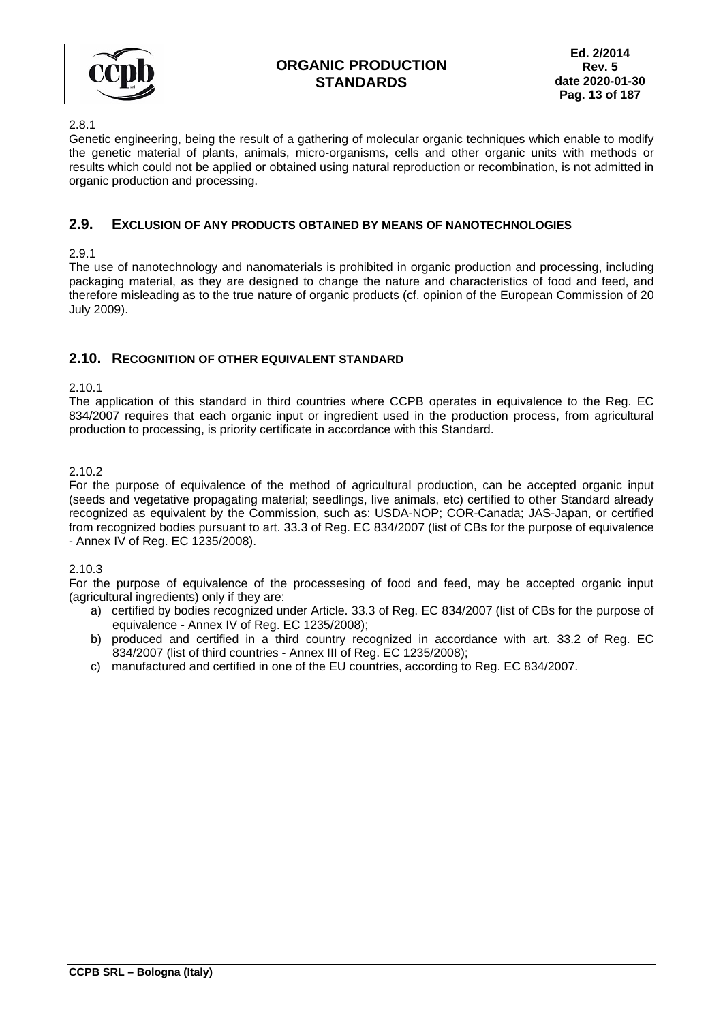

#### 2.8.1

Genetic engineering, being the result of a gathering of molecular organic techniques which enable to modify the genetic material of plants, animals, micro-organisms, cells and other organic units with methods or results which could not be applied or obtained using natural reproduction or recombination, is not admitted in organic production and processing.

#### **2.9. EXCLUSION OF ANY PRODUCTS OBTAINED BY MEANS OF NANOTECHNOLOGIES**

#### 2.9.1

The use of nanotechnology and nanomaterials is prohibited in organic production and processing, including packaging material, as they are designed to change the nature and characteristics of food and feed, and therefore misleading as to the true nature of organic products (cf. opinion of the European Commission of 20 July 2009).

#### **2.10. RECOGNITION OF OTHER EQUIVALENT STANDARD**

2.10.1

The application of this standard in third countries where CCPB operates in equivalence to the Reg. EC 834/2007 requires that each organic input or ingredient used in the production process, from agricultural production to processing, is priority certificate in accordance with this Standard.

#### 2.10.2

For the purpose of equivalence of the method of agricultural production, can be accepted organic input (seeds and vegetative propagating material; seedlings, live animals, etc) certified to other Standard already recognized as equivalent by the Commission, such as: USDA-NOP; COR-Canada; JAS-Japan, or certified from recognized bodies pursuant to art. 33.3 of Reg. EC 834/2007 (list of CBs for the purpose of equivalence - Annex IV of Reg. EC 1235/2008).

#### 2.10.3

For the purpose of equivalence of the processesing of food and feed, may be accepted organic input (agricultural ingredients) only if they are:

- a) certified by bodies recognized under Article. 33.3 of Reg. EC 834/2007 (list of CBs for the purpose of equivalence - Annex IV of Reg. EC 1235/2008);
- b) produced and certified in a third country recognized in accordance with art. 33.2 of Reg. EC 834/2007 (list of third countries - Annex III of Reg. EC 1235/2008);
- c) manufactured and certified in one of the EU countries, according to Reg. EC 834/2007.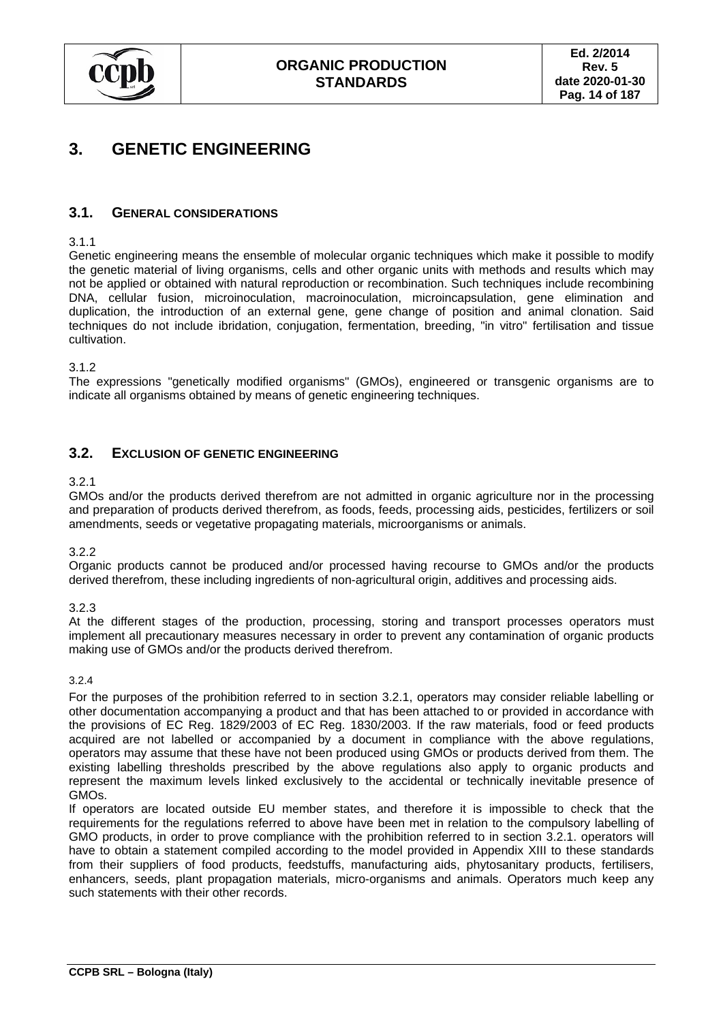

# **3. GENETIC ENGINEERING**

#### **3.1. GENERAL CONSIDERATIONS**

#### 3.1.1

Genetic engineering means the ensemble of molecular organic techniques which make it possible to modify the genetic material of living organisms, cells and other organic units with methods and results which may not be applied or obtained with natural reproduction or recombination. Such techniques include recombining DNA, cellular fusion, microinoculation, macroinoculation, microincapsulation, gene elimination and duplication, the introduction of an external gene, gene change of position and animal clonation. Said techniques do not include ibridation, conjugation, fermentation, breeding, "in vitro" fertilisation and tissue cultivation.

#### 3.1.2

The expressions "genetically modified organisms" (GMOs), engineered or transgenic organisms are to indicate all organisms obtained by means of genetic engineering techniques.

#### **3.2. EXCLUSION OF GENETIC ENGINEERING**

#### 3.2.1

GMOs and/or the products derived therefrom are not admitted in organic agriculture nor in the processing and preparation of products derived therefrom, as foods, feeds, processing aids, pesticides, fertilizers or soil amendments, seeds or vegetative propagating materials, microorganisms or animals.

3.2.2

Organic products cannot be produced and/or processed having recourse to GMOs and/or the products derived therefrom, these including ingredients of non-agricultural origin, additives and processing aids.

3.2.3

At the different stages of the production, processing, storing and transport processes operators must implement all precautionary measures necessary in order to prevent any contamination of organic products making use of GMOs and/or the products derived therefrom.

#### 3.2.4

For the purposes of the prohibition referred to in section 3.2.1, operators may consider reliable labelling or other documentation accompanying a product and that has been attached to or provided in accordance with the provisions of EC Reg. 1829/2003 of EC Reg. 1830/2003. If the raw materials, food or feed products acquired are not labelled or accompanied by a document in compliance with the above regulations, operators may assume that these have not been produced using GMOs or products derived from them. The existing labelling thresholds prescribed by the above regulations also apply to organic products and represent the maximum levels linked exclusively to the accidental or technically inevitable presence of GMOs.

If operators are located outside EU member states, and therefore it is impossible to check that the requirements for the regulations referred to above have been met in relation to the compulsory labelling of GMO products, in order to prove compliance with the prohibition referred to in section 3.2.1. operators will have to obtain a statement compiled according to the model provided in Appendix XIII to these standards from their suppliers of food products, feedstuffs, manufacturing aids, phytosanitary products, fertilisers, enhancers, seeds, plant propagation materials, micro-organisms and animals. Operators much keep any such statements with their other records.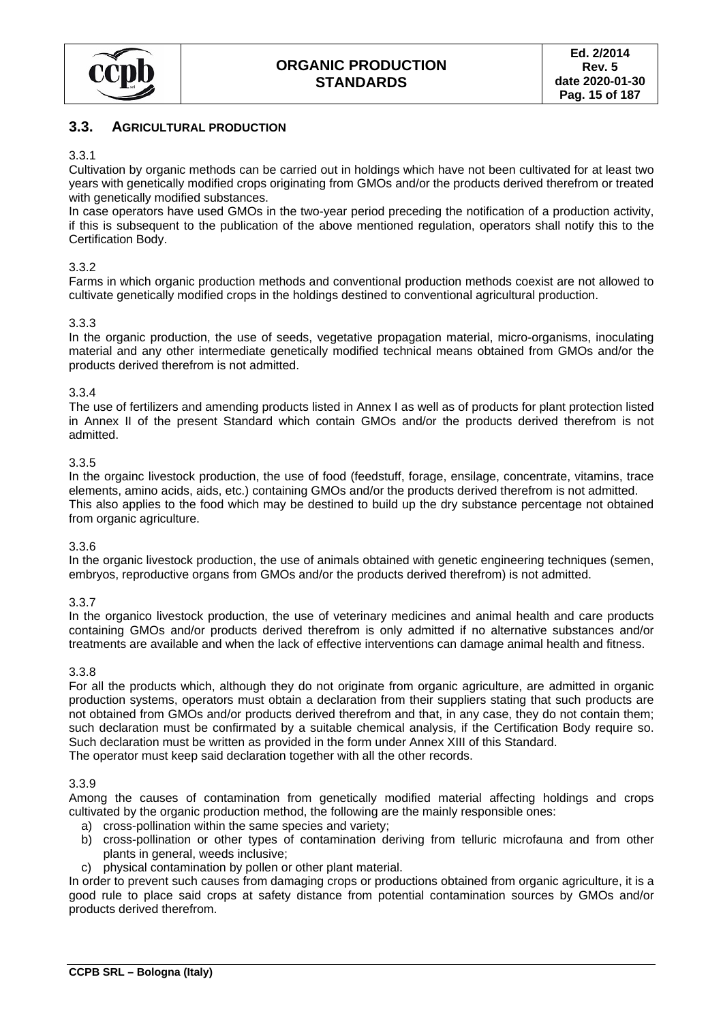

#### **3.3. AGRICULTURAL PRODUCTION**

#### 3.3.1

Cultivation by organic methods can be carried out in holdings which have not been cultivated for at least two years with genetically modified crops originating from GMOs and/or the products derived therefrom or treated with genetically modified substances.

In case operators have used GMOs in the two-year period preceding the notification of a production activity, if this is subsequent to the publication of the above mentioned regulation, operators shall notify this to the Certification Body.

#### 3.3.2

Farms in which organic production methods and conventional production methods coexist are not allowed to cultivate genetically modified crops in the holdings destined to conventional agricultural production.

#### 3.3.3

In the organic production, the use of seeds, vegetative propagation material, micro-organisms, inoculating material and any other intermediate genetically modified technical means obtained from GMOs and/or the products derived therefrom is not admitted.

#### 3.3.4

The use of fertilizers and amending products listed in Annex I as well as of products for plant protection listed in Annex II of the present Standard which contain GMOs and/or the products derived therefrom is not admitted.

#### 3.3.5

In the orgainc livestock production, the use of food (feedstuff, forage, ensilage, concentrate, vitamins, trace elements, amino acids, aids, etc.) containing GMOs and/or the products derived therefrom is not admitted. This also applies to the food which may be destined to build up the dry substance percentage not obtained from organic agriculture.

#### 3.3.6

In the organic livestock production, the use of animals obtained with genetic engineering techniques (semen, embryos, reproductive organs from GMOs and/or the products derived therefrom) is not admitted.

#### 3.3.7

In the organico livestock production, the use of veterinary medicines and animal health and care products containing GMOs and/or products derived therefrom is only admitted if no alternative substances and/or treatments are available and when the lack of effective interventions can damage animal health and fitness.

#### 3.3.8

For all the products which, although they do not originate from organic agriculture, are admitted in organic production systems, operators must obtain a declaration from their suppliers stating that such products are not obtained from GMOs and/or products derived therefrom and that, in any case, they do not contain them; such declaration must be confirmated by a suitable chemical analysis, if the Certification Body require so. Such declaration must be written as provided in the form under Annex XIII of this Standard. The operator must keep said declaration together with all the other records.

#### 3.3.9

Among the causes of contamination from genetically modified material affecting holdings and crops cultivated by the organic production method, the following are the mainly responsible ones:

- a) cross-pollination within the same species and variety;
- b) cross-pollination or other types of contamination deriving from telluric microfauna and from other plants in general, weeds inclusive;
- c) physical contamination by pollen or other plant material.

In order to prevent such causes from damaging crops or productions obtained from organic agriculture, it is a good rule to place said crops at safety distance from potential contamination sources by GMOs and/or products derived therefrom.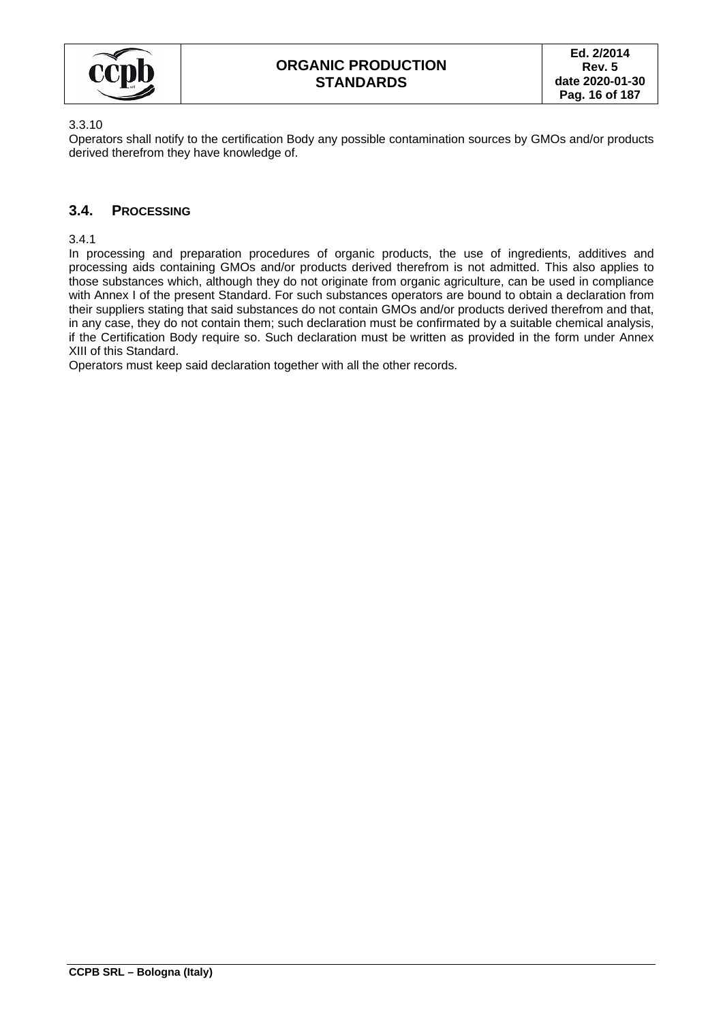

3.3.10

Operators shall notify to the certification Body any possible contamination sources by GMOs and/or products derived therefrom they have knowledge of.

# **3.4. PROCESSING**

3.4.1

In processing and preparation procedures of organic products, the use of ingredients, additives and processing aids containing GMOs and/or products derived therefrom is not admitted. This also applies to those substances which, although they do not originate from organic agriculture, can be used in compliance with Annex I of the present Standard. For such substances operators are bound to obtain a declaration from their suppliers stating that said substances do not contain GMOs and/or products derived therefrom and that, in any case, they do not contain them; such declaration must be confirmated by a suitable chemical analysis, if the Certification Body require so. Such declaration must be written as provided in the form under Annex XIII of this Standard.

Operators must keep said declaration together with all the other records.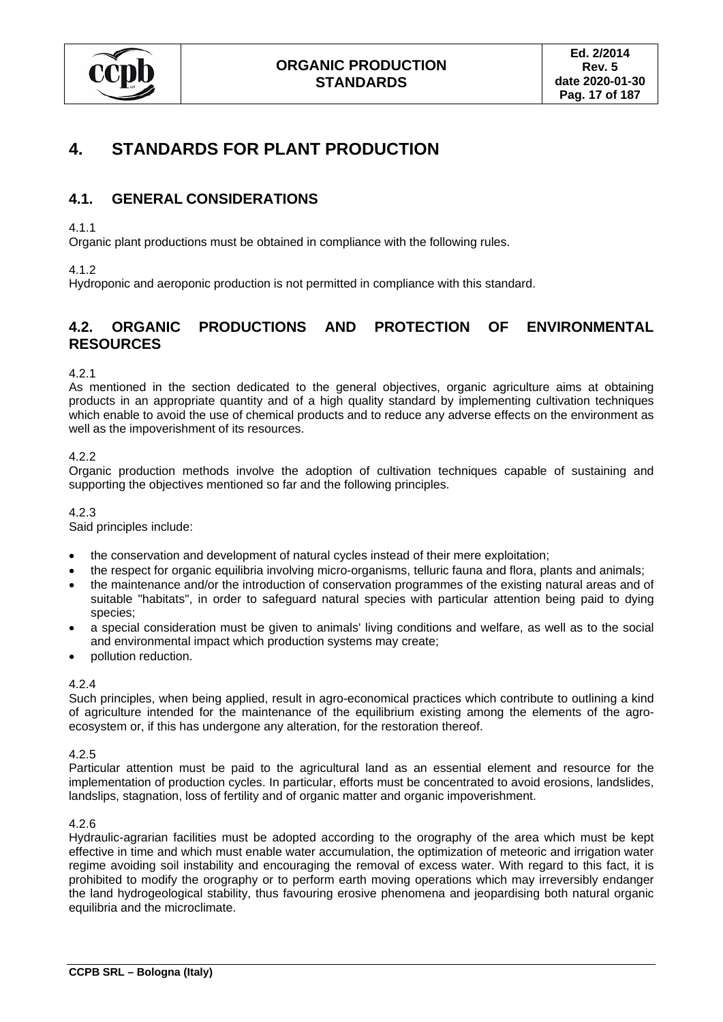

# **4. STANDARDS FOR PLANT PRODUCTION**

# **4.1. GENERAL CONSIDERATIONS**

4.1.1

Organic plant productions must be obtained in compliance with the following rules.

4.1.2

Hydroponic and aeroponic production is not permitted in compliance with this standard.

# **4.2. ORGANIC PRODUCTIONS AND PROTECTION OF ENVIRONMENTAL RESOURCES**

4.2.1

As mentioned in the section dedicated to the general objectives, organic agriculture aims at obtaining products in an appropriate quantity and of a high quality standard by implementing cultivation techniques which enable to avoid the use of chemical products and to reduce any adverse effects on the environment as well as the impoverishment of its resources.

#### 4.2.2

Organic production methods involve the adoption of cultivation techniques capable of sustaining and supporting the objectives mentioned so far and the following principles.

#### 4.2.3

Said principles include:

- the conservation and development of natural cycles instead of their mere exploitation;
- the respect for organic equilibria involving micro-organisms, telluric fauna and flora, plants and animals;
- the maintenance and/or the introduction of conservation programmes of the existing natural areas and of suitable "habitats", in order to safeguard natural species with particular attention being paid to dying
- species; a special consideration must be given to animals' living conditions and welfare, as well as to the social
- and environmental impact which production systems may create;
- pollution reduction.

#### 4.2.4

Such principles, when being applied, result in agro-economical practices which contribute to outlining a kind of agriculture intended for the maintenance of the equilibrium existing among the elements of the agroecosystem or, if this has undergone any alteration, for the restoration thereof.

4.2.5

Particular attention must be paid to the agricultural land as an essential element and resource for the implementation of production cycles. In particular, efforts must be concentrated to avoid erosions, landslides, landslips, stagnation, loss of fertility and of organic matter and organic impoverishment.

4.2.6

Hydraulic-agrarian facilities must be adopted according to the orography of the area which must be kept effective in time and which must enable water accumulation, the optimization of meteoric and irrigation water regime avoiding soil instability and encouraging the removal of excess water. With regard to this fact, it is prohibited to modify the orography or to perform earth moving operations which may irreversibly endanger the land hydrogeological stability, thus favouring erosive phenomena and jeopardising both natural organic equilibria and the microclimate.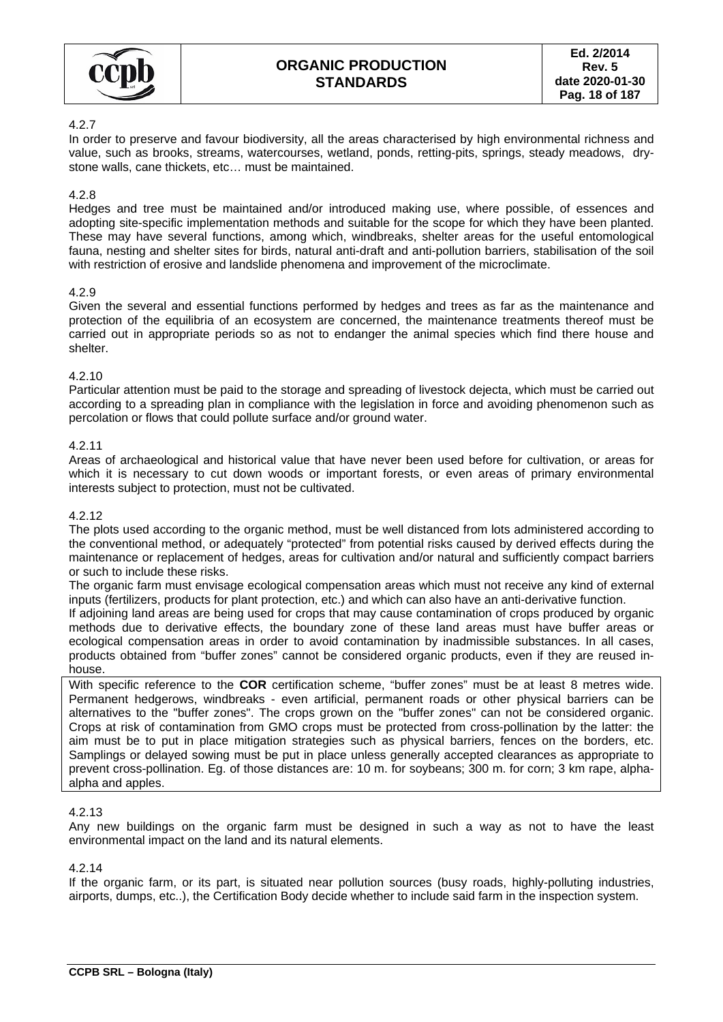

#### 4.2.7

In order to preserve and favour biodiversity, all the areas characterised by high environmental richness and value, such as brooks, streams, watercourses, wetland, ponds, retting-pits, springs, steady meadows, drystone walls, cane thickets, etc… must be maintained.

#### 4.2.8

Hedges and tree must be maintained and/or introduced making use, where possible, of essences and adopting site-specific implementation methods and suitable for the scope for which they have been planted. These may have several functions, among which, windbreaks, shelter areas for the useful entomological fauna, nesting and shelter sites for birds, natural anti-draft and anti-pollution barriers, stabilisation of the soil with restriction of erosive and landslide phenomena and improvement of the microclimate.

#### 4.2.9

Given the several and essential functions performed by hedges and trees as far as the maintenance and protection of the equilibria of an ecosystem are concerned, the maintenance treatments thereof must be carried out in appropriate periods so as not to endanger the animal species which find there house and shelter.

#### 4.2.10

Particular attention must be paid to the storage and spreading of livestock dejecta, which must be carried out according to a spreading plan in compliance with the legislation in force and avoiding phenomenon such as percolation or flows that could pollute surface and/or ground water.

#### 4.2.11

Areas of archaeological and historical value that have never been used before for cultivation, or areas for which it is necessary to cut down woods or important forests, or even areas of primary environmental interests subject to protection, must not be cultivated.

#### 4.2.12

The plots used according to the organic method, must be well distanced from lots administered according to the conventional method, or adequately "protected" from potential risks caused by derived effects during the maintenance or replacement of hedges, areas for cultivation and/or natural and sufficiently compact barriers or such to include these risks.

The organic farm must envisage ecological compensation areas which must not receive any kind of external inputs (fertilizers, products for plant protection, etc.) and which can also have an anti-derivative function.

If adjoining land areas are being used for crops that may cause contamination of crops produced by organic methods due to derivative effects, the boundary zone of these land areas must have buffer areas or ecological compensation areas in order to avoid contamination by inadmissible substances. In all cases, products obtained from "buffer zones" cannot be considered organic products, even if they are reused inhouse.

With specific reference to the **COR** certification scheme, "buffer zones" must be at least 8 metres wide. Permanent hedgerows, windbreaks - even artificial, permanent roads or other physical barriers can be alternatives to the "buffer zones". The crops grown on the "buffer zones" can not be considered organic. Crops at risk of contamination from GMO crops must be protected from cross-pollination by the latter: the aim must be to put in place mitigation strategies such as physical barriers, fences on the borders, etc. Samplings or delayed sowing must be put in place unless generally accepted clearances as appropriate to prevent cross-pollination. Eg. of those distances are: 10 m. for soybeans; 300 m. for corn; 3 km rape, alphaalpha and apples.

#### 4.2.13

Any new buildings on the organic farm must be designed in such a way as not to have the least environmental impact on the land and its natural elements.

#### 4.2.14

If the organic farm, or its part, is situated near pollution sources (busy roads, highly-polluting industries, airports, dumps, etc..), the Certification Body decide whether to include said farm in the inspection system.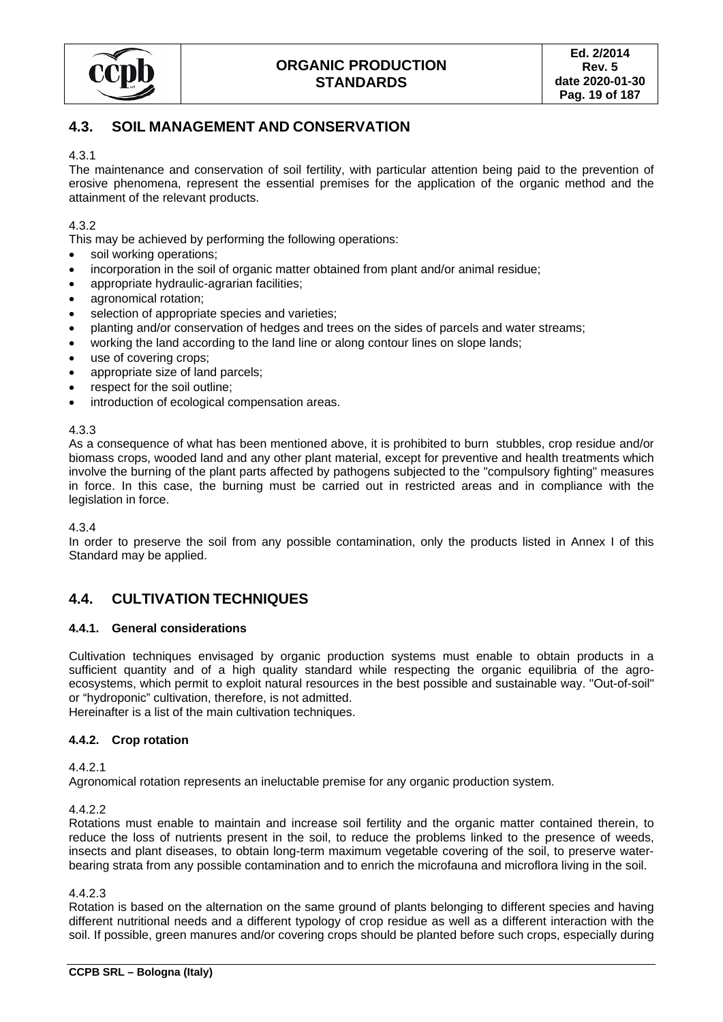

# **4.3. SOIL MANAGEMENT AND CONSERVATION**

#### 4.3.1

The maintenance and conservation of soil fertility, with particular attention being paid to the prevention of erosive phenomena, represent the essential premises for the application of the organic method and the attainment of the relevant products.

#### 4.3.2

This may be achieved by performing the following operations:

- soil working operations;
- incorporation in the soil of organic matter obtained from plant and/or animal residue;
- appropriate hydraulic-agrarian facilities;
- agronomical rotation;
- selection of appropriate species and varieties;
- planting and/or conservation of hedges and trees on the sides of parcels and water streams;
- working the land according to the land line or along contour lines on slope lands;
- use of covering crops;
- appropriate size of land parcels;
- respect for the soil outline;
- introduction of ecological compensation areas.

#### 4.3.3

As a consequence of what has been mentioned above, it is prohibited to burn stubbles, crop residue and/or biomass crops, wooded land and any other plant material, except for preventive and health treatments which involve the burning of the plant parts affected by pathogens subjected to the "compulsory fighting" measures in force. In this case, the burning must be carried out in restricted areas and in compliance with the legislation in force.

#### 4.3.4

In order to preserve the soil from any possible contamination, only the products listed in Annex I of this Standard may be applied.

## **4.4. CULTIVATION TECHNIQUES**

#### **4.4.1. General considerations**

Cultivation techniques envisaged by organic production systems must enable to obtain products in a sufficient quantity and of a high quality standard while respecting the organic equilibria of the agroecosystems, which permit to exploit natural resources in the best possible and sustainable way. "Out-of-soil" or "hydroponic" cultivation, therefore, is not admitted.

Hereinafter is a list of the main cultivation techniques.

#### **4.4.2. Crop rotation**

4.4.2.1

Agronomical rotation represents an ineluctable premise for any organic production system.

4.4.2.2

Rotations must enable to maintain and increase soil fertility and the organic matter contained therein, to reduce the loss of nutrients present in the soil, to reduce the problems linked to the presence of weeds, insects and plant diseases, to obtain long-term maximum vegetable covering of the soil, to preserve waterbearing strata from any possible contamination and to enrich the microfauna and microflora living in the soil.

#### 4.4.2.3

Rotation is based on the alternation on the same ground of plants belonging to different species and having different nutritional needs and a different typology of crop residue as well as a different interaction with the soil. If possible, green manures and/or covering crops should be planted before such crops, especially during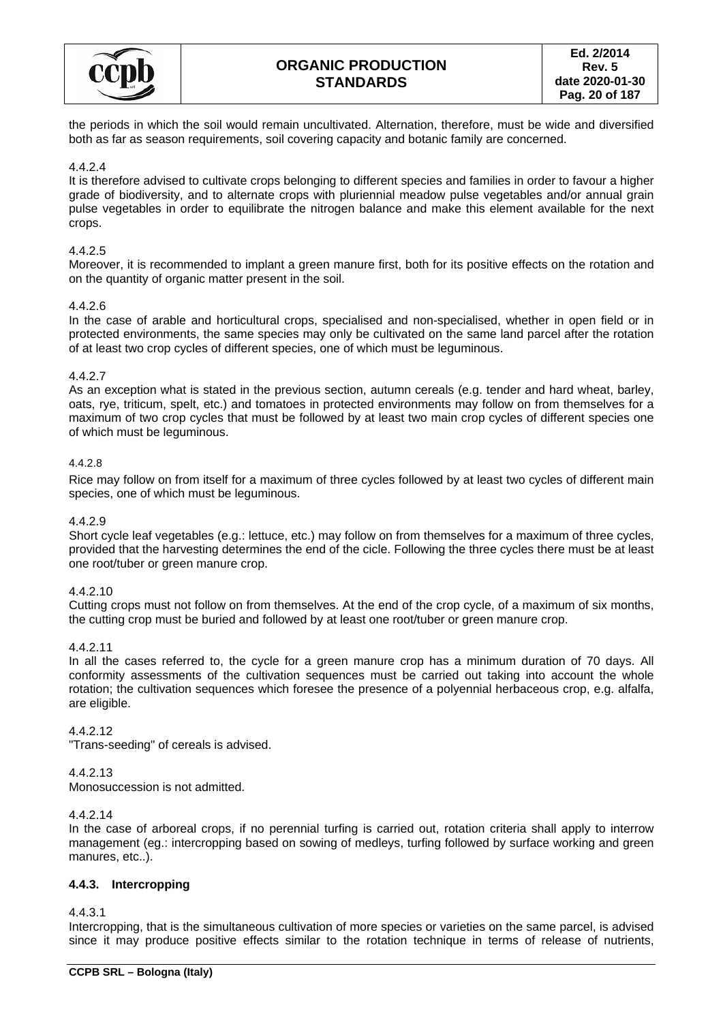

the periods in which the soil would remain uncultivated. Alternation, therefore, must be wide and diversified both as far as season requirements, soil covering capacity and botanic family are concerned.

#### 4.4.2.4

It is therefore advised to cultivate crops belonging to different species and families in order to favour a higher grade of biodiversity, and to alternate crops with pluriennial meadow pulse vegetables and/or annual grain pulse vegetables in order to equilibrate the nitrogen balance and make this element available for the next crops.

#### 4.4.2.5

Moreover, it is recommended to implant a green manure first, both for its positive effects on the rotation and on the quantity of organic matter present in the soil.

#### 4.4.2.6

In the case of arable and horticultural crops, specialised and non-specialised, whether in open field or in protected environments, the same species may only be cultivated on the same land parcel after the rotation of at least two crop cycles of different species, one of which must be leguminous.

#### 4.4.2.7

As an exception what is stated in the previous section, autumn cereals (e.g. tender and hard wheat, barley, oats, rye, triticum, spelt, etc.) and tomatoes in protected environments may follow on from themselves for a maximum of two crop cycles that must be followed by at least two main crop cycles of different species one of which must be leguminous.

#### 4.4.2.8

Rice may follow on from itself for a maximum of three cycles followed by at least two cycles of different main species, one of which must be leguminous.

#### 4.4.2.9

Short cycle leaf vegetables (e.g.: lettuce, etc.) may follow on from themselves for a maximum of three cycles, provided that the harvesting determines the end of the cicle. Following the three cycles there must be at least one root/tuber or green manure crop.

#### 4.4.2.10

Cutting crops must not follow on from themselves. At the end of the crop cycle, of a maximum of six months, the cutting crop must be buried and followed by at least one root/tuber or green manure crop.

#### 4.4.2.11

In all the cases referred to, the cycle for a green manure crop has a minimum duration of 70 days. All conformity assessments of the cultivation sequences must be carried out taking into account the whole rotation; the cultivation sequences which foresee the presence of a polyennial herbaceous crop, e.g. alfalfa, are eligible.

#### 4.4.2.12

"Trans-seeding" of cereals is advised.

#### 4.4.2.13

Monosuccession is not admitted.

#### 4.4.2.14

In the case of arboreal crops, if no perennial turfing is carried out, rotation criteria shall apply to interrow management (eg.: intercropping based on sowing of medleys, turfing followed by surface working and green manures, etc..).

#### **4.4.3. Intercropping**

#### 4.4.3.1

Intercropping, that is the simultaneous cultivation of more species or varieties on the same parcel, is advised since it may produce positive effects similar to the rotation technique in terms of release of nutrients,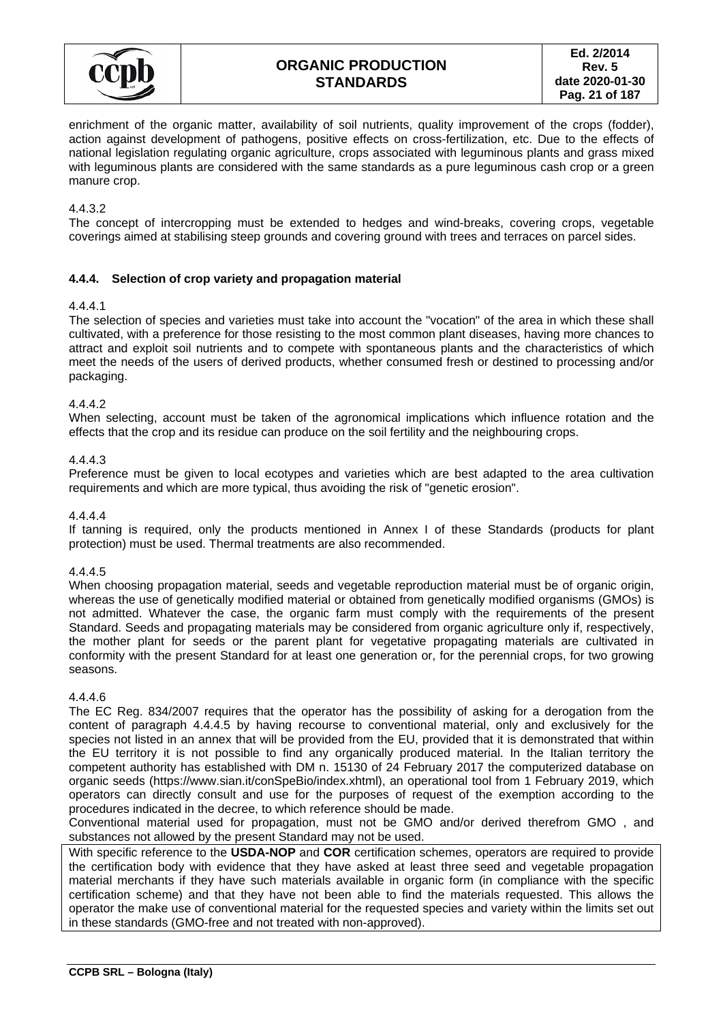

enrichment of the organic matter, availability of soil nutrients, quality improvement of the crops (fodder), action against development of pathogens, positive effects on cross-fertilization, etc. Due to the effects of national legislation regulating organic agriculture, crops associated with leguminous plants and grass mixed with leguminous plants are considered with the same standards as a pure leguminous cash crop or a green manure crop.

#### 4.4.3.2

The concept of intercropping must be extended to hedges and wind-breaks, covering crops, vegetable coverings aimed at stabilising steep grounds and covering ground with trees and terraces on parcel sides.

#### **4.4.4. Selection of crop variety and propagation material**

#### 4.4.4.1

The selection of species and varieties must take into account the "vocation" of the area in which these shall cultivated, with a preference for those resisting to the most common plant diseases, having more chances to attract and exploit soil nutrients and to compete with spontaneous plants and the characteristics of which meet the needs of the users of derived products, whether consumed fresh or destined to processing and/or packaging.

#### 4.4.4.2

When selecting, account must be taken of the agronomical implications which influence rotation and the effects that the crop and its residue can produce on the soil fertility and the neighbouring crops.

#### 4.4.4.3

Preference must be given to local ecotypes and varieties which are best adapted to the area cultivation requirements and which are more typical, thus avoiding the risk of "genetic erosion".

#### 4.4.4.4

If tanning is required, only the products mentioned in Annex I of these Standards (products for plant protection) must be used. Thermal treatments are also recommended.

#### 4.4.4.5

When choosing propagation material, seeds and vegetable reproduction material must be of organic origin, whereas the use of genetically modified material or obtained from genetically modified organisms (GMOs) is not admitted. Whatever the case, the organic farm must comply with the requirements of the present Standard. Seeds and propagating materials may be considered from organic agriculture only if, respectively, the mother plant for seeds or the parent plant for vegetative propagating materials are cultivated in conformity with the present Standard for at least one generation or, for the perennial crops, for two growing seasons.

#### 4.4.4.6

The EC Reg. 834/2007 requires that the operator has the possibility of asking for a derogation from the content of paragraph 4.4.4.5 by having recourse to conventional material, only and exclusively for the species not listed in an annex that will be provided from the EU, provided that it is demonstrated that within the EU territory it is not possible to find any organically produced material. In the Italian territory the competent authority has established with DM n. 15130 of 24 February 2017 the computerized database on organic seeds (https://www.sian.it/conSpeBio/index.xhtml), an operational tool from 1 February 2019, which operators can directly consult and use for the purposes of request of the exemption according to the procedures indicated in the decree, to which reference should be made.

Conventional material used for propagation, must not be GMO and/or derived therefrom GMO , and substances not allowed by the present Standard may not be used.

With specific reference to the **USDA-NOP** and **COR** certification schemes, operators are required to provide the certification body with evidence that they have asked at least three seed and vegetable propagation material merchants if they have such materials available in organic form (in compliance with the specific certification scheme) and that they have not been able to find the materials requested. This allows the operator the make use of conventional material for the requested species and variety within the limits set out in these standards (GMO-free and not treated with non-approved).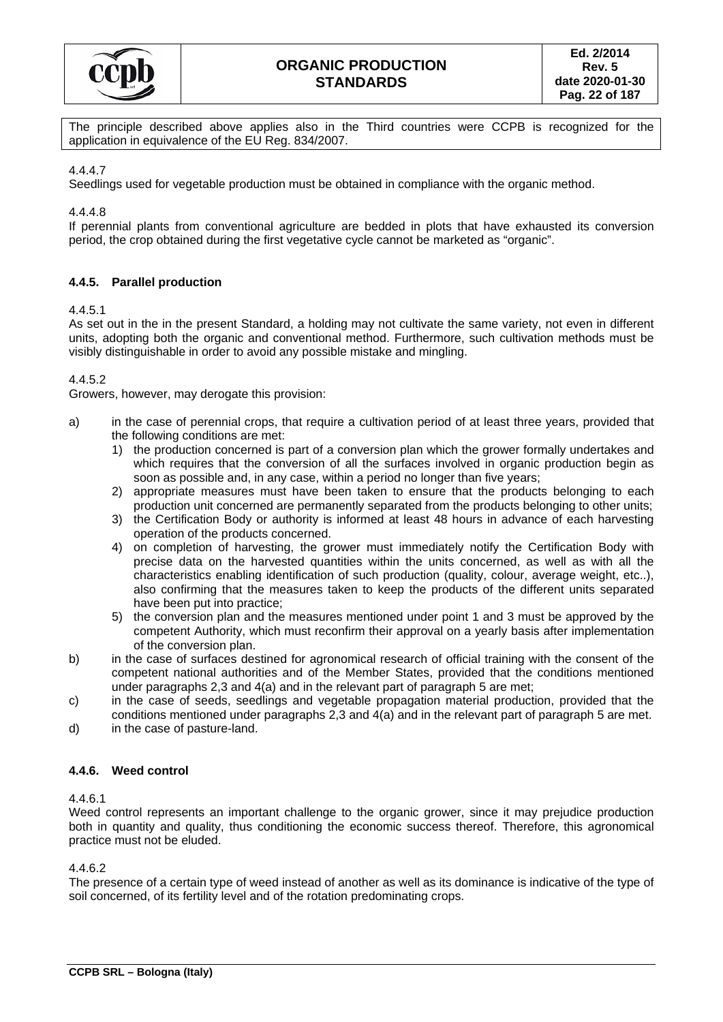

The principle described above applies also in the Third countries were CCPB is recognized for the application in equivalence of the EU Reg. 834/2007.

#### 4.4.4.7

Seedlings used for vegetable production must be obtained in compliance with the organic method.

#### 4.4.4.8

If perennial plants from conventional agriculture are bedded in plots that have exhausted its conversion period, the crop obtained during the first vegetative cycle cannot be marketed as "organic".

#### **4.4.5. Parallel production**

#### 4.4.5.1

As set out in the in the present Standard, a holding may not cultivate the same variety, not even in different units, adopting both the organic and conventional method. Furthermore, such cultivation methods must be visibly distinguishable in order to avoid any possible mistake and mingling.

#### 4.4.5.2

Growers, however, may derogate this provision:

- a) in the case of perennial crops, that require a cultivation period of at least three years, provided that the following conditions are met:
	- 1) the production concerned is part of a conversion plan which the grower formally undertakes and which requires that the conversion of all the surfaces involved in organic production begin as soon as possible and, in any case, within a period no longer than five years;
	- 2) appropriate measures must have been taken to ensure that the products belonging to each production unit concerned are permanently separated from the products belonging to other units;
	- 3) the Certification Body or authority is informed at least 48 hours in advance of each harvesting operation of the products concerned.
	- 4) on completion of harvesting, the grower must immediately notify the Certification Body with precise data on the harvested quantities within the units concerned, as well as with all the characteristics enabling identification of such production (quality, colour, average weight, etc..), also confirming that the measures taken to keep the products of the different units separated have been put into practice;
	- 5) the conversion plan and the measures mentioned under point 1 and 3 must be approved by the competent Authority, which must reconfirm their approval on a yearly basis after implementation of the conversion plan.
- b) in the case of surfaces destined for agronomical research of official training with the consent of the competent national authorities and of the Member States, provided that the conditions mentioned under paragraphs 2,3 and 4(a) and in the relevant part of paragraph 5 are met;
- c) in the case of seeds, seedlings and vegetable propagation material production, provided that the conditions mentioned under paragraphs 2,3 and 4(a) and in the relevant part of paragraph 5 are met.
- d) in the case of pasture-land.

#### **4.4.6. Weed control**

#### 4.4.6.1

Weed control represents an important challenge to the organic grower, since it may prejudice production both in quantity and quality, thus conditioning the economic success thereof. Therefore, this agronomical practice must not be eluded.

#### 4.4.6.2

The presence of a certain type of weed instead of another as well as its dominance is indicative of the type of soil concerned, of its fertility level and of the rotation predominating crops.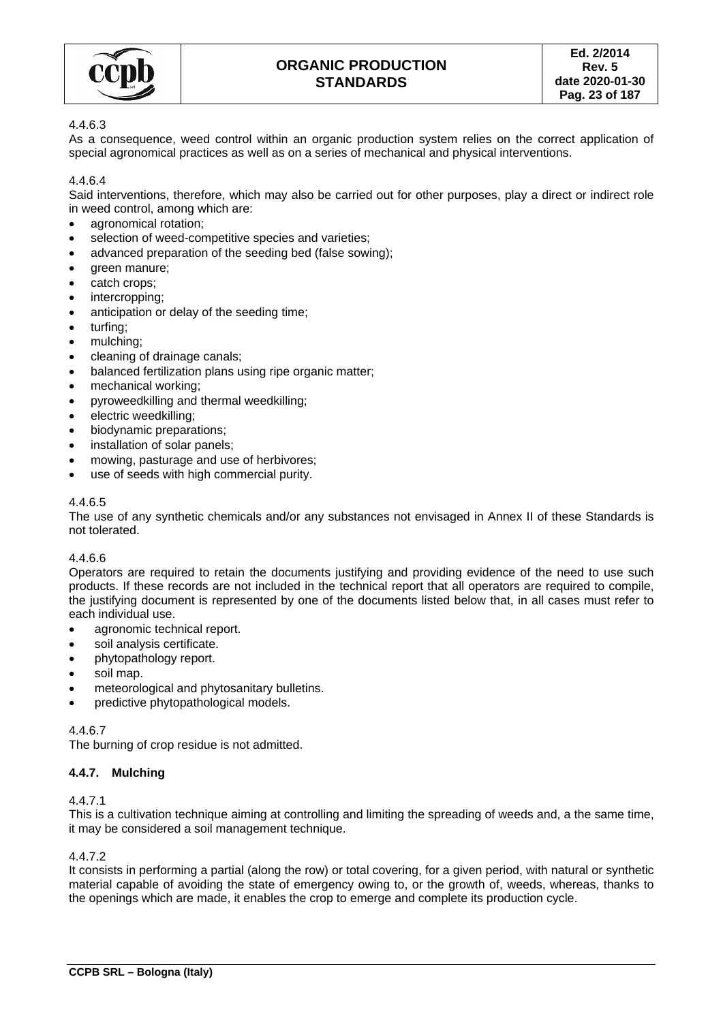

#### 4.4.6.3

As a consequence, weed control within an organic production system relies on the correct application of special agronomical practices as well as on a series of mechanical and physical interventions.

#### 4.4.6.4

Said interventions, therefore, which may also be carried out for other purposes, play a direct or indirect role in weed control, among which are:

- agronomical rotation;
- selection of weed-competitive species and varieties;
- advanced preparation of the seeding bed (false sowing);
- green manure;
- catch crops;
- intercropping;
- anticipation or delay of the seeding time;
- turfing:
- mulching:
- cleaning of drainage canals:
- balanced fertilization plans using ripe organic matter;
- mechanical working;
- pyroweedkilling and thermal weedkilling;
- electric weedkilling:
- biodynamic preparations;
- installation of solar panels;
- mowing, pasturage and use of herbivores;
- use of seeds with high commercial purity.

#### 4.4.6.5

The use of any synthetic chemicals and/or any substances not envisaged in Annex II of these Standards is not tolerated.

#### 4.4.6.6

Operators are required to retain the documents justifying and providing evidence of the need to use such products. If these records are not included in the technical report that all operators are required to compile, the justifying document is represented by one of the documents listed below that, in all cases must refer to each individual use.

- agronomic technical report.
- soil analysis certificate.
- phytopathology report.
- soil map.
- meteorological and phytosanitary bulletins.
- predictive phytopathological models.

#### 4.4.6.7

The burning of crop residue is not admitted.

#### **4.4.7. Mulching**

#### 4.4.7.1

This is a cultivation technique aiming at controlling and limiting the spreading of weeds and, a the same time, it may be considered a soil management technique.

#### 4.4.7.2

It consists in performing a partial (along the row) or total covering, for a given period, with natural or synthetic material capable of avoiding the state of emergency owing to, or the growth of, weeds, whereas, thanks to the openings which are made, it enables the crop to emerge and complete its production cycle.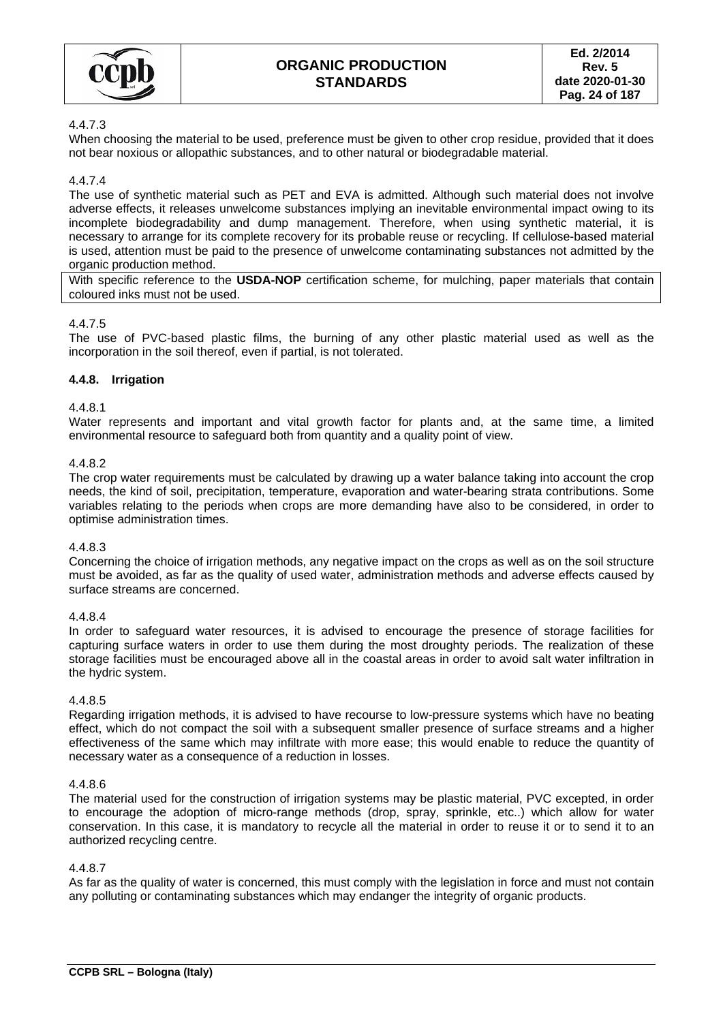

#### 4.4.7.3

When choosing the material to be used, preference must be given to other crop residue, provided that it does not bear noxious or allopathic substances, and to other natural or biodegradable material.

#### 4.4.7.4

The use of synthetic material such as PET and EVA is admitted. Although such material does not involve adverse effects, it releases unwelcome substances implying an inevitable environmental impact owing to its incomplete biodegradability and dump management. Therefore, when using synthetic material, it is necessary to arrange for its complete recovery for its probable reuse or recycling. If cellulose-based material is used, attention must be paid to the presence of unwelcome contaminating substances not admitted by the organic production method.

With specific reference to the USDA-NOP certification scheme, for mulching, paper materials that contain coloured inks must not be used.

#### 4.4.7.5

The use of PVC-based plastic films, the burning of any other plastic material used as well as the incorporation in the soil thereof, even if partial, is not tolerated.

#### **4.4.8. Irrigation**

#### 4.4.8.1

Water represents and important and vital growth factor for plants and, at the same time, a limited environmental resource to safeguard both from quantity and a quality point of view.

#### 4.4.8.2

The crop water requirements must be calculated by drawing up a water balance taking into account the crop needs, the kind of soil, precipitation, temperature, evaporation and water-bearing strata contributions. Some variables relating to the periods when crops are more demanding have also to be considered, in order to optimise administration times.

#### 4.4.8.3

Concerning the choice of irrigation methods, any negative impact on the crops as well as on the soil structure must be avoided, as far as the quality of used water, administration methods and adverse effects caused by surface streams are concerned.

#### 4.4.8.4

In order to safeguard water resources, it is advised to encourage the presence of storage facilities for capturing surface waters in order to use them during the most droughty periods. The realization of these storage facilities must be encouraged above all in the coastal areas in order to avoid salt water infiltration in the hydric system.

#### 4.4.8.5

Regarding irrigation methods, it is advised to have recourse to low-pressure systems which have no beating effect, which do not compact the soil with a subsequent smaller presence of surface streams and a higher effectiveness of the same which may infiltrate with more ease; this would enable to reduce the quantity of necessary water as a consequence of a reduction in losses.

#### 4.4.8.6

The material used for the construction of irrigation systems may be plastic material, PVC excepted, in order to encourage the adoption of micro-range methods (drop, spray, sprinkle, etc..) which allow for water conservation. In this case, it is mandatory to recycle all the material in order to reuse it or to send it to an authorized recycling centre.

#### 4.4.8.7

As far as the quality of water is concerned, this must comply with the legislation in force and must not contain any polluting or contaminating substances which may endanger the integrity of organic products.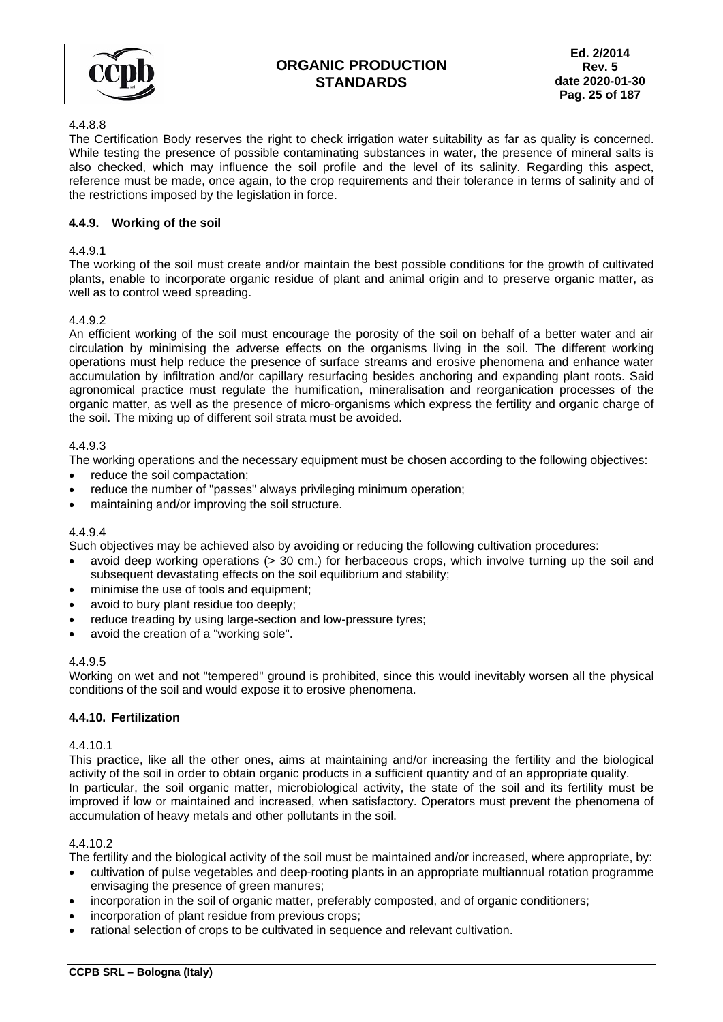

#### 4.4.8.8

The Certification Body reserves the right to check irrigation water suitability as far as quality is concerned. While testing the presence of possible contaminating substances in water, the presence of mineral salts is also checked, which may influence the soil profile and the level of its salinity. Regarding this aspect, reference must be made, once again, to the crop requirements and their tolerance in terms of salinity and of the restrictions imposed by the legislation in force.

#### **4.4.9. Working of the soil**

#### 4.4.9.1

The working of the soil must create and/or maintain the best possible conditions for the growth of cultivated plants, enable to incorporate organic residue of plant and animal origin and to preserve organic matter, as well as to control weed spreading.

#### 4.4.9.2

An efficient working of the soil must encourage the porosity of the soil on behalf of a better water and air circulation by minimising the adverse effects on the organisms living in the soil. The different working operations must help reduce the presence of surface streams and erosive phenomena and enhance water accumulation by infiltration and/or capillary resurfacing besides anchoring and expanding plant roots. Said agronomical practice must regulate the humification, mineralisation and reorganication processes of the organic matter, as well as the presence of micro-organisms which express the fertility and organic charge of the soil. The mixing up of different soil strata must be avoided.

#### 4.4.9.3

The working operations and the necessary equipment must be chosen according to the following objectives:

- reduce the soil compactation;
- reduce the number of "passes" always privileging minimum operation;
- maintaining and/or improving the soil structure.

#### 4.4.9.4

Such objectives may be achieved also by avoiding or reducing the following cultivation procedures:

- avoid deep working operations (> 30 cm.) for herbaceous crops, which involve turning up the soil and subsequent devastating effects on the soil equilibrium and stability;
- minimise the use of tools and equipment;
- avoid to bury plant residue too deeply;
- reduce treading by using large-section and low-pressure tyres;
- avoid the creation of a "working sole".

#### 4.4.9.5

Working on wet and not "tempered" ground is prohibited, since this would inevitably worsen all the physical conditions of the soil and would expose it to erosive phenomena.

#### **4.4.10. Fertilization**

#### 4.4.10.1

This practice, like all the other ones, aims at maintaining and/or increasing the fertility and the biological activity of the soil in order to obtain organic products in a sufficient quantity and of an appropriate quality. In particular, the soil organic matter, microbiological activity, the state of the soil and its fertility must be improved if low or maintained and increased, when satisfactory. Operators must prevent the phenomena of accumulation of heavy metals and other pollutants in the soil.

#### 4.4.10.2

The fertility and the biological activity of the soil must be maintained and/or increased, where appropriate, by:

- cultivation of pulse vegetables and deep-rooting plants in an appropriate multiannual rotation programme envisaging the presence of green manures;
- incorporation in the soil of organic matter, preferably composted, and of organic conditioners;
- incorporation of plant residue from previous crops;
- rational selection of crops to be cultivated in sequence and relevant cultivation.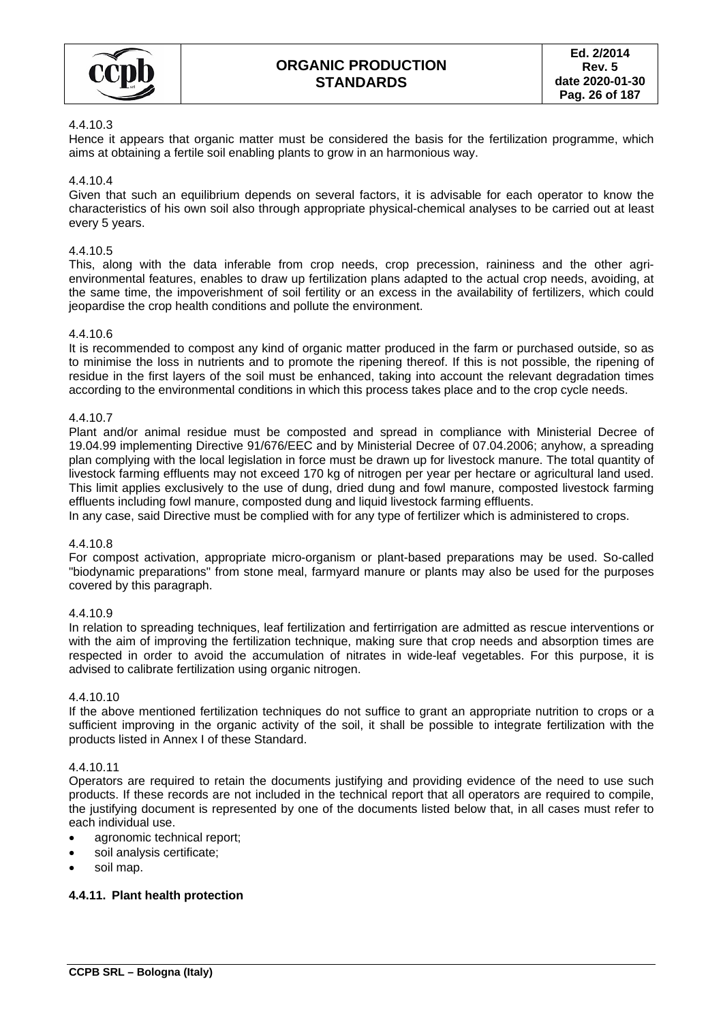

#### 4.4.10.3

Hence it appears that organic matter must be considered the basis for the fertilization programme, which aims at obtaining a fertile soil enabling plants to grow in an harmonious way.

#### 4.4.10.4

Given that such an equilibrium depends on several factors, it is advisable for each operator to know the characteristics of his own soil also through appropriate physical-chemical analyses to be carried out at least every 5 years.

#### 4.4.10.5

This, along with the data inferable from crop needs, crop precession, raininess and the other agrienvironmental features, enables to draw up fertilization plans adapted to the actual crop needs, avoiding, at the same time, the impoverishment of soil fertility or an excess in the availability of fertilizers, which could jeopardise the crop health conditions and pollute the environment.

#### 4.4.10.6

It is recommended to compost any kind of organic matter produced in the farm or purchased outside, so as to minimise the loss in nutrients and to promote the ripening thereof. If this is not possible, the ripening of residue in the first layers of the soil must be enhanced, taking into account the relevant degradation times according to the environmental conditions in which this process takes place and to the crop cycle needs.

#### 4.4.10.7

Plant and/or animal residue must be composted and spread in compliance with Ministerial Decree of 19.04.99 implementing Directive 91/676/EEC and by Ministerial Decree of 07.04.2006; anyhow, a spreading plan complying with the local legislation in force must be drawn up for livestock manure. The total quantity of livestock farming effluents may not exceed 170 kg of nitrogen per year per hectare or agricultural land used. This limit applies exclusively to the use of dung, dried dung and fowl manure, composted livestock farming effluents including fowl manure, composted dung and liquid livestock farming effluents.

In any case, said Directive must be complied with for any type of fertilizer which is administered to crops.

#### 4.4.10.8

For compost activation, appropriate micro-organism or plant-based preparations may be used. So-called "biodynamic preparations" from stone meal, farmyard manure or plants may also be used for the purposes covered by this paragraph.

#### 4.4.10.9

In relation to spreading techniques, leaf fertilization and fertirrigation are admitted as rescue interventions or with the aim of improving the fertilization technique, making sure that crop needs and absorption times are respected in order to avoid the accumulation of nitrates in wide-leaf vegetables. For this purpose, it is advised to calibrate fertilization using organic nitrogen.

#### 4.4.10.10

If the above mentioned fertilization techniques do not suffice to grant an appropriate nutrition to crops or a sufficient improving in the organic activity of the soil, it shall be possible to integrate fertilization with the products listed in Annex I of these Standard.

#### 4.4.10.11

Operators are required to retain the documents justifying and providing evidence of the need to use such products. If these records are not included in the technical report that all operators are required to compile, the justifying document is represented by one of the documents listed below that, in all cases must refer to each individual use.

- agronomic technical report;
- soil analysis certificate;
- soil map.

#### **4.4.11. Plant health protection**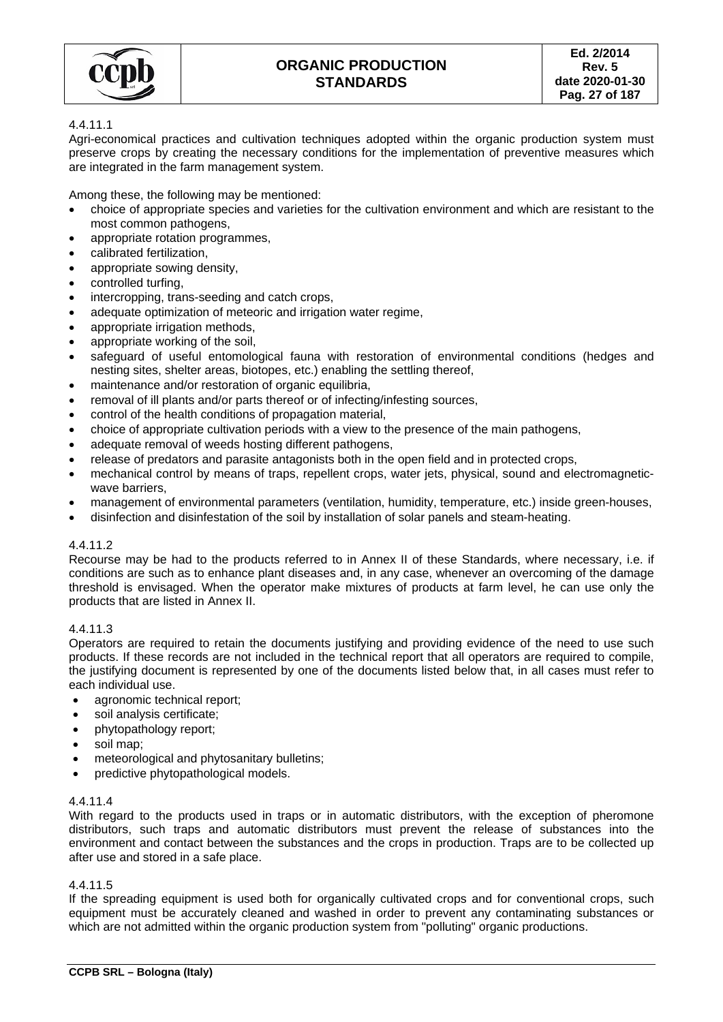

#### 4.4.11.1

Agri-economical practices and cultivation techniques adopted within the organic production system must preserve crops by creating the necessary conditions for the implementation of preventive measures which are integrated in the farm management system.

Among these, the following may be mentioned:

- choice of appropriate species and varieties for the cultivation environment and which are resistant to the most common pathogens,
- appropriate rotation programmes,
- calibrated fertilization,
- appropriate sowing density,
- controlled turfing,
- intercropping, trans-seeding and catch crops,
- adequate optimization of meteoric and irrigation water regime,
- appropriate irrigation methods.
- appropriate working of the soil,
- safeguard of useful entomological fauna with restoration of environmental conditions (hedges and nesting sites, shelter areas, biotopes, etc.) enabling the settling thereof,
- maintenance and/or restoration of organic equilibria,
- removal of ill plants and/or parts thereof or of infecting/infesting sources,
- control of the health conditions of propagation material,
- choice of appropriate cultivation periods with a view to the presence of the main pathogens,
- adequate removal of weeds hosting different pathogens,
- release of predators and parasite antagonists both in the open field and in protected crops,
- mechanical control by means of traps, repellent crops, water jets, physical, sound and electromagneticwave barriers,
- management of environmental parameters (ventilation, humidity, temperature, etc.) inside green-houses,
- disinfection and disinfestation of the soil by installation of solar panels and steam-heating.

#### 4.4.11.2

Recourse may be had to the products referred to in Annex II of these Standards, where necessary, i.e. if conditions are such as to enhance plant diseases and, in any case, whenever an overcoming of the damage threshold is envisaged. When the operator make mixtures of products at farm level, he can use only the products that are listed in Annex II.

#### 4.4.11.3

Operators are required to retain the documents justifying and providing evidence of the need to use such products. If these records are not included in the technical report that all operators are required to compile, the justifying document is represented by one of the documents listed below that, in all cases must refer to each individual use.

- agronomic technical report:
- soil analysis certificate;
- phytopathology report;
- soil map;
- meteorological and phytosanitary bulletins;
- predictive phytopathological models.

#### 4.4.11.4

With regard to the products used in traps or in automatic distributors, with the exception of pheromone distributors, such traps and automatic distributors must prevent the release of substances into the environment and contact between the substances and the crops in production. Traps are to be collected up after use and stored in a safe place.

#### 4.4.11.5

If the spreading equipment is used both for organically cultivated crops and for conventional crops, such equipment must be accurately cleaned and washed in order to prevent any contaminating substances or which are not admitted within the organic production system from "polluting" organic productions.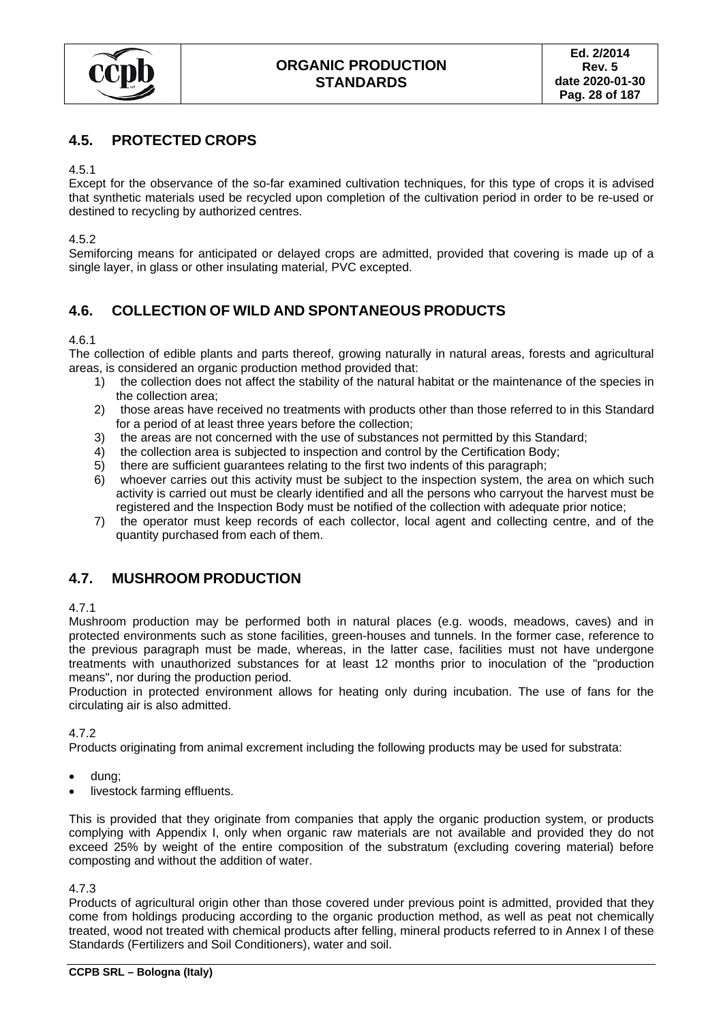

# **4.5. PROTECTED CROPS**

4.5.1

Except for the observance of the so-far examined cultivation techniques, for this type of crops it is advised that synthetic materials used be recycled upon completion of the cultivation period in order to be re-used or destined to recycling by authorized centres.

4.5.2

Semiforcing means for anticipated or delayed crops are admitted, provided that covering is made up of a single layer, in glass or other insulating material, PVC excepted.

# **4.6. COLLECTION OF WILD AND SPONTANEOUS PRODUCTS**

#### 4.6.1

The collection of edible plants and parts thereof, growing naturally in natural areas, forests and agricultural areas, is considered an organic production method provided that:

- 1) the collection does not affect the stability of the natural habitat or the maintenance of the species in the collection area;
- 2) those areas have received no treatments with products other than those referred to in this Standard for a period of at least three years before the collection;
- 3) the areas are not concerned with the use of substances not permitted by this Standard;
- 4) the collection area is subjected to inspection and control by the Certification Body;
- 5) there are sufficient guarantees relating to the first two indents of this paragraph;
- 6) whoever carries out this activity must be subject to the inspection system, the area on which such activity is carried out must be clearly identified and all the persons who carryout the harvest must be registered and the Inspection Body must be notified of the collection with adequate prior notice;
- 7) the operator must keep records of each collector, local agent and collecting centre, and of the quantity purchased from each of them.

# **4.7. MUSHROOM PRODUCTION**

#### 4.7.1

Mushroom production may be performed both in natural places (e.g. woods, meadows, caves) and in protected environments such as stone facilities, green-houses and tunnels. In the former case, reference to the previous paragraph must be made, whereas, in the latter case, facilities must not have undergone treatments with unauthorized substances for at least 12 months prior to inoculation of the "production means", nor during the production period.

Production in protected environment allows for heating only during incubation. The use of fans for the circulating air is also admitted.

4.7.2

Products originating from animal excrement including the following products may be used for substrata:

- dung;
- livestock farming effluents.

This is provided that they originate from companies that apply the organic production system, or products complying with Appendix I, only when organic raw materials are not available and provided they do not exceed 25% by weight of the entire composition of the substratum (excluding covering material) before composting and without the addition of water.

4.7.3

Products of agricultural origin other than those covered under previous point is admitted, provided that they come from holdings producing according to the organic production method, as well as peat not chemically treated, wood not treated with chemical products after felling, mineral products referred to in Annex I of these Standards (Fertilizers and Soil Conditioners), water and soil.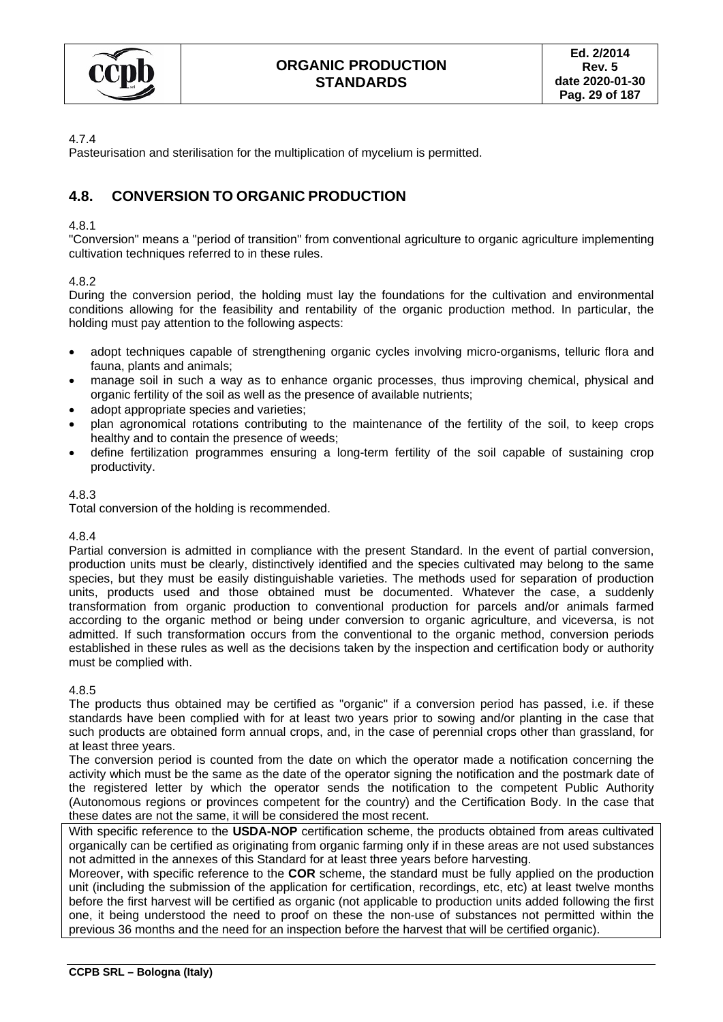

#### 4.7.4

Pasteurisation and sterilisation for the multiplication of mycelium is permitted.

# **4.8. CONVERSION TO ORGANIC PRODUCTION**

#### 4.8.1

"Conversion" means a "period of transition" from conventional agriculture to organic agriculture implementing cultivation techniques referred to in these rules.

#### 4.8.2

During the conversion period, the holding must lay the foundations for the cultivation and environmental conditions allowing for the feasibility and rentability of the organic production method. In particular, the holding must pay attention to the following aspects:

- adopt techniques capable of strengthening organic cycles involving micro-organisms, telluric flora and fauna, plants and animals;
- manage soil in such a way as to enhance organic processes, thus improving chemical, physical and organic fertility of the soil as well as the presence of available nutrients;
- adopt appropriate species and varieties;
- plan agronomical rotations contributing to the maintenance of the fertility of the soil, to keep crops healthy and to contain the presence of weeds;
- define fertilization programmes ensuring a long-term fertility of the soil capable of sustaining crop productivity.

#### 4.8.3

Total conversion of the holding is recommended.

#### 4.8.4

Partial conversion is admitted in compliance with the present Standard. In the event of partial conversion, production units must be clearly, distinctively identified and the species cultivated may belong to the same species, but they must be easily distinguishable varieties. The methods used for separation of production units, products used and those obtained must be documented. Whatever the case, a suddenly transformation from organic production to conventional production for parcels and/or animals farmed according to the organic method or being under conversion to organic agriculture, and viceversa, is not admitted. If such transformation occurs from the conventional to the organic method, conversion periods established in these rules as well as the decisions taken by the inspection and certification body or authority must be complied with.

#### 4.8.5

The products thus obtained may be certified as "organic" if a conversion period has passed, i.e. if these standards have been complied with for at least two years prior to sowing and/or planting in the case that such products are obtained form annual crops, and, in the case of perennial crops other than grassland, for at least three years.

The conversion period is counted from the date on which the operator made a notification concerning the activity which must be the same as the date of the operator signing the notification and the postmark date of the registered letter by which the operator sends the notification to the competent Public Authority (Autonomous regions or provinces competent for the country) and the Certification Body. In the case that these dates are not the same, it will be considered the most recent.

With specific reference to the **USDA-NOP** certification scheme, the products obtained from areas cultivated organically can be certified as originating from organic farming only if in these areas are not used substances not admitted in the annexes of this Standard for at least three years before harvesting.

Moreover, with specific reference to the **COR** scheme, the standard must be fully applied on the production unit (including the submission of the application for certification, recordings, etc, etc) at least twelve months before the first harvest will be certified as organic (not applicable to production units added following the first one, it being understood the need to proof on these the non-use of substances not permitted within the previous 36 months and the need for an inspection before the harvest that will be certified organic).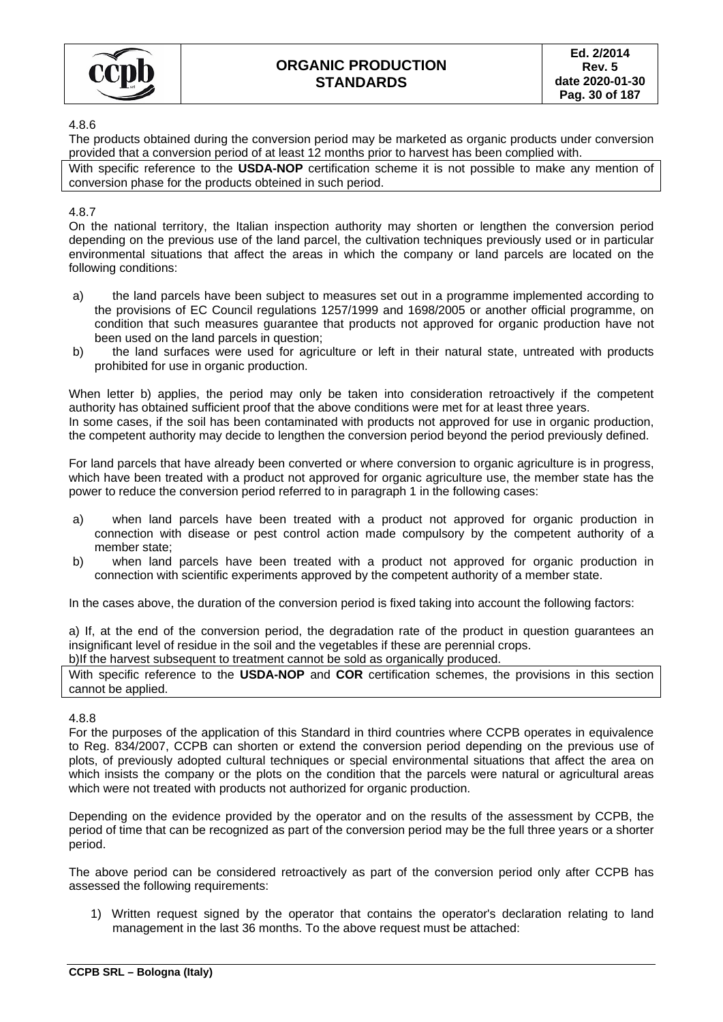

#### 4.8.6

The products obtained during the conversion period may be marketed as organic products under conversion provided that a conversion period of at least 12 months prior to harvest has been complied with.

With specific reference to the **USDA-NOP** certification scheme it is not possible to make any mention of conversion phase for the products obteined in such period.

#### 4.8.7

On the national territory, the Italian inspection authority may shorten or lengthen the conversion period depending on the previous use of the land parcel, the cultivation techniques previously used or in particular environmental situations that affect the areas in which the company or land parcels are located on the following conditions:

- a) the land parcels have been subject to measures set out in a programme implemented according to the provisions of EC Council regulations 1257/1999 and 1698/2005 or another official programme, on condition that such measures guarantee that products not approved for organic production have not been used on the land parcels in question;
- b) the land surfaces were used for agriculture or left in their natural state, untreated with products prohibited for use in organic production.

When letter b) applies, the period may only be taken into consideration retroactively if the competent authority has obtained sufficient proof that the above conditions were met for at least three years. In some cases, if the soil has been contaminated with products not approved for use in organic production, the competent authority may decide to lengthen the conversion period beyond the period previously defined.

For land parcels that have already been converted or where conversion to organic agriculture is in progress, which have been treated with a product not approved for organic agriculture use, the member state has the power to reduce the conversion period referred to in paragraph 1 in the following cases:

- a) when land parcels have been treated with a product not approved for organic production in connection with disease or pest control action made compulsory by the competent authority of a member state;
- b) when land parcels have been treated with a product not approved for organic production in connection with scientific experiments approved by the competent authority of a member state.

In the cases above, the duration of the conversion period is fixed taking into account the following factors:

a) If, at the end of the conversion period, the degradation rate of the product in question guarantees an insignificant level of residue in the soil and the vegetables if these are perennial crops.

b)If the harvest subsequent to treatment cannot be sold as organically produced.

With specific reference to the **USDA-NOP** and **COR** certification schemes, the provisions in this section cannot be applied.

#### 4.8.8

For the purposes of the application of this Standard in third countries where CCPB operates in equivalence to Reg. 834/2007, CCPB can shorten or extend the conversion period depending on the previous use of plots, of previously adopted cultural techniques or special environmental situations that affect the area on which insists the company or the plots on the condition that the parcels were natural or agricultural areas which were not treated with products not authorized for organic production.

Depending on the evidence provided by the operator and on the results of the assessment by CCPB, the period of time that can be recognized as part of the conversion period may be the full three years or a shorter period.

The above period can be considered retroactively as part of the conversion period only after CCPB has assessed the following requirements:

1) Written request signed by the operator that contains the operator's declaration relating to land management in the last 36 months. To the above request must be attached: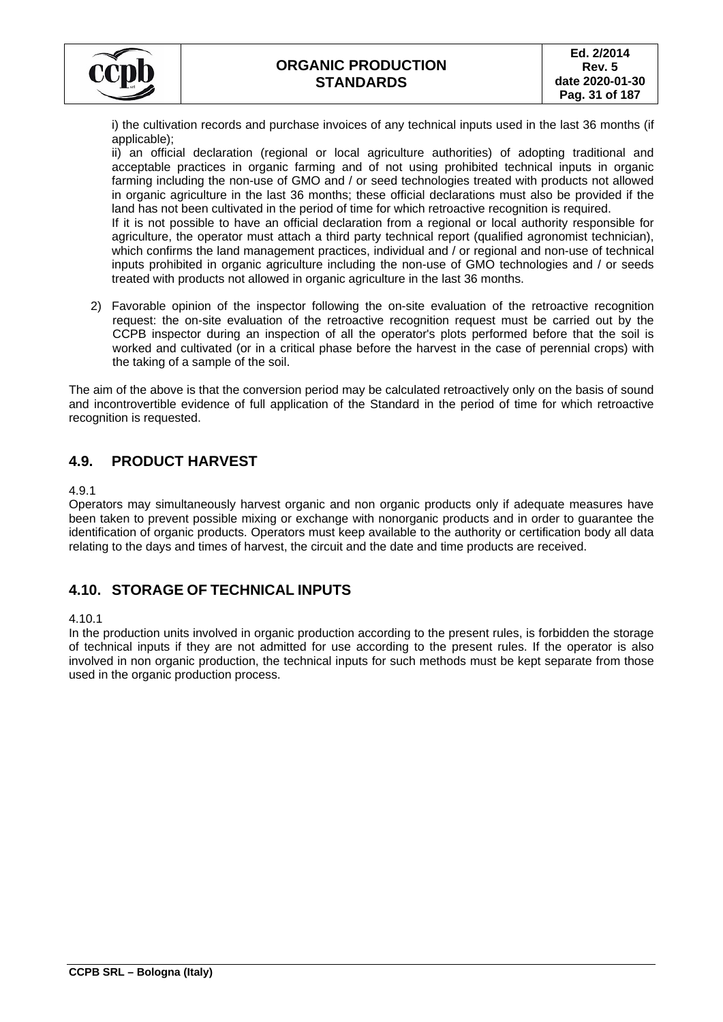

i) the cultivation records and purchase invoices of any technical inputs used in the last 36 months (if applicable);

ii) an official declaration (regional or local agriculture authorities) of adopting traditional and acceptable practices in organic farming and of not using prohibited technical inputs in organic farming including the non-use of GMO and / or seed technologies treated with products not allowed in organic agriculture in the last 36 months; these official declarations must also be provided if the land has not been cultivated in the period of time for which retroactive recognition is required.

If it is not possible to have an official declaration from a regional or local authority responsible for agriculture, the operator must attach a third party technical report (qualified agronomist technician), which confirms the land management practices, individual and / or regional and non-use of technical inputs prohibited in organic agriculture including the non-use of GMO technologies and / or seeds treated with products not allowed in organic agriculture in the last 36 months.

2) Favorable opinion of the inspector following the on-site evaluation of the retroactive recognition request: the on-site evaluation of the retroactive recognition request must be carried out by the CCPB inspector during an inspection of all the operator's plots performed before that the soil is worked and cultivated (or in a critical phase before the harvest in the case of perennial crops) with the taking of a sample of the soil.

The aim of the above is that the conversion period may be calculated retroactively only on the basis of sound and incontrovertible evidence of full application of the Standard in the period of time for which retroactive recognition is requested.

# **4.9. PRODUCT HARVEST**

4.9.1

Operators may simultaneously harvest organic and non organic products only if adequate measures have been taken to prevent possible mixing or exchange with nonorganic products and in order to guarantee the identification of organic products. Operators must keep available to the authority or certification body all data relating to the days and times of harvest, the circuit and the date and time products are received.

# **4.10. STORAGE OF TECHNICAL INPUTS**

4.10.1

In the production units involved in organic production according to the present rules, is forbidden the storage of technical inputs if they are not admitted for use according to the present rules. If the operator is also involved in non organic production, the technical inputs for such methods must be kept separate from those used in the organic production process.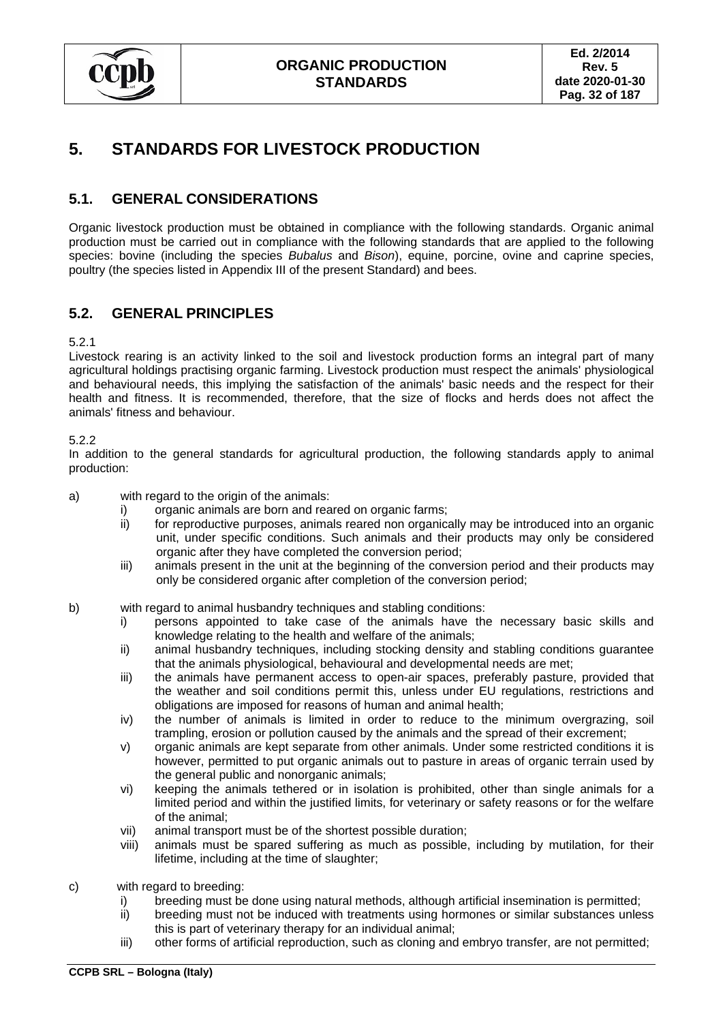

# **5. STANDARDS FOR LIVESTOCK PRODUCTION**

# **5.1. GENERAL CONSIDERATIONS**

Organic livestock production must be obtained in compliance with the following standards. Organic animal production must be carried out in compliance with the following standards that are applied to the following species: bovine (including the species *Bubalus* and *Bison*), equine, porcine, ovine and caprine species, poultry (the species listed in Appendix III of the present Standard) and bees.

# **5.2. GENERAL PRINCIPLES**

5.2.1

Livestock rearing is an activity linked to the soil and livestock production forms an integral part of many agricultural holdings practising organic farming. Livestock production must respect the animals' physiological and behavioural needs, this implying the satisfaction of the animals' basic needs and the respect for their health and fitness. It is recommended, therefore, that the size of flocks and herds does not affect the animals' fitness and behaviour.

#### 5.2.2

In addition to the general standards for agricultural production, the following standards apply to animal production:

#### a) with regard to the origin of the animals:

- i) organic animals are born and reared on organic farms;
- ii) for reproductive purposes, animals reared non organically may be introduced into an organic unit, under specific conditions. Such animals and their products may only be considered organic after they have completed the conversion period;
- iii) animals present in the unit at the beginning of the conversion period and their products may only be considered organic after completion of the conversion period;
- b) with regard to animal husbandry techniques and stabling conditions:
	- i) persons appointed to take case of the animals have the necessary basic skills and knowledge relating to the health and welfare of the animals;
	- ii) animal husbandry techniques, including stocking density and stabling conditions guarantee that the animals physiological, behavioural and developmental needs are met;
	- iii) the animals have permanent access to open-air spaces, preferably pasture, provided that the weather and soil conditions permit this, unless under EU regulations, restrictions and obligations are imposed for reasons of human and animal health;
	- iv) the number of animals is limited in order to reduce to the minimum overgrazing, soil trampling, erosion or pollution caused by the animals and the spread of their excrement;
	- v) organic animals are kept separate from other animals. Under some restricted conditions it is however, permitted to put organic animals out to pasture in areas of organic terrain used by the general public and nonorganic animals;
	- vi) keeping the animals tethered or in isolation is prohibited, other than single animals for a limited period and within the justified limits, for veterinary or safety reasons or for the welfare of the animal;
	- vii) animal transport must be of the shortest possible duration;
	- viii) animals must be spared suffering as much as possible, including by mutilation, for their lifetime, including at the time of slaughter;
- c) with regard to breeding:
	- i) breeding must be done using natural methods, although artificial insemination is permitted;
	- ii) breeding must not be induced with treatments using hormones or similar substances unless this is part of veterinary therapy for an individual animal;
	- iii) other forms of artificial reproduction, such as cloning and embryo transfer, are not permitted;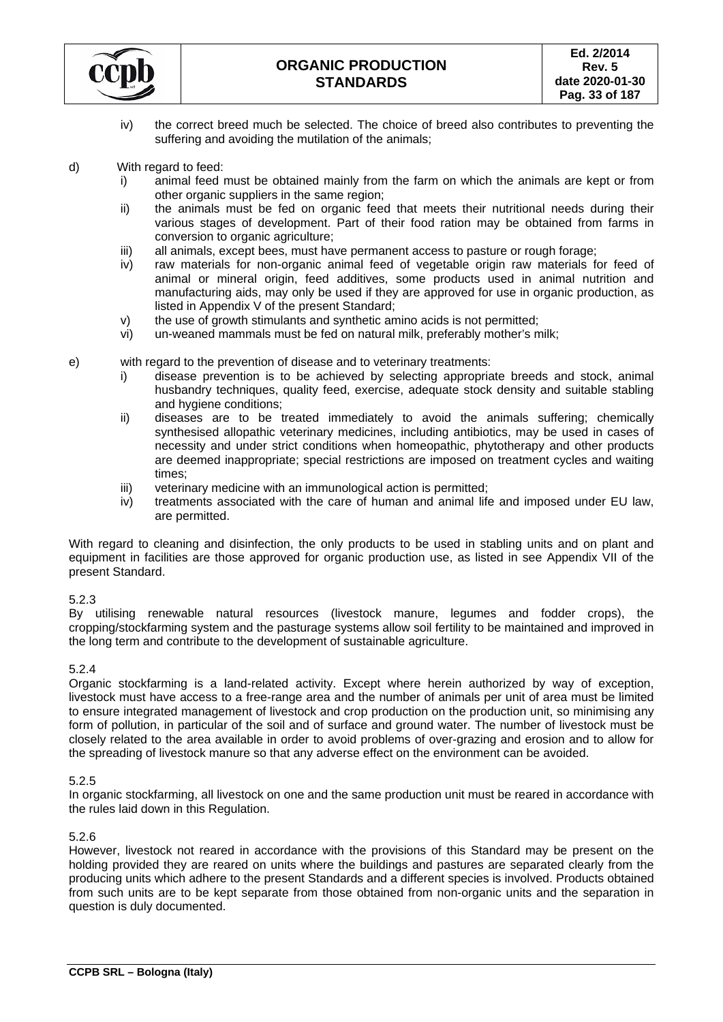

- iv) the correct breed much be selected. The choice of breed also contributes to preventing the suffering and avoiding the mutilation of the animals;
- d) With regard to feed:
	- i) animal feed must be obtained mainly from the farm on which the animals are kept or from other organic suppliers in the same region;
	- ii) the animals must be fed on organic feed that meets their nutritional needs during their various stages of development. Part of their food ration may be obtained from farms in conversion to organic agriculture;
	- iii) all animals, except bees, must have permanent access to pasture or rough forage;
	- iv) raw materials for non-organic animal feed of vegetable origin raw materials for feed of animal or mineral origin, feed additives, some products used in animal nutrition and manufacturing aids, may only be used if they are approved for use in organic production, as listed in Appendix V of the present Standard;
	- v) the use of growth stimulants and synthetic amino acids is not permitted;
	- vi) un-weaned mammals must be fed on natural milk, preferably mother's milk;
- e) with regard to the prevention of disease and to veterinary treatments:
	- i) disease prevention is to be achieved by selecting appropriate breeds and stock, animal husbandry techniques, quality feed, exercise, adequate stock density and suitable stabling and hygiene conditions;
	- ii) diseases are to be treated immediately to avoid the animals suffering; chemically synthesised allopathic veterinary medicines, including antibiotics, may be used in cases of necessity and under strict conditions when homeopathic, phytotherapy and other products are deemed inappropriate; special restrictions are imposed on treatment cycles and waiting times;
	- iii) veterinary medicine with an immunological action is permitted;
	- iv) treatments associated with the care of human and animal life and imposed under EU law, are permitted.

With regard to cleaning and disinfection, the only products to be used in stabling units and on plant and equipment in facilities are those approved for organic production use, as listed in see Appendix VII of the present Standard.

#### 5.2.3

By utilising renewable natural resources (livestock manure, legumes and fodder crops), the cropping/stockfarming system and the pasturage systems allow soil fertility to be maintained and improved in the long term and contribute to the development of sustainable agriculture.

#### 5.2.4

Organic stockfarming is a land-related activity. Except where herein authorized by way of exception, livestock must have access to a free-range area and the number of animals per unit of area must be limited to ensure integrated management of livestock and crop production on the production unit, so minimising any form of pollution, in particular of the soil and of surface and ground water. The number of livestock must be closely related to the area available in order to avoid problems of over-grazing and erosion and to allow for the spreading of livestock manure so that any adverse effect on the environment can be avoided.

#### 5.2.5

In organic stockfarming, all livestock on one and the same production unit must be reared in accordance with the rules laid down in this Regulation.

#### 5.2.6

However, livestock not reared in accordance with the provisions of this Standard may be present on the holding provided they are reared on units where the buildings and pastures are separated clearly from the producing units which adhere to the present Standards and a different species is involved. Products obtained from such units are to be kept separate from those obtained from non-organic units and the separation in question is duly documented.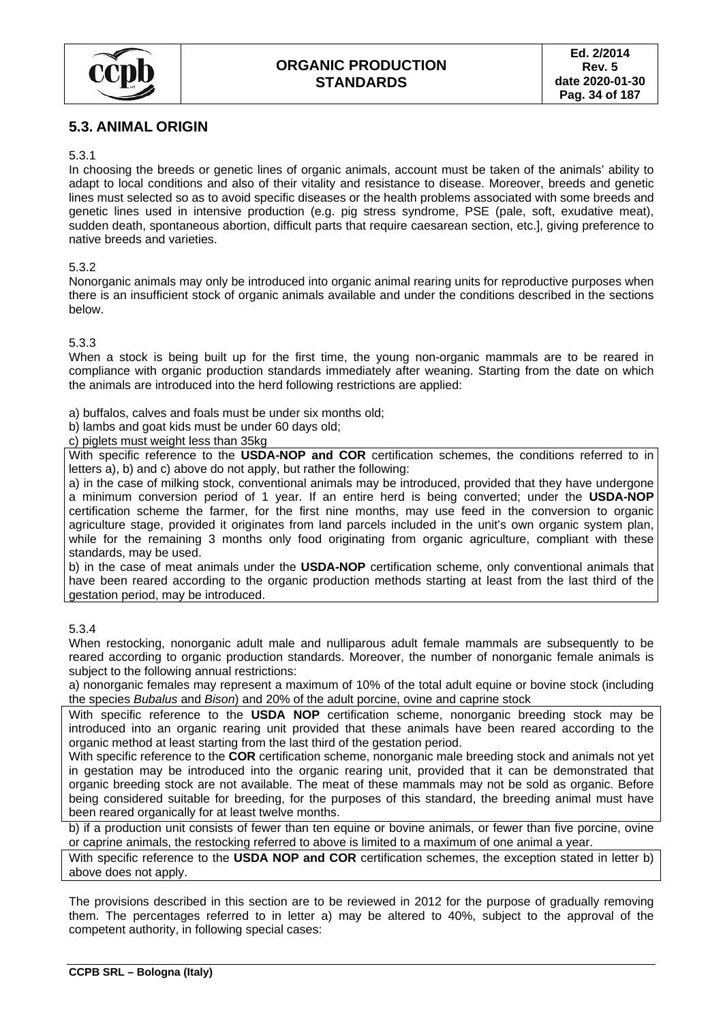

# **5.3. ANIMAL ORIGIN**

#### 5.3.1

In choosing the breeds or genetic lines of organic animals, account must be taken of the animals' ability to adapt to local conditions and also of their vitality and resistance to disease. Moreover, breeds and genetic lines must selected so as to avoid specific diseases or the health problems associated with some breeds and genetic lines used in intensive production (e.g. pig stress syndrome, PSE (pale, soft, exudative meat), sudden death, spontaneous abortion, difficult parts that require caesarean section, etc.], giving preference to native breeds and varieties.

#### 5.3.2

Nonorganic animals may only be introduced into organic animal rearing units for reproductive purposes when there is an insufficient stock of organic animals available and under the conditions described in the sections below.

#### 5.3.3

When a stock is being built up for the first time, the young non-organic mammals are to be reared in compliance with organic production standards immediately after weaning. Starting from the date on which the animals are introduced into the herd following restrictions are applied:

a) buffalos, calves and foals must be under six months old;

- b) lambs and goat kids must be under 60 days old;
- c) piglets must weight less than 35kg

With specific reference to the **USDA-NOP and COR** certification schemes, the conditions referred to in letters a), b) and c) above do not apply, but rather the following:

a) in the case of milking stock, conventional animals may be introduced, provided that they have undergone a minimum conversion period of 1 year. If an entire herd is being converted; under the **USDA-NOP** certification scheme the farmer, for the first nine months, may use feed in the conversion to organic agriculture stage, provided it originates from land parcels included in the unit's own organic system plan, while for the remaining 3 months only food originating from organic agriculture, compliant with these standards, may be used.

b) in the case of meat animals under the **USDA-NOP** certification scheme, only conventional animals that have been reared according to the organic production methods starting at least from the last third of the gestation period, may be introduced.

#### 5.3.4

When restocking, nonorganic adult male and nulliparous adult female mammals are subsequently to be reared according to organic production standards. Moreover, the number of nonorganic female animals is subject to the following annual restrictions:

a) nonorganic females may represent a maximum of 10% of the total adult equine or bovine stock (including the species *Bubalus* and *Bison*) and 20% of the adult porcine, ovine and caprine stock

With specific reference to the **USDA NOP** certification scheme, nonorganic breeding stock may be introduced into an organic rearing unit provided that these animals have been reared according to the organic method at least starting from the last third of the gestation period.

With specific reference to the **COR** certification scheme, nonorganic male breeding stock and animals not yet in gestation may be introduced into the organic rearing unit, provided that it can be demonstrated that organic breeding stock are not available. The meat of these mammals may not be sold as organic. Before being considered suitable for breeding, for the purposes of this standard, the breeding animal must have been reared organically for at least twelve months.

b) if a production unit consists of fewer than ten equine or bovine animals, or fewer than five porcine, ovine or caprine animals, the restocking referred to above is limited to a maximum of one animal a year.

With specific reference to the **USDA NOP and COR** certification schemes, the exception stated in letter b) above does not apply.

The provisions described in this section are to be reviewed in 2012 for the purpose of gradually removing them. The percentages referred to in letter a) may be altered to 40%, subject to the approval of the competent authority, in following special cases: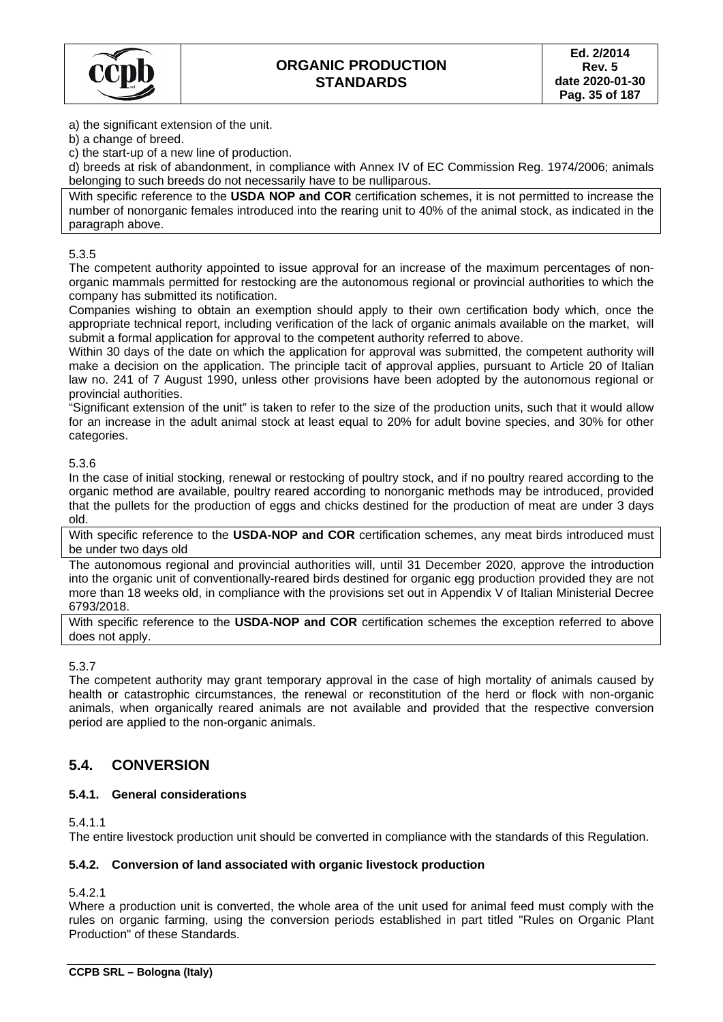

a) the significant extension of the unit.

b) a change of breed.

c) the start-up of a new line of production.

d) breeds at risk of abandonment, in compliance with Annex IV of EC Commission Reg. 1974/2006; animals belonging to such breeds do not necessarily have to be nulliparous.

With specific reference to the **USDA NOP and COR** certification schemes, it is not permitted to increase the number of nonorganic females introduced into the rearing unit to 40% of the animal stock, as indicated in the paragraph above.

#### 5.3.5

The competent authority appointed to issue approval for an increase of the maximum percentages of nonorganic mammals permitted for restocking are the autonomous regional or provincial authorities to which the company has submitted its notification.

Companies wishing to obtain an exemption should apply to their own certification body which, once the appropriate technical report, including verification of the lack of organic animals available on the market, will submit a formal application for approval to the competent authority referred to above.

Within 30 days of the date on which the application for approval was submitted, the competent authority will make a decision on the application. The principle tacit of approval applies, pursuant to Article 20 of Italian law no. 241 of 7 August 1990, unless other provisions have been adopted by the autonomous regional or provincial authorities.

"Significant extension of the unit" is taken to refer to the size of the production units, such that it would allow for an increase in the adult animal stock at least equal to 20% for adult bovine species, and 30% for other categories.

#### 5.3.6

In the case of initial stocking, renewal or restocking of poultry stock, and if no poultry reared according to the organic method are available, poultry reared according to nonorganic methods may be introduced, provided that the pullets for the production of eggs and chicks destined for the production of meat are under 3 days old.

With specific reference to the **USDA-NOP and COR** certification schemes, any meat birds introduced must be under two days old

The autonomous regional and provincial authorities will, until 31 December 2020, approve the introduction into the organic unit of conventionally-reared birds destined for organic egg production provided they are not more than 18 weeks old, in compliance with the provisions set out in Appendix V of Italian Ministerial Decree 6793/2018.

With specific reference to the **USDA-NOP and COR** certification schemes the exception referred to above does not apply.

#### 5.3.7

The competent authority may grant temporary approval in the case of high mortality of animals caused by health or catastrophic circumstances, the renewal or reconstitution of the herd or flock with non-organic animals, when organically reared animals are not available and provided that the respective conversion period are applied to the non-organic animals.

# **5.4. CONVERSION**

#### **5.4.1. General considerations**

5.4.1.1

The entire livestock production unit should be converted in compliance with the standards of this Regulation.

#### **5.4.2. Conversion of land associated with organic livestock production**

5.4.2.1

Where a production unit is converted, the whole area of the unit used for animal feed must comply with the rules on organic farming, using the conversion periods established in part titled "Rules on Organic Plant Production" of these Standards.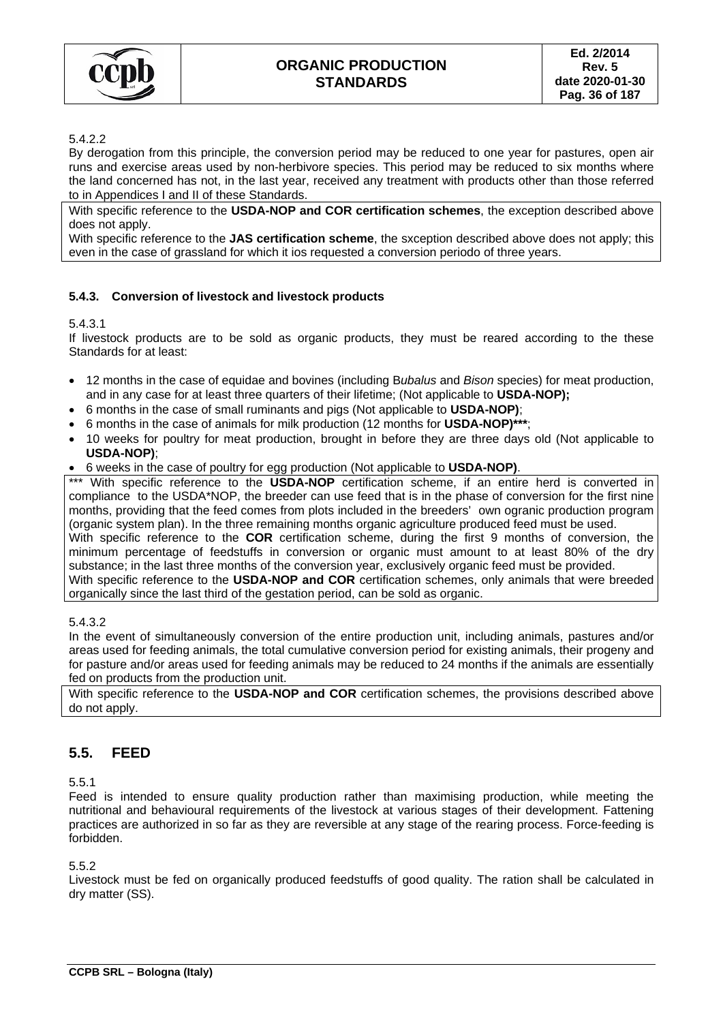

# 5.4.2.2

By derogation from this principle, the conversion period may be reduced to one year for pastures, open air runs and exercise areas used by non-herbivore species. This period may be reduced to six months where the land concerned has not, in the last year, received any treatment with products other than those referred to in Appendices I and II of these Standards.

With specific reference to the **USDA-NOP and COR certification schemes**, the exception described above does not apply.

With specific reference to the **JAS certification scheme**, the sxception described above does not apply; this even in the case of grassland for which it ios requested a conversion periodo of three years.

# **5.4.3. Conversion of livestock and livestock products**

## 5.4.3.1

If livestock products are to be sold as organic products, they must be reared according to the these Standards for at least:

- 12 months in the case of equidae and bovines (including B*ubalus* and *Bison* species) for meat production, and in any case for at least three quarters of their lifetime; (Not applicable to **USDA-NOP);**
- 6 months in the case of small ruminants and pigs (Not applicable to **USDA-NOP)**;
- 6 months in the case of animals for milk production (12 months for **USDA-NOP)\*\*\***;
- 10 weeks for poultry for meat production, brought in before they are three days old (Not applicable to **USDA-NOP)**;
- 6 weeks in the case of poultry for egg production (Not applicable to **USDA-NOP)**.

\*\*\* With specific reference to the **USDA-NOP** certification scheme, if an entire herd is converted in compliance to the USDA\*NOP, the breeder can use feed that is in the phase of conversion for the first nine months, providing that the feed comes from plots included in the breeders' own ogranic production program (organic system plan). In the three remaining months organic agriculture produced feed must be used. With specific reference to the **COR** certification scheme, during the first 9 months of conversion, the minimum percentage of feedstuffs in conversion or organic must amount to at least 80% of the dry substance; in the last three months of the conversion year, exclusively organic feed must be provided. With specific reference to the **USDA-NOP and COR** certification schemes, only animals that were breeded organically since the last third of the gestation period, can be sold as organic.

#### 5.4.3.2

In the event of simultaneously conversion of the entire production unit, including animals, pastures and/or areas used for feeding animals, the total cumulative conversion period for existing animals, their progeny and for pasture and/or areas used for feeding animals may be reduced to 24 months if the animals are essentially fed on products from the production unit.

With specific reference to the **USDA-NOP and COR** certification schemes, the provisions described above do not apply.

# **5.5. FEED**

5.5.1

Feed is intended to ensure quality production rather than maximising production, while meeting the nutritional and behavioural requirements of the livestock at various stages of their development. Fattening practices are authorized in so far as they are reversible at any stage of the rearing process. Force-feeding is forbidden.

5.5.2

Livestock must be fed on organically produced feedstuffs of good quality. The ration shall be calculated in dry matter (SS).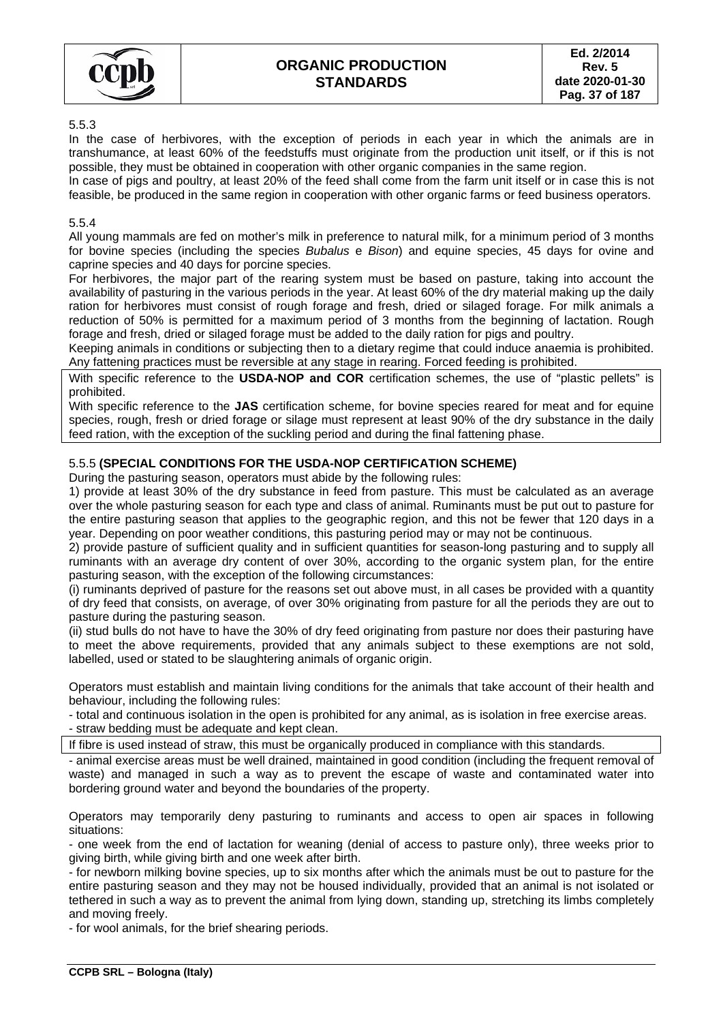

#### 5.5.3

In the case of herbivores, with the exception of periods in each year in which the animals are in transhumance, at least 60% of the feedstuffs must originate from the production unit itself, or if this is not possible, they must be obtained in cooperation with other organic companies in the same region.

In case of pigs and poultry, at least 20% of the feed shall come from the farm unit itself or in case this is not feasible, be produced in the same region in cooperation with other organic farms or feed business operators.

### 5.5.4

All young mammals are fed on mother's milk in preference to natural milk, for a minimum period of 3 months for bovine species (including the species *Bubalus* e *Bison*) and equine species, 45 days for ovine and caprine species and 40 days for porcine species.

For herbivores, the major part of the rearing system must be based on pasture, taking into account the availability of pasturing in the various periods in the year. At least 60% of the dry material making up the daily ration for herbivores must consist of rough forage and fresh, dried or silaged forage. For milk animals a reduction of 50% is permitted for a maximum period of 3 months from the beginning of lactation. Rough forage and fresh, dried or silaged forage must be added to the daily ration for pigs and poultry.

Keeping animals in conditions or subjecting then to a dietary regime that could induce anaemia is prohibited. Any fattening practices must be reversible at any stage in rearing. Forced feeding is prohibited.

With specific reference to the **USDA-NOP and COR** certification schemes, the use of "plastic pellets" is prohibited.

With specific reference to the **JAS** certification scheme, for bovine species reared for meat and for equine species, rough, fresh or dried forage or silage must represent at least 90% of the dry substance in the daily feed ration, with the exception of the suckling period and during the final fattening phase.

# 5.5.5 **(SPECIAL CONDITIONS FOR THE USDA-NOP CERTIFICATION SCHEME)**

During the pasturing season, operators must abide by the following rules:

1) provide at least 30% of the dry substance in feed from pasture. This must be calculated as an average over the whole pasturing season for each type and class of animal. Ruminants must be put out to pasture for the entire pasturing season that applies to the geographic region, and this not be fewer that 120 days in a year. Depending on poor weather conditions, this pasturing period may or may not be continuous.

2) provide pasture of sufficient quality and in sufficient quantities for season-long pasturing and to supply all ruminants with an average dry content of over 30%, according to the organic system plan, for the entire pasturing season, with the exception of the following circumstances:

(i) ruminants deprived of pasture for the reasons set out above must, in all cases be provided with a quantity of dry feed that consists, on average, of over 30% originating from pasture for all the periods they are out to pasture during the pasturing season.

(ii) stud bulls do not have to have the 30% of dry feed originating from pasture nor does their pasturing have to meet the above requirements, provided that any animals subject to these exemptions are not sold, labelled, used or stated to be slaughtering animals of organic origin.

Operators must establish and maintain living conditions for the animals that take account of their health and behaviour, including the following rules:

- total and continuous isolation in the open is prohibited for any animal, as is isolation in free exercise areas. - straw bedding must be adequate and kept clean.

If fibre is used instead of straw, this must be organically produced in compliance with this standards.

- animal exercise areas must be well drained, maintained in good condition (including the frequent removal of waste) and managed in such a way as to prevent the escape of waste and contaminated water into bordering ground water and beyond the boundaries of the property.

Operators may temporarily deny pasturing to ruminants and access to open air spaces in following situations:

- one week from the end of lactation for weaning (denial of access to pasture only), three weeks prior to giving birth, while giving birth and one week after birth.

- for newborn milking bovine species, up to six months after which the animals must be out to pasture for the entire pasturing season and they may not be housed individually, provided that an animal is not isolated or tethered in such a way as to prevent the animal from lying down, standing up, stretching its limbs completely and moving freely.

- for wool animals, for the brief shearing periods.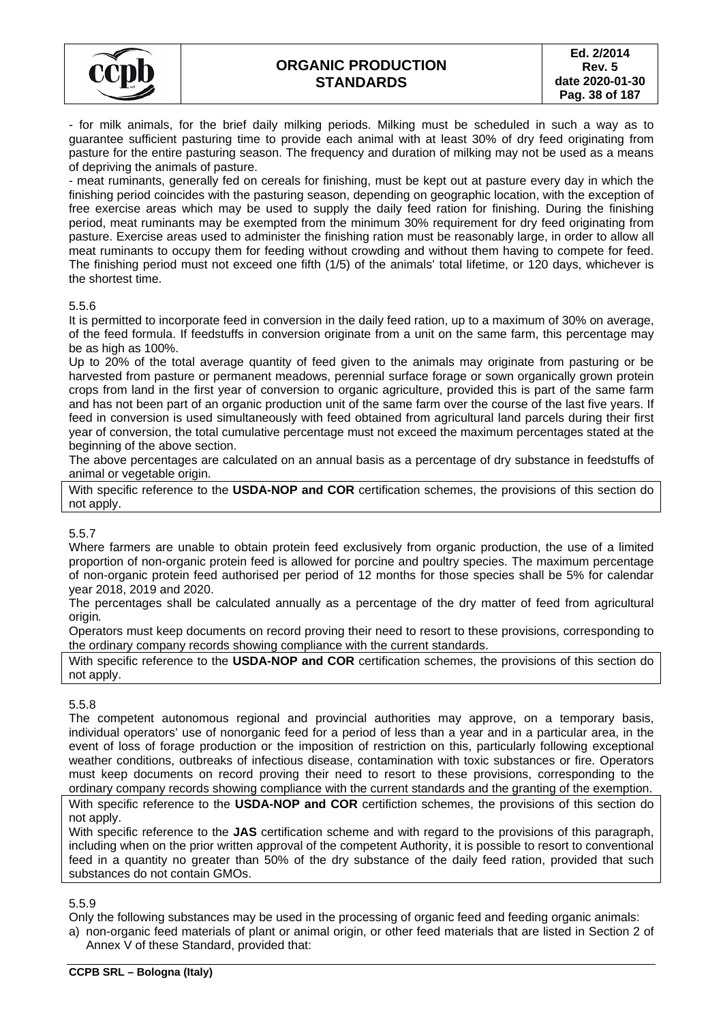

- for milk animals, for the brief daily milking periods. Milking must be scheduled in such a way as to guarantee sufficient pasturing time to provide each animal with at least 30% of dry feed originating from pasture for the entire pasturing season. The frequency and duration of milking may not be used as a means of depriving the animals of pasture.

- meat ruminants, generally fed on cereals for finishing, must be kept out at pasture every day in which the finishing period coincides with the pasturing season, depending on geographic location, with the exception of free exercise areas which may be used to supply the daily feed ration for finishing. During the finishing period, meat ruminants may be exempted from the minimum 30% requirement for dry feed originating from pasture. Exercise areas used to administer the finishing ration must be reasonably large, in order to allow all meat ruminants to occupy them for feeding without crowding and without them having to compete for feed. The finishing period must not exceed one fifth (1/5) of the animals' total lifetime, or 120 days, whichever is the shortest time.

## 5.5.6

It is permitted to incorporate feed in conversion in the daily feed ration, up to a maximum of 30% on average, of the feed formula. If feedstuffs in conversion originate from a unit on the same farm, this percentage may be as high as 100%.

Up to 20% of the total average quantity of feed given to the animals may originate from pasturing or be harvested from pasture or permanent meadows, perennial surface forage or sown organically grown protein crops from land in the first year of conversion to organic agriculture, provided this is part of the same farm and has not been part of an organic production unit of the same farm over the course of the last five years. If feed in conversion is used simultaneously with feed obtained from agricultural land parcels during their first year of conversion, the total cumulative percentage must not exceed the maximum percentages stated at the beginning of the above section.

The above percentages are calculated on an annual basis as a percentage of dry substance in feedstuffs of animal or vegetable origin.

With specific reference to the **USDA-NOP and COR** certification schemes, the provisions of this section do not apply.

#### 5.5.7

Where farmers are unable to obtain protein feed exclusively from organic production, the use of a limited proportion of non-organic protein feed is allowed for porcine and poultry species. The maximum percentage of non-organic protein feed authorised per period of 12 months for those species shall be 5% for calendar year 2018, 2019 and 2020.

The percentages shall be calculated annually as a percentage of the dry matter of feed from agricultural origin*.*

Operators must keep documents on record proving their need to resort to these provisions, corresponding to the ordinary company records showing compliance with the current standards.

With specific reference to the **USDA-NOP and COR** certification schemes, the provisions of this section do not apply.

#### 5.5.8

The competent autonomous regional and provincial authorities may approve, on a temporary basis, individual operators' use of nonorganic feed for a period of less than a year and in a particular area, in the event of loss of forage production or the imposition of restriction on this, particularly following exceptional weather conditions, outbreaks of infectious disease, contamination with toxic substances or fire. Operators must keep documents on record proving their need to resort to these provisions, corresponding to the ordinary company records showing compliance with the current standards and the granting of the exemption.

With specific reference to the **USDA-NOP and COR** certifiction schemes, the provisions of this section do not apply.

With specific reference to the **JAS** certification scheme and with regard to the provisions of this paragraph, including when on the prior written approval of the competent Authority, it is possible to resort to conventional feed in a quantity no greater than 50% of the dry substance of the daily feed ration, provided that such substances do not contain GMOs.

#### 5.5.9

Only the following substances may be used in the processing of organic feed and feeding organic animals: a) non-organic feed materials of plant or animal origin, or other feed materials that are listed in Section 2 of Annex V of these Standard, provided that: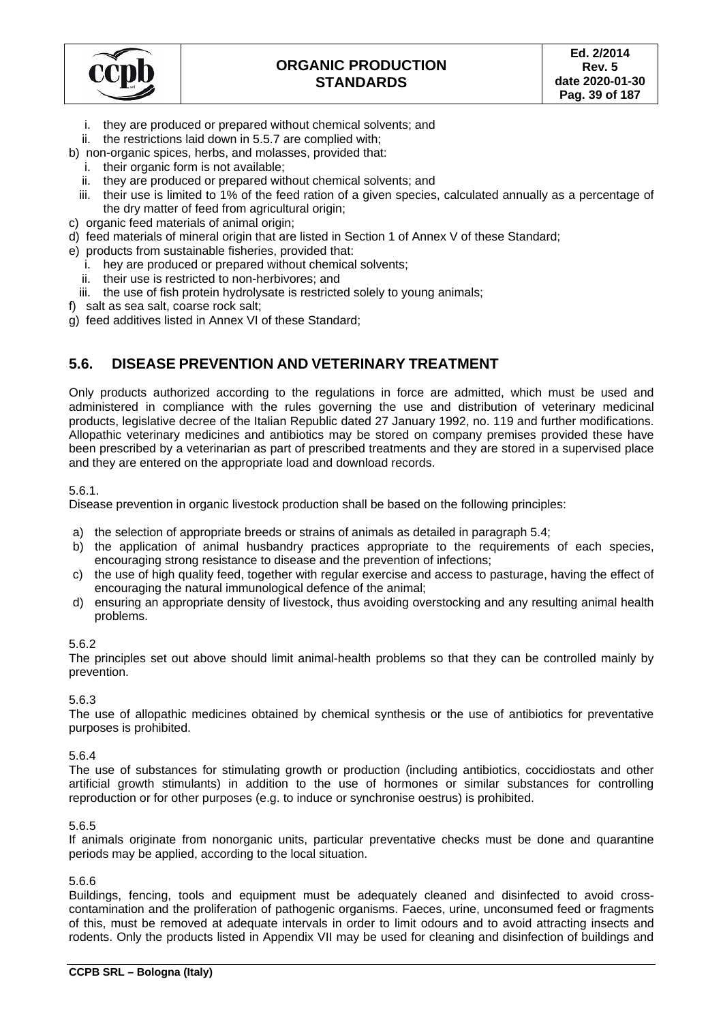

# **ORGANIC PRODUCTION STANDARDS**

- i. they are produced or prepared without chemical solvents; and
- ii. the restrictions laid down in 5.5.7 are complied with;

b) non-organic spices, herbs, and molasses, provided that:

- i. their organic form is not available;
- ii. they are produced or prepared without chemical solvents; and
- iii. their use is limited to 1% of the feed ration of a given species, calculated annually as a percentage of the dry matter of feed from agricultural origin;
- c) organic feed materials of animal origin;
- d) feed materials of mineral origin that are listed in Section 1 of Annex V of these Standard;
- e) products from sustainable fisheries, provided that:
	- i. hey are produced or prepared without chemical solvents;
	- ii. their use is restricted to non-herbivores; and
	- iii. the use of fish protein hydrolysate is restricted solely to young animals;
- f) salt as sea salt, coarse rock salt;
- g) feed additives listed in Annex VI of these Standard;

# **5.6. DISEASE PREVENTION AND VETERINARY TREATMENT**

Only products authorized according to the regulations in force are admitted, which must be used and administered in compliance with the rules governing the use and distribution of veterinary medicinal products, legislative decree of the Italian Republic dated 27 January 1992, no. 119 and further modifications. Allopathic veterinary medicines and antibiotics may be stored on company premises provided these have been prescribed by a veterinarian as part of prescribed treatments and they are stored in a supervised place and they are entered on the appropriate load and download records.

# 5.6.1.

Disease prevention in organic livestock production shall be based on the following principles:

- a) the selection of appropriate breeds or strains of animals as detailed in paragraph 5.4;
- b) the application of animal husbandry practices appropriate to the requirements of each species, encouraging strong resistance to disease and the prevention of infections;
- c) the use of high quality feed, together with regular exercise and access to pasturage, having the effect of encouraging the natural immunological defence of the animal;
- d) ensuring an appropriate density of livestock, thus avoiding overstocking and any resulting animal health problems.

# 5.6.2

The principles set out above should limit animal-health problems so that they can be controlled mainly by prevention.

# 5.6.3

The use of allopathic medicines obtained by chemical synthesis or the use of antibiotics for preventative purposes is prohibited.

# 5.6.4

The use of substances for stimulating growth or production (including antibiotics, coccidiostats and other artificial growth stimulants) in addition to the use of hormones or similar substances for controlling reproduction or for other purposes (e.g. to induce or synchronise oestrus) is prohibited.

# 5.6.5

If animals originate from nonorganic units, particular preventative checks must be done and quarantine periods may be applied, according to the local situation.

# 5.6.6

Buildings, fencing, tools and equipment must be adequately cleaned and disinfected to avoid crosscontamination and the proliferation of pathogenic organisms. Faeces, urine, unconsumed feed or fragments of this, must be removed at adequate intervals in order to limit odours and to avoid attracting insects and rodents. Only the products listed in Appendix VII may be used for cleaning and disinfection of buildings and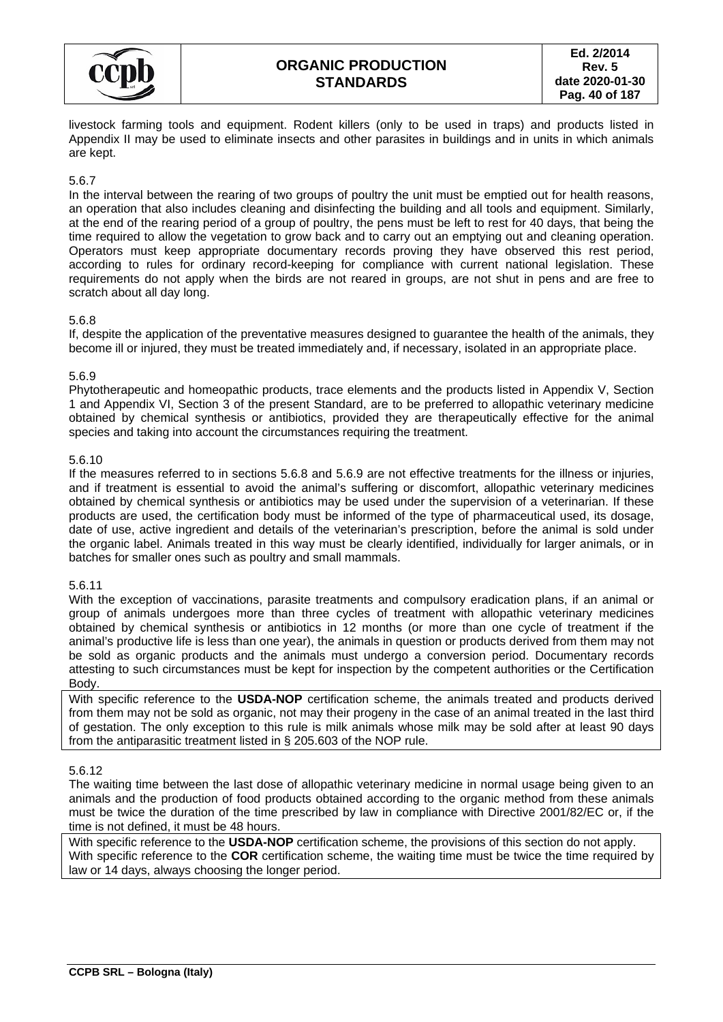

livestock farming tools and equipment. Rodent killers (only to be used in traps) and products listed in Appendix II may be used to eliminate insects and other parasites in buildings and in units in which animals are kept.

## 5.6.7

In the interval between the rearing of two groups of poultry the unit must be emptied out for health reasons, an operation that also includes cleaning and disinfecting the building and all tools and equipment. Similarly, at the end of the rearing period of a group of poultry, the pens must be left to rest for 40 days, that being the time required to allow the vegetation to grow back and to carry out an emptying out and cleaning operation. Operators must keep appropriate documentary records proving they have observed this rest period, according to rules for ordinary record-keeping for compliance with current national legislation. These requirements do not apply when the birds are not reared in groups, are not shut in pens and are free to scratch about all day long.

#### 5.6.8

If, despite the application of the preventative measures designed to guarantee the health of the animals, they become ill or injured, they must be treated immediately and, if necessary, isolated in an appropriate place.

## 5.6.9

Phytotherapeutic and homeopathic products, trace elements and the products listed in Appendix V, Section 1 and Appendix VI, Section 3 of the present Standard, are to be preferred to allopathic veterinary medicine obtained by chemical synthesis or antibiotics, provided they are therapeutically effective for the animal species and taking into account the circumstances requiring the treatment.

#### 5.6.10

If the measures referred to in sections 5.6.8 and 5.6.9 are not effective treatments for the illness or injuries, and if treatment is essential to avoid the animal's suffering or discomfort, allopathic veterinary medicines obtained by chemical synthesis or antibiotics may be used under the supervision of a veterinarian. If these products are used, the certification body must be informed of the type of pharmaceutical used, its dosage, date of use, active ingredient and details of the veterinarian's prescription, before the animal is sold under the organic label. Animals treated in this way must be clearly identified, individually for larger animals, or in batches for smaller ones such as poultry and small mammals.

#### 5.6.11

With the exception of vaccinations, parasite treatments and compulsory eradication plans, if an animal or group of animals undergoes more than three cycles of treatment with allopathic veterinary medicines obtained by chemical synthesis or antibiotics in 12 months (or more than one cycle of treatment if the animal's productive life is less than one year), the animals in question or products derived from them may not be sold as organic products and the animals must undergo a conversion period. Documentary records attesting to such circumstances must be kept for inspection by the competent authorities or the Certification Body.

With specific reference to the **USDA-NOP** certification scheme, the animals treated and products derived from them may not be sold as organic, not may their progeny in the case of an animal treated in the last third of gestation. The only exception to this rule is milk animals whose milk may be sold after at least 90 days from the antiparasitic treatment listed in § 205.603 of the NOP rule.

#### 5.6.12

The waiting time between the last dose of allopathic veterinary medicine in normal usage being given to an animals and the production of food products obtained according to the organic method from these animals must be twice the duration of the time prescribed by law in compliance with Directive 2001/82/EC or, if the time is not defined, it must be 48 hours.

With specific reference to the **USDA-NOP** certification scheme, the provisions of this section do not apply. With specific reference to the **COR** certification scheme, the waiting time must be twice the time required by law or 14 days, always choosing the longer period.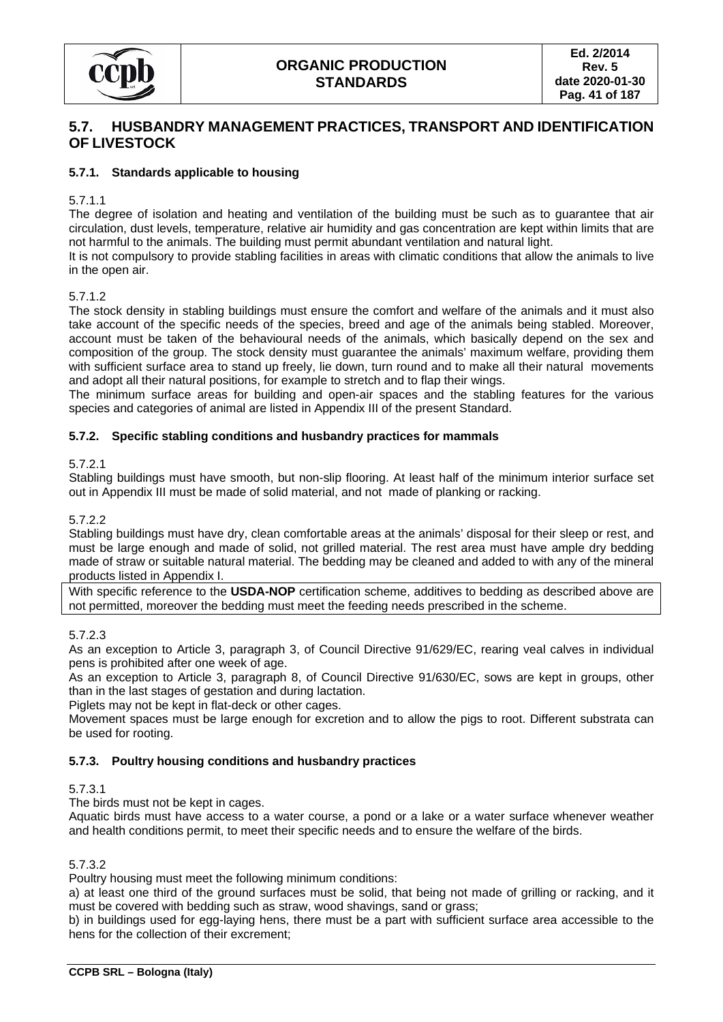

# **5.7. HUSBANDRY MANAGEMENT PRACTICES, TRANSPORT AND IDENTIFICATION OF LIVESTOCK**

# **5.7.1. Standards applicable to housing**

## 5.7.1.1

The degree of isolation and heating and ventilation of the building must be such as to guarantee that air circulation, dust levels, temperature, relative air humidity and gas concentration are kept within limits that are not harmful to the animals. The building must permit abundant ventilation and natural light.

It is not compulsory to provide stabling facilities in areas with climatic conditions that allow the animals to live in the open air.

## 5.7.1.2

The stock density in stabling buildings must ensure the comfort and welfare of the animals and it must also take account of the specific needs of the species, breed and age of the animals being stabled. Moreover, account must be taken of the behavioural needs of the animals, which basically depend on the sex and composition of the group. The stock density must guarantee the animals' maximum welfare, providing them with sufficient surface area to stand up freely, lie down, turn round and to make all their natural movements and adopt all their natural positions, for example to stretch and to flap their wings.

The minimum surface areas for building and open-air spaces and the stabling features for the various species and categories of animal are listed in Appendix III of the present Standard.

## **5.7.2. Specific stabling conditions and husbandry practices for mammals**

#### 5.7.2.1

Stabling buildings must have smooth, but non-slip flooring. At least half of the minimum interior surface set out in Appendix III must be made of solid material, and not made of planking or racking.

#### 5.7.2.2

Stabling buildings must have dry, clean comfortable areas at the animals' disposal for their sleep or rest, and must be large enough and made of solid, not grilled material. The rest area must have ample dry bedding made of straw or suitable natural material. The bedding may be cleaned and added to with any of the mineral products listed in Appendix I.

With specific reference to the **USDA-NOP** certification scheme, additives to bedding as described above are not permitted, moreover the bedding must meet the feeding needs prescribed in the scheme.

#### 5.7.2.3

As an exception to Article 3, paragraph 3, of Council Directive 91/629/EC, rearing veal calves in individual pens is prohibited after one week of age.

As an exception to Article 3, paragraph 8, of Council Directive 91/630/EC, sows are kept in groups, other than in the last stages of gestation and during lactation.

Piglets may not be kept in flat-deck or other cages.

Movement spaces must be large enough for excretion and to allow the pigs to root. Different substrata can be used for rooting.

# **5.7.3. Poultry housing conditions and husbandry practices**

#### 5.7.3.1

The birds must not be kept in cages.

Aquatic birds must have access to a water course, a pond or a lake or a water surface whenever weather and health conditions permit, to meet their specific needs and to ensure the welfare of the birds.

#### 5.7.3.2

Poultry housing must meet the following minimum conditions:

a) at least one third of the ground surfaces must be solid, that being not made of grilling or racking, and it must be covered with bedding such as straw, wood shavings, sand or grass;

b) in buildings used for egg-laying hens, there must be a part with sufficient surface area accessible to the hens for the collection of their excrement;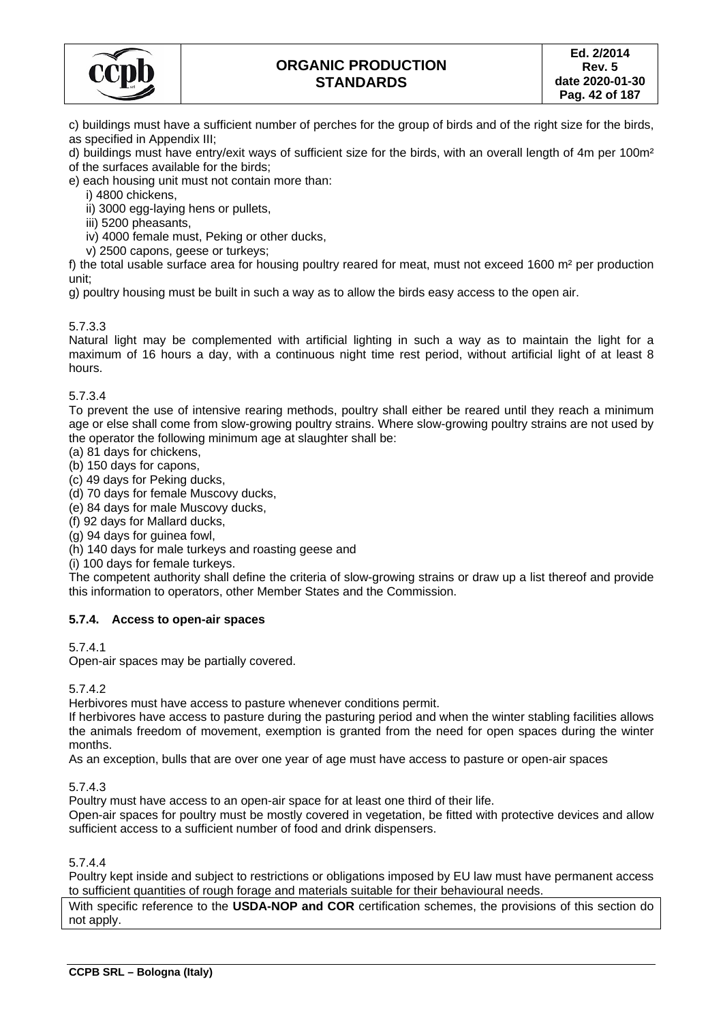

c) buildings must have a sufficient number of perches for the group of birds and of the right size for the birds, as specified in Appendix III;

d) buildings must have entry/exit ways of sufficient size for the birds, with an overall length of 4m per 100m² of the surfaces available for the birds;

e) each housing unit must not contain more than:

i) 4800 chickens,

ii) 3000 egg-laying hens or pullets,

iii) 5200 pheasants,

iv) 4000 female must, Peking or other ducks,

v) 2500 capons, geese or turkeys;

f) the total usable surface area for housing poultry reared for meat, must not exceed 1600 m<sup>2</sup> per production unit;

g) poultry housing must be built in such a way as to allow the birds easy access to the open air.

## 5.7.3.3

Natural light may be complemented with artificial lighting in such a way as to maintain the light for a maximum of 16 hours a day, with a continuous night time rest period, without artificial light of at least 8 hours.

#### 5.7.3.4

To prevent the use of intensive rearing methods, poultry shall either be reared until they reach a minimum age or else shall come from slow-growing poultry strains. Where slow-growing poultry strains are not used by the operator the following minimum age at slaughter shall be:

(a) 81 days for chickens,

(b) 150 days for capons,

(c) 49 days for Peking ducks,

(d) 70 days for female Muscovy ducks,

(e) 84 days for male Muscovy ducks,

(f) 92 days for Mallard ducks,

(g) 94 days for guinea fowl,

(h) 140 days for male turkeys and roasting geese and

(i) 100 days for female turkeys.

The competent authority shall define the criteria of slow-growing strains or draw up a list thereof and provide this information to operators, other Member States and the Commission.

# **5.7.4. Access to open-air spaces**

#### 5.7.4.1

Open-air spaces may be partially covered.

#### 5.7.4.2

Herbivores must have access to pasture whenever conditions permit.

If herbivores have access to pasture during the pasturing period and when the winter stabling facilities allows the animals freedom of movement, exemption is granted from the need for open spaces during the winter months.

As an exception, bulls that are over one year of age must have access to pasture or open-air spaces

#### 5.7.4.3

Poultry must have access to an open-air space for at least one third of their life.

Open-air spaces for poultry must be mostly covered in vegetation, be fitted with protective devices and allow sufficient access to a sufficient number of food and drink dispensers.

#### 5.7.4.4

Poultry kept inside and subject to restrictions or obligations imposed by EU law must have permanent access to sufficient quantities of rough forage and materials suitable for their behavioural needs.

With specific reference to the **USDA-NOP and COR** certification schemes, the provisions of this section do not apply.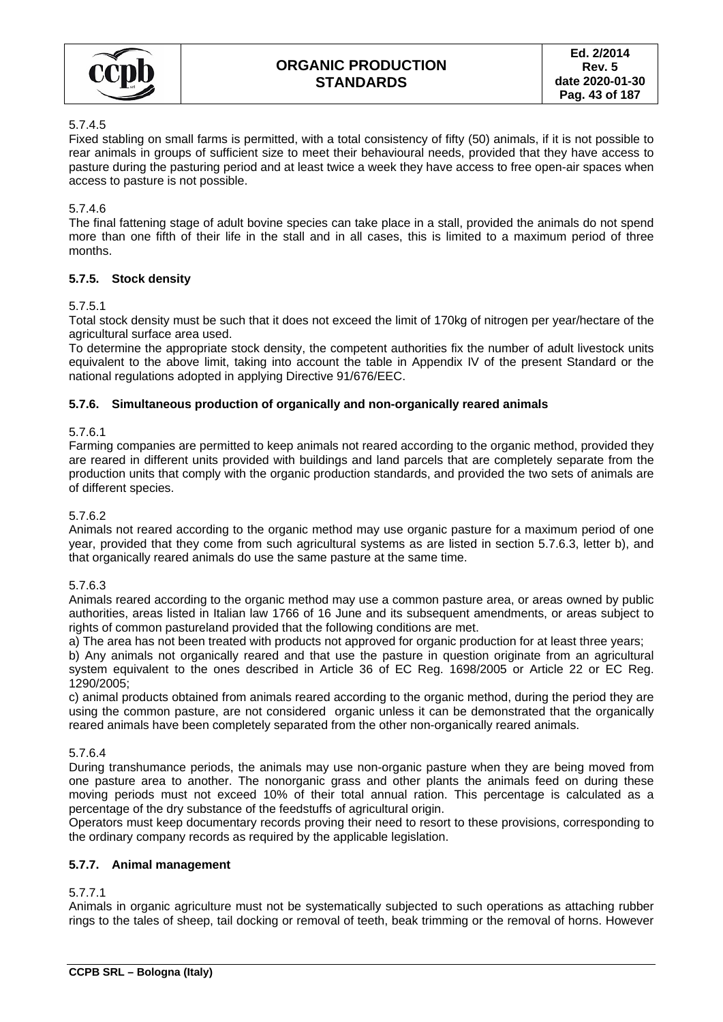

# 5.7.4.5

Fixed stabling on small farms is permitted, with a total consistency of fifty (50) animals, if it is not possible to rear animals in groups of sufficient size to meet their behavioural needs, provided that they have access to pasture during the pasturing period and at least twice a week they have access to free open-air spaces when access to pasture is not possible.

# 5.7.4.6

The final fattening stage of adult bovine species can take place in a stall, provided the animals do not spend more than one fifth of their life in the stall and in all cases, this is limited to a maximum period of three months.

# **5.7.5. Stock density**

# 5.7.5.1

Total stock density must be such that it does not exceed the limit of 170kg of nitrogen per year/hectare of the agricultural surface area used.

To determine the appropriate stock density, the competent authorities fix the number of adult livestock units equivalent to the above limit, taking into account the table in Appendix IV of the present Standard or the national regulations adopted in applying Directive 91/676/EEC.

# **5.7.6. Simultaneous production of organically and non-organically reared animals**

# 5.7.6.1

Farming companies are permitted to keep animals not reared according to the organic method, provided they are reared in different units provided with buildings and land parcels that are completely separate from the production units that comply with the organic production standards, and provided the two sets of animals are of different species.

# 5.7.6.2

Animals not reared according to the organic method may use organic pasture for a maximum period of one year, provided that they come from such agricultural systems as are listed in section 5.7.6.3, letter b), and that organically reared animals do use the same pasture at the same time.

# 5.7.6.3

Animals reared according to the organic method may use a common pasture area, or areas owned by public authorities, areas listed in Italian law 1766 of 16 June and its subsequent amendments, or areas subject to rights of common pastureland provided that the following conditions are met.

a) The area has not been treated with products not approved for organic production for at least three years;

b) Any animals not organically reared and that use the pasture in question originate from an agricultural system equivalent to the ones described in Article 36 of EC Reg. 1698/2005 or Article 22 or EC Reg. 1290/2005;

c) animal products obtained from animals reared according to the organic method, during the period they are using the common pasture, are not considered organic unless it can be demonstrated that the organically reared animals have been completely separated from the other non-organically reared animals.

# 5.7.6.4

During transhumance periods, the animals may use non-organic pasture when they are being moved from one pasture area to another. The nonorganic grass and other plants the animals feed on during these moving periods must not exceed 10% of their total annual ration. This percentage is calculated as a percentage of the dry substance of the feedstuffs of agricultural origin.

Operators must keep documentary records proving their need to resort to these provisions, corresponding to the ordinary company records as required by the applicable legislation.

# **5.7.7. Animal management**

# 5.7.7.1

Animals in organic agriculture must not be systematically subjected to such operations as attaching rubber rings to the tales of sheep, tail docking or removal of teeth, beak trimming or the removal of horns. However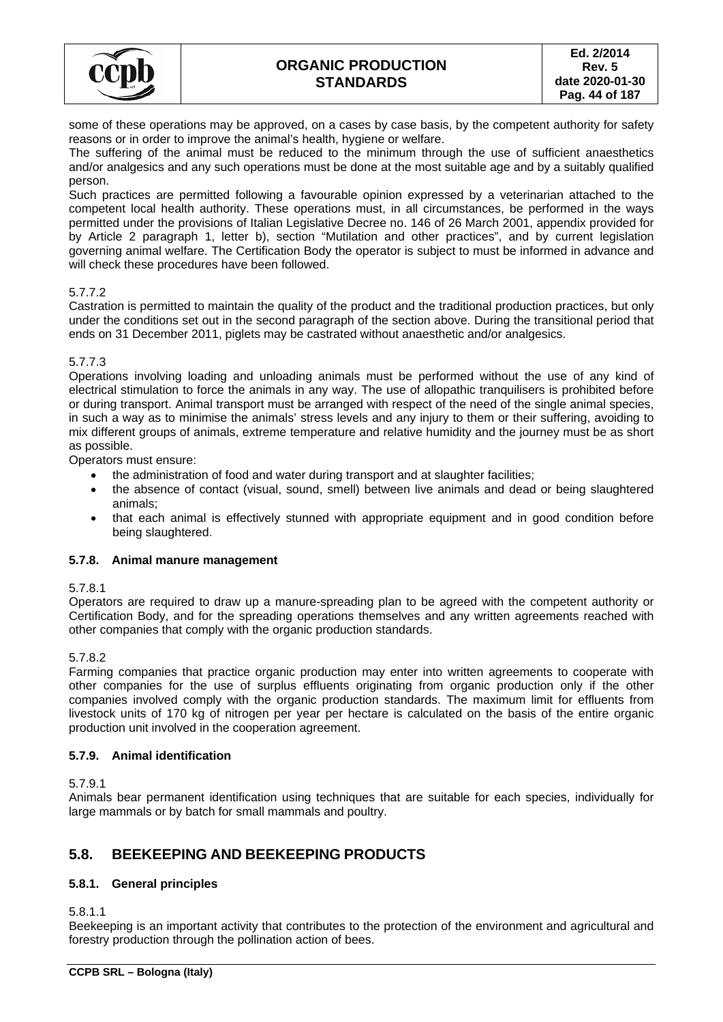

some of these operations may be approved, on a cases by case basis, by the competent authority for safety reasons or in order to improve the animal's health, hygiene or welfare.

The suffering of the animal must be reduced to the minimum through the use of sufficient anaesthetics and/or analgesics and any such operations must be done at the most suitable age and by a suitably qualified person.

Such practices are permitted following a favourable opinion expressed by a veterinarian attached to the competent local health authority. These operations must, in all circumstances, be performed in the ways permitted under the provisions of Italian Legislative Decree no. 146 of 26 March 2001, appendix provided for by Article 2 paragraph 1, letter b), section "Mutilation and other practices", and by current legislation governing animal welfare. The Certification Body the operator is subject to must be informed in advance and will check these procedures have been followed.

# 5.7.7.2

Castration is permitted to maintain the quality of the product and the traditional production practices, but only under the conditions set out in the second paragraph of the section above. During the transitional period that ends on 31 December 2011, piglets may be castrated without anaesthetic and/or analgesics.

# 5.7.7.3

Operations involving loading and unloading animals must be performed without the use of any kind of electrical stimulation to force the animals in any way. The use of allopathic tranquilisers is prohibited before or during transport. Animal transport must be arranged with respect of the need of the single animal species, in such a way as to minimise the animals' stress levels and any injury to them or their suffering, avoiding to mix different groups of animals, extreme temperature and relative humidity and the journey must be as short as possible.

Operators must ensure:

- the administration of food and water during transport and at slaughter facilities;
- the absence of contact (visual, sound, smell) between live animals and dead or being slaughtered animals;
- that each animal is effectively stunned with appropriate equipment and in good condition before being slaughtered.

# **5.7.8. Animal manure management**

# 5.7.8.1

Operators are required to draw up a manure-spreading plan to be agreed with the competent authority or Certification Body, and for the spreading operations themselves and any written agreements reached with other companies that comply with the organic production standards.

# 5.7.8.2

Farming companies that practice organic production may enter into written agreements to cooperate with other companies for the use of surplus effluents originating from organic production only if the other companies involved comply with the organic production standards. The maximum limit for effluents from livestock units of 170 kg of nitrogen per year per hectare is calculated on the basis of the entire organic production unit involved in the cooperation agreement.

# **5.7.9. Animal identification**

5.7.9.1

Animals bear permanent identification using techniques that are suitable for each species, individually for large mammals or by batch for small mammals and poultry.

# **5.8. BEEKEEPING AND BEEKEEPING PRODUCTS**

# **5.8.1. General principles**

5.8.1.1

Beekeeping is an important activity that contributes to the protection of the environment and agricultural and forestry production through the pollination action of bees.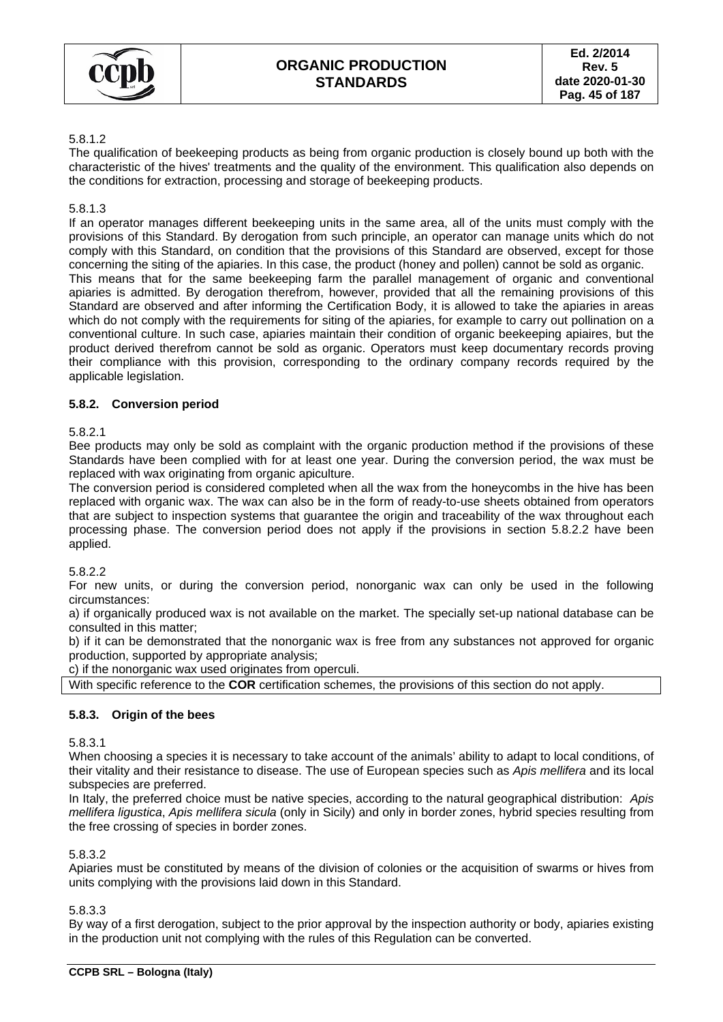

# 5.8.1.2

The qualification of beekeeping products as being from organic production is closely bound up both with the characteristic of the hives' treatments and the quality of the environment. This qualification also depends on the conditions for extraction, processing and storage of beekeeping products.

# 5.8.1.3

If an operator manages different beekeeping units in the same area, all of the units must comply with the provisions of this Standard. By derogation from such principle, an operator can manage units which do not comply with this Standard, on condition that the provisions of this Standard are observed, except for those concerning the siting of the apiaries. In this case, the product (honey and pollen) cannot be sold as organic. This means that for the same beekeeping farm the parallel management of organic and conventional apiaries is admitted. By derogation therefrom, however, provided that all the remaining provisions of this Standard are observed and after informing the Certification Body, it is allowed to take the apiaries in areas which do not comply with the requirements for siting of the apiaries, for example to carry out pollination on a conventional culture. In such case, apiaries maintain their condition of organic beekeeping apiaires, but the product derived therefrom cannot be sold as organic. Operators must keep documentary records proving their compliance with this provision, corresponding to the ordinary company records required by the applicable legislation.

# **5.8.2. Conversion period**

# 5.8.2.1

Bee products may only be sold as complaint with the organic production method if the provisions of these Standards have been complied with for at least one year. During the conversion period, the wax must be replaced with wax originating from organic apiculture.

The conversion period is considered completed when all the wax from the honeycombs in the hive has been replaced with organic wax. The wax can also be in the form of ready-to-use sheets obtained from operators that are subject to inspection systems that guarantee the origin and traceability of the wax throughout each processing phase. The conversion period does not apply if the provisions in section 5.8.2.2 have been applied.

# 5.8.2.2

For new units, or during the conversion period, nonorganic wax can only be used in the following circumstances:

a) if organically produced wax is not available on the market. The specially set-up national database can be consulted in this matter;

b) if it can be demonstrated that the nonorganic wax is free from any substances not approved for organic production, supported by appropriate analysis;

c) if the nonorganic wax used originates from operculi.

With specific reference to the **COR** certification schemes, the provisions of this section do not apply.

# **5.8.3. Origin of the bees**

5.8.3.1

When choosing a species it is necessary to take account of the animals' ability to adapt to local conditions, of their vitality and their resistance to disease. The use of European species such as *Apis mellifera* and its local subspecies are preferred.

In Italy, the preferred choice must be native species, according to the natural geographical distribution: *Apis mellifera ligustica*, *Apis mellifera sicula* (only in Sicily) and only in border zones, hybrid species resulting from the free crossing of species in border zones.

# 5.8.3.2

Apiaries must be constituted by means of the division of colonies or the acquisition of swarms or hives from units complying with the provisions laid down in this Standard.

# 5.8.3.3

By way of a first derogation, subject to the prior approval by the inspection authority or body, apiaries existing in the production unit not complying with the rules of this Regulation can be converted.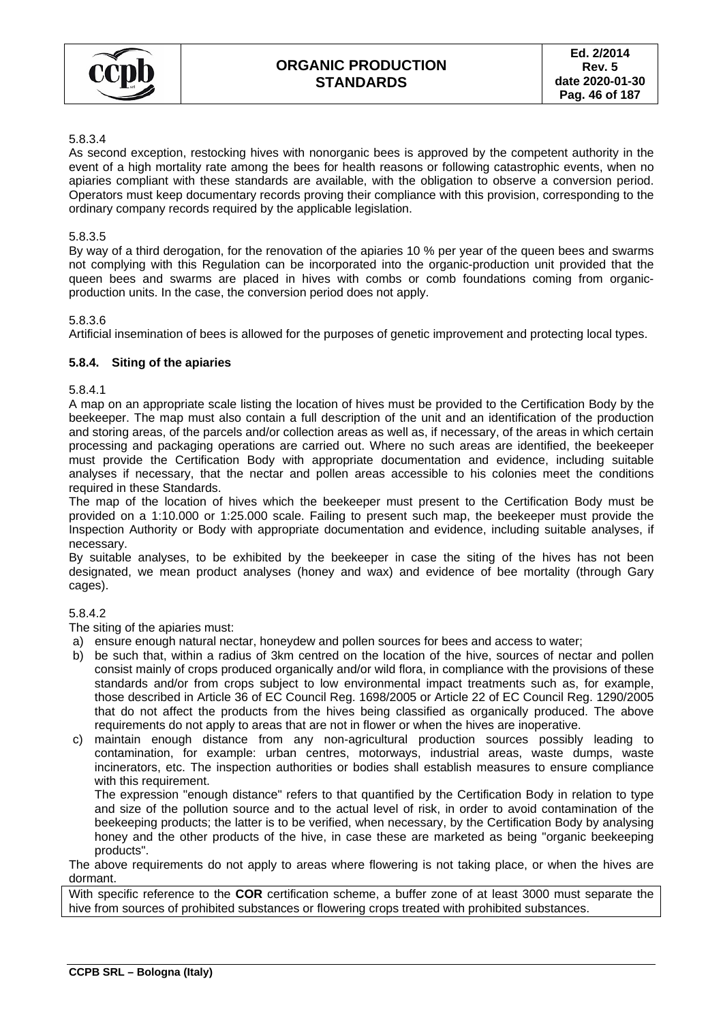

## 5.8.3.4

As second exception, restocking hives with nonorganic bees is approved by the competent authority in the event of a high mortality rate among the bees for health reasons or following catastrophic events, when no apiaries compliant with these standards are available, with the obligation to observe a conversion period. Operators must keep documentary records proving their compliance with this provision, corresponding to the ordinary company records required by the applicable legislation.

#### 5.8.3.5

By way of a third derogation, for the renovation of the apiaries 10 % per year of the queen bees and swarms not complying with this Regulation can be incorporated into the organic-production unit provided that the queen bees and swarms are placed in hives with combs or comb foundations coming from organicproduction units. In the case, the conversion period does not apply.

#### 5.8.3.6

Artificial insemination of bees is allowed for the purposes of genetic improvement and protecting local types.

# **5.8.4. Siting of the apiaries**

5.8.4.1

A map on an appropriate scale listing the location of hives must be provided to the Certification Body by the beekeeper. The map must also contain a full description of the unit and an identification of the production and storing areas, of the parcels and/or collection areas as well as, if necessary, of the areas in which certain processing and packaging operations are carried out. Where no such areas are identified, the beekeeper must provide the Certification Body with appropriate documentation and evidence, including suitable analyses if necessary, that the nectar and pollen areas accessible to his colonies meet the conditions required in these Standards.

The map of the location of hives which the beekeeper must present to the Certification Body must be provided on a 1:10.000 or 1:25.000 scale. Failing to present such map, the beekeeper must provide the Inspection Authority or Body with appropriate documentation and evidence, including suitable analyses, if necessary.

By suitable analyses, to be exhibited by the beekeeper in case the siting of the hives has not been designated, we mean product analyses (honey and wax) and evidence of bee mortality (through Gary cages).

#### 5.8.4.2

The siting of the apiaries must:

- a) ensure enough natural nectar, honeydew and pollen sources for bees and access to water;
- b) be such that, within a radius of 3km centred on the location of the hive, sources of nectar and pollen consist mainly of crops produced organically and/or wild flora, in compliance with the provisions of these standards and/or from crops subject to low environmental impact treatments such as, for example, those described in Article 36 of EC Council Reg. 1698/2005 or Article 22 of EC Council Reg. 1290/2005 that do not affect the products from the hives being classified as organically produced. The above requirements do not apply to areas that are not in flower or when the hives are inoperative.
- c) maintain enough distance from any non-agricultural production sources possibly leading to contamination, for example: urban centres, motorways, industrial areas, waste dumps, waste incinerators, etc. The inspection authorities or bodies shall establish measures to ensure compliance with this requirement.

The expression "enough distance" refers to that quantified by the Certification Body in relation to type and size of the pollution source and to the actual level of risk, in order to avoid contamination of the beekeeping products; the latter is to be verified, when necessary, by the Certification Body by analysing honey and the other products of the hive, in case these are marketed as being "organic beekeeping products".

The above requirements do not apply to areas where flowering is not taking place, or when the hives are dormant.

With specific reference to the **COR** certification scheme, a buffer zone of at least 3000 must separate the hive from sources of prohibited substances or flowering crops treated with prohibited substances.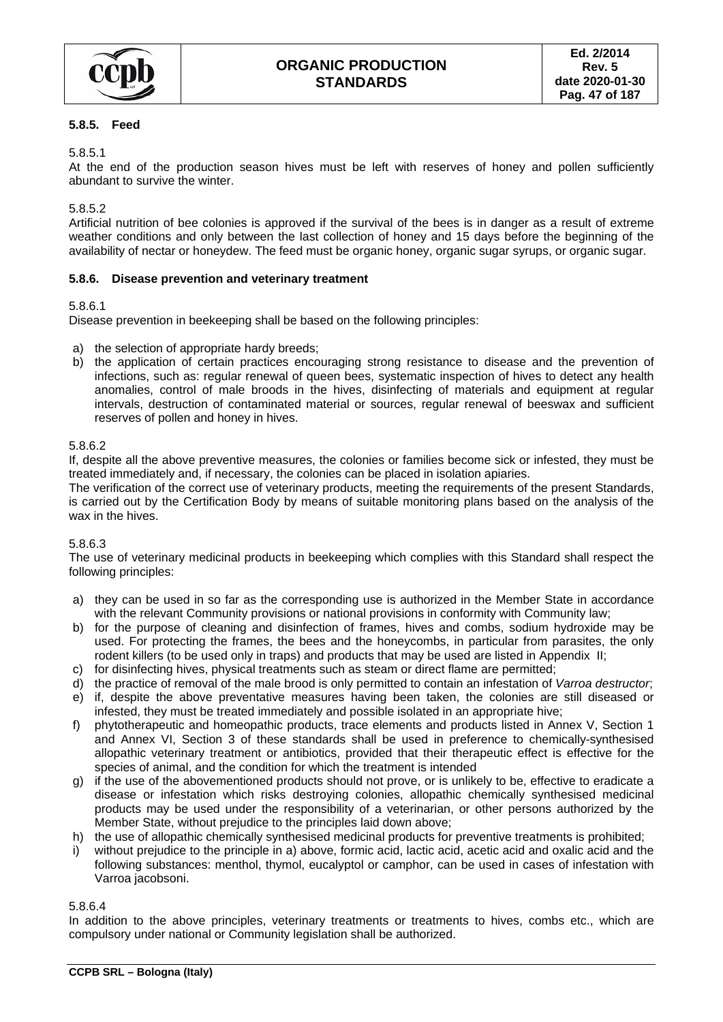

# **5.8.5. Feed**

## 5.8.5.1

At the end of the production season hives must be left with reserves of honey and pollen sufficiently abundant to survive the winter.

## 5.8.5.2

Artificial nutrition of bee colonies is approved if the survival of the bees is in danger as a result of extreme weather conditions and only between the last collection of honey and 15 days before the beginning of the availability of nectar or honeydew. The feed must be organic honey, organic sugar syrups, or organic sugar.

## **5.8.6. Disease prevention and veterinary treatment**

## 5.8.6.1

Disease prevention in beekeeping shall be based on the following principles:

- a) the selection of appropriate hardy breeds;
- b) the application of certain practices encouraging strong resistance to disease and the prevention of infections, such as: regular renewal of queen bees, systematic inspection of hives to detect any health anomalies, control of male broods in the hives, disinfecting of materials and equipment at regular intervals, destruction of contaminated material or sources, regular renewal of beeswax and sufficient reserves of pollen and honey in hives.

## 5.8.6.2

If, despite all the above preventive measures, the colonies or families become sick or infested, they must be treated immediately and, if necessary, the colonies can be placed in isolation apiaries.

The verification of the correct use of veterinary products, meeting the requirements of the present Standards, is carried out by the Certification Body by means of suitable monitoring plans based on the analysis of the wax in the hives.

# 5.8.6.3

The use of veterinary medicinal products in beekeeping which complies with this Standard shall respect the following principles:

- a) they can be used in so far as the corresponding use is authorized in the Member State in accordance with the relevant Community provisions or national provisions in conformity with Community law:
- b) for the purpose of cleaning and disinfection of frames, hives and combs, sodium hydroxide may be used. For protecting the frames, the bees and the honeycombs, in particular from parasites, the only rodent killers (to be used only in traps) and products that may be used are listed in Appendix II;
- c) for disinfecting hives, physical treatments such as steam or direct flame are permitted;
- d) the practice of removal of the male brood is only permitted to contain an infestation of *Varroa destructor*;
- e) if, despite the above preventative measures having been taken, the colonies are still diseased or infested, they must be treated immediately and possible isolated in an appropriate hive;
- f) phytotherapeutic and homeopathic products, trace elements and products listed in Annex V, Section 1 and Annex VI, Section 3 of these standards shall be used in preference to chemically-synthesised allopathic veterinary treatment or antibiotics, provided that their therapeutic effect is effective for the species of animal, and the condition for which the treatment is intended
- g) if the use of the abovementioned products should not prove, or is unlikely to be, effective to eradicate a disease or infestation which risks destroying colonies, allopathic chemically synthesised medicinal products may be used under the responsibility of a veterinarian, or other persons authorized by the Member State, without prejudice to the principles laid down above;
- h) the use of allopathic chemically synthesised medicinal products for preventive treatments is prohibited;
- i) without prejudice to the principle in a) above, formic acid, lactic acid, acetic acid and oxalic acid and the following substances: menthol, thymol, eucalyptol or camphor, can be used in cases of infestation with Varroa jacobsoni.

#### 5.8.6.4

In addition to the above principles, veterinary treatments or treatments to hives, combs etc., which are compulsory under national or Community legislation shall be authorized.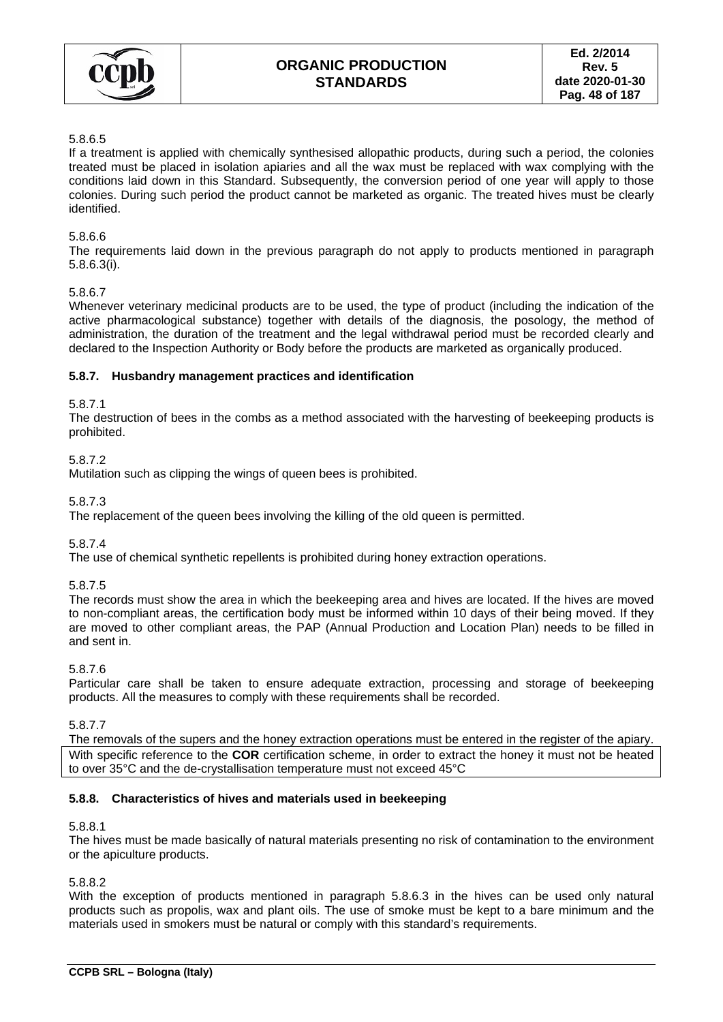

# 5.8.6.5

If a treatment is applied with chemically synthesised allopathic products, during such a period, the colonies treated must be placed in isolation apiaries and all the wax must be replaced with wax complying with the conditions laid down in this Standard. Subsequently, the conversion period of one year will apply to those colonies. During such period the product cannot be marketed as organic. The treated hives must be clearly identified.

## 5.8.6.6

The requirements laid down in the previous paragraph do not apply to products mentioned in paragraph 5.8.6.3(i).

## 5.8.6.7

Whenever veterinary medicinal products are to be used, the type of product (including the indication of the active pharmacological substance) together with details of the diagnosis, the posology, the method of administration, the duration of the treatment and the legal withdrawal period must be recorded clearly and declared to the Inspection Authority or Body before the products are marketed as organically produced.

## **5.8.7. Husbandry management practices and identification**

#### 5.8.7.1

The destruction of bees in the combs as a method associated with the harvesting of beekeeping products is prohibited.

## 5.8.7.2

Mutilation such as clipping the wings of queen bees is prohibited.

5.8.7.3

The replacement of the queen bees involving the killing of the old queen is permitted.

5.8.7.4

The use of chemical synthetic repellents is prohibited during honey extraction operations.

#### 5.8.7.5

The records must show the area in which the beekeeping area and hives are located. If the hives are moved to non-compliant areas, the certification body must be informed within 10 days of their being moved. If they are moved to other compliant areas, the PAP (Annual Production and Location Plan) needs to be filled in and sent in.

#### 5.8.7.6

Particular care shall be taken to ensure adequate extraction, processing and storage of beekeeping products. All the measures to comply with these requirements shall be recorded.

5.8.7.7

The removals of the supers and the honey extraction operations must be entered in the register of the apiary. With specific reference to the **COR** certification scheme, in order to extract the honey it must not be heated to over 35°C and the de-crystallisation temperature must not exceed 45°C

# **5.8.8. Characteristics of hives and materials used in beekeeping**

#### 5.8.8.1

The hives must be made basically of natural materials presenting no risk of contamination to the environment or the apiculture products.

5.8.8.2

With the exception of products mentioned in paragraph 5.8.6.3 in the hives can be used only natural products such as propolis, wax and plant oils. The use of smoke must be kept to a bare minimum and the materials used in smokers must be natural or comply with this standard's requirements.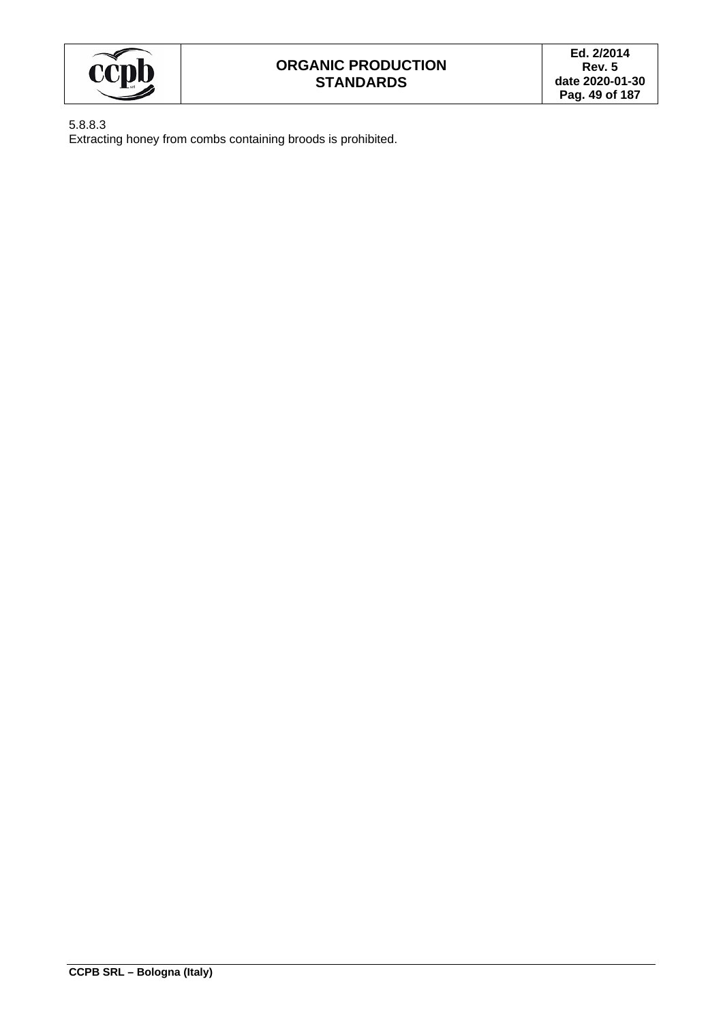

5.8.8.3

Extracting honey from combs containing broods is prohibited.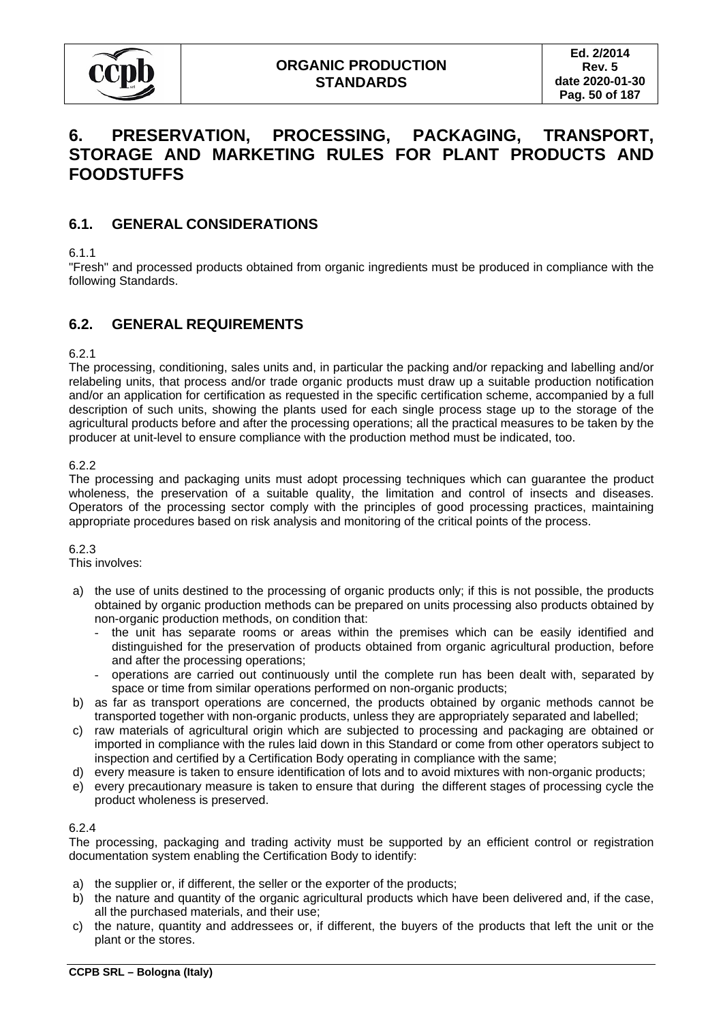

# **6. PRESERVATION, PROCESSING, PACKAGING, TRANSPORT, STORAGE AND MARKETING RULES FOR PLANT PRODUCTS AND FOODSTUFFS**

# **6.1. GENERAL CONSIDERATIONS**

6.1.1

"Fresh" and processed products obtained from organic ingredients must be produced in compliance with the following Standards.

# **6.2. GENERAL REQUIREMENTS**

6.2.1

The processing, conditioning, sales units and, in particular the packing and/or repacking and labelling and/or relabeling units, that process and/or trade organic products must draw up a suitable production notification and/or an application for certification as requested in the specific certification scheme, accompanied by a full description of such units, showing the plants used for each single process stage up to the storage of the agricultural products before and after the processing operations; all the practical measures to be taken by the producer at unit-level to ensure compliance with the production method must be indicated, too.

6.2.2

The processing and packaging units must adopt processing techniques which can guarantee the product wholeness, the preservation of a suitable quality, the limitation and control of insects and diseases. Operators of the processing sector comply with the principles of good processing practices, maintaining appropriate procedures based on risk analysis and monitoring of the critical points of the process.

# 6.2.3

This involves:

- a) the use of units destined to the processing of organic products only; if this is not possible, the products obtained by organic production methods can be prepared on units processing also products obtained by non-organic production methods, on condition that:
	- the unit has separate rooms or areas within the premises which can be easily identified and distinguished for the preservation of products obtained from organic agricultural production, before and after the processing operations;
	- operations are carried out continuously until the complete run has been dealt with, separated by space or time from similar operations performed on non-organic products;
- b) as far as transport operations are concerned, the products obtained by organic methods cannot be transported together with non-organic products, unless they are appropriately separated and labelled;
- c) raw materials of agricultural origin which are subjected to processing and packaging are obtained or imported in compliance with the rules laid down in this Standard or come from other operators subject to inspection and certified by a Certification Body operating in compliance with the same;
- d) every measure is taken to ensure identification of lots and to avoid mixtures with non-organic products;
- e) every precautionary measure is taken to ensure that during the different stages of processing cycle the product wholeness is preserved.

#### 6.2.4

The processing, packaging and trading activity must be supported by an efficient control or registration documentation system enabling the Certification Body to identify:

- a) the supplier or, if different, the seller or the exporter of the products;
- b) the nature and quantity of the organic agricultural products which have been delivered and, if the case, all the purchased materials, and their use;
- c) the nature, quantity and addressees or, if different, the buyers of the products that left the unit or the plant or the stores.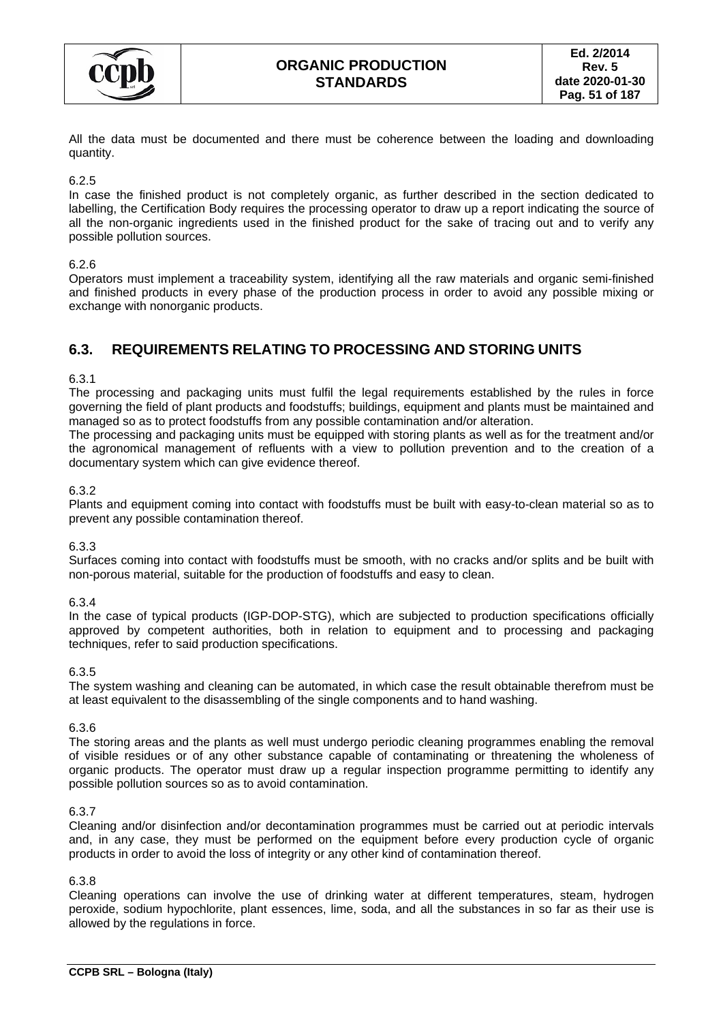

All the data must be documented and there must be coherence between the loading and downloading quantity.

## 6.2.5

In case the finished product is not completely organic, as further described in the section dedicated to labelling, the Certification Body requires the processing operator to draw up a report indicating the source of all the non-organic ingredients used in the finished product for the sake of tracing out and to verify any possible pollution sources.

## 6.2.6

Operators must implement a traceability system, identifying all the raw materials and organic semi-finished and finished products in every phase of the production process in order to avoid any possible mixing or exchange with nonorganic products.

# **6.3. REQUIREMENTS RELATING TO PROCESSING AND STORING UNITS**

## 6.3.1

The processing and packaging units must fulfil the legal requirements established by the rules in force governing the field of plant products and foodstuffs; buildings, equipment and plants must be maintained and managed so as to protect foodstuffs from any possible contamination and/or alteration.

The processing and packaging units must be equipped with storing plants as well as for the treatment and/or the agronomical management of refluents with a view to pollution prevention and to the creation of a documentary system which can give evidence thereof.

## 6.3.2

Plants and equipment coming into contact with foodstuffs must be built with easy-to-clean material so as to prevent any possible contamination thereof.

# 6.3.3

Surfaces coming into contact with foodstuffs must be smooth, with no cracks and/or splits and be built with non-porous material, suitable for the production of foodstuffs and easy to clean.

# 6.3.4

In the case of typical products (IGP-DOP-STG), which are subjected to production specifications officially approved by competent authorities, both in relation to equipment and to processing and packaging techniques, refer to said production specifications.

#### 6.3.5

The system washing and cleaning can be automated, in which case the result obtainable therefrom must be at least equivalent to the disassembling of the single components and to hand washing.

#### 6.3.6

The storing areas and the plants as well must undergo periodic cleaning programmes enabling the removal of visible residues or of any other substance capable of contaminating or threatening the wholeness of organic products. The operator must draw up a regular inspection programme permitting to identify any possible pollution sources so as to avoid contamination.

#### 6.3.7

Cleaning and/or disinfection and/or decontamination programmes must be carried out at periodic intervals and, in any case, they must be performed on the equipment before every production cycle of organic products in order to avoid the loss of integrity or any other kind of contamination thereof.

#### 6.3.8

Cleaning operations can involve the use of drinking water at different temperatures, steam, hydrogen peroxide, sodium hypochlorite, plant essences, lime, soda, and all the substances in so far as their use is allowed by the regulations in force.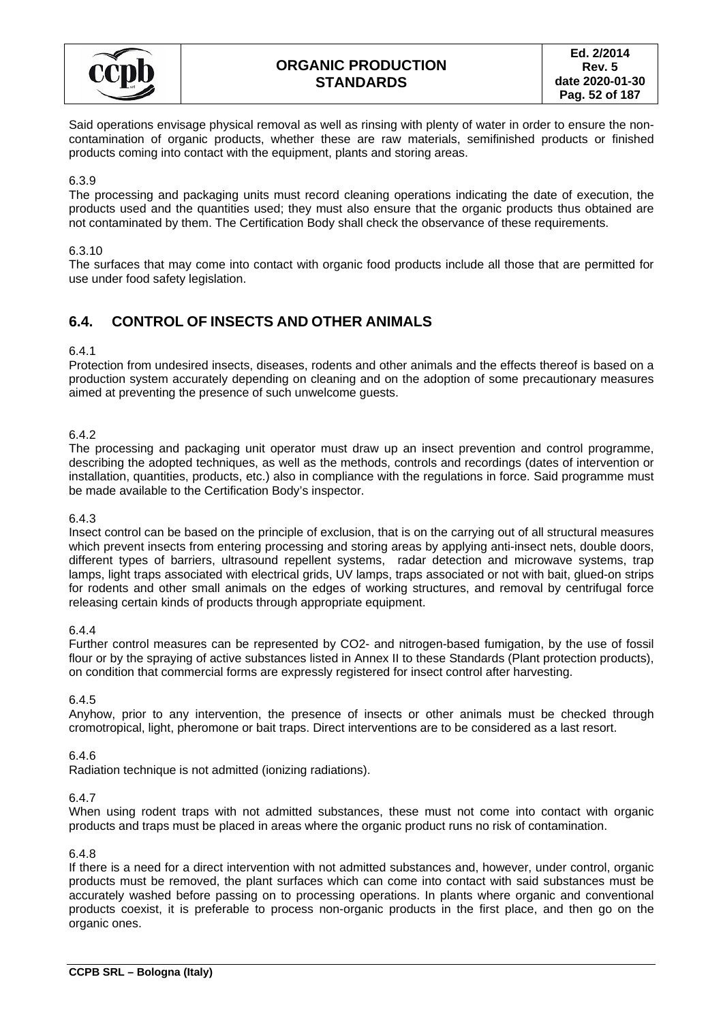

Said operations envisage physical removal as well as rinsing with plenty of water in order to ensure the noncontamination of organic products, whether these are raw materials, semifinished products or finished products coming into contact with the equipment, plants and storing areas.

## 6.3.9

The processing and packaging units must record cleaning operations indicating the date of execution, the products used and the quantities used; they must also ensure that the organic products thus obtained are not contaminated by them. The Certification Body shall check the observance of these requirements.

## 6.3.10

The surfaces that may come into contact with organic food products include all those that are permitted for use under food safety legislation.

# **6.4. CONTROL OF INSECTS AND OTHER ANIMALS**

## 6.4.1

Protection from undesired insects, diseases, rodents and other animals and the effects thereof is based on a production system accurately depending on cleaning and on the adoption of some precautionary measures aimed at preventing the presence of such unwelcome guests.

## 642

The processing and packaging unit operator must draw up an insect prevention and control programme, describing the adopted techniques, as well as the methods, controls and recordings (dates of intervention or installation, quantities, products, etc.) also in compliance with the regulations in force. Said programme must be made available to the Certification Body's inspector.

#### 6.4.3

Insect control can be based on the principle of exclusion, that is on the carrying out of all structural measures which prevent insects from entering processing and storing areas by applying anti-insect nets, double doors, different types of barriers, ultrasound repellent systems, radar detection and microwave systems, trap lamps, light traps associated with electrical grids, UV lamps, traps associated or not with bait, glued-on strips for rodents and other small animals on the edges of working structures, and removal by centrifugal force releasing certain kinds of products through appropriate equipment.

#### 6.4.4

Further control measures can be represented by CO2- and nitrogen-based fumigation, by the use of fossil flour or by the spraying of active substances listed in Annex II to these Standards (Plant protection products), on condition that commercial forms are expressly registered for insect control after harvesting.

#### 6.4.5

Anyhow, prior to any intervention, the presence of insects or other animals must be checked through cromotropical, light, pheromone or bait traps. Direct interventions are to be considered as a last resort.

#### 6.4.6

Radiation technique is not admitted (ionizing radiations).

#### 6.4.7

When using rodent traps with not admitted substances, these must not come into contact with organic products and traps must be placed in areas where the organic product runs no risk of contamination.

#### 6.4.8

If there is a need for a direct intervention with not admitted substances and, however, under control, organic products must be removed, the plant surfaces which can come into contact with said substances must be accurately washed before passing on to processing operations. In plants where organic and conventional products coexist, it is preferable to process non-organic products in the first place, and then go on the organic ones.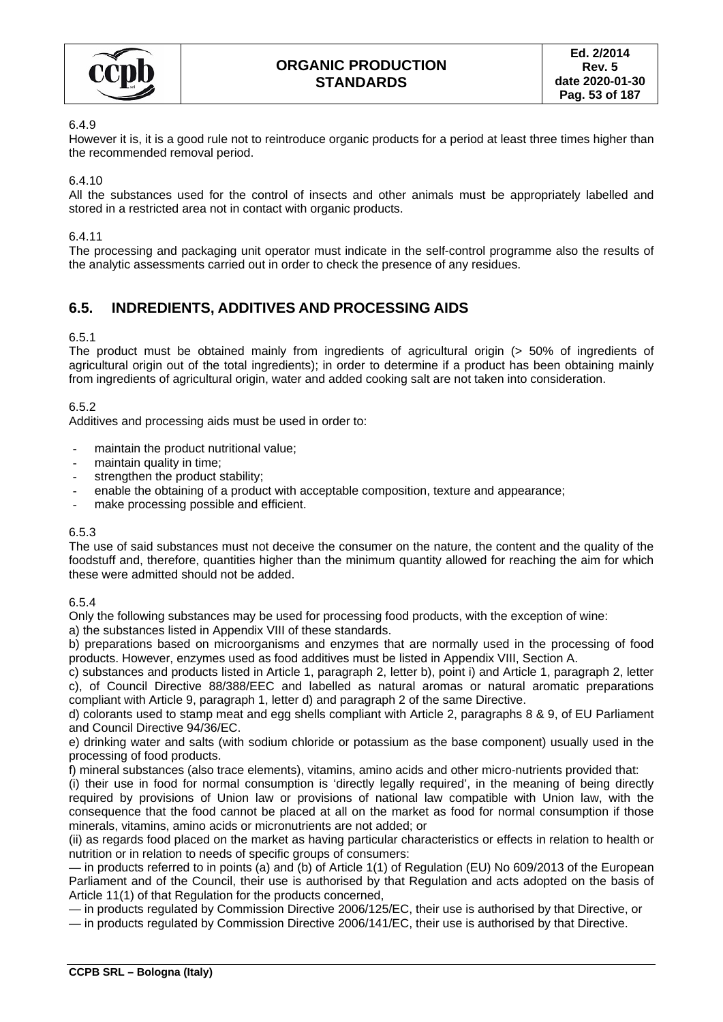

## 6.4.9

However it is, it is a good rule not to reintroduce organic products for a period at least three times higher than the recommended removal period.

## 6.4.10

All the substances used for the control of insects and other animals must be appropriately labelled and stored in a restricted area not in contact with organic products.

### 6.4.11

The processing and packaging unit operator must indicate in the self-control programme also the results of the analytic assessments carried out in order to check the presence of any residues.

# **6.5. INDREDIENTS, ADDITIVES AND PROCESSING AIDS**

## 6.5.1

The product must be obtained mainly from ingredients of agricultural origin (> 50% of ingredients of agricultural origin out of the total ingredients); in order to determine if a product has been obtaining mainly from ingredients of agricultural origin, water and added cooking salt are not taken into consideration.

## 6.5.2

Additives and processing aids must be used in order to:

- maintain the product nutritional value;
- maintain quality in time;
- strengthen the product stability;
- enable the obtaining of a product with acceptable composition, texture and appearance;
- make processing possible and efficient.

#### 6.5.3

The use of said substances must not deceive the consumer on the nature, the content and the quality of the foodstuff and, therefore, quantities higher than the minimum quantity allowed for reaching the aim for which these were admitted should not be added.

#### 6.5.4

Only the following substances may be used for processing food products, with the exception of wine:

a) the substances listed in Appendix VIII of these standards.

b) preparations based on microorganisms and enzymes that are normally used in the processing of food products. However, enzymes used as food additives must be listed in Appendix VIII, Section A.

c) substances and products listed in Article 1, paragraph 2, letter b), point i) and Article 1, paragraph 2, letter c), of Council Directive 88/388/EEC and labelled as natural aromas or natural aromatic preparations compliant with Article 9, paragraph 1, letter d) and paragraph 2 of the same Directive.

d) colorants used to stamp meat and egg shells compliant with Article 2, paragraphs 8 & 9, of EU Parliament and Council Directive 94/36/EC.

e) drinking water and salts (with sodium chloride or potassium as the base component) usually used in the processing of food products.

f) mineral substances (also trace elements), vitamins, amino acids and other micro-nutrients provided that:

(i) their use in food for normal consumption is 'directly legally required', in the meaning of being directly required by provisions of Union law or provisions of national law compatible with Union law, with the consequence that the food cannot be placed at all on the market as food for normal consumption if those minerals, vitamins, amino acids or micronutrients are not added; or

(ii) as regards food placed on the market as having particular characteristics or effects in relation to health or nutrition or in relation to needs of specific groups of consumers:

— in products referred to in points (a) and (b) of Article 1(1) of Regulation (EU) No 609/2013 of the European Parliament and of the Council, their use is authorised by that Regulation and acts adopted on the basis of Article 11(1) of that Regulation for the products concerned,

— in products regulated by Commission Directive 2006/125/EC, their use is authorised by that Directive, or — in products regulated by Commission Directive 2006/141/EC, their use is authorised by that Directive.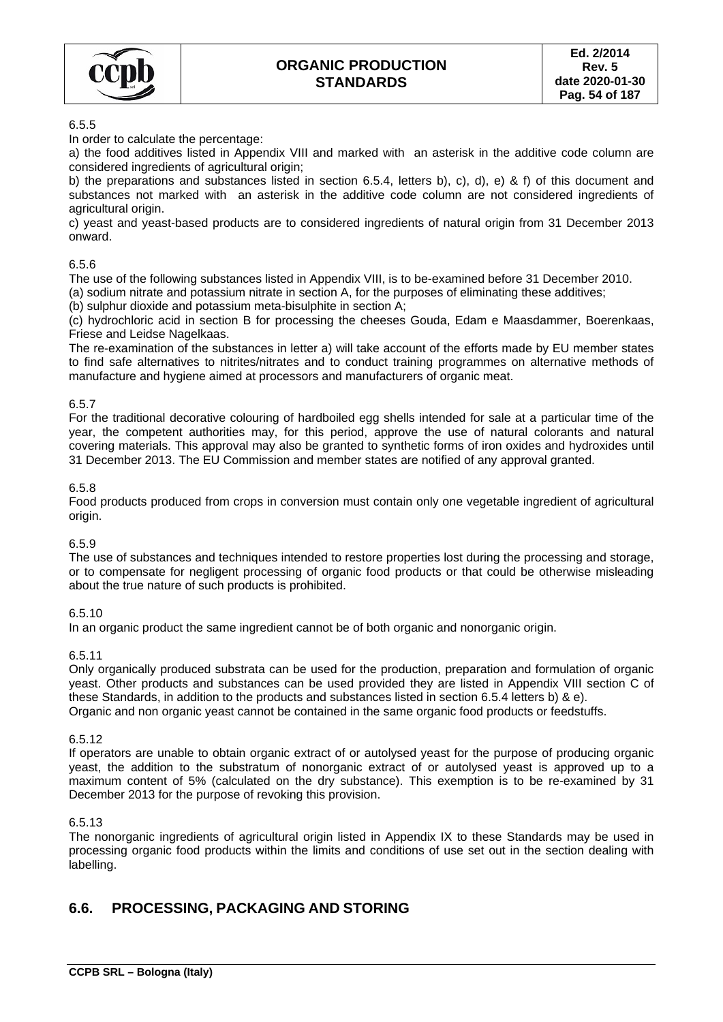

#### 6.5.5

In order to calculate the percentage:

a) the food additives listed in Appendix VIII and marked with an asterisk in the additive code column are considered ingredients of agricultural origin;

b) the preparations and substances listed in section 6.5.4, letters b), c), d), e) & f) of this document and substances not marked with an asterisk in the additive code column are not considered ingredients of agricultural origin.

c) yeast and yeast-based products are to considered ingredients of natural origin from 31 December 2013 onward.

## 6.5.6

The use of the following substances listed in Appendix VIII, is to be-examined before 31 December 2010.

(a) sodium nitrate and potassium nitrate in section A, for the purposes of eliminating these additives;

(b) sulphur dioxide and potassium meta-bisulphite in section A;

(c) hydrochloric acid in section B for processing the cheeses Gouda, Edam e Maasdammer, Boerenkaas, Friese and Leidse Nagelkaas.

The re-examination of the substances in letter a) will take account of the efforts made by EU member states to find safe alternatives to nitrites/nitrates and to conduct training programmes on alternative methods of manufacture and hygiene aimed at processors and manufacturers of organic meat.

## 6.5.7

For the traditional decorative colouring of hardboiled egg shells intended for sale at a particular time of the year, the competent authorities may, for this period, approve the use of natural colorants and natural covering materials. This approval may also be granted to synthetic forms of iron oxides and hydroxides until 31 December 2013. The EU Commission and member states are notified of any approval granted.

#### 6.5.8

Food products produced from crops in conversion must contain only one vegetable ingredient of agricultural origin.

# 6.5.9

The use of substances and techniques intended to restore properties lost during the processing and storage, or to compensate for negligent processing of organic food products or that could be otherwise misleading about the true nature of such products is prohibited.

#### 6.5.10

In an organic product the same ingredient cannot be of both organic and nonorganic origin.

# 6.5.11

Only organically produced substrata can be used for the production, preparation and formulation of organic yeast. Other products and substances can be used provided they are listed in Appendix VIII section C of these Standards, in addition to the products and substances listed in section 6.5.4 letters b) & e). Organic and non organic yeast cannot be contained in the same organic food products or feedstuffs.

#### 6.5.12

If operators are unable to obtain organic extract of or autolysed yeast for the purpose of producing organic yeast, the addition to the substratum of nonorganic extract of or autolysed yeast is approved up to a maximum content of 5% (calculated on the dry substance). This exemption is to be re-examined by 31 December 2013 for the purpose of revoking this provision.

#### 6.5.13

The nonorganic ingredients of agricultural origin listed in Appendix IX to these Standards may be used in processing organic food products within the limits and conditions of use set out in the section dealing with labelling.

# **6.6. PROCESSING, PACKAGING AND STORING**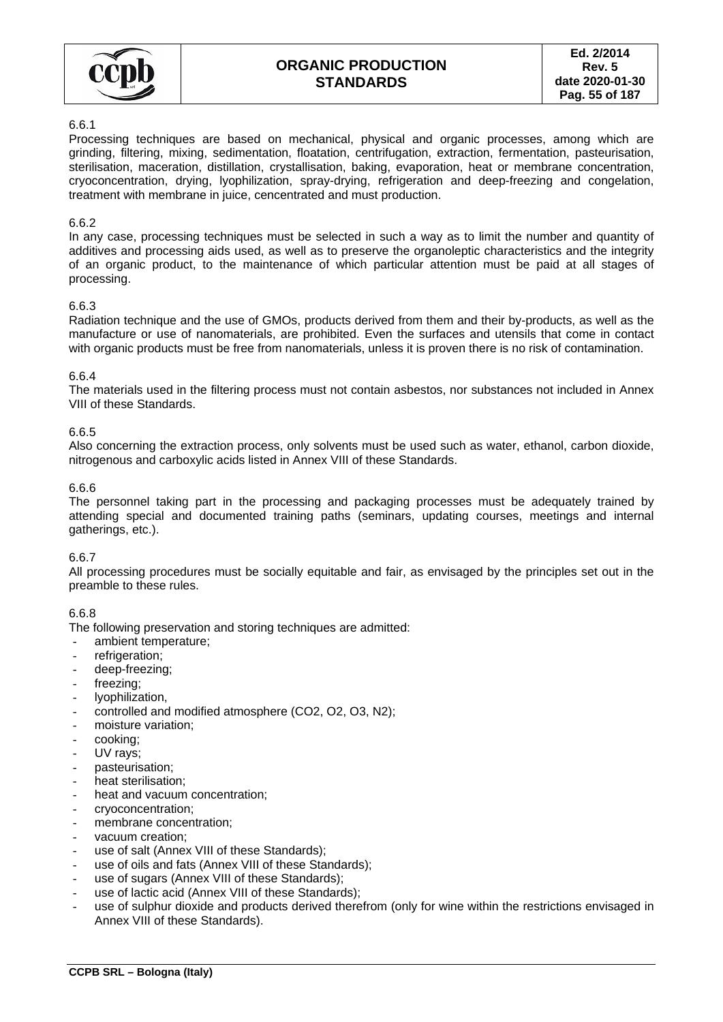

## 6.6.1

Processing techniques are based on mechanical, physical and organic processes, among which are grinding, filtering, mixing, sedimentation, floatation, centrifugation, extraction, fermentation, pasteurisation, sterilisation, maceration, distillation, crystallisation, baking, evaporation, heat or membrane concentration, cryoconcentration, drying, lyophilization, spray-drying, refrigeration and deep-freezing and congelation, treatment with membrane in juice, cencentrated and must production.

#### 6.6.2

In any case, processing techniques must be selected in such a way as to limit the number and quantity of additives and processing aids used, as well as to preserve the organoleptic characteristics and the integrity of an organic product, to the maintenance of which particular attention must be paid at all stages of processing.

## 6.6.3

Radiation technique and the use of GMOs, products derived from them and their by-products, as well as the manufacture or use of nanomaterials, are prohibited. Even the surfaces and utensils that come in contact with organic products must be free from nanomaterials, unless it is proven there is no risk of contamination.

## 6.6.4

The materials used in the filtering process must not contain asbestos, nor substances not included in Annex VIII of these Standards.

## 6.6.5

Also concerning the extraction process, only solvents must be used such as water, ethanol, carbon dioxide, nitrogenous and carboxylic acids listed in Annex VIII of these Standards.

#### 6.6.6

The personnel taking part in the processing and packaging processes must be adequately trained by attending special and documented training paths (seminars, updating courses, meetings and internal gatherings, etc.).

#### 6.6.7

All processing procedures must be socially equitable and fair, as envisaged by the principles set out in the preamble to these rules.

#### 6.6.8

The following preservation and storing techniques are admitted:

- ambient temperature:
- refrigeration;
- deep-freezing;
- freezing;
- lyophilization,
- controlled and modified atmosphere (CO2, O2, O3, N2);
- moisture variation:
- cooking:
- UV rays:
- pasteurisation;
- heat sterilisation;
- heat and vacuum concentration;
- cryoconcentration;
- membrane concentration;
- vacuum creation;
- use of salt (Annex VIII of these Standards);
- use of oils and fats (Annex VIII of these Standards);
- use of sugars (Annex VIII of these Standards);
- use of lactic acid (Annex VIII of these Standards):
- use of sulphur dioxide and products derived therefrom (only for wine within the restrictions envisaged in Annex VIII of these Standards).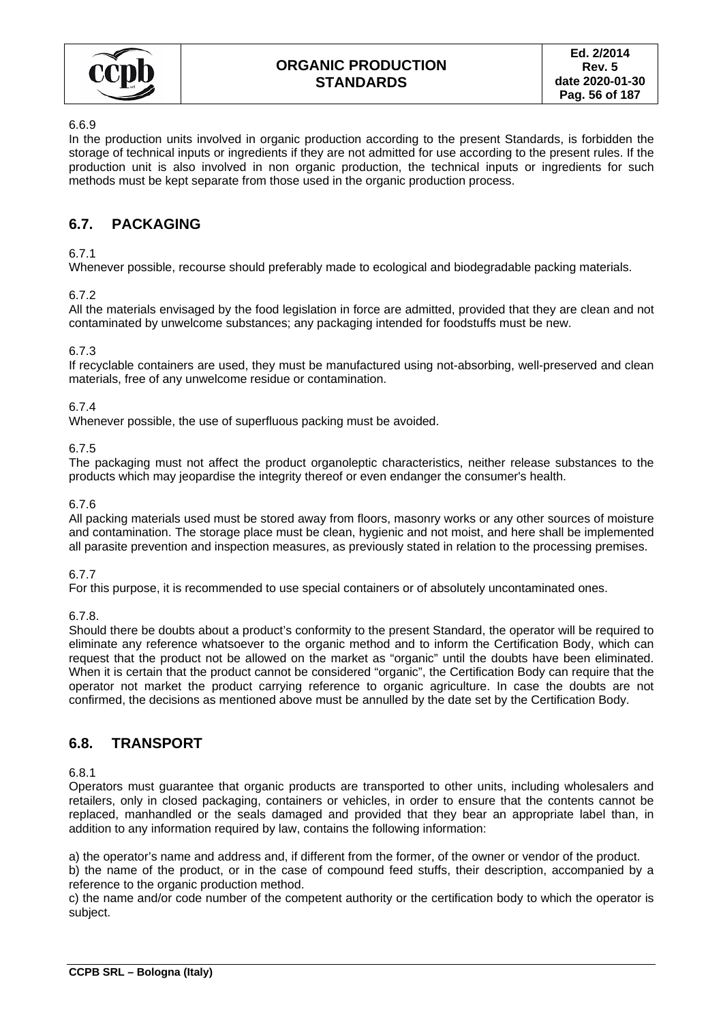

## 6.6.9

In the production units involved in organic production according to the present Standards, is forbidden the storage of technical inputs or ingredients if they are not admitted for use according to the present rules. If the production unit is also involved in non organic production, the technical inputs or ingredients for such methods must be kept separate from those used in the organic production process.

# **6.7. PACKAGING**

## 6.7.1

Whenever possible, recourse should preferably made to ecological and biodegradable packing materials.

#### 6.7.2

All the materials envisaged by the food legislation in force are admitted, provided that they are clean and not contaminated by unwelcome substances; any packaging intended for foodstuffs must be new.

#### 6.7.3

If recyclable containers are used, they must be manufactured using not-absorbing, well-preserved and clean materials, free of any unwelcome residue or contamination.

## 6.7.4

Whenever possible, the use of superfluous packing must be avoided.

## 6.7.5

The packaging must not affect the product organoleptic characteristics, neither release substances to the products which may jeopardise the integrity thereof or even endanger the consumer's health.

#### 6.7.6

All packing materials used must be stored away from floors, masonry works or any other sources of moisture and contamination. The storage place must be clean, hygienic and not moist, and here shall be implemented all parasite prevention and inspection measures, as previously stated in relation to the processing premises.

#### 6.7.7

For this purpose, it is recommended to use special containers or of absolutely uncontaminated ones.

6.7.8.

Should there be doubts about a product's conformity to the present Standard, the operator will be required to eliminate any reference whatsoever to the organic method and to inform the Certification Body, which can request that the product not be allowed on the market as "organic" until the doubts have been eliminated. When it is certain that the product cannot be considered "organic", the Certification Body can require that the operator not market the product carrying reference to organic agriculture. In case the doubts are not confirmed, the decisions as mentioned above must be annulled by the date set by the Certification Body.

# **6.8. TRANSPORT**

6.8.1

Operators must guarantee that organic products are transported to other units, including wholesalers and retailers, only in closed packaging, containers or vehicles, in order to ensure that the contents cannot be replaced, manhandled or the seals damaged and provided that they bear an appropriate label than, in addition to any information required by law, contains the following information:

a) the operator's name and address and, if different from the former, of the owner or vendor of the product.

b) the name of the product, or in the case of compound feed stuffs, their description, accompanied by a reference to the organic production method.

c) the name and/or code number of the competent authority or the certification body to which the operator is subject.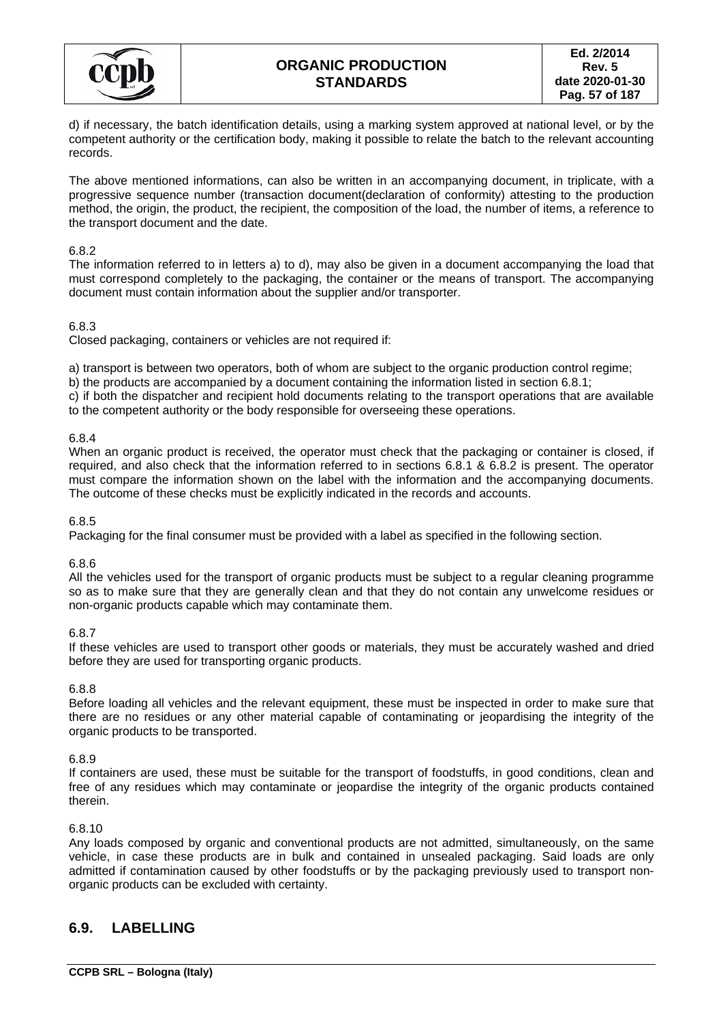

d) if necessary, the batch identification details, using a marking system approved at national level, or by the competent authority or the certification body, making it possible to relate the batch to the relevant accounting records.

The above mentioned informations, can also be written in an accompanying document, in triplicate, with a progressive sequence number (transaction document(declaration of conformity) attesting to the production method, the origin, the product, the recipient, the composition of the load, the number of items, a reference to the transport document and the date.

## 6.8.2

The information referred to in letters a) to d), may also be given in a document accompanying the load that must correspond completely to the packaging, the container or the means of transport. The accompanying document must contain information about the supplier and/or transporter.

# 6.8.3

Closed packaging, containers or vehicles are not required if:

a) transport is between two operators, both of whom are subject to the organic production control regime;

b) the products are accompanied by a document containing the information listed in section 6.8.1;

c) if both the dispatcher and recipient hold documents relating to the transport operations that are available to the competent authority or the body responsible for overseeing these operations.

# 6.8.4

When an organic product is received, the operator must check that the packaging or container is closed, if required, and also check that the information referred to in sections 6.8.1 & 6.8.2 is present. The operator must compare the information shown on the label with the information and the accompanying documents. The outcome of these checks must be explicitly indicated in the records and accounts.

# 6.8.5

Packaging for the final consumer must be provided with a label as specified in the following section.

# 6.8.6

All the vehicles used for the transport of organic products must be subject to a regular cleaning programme so as to make sure that they are generally clean and that they do not contain any unwelcome residues or non-organic products capable which may contaminate them.

# 6.8.7

If these vehicles are used to transport other goods or materials, they must be accurately washed and dried before they are used for transporting organic products.

# 6.8.8

Before loading all vehicles and the relevant equipment, these must be inspected in order to make sure that there are no residues or any other material capable of contaminating or jeopardising the integrity of the organic products to be transported.

# 6.8.9

If containers are used, these must be suitable for the transport of foodstuffs, in good conditions, clean and free of any residues which may contaminate or jeopardise the integrity of the organic products contained therein.

# 6.8.10

Any loads composed by organic and conventional products are not admitted, simultaneously, on the same vehicle, in case these products are in bulk and contained in unsealed packaging. Said loads are only admitted if contamination caused by other foodstuffs or by the packaging previously used to transport nonorganic products can be excluded with certainty.

# **6.9. LABELLING**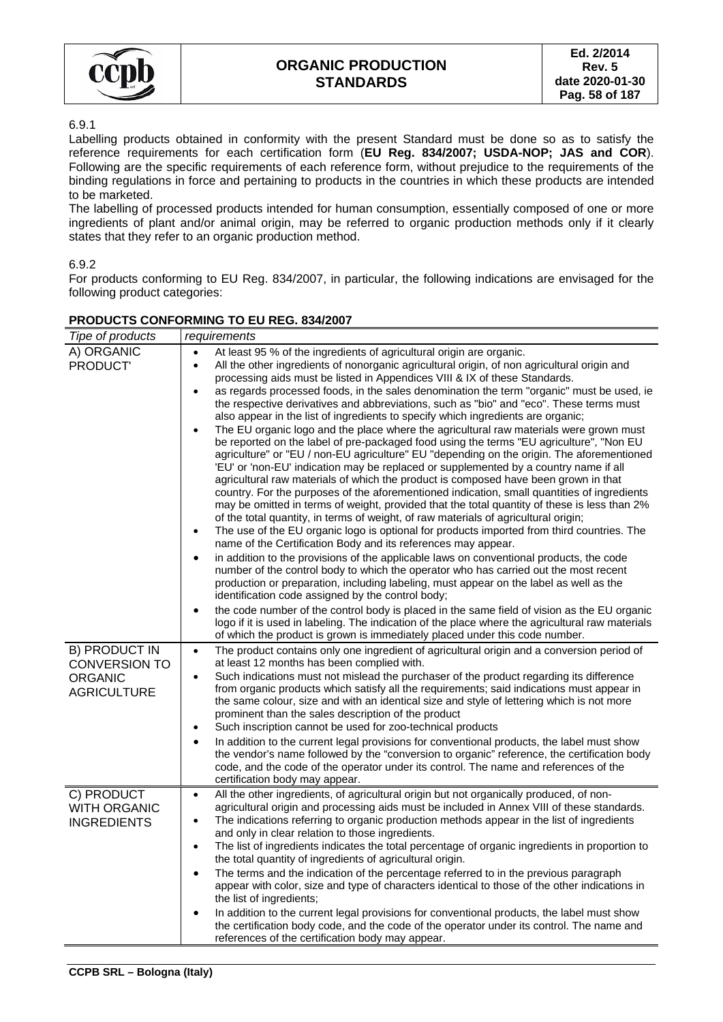

# 6.9.1

Labelling products obtained in conformity with the present Standard must be done so as to satisfy the reference requirements for each certification form (**EU Reg. 834/2007; USDA-NOP; JAS and COR**). Following are the specific requirements of each reference form, without prejudice to the requirements of the binding regulations in force and pertaining to products in the countries in which these products are intended to be marketed.

The labelling of processed products intended for human consumption, essentially composed of one or more ingredients of plant and/or animal origin, may be referred to organic production methods only if it clearly states that they refer to an organic production method.

## 6.9.2

For products conforming to EU Reg. 834/2007, in particular, the following indications are envisaged for the following product categories:

# **PRODUCTS CONFORMING TO EU REG. 834/2007**

| Tipe of products     | requirements                                                                                                                                                                           |
|----------------------|----------------------------------------------------------------------------------------------------------------------------------------------------------------------------------------|
| A) ORGANIC           | At least 95 % of the ingredients of agricultural origin are organic.<br>$\bullet$                                                                                                      |
| PRODUCT'             | All the other ingredients of nonorganic agricultural origin, of non agricultural origin and<br>$\bullet$                                                                               |
|                      | processing aids must be listed in Appendices VIII & IX of these Standards.<br>as regards processed foods, in the sales denomination the term "organic" must be used, ie                |
|                      | $\bullet$<br>the respective derivatives and abbreviations, such as "bio" and "eco". These terms must                                                                                   |
|                      | also appear in the list of ingredients to specify which ingredients are organic;                                                                                                       |
|                      | The EU organic logo and the place where the agricultural raw materials were grown must<br>$\bullet$                                                                                    |
|                      | be reported on the label of pre-packaged food using the terms "EU agriculture", "Non EU                                                                                                |
|                      | agriculture" or "EU / non-EU agriculture" EU "depending on the origin. The aforementioned<br>'EU' or 'non-EU' indication may be replaced or supplemented by a country name if all      |
|                      | agricultural raw materials of which the product is composed have been grown in that                                                                                                    |
|                      | country. For the purposes of the aforementioned indication, small quantities of ingredients                                                                                            |
|                      | may be omitted in terms of weight, provided that the total quantity of these is less than 2%                                                                                           |
|                      | of the total quantity, in terms of weight, of raw materials of agricultural origin;                                                                                                    |
|                      | The use of the EU organic logo is optional for products imported from third countries. The<br>$\bullet$<br>name of the Certification Body and its references may appear.               |
|                      | in addition to the provisions of the applicable laws on conventional products, the code<br>$\bullet$                                                                                   |
|                      | number of the control body to which the operator who has carried out the most recent                                                                                                   |
|                      | production or preparation, including labeling, must appear on the label as well as the                                                                                                 |
|                      | identification code assigned by the control body;<br>the code number of the control body is placed in the same field of vision as the EU organic<br>$\bullet$                          |
|                      | logo if it is used in labeling. The indication of the place where the agricultural raw materials                                                                                       |
|                      | of which the product is grown is immediately placed under this code number.                                                                                                            |
|                      |                                                                                                                                                                                        |
| <b>B) PRODUCT IN</b> | The product contains only one ingredient of agricultural origin and a conversion period of<br>$\bullet$                                                                                |
| <b>CONVERSION TO</b> | at least 12 months has been complied with.                                                                                                                                             |
| <b>ORGANIC</b>       | Such indications must not mislead the purchaser of the product regarding its difference<br>$\bullet$                                                                                   |
| <b>AGRICULTURE</b>   | from organic products which satisfy all the requirements; said indications must appear in<br>the same colour, size and with an identical size and style of lettering which is not more |
|                      | prominent than the sales description of the product                                                                                                                                    |
|                      | Such inscription cannot be used for zoo-technical products<br>$\bullet$                                                                                                                |
|                      | In addition to the current legal provisions for conventional products, the label must show<br>$\bullet$                                                                                |
|                      | the vendor's name followed by the "conversion to organic" reference, the certification body                                                                                            |
|                      | code, and the code of the operator under its control. The name and references of the<br>certification body may appear.                                                                 |
| C) PRODUCT           | All the other ingredients, of agricultural origin but not organically produced, of non-<br>$\bullet$                                                                                   |
| <b>WITH ORGANIC</b>  | agricultural origin and processing aids must be included in Annex VIII of these standards.                                                                                             |
| <b>INGREDIENTS</b>   | The indications referring to organic production methods appear in the list of ingredients<br>$\bullet$                                                                                 |
|                      | and only in clear relation to those ingredients.<br>$\bullet$                                                                                                                          |
|                      | The list of ingredients indicates the total percentage of organic ingredients in proportion to<br>the total quantity of ingredients of agricultural origin.                            |
|                      | The terms and the indication of the percentage referred to in the previous paragraph<br>$\bullet$                                                                                      |
|                      | appear with color, size and type of characters identical to those of the other indications in                                                                                          |
|                      | the list of ingredients;                                                                                                                                                               |
|                      | In addition to the current legal provisions for conventional products, the label must show<br>$\bullet$                                                                                |
|                      | the certification body code, and the code of the operator under its control. The name and<br>references of the certification body may appear.                                          |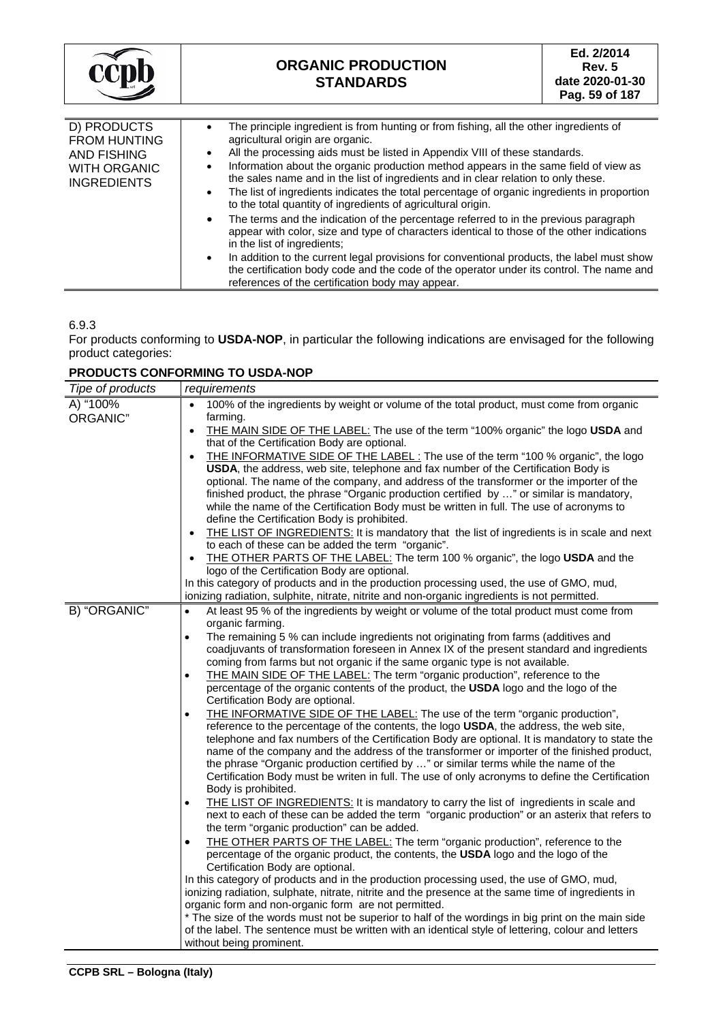|                                                                                                | <b>ORGANIC PRODUCTION</b><br><b>STANDARDS</b>                                                                                                                                                                                                                                                                                                                                                                                        |
|------------------------------------------------------------------------------------------------|--------------------------------------------------------------------------------------------------------------------------------------------------------------------------------------------------------------------------------------------------------------------------------------------------------------------------------------------------------------------------------------------------------------------------------------|
| D) PRODUCTS<br><b>FROM HUNTING</b><br>AND FISHING<br><b>WITH ORGANIC</b><br><b>INGREDIENTS</b> | The principle ingredient is from hunting or from fishing,<br>agricultural origin are organic.<br>All the processing aids must be listed in Appendix VIII<br>Information about the organic production method appea<br>$\bullet$<br>the sales name and in the list of ingredients and in clea<br>The list of ingredients indicates the total percentage of<br>$\bullet$<br>to the total quantity of ingredients of agricultural origin |

| D) PRODUCTS<br><b>FROM HUNTING</b> | The principle ingredient is from hunting or from fishing, all the other ingredients of<br>$\bullet$<br>agricultural origin are organic.                                                                                                                        |
|------------------------------------|----------------------------------------------------------------------------------------------------------------------------------------------------------------------------------------------------------------------------------------------------------------|
| <b>AND FISHING</b><br>WITH ORGANIC | All the processing aids must be listed in Appendix VIII of these standards.<br>٠<br>Information about the organic production method appears in the same field of view as<br>$\bullet$                                                                          |
| <b>INGREDIENTS</b>                 | the sales name and in the list of ingredients and in clear relation to only these.<br>The list of ingredients indicates the total percentage of organic ingredients in proportion<br>$\bullet$<br>to the total quantity of ingredients of agricultural origin. |
|                                    | The terms and the indication of the percentage referred to in the previous paragraph<br>٠<br>appear with color, size and type of characters identical to those of the other indications<br>in the list of ingredients;                                         |
|                                    | In addition to the current legal provisions for conventional products, the label must show<br>$\bullet$<br>the certification body code and the code of the operator under its control. The name and<br>references of the certification body may appear.        |

# 6.9.3

For products conforming to **USDA-NOP**, in particular the following indications are envisaged for the following product categories:

# **PRODUCTS CONFORMING TO USDA-NOP**

| Tipe of products | requirements                                                                                                                                                                                         |
|------------------|------------------------------------------------------------------------------------------------------------------------------------------------------------------------------------------------------|
| A) "100%         | 100% of the ingredients by weight or volume of the total product, must come from organic<br>$\bullet$                                                                                                |
| ORGANIC"         | farming.                                                                                                                                                                                             |
|                  | THE MAIN SIDE OF THE LABEL: The use of the term "100% organic" the logo USDA and<br>$\bullet$                                                                                                        |
|                  | that of the Certification Body are optional.                                                                                                                                                         |
|                  | THE INFORMATIVE SIDE OF THE LABEL : The use of the term "100 % organic", the logo<br>$\bullet$                                                                                                       |
|                  | USDA, the address, web site, telephone and fax number of the Certification Body is                                                                                                                   |
|                  | optional. The name of the company, and address of the transformer or the importer of the<br>finished product, the phrase "Organic production certified by " or similar is mandatory,                 |
|                  | while the name of the Certification Body must be written in full. The use of acronyms to                                                                                                             |
|                  | define the Certification Body is prohibited.                                                                                                                                                         |
|                  | THE LIST OF INGREDIENTS: It is mandatory that the list of ingredients is in scale and next<br>$\bullet$                                                                                              |
|                  | to each of these can be added the term "organic".                                                                                                                                                    |
|                  | THE OTHER PARTS OF THE LABEL: The term 100 % organic", the logo USDA and the                                                                                                                         |
|                  | logo of the Certification Body are optional.                                                                                                                                                         |
|                  | In this category of products and in the production processing used, the use of GMO, mud,                                                                                                             |
|                  | ionizing radiation, sulphite, nitrate, nitrite and non-organic ingredients is not permitted.                                                                                                         |
| B) "ORGANIC"     | At least 95 % of the ingredients by weight or volume of the total product must come from<br>$\bullet$                                                                                                |
|                  | organic farming.                                                                                                                                                                                     |
|                  | The remaining 5 % can include ingredients not originating from farms (additives and<br>$\bullet$                                                                                                     |
|                  | coadjuvants of transformation foreseen in Annex IX of the present standard and ingredients<br>coming from farms but not organic if the same organic type is not available.                           |
|                  | THE MAIN SIDE OF THE LABEL: The term "organic production", reference to the<br>$\bullet$                                                                                                             |
|                  | percentage of the organic contents of the product, the USDA logo and the logo of the                                                                                                                 |
|                  | Certification Body are optional.                                                                                                                                                                     |
|                  | THE INFORMATIVE SIDE OF THE LABEL: The use of the term "organic production",<br>$\bullet$                                                                                                            |
|                  | reference to the percentage of the contents, the logo USDA, the address, the web site,                                                                                                               |
|                  | telephone and fax numbers of the Certification Body are optional. It is mandatory to state the                                                                                                       |
|                  | name of the company and the address of the transformer or importer of the finished product,                                                                                                          |
|                  | the phrase "Organic production certified by " or similar terms while the name of the                                                                                                                 |
|                  | Certification Body must be writen in full. The use of only acronyms to define the Certification                                                                                                      |
|                  | Body is prohibited.                                                                                                                                                                                  |
|                  | THE LIST OF INGREDIENTS: It is mandatory to carry the list of ingredients in scale and<br>$\bullet$<br>next to each of these can be added the term "organic production" or an asterix that refers to |
|                  | the term "organic production" can be added.                                                                                                                                                          |
|                  | THE OTHER PARTS OF THE LABEL: The term "organic production", reference to the<br>$\bullet$                                                                                                           |
|                  | percentage of the organic product, the contents, the USDA logo and the logo of the                                                                                                                   |
|                  | Certification Body are optional.                                                                                                                                                                     |
|                  | In this category of products and in the production processing used, the use of GMO, mud,                                                                                                             |
|                  | ionizing radiation, sulphate, nitrate, nitrite and the presence at the same time of ingredients in                                                                                                   |
|                  | organic form and non-organic form are not permitted.                                                                                                                                                 |
|                  | * The size of the words must not be superior to half of the wordings in big print on the main side                                                                                                   |
|                  | of the label. The sentence must be written with an identical style of lettering, colour and letters                                                                                                  |
|                  | without being prominent.                                                                                                                                                                             |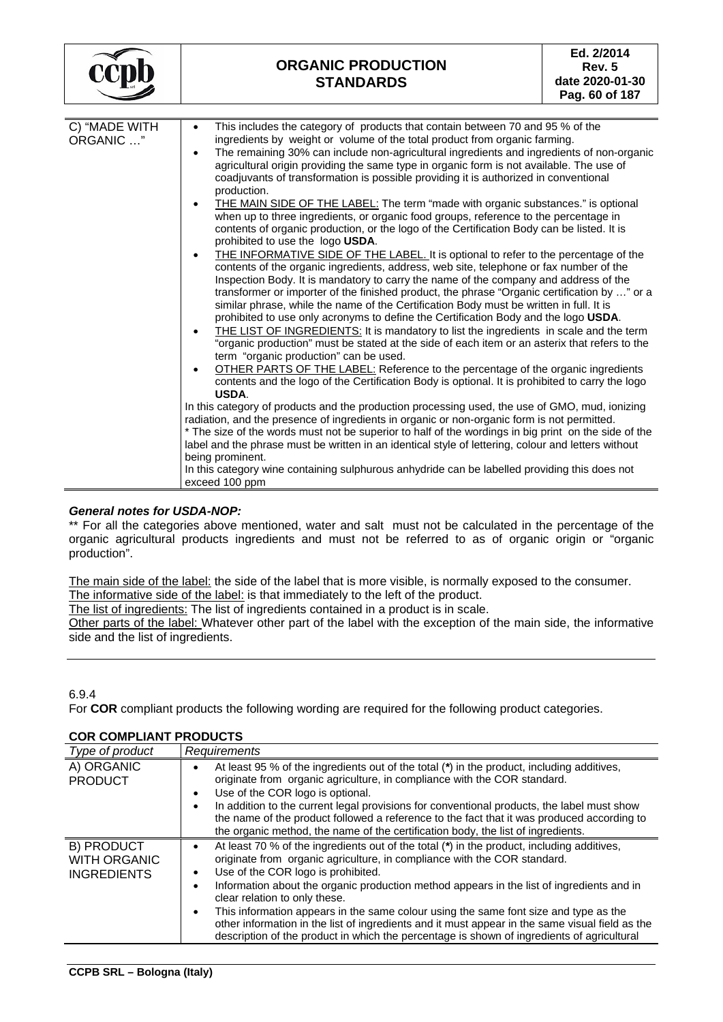|                            | <b>ORGANIC PRODUCTION</b><br><b>STANDARDS</b>                                                                                                                                                                                                                                                                                                                                                                                                                                                                                                                                                                                                                                                                                                                                                                                                                                                                                                                                                                                                                                                                                                                                                                                                                                                                                                                                                                                                                                                                                                                                                                                                                                                                                                                                                                                                                                                                                                                                                                                                                                                                                                                                                                                                                                                                                                                                                                          | Ed. 2/2014<br><b>Rev. 5</b><br>date 2020-01-30<br>Pag. 60 of 187 |
|----------------------------|------------------------------------------------------------------------------------------------------------------------------------------------------------------------------------------------------------------------------------------------------------------------------------------------------------------------------------------------------------------------------------------------------------------------------------------------------------------------------------------------------------------------------------------------------------------------------------------------------------------------------------------------------------------------------------------------------------------------------------------------------------------------------------------------------------------------------------------------------------------------------------------------------------------------------------------------------------------------------------------------------------------------------------------------------------------------------------------------------------------------------------------------------------------------------------------------------------------------------------------------------------------------------------------------------------------------------------------------------------------------------------------------------------------------------------------------------------------------------------------------------------------------------------------------------------------------------------------------------------------------------------------------------------------------------------------------------------------------------------------------------------------------------------------------------------------------------------------------------------------------------------------------------------------------------------------------------------------------------------------------------------------------------------------------------------------------------------------------------------------------------------------------------------------------------------------------------------------------------------------------------------------------------------------------------------------------------------------------------------------------------------------------------------------------|------------------------------------------------------------------|
|                            |                                                                                                                                                                                                                                                                                                                                                                                                                                                                                                                                                                                                                                                                                                                                                                                                                                                                                                                                                                                                                                                                                                                                                                                                                                                                                                                                                                                                                                                                                                                                                                                                                                                                                                                                                                                                                                                                                                                                                                                                                                                                                                                                                                                                                                                                                                                                                                                                                        |                                                                  |
| C) "MADE WITH<br>ORGANIC " | This includes the category of products that contain between 70 and 95 % of the<br>$\bullet$<br>ingredients by weight or volume of the total product from organic farming.<br>The remaining 30% can include non-agricultural ingredients and ingredients of non-organic<br>$\bullet$<br>agricultural origin providing the same type in organic form is not available. The use of<br>coadjuvants of transformation is possible providing it is authorized in conventional<br>production.<br>THE MAIN SIDE OF THE LABEL: The term "made with organic substances." is optional<br>$\bullet$<br>when up to three ingredients, or organic food groups, reference to the percentage in<br>contents of organic production, or the logo of the Certification Body can be listed. It is<br>prohibited to use the logo USDA.<br>THE INFORMATIVE SIDE OF THE LABEL. It is optional to refer to the percentage of the<br>$\bullet$<br>contents of the organic ingredients, address, web site, telephone or fax number of the<br>Inspection Body. It is mandatory to carry the name of the company and address of the<br>transformer or importer of the finished product, the phrase "Organic certification by " or a<br>similar phrase, while the name of the Certification Body must be written in full. It is<br>prohibited to use only acronyms to define the Certification Body and the logo USDA.<br>THE LIST OF INGREDIENTS: It is mandatory to list the ingredients in scale and the term<br>$\bullet$<br>"organic production" must be stated at the side of each item or an asterix that refers to the<br>term "organic production" can be used.<br><b>OTHER PARTS OF THE LABEL:</b> Reference to the percentage of the organic ingredients<br>$\bullet$<br>contents and the logo of the Certification Body is optional. It is prohibited to carry the logo<br>USDA.<br>In this category of products and the production processing used, the use of GMO, mud, ionizing<br>radiation, and the presence of ingredients in organic or non-organic form is not permitted.<br>* The size of the words must not be superior to half of the wordings in big print on the side of the<br>label and the phrase must be written in an identical style of lettering, colour and letters without<br>being prominent.<br>In this category wine containing sulphurous anhydride can be labelled providing this does not<br>exceed 100 ppm |                                                                  |

## *General notes for USDA-NOP:*

\*\* For all the categories above mentioned, water and salt must not be calculated in the percentage of the organic agricultural products ingredients and must not be referred to as of organic origin or "organic production".

The main side of the label: the side of the label that is more visible, is normally exposed to the consumer. The informative side of the label: is that immediately to the left of the product.

The list of ingredients: The list of ingredients contained in a product is in scale.

Other parts of the label: Whatever other part of the label with the exception of the main side, the informative side and the list of ingredients.

#### 6.9.4

For **COR** compliant products the following wording are required for the following product categories.

| Type of product                                                | Requirements                                                                                                                                                                                                                                                                                                                                                                                                                                                                                                                                                                                                                                                                              |
|----------------------------------------------------------------|-------------------------------------------------------------------------------------------------------------------------------------------------------------------------------------------------------------------------------------------------------------------------------------------------------------------------------------------------------------------------------------------------------------------------------------------------------------------------------------------------------------------------------------------------------------------------------------------------------------------------------------------------------------------------------------------|
| A) ORGANIC<br><b>PRODUCT</b>                                   | At least 95 % of the ingredients out of the total (*) in the product, including additives,<br>$\bullet$<br>originate from organic agriculture, in compliance with the COR standard.<br>Use of the COR logo is optional.<br>$\bullet$<br>In addition to the current legal provisions for conventional products, the label must show<br>$\bullet$<br>the name of the product followed a reference to the fact that it was produced according to<br>the organic method, the name of the certification body, the list of ingredients.                                                                                                                                                         |
| <b>B) PRODUCT</b><br><b>WITH ORGANIC</b><br><b>INGREDIENTS</b> | At least 70 % of the ingredients out of the total $(*)$ in the product, including additives,<br>$\bullet$<br>originate from organic agriculture, in compliance with the COR standard.<br>Use of the COR logo is prohibited.<br>$\bullet$<br>Information about the organic production method appears in the list of ingredients and in<br>$\bullet$<br>clear relation to only these.<br>This information appears in the same colour using the same font size and type as the<br>$\bullet$<br>other information in the list of ingredients and it must appear in the same visual field as the<br>description of the product in which the percentage is shown of ingredients of agricultural |

# **COR COMPLIANT PRODUCTS**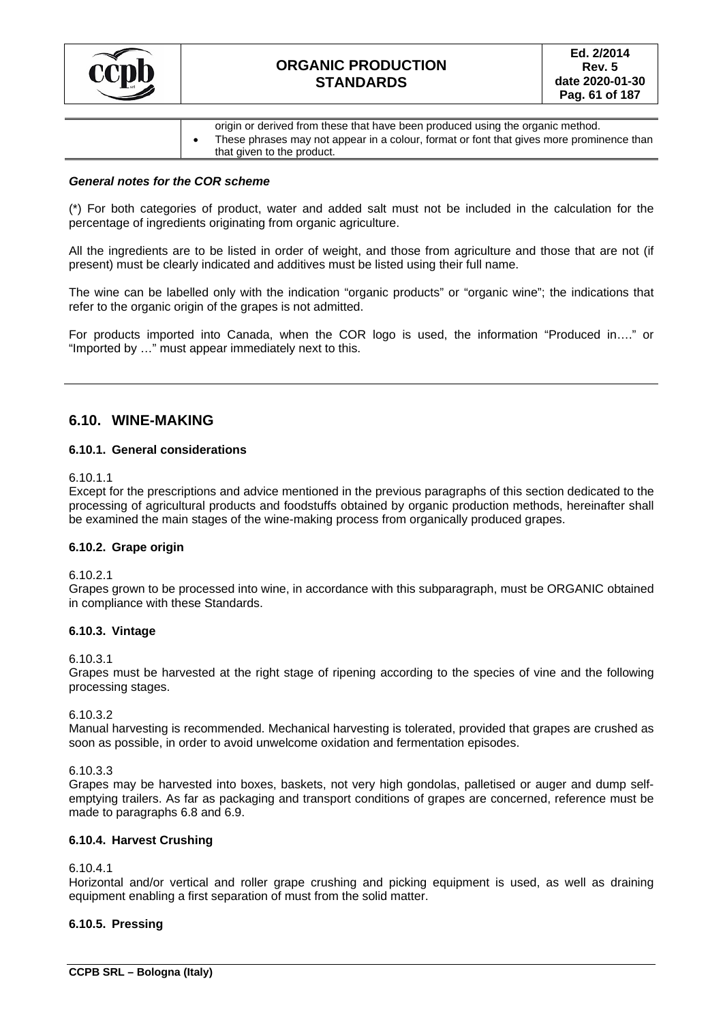

| origin or derived from these that have been produced using the organic method.<br>These phrases may not appear in a colour, format or font that gives more prominence than<br>that given to the product. |
|----------------------------------------------------------------------------------------------------------------------------------------------------------------------------------------------------------|
|----------------------------------------------------------------------------------------------------------------------------------------------------------------------------------------------------------|

### *General notes for the COR scheme*

(\*) For both categories of product, water and added salt must not be included in the calculation for the percentage of ingredients originating from organic agriculture.

All the ingredients are to be listed in order of weight, and those from agriculture and those that are not (if present) must be clearly indicated and additives must be listed using their full name.

The wine can be labelled only with the indication "organic products" or "organic wine"; the indications that refer to the organic origin of the grapes is not admitted.

For products imported into Canada, when the COR logo is used, the information "Produced in…." or "Imported by …" must appear immediately next to this.

# **6.10. WINE-MAKING**

## **6.10.1. General considerations**

#### 6.10.1.1

Except for the prescriptions and advice mentioned in the previous paragraphs of this section dedicated to the processing of agricultural products and foodstuffs obtained by organic production methods, hereinafter shall be examined the main stages of the wine-making process from organically produced grapes.

# **6.10.2. Grape origin**

6.10.2.1

Grapes grown to be processed into wine, in accordance with this subparagraph, must be ORGANIC obtained in compliance with these Standards.

# **6.10.3. Vintage**

#### 6.10.3.1

Grapes must be harvested at the right stage of ripening according to the species of vine and the following processing stages.

#### 6.10.3.2

Manual harvesting is recommended. Mechanical harvesting is tolerated, provided that grapes are crushed as soon as possible, in order to avoid unwelcome oxidation and fermentation episodes.

#### 6.10.3.3

Grapes may be harvested into boxes, baskets, not very high gondolas, palletised or auger and dump selfemptying trailers. As far as packaging and transport conditions of grapes are concerned, reference must be made to paragraphs 6.8 and 6.9.

# **6.10.4. Harvest Crushing**

#### 6.10.4.1

Horizontal and/or vertical and roller grape crushing and picking equipment is used, as well as draining equipment enabling a first separation of must from the solid matter.

# **6.10.5. Pressing**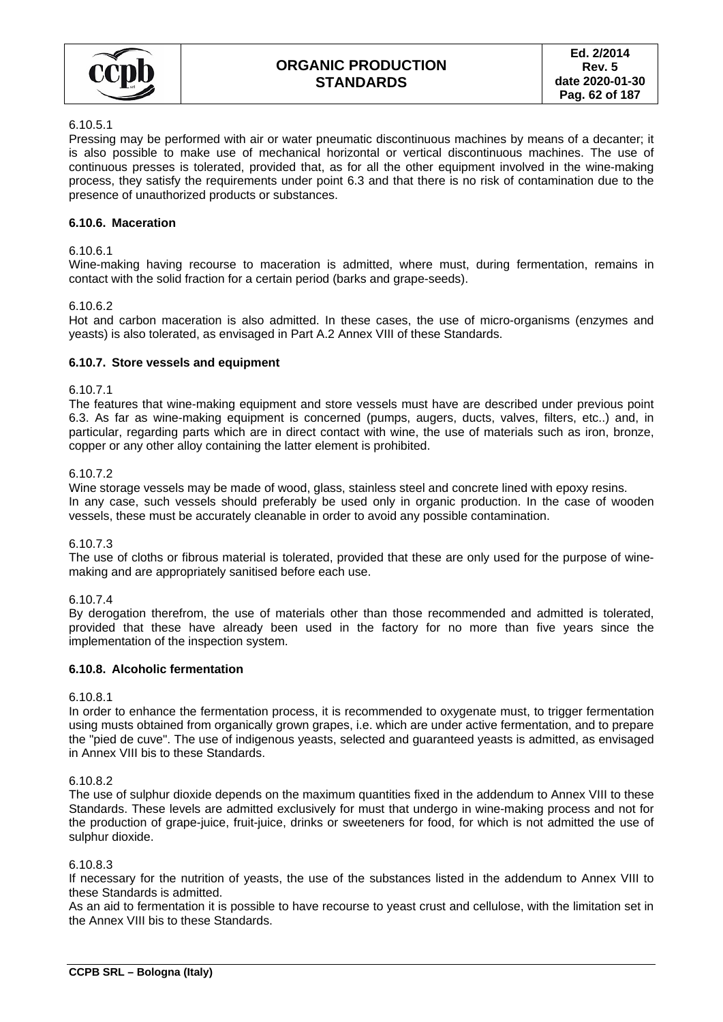

6.10.5.1

Pressing may be performed with air or water pneumatic discontinuous machines by means of a decanter; it is also possible to make use of mechanical horizontal or vertical discontinuous machines. The use of continuous presses is tolerated, provided that, as for all the other equipment involved in the wine-making process, they satisfy the requirements under point 6.3 and that there is no risk of contamination due to the presence of unauthorized products or substances.

## **6.10.6. Maceration**

### 6.10.6.1

Wine-making having recourse to maceration is admitted, where must, during fermentation, remains in contact with the solid fraction for a certain period (barks and grape-seeds).

#### 6.10.6.2

Hot and carbon maceration is also admitted. In these cases, the use of micro-organisms (enzymes and yeasts) is also tolerated, as envisaged in Part A.2 Annex VIII of these Standards.

## **6.10.7. Store vessels and equipment**

#### 6.10.7.1

The features that wine-making equipment and store vessels must have are described under previous point 6.3. As far as wine-making equipment is concerned (pumps, augers, ducts, valves, filters, etc..) and, in particular, regarding parts which are in direct contact with wine, the use of materials such as iron, bronze, copper or any other alloy containing the latter element is prohibited.

#### 6.10.7.2

Wine storage vessels may be made of wood, glass, stainless steel and concrete lined with epoxy resins. In any case, such vessels should preferably be used only in organic production. In the case of wooden vessels, these must be accurately cleanable in order to avoid any possible contamination.

#### 6.10.7.3

The use of cloths or fibrous material is tolerated, provided that these are only used for the purpose of winemaking and are appropriately sanitised before each use.

#### 6.10.7.4

By derogation therefrom, the use of materials other than those recommended and admitted is tolerated, provided that these have already been used in the factory for no more than five years since the implementation of the inspection system.

#### **6.10.8. Alcoholic fermentation**

#### 6.10.8.1

In order to enhance the fermentation process, it is recommended to oxygenate must, to trigger fermentation using musts obtained from organically grown grapes, i.e. which are under active fermentation, and to prepare the "pied de cuve". The use of indigenous yeasts, selected and guaranteed yeasts is admitted, as envisaged in Annex VIII bis to these Standards.

#### 6.10.8.2

The use of sulphur dioxide depends on the maximum quantities fixed in the addendum to Annex VIII to these Standards. These levels are admitted exclusively for must that undergo in wine-making process and not for the production of grape-juice, fruit-juice, drinks or sweeteners for food, for which is not admitted the use of sulphur dioxide.

#### 6.10.8.3

If necessary for the nutrition of yeasts, the use of the substances listed in the addendum to Annex VIII to these Standards is admitted.

As an aid to fermentation it is possible to have recourse to yeast crust and cellulose, with the limitation set in the Annex VIII bis to these Standards.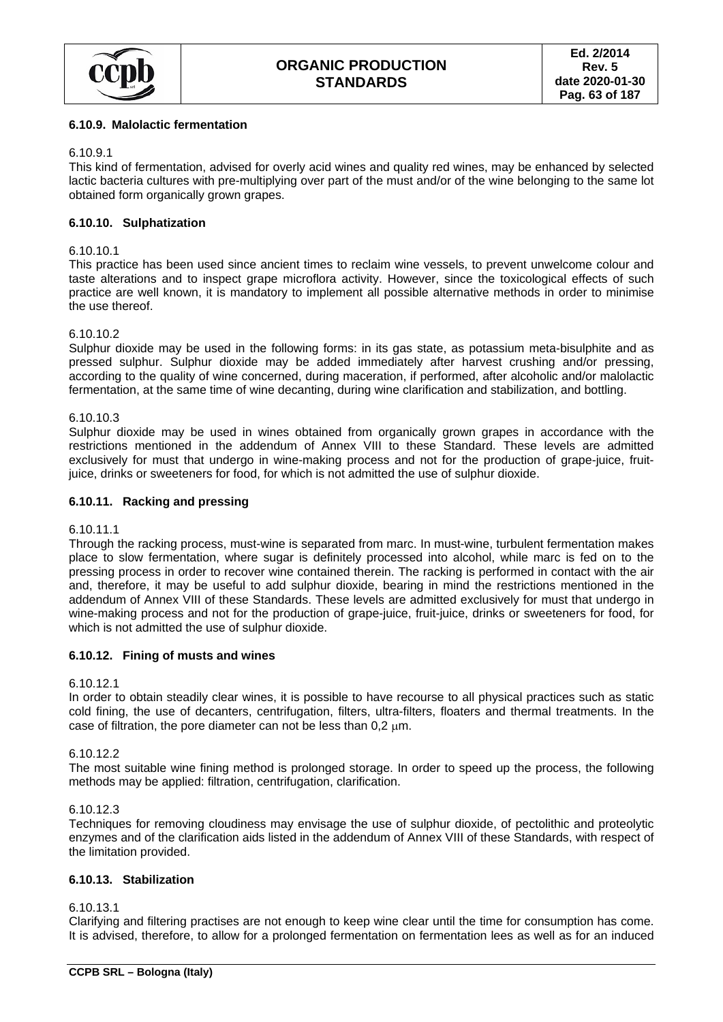

## **6.10.9. Malolactic fermentation**

### 6.10.9.1

This kind of fermentation, advised for overly acid wines and quality red wines, may be enhanced by selected lactic bacteria cultures with pre-multiplying over part of the must and/or of the wine belonging to the same lot obtained form organically grown grapes.

# **6.10.10. Sulphatization**

## 6.10.10.1

This practice has been used since ancient times to reclaim wine vessels, to prevent unwelcome colour and taste alterations and to inspect grape microflora activity. However, since the toxicological effects of such practice are well known, it is mandatory to implement all possible alternative methods in order to minimise the use thereof.

## 6.10.10.2

Sulphur dioxide may be used in the following forms: in its gas state, as potassium meta-bisulphite and as pressed sulphur. Sulphur dioxide may be added immediately after harvest crushing and/or pressing, according to the quality of wine concerned, during maceration, if performed, after alcoholic and/or malolactic fermentation, at the same time of wine decanting, during wine clarification and stabilization, and bottling.

#### 6.10.10.3

Sulphur dioxide may be used in wines obtained from organically grown grapes in accordance with the restrictions mentioned in the addendum of Annex VIII to these Standard. These levels are admitted exclusively for must that undergo in wine-making process and not for the production of grape-juice, fruitjuice, drinks or sweeteners for food, for which is not admitted the use of sulphur dioxide.

#### **6.10.11. Racking and pressing**

#### 6.10.11.1

Through the racking process, must-wine is separated from marc. In must-wine, turbulent fermentation makes place to slow fermentation, where sugar is definitely processed into alcohol, while marc is fed on to the pressing process in order to recover wine contained therein. The racking is performed in contact with the air and, therefore, it may be useful to add sulphur dioxide, bearing in mind the restrictions mentioned in the addendum of Annex VIII of these Standards. These levels are admitted exclusively for must that undergo in wine-making process and not for the production of grape-juice, fruit-juice, drinks or sweeteners for food, for which is not admitted the use of sulphur dioxide.

# **6.10.12. Fining of musts and wines**

#### 6.10.12.1

In order to obtain steadily clear wines, it is possible to have recourse to all physical practices such as static cold fining, the use of decanters, centrifugation, filters, ultra-filters, floaters and thermal treatments. In the case of filtration, the pore diameter can not be less than  $0.2 \mu m$ .

#### 6.10.12.2

The most suitable wine fining method is prolonged storage. In order to speed up the process, the following methods may be applied: filtration, centrifugation, clarification.

#### 6.10.12.3

Techniques for removing cloudiness may envisage the use of sulphur dioxide, of pectolithic and proteolytic enzymes and of the clarification aids listed in the addendum of Annex VIII of these Standards, with respect of the limitation provided.

# **6.10.13. Stabilization**

#### 6.10.13.1

Clarifying and filtering practises are not enough to keep wine clear until the time for consumption has come. It is advised, therefore, to allow for a prolonged fermentation on fermentation lees as well as for an induced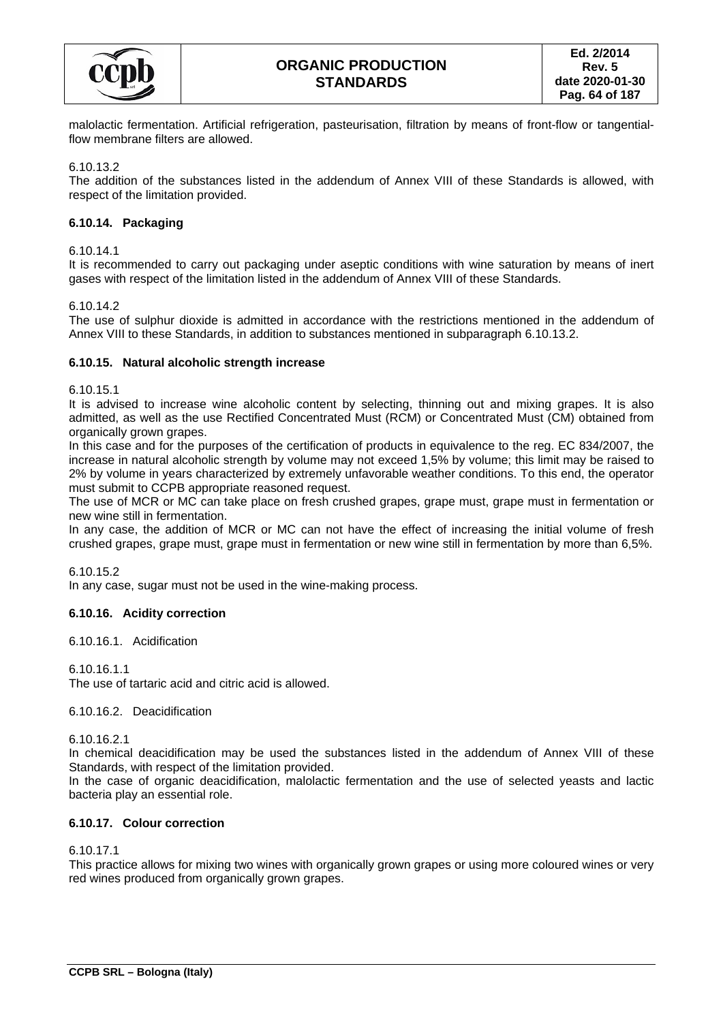

malolactic fermentation. Artificial refrigeration, pasteurisation, filtration by means of front-flow or tangentialflow membrane filters are allowed.

6.10.13.2

The addition of the substances listed in the addendum of Annex VIII of these Standards is allowed, with respect of the limitation provided.

## **6.10.14. Packaging**

6.10.14.1

It is recommended to carry out packaging under aseptic conditions with wine saturation by means of inert gases with respect of the limitation listed in the addendum of Annex VIII of these Standards.

#### 6.10.14.2

The use of sulphur dioxide is admitted in accordance with the restrictions mentioned in the addendum of Annex VIII to these Standards, in addition to substances mentioned in subparagraph 6.10.13.2.

## **6.10.15. Natural alcoholic strength increase**

6.10.15.1

It is advised to increase wine alcoholic content by selecting, thinning out and mixing grapes. It is also admitted, as well as the use Rectified Concentrated Must (RCM) or Concentrated Must (CM) obtained from organically grown grapes.

In this case and for the purposes of the certification of products in equivalence to the reg. EC 834/2007, the increase in natural alcoholic strength by volume may not exceed 1,5% by volume; this limit may be raised to 2% by volume in years characterized by extremely unfavorable weather conditions. To this end, the operator must submit to CCPB appropriate reasoned request.

The use of MCR or MC can take place on fresh crushed grapes, grape must, grape must in fermentation or new wine still in fermentation.

In any case, the addition of MCR or MC can not have the effect of increasing the initial volume of fresh crushed grapes, grape must, grape must in fermentation or new wine still in fermentation by more than 6,5%.

6.10.15.2

In any case, sugar must not be used in the wine-making process.

#### **6.10.16. Acidity correction**

6.10.16.1. Acidification

6.10.16.1.1

The use of tartaric acid and citric acid is allowed.

#### 6.10.16.2. Deacidification

6.10.16.2.1

In chemical deacidification may be used the substances listed in the addendum of Annex VIII of these Standards, with respect of the limitation provided.

In the case of organic deacidification, malolactic fermentation and the use of selected yeasts and lactic bacteria play an essential role.

# **6.10.17. Colour correction**

6.10.17.1

This practice allows for mixing two wines with organically grown grapes or using more coloured wines or very red wines produced from organically grown grapes.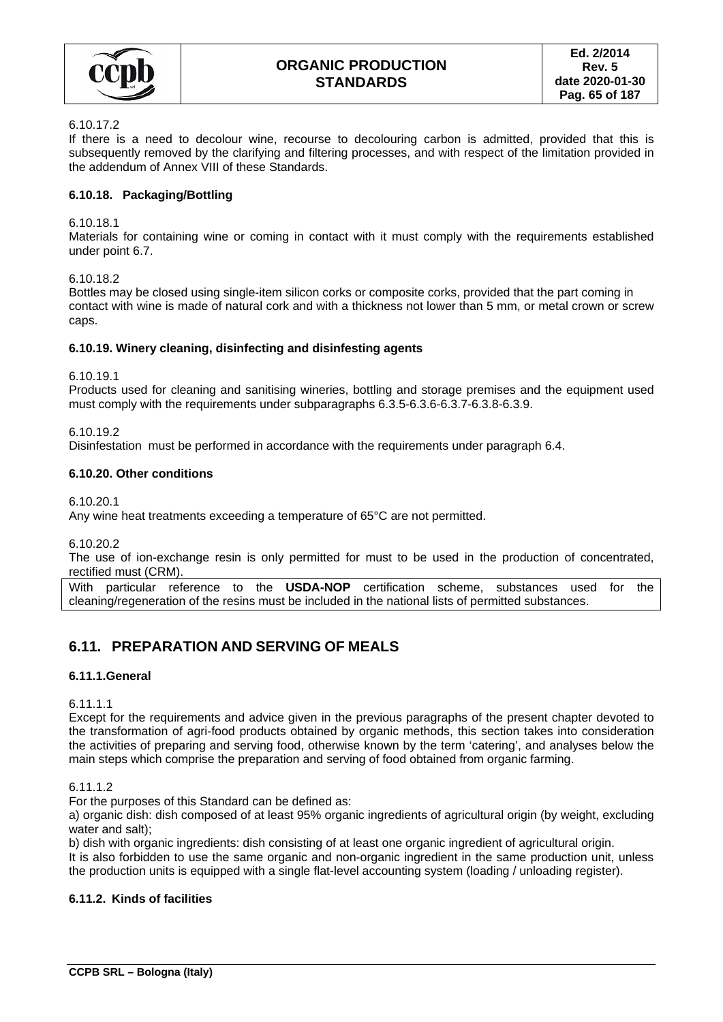

6.10.17.2

If there is a need to decolour wine, recourse to decolouring carbon is admitted, provided that this is subsequently removed by the clarifying and filtering processes, and with respect of the limitation provided in the addendum of Annex VIII of these Standards.

# **6.10.18. Packaging/Bottling**

6.10.18.1

Materials for containing wine or coming in contact with it must comply with the requirements established under point 6.7.

6.10.18.2

Bottles may be closed using single-item silicon corks or composite corks, provided that the part coming in contact with wine is made of natural cork and with a thickness not lower than 5 mm, or metal crown or screw caps.

## **6.10.19. Winery cleaning, disinfecting and disinfesting agents**

6.10.19.1

Products used for cleaning and sanitising wineries, bottling and storage premises and the equipment used must comply with the requirements under subparagraphs 6.3.5-6.3.6-6.3.7-6.3.8-6.3.9.

6.10.19.2

Disinfestation must be performed in accordance with the requirements under paragraph 6.4.

# **6.10.20. Other conditions**

6.10.20.1

Any wine heat treatments exceeding a temperature of 65°C are not permitted.

6.10.20.2

The use of ion-exchange resin is only permitted for must to be used in the production of concentrated, rectified must (CRM).

With particular reference to the **USDA-NOP** certification scheme, substances used for the cleaning/regeneration of the resins must be included in the national lists of permitted substances.

# **6.11. PREPARATION AND SERVING OF MEALS**

# **6.11.1.General**

6.11.1.1

Except for the requirements and advice given in the previous paragraphs of the present chapter devoted to the transformation of agri-food products obtained by organic methods, this section takes into consideration the activities of preparing and serving food, otherwise known by the term 'catering', and analyses below the main steps which comprise the preparation and serving of food obtained from organic farming.

6.11.1.2

For the purposes of this Standard can be defined as:

a) organic dish: dish composed of at least 95% organic ingredients of agricultural origin (by weight, excluding water and salt);

b) dish with organic ingredients: dish consisting of at least one organic ingredient of agricultural origin. It is also forbidden to use the same organic and non-organic ingredient in the same production unit, unless the production units is equipped with a single flat-level accounting system (loading / unloading register).

# **6.11.2. Kinds of facilities**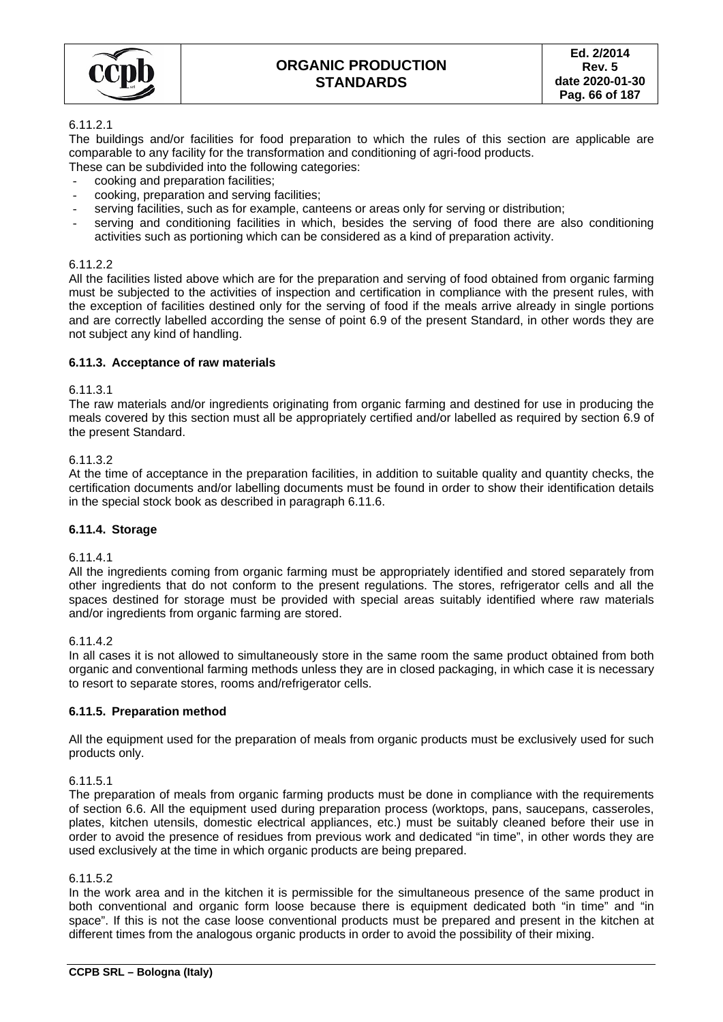

# 6.11.2.1

The buildings and/or facilities for food preparation to which the rules of this section are applicable are comparable to any facility for the transformation and conditioning of agri-food products.

- These can be subdivided into the following categories:
- cooking and preparation facilities;
- cooking, preparation and serving facilities;
- serving facilities, such as for example, canteens or areas only for serving or distribution;
- serving and conditioning facilities in which, besides the serving of food there are also conditioning activities such as portioning which can be considered as a kind of preparation activity.

# 6.11.2.2

All the facilities listed above which are for the preparation and serving of food obtained from organic farming must be subjected to the activities of inspection and certification in compliance with the present rules, with the exception of facilities destined only for the serving of food if the meals arrive already in single portions and are correctly labelled according the sense of point 6.9 of the present Standard, in other words they are not subject any kind of handling.

## **6.11.3. Acceptance of raw materials**

## 6.11.3.1

The raw materials and/or ingredients originating from organic farming and destined for use in producing the meals covered by this section must all be appropriately certified and/or labelled as required by section 6.9 of the present Standard.

# 6.11.3.2

At the time of acceptance in the preparation facilities, in addition to suitable quality and quantity checks, the certification documents and/or labelling documents must be found in order to show their identification details in the special stock book as described in paragraph 6.11.6.

#### **6.11.4. Storage**

# 6.11.4.1

All the ingredients coming from organic farming must be appropriately identified and stored separately from other ingredients that do not conform to the present regulations. The stores, refrigerator cells and all the spaces destined for storage must be provided with special areas suitably identified where raw materials and/or ingredients from organic farming are stored.

6.11.4.2

In all cases it is not allowed to simultaneously store in the same room the same product obtained from both organic and conventional farming methods unless they are in closed packaging, in which case it is necessary to resort to separate stores, rooms and/refrigerator cells.

# **6.11.5. Preparation method**

All the equipment used for the preparation of meals from organic products must be exclusively used for such products only.

6.11.5.1

The preparation of meals from organic farming products must be done in compliance with the requirements of section 6.6. All the equipment used during preparation process (worktops, pans, saucepans, casseroles, plates, kitchen utensils, domestic electrical appliances, etc.) must be suitably cleaned before their use in order to avoid the presence of residues from previous work and dedicated "in time", in other words they are used exclusively at the time in which organic products are being prepared.

#### 6.11.5.2

In the work area and in the kitchen it is permissible for the simultaneous presence of the same product in both conventional and organic form loose because there is equipment dedicated both "in time" and "in space". If this is not the case loose conventional products must be prepared and present in the kitchen at different times from the analogous organic products in order to avoid the possibility of their mixing.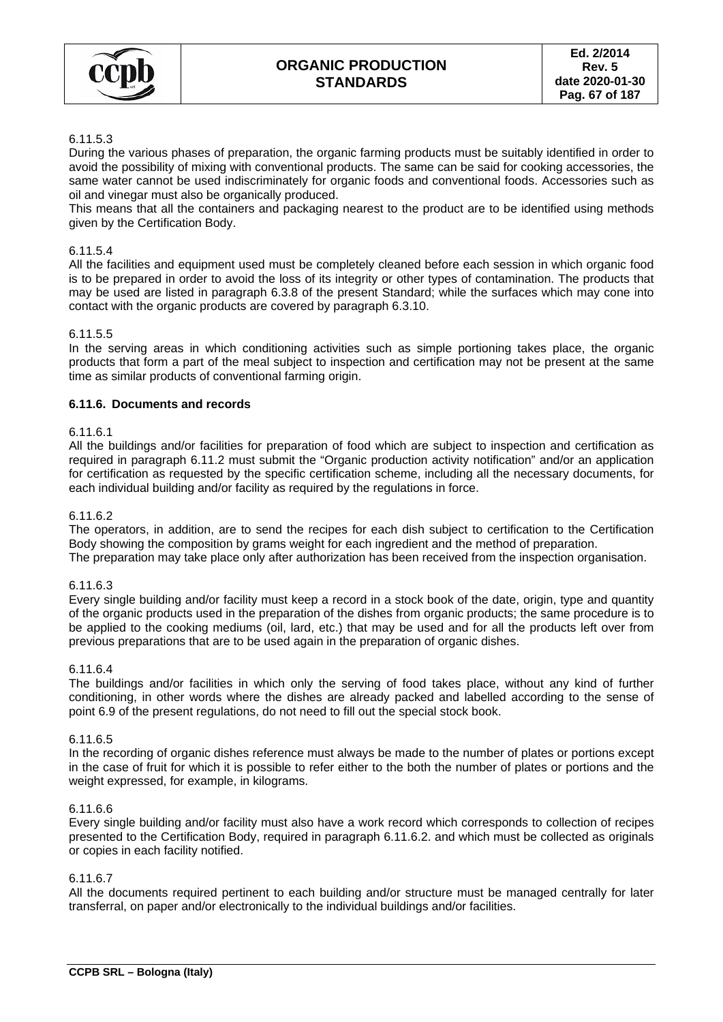

# 6.11.5.3

During the various phases of preparation, the organic farming products must be suitably identified in order to avoid the possibility of mixing with conventional products. The same can be said for cooking accessories, the same water cannot be used indiscriminately for organic foods and conventional foods. Accessories such as oil and vinegar must also be organically produced.

This means that all the containers and packaging nearest to the product are to be identified using methods given by the Certification Body.

### 6.11.5.4

All the facilities and equipment used must be completely cleaned before each session in which organic food is to be prepared in order to avoid the loss of its integrity or other types of contamination. The products that may be used are listed in paragraph 6.3.8 of the present Standard; while the surfaces which may cone into contact with the organic products are covered by paragraph 6.3.10.

## 6.11.5.5

In the serving areas in which conditioning activities such as simple portioning takes place, the organic products that form a part of the meal subject to inspection and certification may not be present at the same time as similar products of conventional farming origin.

## **6.11.6. Documents and records**

## 6.11.6.1

All the buildings and/or facilities for preparation of food which are subject to inspection and certification as required in paragraph 6.11.2 must submit the "Organic production activity notification" and/or an application for certification as requested by the specific certification scheme, including all the necessary documents, for each individual building and/or facility as required by the regulations in force.

### 6.11.6.2

The operators, in addition, are to send the recipes for each dish subject to certification to the Certification Body showing the composition by grams weight for each ingredient and the method of preparation. The preparation may take place only after authorization has been received from the inspection organisation.

#### 6.11.6.3

Every single building and/or facility must keep a record in a stock book of the date, origin, type and quantity of the organic products used in the preparation of the dishes from organic products; the same procedure is to be applied to the cooking mediums (oil, lard, etc.) that may be used and for all the products left over from previous preparations that are to be used again in the preparation of organic dishes.

#### 6.11.6.4

The buildings and/or facilities in which only the serving of food takes place, without any kind of further conditioning, in other words where the dishes are already packed and labelled according to the sense of point 6.9 of the present regulations, do not need to fill out the special stock book.

#### 6.11.6.5

In the recording of organic dishes reference must always be made to the number of plates or portions except in the case of fruit for which it is possible to refer either to the both the number of plates or portions and the weight expressed, for example, in kilograms.

#### 6.11.6.6

Every single building and/or facility must also have a work record which corresponds to collection of recipes presented to the Certification Body, required in paragraph 6.11.6.2. and which must be collected as originals or copies in each facility notified.

#### 6.11.6.7

All the documents required pertinent to each building and/or structure must be managed centrally for later transferral, on paper and/or electronically to the individual buildings and/or facilities.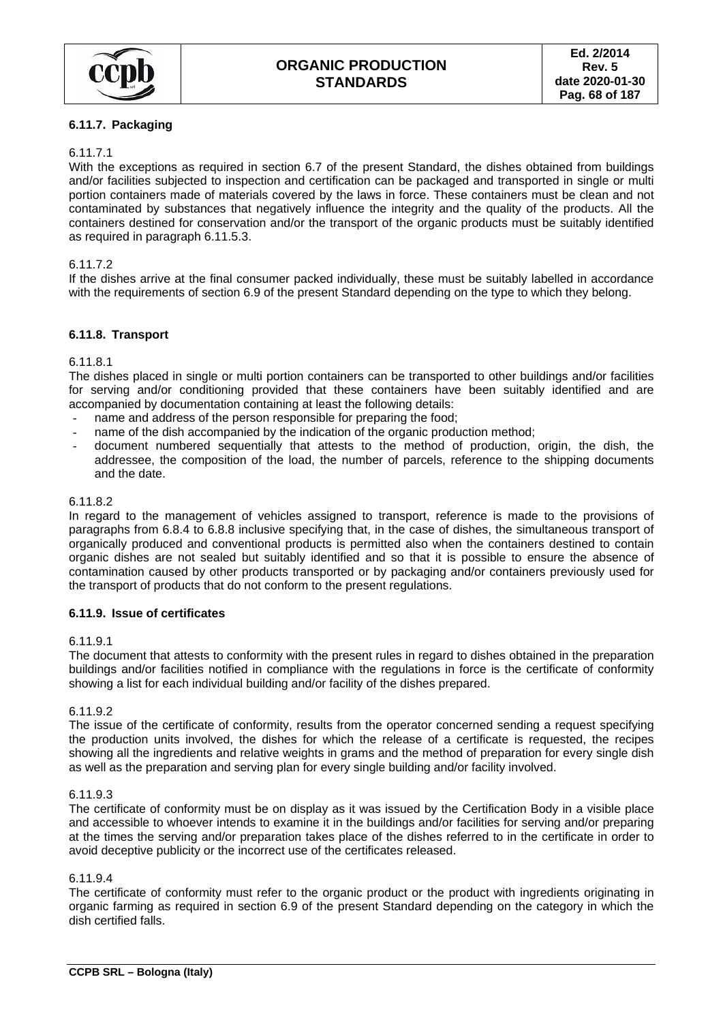

# **6.11.7. Packaging**

## 6.11.7.1

With the exceptions as required in section 6.7 of the present Standard, the dishes obtained from buildings and/or facilities subjected to inspection and certification can be packaged and transported in single or multi portion containers made of materials covered by the laws in force. These containers must be clean and not contaminated by substances that negatively influence the integrity and the quality of the products. All the containers destined for conservation and/or the transport of the organic products must be suitably identified as required in paragraph 6.11.5.3.

# 6.11.7.2

If the dishes arrive at the final consumer packed individually, these must be suitably labelled in accordance with the requirements of section 6.9 of the present Standard depending on the type to which they belong.

## **6.11.8. Transport**

## 6.11.8.1

The dishes placed in single or multi portion containers can be transported to other buildings and/or facilities for serving and/or conditioning provided that these containers have been suitably identified and are accompanied by documentation containing at least the following details:

- name and address of the person responsible for preparing the food;
- name of the dish accompanied by the indication of the organic production method;
- document numbered sequentially that attests to the method of production, origin, the dish, the addressee, the composition of the load, the number of parcels, reference to the shipping documents and the date.

## 6.11.8.2

In regard to the management of vehicles assigned to transport, reference is made to the provisions of paragraphs from 6.8.4 to 6.8.8 inclusive specifying that, in the case of dishes, the simultaneous transport of organically produced and conventional products is permitted also when the containers destined to contain organic dishes are not sealed but suitably identified and so that it is possible to ensure the absence of contamination caused by other products transported or by packaging and/or containers previously used for the transport of products that do not conform to the present regulations.

#### **6.11.9. Issue of certificates**

#### 6.11.9.1

The document that attests to conformity with the present rules in regard to dishes obtained in the preparation buildings and/or facilities notified in compliance with the regulations in force is the certificate of conformity showing a list for each individual building and/or facility of the dishes prepared.

#### 6.11.9.2

The issue of the certificate of conformity, results from the operator concerned sending a request specifying the production units involved, the dishes for which the release of a certificate is requested, the recipes showing all the ingredients and relative weights in grams and the method of preparation for every single dish as well as the preparation and serving plan for every single building and/or facility involved.

#### 6.11.9.3

The certificate of conformity must be on display as it was issued by the Certification Body in a visible place and accessible to whoever intends to examine it in the buildings and/or facilities for serving and/or preparing at the times the serving and/or preparation takes place of the dishes referred to in the certificate in order to avoid deceptive publicity or the incorrect use of the certificates released.

#### 6.11.9.4

The certificate of conformity must refer to the organic product or the product with ingredients originating in organic farming as required in section 6.9 of the present Standard depending on the category in which the dish certified falls.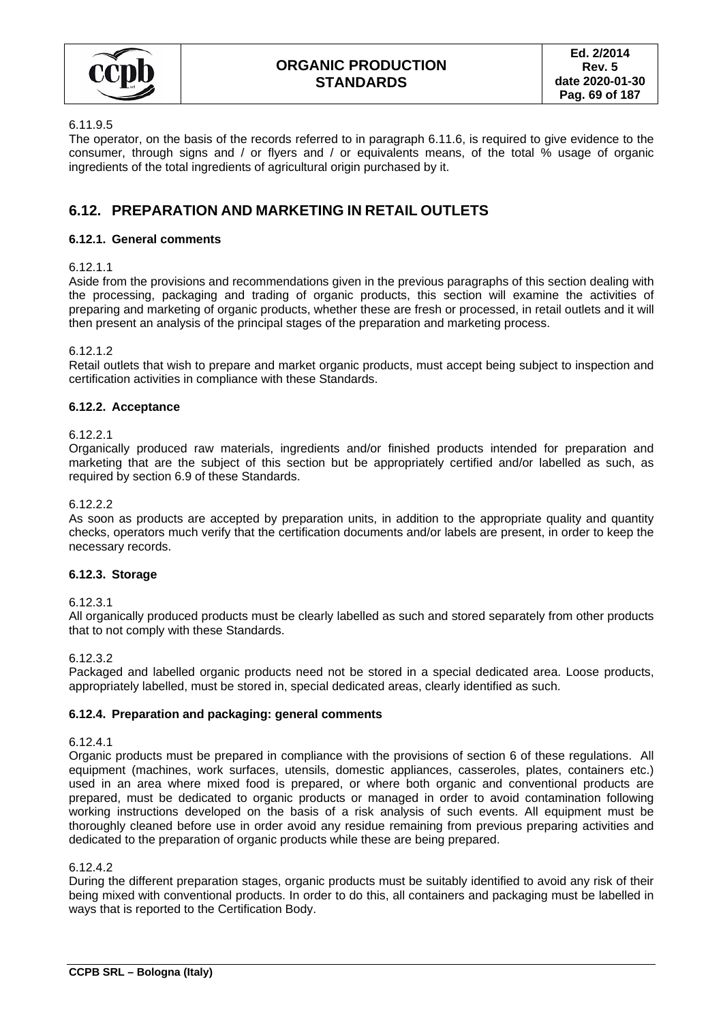

# 6.11.9.5

The operator, on the basis of the records referred to in paragraph 6.11.6, is required to give evidence to the consumer, through signs and / or flyers and / or equivalents means, of the total % usage of organic ingredients of the total ingredients of agricultural origin purchased by it.

# **6.12. PREPARATION AND MARKETING IN RETAIL OUTLETS**

## **6.12.1. General comments**

## 6.12.1.1

Aside from the provisions and recommendations given in the previous paragraphs of this section dealing with the processing, packaging and trading of organic products, this section will examine the activities of preparing and marketing of organic products, whether these are fresh or processed, in retail outlets and it will then present an analysis of the principal stages of the preparation and marketing process.

## 6.12.1.2

Retail outlets that wish to prepare and market organic products, must accept being subject to inspection and certification activities in compliance with these Standards.

## **6.12.2. Acceptance**

## 6.12.2.1

Organically produced raw materials, ingredients and/or finished products intended for preparation and marketing that are the subject of this section but be appropriately certified and/or labelled as such, as required by section 6.9 of these Standards.

### 6.12.2.2

As soon as products are accepted by preparation units, in addition to the appropriate quality and quantity checks, operators much verify that the certification documents and/or labels are present, in order to keep the necessary records.

#### **6.12.3. Storage**

#### 6.12.3.1

All organically produced products must be clearly labelled as such and stored separately from other products that to not comply with these Standards.

#### 6.12.3.2

Packaged and labelled organic products need not be stored in a special dedicated area. Loose products, appropriately labelled, must be stored in, special dedicated areas, clearly identified as such.

#### **6.12.4. Preparation and packaging: general comments**

#### 6.12.4.1

Organic products must be prepared in compliance with the provisions of section 6 of these regulations. All equipment (machines, work surfaces, utensils, domestic appliances, casseroles, plates, containers etc.) used in an area where mixed food is prepared, or where both organic and conventional products are prepared, must be dedicated to organic products or managed in order to avoid contamination following working instructions developed on the basis of a risk analysis of such events. All equipment must be thoroughly cleaned before use in order avoid any residue remaining from previous preparing activities and dedicated to the preparation of organic products while these are being prepared.

## 6.12.4.2

During the different preparation stages, organic products must be suitably identified to avoid any risk of their being mixed with conventional products. In order to do this, all containers and packaging must be labelled in ways that is reported to the Certification Body.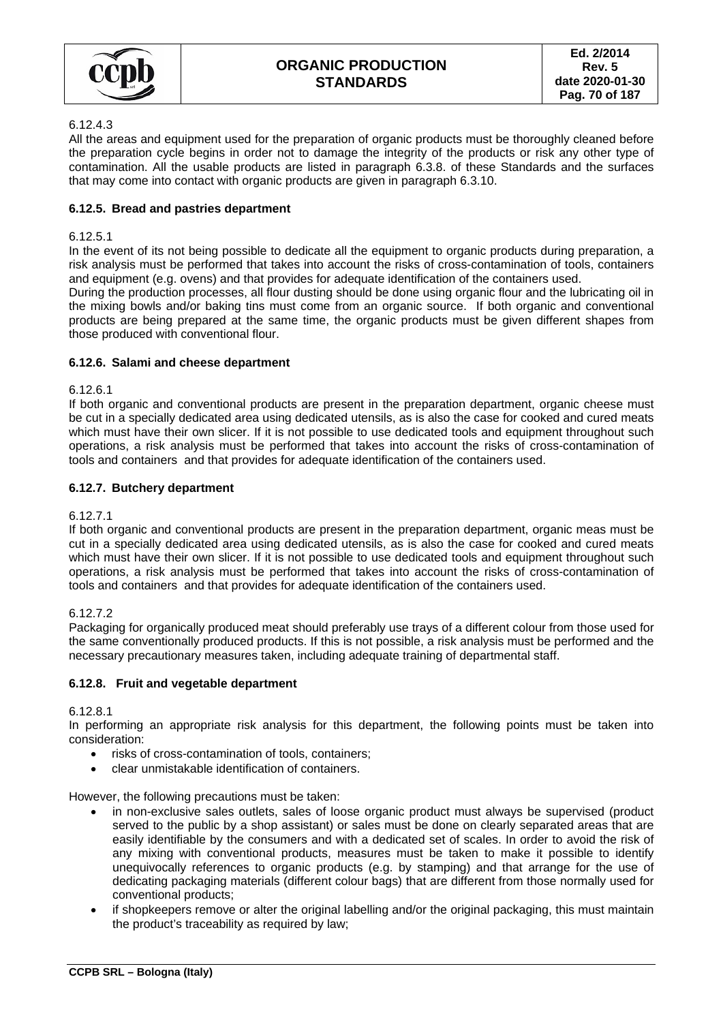

6.12.4.3

All the areas and equipment used for the preparation of organic products must be thoroughly cleaned before the preparation cycle begins in order not to damage the integrity of the products or risk any other type of contamination. All the usable products are listed in paragraph 6.3.8. of these Standards and the surfaces that may come into contact with organic products are given in paragraph 6.3.10.

## **6.12.5. Bread and pastries department**

### 6.12.5.1

In the event of its not being possible to dedicate all the equipment to organic products during preparation, a risk analysis must be performed that takes into account the risks of cross-contamination of tools, containers and equipment (e.g. ovens) and that provides for adequate identification of the containers used.

During the production processes, all flour dusting should be done using organic flour and the lubricating oil in the mixing bowls and/or baking tins must come from an organic source. If both organic and conventional products are being prepared at the same time, the organic products must be given different shapes from those produced with conventional flour.

## **6.12.6. Salami and cheese department**

## 6.12.6.1

If both organic and conventional products are present in the preparation department, organic cheese must be cut in a specially dedicated area using dedicated utensils, as is also the case for cooked and cured meats which must have their own slicer. If it is not possible to use dedicated tools and equipment throughout such operations, a risk analysis must be performed that takes into account the risks of cross-contamination of tools and containers and that provides for adequate identification of the containers used.

## **6.12.7. Butchery department**

6.12.7.1

If both organic and conventional products are present in the preparation department, organic meas must be cut in a specially dedicated area using dedicated utensils, as is also the case for cooked and cured meats which must have their own slicer. If it is not possible to use dedicated tools and equipment throughout such operations, a risk analysis must be performed that takes into account the risks of cross-contamination of tools and containers and that provides for adequate identification of the containers used.

# 6.12.7.2

Packaging for organically produced meat should preferably use trays of a different colour from those used for the same conventionally produced products. If this is not possible, a risk analysis must be performed and the necessary precautionary measures taken, including adequate training of departmental staff.

#### **6.12.8. Fruit and vegetable department**

6.12.8.1

In performing an appropriate risk analysis for this department, the following points must be taken into consideration:

- risks of cross-contamination of tools, containers;
- clear unmistakable identification of containers.

However, the following precautions must be taken:

- in non-exclusive sales outlets, sales of loose organic product must always be supervised (product served to the public by a shop assistant) or sales must be done on clearly separated areas that are easily identifiable by the consumers and with a dedicated set of scales. In order to avoid the risk of any mixing with conventional products, measures must be taken to make it possible to identify unequivocally references to organic products (e.g. by stamping) and that arrange for the use of dedicating packaging materials (different colour bags) that are different from those normally used for conventional products;
- if shopkeepers remove or alter the original labelling and/or the original packaging, this must maintain the product's traceability as required by law;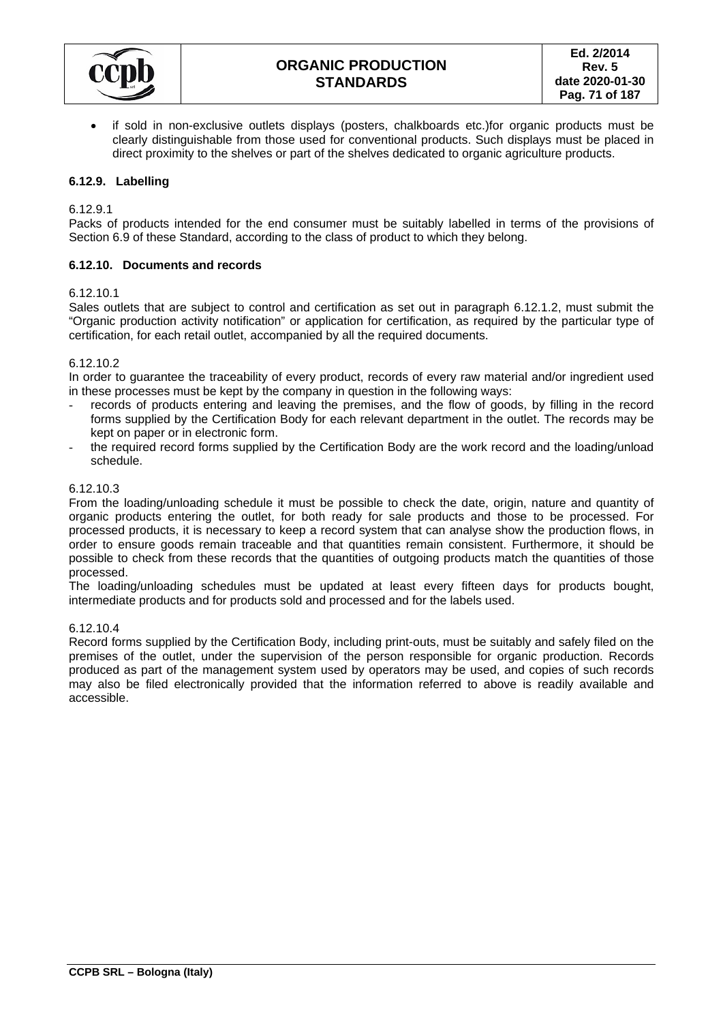

 if sold in non-exclusive outlets displays (posters, chalkboards etc.)for organic products must be clearly distinguishable from those used for conventional products. Such displays must be placed in direct proximity to the shelves or part of the shelves dedicated to organic agriculture products.

## **6.12.9. Labelling**

6.12.9.1

Packs of products intended for the end consumer must be suitably labelled in terms of the provisions of Section 6.9 of these Standard, according to the class of product to which they belong.

## **6.12.10. Documents and records**

#### 6.12.10.1

Sales outlets that are subject to control and certification as set out in paragraph 6.12.1.2, must submit the "Organic production activity notification" or application for certification, as required by the particular type of certification, for each retail outlet, accompanied by all the required documents.

#### 6.12.10.2

In order to guarantee the traceability of every product, records of every raw material and/or ingredient used in these processes must be kept by the company in question in the following ways:

- records of products entering and leaving the premises, and the flow of goods, by filling in the record forms supplied by the Certification Body for each relevant department in the outlet. The records may be kept on paper or in electronic form.
- the required record forms supplied by the Certification Body are the work record and the loading/unload schedule.

#### 6.12.10.3

From the loading/unloading schedule it must be possible to check the date, origin, nature and quantity of organic products entering the outlet, for both ready for sale products and those to be processed. For processed products, it is necessary to keep a record system that can analyse show the production flows, in order to ensure goods remain traceable and that quantities remain consistent. Furthermore, it should be possible to check from these records that the quantities of outgoing products match the quantities of those processed.

The loading/unloading schedules must be updated at least every fifteen days for products bought, intermediate products and for products sold and processed and for the labels used.

#### 6.12.10.4

Record forms supplied by the Certification Body, including print-outs, must be suitably and safely filed on the premises of the outlet, under the supervision of the person responsible for organic production. Records produced as part of the management system used by operators may be used, and copies of such records may also be filed electronically provided that the information referred to above is readily available and accessible.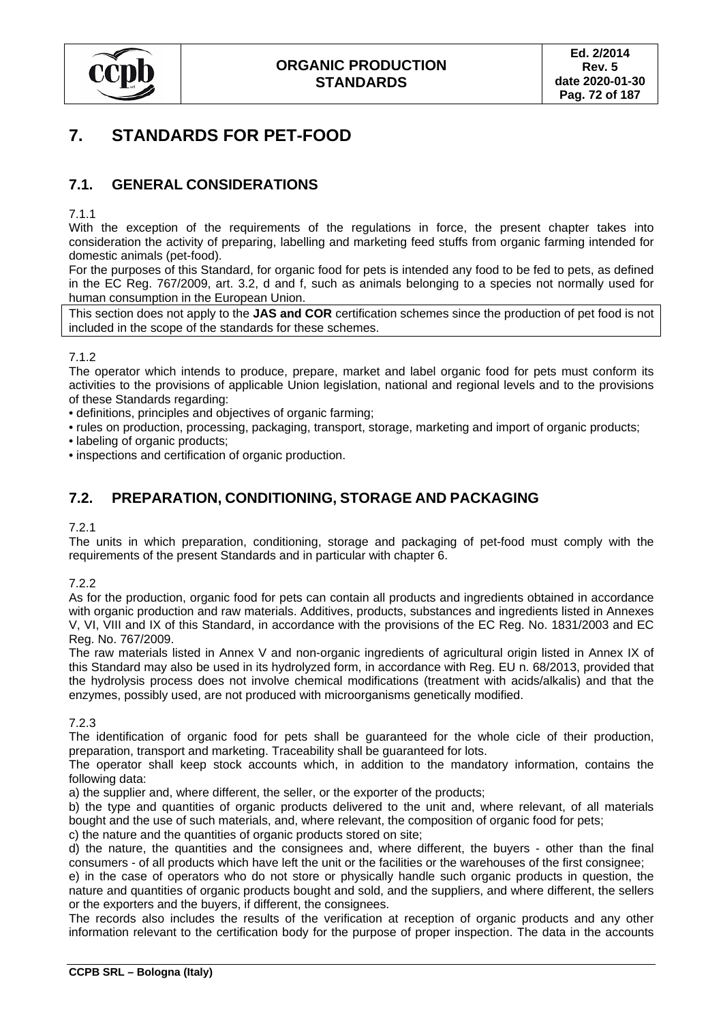

# **7. STANDARDS FOR PET-FOOD**

## **7.1. GENERAL CONSIDERATIONS**

7.1.1

With the exception of the requirements of the regulations in force, the present chapter takes into consideration the activity of preparing, labelling and marketing feed stuffs from organic farming intended for domestic animals (pet-food).

For the purposes of this Standard, for organic food for pets is intended any food to be fed to pets, as defined in the EC Reg. 767/2009, art. 3.2, d and f, such as animals belonging to a species not normally used for human consumption in the European Union.

This section does not apply to the **JAS and COR** certification schemes since the production of pet food is not included in the scope of the standards for these schemes.

## 7.1.2

The operator which intends to produce, prepare, market and label organic food for pets must conform its activities to the provisions of applicable Union legislation, national and regional levels and to the provisions of these Standards regarding:

• definitions, principles and objectives of organic farming;

• rules on production, processing, packaging, transport, storage, marketing and import of organic products;

• labeling of organic products;

• inspections and certification of organic production.

## **7.2. PREPARATION, CONDITIONING, STORAGE AND PACKAGING**

## 7.2.1

The units in which preparation, conditioning, storage and packaging of pet-food must comply with the requirements of the present Standards and in particular with chapter 6.

## 7.2.2

As for the production, organic food for pets can contain all products and ingredients obtained in accordance with organic production and raw materials. Additives, products, substances and ingredients listed in Annexes V, VI, VIII and IX of this Standard, in accordance with the provisions of the EC Reg. No. 1831/2003 and EC Reg. No. 767/2009.

The raw materials listed in Annex V and non-organic ingredients of agricultural origin listed in Annex IX of this Standard may also be used in its hydrolyzed form, in accordance with Reg. EU n. 68/2013, provided that the hydrolysis process does not involve chemical modifications (treatment with acids/alkalis) and that the enzymes, possibly used, are not produced with microorganisms genetically modified.

#### 7.2.3

The identification of organic food for pets shall be guaranteed for the whole cicle of their production, preparation, transport and marketing. Traceability shall be guaranteed for lots.

The operator shall keep stock accounts which, in addition to the mandatory information, contains the following data:

a) the supplier and, where different, the seller, or the exporter of the products;

b) the type and quantities of organic products delivered to the unit and, where relevant, of all materials bought and the use of such materials, and, where relevant, the composition of organic food for pets;

c) the nature and the quantities of organic products stored on site;

d) the nature, the quantities and the consignees and, where different, the buyers - other than the final consumers - of all products which have left the unit or the facilities or the warehouses of the first consignee;

e) in the case of operators who do not store or physically handle such organic products in question, the nature and quantities of organic products bought and sold, and the suppliers, and where different, the sellers or the exporters and the buyers, if different, the consignees.

The records also includes the results of the verification at reception of organic products and any other information relevant to the certification body for the purpose of proper inspection. The data in the accounts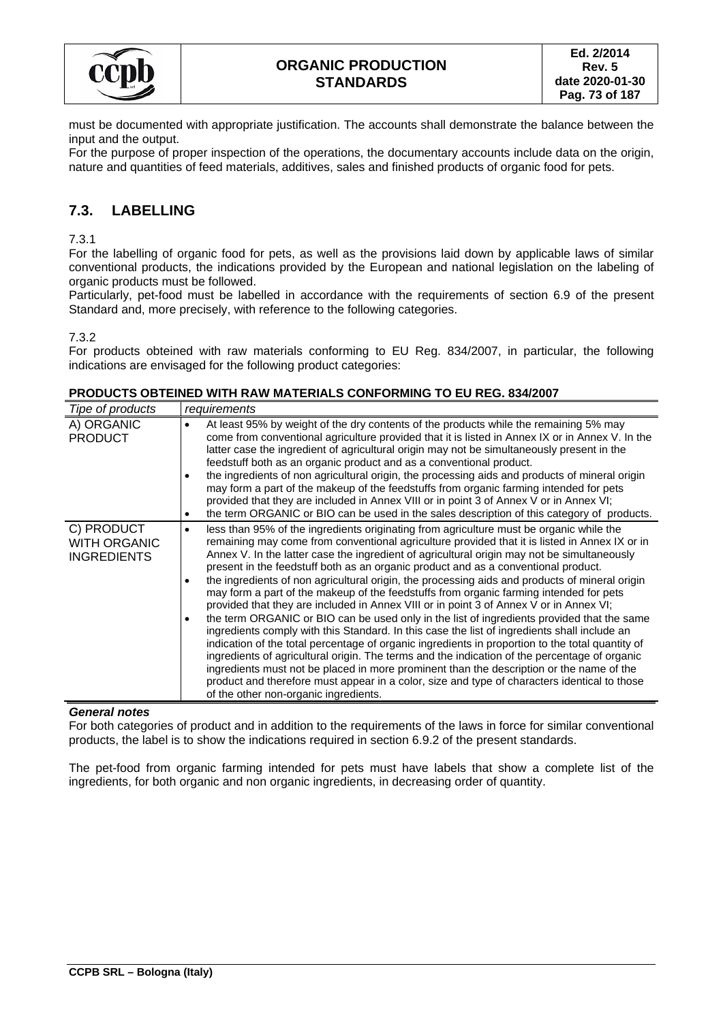

must be documented with appropriate justification. The accounts shall demonstrate the balance between the input and the output.

For the purpose of proper inspection of the operations, the documentary accounts include data on the origin, nature and quantities of feed materials, additives, sales and finished products of organic food for pets.

## **7.3. LABELLING**

7.3.1

For the labelling of organic food for pets, as well as the provisions laid down by applicable laws of similar conventional products, the indications provided by the European and national legislation on the labeling of organic products must be followed.

Particularly, pet-food must be labelled in accordance with the requirements of section 6.9 of the present Standard and, more precisely, with reference to the following categories.

7.3.2

For products obteined with raw materials conforming to EU Reg. 834/2007, in particular, the following indications are envisaged for the following product categories:

## **PRODUCTS OBTEINED WITH RAW MATERIALS CONFORMING TO EU REG. 834/2007**

| Tipe of products                                        | requirements                                                                                                                                                                                                                                                                                                                                                                                                                                                                                                                                                                                                                                                                                                                                                                                                                                                                                                                                                                                                                                                                                                                                                                                                                                                                                                                                       |
|---------------------------------------------------------|----------------------------------------------------------------------------------------------------------------------------------------------------------------------------------------------------------------------------------------------------------------------------------------------------------------------------------------------------------------------------------------------------------------------------------------------------------------------------------------------------------------------------------------------------------------------------------------------------------------------------------------------------------------------------------------------------------------------------------------------------------------------------------------------------------------------------------------------------------------------------------------------------------------------------------------------------------------------------------------------------------------------------------------------------------------------------------------------------------------------------------------------------------------------------------------------------------------------------------------------------------------------------------------------------------------------------------------------------|
| A) ORGANIC<br><b>PRODUCT</b>                            | At least 95% by weight of the dry contents of the products while the remaining 5% may<br>$\bullet$<br>come from conventional agriculture provided that it is listed in Annex IX or in Annex V. In the<br>latter case the ingredient of agricultural origin may not be simultaneously present in the<br>feedstuff both as an organic product and as a conventional product.<br>the ingredients of non agricultural origin, the processing aids and products of mineral origin<br>$\bullet$<br>may form a part of the makeup of the feedstuffs from organic farming intended for pets<br>provided that they are included in Annex VIII or in point 3 of Annex V or in Annex VI;<br>the term ORGANIC or BIO can be used in the sales description of this category of products.<br>$\bullet$                                                                                                                                                                                                                                                                                                                                                                                                                                                                                                                                                           |
| C) PRODUCT<br><b>WITH ORGANIC</b><br><b>INGREDIENTS</b> | less than 95% of the ingredients originating from agriculture must be organic while the<br>$\bullet$<br>remaining may come from conventional agriculture provided that it is listed in Annex IX or in<br>Annex V. In the latter case the ingredient of agricultural origin may not be simultaneously<br>present in the feedstuff both as an organic product and as a conventional product.<br>the ingredients of non agricultural origin, the processing aids and products of mineral origin<br>$\bullet$<br>may form a part of the makeup of the feedstuffs from organic farming intended for pets<br>provided that they are included in Annex VIII or in point 3 of Annex V or in Annex VI;<br>the term ORGANIC or BIO can be used only in the list of ingredients provided that the same<br>$\bullet$<br>ingredients comply with this Standard. In this case the list of ingredients shall include an<br>indication of the total percentage of organic ingredients in proportion to the total quantity of<br>ingredients of agricultural origin. The terms and the indication of the percentage of organic<br>ingredients must not be placed in more prominent than the description or the name of the<br>product and therefore must appear in a color, size and type of characters identical to those<br>of the other non-organic ingredients. |

#### *General notes*

For both categories of product and in addition to the requirements of the laws in force for similar conventional products, the label is to show the indications required in section 6.9.2 of the present standards.

The pet-food from organic farming intended for pets must have labels that show a complete list of the ingredients, for both organic and non organic ingredients, in decreasing order of quantity.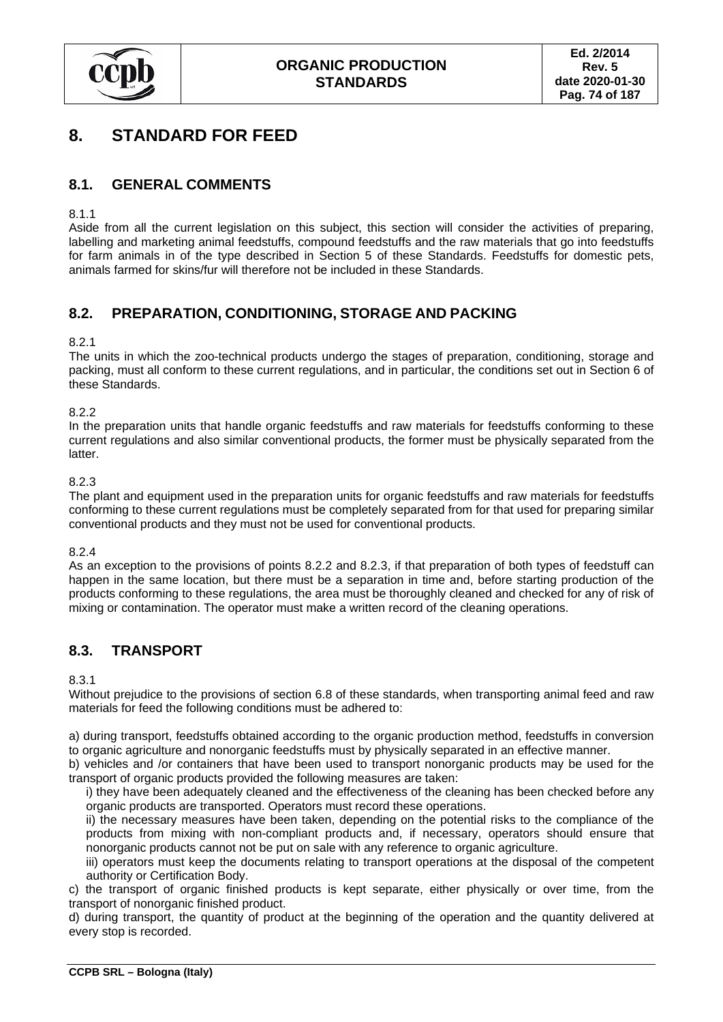

# **8. STANDARD FOR FEED**

## **8.1. GENERAL COMMENTS**

8.1.1

Aside from all the current legislation on this subject, this section will consider the activities of preparing, labelling and marketing animal feedstuffs, compound feedstuffs and the raw materials that go into feedstuffs for farm animals in of the type described in Section 5 of these Standards. Feedstuffs for domestic pets, animals farmed for skins/fur will therefore not be included in these Standards.

## **8.2. PREPARATION, CONDITIONING, STORAGE AND PACKING**

## 8.2.1

The units in which the zoo-technical products undergo the stages of preparation, conditioning, storage and packing, must all conform to these current regulations, and in particular, the conditions set out in Section 6 of these Standards.

## 822

In the preparation units that handle organic feedstuffs and raw materials for feedstuffs conforming to these current regulations and also similar conventional products, the former must be physically separated from the latter.

## 8.2.3

The plant and equipment used in the preparation units for organic feedstuffs and raw materials for feedstuffs conforming to these current regulations must be completely separated from for that used for preparing similar conventional products and they must not be used for conventional products.

#### 8.2.4

As an exception to the provisions of points 8.2.2 and 8.2.3, if that preparation of both types of feedstuff can happen in the same location, but there must be a separation in time and, before starting production of the products conforming to these regulations, the area must be thoroughly cleaned and checked for any of risk of mixing or contamination. The operator must make a written record of the cleaning operations.

## **8.3. TRANSPORT**

8.3.1

Without prejudice to the provisions of section 6.8 of these standards, when transporting animal feed and raw materials for feed the following conditions must be adhered to:

a) during transport, feedstuffs obtained according to the organic production method, feedstuffs in conversion to organic agriculture and nonorganic feedstuffs must by physically separated in an effective manner.

b) vehicles and /or containers that have been used to transport nonorganic products may be used for the transport of organic products provided the following measures are taken:

i) they have been adequately cleaned and the effectiveness of the cleaning has been checked before any organic products are transported. Operators must record these operations.

ii) the necessary measures have been taken, depending on the potential risks to the compliance of the products from mixing with non-compliant products and, if necessary, operators should ensure that nonorganic products cannot not be put on sale with any reference to organic agriculture.

iii) operators must keep the documents relating to transport operations at the disposal of the competent authority or Certification Body.

c) the transport of organic finished products is kept separate, either physically or over time, from the transport of nonorganic finished product.

d) during transport, the quantity of product at the beginning of the operation and the quantity delivered at every stop is recorded.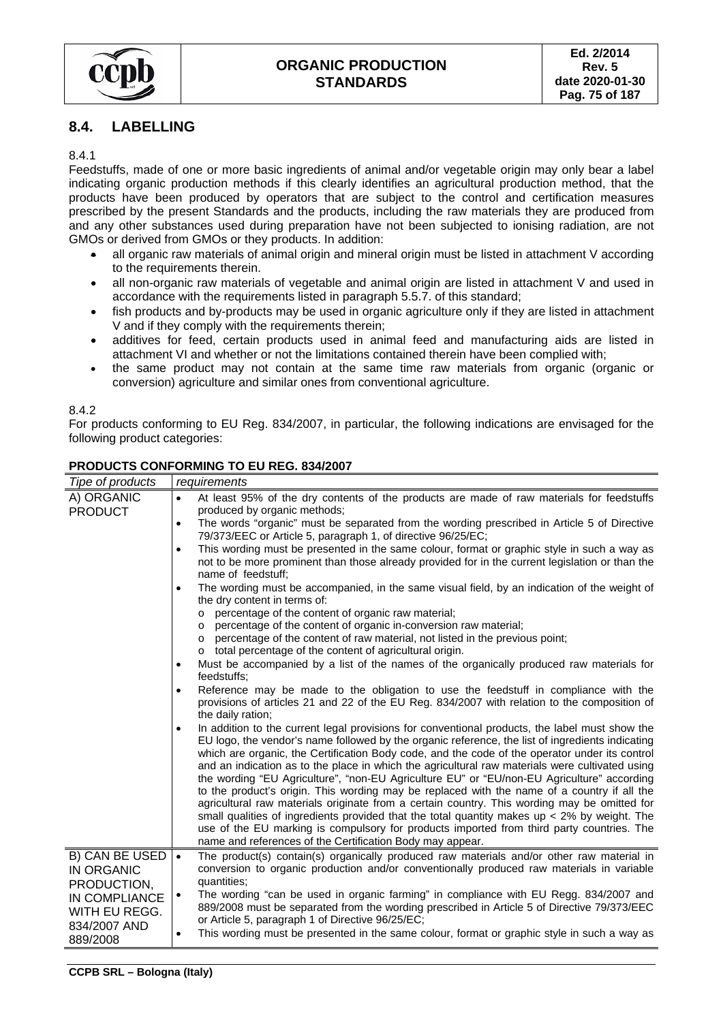

## **8.4. LABELLING**

## 8.4.1

Feedstuffs, made of one or more basic ingredients of animal and/or vegetable origin may only bear a label indicating organic production methods if this clearly identifies an agricultural production method, that the products have been produced by operators that are subject to the control and certification measures prescribed by the present Standards and the products, including the raw materials they are produced from and any other substances used during preparation have not been subjected to ionising radiation, are not GMOs or derived from GMOs or they products. In addition:

- all organic raw materials of animal origin and mineral origin must be listed in attachment V according to the requirements therein.
- all non-organic raw materials of vegetable and animal origin are listed in attachment V and used in accordance with the requirements listed in paragraph 5.5.7. of this standard;
- fish products and by-products may be used in organic agriculture only if they are listed in attachment V and if they comply with the requirements therein;
- additives for feed, certain products used in animal feed and manufacturing aids are listed in attachment VI and whether or not the limitations contained therein have been complied with;
- the same product may not contain at the same time raw materials from organic (organic or conversion) agriculture and similar ones from conventional agriculture.

#### 8.4.2

For products conforming to EU Reg. 834/2007, in particular, the following indications are envisaged for the following product categories:

| Tipe of products                                                                                                        | requirements                                                                                                                                                                                                                                                                                                                                                                                                                                                                                                                                                                                                                                                                                                                                                                                                                                                                                                                                                                                                                                                                                                                                                                                                                                                                                                                                                                                                                                                                                                                                                                                                                                                                                                                                                                                                                                                                                                                                                                                                                                                                                                                                                                                                                                                                                                                  |  |  |  |
|-------------------------------------------------------------------------------------------------------------------------|-------------------------------------------------------------------------------------------------------------------------------------------------------------------------------------------------------------------------------------------------------------------------------------------------------------------------------------------------------------------------------------------------------------------------------------------------------------------------------------------------------------------------------------------------------------------------------------------------------------------------------------------------------------------------------------------------------------------------------------------------------------------------------------------------------------------------------------------------------------------------------------------------------------------------------------------------------------------------------------------------------------------------------------------------------------------------------------------------------------------------------------------------------------------------------------------------------------------------------------------------------------------------------------------------------------------------------------------------------------------------------------------------------------------------------------------------------------------------------------------------------------------------------------------------------------------------------------------------------------------------------------------------------------------------------------------------------------------------------------------------------------------------------------------------------------------------------------------------------------------------------------------------------------------------------------------------------------------------------------------------------------------------------------------------------------------------------------------------------------------------------------------------------------------------------------------------------------------------------------------------------------------------------------------------------------------------------|--|--|--|
| A) ORGANIC<br><b>PRODUCT</b>                                                                                            | At least 95% of the dry contents of the products are made of raw materials for feedstuffs<br>$\bullet$<br>produced by organic methods;<br>The words "organic" must be separated from the wording prescribed in Article 5 of Directive<br>$\bullet$<br>79/373/EEC or Article 5, paragraph 1, of directive 96/25/EC;<br>This wording must be presented in the same colour, format or graphic style in such a way as<br>$\bullet$<br>not to be more prominent than those already provided for in the current legislation or than the<br>name of feedstuff:<br>The wording must be accompanied, in the same visual field, by an indication of the weight of<br>$\bullet$<br>the dry content in terms of:<br>o percentage of the content of organic raw material;<br>percentage of the content of organic in-conversion raw material;<br>$\Omega$<br>o percentage of the content of raw material, not listed in the previous point;<br>o total percentage of the content of agricultural origin.<br>Must be accompanied by a list of the names of the organically produced raw materials for<br>$\bullet$<br>feedstuffs;<br>Reference may be made to the obligation to use the feedstuff in compliance with the<br>$\bullet$<br>provisions of articles 21 and 22 of the EU Reg. 834/2007 with relation to the composition of<br>the daily ration;<br>In addition to the current legal provisions for conventional products, the label must show the<br>$\bullet$<br>EU logo, the vendor's name followed by the organic reference, the list of ingredients indicating<br>which are organic, the Certification Body code, and the code of the operator under its control<br>and an indication as to the place in which the agricultural raw materials were cultivated using<br>the wording "EU Agriculture", "non-EU Agriculture EU" or "EU/non-EU Agriculture" according<br>to the product's origin. This wording may be replaced with the name of a country if all the<br>agricultural raw materials originate from a certain country. This wording may be omitted for<br>small qualities of ingredients provided that the total quantity makes up $<$ 2% by weight. The<br>use of the EU marking is compulsory for products imported from third party countries. The<br>name and references of the Certification Body may appear. |  |  |  |
| <b>B) CAN BE USED</b><br><b>IN ORGANIC</b><br>PRODUCTION,<br>IN COMPLIANCE<br>WITH EU REGG.<br>834/2007 AND<br>889/2008 | The product(s) contain(s) organically produced raw materials and/or other raw material in<br>$\bullet$<br>conversion to organic production and/or conventionally produced raw materials in variable<br>quantities;<br>The wording "can be used in organic farming" in compliance with EU Regg. 834/2007 and<br>$\bullet$<br>889/2008 must be separated from the wording prescribed in Article 5 of Directive 79/373/EEC<br>or Article 5, paragraph 1 of Directive 96/25/EC;<br>This wording must be presented in the same colour, format or graphic style in such a way as<br>$\bullet$                                                                                                                                                                                                                                                                                                                                                                                                                                                                                                                                                                                                                                                                                                                                                                                                                                                                                                                                                                                                                                                                                                                                                                                                                                                                                                                                                                                                                                                                                                                                                                                                                                                                                                                                       |  |  |  |

## **PRODUCTS CONFORMING TO EU REG. 834/2007**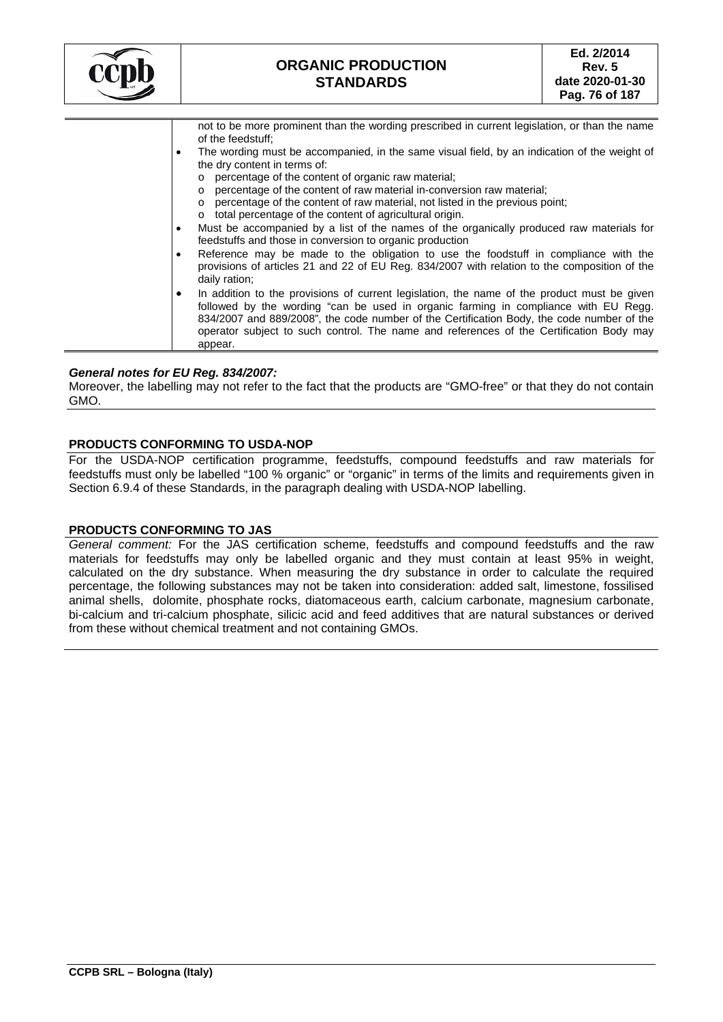

not to be more prominent than the wording prescribed in current legislation, or than the name of the feedstuff;

- The wording must be accompanied, in the same visual field, by an indication of the weight of the dry content in terms of:
	- o percentage of the content of organic raw material;
	- o percentage of the content of raw material in-conversion raw material;
	- o percentage of the content of raw material, not listed in the previous point;
	- o total percentage of the content of agricultural origin.
- Must be accompanied by a list of the names of the organically produced raw materials for feedstuffs and those in conversion to organic production
- Reference may be made to the obligation to use the foodstuff in compliance with the provisions of articles 21 and 22 of EU Reg. 834/2007 with relation to the composition of the daily ration;
- In addition to the provisions of current legislation, the name of the product must be given followed by the wording "can be used in organic farming in compliance with EU Regg. 834/2007 and 889/2008", the code number of the Certification Body, the code number of the operator subject to such control. The name and references of the Certification Body may appear.

## *General notes for EU Reg. 834/2007:*

Moreover, the labelling may not refer to the fact that the products are "GMO-free" or that they do not contain GMO.

## **PRODUCTS CONFORMING TO USDA-NOP**

For the USDA-NOP certification programme, feedstuffs, compound feedstuffs and raw materials for feedstuffs must only be labelled "100 % organic" or "organic" in terms of the limits and requirements given in Section 6.9.4 of these Standards, in the paragraph dealing with USDA-NOP labelling.

#### **PRODUCTS CONFORMING TO JAS**

*General comment:* For the JAS certification scheme, feedstuffs and compound feedstuffs and the raw materials for feedstuffs may only be labelled organic and they must contain at least 95% in weight, calculated on the dry substance. When measuring the dry substance in order to calculate the required percentage, the following substances may not be taken into consideration: added salt, limestone, fossilised animal shells, dolomite, phosphate rocks, diatomaceous earth, calcium carbonate, magnesium carbonate, bi-calcium and tri-calcium phosphate, silicic acid and feed additives that are natural substances or derived from these without chemical treatment and not containing GMOs.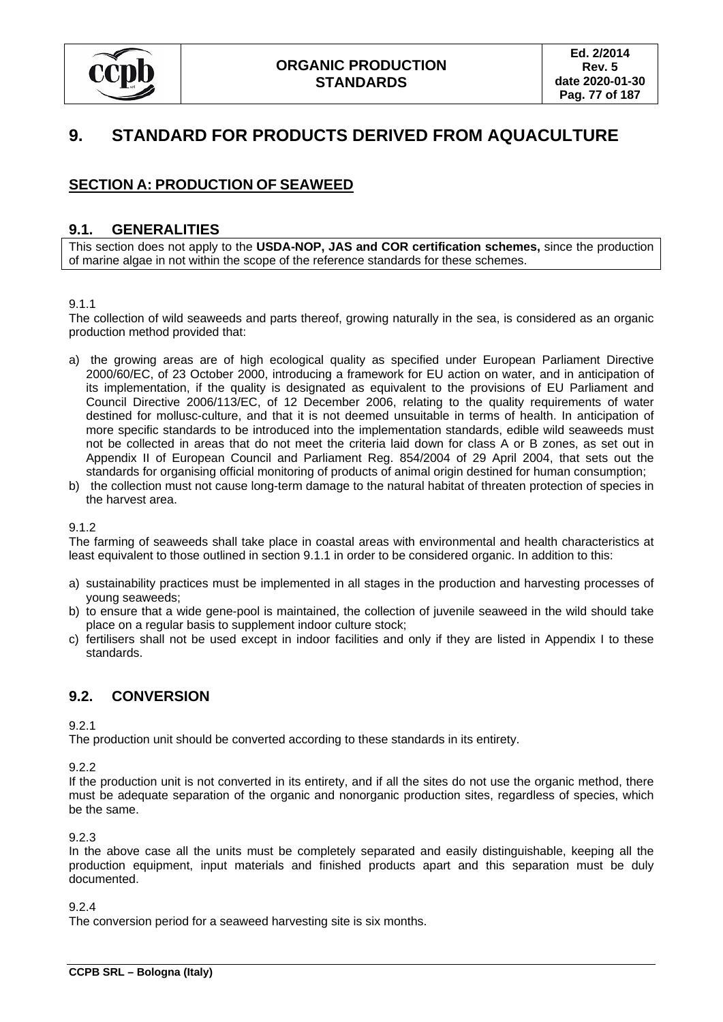

# **9. STANDARD FOR PRODUCTS DERIVED FROM AQUACULTURE**

## **SECTION A: PRODUCTION OF SEAWEED**

## **9.1. GENERALITIES**

This section does not apply to the **USDA-NOP, JAS and COR certification schemes,** since the production of marine algae in not within the scope of the reference standards for these schemes.

## 9.1.1

The collection of wild seaweeds and parts thereof, growing naturally in the sea, is considered as an organic production method provided that:

- a) the growing areas are of high ecological quality as specified under European Parliament Directive 2000/60/EC, of 23 October 2000, introducing a framework for EU action on water, and in anticipation of its implementation, if the quality is designated as equivalent to the provisions of EU Parliament and Council Directive 2006/113/EC, of 12 December 2006, relating to the quality requirements of water destined for mollusc-culture, and that it is not deemed unsuitable in terms of health. In anticipation of more specific standards to be introduced into the implementation standards, edible wild seaweeds must not be collected in areas that do not meet the criteria laid down for class A or B zones, as set out in Appendix II of European Council and Parliament Reg. 854/2004 of 29 April 2004, that sets out the standards for organising official monitoring of products of animal origin destined for human consumption;
- b) the collection must not cause long-term damage to the natural habitat of threaten protection of species in the harvest area.

## 9.1.2

The farming of seaweeds shall take place in coastal areas with environmental and health characteristics at least equivalent to those outlined in section 9.1.1 in order to be considered organic. In addition to this:

- a) sustainability practices must be implemented in all stages in the production and harvesting processes of young seaweeds;
- b) to ensure that a wide gene-pool is maintained, the collection of juvenile seaweed in the wild should take place on a regular basis to supplement indoor culture stock;
- c) fertilisers shall not be used except in indoor facilities and only if they are listed in Appendix I to these standards.

## **9.2. CONVERSION**

9.2.1

The production unit should be converted according to these standards in its entirety.

9.2.2

If the production unit is not converted in its entirety, and if all the sites do not use the organic method, there must be adequate separation of the organic and nonorganic production sites, regardless of species, which be the same.

9.2.3

In the above case all the units must be completely separated and easily distinguishable, keeping all the production equipment, input materials and finished products apart and this separation must be duly documented.

9.2.4

The conversion period for a seaweed harvesting site is six months.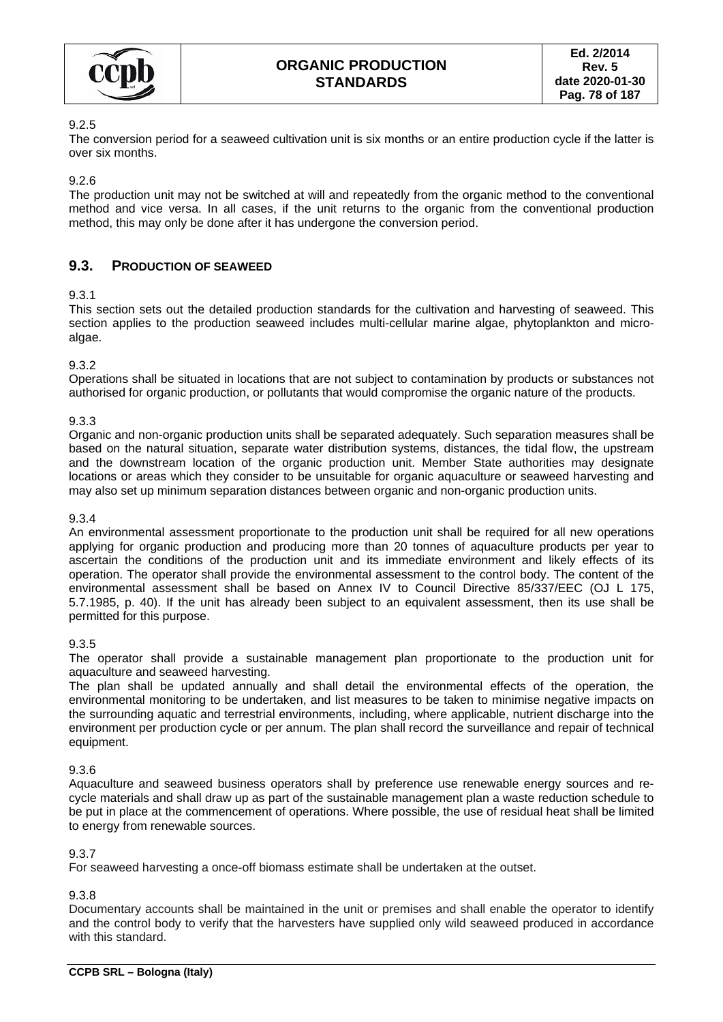

## 9.2.5

The conversion period for a seaweed cultivation unit is six months or an entire production cycle if the latter is over six months.

#### 9.2.6

The production unit may not be switched at will and repeatedly from the organic method to the conventional method and vice versa. In all cases, if the unit returns to the organic from the conventional production method, this may only be done after it has undergone the conversion period.

## **9.3. PRODUCTION OF SEAWEED**

#### 9.3.1

This section sets out the detailed production standards for the cultivation and harvesting of seaweed. This section applies to the production seaweed includes multi-cellular marine algae, phytoplankton and microalgae.

9.3.2

Operations shall be situated in locations that are not subject to contamination by products or substances not authorised for organic production, or pollutants that would compromise the organic nature of the products.

9.3.3

Organic and non-organic production units shall be separated adequately. Such separation measures shall be based on the natural situation, separate water distribution systems, distances, the tidal flow, the upstream and the downstream location of the organic production unit. Member State authorities may designate locations or areas which they consider to be unsuitable for organic aquaculture or seaweed harvesting and may also set up minimum separation distances between organic and non-organic production units.

#### $9.3<sub>4</sub>$

An environmental assessment proportionate to the production unit shall be required for all new operations applying for organic production and producing more than 20 tonnes of aquaculture products per year to ascertain the conditions of the production unit and its immediate environment and likely effects of its operation. The operator shall provide the environmental assessment to the control body. The content of the environmental assessment shall be based on Annex IV to Council Directive 85/337/EEC (OJ L 175, 5.7.1985, p. 40). If the unit has already been subject to an equivalent assessment, then its use shall be permitted for this purpose.

#### 9.3.5

The operator shall provide a sustainable management plan proportionate to the production unit for aquaculture and seaweed harvesting.

The plan shall be updated annually and shall detail the environmental effects of the operation, the environmental monitoring to be undertaken, and list measures to be taken to minimise negative impacts on the surrounding aquatic and terrestrial environments, including, where applicable, nutrient discharge into the environment per production cycle or per annum. The plan shall record the surveillance and repair of technical equipment.

#### 9.3.6

Aquaculture and seaweed business operators shall by preference use renewable energy sources and recycle materials and shall draw up as part of the sustainable management plan a waste reduction schedule to be put in place at the commencement of operations. Where possible, the use of residual heat shall be limited to energy from renewable sources.

## 9.3.7

For seaweed harvesting a once-off biomass estimate shall be undertaken at the outset.

## 9.3.8

Documentary accounts shall be maintained in the unit or premises and shall enable the operator to identify and the control body to verify that the harvesters have supplied only wild seaweed produced in accordance with this standard.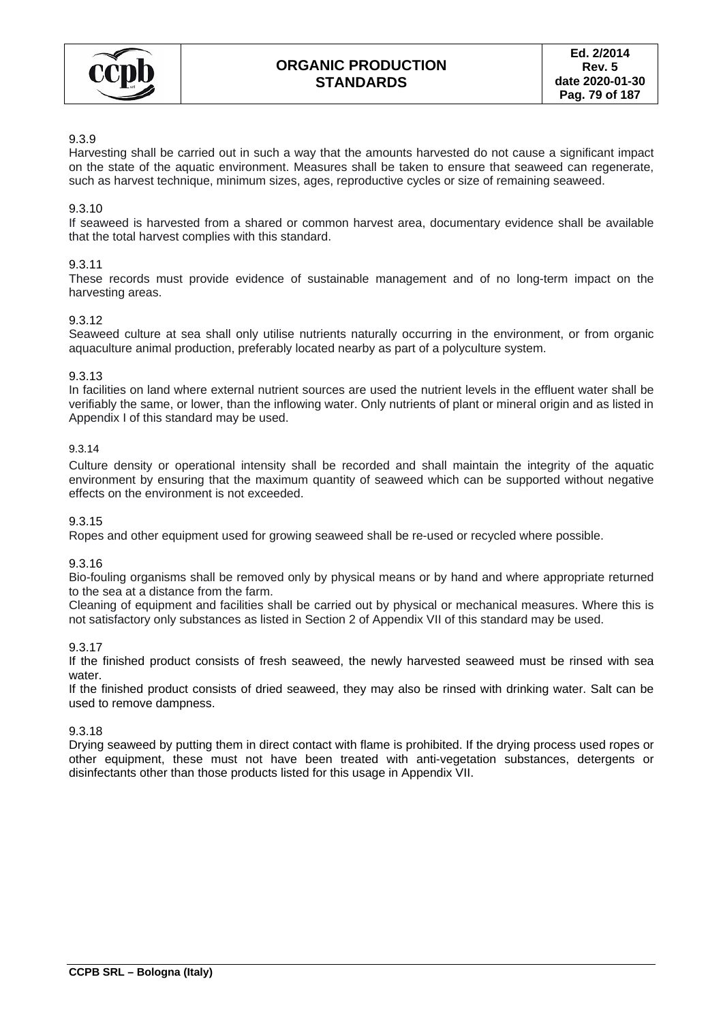

## 9.3.9

Harvesting shall be carried out in such a way that the amounts harvested do not cause a significant impact on the state of the aquatic environment. Measures shall be taken to ensure that seaweed can regenerate, such as harvest technique, minimum sizes, ages, reproductive cycles or size of remaining seaweed.

#### 9.3.10

If seaweed is harvested from a shared or common harvest area, documentary evidence shall be available that the total harvest complies with this standard.

#### 9.3.11

These records must provide evidence of sustainable management and of no long-term impact on the harvesting areas.

#### 9.3.12

Seaweed culture at sea shall only utilise nutrients naturally occurring in the environment, or from organic aquaculture animal production, preferably located nearby as part of a polyculture system.

#### 9.3.13

In facilities on land where external nutrient sources are used the nutrient levels in the effluent water shall be verifiably the same, or lower, than the inflowing water. Only nutrients of plant or mineral origin and as listed in Appendix I of this standard may be used.

#### 9.3.14

Culture density or operational intensity shall be recorded and shall maintain the integrity of the aquatic environment by ensuring that the maximum quantity of seaweed which can be supported without negative effects on the environment is not exceeded.

#### 9.3.15

Ropes and other equipment used for growing seaweed shall be re-used or recycled where possible.

#### 9.3.16

Bio-fouling organisms shall be removed only by physical means or by hand and where appropriate returned to the sea at a distance from the farm.

Cleaning of equipment and facilities shall be carried out by physical or mechanical measures. Where this is not satisfactory only substances as listed in Section 2 of Appendix VII of this standard may be used.

#### 9.3.17

If the finished product consists of fresh seaweed, the newly harvested seaweed must be rinsed with sea water.

If the finished product consists of dried seaweed, they may also be rinsed with drinking water. Salt can be used to remove dampness.

#### 9.3.18

Drying seaweed by putting them in direct contact with flame is prohibited. If the drying process used ropes or other equipment, these must not have been treated with anti-vegetation substances, detergents or disinfectants other than those products listed for this usage in Appendix VII.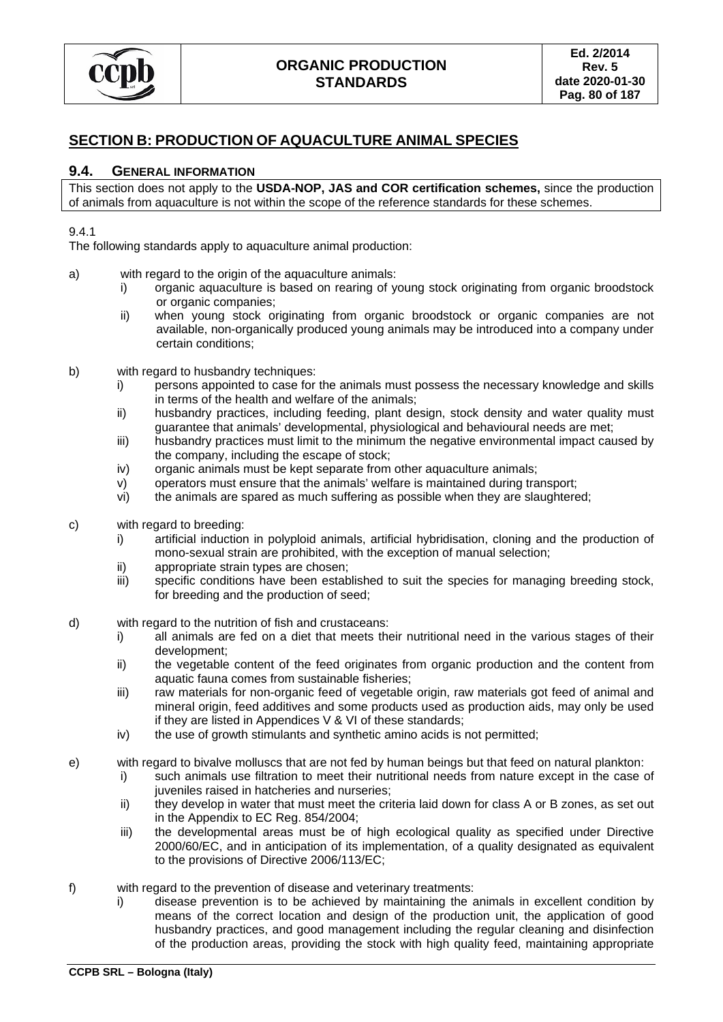

## **SECTION B: PRODUCTION OF AQUACULTURE ANIMAL SPECIES**

## **9.4. GENERAL INFORMATION**

This section does not apply to the **USDA-NOP, JAS and COR certification schemes,** since the production of animals from aquaculture is not within the scope of the reference standards for these schemes.

## 9.4.1

The following standards apply to aquaculture animal production:

- a) with regard to the origin of the aquaculture animals:
	- i) organic aquaculture is based on rearing of young stock originating from organic broodstock or organic companies;
	- ii) when young stock originating from organic broodstock or organic companies are not available, non-organically produced young animals may be introduced into a company under certain conditions;
- b) with regard to husbandry techniques:
	- i) persons appointed to case for the animals must possess the necessary knowledge and skills in terms of the health and welfare of the animals;
	- ii) husbandry practices, including feeding, plant design, stock density and water quality must guarantee that animals' developmental, physiological and behavioural needs are met;
	- iii) husbandry practices must limit to the minimum the negative environmental impact caused by the company, including the escape of stock;
	- iv) organic animals must be kept separate from other aquaculture animals;
	- v) operators must ensure that the animals' welfare is maintained during transport;
	- vi) the animals are spared as much suffering as possible when they are slaughtered;
- c) with regard to breeding:
	- i) artificial induction in polyploid animals, artificial hybridisation, cloning and the production of mono-sexual strain are prohibited, with the exception of manual selection;
	- ii) appropriate strain types are chosen;
	- iii) specific conditions have been established to suit the species for managing breeding stock, for breeding and the production of seed;
- d) with regard to the nutrition of fish and crustaceans:
	- i) all animals are fed on a diet that meets their nutritional need in the various stages of their development;
	- ii) the vegetable content of the feed originates from organic production and the content from aquatic fauna comes from sustainable fisheries;
	- iii) raw materials for non-organic feed of vegetable origin, raw materials got feed of animal and mineral origin, feed additives and some products used as production aids, may only be used if they are listed in Appendices V & VI of these standards;
	- iv) the use of growth stimulants and synthetic amino acids is not permitted;
- e) with regard to bivalve molluscs that are not fed by human beings but that feed on natural plankton:
	- i) such animals use filtration to meet their nutritional needs from nature except in the case of juveniles raised in hatcheries and nurseries;
	- ii) they develop in water that must meet the criteria laid down for class A or B zones, as set out in the Appendix to EC Reg. 854/2004;
	- iii) the developmental areas must be of high ecological quality as specified under Directive 2000/60/EC, and in anticipation of its implementation, of a quality designated as equivalent to the provisions of Directive 2006/113/EC;
- f) with regard to the prevention of disease and veterinary treatments:
	- i) disease prevention is to be achieved by maintaining the animals in excellent condition by means of the correct location and design of the production unit, the application of good husbandry practices, and good management including the regular cleaning and disinfection of the production areas, providing the stock with high quality feed, maintaining appropriate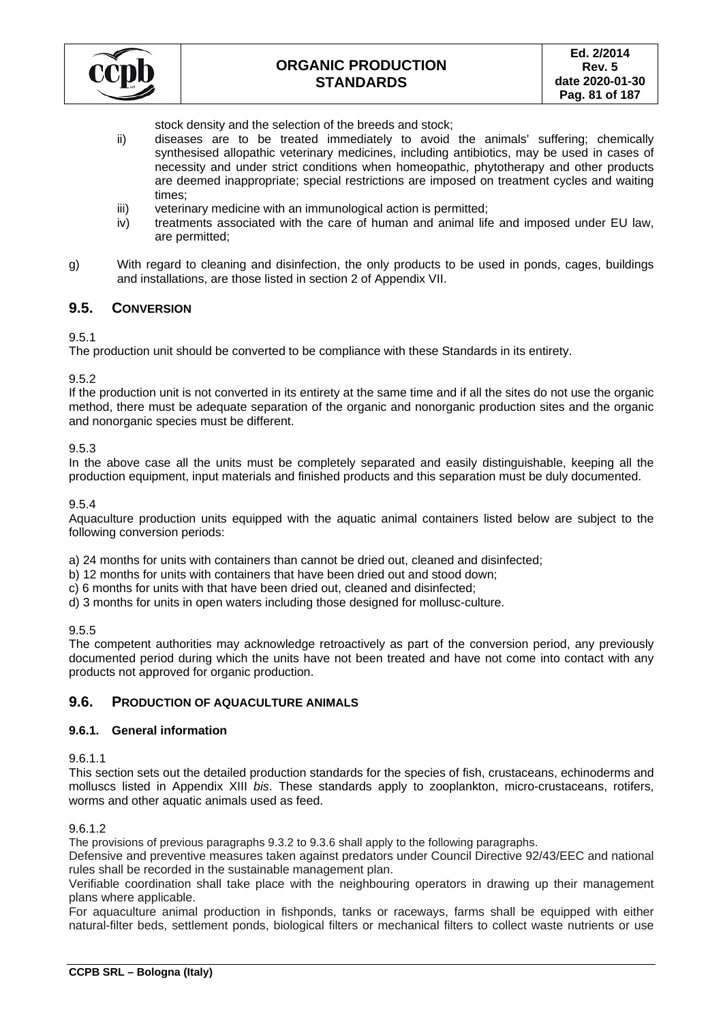

- stock density and the selection of the breeds and stock;
- ii) diseases are to be treated immediately to avoid the animals' suffering; chemically synthesised allopathic veterinary medicines, including antibiotics, may be used in cases of necessity and under strict conditions when homeopathic, phytotherapy and other products are deemed inappropriate; special restrictions are imposed on treatment cycles and waiting times;
- iii) veterinary medicine with an immunological action is permitted;
- iv) treatments associated with the care of human and animal life and imposed under EU law, are permitted;
- g) With regard to cleaning and disinfection, the only products to be used in ponds, cages, buildings and installations, are those listed in section 2 of Appendix VII.

## **9.5. CONVERSION**

## 9.5.1

The production unit should be converted to be compliance with these Standards in its entirety.

## 9.5.2

If the production unit is not converted in its entirety at the same time and if all the sites do not use the organic method, there must be adequate separation of the organic and nonorganic production sites and the organic and nonorganic species must be different.

## 9.5.3

In the above case all the units must be completely separated and easily distinguishable, keeping all the production equipment, input materials and finished products and this separation must be duly documented.

## 9.5.4

Aquaculture production units equipped with the aquatic animal containers listed below are subject to the following conversion periods:

a) 24 months for units with containers than cannot be dried out, cleaned and disinfected;

b) 12 months for units with containers that have been dried out and stood down;

c) 6 months for units with that have been dried out, cleaned and disinfected;

d) 3 months for units in open waters including those designed for mollusc-culture.

## 9.5.5

The competent authorities may acknowledge retroactively as part of the conversion period, any previously documented period during which the units have not been treated and have not come into contact with any products not approved for organic production.

## **9.6. PRODUCTION OF AQUACULTURE ANIMALS**

## **9.6.1. General information**

## 9.6.1.1

This section sets out the detailed production standards for the species of fish, crustaceans, echinoderms and molluscs listed in Appendix XIII *bis*. These standards apply to zooplankton, micro-crustaceans, rotifers, worms and other aquatic animals used as feed.

## 9.6.1.2

The provisions of previous paragraphs 9.3.2 to 9.3.6 shall apply to the following paragraphs.

Defensive and preventive measures taken against predators under Council Directive 92/43/EEC and national rules shall be recorded in the sustainable management plan.

Verifiable coordination shall take place with the neighbouring operators in drawing up their management plans where applicable.

For aquaculture animal production in fishponds, tanks or raceways, farms shall be equipped with either natural-filter beds, settlement ponds, biological filters or mechanical filters to collect waste nutrients or use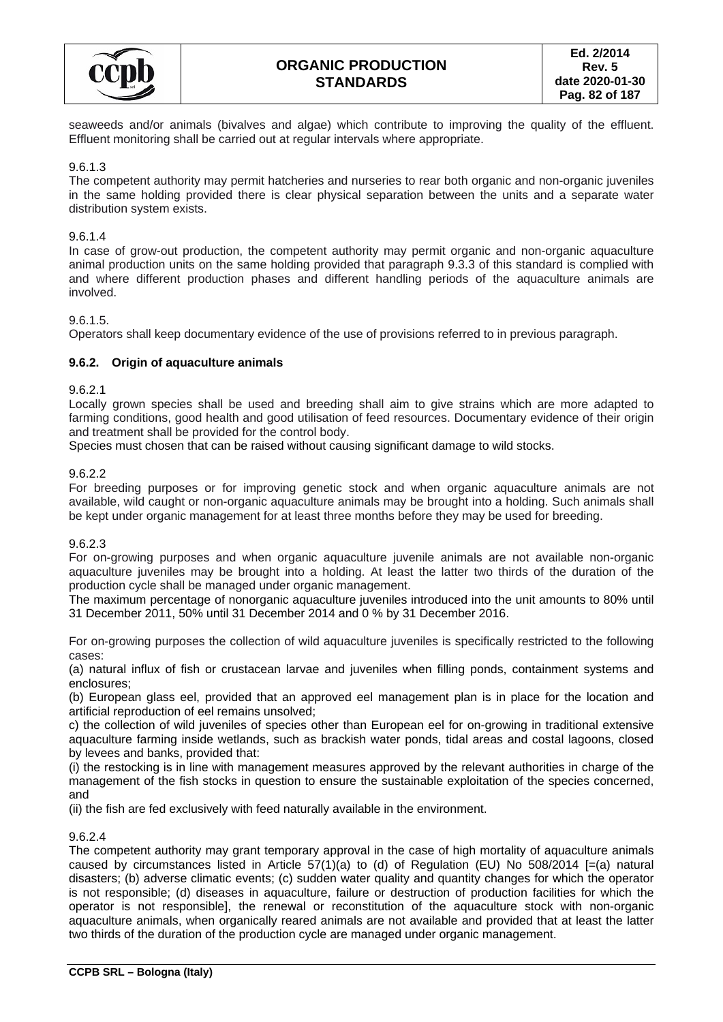

seaweeds and/or animals (bivalves and algae) which contribute to improving the quality of the effluent. Effluent monitoring shall be carried out at regular intervals where appropriate.

## 9.6.1.3

The competent authority may permit hatcheries and nurseries to rear both organic and non-organic juveniles in the same holding provided there is clear physical separation between the units and a separate water distribution system exists.

#### 9.6.1.4

In case of grow-out production, the competent authority may permit organic and non-organic aquaculture animal production units on the same holding provided that paragraph 9.3.3 of this standard is complied with and where different production phases and different handling periods of the aquaculture animals are involved.

## 9.6.1.5.

Operators shall keep documentary evidence of the use of provisions referred to in previous paragraph.

## **9.6.2. Origin of aquaculture animals**

## 9.6.2.1

Locally grown species shall be used and breeding shall aim to give strains which are more adapted to farming conditions, good health and good utilisation of feed resources. Documentary evidence of their origin and treatment shall be provided for the control body.

Species must chosen that can be raised without causing significant damage to wild stocks.

## 9.6.2.2

For breeding purposes or for improving genetic stock and when organic aquaculture animals are not available, wild caught or non-organic aquaculture animals may be brought into a holding. Such animals shall be kept under organic management for at least three months before they may be used for breeding.

## 9.6.2.3

For on-growing purposes and when organic aquaculture juvenile animals are not available non-organic aquaculture juveniles may be brought into a holding. At least the latter two thirds of the duration of the production cycle shall be managed under organic management.

The maximum percentage of nonorganic aquaculture juveniles introduced into the unit amounts to 80% until 31 December 2011, 50% until 31 December 2014 and 0 % by 31 December 2016.

For on-growing purposes the collection of wild aquaculture juveniles is specifically restricted to the following cases:

(a) natural influx of fish or crustacean larvae and juveniles when filling ponds, containment systems and enclosures;

(b) European glass eel, provided that an approved eel management plan is in place for the location and artificial reproduction of eel remains unsolved;

c) the collection of wild juveniles of species other than European eel for on-growing in traditional extensive aquaculture farming inside wetlands, such as brackish water ponds, tidal areas and costal lagoons, closed by levees and banks, provided that:

(i) the restocking is in line with management measures approved by the relevant authorities in charge of the management of the fish stocks in question to ensure the sustainable exploitation of the species concerned, and

(ii) the fish are fed exclusively with feed naturally available in the environment.

## 9.6.2.4

The competent authority may grant temporary approval in the case of high mortality of aquaculture animals caused by circumstances listed in Article 57(1)(a) to (d) of Regulation (EU) No 508/2014 [=(a) natural disasters; (b) adverse climatic events; (c) sudden water quality and quantity changes for which the operator is not responsible; (d) diseases in aquaculture, failure or destruction of production facilities for which the operator is not responsible], the renewal or reconstitution of the aquaculture stock with non-organic aquaculture animals, when organically reared animals are not available and provided that at least the latter two thirds of the duration of the production cycle are managed under organic management.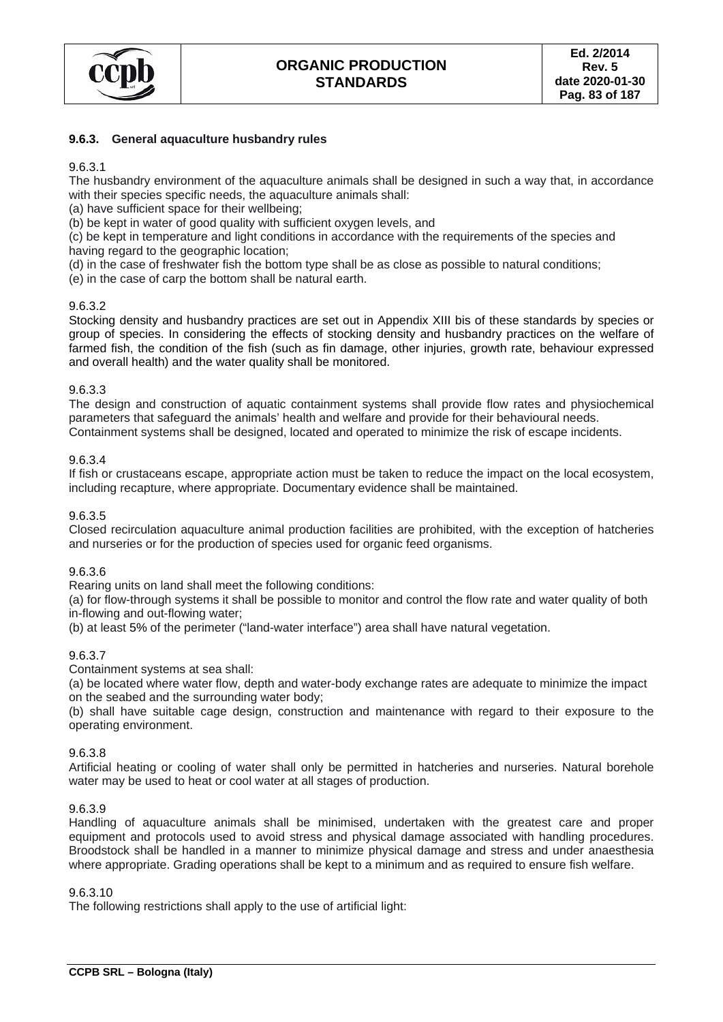

## **9.6.3. General aquaculture husbandry rules**

#### 9.6.3.1

The husbandry environment of the aquaculture animals shall be designed in such a way that, in accordance with their species specific needs, the aquaculture animals shall:

(a) have sufficient space for their wellbeing;

(b) be kept in water of good quality with sufficient oxygen levels, and

(c) be kept in temperature and light conditions in accordance with the requirements of the species and having regard to the geographic location;

(d) in the case of freshwater fish the bottom type shall be as close as possible to natural conditions;

(e) in the case of carp the bottom shall be natural earth.

## 9.6.3.2

Stocking density and husbandry practices are set out in Appendix XIII bis of these standards by species or group of species. In considering the effects of stocking density and husbandry practices on the welfare of farmed fish, the condition of the fish (such as fin damage, other injuries, growth rate, behaviour expressed and overall health) and the water quality shall be monitored.

#### 9.6.3.3

The design and construction of aquatic containment systems shall provide flow rates and physiochemical parameters that safeguard the animals' health and welfare and provide for their behavioural needs. Containment systems shall be designed, located and operated to minimize the risk of escape incidents.

## 9.6.3.4

If fish or crustaceans escape, appropriate action must be taken to reduce the impact on the local ecosystem, including recapture, where appropriate. Documentary evidence shall be maintained.

#### 9.6.3.5

Closed recirculation aquaculture animal production facilities are prohibited, with the exception of hatcheries and nurseries or for the production of species used for organic feed organisms.

#### 9.6.3.6

Rearing units on land shall meet the following conditions:

(a) for flow-through systems it shall be possible to monitor and control the flow rate and water quality of both in-flowing and out-flowing water;

(b) at least 5% of the perimeter ("land-water interface") area shall have natural vegetation.

## 9.6.3.7

Containment systems at sea shall:

(a) be located where water flow, depth and water-body exchange rates are adequate to minimize the impact on the seabed and the surrounding water body;

(b) shall have suitable cage design, construction and maintenance with regard to their exposure to the operating environment.

#### 9.6.3.8

Artificial heating or cooling of water shall only be permitted in hatcheries and nurseries. Natural borehole water may be used to heat or cool water at all stages of production.

#### 9.6.3.9

Handling of aquaculture animals shall be minimised, undertaken with the greatest care and proper equipment and protocols used to avoid stress and physical damage associated with handling procedures. Broodstock shall be handled in a manner to minimize physical damage and stress and under anaesthesia where appropriate. Grading operations shall be kept to a minimum and as required to ensure fish welfare.

#### 9.6.3.10

The following restrictions shall apply to the use of artificial light: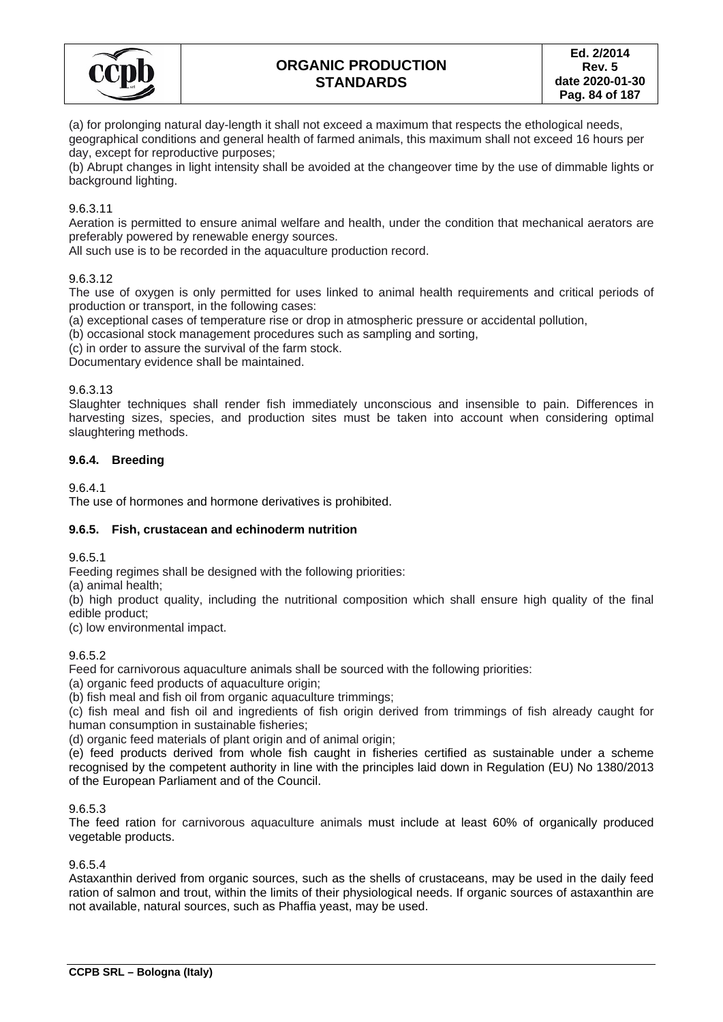

(a) for prolonging natural day-length it shall not exceed a maximum that respects the ethological needs, geographical conditions and general health of farmed animals, this maximum shall not exceed 16 hours per day, except for reproductive purposes;

(b) Abrupt changes in light intensity shall be avoided at the changeover time by the use of dimmable lights or background lighting.

## 9.6.3.11

Aeration is permitted to ensure animal welfare and health, under the condition that mechanical aerators are preferably powered by renewable energy sources.

All such use is to be recorded in the aquaculture production record.

## 9.6.3.12

The use of oxygen is only permitted for uses linked to animal health requirements and critical periods of production or transport, in the following cases:

(a) exceptional cases of temperature rise or drop in atmospheric pressure or accidental pollution,

(b) occasional stock management procedures such as sampling and sorting,

(c) in order to assure the survival of the farm stock.

Documentary evidence shall be maintained.

## 9.6.3.13

Slaughter techniques shall render fish immediately unconscious and insensible to pain. Differences in harvesting sizes, species, and production sites must be taken into account when considering optimal slaughtering methods.

## **9.6.4. Breeding**

9.6.4.1

The use of hormones and hormone derivatives is prohibited.

## **9.6.5. Fish, crustacean and echinoderm nutrition**

9.6.5.1

Feeding regimes shall be designed with the following priorities:

(a) animal health;

(b) high product quality, including the nutritional composition which shall ensure high quality of the final edible product;

(c) low environmental impact.

## 9.6.5.2

Feed for carnivorous aquaculture animals shall be sourced with the following priorities:

(a) organic feed products of aquaculture origin;

(b) fish meal and fish oil from organic aquaculture trimmings;

(c) fish meal and fish oil and ingredients of fish origin derived from trimmings of fish already caught for human consumption in sustainable fisheries;

(d) organic feed materials of plant origin and of animal origin;

(e) feed products derived from whole fish caught in fisheries certified as sustainable under a scheme recognised by the competent authority in line with the principles laid down in Regulation (EU) No 1380/2013 of the European Parliament and of the Council.

#### 9.6.5.3

The feed ration for carnivorous aquaculture animals must include at least 60% of organically produced vegetable products.

#### 9.6.5.4

Astaxanthin derived from organic sources, such as the shells of crustaceans, may be used in the daily feed ration of salmon and trout, within the limits of their physiological needs. If organic sources of astaxanthin are not available, natural sources, such as Phaffia yeast, may be used.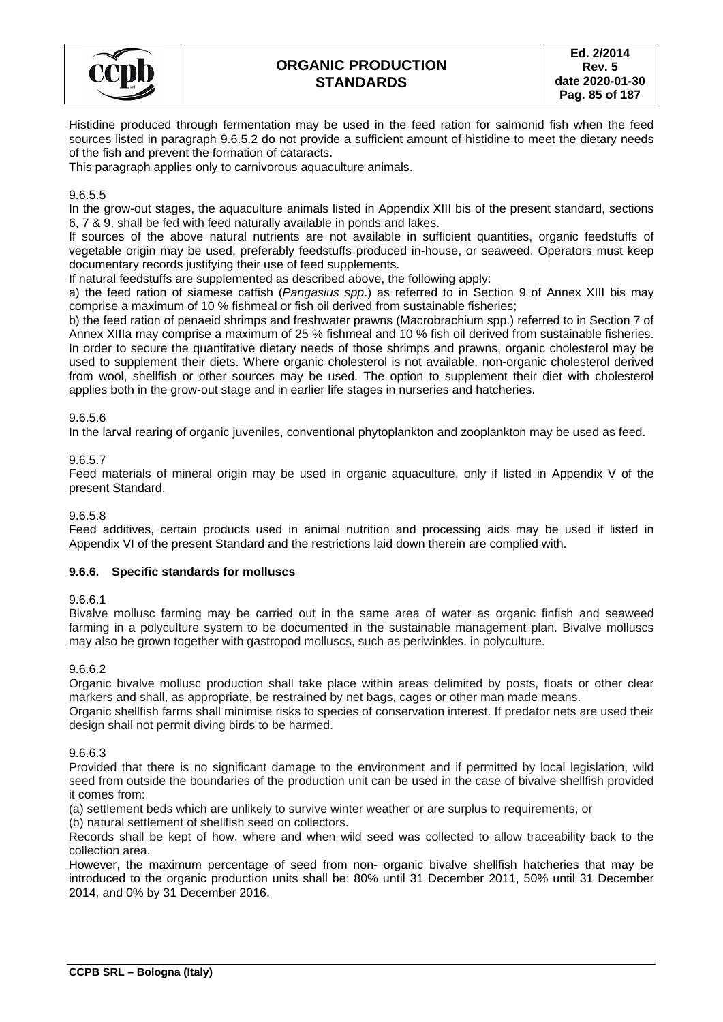

Histidine produced through fermentation may be used in the feed ration for salmonid fish when the feed sources listed in paragraph 9.6.5.2 do not provide a sufficient amount of histidine to meet the dietary needs of the fish and prevent the formation of cataracts.

This paragraph applies only to carnivorous aquaculture animals.

## 9.6.5.5

In the grow-out stages, the aquaculture animals listed in Appendix XIII bis of the present standard, sections 6, 7 & 9, shall be fed with feed naturally available in ponds and lakes.

If sources of the above natural nutrients are not available in sufficient quantities, organic feedstuffs of vegetable origin may be used, preferably feedstuffs produced in-house, or seaweed. Operators must keep documentary records justifying their use of feed supplements.

If natural feedstuffs are supplemented as described above, the following apply:

a) the feed ration of siamese catfish (*Pangasius spp*.) as referred to in Section 9 of Annex XIII bis may comprise a maximum of 10 % fishmeal or fish oil derived from sustainable fisheries;

b) the feed ration of penaeid shrimps and freshwater prawns (Macrobrachium spp.) referred to in Section 7 of Annex XIIIa may comprise a maximum of 25 % fishmeal and 10 % fish oil derived from sustainable fisheries. In order to secure the quantitative dietary needs of those shrimps and prawns, organic cholesterol may be used to supplement their diets. Where organic cholesterol is not available, non-organic cholesterol derived from wool, shellfish or other sources may be used. The option to supplement their diet with cholesterol applies both in the grow-out stage and in earlier life stages in nurseries and hatcheries.

## 9.6.5.6

In the larval rearing of organic juveniles, conventional phytoplankton and zooplankton may be used as feed.

## 9.6.5.7

Feed materials of mineral origin may be used in organic aquaculture, only if listed in Appendix V of the present Standard.

## 9.6.5.8

Feed additives, certain products used in animal nutrition and processing aids may be used if listed in Appendix VI of the present Standard and the restrictions laid down therein are complied with.

#### **9.6.6. Specific standards for molluscs**

#### 9.6.6.1

Bivalve mollusc farming may be carried out in the same area of water as organic finfish and seaweed farming in a polyculture system to be documented in the sustainable management plan. Bivalve molluscs may also be grown together with gastropod molluscs, such as periwinkles, in polyculture.

## 9.6.6.2

Organic bivalve mollusc production shall take place within areas delimited by posts, floats or other clear markers and shall, as appropriate, be restrained by net bags, cages or other man made means.

Organic shellfish farms shall minimise risks to species of conservation interest. If predator nets are used their design shall not permit diving birds to be harmed.

#### 9.6.6.3

Provided that there is no significant damage to the environment and if permitted by local legislation, wild seed from outside the boundaries of the production unit can be used in the case of bivalve shellfish provided it comes from:

(a) settlement beds which are unlikely to survive winter weather or are surplus to requirements, or

(b) natural settlement of shellfish seed on collectors.

Records shall be kept of how, where and when wild seed was collected to allow traceability back to the collection area.

However, the maximum percentage of seed from non- organic bivalve shellfish hatcheries that may be introduced to the organic production units shall be: 80% until 31 December 2011, 50% until 31 December 2014, and 0% by 31 December 2016.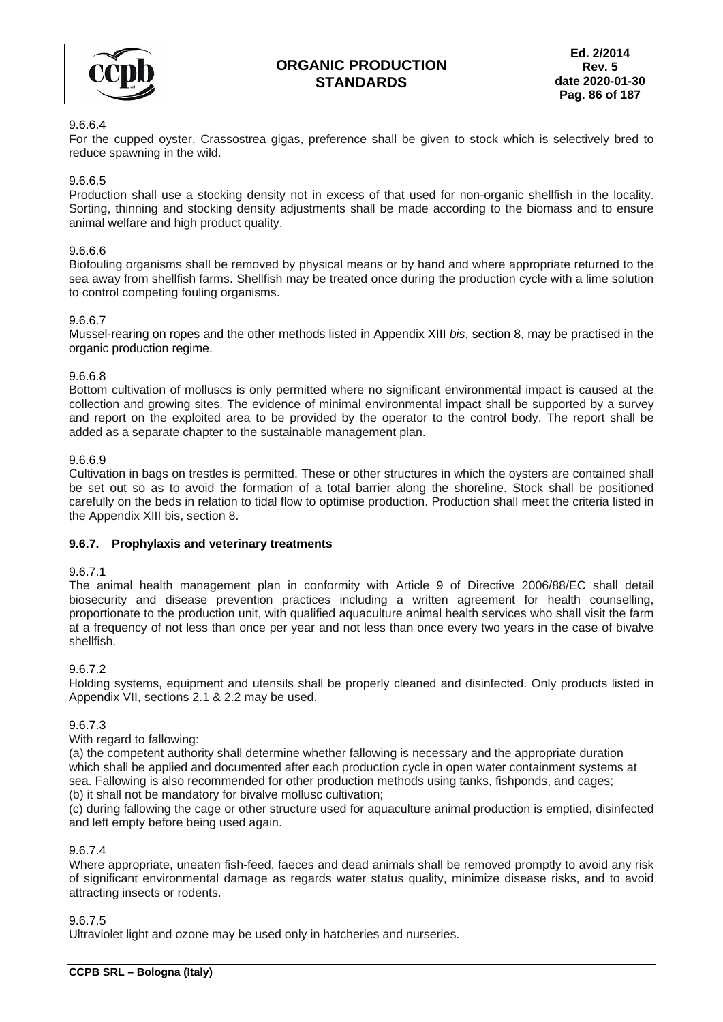

## 9.6.6.4

For the cupped oyster, Crassostrea gigas, preference shall be given to stock which is selectively bred to reduce spawning in the wild.

## 9.6.6.5

Production shall use a stocking density not in excess of that used for non-organic shellfish in the locality. Sorting, thinning and stocking density adjustments shall be made according to the biomass and to ensure animal welfare and high product quality.

## 9.6.6.6

Biofouling organisms shall be removed by physical means or by hand and where appropriate returned to the sea away from shellfish farms. Shellfish may be treated once during the production cycle with a lime solution to control competing fouling organisms.

## 9.6.6.7

Mussel-rearing on ropes and the other methods listed in Appendix XIII *bis*, section 8, may be practised in the organic production regime.

## 9.6.6.8

Bottom cultivation of molluscs is only permitted where no significant environmental impact is caused at the collection and growing sites. The evidence of minimal environmental impact shall be supported by a survey and report on the exploited area to be provided by the operator to the control body. The report shall be added as a separate chapter to the sustainable management plan.

## 9.6.6.9

Cultivation in bags on trestles is permitted. These or other structures in which the oysters are contained shall be set out so as to avoid the formation of a total barrier along the shoreline. Stock shall be positioned carefully on the beds in relation to tidal flow to optimise production. Production shall meet the criteria listed in the Appendix XIII bis, section 8.

## **9.6.7. Prophylaxis and veterinary treatments**

#### 9.6.7.1

The animal health management plan in conformity with Article 9 of Directive 2006/88/EC shall detail biosecurity and disease prevention practices including a written agreement for health counselling, proportionate to the production unit, with qualified aquaculture animal health services who shall visit the farm at a frequency of not less than once per year and not less than once every two years in the case of bivalve shellfish.

#### 9.6.7.2

Holding systems, equipment and utensils shall be properly cleaned and disinfected. Only products listed in Appendix VII, sections 2.1 & 2.2 may be used.

9.6.7.3

With regard to fallowing:

(a) the competent authority shall determine whether fallowing is necessary and the appropriate duration which shall be applied and documented after each production cycle in open water containment systems at sea. Fallowing is also recommended for other production methods using tanks, fishponds, and cages; (b) it shall not be mandatory for bivalve mollusc cultivation;

(c) during fallowing the cage or other structure used for aquaculture animal production is emptied, disinfected and left empty before being used again.

#### 9.6.7.4

Where appropriate, uneaten fish-feed, faeces and dead animals shall be removed promptly to avoid any risk of significant environmental damage as regards water status quality, minimize disease risks, and to avoid attracting insects or rodents.

9.6.7.5

Ultraviolet light and ozone may be used only in hatcheries and nurseries.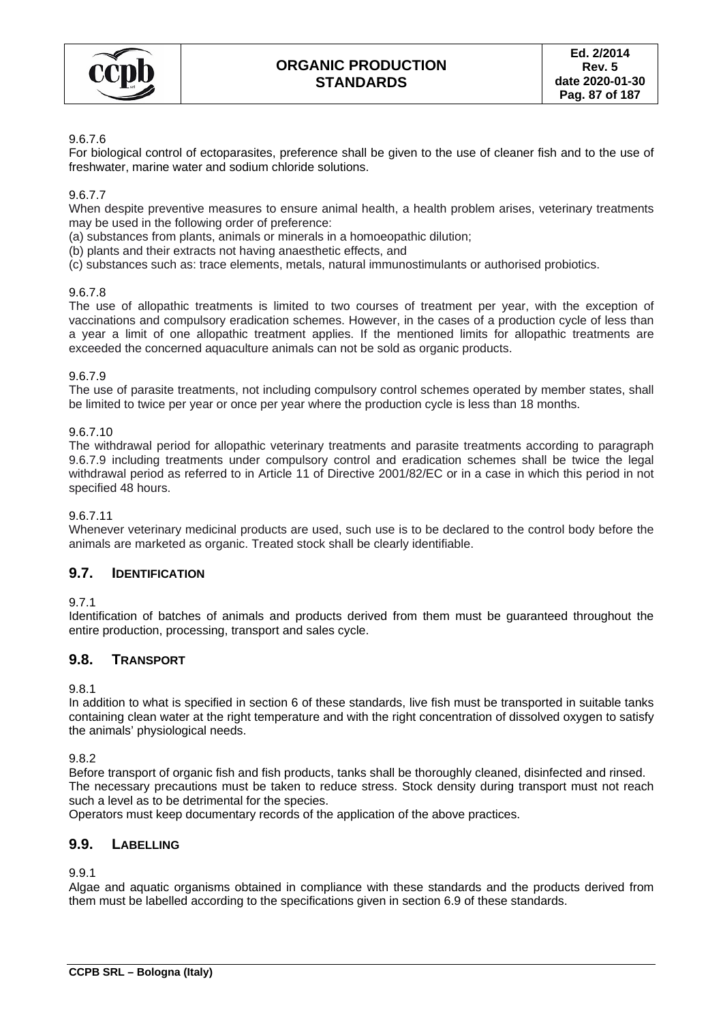

## 9.6.7.6

For biological control of ectoparasites, preference shall be given to the use of cleaner fish and to the use of freshwater, marine water and sodium chloride solutions.

## 9.6.7.7

When despite preventive measures to ensure animal health, a health problem arises, veterinary treatments may be used in the following order of preference:

(a) substances from plants, animals or minerals in a homoeopathic dilution;

- (b) plants and their extracts not having anaesthetic effects, and
- (c) substances such as: trace elements, metals, natural immunostimulants or authorised probiotics.

## 9.6.7.8

The use of allopathic treatments is limited to two courses of treatment per year, with the exception of vaccinations and compulsory eradication schemes. However, in the cases of a production cycle of less than a year a limit of one allopathic treatment applies. If the mentioned limits for allopathic treatments are exceeded the concerned aquaculture animals can not be sold as organic products.

## 9.6.7.9

The use of parasite treatments, not including compulsory control schemes operated by member states, shall be limited to twice per year or once per year where the production cycle is less than 18 months.

## 9.6.7.10

The withdrawal period for allopathic veterinary treatments and parasite treatments according to paragraph 9.6.7.9 including treatments under compulsory control and eradication schemes shall be twice the legal withdrawal period as referred to in Article 11 of Directive 2001/82/EC or in a case in which this period in not specified 48 hours.

#### 9.6.7.11

Whenever veterinary medicinal products are used, such use is to be declared to the control body before the animals are marketed as organic. Treated stock shall be clearly identifiable.

## **9.7. IDENTIFICATION**

9.7.1

Identification of batches of animals and products derived from them must be guaranteed throughout the entire production, processing, transport and sales cycle.

## **9.8. TRANSPORT**

#### 9.8.1

In addition to what is specified in section 6 of these standards, live fish must be transported in suitable tanks containing clean water at the right temperature and with the right concentration of dissolved oxygen to satisfy the animals' physiological needs.

9.8.2

Before transport of organic fish and fish products, tanks shall be thoroughly cleaned, disinfected and rinsed. The necessary precautions must be taken to reduce stress. Stock density during transport must not reach such a level as to be detrimental for the species.

Operators must keep documentary records of the application of the above practices.

## **9.9. LABELLING**

9.9.1

Algae and aquatic organisms obtained in compliance with these standards and the products derived from them must be labelled according to the specifications given in section 6.9 of these standards.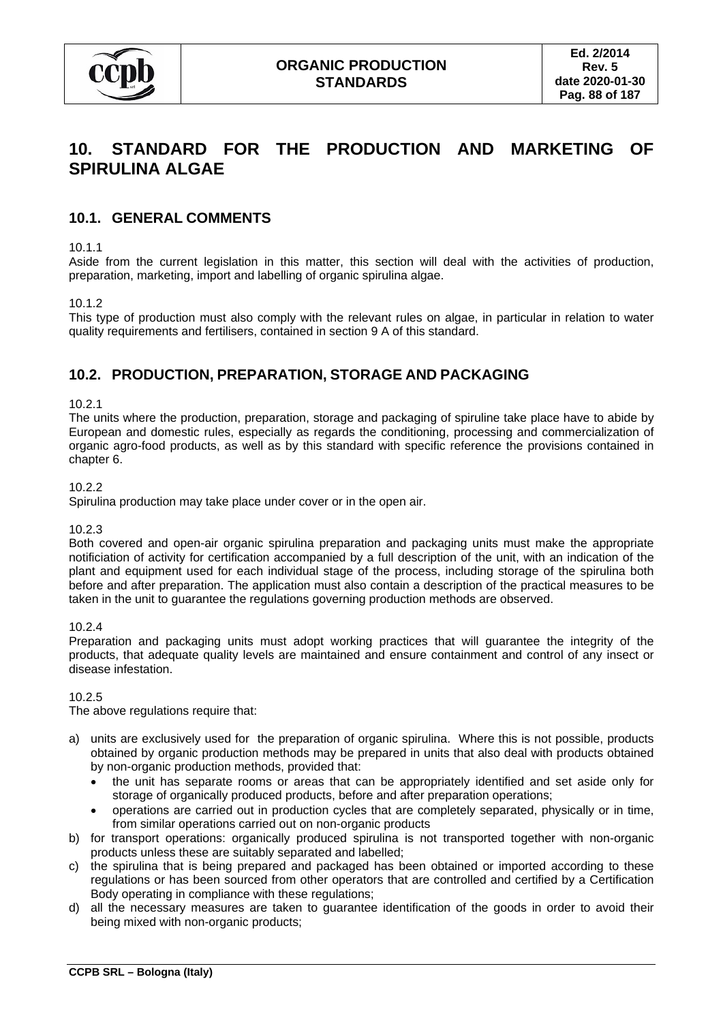

# **10. STANDARD FOR THE PRODUCTION AND MARKETING OF SPIRULINA ALGAE**

## **10.1. GENERAL COMMENTS**

10.1.1

Aside from the current legislation in this matter, this section will deal with the activities of production, preparation, marketing, import and labelling of organic spirulina algae.

10.1.2

This type of production must also comply with the relevant rules on algae, in particular in relation to water quality requirements and fertilisers, contained in section 9 A of this standard.

## **10.2. PRODUCTION, PREPARATION, STORAGE AND PACKAGING**

10.2.1

The units where the production, preparation, storage and packaging of spiruline take place have to abide by European and domestic rules, especially as regards the conditioning, processing and commercialization of organic agro-food products, as well as by this standard with specific reference the provisions contained in chapter 6.

10.2.2

Spirulina production may take place under cover or in the open air.

10.2.3

Both covered and open-air organic spirulina preparation and packaging units must make the appropriate notificiation of activity for certification accompanied by a full description of the unit, with an indication of the plant and equipment used for each individual stage of the process, including storage of the spirulina both before and after preparation. The application must also contain a description of the practical measures to be taken in the unit to guarantee the regulations governing production methods are observed.

10.2.4

Preparation and packaging units must adopt working practices that will guarantee the integrity of the products, that adequate quality levels are maintained and ensure containment and control of any insect or disease infestation.

10.2.5

The above regulations require that:

- a) units are exclusively used for the preparation of organic spirulina. Where this is not possible, products obtained by organic production methods may be prepared in units that also deal with products obtained by non-organic production methods, provided that:
	- the unit has separate rooms or areas that can be appropriately identified and set aside only for storage of organically produced products, before and after preparation operations;
	- operations are carried out in production cycles that are completely separated, physically or in time, from similar operations carried out on non-organic products
- b) for transport operations: organically produced spirulina is not transported together with non-organic products unless these are suitably separated and labelled;
- c) the spirulina that is being prepared and packaged has been obtained or imported according to these regulations or has been sourced from other operators that are controlled and certified by a Certification Body operating in compliance with these regulations;
- d) all the necessary measures are taken to guarantee identification of the goods in order to avoid their being mixed with non-organic products;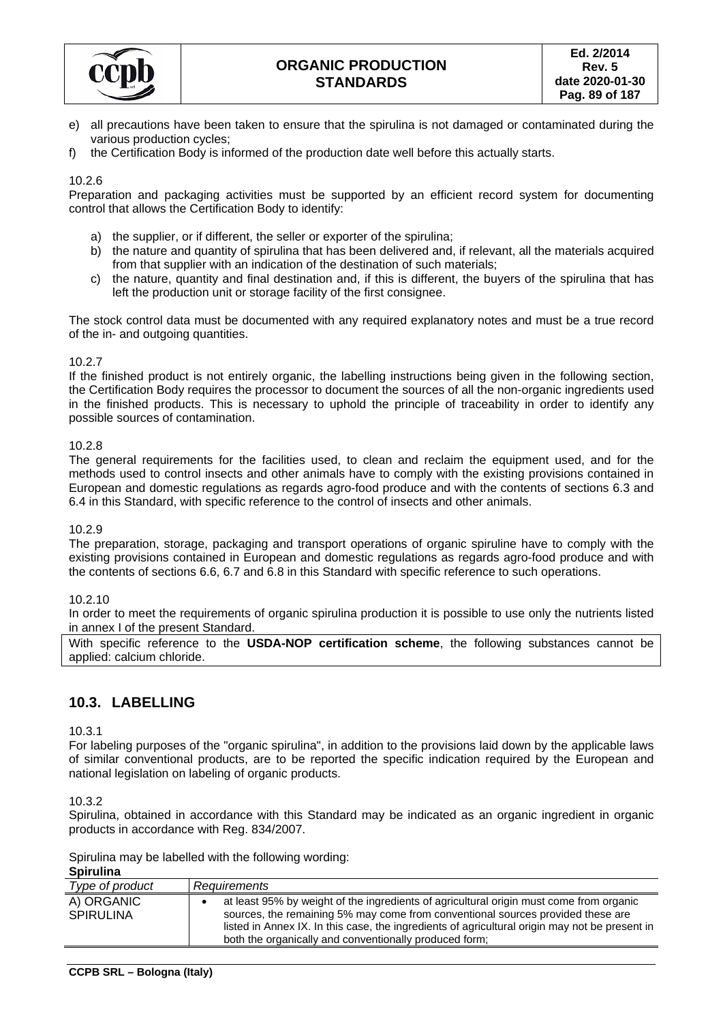

- e) all precautions have been taken to ensure that the spirulina is not damaged or contaminated during the various production cycles;
- f) the Certification Body is informed of the production date well before this actually starts.

## 10.2.6

Preparation and packaging activities must be supported by an efficient record system for documenting control that allows the Certification Body to identify:

- a) the supplier, or if different, the seller or exporter of the spirulina;
- b) the nature and quantity of spirulina that has been delivered and, if relevant, all the materials acquired from that supplier with an indication of the destination of such materials;
- c) the nature, quantity and final destination and, if this is different, the buyers of the spirulina that has left the production unit or storage facility of the first consignee.

The stock control data must be documented with any required explanatory notes and must be a true record of the in- and outgoing quantities.

## 10.2.7

If the finished product is not entirely organic, the labelling instructions being given in the following section, the Certification Body requires the processor to document the sources of all the non-organic ingredients used in the finished products. This is necessary to uphold the principle of traceability in order to identify any possible sources of contamination.

## 10.2.8

The general requirements for the facilities used, to clean and reclaim the equipment used, and for the methods used to control insects and other animals have to comply with the existing provisions contained in European and domestic regulations as regards agro-food produce and with the contents of sections 6.3 and 6.4 in this Standard, with specific reference to the control of insects and other animals.

#### 10.2.9

The preparation, storage, packaging and transport operations of organic spiruline have to comply with the existing provisions contained in European and domestic regulations as regards agro-food produce and with the contents of sections 6.6, 6.7 and 6.8 in this Standard with specific reference to such operations.

## 10.2.10

In order to meet the requirements of organic spirulina production it is possible to use only the nutrients listed in annex I of the present Standard.

With specific reference to the **USDA-NOP certification scheme**, the following substances cannot be applied: calcium chloride.

## **10.3. LABELLING**

10.3.1

For labeling purposes of the "organic spirulina", in addition to the provisions laid down by the applicable laws of similar conventional products, are to be reported the specific indication required by the European and national legislation on labeling of organic products.

10.3.2

Spirulina, obtained in accordance with this Standard may be indicated as an organic ingredient in organic products in accordance with Reg. 834/2007.

Spirulina may be labelled with the following wording:

|  | ipirulina |  |
|--|-----------|--|
|  |           |  |

| Type of product                | Reauirements                                                                                                                                                                                                                                                                                                                           |
|--------------------------------|----------------------------------------------------------------------------------------------------------------------------------------------------------------------------------------------------------------------------------------------------------------------------------------------------------------------------------------|
| A) ORGANIC<br><b>SPIRULINA</b> | at least 95% by weight of the ingredients of agricultural origin must come from organic<br>sources, the remaining 5% may come from conventional sources provided these are<br>listed in Annex IX. In this case, the ingredients of agricultural origin may not be present in<br>both the organically and conventionally produced form; |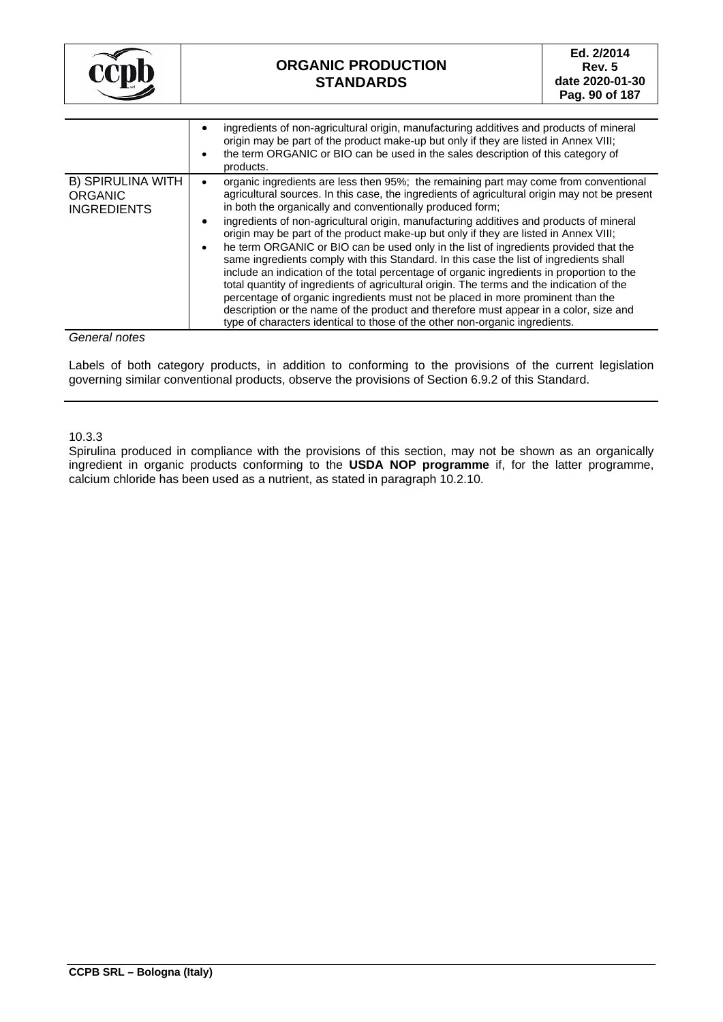| DI<br>U. |
|----------|
|          |
|          |

|                                                                  | ingredients of non-agricultural origin, manufacturing additives and products of mineral<br>$\bullet$<br>origin may be part of the product make-up but only if they are listed in Annex VIII;<br>the term ORGANIC or BIO can be used in the sales description of this category of<br>products.                                                                                                                                                                                                                                                                                                                                                                                                                                                                                                                                                                                                                                                                                                                                                                                             |
|------------------------------------------------------------------|-------------------------------------------------------------------------------------------------------------------------------------------------------------------------------------------------------------------------------------------------------------------------------------------------------------------------------------------------------------------------------------------------------------------------------------------------------------------------------------------------------------------------------------------------------------------------------------------------------------------------------------------------------------------------------------------------------------------------------------------------------------------------------------------------------------------------------------------------------------------------------------------------------------------------------------------------------------------------------------------------------------------------------------------------------------------------------------------|
| <b>B) SPIRULINA WITH</b><br><b>ORGANIC</b><br><b>INGREDIENTS</b> | organic ingredients are less then 95%; the remaining part may come from conventional<br>$\bullet$<br>agricultural sources. In this case, the ingredients of agricultural origin may not be present<br>in both the organically and conventionally produced form;<br>ingredients of non-agricultural origin, manufacturing additives and products of mineral<br>origin may be part of the product make-up but only if they are listed in Annex VIII;<br>he term ORGANIC or BIO can be used only in the list of ingredients provided that the<br>same ingredients comply with this Standard. In this case the list of ingredients shall<br>include an indication of the total percentage of organic ingredients in proportion to the<br>total quantity of ingredients of agricultural origin. The terms and the indication of the<br>percentage of organic ingredients must not be placed in more prominent than the<br>description or the name of the product and therefore must appear in a color, size and<br>type of characters identical to those of the other non-organic ingredients. |

*General notes* 

Labels of both category products, in addition to conforming to the provisions of the current legislation governing similar conventional products, observe the provisions of Section 6.9.2 of this Standard.

10.3.3

Spirulina produced in compliance with the provisions of this section, may not be shown as an organically ingredient in organic products conforming to the **USDA NOP programme** if, for the latter programme, calcium chloride has been used as a nutrient, as stated in paragraph 10.2.10.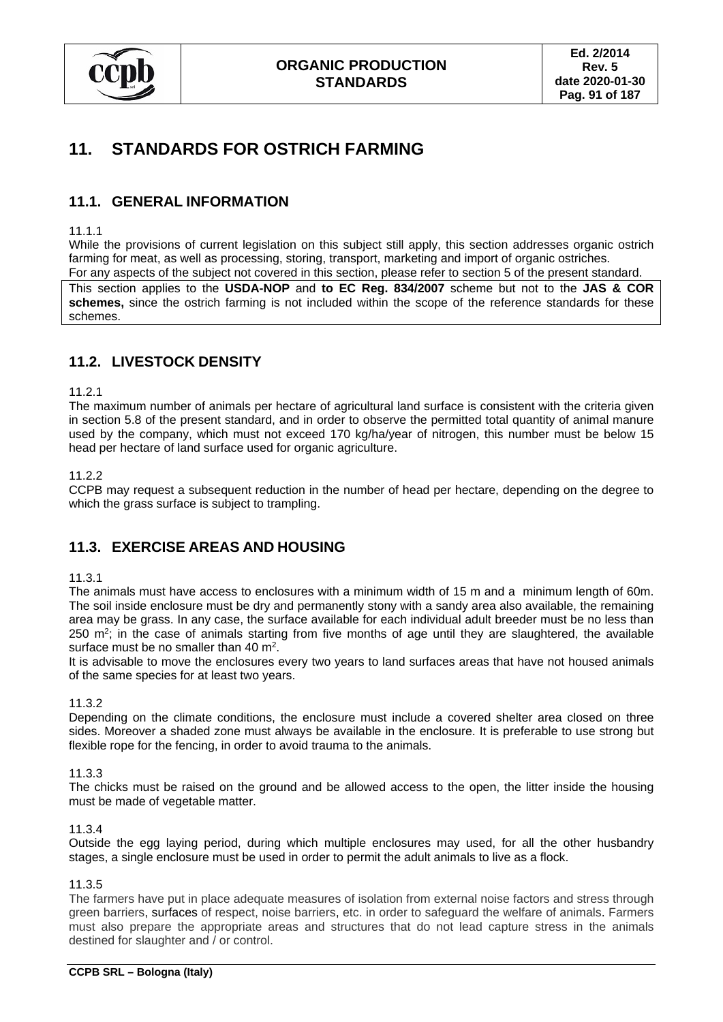

# **11. STANDARDS FOR OSTRICH FARMING**

## **11.1. GENERAL INFORMATION**

11.1.1

While the provisions of current legislation on this subject still apply, this section addresses organic ostrich farming for meat, as well as processing, storing, transport, marketing and import of organic ostriches. For any aspects of the subject not covered in this section, please refer to section 5 of the present standard.

This section applies to the **USDA-NOP** and **to EC Reg. 834/2007** scheme but not to the **JAS & COR schemes,** since the ostrich farming is not included within the scope of the reference standards for these schemes.

## **11.2. LIVESTOCK DENSITY**

11.2.1

The maximum number of animals per hectare of agricultural land surface is consistent with the criteria given in section 5.8 of the present standard, and in order to observe the permitted total quantity of animal manure used by the company, which must not exceed 170 kg/ha/year of nitrogen, this number must be below 15 head per hectare of land surface used for organic agriculture.

11.2.2

CCPB may request a subsequent reduction in the number of head per hectare, depending on the degree to which the grass surface is subject to trampling.

## **11.3. EXERCISE AREAS AND HOUSING**

## 11.3.1

The animals must have access to enclosures with a minimum width of 15 m and a minimum length of 60m. The soil inside enclosure must be dry and permanently stony with a sandy area also available, the remaining area may be grass. In any case, the surface available for each individual adult breeder must be no less than  $250$  m<sup>2</sup>; in the case of animals starting from five months of age until they are slaughtered, the available surface must be no smaller than  $40 \text{ m}^2$ .

It is advisable to move the enclosures every two years to land surfaces areas that have not housed animals of the same species for at least two years.

## 11.3.2

Depending on the climate conditions, the enclosure must include a covered shelter area closed on three sides. Moreover a shaded zone must always be available in the enclosure. It is preferable to use strong but flexible rope for the fencing, in order to avoid trauma to the animals.

#### 11.3.3

The chicks must be raised on the ground and be allowed access to the open, the litter inside the housing must be made of vegetable matter.

#### 11.3.4

Outside the egg laying period, during which multiple enclosures may used, for all the other husbandry stages, a single enclosure must be used in order to permit the adult animals to live as a flock.

## 11.3.5

The farmers have put in place adequate measures of isolation from external noise factors and stress through green barriers, surfaces of respect, noise barriers, etc. in order to safeguard the welfare of animals. Farmers must also prepare the appropriate areas and structures that do not lead capture stress in the animals destined for slaughter and / or control.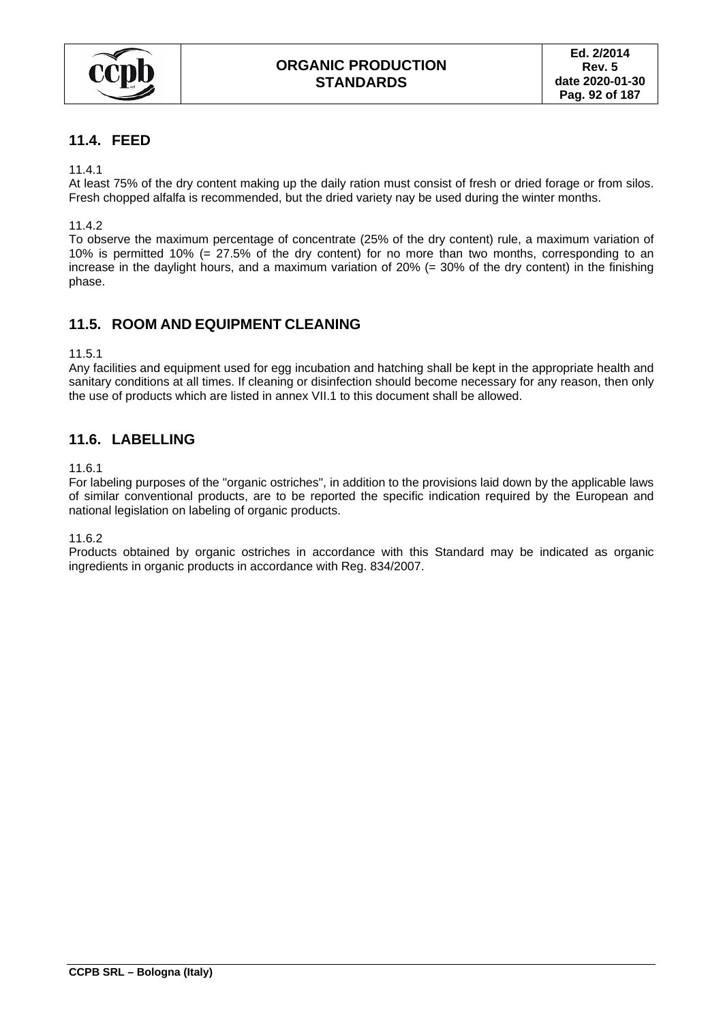

## **ORGANIC PRODUCTION STANDARDS**

## **11.4. FEED**

11.4.1

At least 75% of the dry content making up the daily ration must consist of fresh or dried forage or from silos. Fresh chopped alfalfa is recommended, but the dried variety nay be used during the winter months.

## 11.4.2

To observe the maximum percentage of concentrate (25% of the dry content) rule, a maximum variation of 10% is permitted 10% (= 27.5% of the dry content) for no more than two months, corresponding to an increase in the daylight hours, and a maximum variation of  $20\%$  (=  $30\%$  of the dry content) in the finishing phase.

## **11.5. ROOM AND EQUIPMENT CLEANING**

11.5.1

Any facilities and equipment used for egg incubation and hatching shall be kept in the appropriate health and sanitary conditions at all times. If cleaning or disinfection should become necessary for any reason, then only the use of products which are listed in annex VII.1 to this document shall be allowed.

## **11.6. LABELLING**

11.6.1

For labeling purposes of the "organic ostriches", in addition to the provisions laid down by the applicable laws of similar conventional products, are to be reported the specific indication required by the European and national legislation on labeling of organic products.

11.6.2

Products obtained by organic ostriches in accordance with this Standard may be indicated as organic ingredients in organic products in accordance with Reg. 834/2007.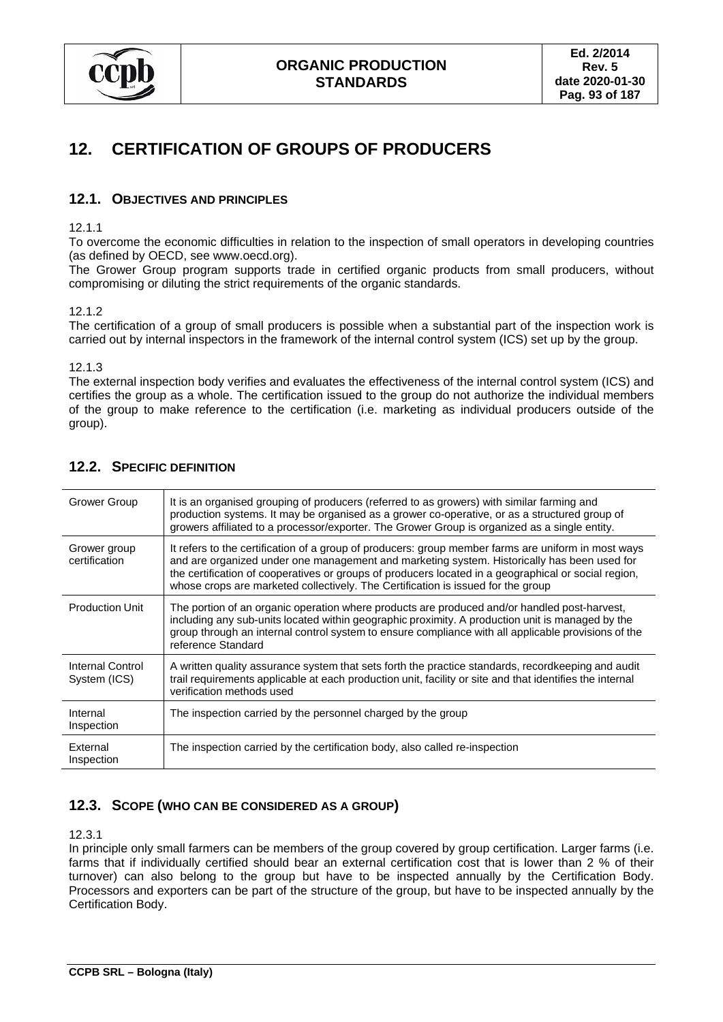

# **12. CERTIFICATION OF GROUPS OF PRODUCERS**

## **12.1. OBJECTIVES AND PRINCIPLES**

12.1.1

To overcome the economic difficulties in relation to the inspection of small operators in developing countries (as defined by OECD, see www.oecd.org).

The Grower Group program supports trade in certified organic products from small producers, without compromising or diluting the strict requirements of the organic standards.

## 12.12

The certification of a group of small producers is possible when a substantial part of the inspection work is carried out by internal inspectors in the framework of the internal control system (ICS) set up by the group.

## 12.1.3

The external inspection body verifies and evaluates the effectiveness of the internal control system (ICS) and certifies the group as a whole. The certification issued to the group do not authorize the individual members of the group to make reference to the certification (i.e. marketing as individual producers outside of the group).

| Grower Group                     | It is an organised grouping of producers (referred to as growers) with similar farming and<br>production systems. It may be organised as a grower co-operative, or as a structured group of<br>growers affiliated to a processor/exporter. The Grower Group is organized as a single entity.                                                                                                   |
|----------------------------------|------------------------------------------------------------------------------------------------------------------------------------------------------------------------------------------------------------------------------------------------------------------------------------------------------------------------------------------------------------------------------------------------|
| Grower group<br>certification    | It refers to the certification of a group of producers: group member farms are uniform in most ways<br>and are organized under one management and marketing system. Historically has been used for<br>the certification of cooperatives or groups of producers located in a geographical or social region,<br>whose crops are marketed collectively. The Certification is issued for the group |
| <b>Production Unit</b>           | The portion of an organic operation where products are produced and/or handled post-harvest,<br>including any sub-units located within geographic proximity. A production unit is managed by the<br>group through an internal control system to ensure compliance with all applicable provisions of the<br>reference Standard                                                                  |
| Internal Control<br>System (ICS) | A written quality assurance system that sets forth the practice standards, recordkeeping and audit<br>trail requirements applicable at each production unit, facility or site and that identifies the internal<br>verification methods used                                                                                                                                                    |
| Internal<br>Inspection           | The inspection carried by the personnel charged by the group                                                                                                                                                                                                                                                                                                                                   |
| External<br>Inspection           | The inspection carried by the certification body, also called re-inspection                                                                                                                                                                                                                                                                                                                    |

## **12.2. SPECIFIC DEFINITION**

## **12.3. SCOPE (WHO CAN BE CONSIDERED AS A GROUP)**

12.3.1

In principle only small farmers can be members of the group covered by group certification. Larger farms (i.e. farms that if individually certified should bear an external certification cost that is lower than 2 % of their turnover) can also belong to the group but have to be inspected annually by the Certification Body. Processors and exporters can be part of the structure of the group, but have to be inspected annually by the Certification Body.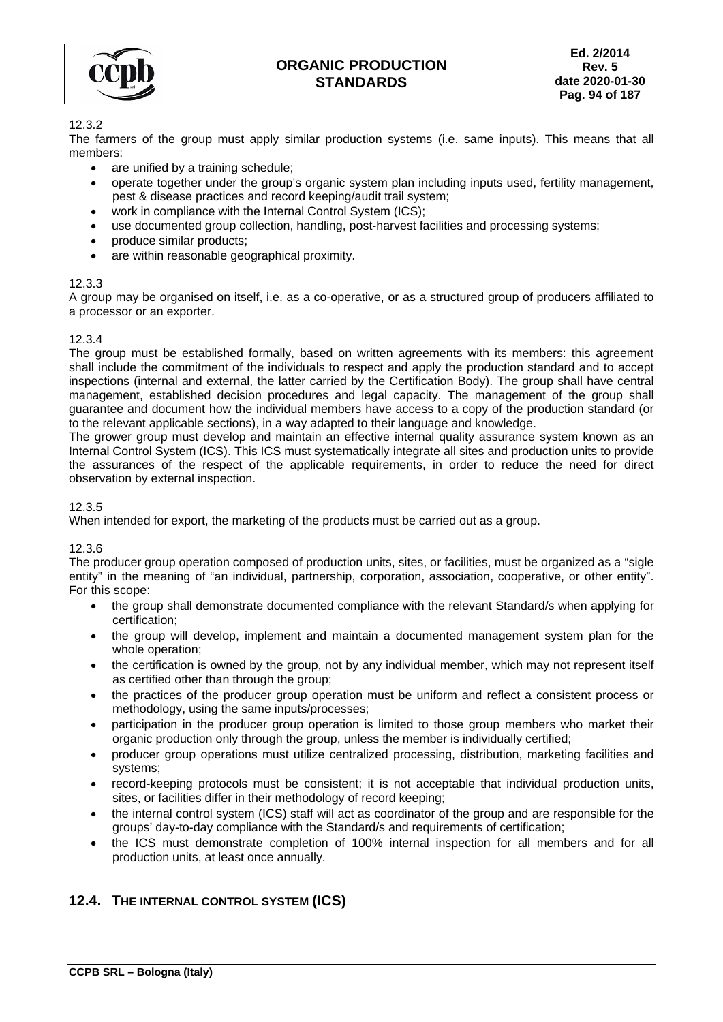

## 12.3.2

The farmers of the group must apply similar production systems (i.e. same inputs). This means that all members:

- are unified by a training schedule;
- operate together under the group's organic system plan including inputs used, fertility management, pest & disease practices and record keeping/audit trail system;
- work in compliance with the Internal Control System (ICS);
- use documented group collection, handling, post-harvest facilities and processing systems;
- produce similar products;
- are within reasonable geographical proximity.

## 12.3.3

A group may be organised on itself, i.e. as a co-operative, or as a structured group of producers affiliated to a processor or an exporter.

## 12.3.4

The group must be established formally, based on written agreements with its members: this agreement shall include the commitment of the individuals to respect and apply the production standard and to accept inspections (internal and external, the latter carried by the Certification Body). The group shall have central management, established decision procedures and legal capacity. The management of the group shall guarantee and document how the individual members have access to a copy of the production standard (or to the relevant applicable sections), in a way adapted to their language and knowledge.

The grower group must develop and maintain an effective internal quality assurance system known as an Internal Control System (ICS). This ICS must systematically integrate all sites and production units to provide the assurances of the respect of the applicable requirements, in order to reduce the need for direct observation by external inspection.

## 12.3.5

When intended for export, the marketing of the products must be carried out as a group.

#### 12.3.6

The producer group operation composed of production units, sites, or facilities, must be organized as a "sigle entity" in the meaning of "an individual, partnership, corporation, association, cooperative, or other entity". For this scope:

- the group shall demonstrate documented compliance with the relevant Standard/s when applying for certification;
- the group will develop, implement and maintain a documented management system plan for the whole operation;
- the certification is owned by the group, not by any individual member, which may not represent itself as certified other than through the group;
- the practices of the producer group operation must be uniform and reflect a consistent process or methodology, using the same inputs/processes;
- participation in the producer group operation is limited to those group members who market their organic production only through the group, unless the member is individually certified;
- producer group operations must utilize centralized processing, distribution, marketing facilities and systems;
- record-keeping protocols must be consistent; it is not acceptable that individual production units, sites, or facilities differ in their methodology of record keeping;
- the internal control system (ICS) staff will act as coordinator of the group and are responsible for the groups' day-to-day compliance with the Standard/s and requirements of certification;
- the ICS must demonstrate completion of 100% internal inspection for all members and for all production units, at least once annually.

## **12.4. THE INTERNAL CONTROL SYSTEM (ICS)**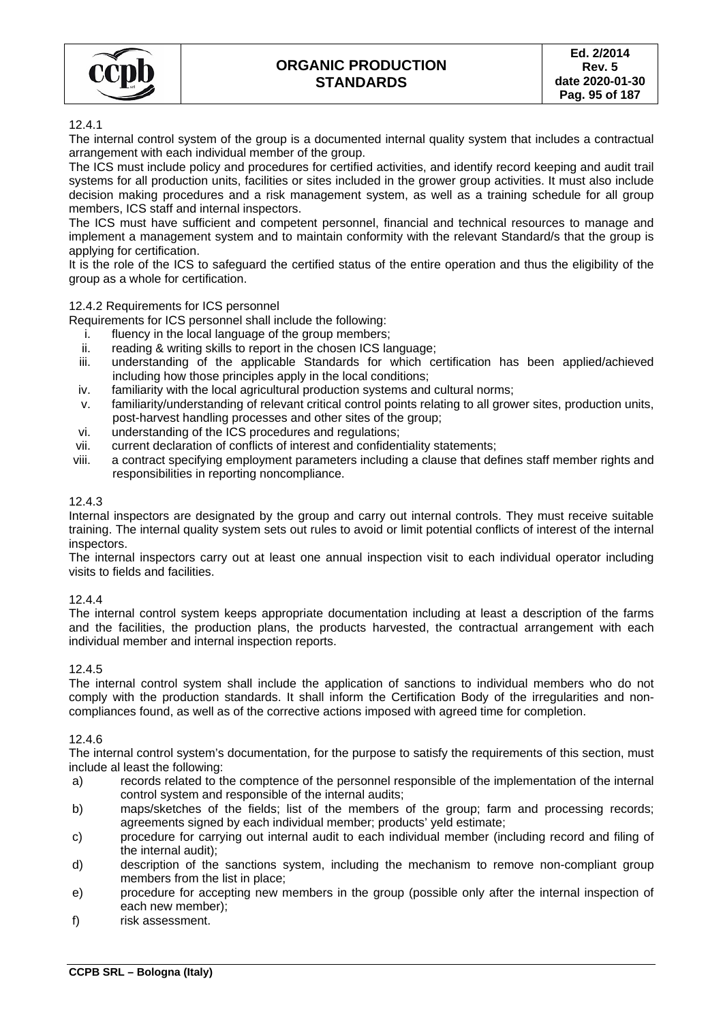

## 12.4.1

The internal control system of the group is a documented internal quality system that includes a contractual arrangement with each individual member of the group.

The ICS must include policy and procedures for certified activities, and identify record keeping and audit trail systems for all production units, facilities or sites included in the grower group activities. It must also include decision making procedures and a risk management system, as well as a training schedule for all group members, ICS staff and internal inspectors.

The ICS must have sufficient and competent personnel, financial and technical resources to manage and implement a management system and to maintain conformity with the relevant Standard/s that the group is applying for certification.

It is the role of the ICS to safeguard the certified status of the entire operation and thus the eligibility of the group as a whole for certification.

## 12.4.2 Requirements for ICS personnel

Requirements for ICS personnel shall include the following:

- i. fluency in the local language of the group members;
- ii. reading & writing skills to report in the chosen ICS language;
- iii. understanding of the applicable Standards for which certification has been applied/achieved including how those principles apply in the local conditions;
- iv. familiarity with the local agricultural production systems and cultural norms;
- v. familiarity/understanding of relevant critical control points relating to all grower sites, production units, post-harvest handling processes and other sites of the group;
- vi. understanding of the ICS procedures and regulations;
- vii. current declaration of conflicts of interest and confidentiality statements;
- viii. a contract specifying employment parameters including a clause that defines staff member rights and responsibilities in reporting noncompliance.

## 12.4.3

Internal inspectors are designated by the group and carry out internal controls. They must receive suitable training. The internal quality system sets out rules to avoid or limit potential conflicts of interest of the internal inspectors.

The internal inspectors carry out at least one annual inspection visit to each individual operator including visits to fields and facilities.

#### 12.4.4

The internal control system keeps appropriate documentation including at least a description of the farms and the facilities, the production plans, the products harvested, the contractual arrangement with each individual member and internal inspection reports.

#### 12.4.5

The internal control system shall include the application of sanctions to individual members who do not comply with the production standards. It shall inform the Certification Body of the irregularities and noncompliances found, as well as of the corrective actions imposed with agreed time for completion.

#### 12.4.6

The internal control system's documentation, for the purpose to satisfy the requirements of this section, must include al least the following:

- a) records related to the comptence of the personnel responsible of the implementation of the internal control system and responsible of the internal audits;
- b) maps/sketches of the fields; list of the members of the group; farm and processing records; agreements signed by each individual member; products' yeld estimate;
- c) procedure for carrying out internal audit to each individual member (including record and filing of the internal audit);
- d) description of the sanctions system, including the mechanism to remove non-compliant group members from the list in place;
- e) procedure for accepting new members in the group (possible only after the internal inspection of each new member);
- f) risk assessment.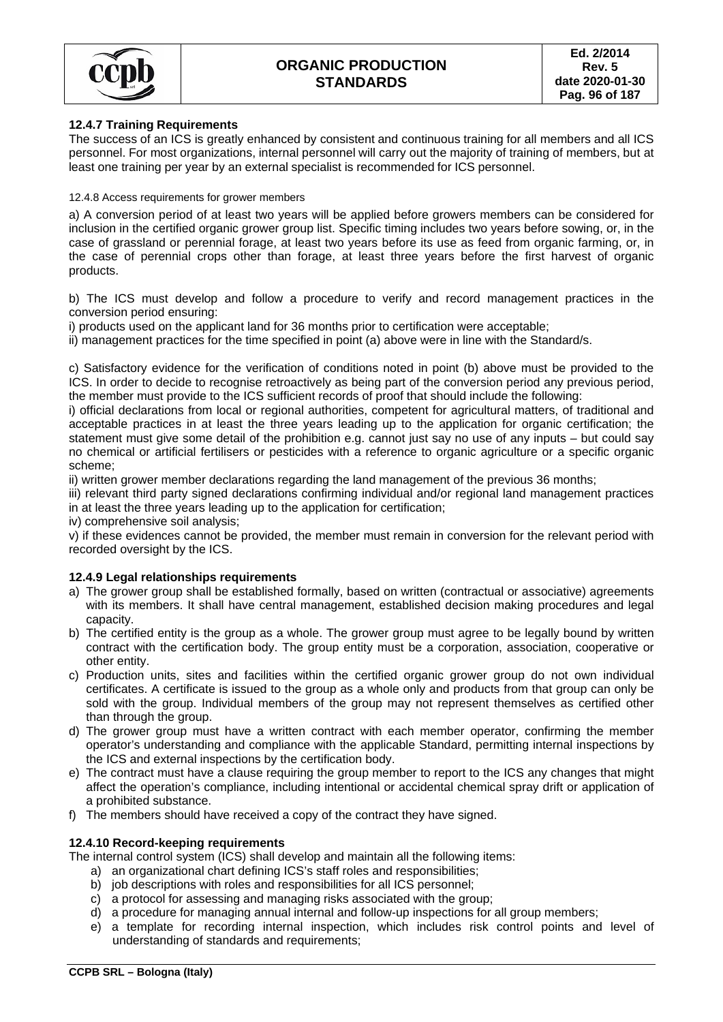

## **12.4.7 Training Requirements**

The success of an ICS is greatly enhanced by consistent and continuous training for all members and all ICS personnel. For most organizations, internal personnel will carry out the majority of training of members, but at least one training per year by an external specialist is recommended for ICS personnel.

## 12.4.8 Access requirements for grower members

a) A conversion period of at least two years will be applied before growers members can be considered for inclusion in the certified organic grower group list. Specific timing includes two years before sowing, or, in the case of grassland or perennial forage, at least two years before its use as feed from organic farming, or, in the case of perennial crops other than forage, at least three years before the first harvest of organic products.

b) The ICS must develop and follow a procedure to verify and record management practices in the conversion period ensuring:

i) products used on the applicant land for 36 months prior to certification were acceptable;

ii) management practices for the time specified in point (a) above were in line with the Standard/s.

c) Satisfactory evidence for the verification of conditions noted in point (b) above must be provided to the ICS. In order to decide to recognise retroactively as being part of the conversion period any previous period, the member must provide to the ICS sufficient records of proof that should include the following:

i) official declarations from local or regional authorities, competent for agricultural matters, of traditional and acceptable practices in at least the three years leading up to the application for organic certification; the statement must give some detail of the prohibition e.g. cannot just say no use of any inputs – but could say no chemical or artificial fertilisers or pesticides with a reference to organic agriculture or a specific organic scheme;

ii) written grower member declarations regarding the land management of the previous 36 months;

iii) relevant third party signed declarations confirming individual and/or regional land management practices in at least the three years leading up to the application for certification;

iv) comprehensive soil analysis;

v) if these evidences cannot be provided, the member must remain in conversion for the relevant period with recorded oversight by the ICS.

## **12.4.9 Legal relationships requirements**

- a) The grower group shall be established formally, based on written (contractual or associative) agreements with its members. It shall have central management, established decision making procedures and legal capacity.
- b) The certified entity is the group as a whole. The grower group must agree to be legally bound by written contract with the certification body. The group entity must be a corporation, association, cooperative or other entity.
- c) Production units, sites and facilities within the certified organic grower group do not own individual certificates. A certificate is issued to the group as a whole only and products from that group can only be sold with the group. Individual members of the group may not represent themselves as certified other than through the group.
- d) The grower group must have a written contract with each member operator, confirming the member operator's understanding and compliance with the applicable Standard, permitting internal inspections by the ICS and external inspections by the certification body.
- e) The contract must have a clause requiring the group member to report to the ICS any changes that might affect the operation's compliance, including intentional or accidental chemical spray drift or application of a prohibited substance.
- f) The members should have received a copy of the contract they have signed.

## **12.4.10 Record-keeping requirements**

The internal control system (ICS) shall develop and maintain all the following items:

- a) an organizational chart defining ICS's staff roles and responsibilities;
- b) job descriptions with roles and responsibilities for all ICS personnel;
- c) a protocol for assessing and managing risks associated with the group;
- d) a procedure for managing annual internal and follow-up inspections for all group members;
- e) a template for recording internal inspection, which includes risk control points and level of understanding of standards and requirements;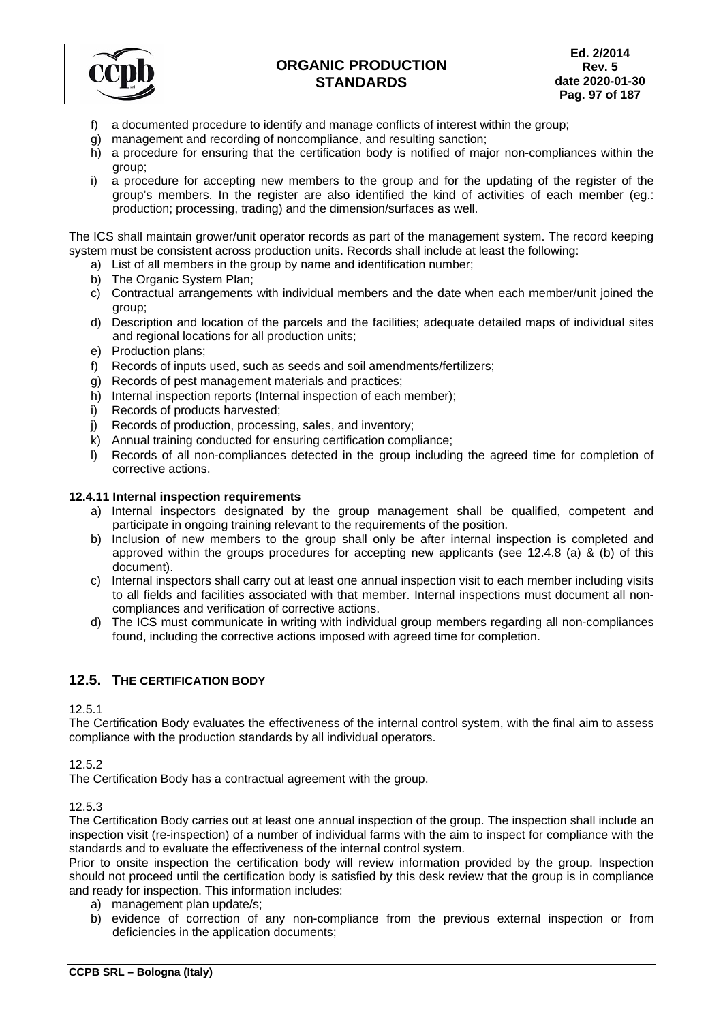

- f) a documented procedure to identify and manage conflicts of interest within the group;
- g) management and recording of noncompliance, and resulting sanction;
- h) a procedure for ensuring that the certification body is notified of major non-compliances within the group;
- i) a procedure for accepting new members to the group and for the updating of the register of the group's members. In the register are also identified the kind of activities of each member (eg.: production; processing, trading) and the dimension/surfaces as well.

The ICS shall maintain grower/unit operator records as part of the management system. The record keeping system must be consistent across production units. Records shall include at least the following:

- a) List of all members in the group by name and identification number;
- b) The Organic System Plan;
- c) Contractual arrangements with individual members and the date when each member/unit joined the group;
- d) Description and location of the parcels and the facilities; adequate detailed maps of individual sites and regional locations for all production units;
- e) Production plans;
- f) Records of inputs used, such as seeds and soil amendments/fertilizers;
- g) Records of pest management materials and practices;
- h) Internal inspection reports (Internal inspection of each member);
- i) Records of products harvested;
- j) Records of production, processing, sales, and inventory;
- k) Annual training conducted for ensuring certification compliance;
- l) Records of all non-compliances detected in the group including the agreed time for completion of corrective actions.

## **12.4.11 Internal inspection requirements**

- a) Internal inspectors designated by the group management shall be qualified, competent and participate in ongoing training relevant to the requirements of the position.
- b) Inclusion of new members to the group shall only be after internal inspection is completed and approved within the groups procedures for accepting new applicants (see 12.4.8 (a) & (b) of this document).
- c) Internal inspectors shall carry out at least one annual inspection visit to each member including visits to all fields and facilities associated with that member. Internal inspections must document all noncompliances and verification of corrective actions.
- d) The ICS must communicate in writing with individual group members regarding all non-compliances found, including the corrective actions imposed with agreed time for completion.

## **12.5. THE CERTIFICATION BODY**

12.5.1

The Certification Body evaluates the effectiveness of the internal control system, with the final aim to assess compliance with the production standards by all individual operators.

12.5.2

The Certification Body has a contractual agreement with the group.

12.5.3

The Certification Body carries out at least one annual inspection of the group. The inspection shall include an inspection visit (re-inspection) of a number of individual farms with the aim to inspect for compliance with the standards and to evaluate the effectiveness of the internal control system.

Prior to onsite inspection the certification body will review information provided by the group. Inspection should not proceed until the certification body is satisfied by this desk review that the group is in compliance and ready for inspection. This information includes:

- a) management plan update/s;
- b) evidence of correction of any non-compliance from the previous external inspection or from deficiencies in the application documents;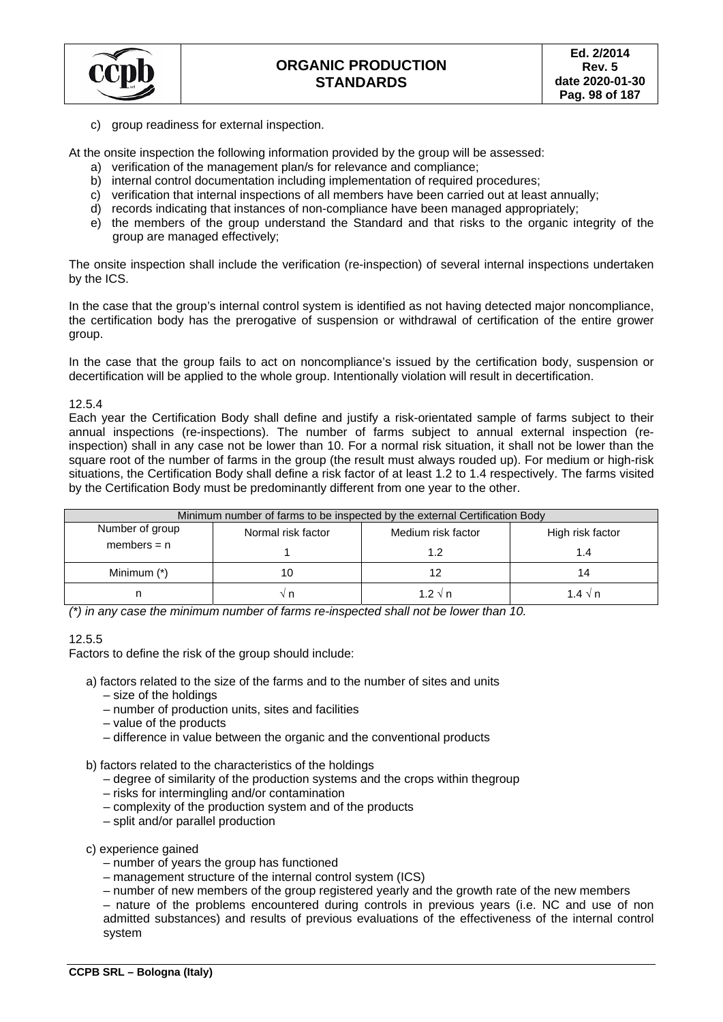

c) group readiness for external inspection.

At the onsite inspection the following information provided by the group will be assessed:

- a) verification of the management plan/s for relevance and compliance;
- b) internal control documentation including implementation of required procedures;
- c) verification that internal inspections of all members have been carried out at least annually;
- d) records indicating that instances of non-compliance have been managed appropriately;
- e) the members of the group understand the Standard and that risks to the organic integrity of the group are managed effectively;

The onsite inspection shall include the verification (re-inspection) of several internal inspections undertaken by the ICS.

In the case that the group's internal control system is identified as not having detected major noncompliance, the certification body has the prerogative of suspension or withdrawal of certification of the entire grower group.

In the case that the group fails to act on noncompliance's issued by the certification body, suspension or decertification will be applied to the whole group. Intentionally violation will result in decertification.

12.5.4

Each year the Certification Body shall define and justify a risk-orientated sample of farms subject to their annual inspections (re-inspections). The number of farms subject to annual external inspection (reinspection) shall in any case not be lower than 10. For a normal risk situation, it shall not be lower than the square root of the number of farms in the group (the result must always rouded up). For medium or high-risk situations, the Certification Body shall define a risk factor of at least 1.2 to 1.4 respectively. The farms visited by the Certification Body must be predominantly different from one year to the other.

| Minimum number of farms to be inspected by the external Certification Body |                    |                    |                  |  |
|----------------------------------------------------------------------------|--------------------|--------------------|------------------|--|
| Number of group                                                            | Normal risk factor | Medium risk factor | High risk factor |  |
| members $= n$                                                              |                    | 1.2                | 1.4              |  |
| Minimum (*)                                                                | 10                 | 12                 | 14               |  |
|                                                                            | ง n                | $1.2 \sqrt{n}$     | $1.4 \vee n$     |  |

*(\*) in any case the minimum number of farms re-inspected shall not be lower than 10.* 

## 12.5.5

Factors to define the risk of the group should include:

a) factors related to the size of the farms and to the number of sites and units

- size of the holdings
- number of production units, sites and facilities
- value of the products
- difference in value between the organic and the conventional products
- b) factors related to the characteristics of the holdings
	- degree of similarity of the production systems and the crops within thegroup
	- risks for intermingling and/or contamination
	- complexity of the production system and of the products
	- split and/or parallel production
- c) experience gained
	- number of years the group has functioned
	- management structure of the internal control system (ICS)
	- number of new members of the group registered yearly and the growth rate of the new members

– nature of the problems encountered during controls in previous years (i.e. NC and use of non admitted substances) and results of previous evaluations of the effectiveness of the internal control system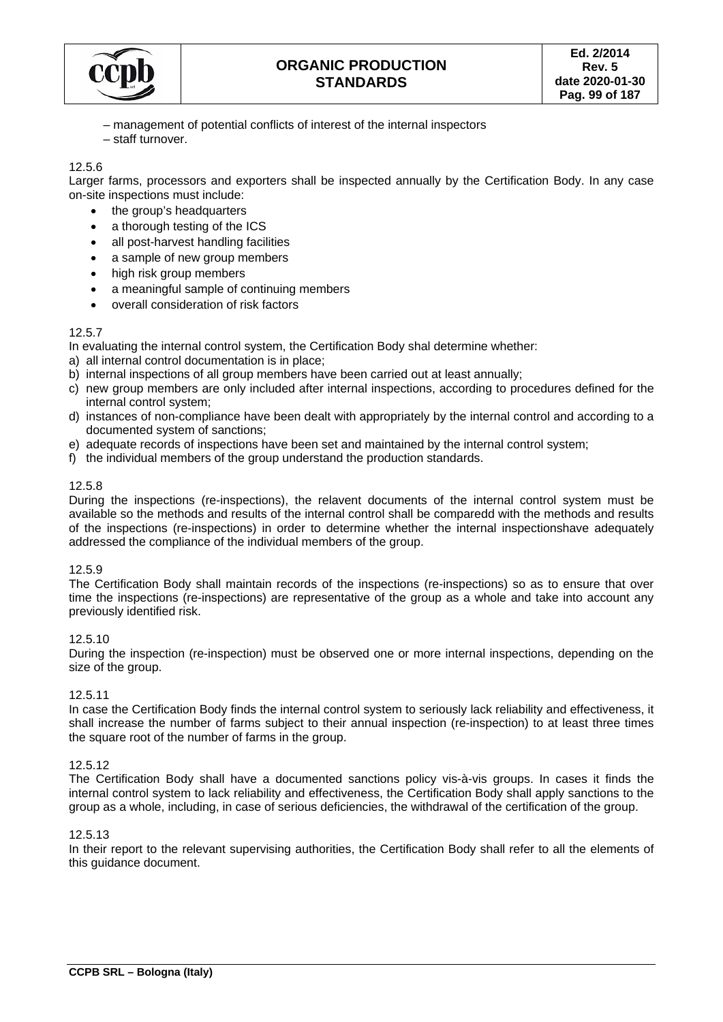

- management of potential conflicts of interest of the internal inspectors
- staff turnover.

## 12.5.6

Larger farms, processors and exporters shall be inspected annually by the Certification Body. In any case on-site inspections must include:

- the group's headquarters
- a thorough testing of the ICS
- all post-harvest handling facilities
- a sample of new group members
- high risk group members
- a meaningful sample of continuing members
- overall consideration of risk factors

## 12.5.7

In evaluating the internal control system, the Certification Body shal determine whether:

- a) all internal control documentation is in place;
- b) internal inspections of all group members have been carried out at least annually;
- c) new group members are only included after internal inspections, according to procedures defined for the internal control system;
- d) instances of non-compliance have been dealt with appropriately by the internal control and according to a documented system of sanctions;
- e) adequate records of inspections have been set and maintained by the internal control system;
- f) the individual members of the group understand the production standards.

## 12.5.8

During the inspections (re-inspections), the relavent documents of the internal control system must be available so the methods and results of the internal control shall be comparedd with the methods and results of the inspections (re-inspections) in order to determine whether the internal inspectionshave adequately addressed the compliance of the individual members of the group.

## 12.5.9

The Certification Body shall maintain records of the inspections (re-inspections) so as to ensure that over time the inspections (re-inspections) are representative of the group as a whole and take into account any previously identified risk.

## 12.5.10

During the inspection (re-inspection) must be observed one or more internal inspections, depending on the size of the group.

#### 12.5.11

In case the Certification Body finds the internal control system to seriously lack reliability and effectiveness, it shall increase the number of farms subject to their annual inspection (re-inspection) to at least three times the square root of the number of farms in the group.

#### 12.5.12

The Certification Body shall have a documented sanctions policy vis-à-vis groups. In cases it finds the internal control system to lack reliability and effectiveness, the Certification Body shall apply sanctions to the group as a whole, including, in case of serious deficiencies, the withdrawal of the certification of the group.

## 12.5.13

In their report to the relevant supervising authorities, the Certification Body shall refer to all the elements of this guidance document.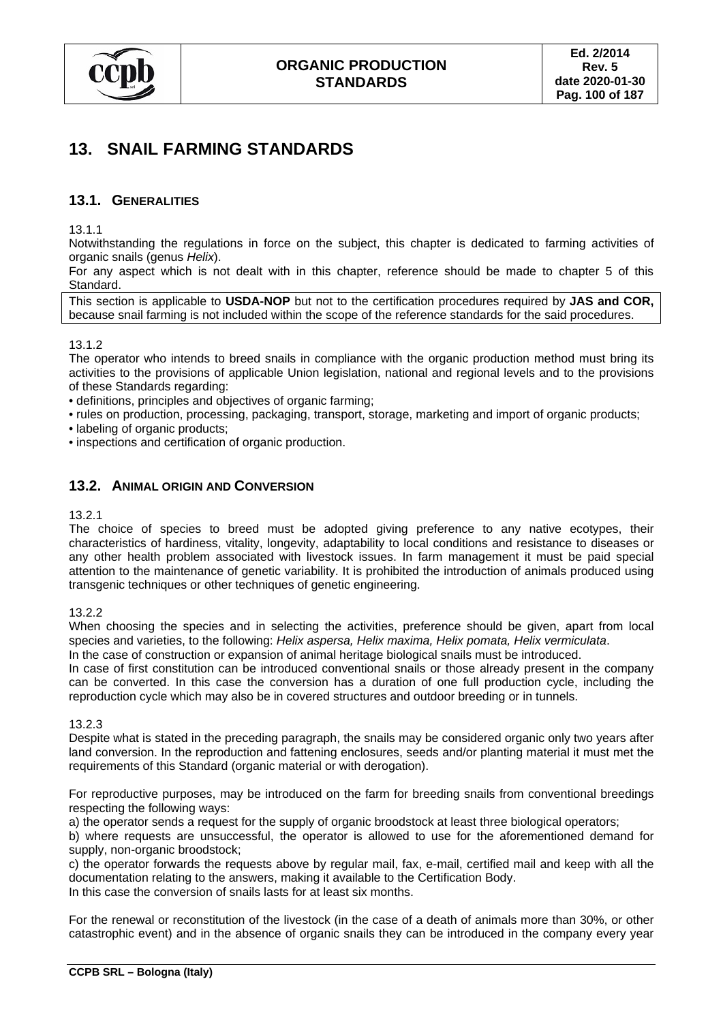

# **13. SNAIL FARMING STANDARDS**

## **13.1. GENERALITIES**

13.1.1

Notwithstanding the regulations in force on the subject, this chapter is dedicated to farming activities of organic snails (genus *Helix*).

For any aspect which is not dealt with in this chapter, reference should be made to chapter 5 of this Standard.

This section is applicable to **USDA-NOP** but not to the certification procedures required by **JAS and COR,** because snail farming is not included within the scope of the reference standards for the said procedures.

#### 13.1.2

The operator who intends to breed snails in compliance with the organic production method must bring its activities to the provisions of applicable Union legislation, national and regional levels and to the provisions of these Standards regarding:

• definitions, principles and objectives of organic farming;

- rules on production, processing, packaging, transport, storage, marketing and import of organic products;
- labeling of organic products;
- inspections and certification of organic production.

## **13.2. ANIMAL ORIGIN AND CONVERSION**

#### 13.2.1

The choice of species to breed must be adopted giving preference to any native ecotypes, their characteristics of hardiness, vitality, longevity, adaptability to local conditions and resistance to diseases or any other health problem associated with livestock issues. In farm management it must be paid special attention to the maintenance of genetic variability. It is prohibited the introduction of animals produced using transgenic techniques or other techniques of genetic engineering.

#### 13.2.2

When choosing the species and in selecting the activities, preference should be given, apart from local species and varieties, to the following: *Helix aspersa, Helix maxima, Helix pomata, Helix vermiculata*. In the case of construction or expansion of animal heritage biological snails must be introduced.

In case of first constitution can be introduced conventional snails or those already present in the company can be converted. In this case the conversion has a duration of one full production cycle, including the reproduction cycle which may also be in covered structures and outdoor breeding or in tunnels.

#### 13.2.3

Despite what is stated in the preceding paragraph, the snails may be considered organic only two years after land conversion. In the reproduction and fattening enclosures, seeds and/or planting material it must met the requirements of this Standard (organic material or with derogation).

For reproductive purposes, may be introduced on the farm for breeding snails from conventional breedings respecting the following ways:

a) the operator sends a request for the supply of organic broodstock at least three biological operators;

b) where requests are unsuccessful, the operator is allowed to use for the aforementioned demand for supply, non-organic broodstock;

c) the operator forwards the requests above by regular mail, fax, e-mail, certified mail and keep with all the documentation relating to the answers, making it available to the Certification Body.

In this case the conversion of snails lasts for at least six months.

For the renewal or reconstitution of the livestock (in the case of a death of animals more than 30%, or other catastrophic event) and in the absence of organic snails they can be introduced in the company every year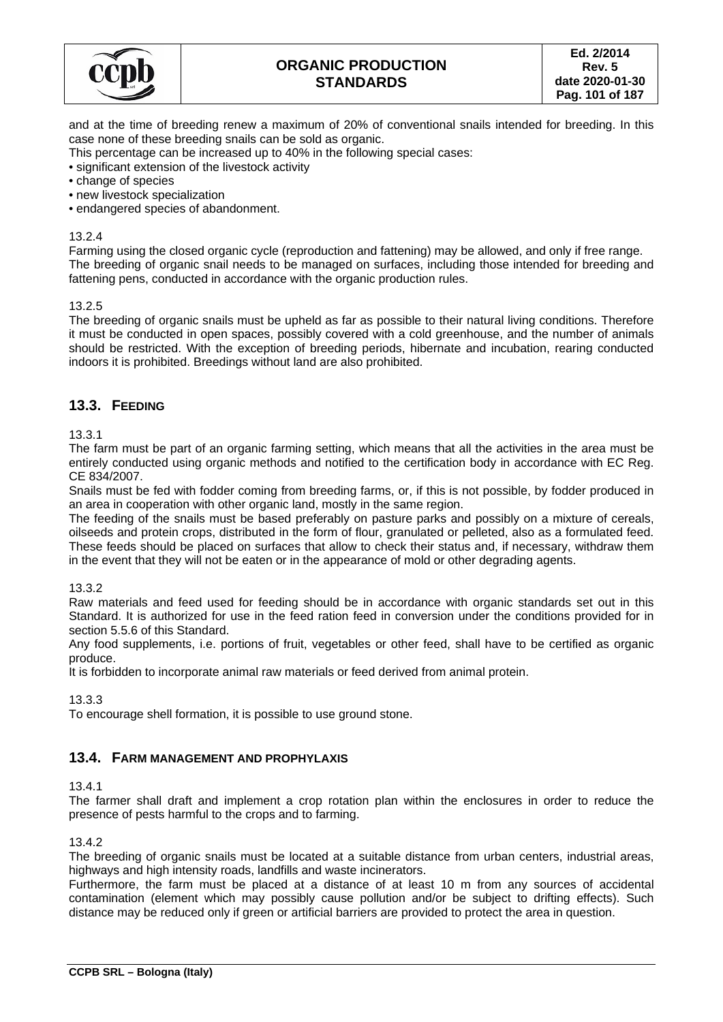

## **ORGANIC PRODUCTION STANDARDS**

and at the time of breeding renew a maximum of 20% of conventional snails intended for breeding. In this case none of these breeding snails can be sold as organic.

This percentage can be increased up to 40% in the following special cases:

- significant extension of the livestock activity
- change of species
- new livestock specialization
- endangered species of abandonment.

## 13.2.4

Farming using the closed organic cycle (reproduction and fattening) may be allowed, and only if free range. The breeding of organic snail needs to be managed on surfaces, including those intended for breeding and fattening pens, conducted in accordance with the organic production rules.

## 13.2.5

The breeding of organic snails must be upheld as far as possible to their natural living conditions. Therefore it must be conducted in open spaces, possibly covered with a cold greenhouse, and the number of animals should be restricted. With the exception of breeding periods, hibernate and incubation, rearing conducted indoors it is prohibited. Breedings without land are also prohibited.

## **13.3. FEEDING**

13.3.1

The farm must be part of an organic farming setting, which means that all the activities in the area must be entirely conducted using organic methods and notified to the certification body in accordance with EC Reg. CE 834/2007.

Snails must be fed with fodder coming from breeding farms, or, if this is not possible, by fodder produced in an area in cooperation with other organic land, mostly in the same region.

The feeding of the snails must be based preferably on pasture parks and possibly on a mixture of cereals, oilseeds and protein crops, distributed in the form of flour, granulated or pelleted, also as a formulated feed. These feeds should be placed on surfaces that allow to check their status and, if necessary, withdraw them in the event that they will not be eaten or in the appearance of mold or other degrading agents.

13.3.2

Raw materials and feed used for feeding should be in accordance with organic standards set out in this Standard. It is authorized for use in the feed ration feed in conversion under the conditions provided for in section 5.5.6 of this Standard.

Any food supplements, i.e. portions of fruit, vegetables or other feed, shall have to be certified as organic produce.

It is forbidden to incorporate animal raw materials or feed derived from animal protein.

13.3.3

To encourage shell formation, it is possible to use ground stone.

## **13.4. FARM MANAGEMENT AND PROPHYLAXIS**

## 13.4.1

The farmer shall draft and implement a crop rotation plan within the enclosures in order to reduce the presence of pests harmful to the crops and to farming.

## 13.4.2

The breeding of organic snails must be located at a suitable distance from urban centers, industrial areas, highways and high intensity roads, landfills and waste incinerators.

Furthermore, the farm must be placed at a distance of at least 10 m from any sources of accidental contamination (element which may possibly cause pollution and/or be subject to drifting effects). Such distance may be reduced only if green or artificial barriers are provided to protect the area in question.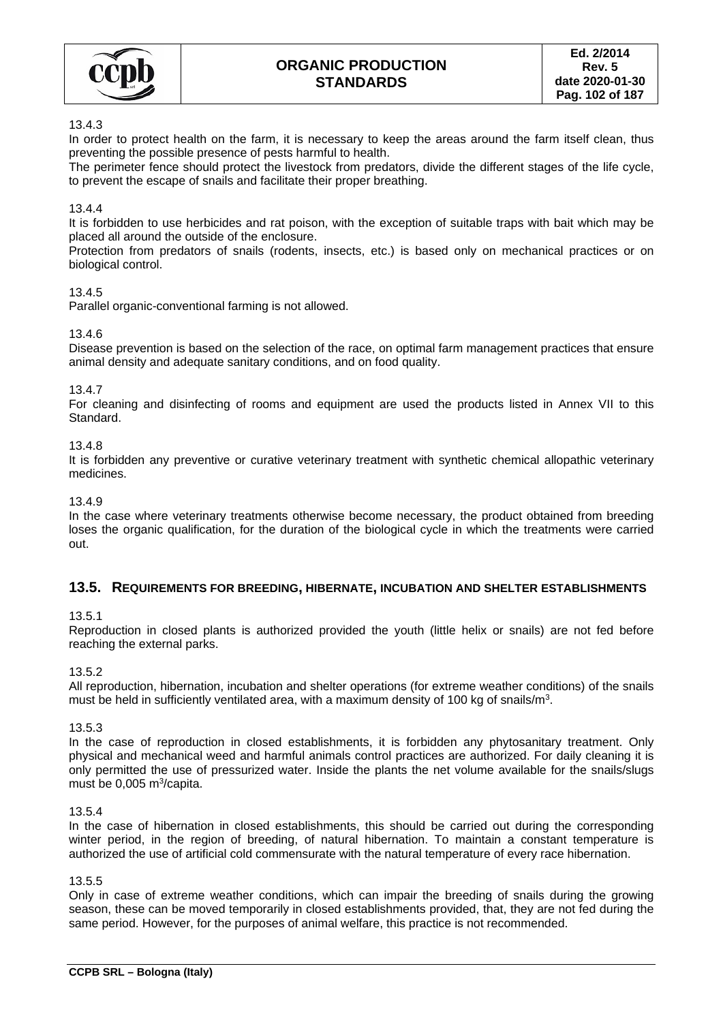

## 13.4.3

In order to protect health on the farm, it is necessary to keep the areas around the farm itself clean, thus preventing the possible presence of pests harmful to health.

The perimeter fence should protect the livestock from predators, divide the different stages of the life cycle, to prevent the escape of snails and facilitate their proper breathing.

## 13.4.4

It is forbidden to use herbicides and rat poison, with the exception of suitable traps with bait which may be placed all around the outside of the enclosure.

Protection from predators of snails (rodents, insects, etc.) is based only on mechanical practices or on biological control.

## 13.4.5

Parallel organic-conventional farming is not allowed.

## 13.4.6

Disease prevention is based on the selection of the race, on optimal farm management practices that ensure animal density and adequate sanitary conditions, and on food quality.

#### 13.4.7

For cleaning and disinfecting of rooms and equipment are used the products listed in Annex VII to this Standard.

#### 13.4.8

It is forbidden any preventive or curative veterinary treatment with synthetic chemical allopathic veterinary medicines.

## 13.4.9

In the case where veterinary treatments otherwise become necessary, the product obtained from breeding loses the organic qualification, for the duration of the biological cycle in which the treatments were carried out.

#### **13.5. REQUIREMENTS FOR BREEDING, HIBERNATE, INCUBATION AND SHELTER ESTABLISHMENTS**

#### 13.5.1

Reproduction in closed plants is authorized provided the youth (little helix or snails) are not fed before reaching the external parks.

#### 13.5.2

All reproduction, hibernation, incubation and shelter operations (for extreme weather conditions) of the snails must be held in sufficiently ventilated area, with a maximum density of 100 kg of snails/m3.

#### 13.5.3

In the case of reproduction in closed establishments, it is forbidden any phytosanitary treatment. Only physical and mechanical weed and harmful animals control practices are authorized. For daily cleaning it is only permitted the use of pressurized water. Inside the plants the net volume available for the snails/slugs must be 0,005 m<sup>3</sup>/capita.

#### 13.5.4

In the case of hibernation in closed establishments, this should be carried out during the corresponding winter period, in the region of breeding, of natural hibernation. To maintain a constant temperature is authorized the use of artificial cold commensurate with the natural temperature of every race hibernation.

#### 13.5.5

Only in case of extreme weather conditions, which can impair the breeding of snails during the growing season, these can be moved temporarily in closed establishments provided, that, they are not fed during the same period. However, for the purposes of animal welfare, this practice is not recommended.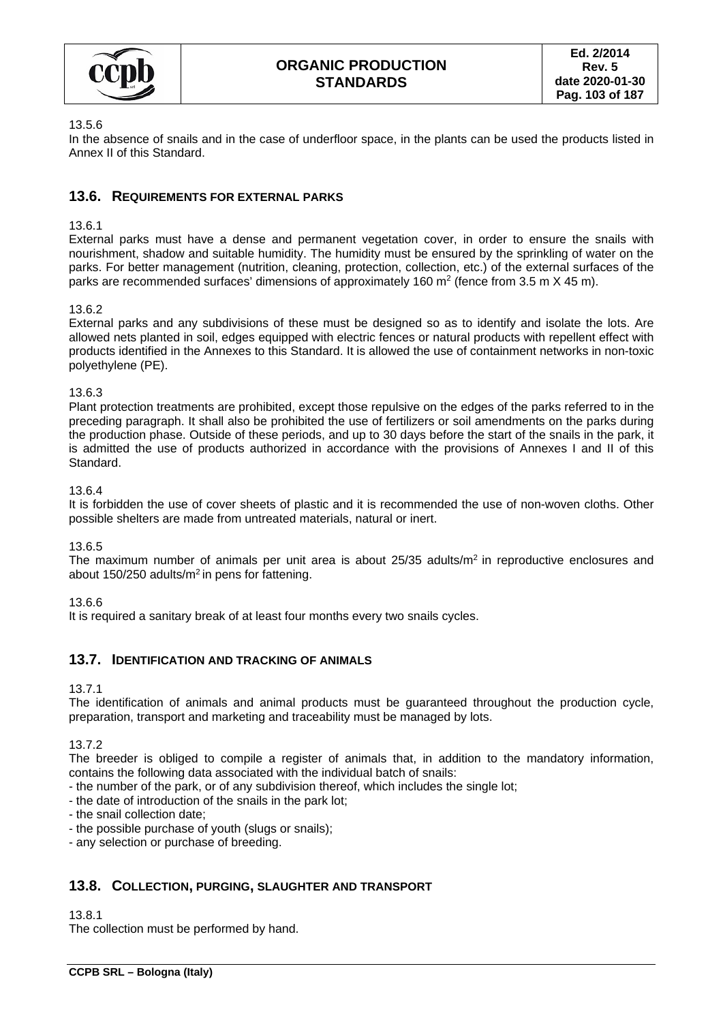

## 13.5.6

In the absence of snails and in the case of underfloor space, in the plants can be used the products listed in Annex II of this Standard.

## **13.6. REQUIREMENTS FOR EXTERNAL PARKS**

#### 13.6.1

External parks must have a dense and permanent vegetation cover, in order to ensure the snails with nourishment, shadow and suitable humidity. The humidity must be ensured by the sprinkling of water on the parks. For better management (nutrition, cleaning, protection, collection, etc.) of the external surfaces of the parks are recommended surfaces' dimensions of approximately 160 m<sup>2</sup> (fence from 3.5 m X 45 m).

## 13.6.2

External parks and any subdivisions of these must be designed so as to identify and isolate the lots. Are allowed nets planted in soil, edges equipped with electric fences or natural products with repellent effect with products identified in the Annexes to this Standard. It is allowed the use of containment networks in non-toxic polyethylene (PE).

#### 13.6.3

Plant protection treatments are prohibited, except those repulsive on the edges of the parks referred to in the preceding paragraph. It shall also be prohibited the use of fertilizers or soil amendments on the parks during the production phase. Outside of these periods, and up to 30 days before the start of the snails in the park, it is admitted the use of products authorized in accordance with the provisions of Annexes I and II of this Standard.

## 13.6.4

It is forbidden the use of cover sheets of plastic and it is recommended the use of non-woven cloths. Other possible shelters are made from untreated materials, natural or inert.

## 13.6.5

The maximum number of animals per unit area is about  $25/35$  adults/m<sup>2</sup> in reproductive enclosures and about 150/250 adults/ $m^2$  in pens for fattening.

#### 13.6.6

It is required a sanitary break of at least four months every two snails cycles.

## **13.7. IDENTIFICATION AND TRACKING OF ANIMALS**

#### 13.7.1

The identification of animals and animal products must be guaranteed throughout the production cycle, preparation, transport and marketing and traceability must be managed by lots.

13.7.2

The breeder is obliged to compile a register of animals that, in addition to the mandatory information, contains the following data associated with the individual batch of snails:

- the number of the park, or of any subdivision thereof, which includes the single lot;
- the date of introduction of the snails in the park lot;
- the snail collection date;
- the possible purchase of youth (slugs or snails);
- any selection or purchase of breeding.

## **13.8. COLLECTION, PURGING, SLAUGHTER AND TRANSPORT**

#### 13.8.1

The collection must be performed by hand.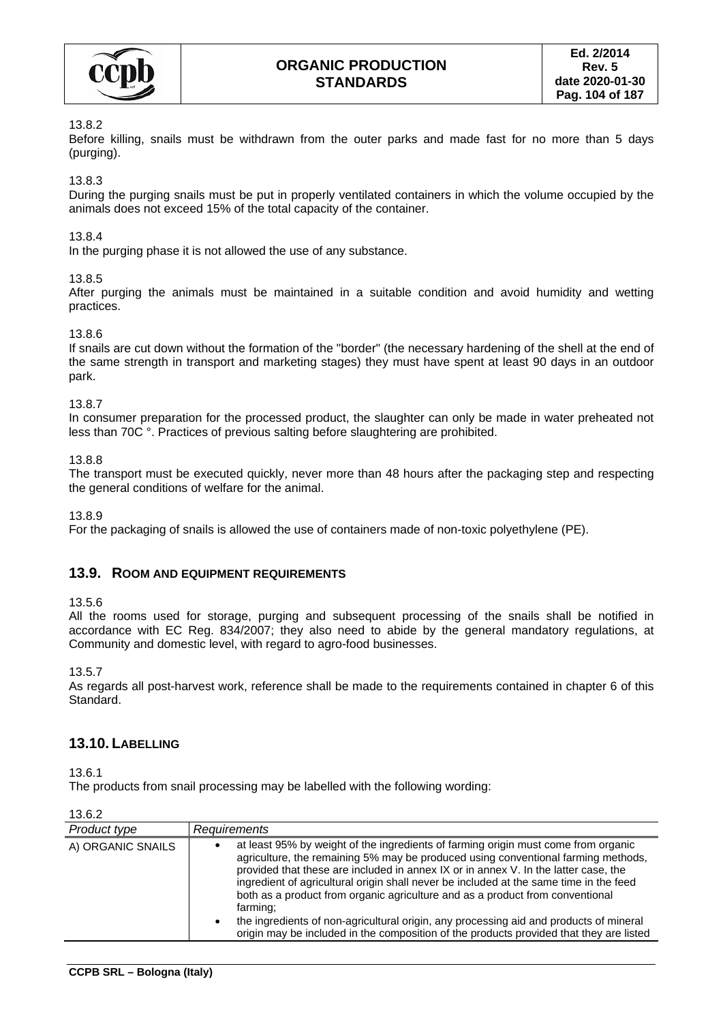

## 13.8.2

Before killing, snails must be withdrawn from the outer parks and made fast for no more than 5 days (purging).

13.8.3

During the purging snails must be put in properly ventilated containers in which the volume occupied by the animals does not exceed 15% of the total capacity of the container.

#### 13.8.4

In the purging phase it is not allowed the use of any substance.

## 13.8.5

After purging the animals must be maintained in a suitable condition and avoid humidity and wetting practices.

#### 13.8.6

If snails are cut down without the formation of the "border" (the necessary hardening of the shell at the end of the same strength in transport and marketing stages) they must have spent at least 90 days in an outdoor park.

#### 13.8.7

In consumer preparation for the processed product, the slaughter can only be made in water preheated not less than 70C °. Practices of previous salting before slaughtering are prohibited.

13.8.8

The transport must be executed quickly, never more than 48 hours after the packaging step and respecting the general conditions of welfare for the animal.

13.8.9

For the packaging of snails is allowed the use of containers made of non-toxic polyethylene (PE).

## **13.9. ROOM AND EQUIPMENT REQUIREMENTS**

#### 13.5.6

All the rooms used for storage, purging and subsequent processing of the snails shall be notified in accordance with EC Reg. 834/2007; they also need to abide by the general mandatory regulations, at Community and domestic level, with regard to agro-food businesses.

13.5.7

As regards all post-harvest work, reference shall be made to the requirements contained in chapter 6 of this **Standard** 

## **13.10. LABELLING**

13.6.1

The products from snail processing may be labelled with the following wording:

13.6.2

| . <u>.</u>        |                                                                                                                                                                                                                                                                                                                                                                                                                                                                                                                                                                                                                                            |
|-------------------|--------------------------------------------------------------------------------------------------------------------------------------------------------------------------------------------------------------------------------------------------------------------------------------------------------------------------------------------------------------------------------------------------------------------------------------------------------------------------------------------------------------------------------------------------------------------------------------------------------------------------------------------|
| Product type      | <b>Requirements</b>                                                                                                                                                                                                                                                                                                                                                                                                                                                                                                                                                                                                                        |
| A) ORGANIC SNAILS | at least 95% by weight of the ingredients of farming origin must come from organic<br>agriculture, the remaining 5% may be produced using conventional farming methods,<br>provided that these are included in annex IX or in annex V. In the latter case, the<br>ingredient of agricultural origin shall never be included at the same time in the feed<br>both as a product from organic agriculture and as a product from conventional<br>farming:<br>the ingredients of non-agricultural origin, any processing aid and products of mineral<br>origin may be included in the composition of the products provided that they are listed |
|                   |                                                                                                                                                                                                                                                                                                                                                                                                                                                                                                                                                                                                                                            |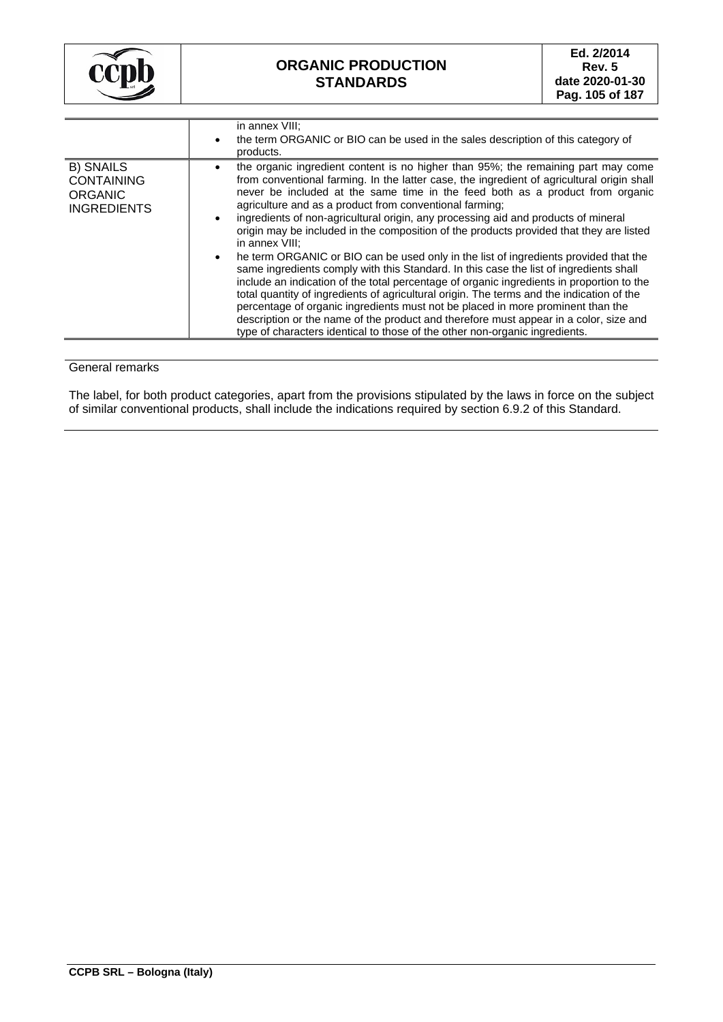

|                                                                               | in annex VIII:<br>the term ORGANIC or BIO can be used in the sales description of this category of<br>٠<br>products.                                                                                                                                                                                                                                                                                                                                                                                                                                                                                                                                                                                                                                                                                                                                                                                                                                                                                                                                                                                                                                                                            |
|-------------------------------------------------------------------------------|-------------------------------------------------------------------------------------------------------------------------------------------------------------------------------------------------------------------------------------------------------------------------------------------------------------------------------------------------------------------------------------------------------------------------------------------------------------------------------------------------------------------------------------------------------------------------------------------------------------------------------------------------------------------------------------------------------------------------------------------------------------------------------------------------------------------------------------------------------------------------------------------------------------------------------------------------------------------------------------------------------------------------------------------------------------------------------------------------------------------------------------------------------------------------------------------------|
| <b>B) SNAILS</b><br><b>CONTAINING</b><br><b>ORGANIC</b><br><b>INGREDIENTS</b> | the organic ingredient content is no higher than 95%; the remaining part may come<br>from conventional farming. In the latter case, the ingredient of agricultural origin shall<br>never be included at the same time in the feed both as a product from organic<br>agriculture and as a product from conventional farming:<br>ingredients of non-agricultural origin, any processing aid and products of mineral<br>$\bullet$<br>origin may be included in the composition of the products provided that they are listed<br>in annex VIII;<br>he term ORGANIC or BIO can be used only in the list of ingredients provided that the<br>$\bullet$<br>same ingredients comply with this Standard. In this case the list of ingredients shall<br>include an indication of the total percentage of organic ingredients in proportion to the<br>total quantity of ingredients of agricultural origin. The terms and the indication of the<br>percentage of organic ingredients must not be placed in more prominent than the<br>description or the name of the product and therefore must appear in a color, size and<br>type of characters identical to those of the other non-organic ingredients. |

## General remarks

The label, for both product categories, apart from the provisions stipulated by the laws in force on the subject of similar conventional products, shall include the indications required by section 6.9.2 of this Standard.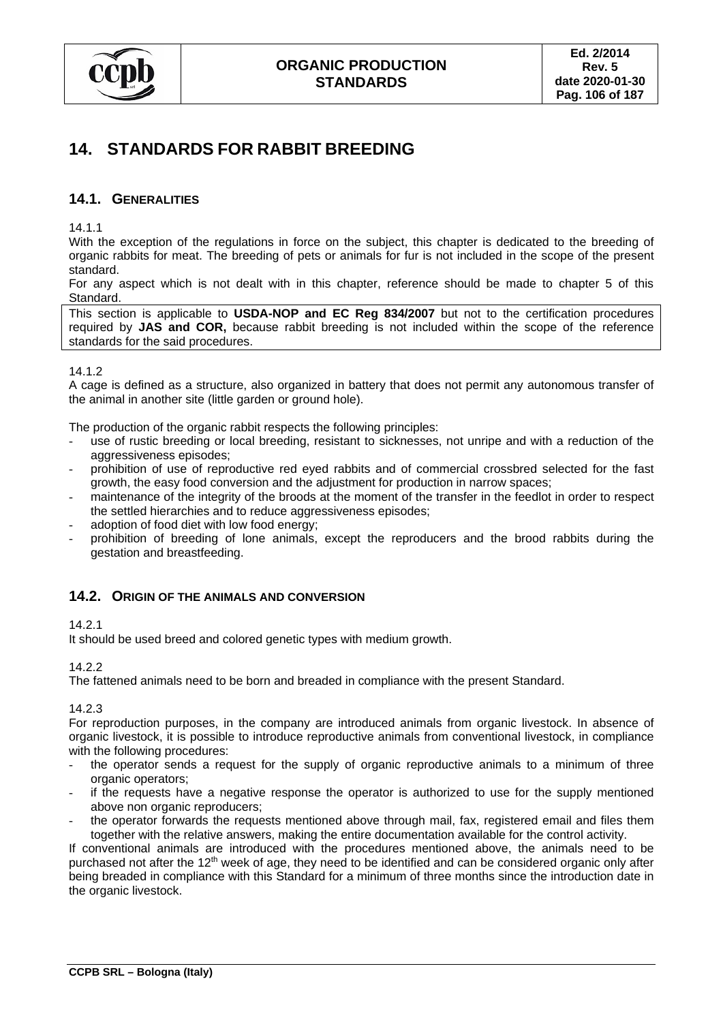

# **14. STANDARDS FOR RABBIT BREEDING**

## **14.1. GENERALITIES**

14.1.1

With the exception of the regulations in force on the subject, this chapter is dedicated to the breeding of organic rabbits for meat. The breeding of pets or animals for fur is not included in the scope of the present standard.

For any aspect which is not dealt with in this chapter, reference should be made to chapter 5 of this Standard.

This section is applicable to **USDA-NOP and EC Reg 834/2007** but not to the certification procedures required by **JAS and COR,** because rabbit breeding is not included within the scope of the reference standards for the said procedures.

## 14.1.2

A cage is defined as a structure, also organized in battery that does not permit any autonomous transfer of the animal in another site (little garden or ground hole).

The production of the organic rabbit respects the following principles:

- use of rustic breeding or local breeding, resistant to sicknesses, not unripe and with a reduction of the aggressiveness episodes;
- prohibition of use of reproductive red eyed rabbits and of commercial crossbred selected for the fast growth, the easy food conversion and the adjustment for production in narrow spaces;
- maintenance of the integrity of the broods at the moment of the transfer in the feedlot in order to respect the settled hierarchies and to reduce aggressiveness episodes;
- adoption of food diet with low food energy;
- prohibition of breeding of lone animals, except the reproducers and the brood rabbits during the gestation and breastfeeding.

## **14.2. ORIGIN OF THE ANIMALS AND CONVERSION**

#### 14.2.1

It should be used breed and colored genetic types with medium growth.

## 14.2.2

The fattened animals need to be born and breaded in compliance with the present Standard.

#### 14.2.3

For reproduction purposes, in the company are introduced animals from organic livestock. In absence of organic livestock, it is possible to introduce reproductive animals from conventional livestock, in compliance with the following procedures:

- the operator sends a request for the supply of organic reproductive animals to a minimum of three organic operators;
- if the requests have a negative response the operator is authorized to use for the supply mentioned above non organic reproducers;
- the operator forwards the requests mentioned above through mail, fax, registered email and files them together with the relative answers, making the entire documentation available for the control activity.

If conventional animals are introduced with the procedures mentioned above, the animals need to be purchased not after the 12<sup>th</sup> week of age, they need to be identified and can be considered organic only after being breaded in compliance with this Standard for a minimum of three months since the introduction date in the organic livestock.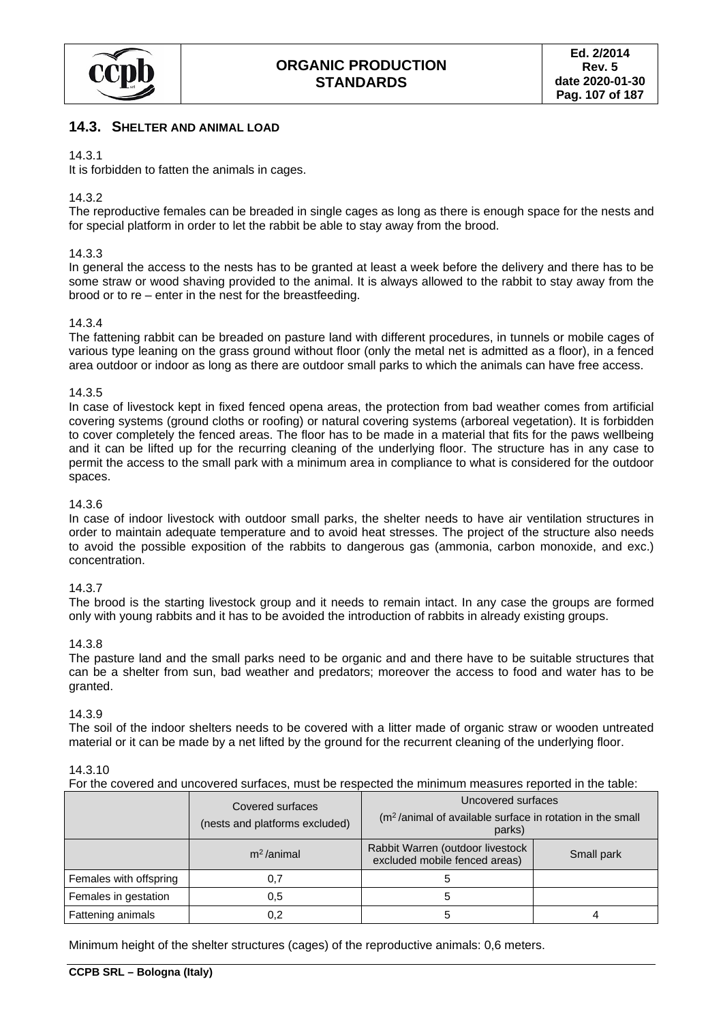

## **14.3. SHELTER AND ANIMAL LOAD**

## 14.3.1

It is forbidden to fatten the animals in cages.

## 14.3.2

The reproductive females can be breaded in single cages as long as there is enough space for the nests and for special platform in order to let the rabbit be able to stay away from the brood.

## 14.3.3

In general the access to the nests has to be granted at least a week before the delivery and there has to be some straw or wood shaving provided to the animal. It is always allowed to the rabbit to stay away from the brood or to re – enter in the nest for the breastfeeding.

## 14.3.4

The fattening rabbit can be breaded on pasture land with different procedures, in tunnels or mobile cages of various type leaning on the grass ground without floor (only the metal net is admitted as a floor), in a fenced area outdoor or indoor as long as there are outdoor small parks to which the animals can have free access.

#### 14.3.5

In case of livestock kept in fixed fenced opena areas, the protection from bad weather comes from artificial covering systems (ground cloths or roofing) or natural covering systems (arboreal vegetation). It is forbidden to cover completely the fenced areas. The floor has to be made in a material that fits for the paws wellbeing and it can be lifted up for the recurring cleaning of the underlying floor. The structure has in any case to permit the access to the small park with a minimum area in compliance to what is considered for the outdoor spaces.

#### 14.3.6

In case of indoor livestock with outdoor small parks, the shelter needs to have air ventilation structures in order to maintain adequate temperature and to avoid heat stresses. The project of the structure also needs to avoid the possible exposition of the rabbits to dangerous gas (ammonia, carbon monoxide, and exc.) concentration.

#### 14.3.7

The brood is the starting livestock group and it needs to remain intact. In any case the groups are formed only with young rabbits and it has to be avoided the introduction of rabbits in already existing groups.

#### 14.3.8

The pasture land and the small parks need to be organic and and there have to be suitable structures that can be a shelter from sun, bad weather and predators; moreover the access to food and water has to be granted.

## 14.3.9

The soil of the indoor shelters needs to be covered with a litter made of organic straw or wooden untreated material or it can be made by a net lifted by the ground for the recurrent cleaning of the underlying floor.

#### 14.3.10

For the covered and uncovered surfaces, must be respected the minimum measures reported in the table:

|                        | Covered surfaces<br>(nests and platforms excluded) | Uncovered surfaces<br>(m <sup>2</sup> /animal of available surface in rotation in the small<br>parks) |            |
|------------------------|----------------------------------------------------|-------------------------------------------------------------------------------------------------------|------------|
|                        | $m^2$ /animal                                      | Rabbit Warren (outdoor livestock<br>excluded mobile fenced areas)                                     | Small park |
| Females with offspring | 0,7                                                |                                                                                                       |            |
| Females in gestation   | 0.5                                                | 5                                                                                                     |            |
| Fattening animals      | 0,2                                                |                                                                                                       |            |

Minimum height of the shelter structures (cages) of the reproductive animals: 0,6 meters.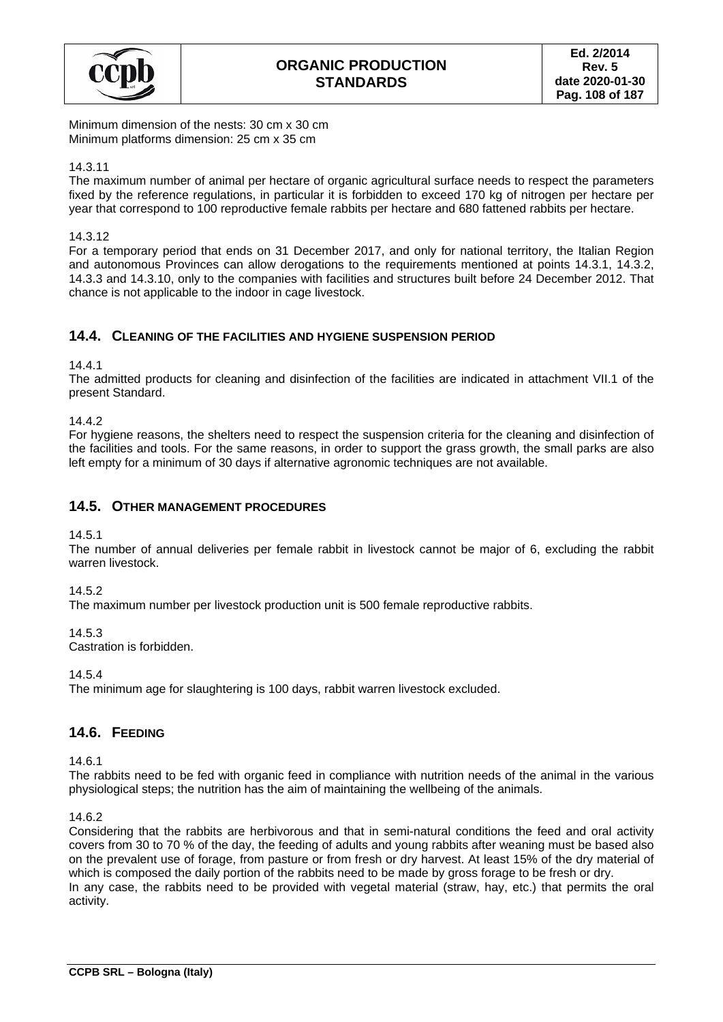

Minimum dimension of the nests: 30 cm x 30 cm Minimum platforms dimension: 25 cm x 35 cm

### 14.3.11

The maximum number of animal per hectare of organic agricultural surface needs to respect the parameters fixed by the reference regulations, in particular it is forbidden to exceed 170 kg of nitrogen per hectare per year that correspond to 100 reproductive female rabbits per hectare and 680 fattened rabbits per hectare.

### 14.3.12

For a temporary period that ends on 31 December 2017, and only for national territory, the Italian Region and autonomous Provinces can allow derogations to the requirements mentioned at points 14.3.1, 14.3.2, 14.3.3 and 14.3.10, only to the companies with facilities and structures built before 24 December 2012. That chance is not applicable to the indoor in cage livestock.

## **14.4. CLEANING OF THE FACILITIES AND HYGIENE SUSPENSION PERIOD**

14.4.1

The admitted products for cleaning and disinfection of the facilities are indicated in attachment VII.1 of the present Standard.

14.4.2

For hygiene reasons, the shelters need to respect the suspension criteria for the cleaning and disinfection of the facilities and tools. For the same reasons, in order to support the grass growth, the small parks are also left empty for a minimum of 30 days if alternative agronomic techniques are not available.

## **14.5. OTHER MANAGEMENT PROCEDURES**

14.5.1

The number of annual deliveries per female rabbit in livestock cannot be major of 6, excluding the rabbit warren livestock.

14.5.2

The maximum number per livestock production unit is 500 female reproductive rabbits.

14.5.3

Castration is forbidden.

14.5.4

The minimum age for slaughtering is 100 days, rabbit warren livestock excluded.

## **14.6. FEEDING**

14.6.1

The rabbits need to be fed with organic feed in compliance with nutrition needs of the animal in the various physiological steps; the nutrition has the aim of maintaining the wellbeing of the animals.

14.6.2

Considering that the rabbits are herbivorous and that in semi-natural conditions the feed and oral activity covers from 30 to 70 % of the day, the feeding of adults and young rabbits after weaning must be based also on the prevalent use of forage, from pasture or from fresh or dry harvest. At least 15% of the dry material of which is composed the daily portion of the rabbits need to be made by gross forage to be fresh or dry. In any case, the rabbits need to be provided with vegetal material (straw, hay, etc.) that permits the oral activity.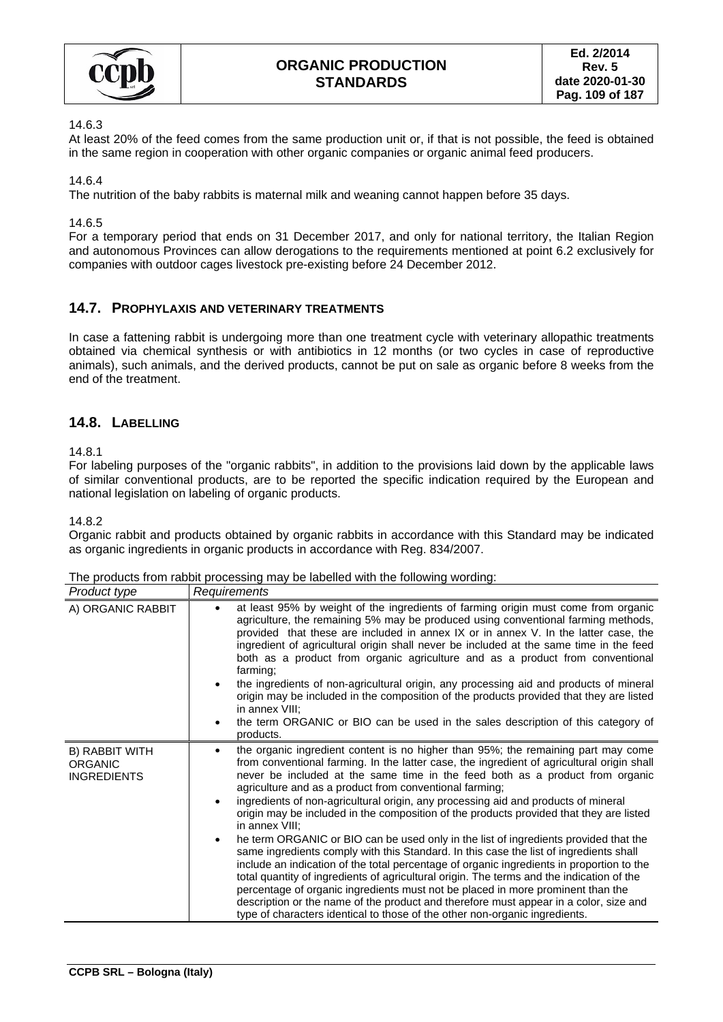

### 14.6.3

At least 20% of the feed comes from the same production unit or, if that is not possible, the feed is obtained in the same region in cooperation with other organic companies or organic animal feed producers.

14.6.4

The nutrition of the baby rabbits is maternal milk and weaning cannot happen before 35 days.

14.6.5

For a temporary period that ends on 31 December 2017, and only for national territory, the Italian Region and autonomous Provinces can allow derogations to the requirements mentioned at point 6.2 exclusively for companies with outdoor cages livestock pre-existing before 24 December 2012.

### **14.7. PROPHYLAXIS AND VETERINARY TREATMENTS**

In case a fattening rabbit is undergoing more than one treatment cycle with veterinary allopathic treatments obtained via chemical synthesis or with antibiotics in 12 months (or two cycles in case of reproductive animals), such animals, and the derived products, cannot be put on sale as organic before 8 weeks from the end of the treatment.

## **14.8. LABELLING**

14.8.1

For labeling purposes of the "organic rabbits", in addition to the provisions laid down by the applicable laws of similar conventional products, are to be reported the specific indication required by the European and national legislation on labeling of organic products.

14.8.2

Organic rabbit and products obtained by organic rabbits in accordance with this Standard may be indicated as organic ingredients in organic products in accordance with Reg. 834/2007.

|  | The products from rabbit processing may be labelled with the following wording: |  |  |  |
|--|---------------------------------------------------------------------------------|--|--|--|
|  |                                                                                 |  |  |  |

| Product type                                           | Requirements                                                                                                                                                                                                                                                                                                                                                                                                                                                                                                                                                                                                                                                                                                                                                                                                                                                                                                                                                                                                                                                                                                                                                                                                 |
|--------------------------------------------------------|--------------------------------------------------------------------------------------------------------------------------------------------------------------------------------------------------------------------------------------------------------------------------------------------------------------------------------------------------------------------------------------------------------------------------------------------------------------------------------------------------------------------------------------------------------------------------------------------------------------------------------------------------------------------------------------------------------------------------------------------------------------------------------------------------------------------------------------------------------------------------------------------------------------------------------------------------------------------------------------------------------------------------------------------------------------------------------------------------------------------------------------------------------------------------------------------------------------|
| A) ORGANIC RABBIT                                      | at least 95% by weight of the ingredients of farming origin must come from organic<br>agriculture, the remaining 5% may be produced using conventional farming methods,<br>provided that these are included in annex IX or in annex V. In the latter case, the<br>ingredient of agricultural origin shall never be included at the same time in the feed<br>both as a product from organic agriculture and as a product from conventional<br>farming;<br>the ingredients of non-agricultural origin, any processing aid and products of mineral<br>origin may be included in the composition of the products provided that they are listed<br>in annex VIII;<br>the term ORGANIC or BIO can be used in the sales description of this category of<br>products.                                                                                                                                                                                                                                                                                                                                                                                                                                                |
| B) RABBIT WITH<br><b>ORGANIC</b><br><b>INGREDIENTS</b> | the organic ingredient content is no higher than 95%; the remaining part may come<br>$\bullet$<br>from conventional farming. In the latter case, the ingredient of agricultural origin shall<br>never be included at the same time in the feed both as a product from organic<br>agriculture and as a product from conventional farming;<br>ingredients of non-agricultural origin, any processing aid and products of mineral<br>$\bullet$<br>origin may be included in the composition of the products provided that they are listed<br>in annex VIII;<br>he term ORGANIC or BIO can be used only in the list of ingredients provided that the<br>$\bullet$<br>same ingredients comply with this Standard. In this case the list of ingredients shall<br>include an indication of the total percentage of organic ingredients in proportion to the<br>total quantity of ingredients of agricultural origin. The terms and the indication of the<br>percentage of organic ingredients must not be placed in more prominent than the<br>description or the name of the product and therefore must appear in a color, size and<br>type of characters identical to those of the other non-organic ingredients. |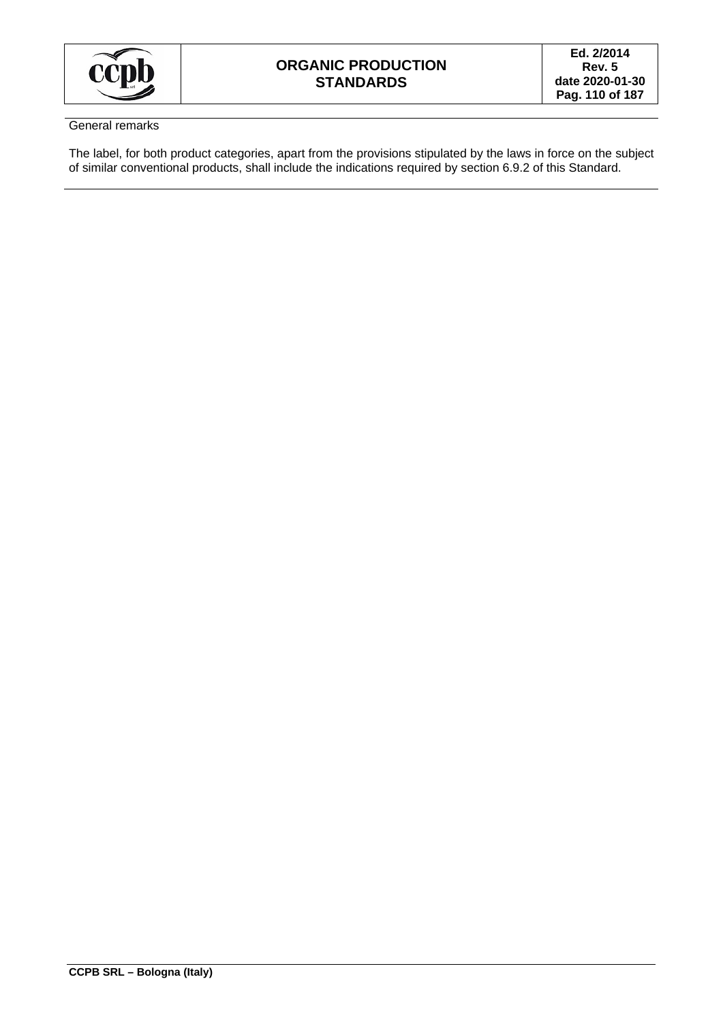

General remarks

The label, for both product categories, apart from the provisions stipulated by the laws in force on the subject of similar conventional products, shall include the indications required by section 6.9.2 of this Standard.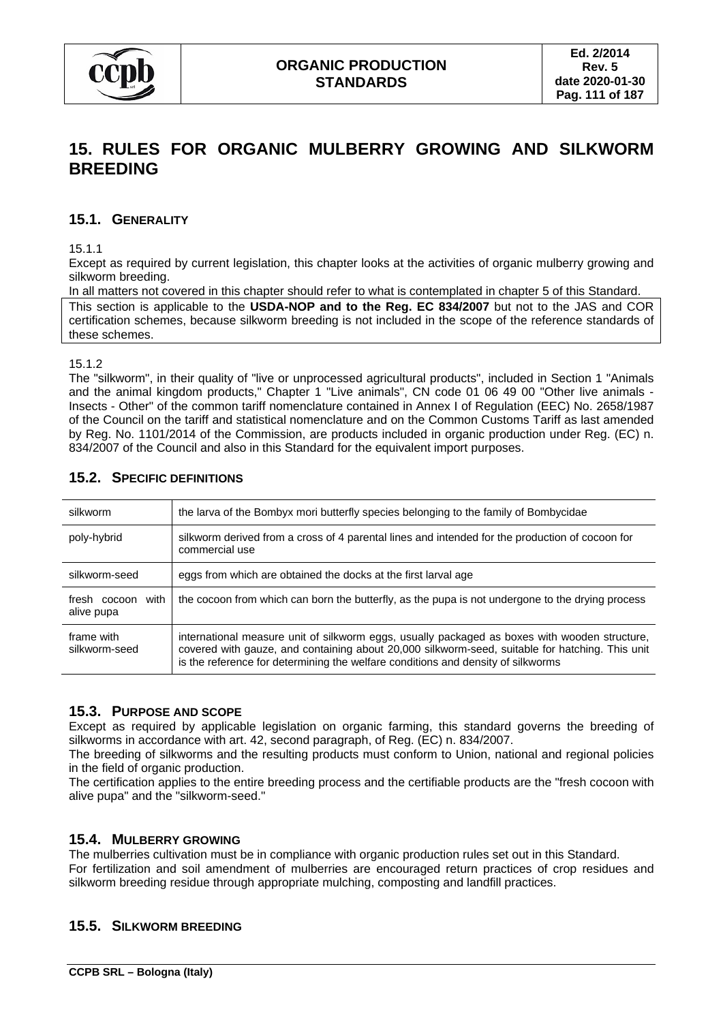

# **15. RULES FOR ORGANIC MULBERRY GROWING AND SILKWORM BREEDING**

## **15.1. GENERALITY**

15.1.1

Except as required by current legislation, this chapter looks at the activities of organic mulberry growing and silkworm breeding.

In all matters not covered in this chapter should refer to what is contemplated in chapter 5 of this Standard. This section is applicable to the **USDA-NOP and to the Reg. EC 834/2007** but not to the JAS and COR certification schemes, because silkworm breeding is not included in the scope of the reference standards of these schemes.

#### 15.1.2

The "silkworm", in their quality of "live or unprocessed agricultural products", included in Section 1 "Animals and the animal kingdom products," Chapter 1 "Live animals", CN code 01 06 49 00 "Other live animals - Insects - Other" of the common tariff nomenclature contained in Annex I of Regulation (EEC) No. 2658/1987 of the Council on the tariff and statistical nomenclature and on the Common Customs Tariff as last amended by Reg. No. 1101/2014 of the Commission, are products included in organic production under Reg. (EC) n. 834/2007 of the Council and also in this Standard for the equivalent import purposes.

## **15.2. SPECIFIC DEFINITIONS**

| silkworm                        | the larva of the Bombyx mori butterfly species belonging to the family of Bombycidae                                                                                                                                                                                                 |
|---------------------------------|--------------------------------------------------------------------------------------------------------------------------------------------------------------------------------------------------------------------------------------------------------------------------------------|
| poly-hybrid                     | silkworm derived from a cross of 4 parental lines and intended for the production of cocoon for<br>commercial use                                                                                                                                                                    |
| silkworm-seed                   | eggs from which are obtained the docks at the first larval age                                                                                                                                                                                                                       |
| fresh cocoon with<br>alive pupa | the cocoon from which can born the butterfly, as the pupa is not undergone to the drying process                                                                                                                                                                                     |
| frame with<br>silkworm-seed     | international measure unit of silkworm eggs, usually packaged as boxes with wooden structure,<br>covered with gauze, and containing about 20,000 silkworm-seed, suitable for hatching. This unit<br>is the reference for determining the welfare conditions and density of silkworms |

### **15.3. PURPOSE AND SCOPE**

Except as required by applicable legislation on organic farming, this standard governs the breeding of silkworms in accordance with art. 42, second paragraph, of Reg. (EC) n. 834/2007.

The breeding of silkworms and the resulting products must conform to Union, national and regional policies in the field of organic production.

The certification applies to the entire breeding process and the certifiable products are the "fresh cocoon with alive pupa" and the "silkworm-seed."

### **15.4. MULBERRY GROWING**

The mulberries cultivation must be in compliance with organic production rules set out in this Standard. For fertilization and soil amendment of mulberries are encouraged return practices of crop residues and silkworm breeding residue through appropriate mulching, composting and landfill practices.

## **15.5. SILKWORM BREEDING**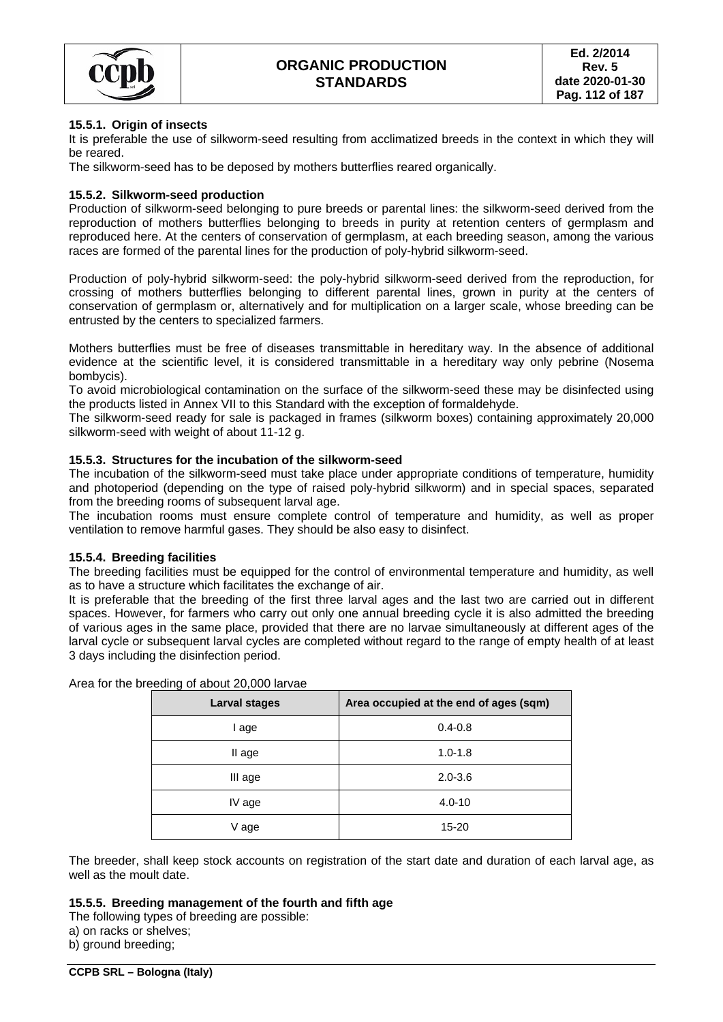

### **15.5.1. Origin of insects**

It is preferable the use of silkworm-seed resulting from acclimatized breeds in the context in which they will be reared.

The silkworm-seed has to be deposed by mothers butterflies reared organically.

## **15.5.2. Silkworm-seed production**

Production of silkworm-seed belonging to pure breeds or parental lines: the silkworm-seed derived from the reproduction of mothers butterflies belonging to breeds in purity at retention centers of germplasm and reproduced here. At the centers of conservation of germplasm, at each breeding season, among the various races are formed of the parental lines for the production of poly-hybrid silkworm-seed.

Production of poly-hybrid silkworm-seed: the poly-hybrid silkworm-seed derived from the reproduction, for crossing of mothers butterflies belonging to different parental lines, grown in purity at the centers of conservation of germplasm or, alternatively and for multiplication on a larger scale, whose breeding can be entrusted by the centers to specialized farmers.

Mothers butterflies must be free of diseases transmittable in hereditary way. In the absence of additional evidence at the scientific level, it is considered transmittable in a hereditary way only pebrine (Nosema bombycis).

To avoid microbiological contamination on the surface of the silkworm-seed these may be disinfected using the products listed in Annex VII to this Standard with the exception of formaldehyde.

The silkworm-seed ready for sale is packaged in frames (silkworm boxes) containing approximately 20,000 silkworm-seed with weight of about 11-12 g.

#### **15.5.3. Structures for the incubation of the silkworm-seed**

The incubation of the silkworm-seed must take place under appropriate conditions of temperature, humidity and photoperiod (depending on the type of raised poly-hybrid silkworm) and in special spaces, separated from the breeding rooms of subsequent larval age.

The incubation rooms must ensure complete control of temperature and humidity, as well as proper ventilation to remove harmful gases. They should be also easy to disinfect.

#### **15.5.4. Breeding facilities**

The breeding facilities must be equipped for the control of environmental temperature and humidity, as well as to have a structure which facilitates the exchange of air.

It is preferable that the breeding of the first three larval ages and the last two are carried out in different spaces. However, for farmers who carry out only one annual breeding cycle it is also admitted the breeding of various ages in the same place, provided that there are no larvae simultaneously at different ages of the larval cycle or subsequent larval cycles are completed without regard to the range of empty health of at least 3 days including the disinfection period.

Area for the breeding of about 20,000 larvae

| <b>Larval stages</b> | Area occupied at the end of ages (sqm) |
|----------------------|----------------------------------------|
| l age                | $0.4 - 0.8$                            |
| II age               | $1.0 - 1.8$                            |
| III age              | $2.0 - 3.6$                            |
| IV age               | $4.0 - 10$                             |
| V age                | 15-20                                  |

The breeder, shall keep stock accounts on registration of the start date and duration of each larval age, as well as the moult date.

**15.5.5. Breeding management of the fourth and fifth age** 

The following types of breeding are possible: a) on racks or shelves;

b) ground breeding;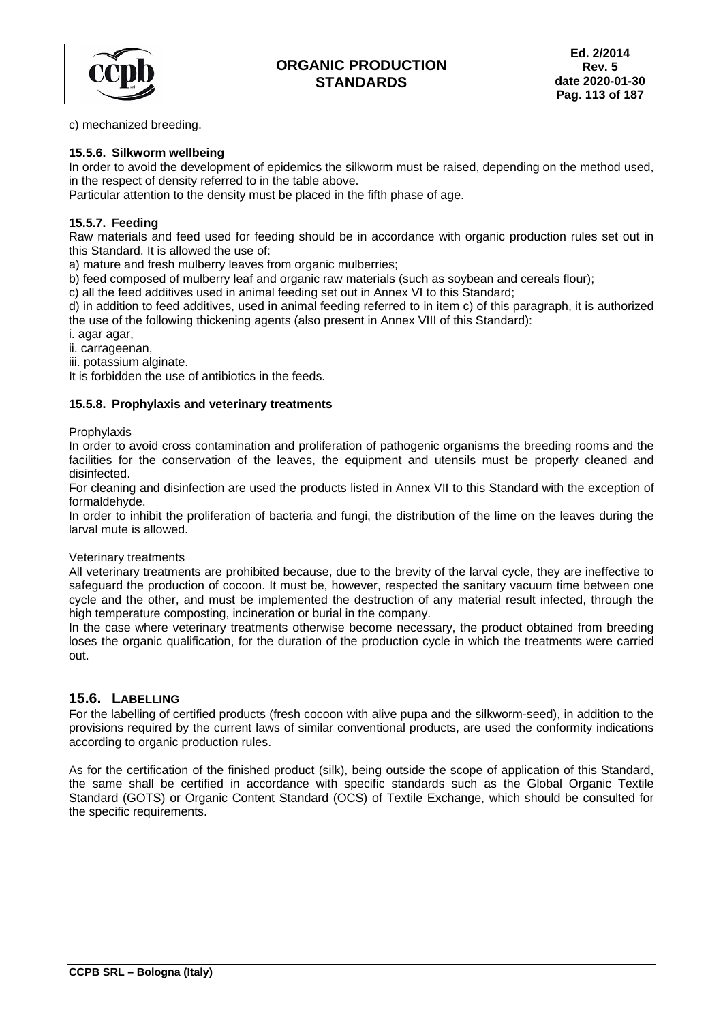

c) mechanized breeding.

#### **15.5.6. Silkworm wellbeing**

In order to avoid the development of epidemics the silkworm must be raised, depending on the method used, in the respect of density referred to in the table above.

Particular attention to the density must be placed in the fifth phase of age.

#### **15.5.7. Feeding**

Raw materials and feed used for feeding should be in accordance with organic production rules set out in this Standard. It is allowed the use of:

a) mature and fresh mulberry leaves from organic mulberries;

b) feed composed of mulberry leaf and organic raw materials (such as soybean and cereals flour);

c) all the feed additives used in animal feeding set out in Annex VI to this Standard;

d) in addition to feed additives, used in animal feeding referred to in item c) of this paragraph, it is authorized the use of the following thickening agents (also present in Annex VIII of this Standard):

i. agar agar,

ii. carrageenan,

iii. potassium alginate.

It is forbidden the use of antibiotics in the feeds.

#### **15.5.8. Prophylaxis and veterinary treatments**

**Prophylaxis** 

In order to avoid cross contamination and proliferation of pathogenic organisms the breeding rooms and the facilities for the conservation of the leaves, the equipment and utensils must be properly cleaned and disinfected.

For cleaning and disinfection are used the products listed in Annex VII to this Standard with the exception of formaldehyde.

In order to inhibit the proliferation of bacteria and fungi, the distribution of the lime on the leaves during the larval mute is allowed.

#### Veterinary treatments

All veterinary treatments are prohibited because, due to the brevity of the larval cycle, they are ineffective to safeguard the production of cocoon. It must be, however, respected the sanitary vacuum time between one cycle and the other, and must be implemented the destruction of any material result infected, through the high temperature composting, incineration or burial in the company.

In the case where veterinary treatments otherwise become necessary, the product obtained from breeding loses the organic qualification, for the duration of the production cycle in which the treatments were carried out.

### **15.6. LABELLING**

For the labelling of certified products (fresh cocoon with alive pupa and the silkworm-seed), in addition to the provisions required by the current laws of similar conventional products, are used the conformity indications according to organic production rules.

As for the certification of the finished product (silk), being outside the scope of application of this Standard, the same shall be certified in accordance with specific standards such as the Global Organic Textile Standard (GOTS) or Organic Content Standard (OCS) of Textile Exchange, which should be consulted for the specific requirements.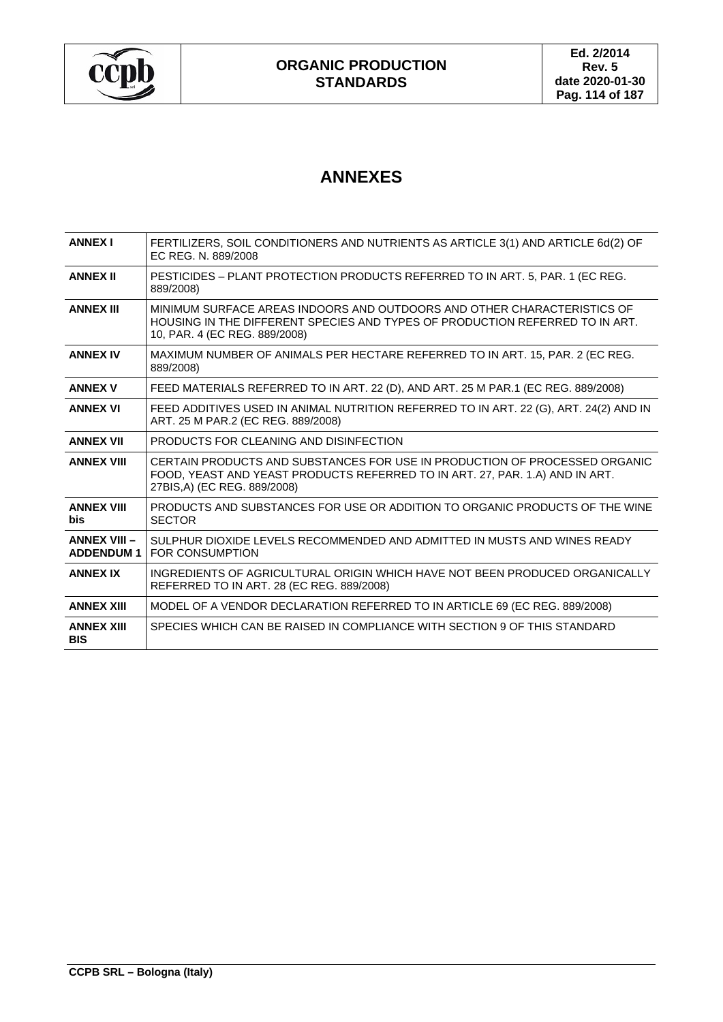

# **ORGANIC PRODUCTION STANDARDS**

# **ANNEXES**

| <b>ANNEX I</b>                   | FERTILIZERS, SOIL CONDITIONERS AND NUTRIENTS AS ARTICLE 3(1) AND ARTICLE 6d(2) OF<br>EC REG. N. 889/2008                                                                                   |
|----------------------------------|--------------------------------------------------------------------------------------------------------------------------------------------------------------------------------------------|
| <b>ANNEX II</b>                  | PESTICIDES - PLANT PROTECTION PRODUCTS REFERRED TO IN ART. 5, PAR. 1 (EC REG.<br>889/2008)                                                                                                 |
| <b>ANNEX III</b>                 | MINIMUM SURFACE AREAS INDOORS AND OUTDOORS AND OTHER CHARACTERISTICS OF<br>HOUSING IN THE DIFFERENT SPECIES AND TYPES OF PRODUCTION REFERRED TO IN ART.<br>10, PAR. 4 (EC REG. 889/2008)   |
| <b>ANNEX IV</b>                  | MAXIMUM NUMBER OF ANIMALS PER HECTARE REFERRED TO IN ART. 15, PAR. 2 (EC REG.<br>889/2008)                                                                                                 |
| <b>ANNEX V</b>                   | FEED MATERIALS REFERRED TO IN ART. 22 (D), AND ART. 25 M PAR.1 (EC REG. 889/2008)                                                                                                          |
| <b>ANNEX VI</b>                  | FEED ADDITIVES USED IN ANIMAL NUTRITION REFERRED TO IN ART. 22 (G), ART. 24(2) AND IN<br>ART. 25 M PAR.2 (EC REG. 889/2008)                                                                |
| <b>ANNEX VII</b>                 | PRODUCTS FOR CLEANING AND DISINFECTION                                                                                                                                                     |
| <b>ANNEX VIII</b>                | CERTAIN PRODUCTS AND SUBSTANCES FOR USE IN PRODUCTION OF PROCESSED ORGANIC<br>FOOD, YEAST AND YEAST PRODUCTS REFERRED TO IN ART. 27, PAR. 1.A) AND IN ART.<br>27BIS, A) (EC REG. 889/2008) |
| <b>ANNEX VIII</b><br><b>bis</b>  | PRODUCTS AND SUBSTANCES FOR USE OR ADDITION TO ORGANIC PRODUCTS OF THE WINE<br><b>SECTOR</b>                                                                                               |
| ANNEX VIII -<br><b>ADDENDUM1</b> | SULPHUR DIOXIDE LEVELS RECOMMENDED AND ADMITTED IN MUSTS AND WINES READY<br><b>FOR CONSUMPTION</b>                                                                                         |
| <b>ANNEX IX</b>                  | INGREDIENTS OF AGRICULTURAL ORIGIN WHICH HAVE NOT BEEN PRODUCED ORGANICALLY<br>REFERRED TO IN ART. 28 (EC REG. 889/2008)                                                                   |
| <b>ANNEX XIII</b>                | MODEL OF A VENDOR DECLARATION REFERRED TO IN ARTICLE 69 (EC REG. 889/2008)                                                                                                                 |
| <b>ANNEX XIII</b><br><b>BIS</b>  | SPECIES WHICH CAN BE RAISED IN COMPLIANCE WITH SECTION 9 OF THIS STANDARD                                                                                                                  |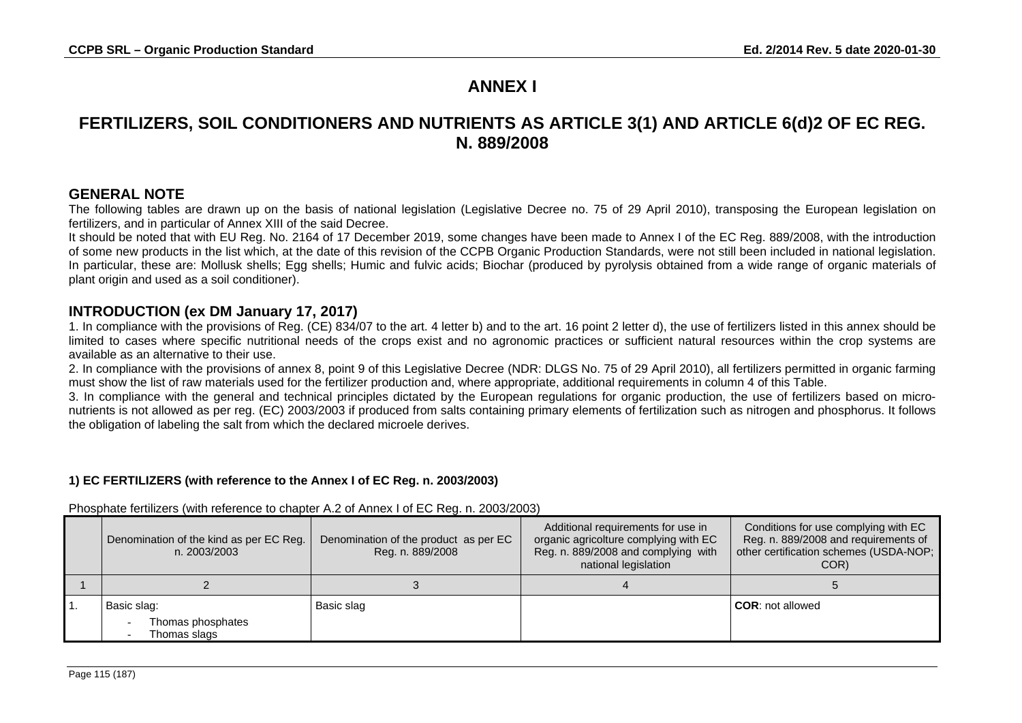# **ANNEX I**

# **FERTILIZERS, SOIL CONDITIONERS AND NUTRIENTS AS ARTICLE 3(1) AND ARTICLE 6(d)2 OF EC REG. N. 889/2008**

## **GENERAL NOTE**

The following tables are drawn up on the basis of national legislation (Legislative Decree no. 75 of 29 April 2010), transposing the European legislation on fertilizers, and in particular of Annex XIII of the said Decree.

It should be noted that with EU Reg. No. 2164 of 17 December 2019, some changes have been made to Annex I of the EC Reg. 889/2008, with the introduction of some new products in the list which, at the date of this revision of the CCPB Organic Production Standards, were not still been included in national legislation. In particular, these are: Mollusk shells; Egg shells; Humic and fulvic acids; Biochar (produced by pyrolysis obtained from a wide range of organic materials of plant origin and used as a soil conditioner).

# **INTRODUCTION (ex DM January 17, 2017)**

1. In compliance with the provisions of Reg. (CE) 834/07 to the art. 4 letter b) and to the art. 16 point 2 letter d), the use of fertilizers listed in this annex should be limited to cases where specific nutritional needs of the crops exist and no agronomic practices or sufficient natural resources within the crop systems are available as an alternative to their use.

2. In compliance with the provisions of annex 8, point 9 of this Legislative Decree (NDR: DLGS No. 75 of 29 April 2010), all fertilizers permitted in organic farming must show the list of raw materials used for the fertilizer production and, where appropriate, additional requirements in column 4 of this Table.

3. In compliance with the general and technical principles dictated by the European regulations for organic production, the use of fertilizers based on micronutrients is not allowed as per reg. (EC) 2003/2003 if produced from salts containing primary elements of fertilization such as nitrogen and phosphorus. It follows the obligation of labeling the salt from which the declared microele derives.

### **1) EC FERTILIZERS (with reference to the Annex I of EC Reg. n. 2003/2003)**

Phosphate fertilizers (with reference to chapter A.2 of Annex I of EC Reg. n. 2003/2003)

| Denomination of the kind as per EC Reg.<br>n. 2003/2003 | Denomination of the product as per EC<br>Reg. n. 889/2008 | Additional requirements for use in<br>organic agricolture complying with EC<br>Reg. n. 889/2008 and complying with<br>national legislation | Conditions for use complying with EC<br>Reg. n. 889/2008 and requirements of<br>other certification schemes (USDA-NOP;<br>COR) |
|---------------------------------------------------------|-----------------------------------------------------------|--------------------------------------------------------------------------------------------------------------------------------------------|--------------------------------------------------------------------------------------------------------------------------------|
|                                                         |                                                           |                                                                                                                                            |                                                                                                                                |
| Basic slag:<br>Thomas phosphates<br>Thomas slags        | Basic slag                                                |                                                                                                                                            | <b>COR:</b> not allowed                                                                                                        |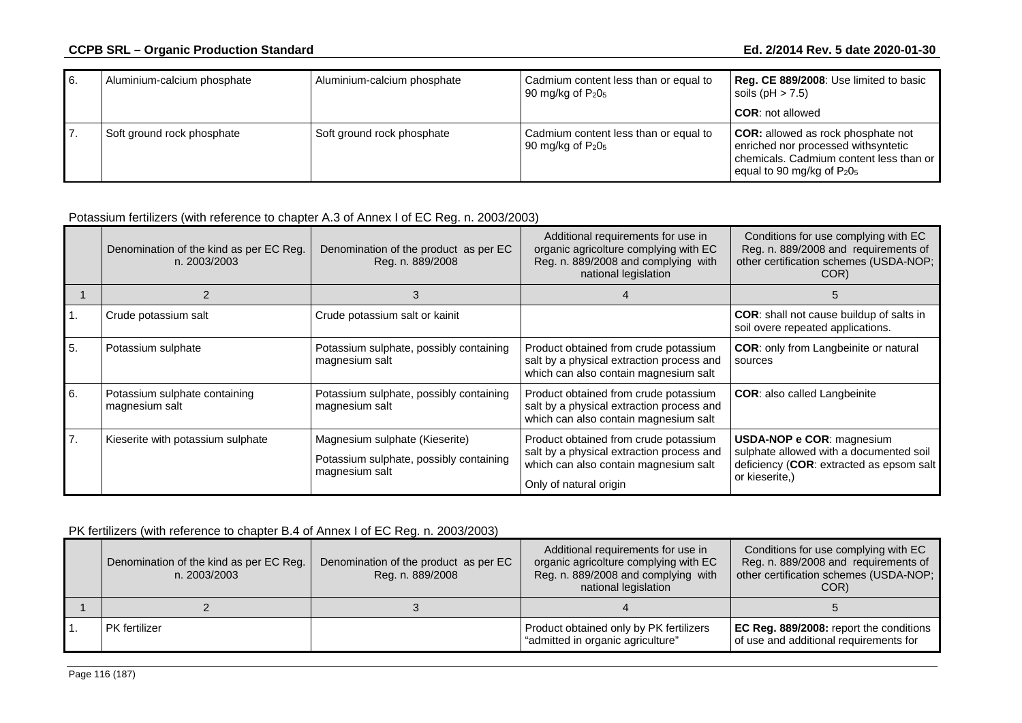| 6. | Aluminium-calcium phosphate | Aluminium-calcium phosphate | Cadmium content less than or equal to<br>90 mg/kg of $P_2O_5$ | Reg. CE 889/2008: Use limited to basic<br>soils (pH $>$ 7.5)                                                                                          |
|----|-----------------------------|-----------------------------|---------------------------------------------------------------|-------------------------------------------------------------------------------------------------------------------------------------------------------|
|    |                             |                             |                                                               | COR: not allowed                                                                                                                                      |
|    | Soft ground rock phosphate  | Soft ground rock phosphate  | Cadmium content less than or equal to<br>90 mg/kg of $P_2O_5$ | COR: allowed as rock phosphate not<br>enriched nor processed withsyntetic<br>chemicals. Cadmium content less than or<br>equal to 90 mg/kg of $P_2O_5$ |

### Potassium fertilizers (with reference to chapter A.3 of Annex I of EC Reg. n. 2003/2003)

|    | Denomination of the kind as per EC Reg.<br>n. 2003/2003 | Denomination of the product as per EC<br>Reg. n. 889/2008                                   | Additional requirements for use in<br>organic agricolture complying with EC<br>Reg. n. 889/2008 and complying with<br>national legislation            | Conditions for use complying with EC<br>Reg. n. 889/2008 and requirements of<br>other certification schemes (USDA-NOP;<br>COR)            |
|----|---------------------------------------------------------|---------------------------------------------------------------------------------------------|-------------------------------------------------------------------------------------------------------------------------------------------------------|-------------------------------------------------------------------------------------------------------------------------------------------|
|    |                                                         |                                                                                             |                                                                                                                                                       |                                                                                                                                           |
|    | Crude potassium salt                                    | Crude potassium salt or kainit                                                              |                                                                                                                                                       | <b>COR:</b> shall not cause buildup of salts in<br>soil overe repeated applications.                                                      |
| 5. | Potassium sulphate                                      | Potassium sulphate, possibly containing<br>magnesium salt                                   | Product obtained from crude potassium<br>salt by a physical extraction process and<br>which can also contain magnesium salt                           | <b>COR:</b> only from Langbeinite or natural<br>sources                                                                                   |
| 6. | Potassium sulphate containing<br>magnesium salt         | Potassium sulphate, possibly containing<br>magnesium salt                                   | Product obtained from crude potassium<br>salt by a physical extraction process and<br>which can also contain magnesium salt                           | <b>COR:</b> also called Langbeinite                                                                                                       |
|    | Kieserite with potassium sulphate                       | Magnesium sulphate (Kieserite)<br>Potassium sulphate, possibly containing<br>magnesium salt | Product obtained from crude potassium<br>salt by a physical extraction process and<br>which can also contain magnesium salt<br>Only of natural origin | <b>USDA-NOP e COR: magnesium</b><br>sulphate allowed with a documented soil<br>deficiency (COR: extracted as epsom salt<br>or kieserite,) |

# PK fertilizers (with reference to chapter B.4 of Annex I of EC Reg. n. 2003/2003)

| Denomination of the kind as per EC Reg.<br>n. 2003/2003 | Denomination of the product as per EC<br>Reg. n. 889/2008 | Additional requirements for use in<br>organic agricolture complying with EC<br>Reg. n. 889/2008 and complying with<br>national legislation | Conditions for use complying with EC<br>Reg. n. 889/2008 and requirements of<br>other certification schemes (USDA-NOP;<br>COR) |
|---------------------------------------------------------|-----------------------------------------------------------|--------------------------------------------------------------------------------------------------------------------------------------------|--------------------------------------------------------------------------------------------------------------------------------|
|                                                         |                                                           |                                                                                                                                            |                                                                                                                                |
| PK fertilizer                                           |                                                           | Product obtained only by PK fertilizers<br>"admitted in organic agriculture"                                                               | EC Reg. 889/2008: report the conditions<br>of use and additional requirements for                                              |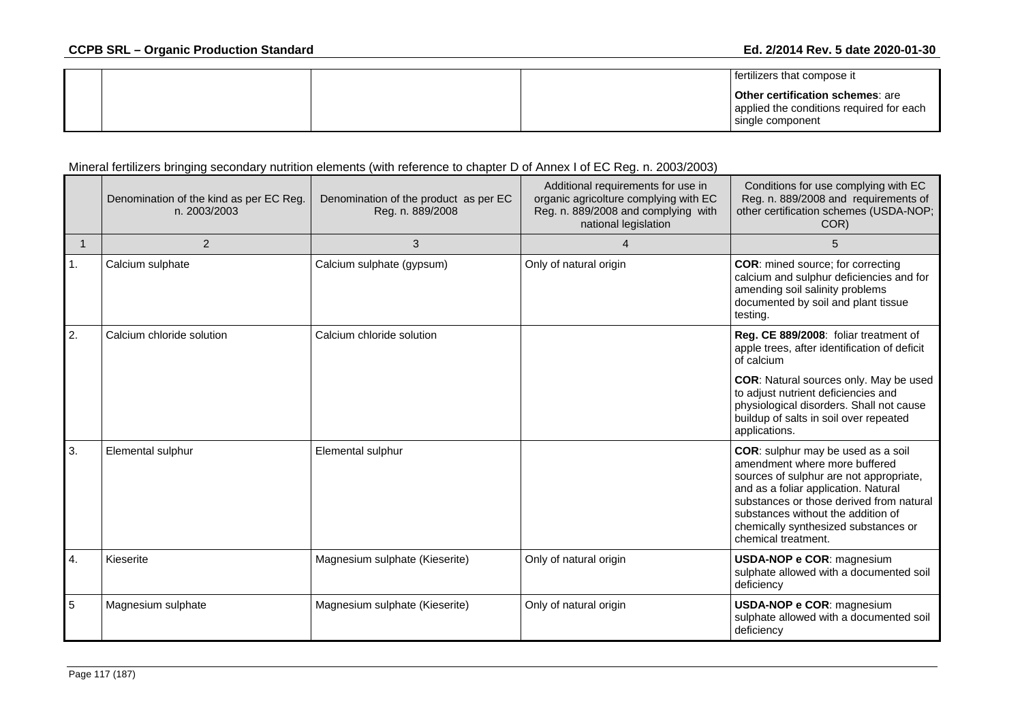|  |  | fertilizers that compose it                                                                      |
|--|--|--------------------------------------------------------------------------------------------------|
|  |  | Other certification schemes: are<br>applied the conditions required for each<br>single component |

## Mineral fertilizers bringing secondary nutrition elements (with reference to chapter D of Annex I of EC Reg. n. 2003/2003)

|             | Denomination of the kind as per EC Reg.<br>n. 2003/2003 | Denomination of the product as per EC<br>Reg. n. 889/2008 | Additional requirements for use in<br>organic agricolture complying with EC<br>Reg. n. 889/2008 and complying with<br>national legislation | Conditions for use complying with EC<br>Reg. n. 889/2008 and requirements of<br>other certification schemes (USDA-NOP;<br>COR)                                                                                                                                                                          |
|-------------|---------------------------------------------------------|-----------------------------------------------------------|--------------------------------------------------------------------------------------------------------------------------------------------|---------------------------------------------------------------------------------------------------------------------------------------------------------------------------------------------------------------------------------------------------------------------------------------------------------|
| $\mathbf 1$ | 2                                                       | 3                                                         | 4                                                                                                                                          | 5                                                                                                                                                                                                                                                                                                       |
| 1.          | Calcium sulphate                                        | Calcium sulphate (gypsum)                                 | Only of natural origin                                                                                                                     | <b>COR:</b> mined source; for correcting<br>calcium and sulphur deficiencies and for<br>amending soil salinity problems<br>documented by soil and plant tissue<br>testing.                                                                                                                              |
| 2.          | Calcium chloride solution                               | Calcium chloride solution                                 |                                                                                                                                            | Reg. CE 889/2008: foliar treatment of<br>apple trees, after identification of deficit<br>of calcium                                                                                                                                                                                                     |
|             |                                                         |                                                           |                                                                                                                                            | COR: Natural sources only. May be used<br>to adjust nutrient deficiencies and<br>physiological disorders. Shall not cause<br>buildup of salts in soil over repeated<br>applications.                                                                                                                    |
| 3.          | Elemental sulphur                                       | Elemental sulphur                                         |                                                                                                                                            | COR: sulphur may be used as a soil<br>amendment where more buffered<br>sources of sulphur are not appropriate,<br>and as a foliar application. Natural<br>substances or those derived from natural<br>substances without the addition of<br>chemically synthesized substances or<br>chemical treatment. |
| 4.          | Kieserite                                               | Magnesium sulphate (Kieserite)                            | Only of natural origin                                                                                                                     | <b>USDA-NOP e COR: magnesium</b><br>sulphate allowed with a documented soil<br>deficiency                                                                                                                                                                                                               |
| $\sqrt{5}$  | Magnesium sulphate                                      | Magnesium sulphate (Kieserite)                            | Only of natural origin                                                                                                                     | <b>USDA-NOP e COR: magnesium</b><br>sulphate allowed with a documented soil<br>deficiency                                                                                                                                                                                                               |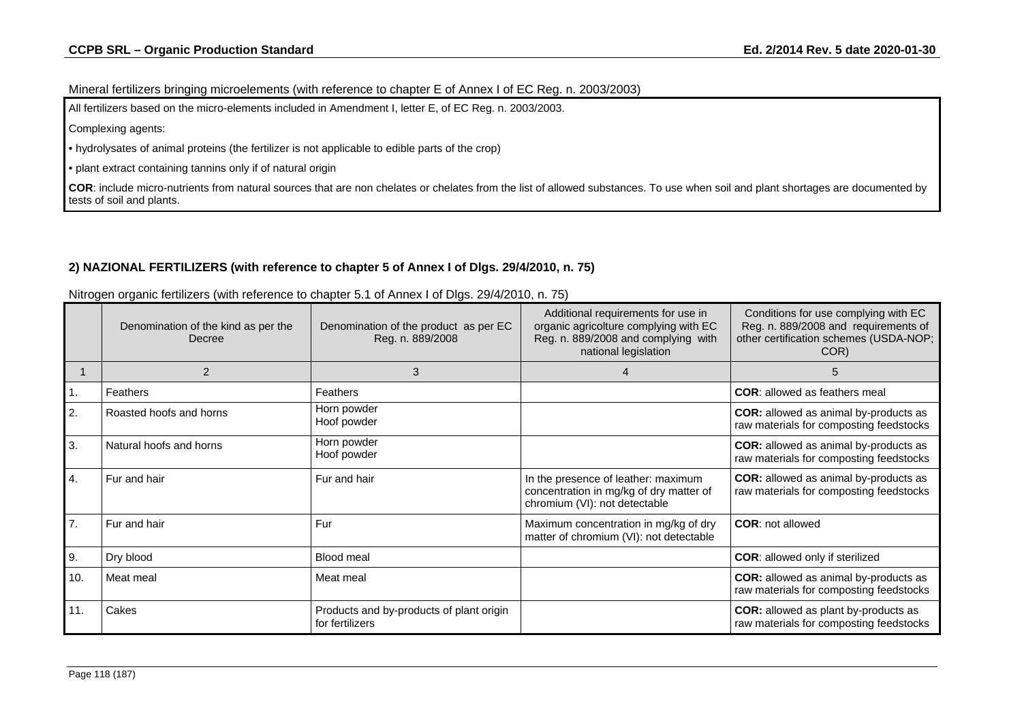Mineral fertilizers bringing microelements (with reference to chapter E of Annex I of EC Reg. n. 2003/2003)

All fertilizers based on the micro-elements included in Amendment I, letter E, of EC Reg. n. 2003/2003.

Complexing agents:

• hydrolysates of animal proteins (the fertilizer is not applicable to edible parts of the crop)

• plant extract containing tannins only if of natural origin

**COR**: include micro-nutrients from natural sources that are non chelates or chelates from the list of allowed substances. To use when soil and plant shortages are documented by tests of soil and plants.

## **2) NAZIONAL FERTILIZERS (with reference to chapter 5 of Annex I of Dlgs. 29/4/2010, n. 75)**

|  | Nitrogen organic fertilizers (with reference to chapter 5.1 of Annex I of Dlgs. 29/4/2010, n. 75) |  |
|--|---------------------------------------------------------------------------------------------------|--|
|  |                                                                                                   |  |

|                | Denomination of the kind as per the<br>Decree | Denomination of the product as per EC<br>Reg. n. 889/2008   | Additional requirements for use in<br>organic agricolture complying with EC<br>Reg. n. 889/2008 and complying with<br>national legislation | Conditions for use complying with EC<br>Reg. n. 889/2008 and requirements of<br>other certification schemes (USDA-NOP;<br>COR) |
|----------------|-----------------------------------------------|-------------------------------------------------------------|--------------------------------------------------------------------------------------------------------------------------------------------|--------------------------------------------------------------------------------------------------------------------------------|
|                | $\overline{2}$                                | 3                                                           | 4                                                                                                                                          | 5                                                                                                                              |
| $\mathbf{1}$ . | Feathers                                      | Feathers                                                    |                                                                                                                                            | <b>COR:</b> allowed as feathers meal                                                                                           |
| 2.             | Roasted hoofs and horns                       | Horn powder<br>Hoof powder                                  |                                                                                                                                            | <b>COR:</b> allowed as animal by-products as<br>raw materials for composting feedstocks                                        |
| 3.             | Natural hoofs and horns                       | Horn powder<br>Hoof powder                                  |                                                                                                                                            | COR: allowed as animal by-products as<br>raw materials for composting feedstocks                                               |
| 4.             | Fur and hair                                  | Fur and hair                                                | In the presence of leather: maximum<br>concentration in mg/kg of dry matter of<br>chromium (VI): not detectable                            | <b>COR:</b> allowed as animal by-products as<br>raw materials for composting feedstocks                                        |
| 7.             | Fur and hair                                  | Fur                                                         | Maximum concentration in mg/kg of dry<br>matter of chromium (VI): not detectable                                                           | <b>COR:</b> not allowed                                                                                                        |
| 9.             | Dry blood                                     | Blood meal                                                  |                                                                                                                                            | <b>COR:</b> allowed only if sterilized                                                                                         |
| 10.            | Meat meal                                     | Meat meal                                                   |                                                                                                                                            | <b>COR:</b> allowed as animal by-products as<br>raw materials for composting feedstocks                                        |
| 11.            | Cakes                                         | Products and by-products of plant origin<br>for fertilizers |                                                                                                                                            | <b>COR:</b> allowed as plant by-products as<br>raw materials for composting feedstocks                                         |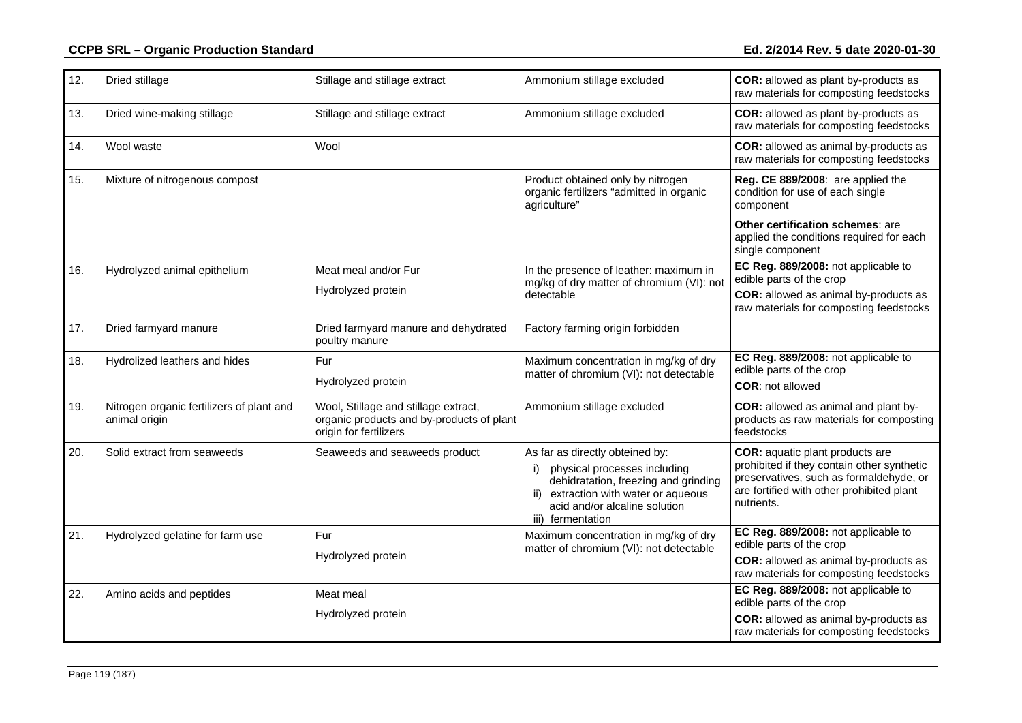| 12. | Dried stillage                                             | Stillage and stillage extract                                                                               | Ammonium stillage excluded                                                                                                                                                                                     | <b>COR:</b> allowed as plant by-products as<br>raw materials for composting feedstocks                                                                                                     |
|-----|------------------------------------------------------------|-------------------------------------------------------------------------------------------------------------|----------------------------------------------------------------------------------------------------------------------------------------------------------------------------------------------------------------|--------------------------------------------------------------------------------------------------------------------------------------------------------------------------------------------|
| 13. | Dried wine-making stillage                                 | Stillage and stillage extract                                                                               | Ammonium stillage excluded                                                                                                                                                                                     | <b>COR:</b> allowed as plant by-products as<br>raw materials for composting feedstocks                                                                                                     |
| 14. | Wool waste                                                 | Wool                                                                                                        |                                                                                                                                                                                                                | <b>COR:</b> allowed as animal by-products as<br>raw materials for composting feedstocks                                                                                                    |
| 15. | Mixture of nitrogenous compost                             |                                                                                                             | Product obtained only by nitrogen<br>organic fertilizers "admitted in organic<br>agriculture"                                                                                                                  | Reg. CE 889/2008: are applied the<br>condition for use of each single<br>component                                                                                                         |
|     |                                                            |                                                                                                             |                                                                                                                                                                                                                | Other certification schemes: are<br>applied the conditions required for each<br>single component                                                                                           |
| 16. | Hydrolyzed animal epithelium                               | Meat meal and/or Fur                                                                                        | In the presence of leather: maximum in<br>mg/kg of dry matter of chromium (VI): not                                                                                                                            | EC Reg. 889/2008: not applicable to<br>edible parts of the crop                                                                                                                            |
|     |                                                            | Hydrolyzed protein                                                                                          | detectable                                                                                                                                                                                                     | COR: allowed as animal by-products as<br>raw materials for composting feedstocks                                                                                                           |
| 17. | Dried farmyard manure                                      | Dried farmyard manure and dehydrated<br>poultry manure                                                      | Factory farming origin forbidden                                                                                                                                                                               |                                                                                                                                                                                            |
| 18. | Hydrolized leathers and hides                              | Fur                                                                                                         | Maximum concentration in mg/kg of dry<br>matter of chromium (VI): not detectable                                                                                                                               | EC Reg. 889/2008: not applicable to<br>edible parts of the crop                                                                                                                            |
|     |                                                            | Hydrolyzed protein                                                                                          |                                                                                                                                                                                                                | <b>COR: not allowed</b>                                                                                                                                                                    |
| 19. | Nitrogen organic fertilizers of plant and<br>animal origin | Wool, Stillage and stillage extract,<br>organic products and by-products of plant<br>origin for fertilizers | Ammonium stillage excluded                                                                                                                                                                                     | COR: allowed as animal and plant by-<br>products as raw materials for composting<br>feedstocks                                                                                             |
| 20. | Solid extract from seaweeds                                | Seaweeds and seaweeds product                                                                               | As far as directly obteined by:<br>physical processes including<br>i)<br>dehidratation, freezing and grinding<br>extraction with water or aqueous<br>ii)<br>acid and/or alcaline solution<br>iii) fermentation | <b>COR:</b> aquatic plant products are<br>prohibited if they contain other synthetic<br>preservatives, such as formaldehyde, or<br>are fortified with other prohibited plant<br>nutrients. |
| 21. | Hydrolyzed gelatine for farm use                           | Fur                                                                                                         | Maximum concentration in mg/kg of dry<br>matter of chromium (VI): not detectable                                                                                                                               | EC Reg. 889/2008: not applicable to<br>edible parts of the crop                                                                                                                            |
|     |                                                            | Hydrolyzed protein                                                                                          |                                                                                                                                                                                                                | <b>COR:</b> allowed as animal by-products as<br>raw materials for composting feedstocks                                                                                                    |
| 22. | Amino acids and peptides                                   | Meat meal                                                                                                   |                                                                                                                                                                                                                | EC Reg. 889/2008: not applicable to<br>edible parts of the crop                                                                                                                            |
|     |                                                            | Hydrolyzed protein                                                                                          |                                                                                                                                                                                                                | COR: allowed as animal by-products as<br>raw materials for composting feedstocks                                                                                                           |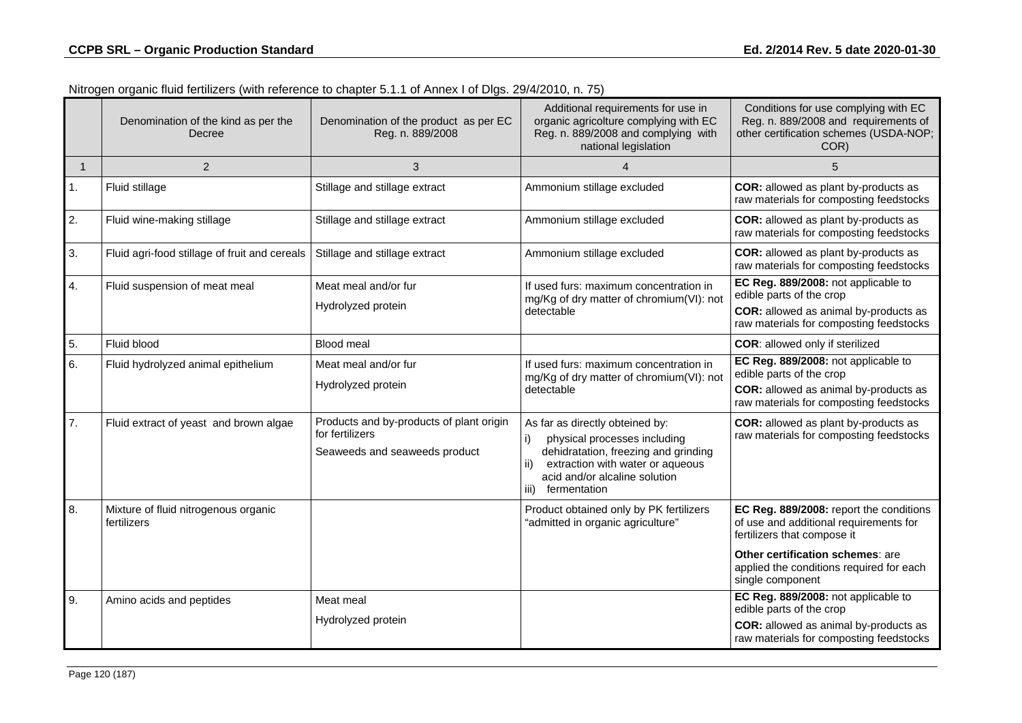|                | Denomination of the kind as per the<br>Decree       | Denomination of the product as per EC<br>Reg. n. 889/2008                                    | Additional requirements for use in<br>organic agricolture complying with EC<br>Reg. n. 889/2008 and complying with<br>national legislation                                                                        | Conditions for use complying with EC<br>Reg. n. 889/2008 and requirements of<br>other certification schemes (USDA-NOP;<br>COR)                             |
|----------------|-----------------------------------------------------|----------------------------------------------------------------------------------------------|-------------------------------------------------------------------------------------------------------------------------------------------------------------------------------------------------------------------|------------------------------------------------------------------------------------------------------------------------------------------------------------|
| $\overline{1}$ | $\overline{2}$                                      | 3                                                                                            | 4                                                                                                                                                                                                                 | 5                                                                                                                                                          |
| 1.             | Fluid stillage                                      | Stillage and stillage extract                                                                | Ammonium stillage excluded                                                                                                                                                                                        | <b>COR:</b> allowed as plant by-products as<br>raw materials for composting feedstocks                                                                     |
| 2.             | Fluid wine-making stillage                          | Stillage and stillage extract                                                                | Ammonium stillage excluded                                                                                                                                                                                        | COR: allowed as plant by-products as<br>raw materials for composting feedstocks                                                                            |
| 3.             | Fluid agri-food stillage of fruit and cereals       | Stillage and stillage extract                                                                | Ammonium stillage excluded                                                                                                                                                                                        | <b>COR:</b> allowed as plant by-products as<br>raw materials for composting feedstocks                                                                     |
| 4.             | Fluid suspension of meat meal                       | Meat meal and/or fur<br>Hydrolyzed protein                                                   | If used furs: maximum concentration in<br>mg/Kg of dry matter of chromium(VI): not<br>detectable                                                                                                                  | EC Reg. 889/2008: not applicable to<br>edible parts of the crop<br><b>COR:</b> allowed as animal by-products as<br>raw materials for composting feedstocks |
| 5.             | Fluid blood                                         | <b>Blood meal</b>                                                                            |                                                                                                                                                                                                                   | <b>COR:</b> allowed only if sterilized                                                                                                                     |
| 6.             | Fluid hydrolyzed animal epithelium                  | Meat meal and/or fur<br>Hydrolyzed protein                                                   | If used furs: maximum concentration in<br>mg/Kg of dry matter of chromium(VI): not<br>detectable                                                                                                                  | EC Reg. 889/2008: not applicable to<br>edible parts of the crop<br>COR: allowed as animal by-products as<br>raw materials for composting feedstocks        |
| 7.             | Fluid extract of yeast and brown algae              | Products and by-products of plant origin<br>for fertilizers<br>Seaweeds and seaweeds product | As far as directly obteined by:<br>physical processes including<br>i)<br>dehidratation, freezing and grinding<br>extraction with water or aqueous<br>ii)<br>acid and/or alcaline solution<br>fermentation<br>III) | <b>COR:</b> allowed as plant by-products as<br>raw materials for composting feedstocks                                                                     |
| 8.             | Mixture of fluid nitrogenous organic<br>fertilizers |                                                                                              | Product obtained only by PK fertilizers<br>"admitted in organic agriculture"                                                                                                                                      | EC Reg. 889/2008: report the conditions<br>of use and additional requirements for<br>fertilizers that compose it                                           |
|                |                                                     |                                                                                              |                                                                                                                                                                                                                   | Other certification schemes: are<br>applied the conditions required for each<br>single component                                                           |
| 9.             | Amino acids and peptides                            | Meat meal<br>Hydrolyzed protein                                                              |                                                                                                                                                                                                                   | EC Reg. 889/2008: not applicable to<br>edible parts of the crop<br>COR: allowed as animal by-products as<br>raw materials for composting feedstocks        |

Nitrogen organic fluid fertilizers (with reference to chapter 5.1.1 of Annex I of Dlgs. 29/4/2010, n. 75)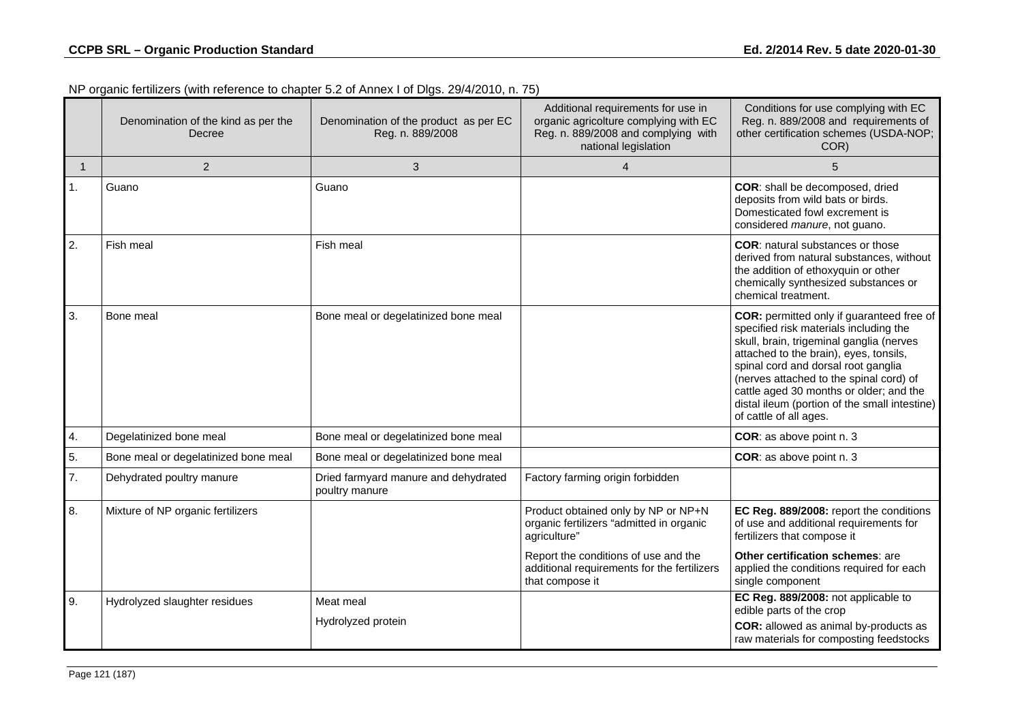# **CCPB SRL – Organic Production Standard CCPB SRL – Organic Production Standard CCPB SRL – Organic Production Standard**

|              | Denomination of the kind as per the<br>Decree | Denomination of the product as per EC<br>Reg. n. 889/2008 | Additional requirements for use in<br>organic agricolture complying with EC<br>Reg. n. 889/2008 and complying with<br>national legislation | Conditions for use complying with EC<br>Reg. n. 889/2008 and requirements of<br>other certification schemes (USDA-NOP;<br>COR)                                                                                                                                                                                                                                                           |
|--------------|-----------------------------------------------|-----------------------------------------------------------|--------------------------------------------------------------------------------------------------------------------------------------------|------------------------------------------------------------------------------------------------------------------------------------------------------------------------------------------------------------------------------------------------------------------------------------------------------------------------------------------------------------------------------------------|
| $\mathbf{1}$ | $\overline{2}$                                | 3                                                         | $\overline{4}$                                                                                                                             | 5                                                                                                                                                                                                                                                                                                                                                                                        |
| 1.           | Guano                                         | Guano                                                     |                                                                                                                                            | COR: shall be decomposed, dried<br>deposits from wild bats or birds.<br>Domesticated fowl excrement is<br>considered manure, not guano.                                                                                                                                                                                                                                                  |
| 2.           | Fish meal                                     | Fish meal                                                 |                                                                                                                                            | <b>COR:</b> natural substances or those<br>derived from natural substances, without<br>the addition of ethoxyquin or other<br>chemically synthesized substances or<br>chemical treatment.                                                                                                                                                                                                |
| 3.           | Bone meal                                     | Bone meal or degelatinized bone meal                      |                                                                                                                                            | <b>COR:</b> permitted only if guaranteed free of<br>specified risk materials including the<br>skull, brain, trigeminal ganglia (nerves<br>attached to the brain), eyes, tonsils,<br>spinal cord and dorsal root ganglia<br>(nerves attached to the spinal cord) of<br>cattle aged 30 months or older; and the<br>distal ileum (portion of the small intestine)<br>of cattle of all ages. |
| 4.           | Degelatinized bone meal                       | Bone meal or degelatinized bone meal                      |                                                                                                                                            | COR: as above point n. 3                                                                                                                                                                                                                                                                                                                                                                 |
| 5.           | Bone meal or degelatinized bone meal          | Bone meal or degelatinized bone meal                      |                                                                                                                                            | COR: as above point n. 3                                                                                                                                                                                                                                                                                                                                                                 |
| 7.           | Dehydrated poultry manure                     | Dried farmyard manure and dehydrated<br>poultry manure    | Factory farming origin forbidden                                                                                                           |                                                                                                                                                                                                                                                                                                                                                                                          |
| 8.           | Mixture of NP organic fertilizers             |                                                           | Product obtained only by NP or NP+N<br>organic fertilizers "admitted in organic<br>agriculture"                                            | EC Reg. 889/2008: report the conditions<br>of use and additional requirements for<br>fertilizers that compose it                                                                                                                                                                                                                                                                         |
|              |                                               |                                                           | Report the conditions of use and the<br>additional requirements for the fertilizers<br>that compose it                                     | <b>Other certification schemes: are</b><br>applied the conditions required for each<br>single component                                                                                                                                                                                                                                                                                  |
| 9.           | Hydrolyzed slaughter residues                 | Meat meal                                                 |                                                                                                                                            | EC Reg. 889/2008: not applicable to<br>edible parts of the crop                                                                                                                                                                                                                                                                                                                          |
|              |                                               | Hydrolyzed protein                                        |                                                                                                                                            | COR: allowed as animal by-products as<br>raw materials for composting feedstocks                                                                                                                                                                                                                                                                                                         |

NP organic fertilizers (with reference to chapter 5.2 of Annex I of Dlgs. 29/4/2010, n. 75)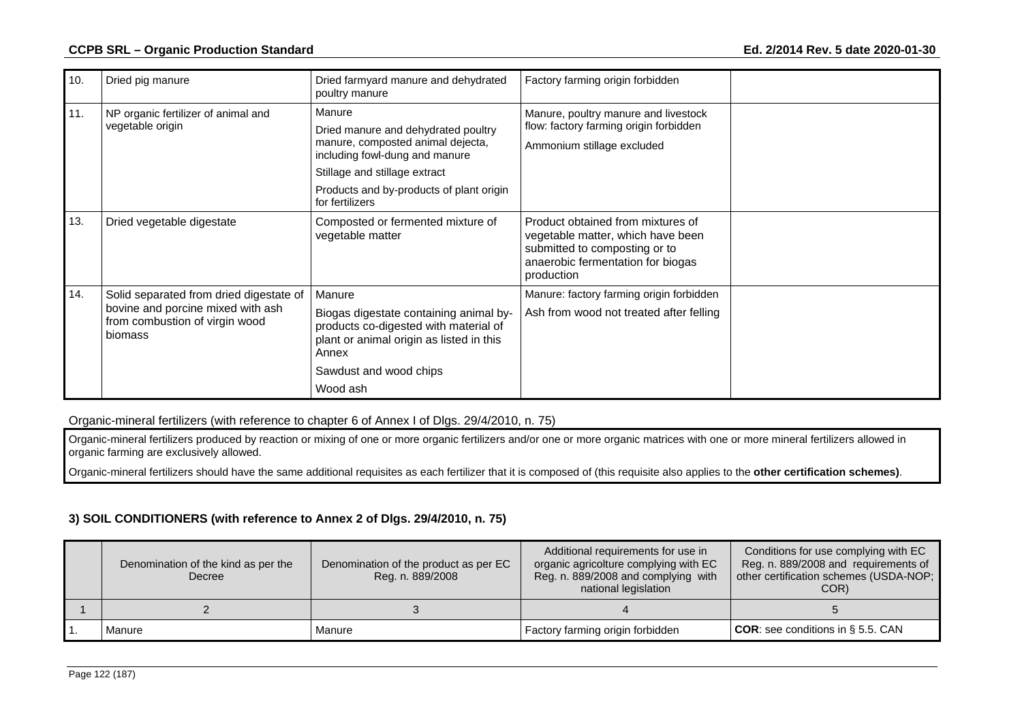| 10. | Dried pig manure                                                                                                          | Dried farmyard manure and dehydrated<br>poultry manure                                                                                                                                                               | Factory farming origin forbidden                                                                                                                           |  |
|-----|---------------------------------------------------------------------------------------------------------------------------|----------------------------------------------------------------------------------------------------------------------------------------------------------------------------------------------------------------------|------------------------------------------------------------------------------------------------------------------------------------------------------------|--|
| 11. | NP organic fertilizer of animal and<br>vegetable origin                                                                   | Manure<br>Dried manure and dehydrated poultry<br>manure, composted animal dejecta,<br>including fowl-dung and manure<br>Stillage and stillage extract<br>Products and by-products of plant origin<br>for fertilizers | Manure, poultry manure and livestock<br>flow: factory farming origin forbidden<br>Ammonium stillage excluded                                               |  |
| 13. | Dried vegetable digestate                                                                                                 | Composted or fermented mixture of<br>vegetable matter                                                                                                                                                                | Product obtained from mixtures of<br>vegetable matter, which have been<br>submitted to composting or to<br>anaerobic fermentation for biogas<br>production |  |
| 14. | Solid separated from dried digestate of<br>bovine and porcine mixed with ash<br>from combustion of virgin wood<br>biomass | Manure<br>Biogas digestate containing animal by-<br>products co-digested with material of<br>plant or animal origin as listed in this<br>Annex<br>Sawdust and wood chips<br>Wood ash                                 | Manure: factory farming origin forbidden<br>Ash from wood not treated after felling                                                                        |  |

Organic-mineral fertilizers (with reference to chapter 6 of Annex I of Dlgs. 29/4/2010, n. 75)

Organic-mineral fertilizers produced by reaction or mixing of one or more organic fertilizers and/or one or more organic matrices with one or more mineral fertilizers allowed in organic farming are exclusively allowed.

Organic-mineral fertilizers should have the same additional requisites as each fertilizer that it is composed of (this requisite also applies to the **other certification schemes)**.

## **3) SOIL CONDITIONERS (with reference to Annex 2 of Dlgs. 29/4/2010, n. 75)**

| Denomination of the kind as per the<br>Decree | Denomination of the product as per EC<br>Reg. n. 889/2008 | Additional requirements for use in<br>organic agricolture complying with EC<br>Reg. n. 889/2008 and complying with<br>national legislation | Conditions for use complying with EC<br>Reg. n. 889/2008 and requirements of<br>other certification schemes (USDA-NOP;<br>COR) |
|-----------------------------------------------|-----------------------------------------------------------|--------------------------------------------------------------------------------------------------------------------------------------------|--------------------------------------------------------------------------------------------------------------------------------|
|                                               |                                                           |                                                                                                                                            |                                                                                                                                |
| Manure                                        | Manure                                                    | Factory farming origin forbidden                                                                                                           | $\mathsf{\sim}$ COR: see conditions in § 5.5. CAN                                                                              |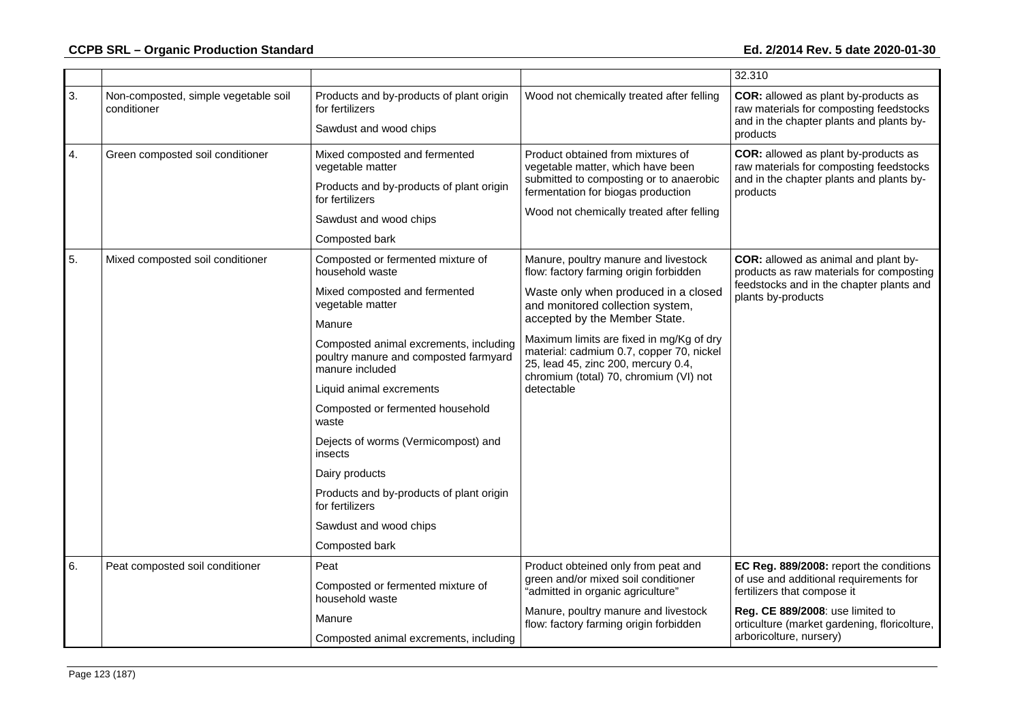# **CCPB SRL – Organic Production Standard CCPB SRL – Organic Production Standard CCPB SRL – Organic Production Standard**

|    |                                                     |                                                                                                                                                                                       |                                                                                    | 32.310                                                                                                                      |
|----|-----------------------------------------------------|---------------------------------------------------------------------------------------------------------------------------------------------------------------------------------------|------------------------------------------------------------------------------------|-----------------------------------------------------------------------------------------------------------------------------|
| 3. | Non-composted, simple vegetable soil<br>conditioner | Products and by-products of plant origin<br>for fertilizers                                                                                                                           | Wood not chemically treated after felling                                          | COR: allowed as plant by-products as<br>raw materials for composting feedstocks<br>and in the chapter plants and plants by- |
|    |                                                     | Sawdust and wood chips                                                                                                                                                                |                                                                                    | products                                                                                                                    |
| 4. | Green composted soil conditioner                    | Mixed composted and fermented<br>vegetable matter                                                                                                                                     | Product obtained from mixtures of<br>vegetable matter, which have been             | COR: allowed as plant by-products as<br>raw materials for composting feedstocks                                             |
|    |                                                     | Products and by-products of plant origin<br>for fertilizers                                                                                                                           | submitted to composting or to anaerobic<br>fermentation for biogas production      | and in the chapter plants and plants by-<br>products                                                                        |
|    |                                                     | Sawdust and wood chips                                                                                                                                                                | Wood not chemically treated after felling                                          |                                                                                                                             |
|    |                                                     | Composted bark                                                                                                                                                                        |                                                                                    |                                                                                                                             |
| 5. | Mixed composted soil conditioner                    | Composted or fermented mixture of<br>household waste                                                                                                                                  | Manure, poultry manure and livestock<br>flow: factory farming origin forbidden     | COR: allowed as animal and plant by-<br>products as raw materials for composting                                            |
|    |                                                     | Mixed composted and fermented<br>vegetable matter                                                                                                                                     | Waste only when produced in a closed<br>and monitored collection system,           | feedstocks and in the chapter plants and<br>plants by-products                                                              |
|    |                                                     | Manure                                                                                                                                                                                | accepted by the Member State.                                                      |                                                                                                                             |
|    |                                                     | Maximum limits are fixed in mg/Kg of dry<br>Composted animal excrements, including<br>poultry manure and composted farmyard<br>25, lead 45, zinc 200, mercury 0.4,<br>manure included | material: cadmium 0.7, copper 70, nickel<br>chromium (total) 70, chromium (VI) not |                                                                                                                             |
|    |                                                     | Liquid animal excrements                                                                                                                                                              | detectable                                                                         |                                                                                                                             |
|    |                                                     | Composted or fermented household<br>waste                                                                                                                                             |                                                                                    |                                                                                                                             |
|    |                                                     | Dejects of worms (Vermicompost) and<br>insects                                                                                                                                        |                                                                                    |                                                                                                                             |
|    |                                                     | Dairy products                                                                                                                                                                        |                                                                                    |                                                                                                                             |
|    |                                                     | Products and by-products of plant origin<br>for fertilizers                                                                                                                           |                                                                                    |                                                                                                                             |
|    |                                                     | Sawdust and wood chips                                                                                                                                                                |                                                                                    |                                                                                                                             |
|    |                                                     | Composted bark                                                                                                                                                                        |                                                                                    |                                                                                                                             |
| 6. | Peat composted soil conditioner                     | Peat                                                                                                                                                                                  | Product obteined only from peat and                                                | EC Reg. 889/2008: report the conditions<br>of use and additional requirements for<br>fertilizers that compose it            |
|    |                                                     | Composted or fermented mixture of<br>household waste                                                                                                                                  | green and/or mixed soil conditioner<br>"admitted in organic agriculture"           |                                                                                                                             |
|    |                                                     | Manure                                                                                                                                                                                | Manure, poultry manure and livestock<br>flow: factory farming origin forbidden     | Reg. CE 889/2008: use limited to<br>orticulture (market gardening, floricolture,                                            |
|    |                                                     | Composted animal excrements, including                                                                                                                                                |                                                                                    | arboricolture, nursery)                                                                                                     |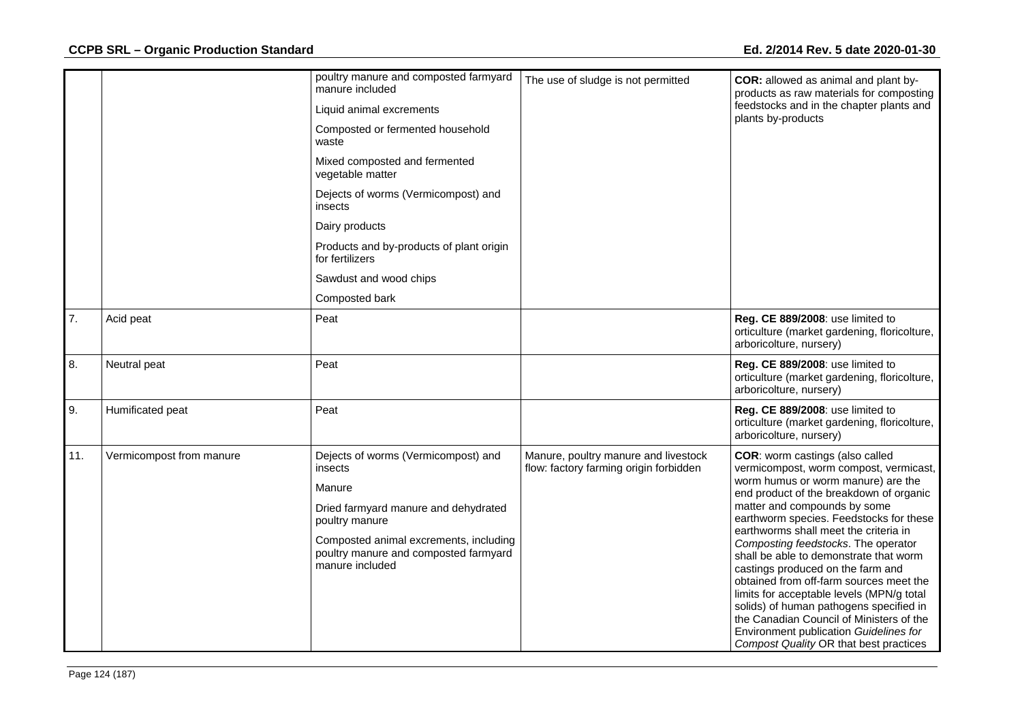|                  |                          | poultry manure and composted farmyard<br>manure included<br>Liquid animal excrements<br>Composted or fermented household<br>waste<br>Mixed composted and fermented<br>vegetable matter<br>Dejects of worms (Vermicompost) and<br>insects<br>Dairy products<br>Products and by-products of plant origin<br>for fertilizers<br>Sawdust and wood chips<br>Composted bark | The use of sludge is not permitted                                             | COR: allowed as animal and plant by-<br>products as raw materials for composting<br>feedstocks and in the chapter plants and<br>plants by-products                                                                                                                                                                                                                                                                                                                                                                                                                                                                                                                             |
|------------------|--------------------------|-----------------------------------------------------------------------------------------------------------------------------------------------------------------------------------------------------------------------------------------------------------------------------------------------------------------------------------------------------------------------|--------------------------------------------------------------------------------|--------------------------------------------------------------------------------------------------------------------------------------------------------------------------------------------------------------------------------------------------------------------------------------------------------------------------------------------------------------------------------------------------------------------------------------------------------------------------------------------------------------------------------------------------------------------------------------------------------------------------------------------------------------------------------|
| $\overline{7}$ . | Acid peat                | Peat                                                                                                                                                                                                                                                                                                                                                                  |                                                                                | Reg. CE 889/2008: use limited to<br>orticulture (market gardening, floricolture,<br>arboricolture, nursery)                                                                                                                                                                                                                                                                                                                                                                                                                                                                                                                                                                    |
| 8.               | Neutral peat             | Peat                                                                                                                                                                                                                                                                                                                                                                  |                                                                                | Reg. CE 889/2008: use limited to<br>orticulture (market gardening, floricolture,<br>arboricolture, nursery)                                                                                                                                                                                                                                                                                                                                                                                                                                                                                                                                                                    |
| 9.               | Humificated peat         | Peat                                                                                                                                                                                                                                                                                                                                                                  |                                                                                | Reg. CE 889/2008: use limited to<br>orticulture (market gardening, floricolture,<br>arboricolture, nursery)                                                                                                                                                                                                                                                                                                                                                                                                                                                                                                                                                                    |
| 11.              | Vermicompost from manure | Dejects of worms (Vermicompost) and<br>insects<br>Manure<br>Dried farmyard manure and dehydrated<br>poultry manure<br>Composted animal excrements, including<br>poultry manure and composted farmyard<br>manure included                                                                                                                                              | Manure, poultry manure and livestock<br>flow: factory farming origin forbidden | COR: worm castings (also called<br>vermicompost, worm compost, vermicast,<br>worm humus or worm manure) are the<br>end product of the breakdown of organic<br>matter and compounds by some<br>earthworm species. Feedstocks for these<br>earthworms shall meet the criteria in<br>Composting feedstocks. The operator<br>shall be able to demonstrate that worm<br>castings produced on the farm and<br>obtained from off-farm sources meet the<br>limits for acceptable levels (MPN/g total<br>solids) of human pathogens specified in<br>the Canadian Council of Ministers of the<br>Environment publication Guidelines for<br><b>Compost Quality OR that best practices</b> |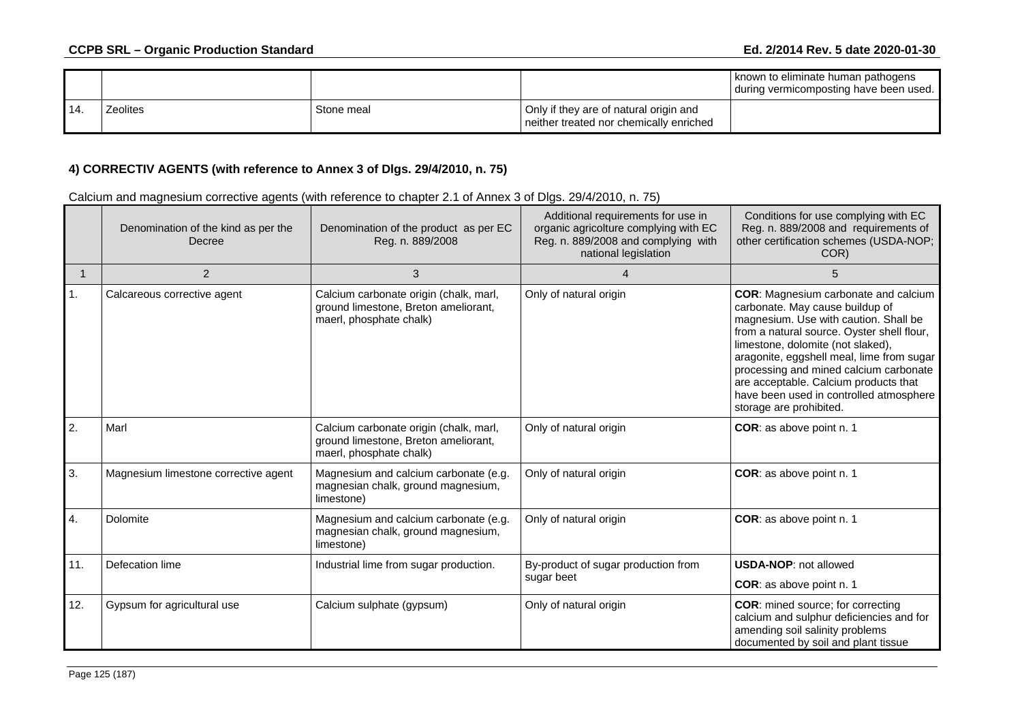|          |            |                                                                                   | known to eliminate human pathogens<br>I during vermicomposting have been used. |
|----------|------------|-----------------------------------------------------------------------------------|--------------------------------------------------------------------------------|
| Zeolites | Stone meal | Only if they are of natural origin and<br>neither treated nor chemically enriched |                                                                                |

## **4) CORRECTIV AGENTS (with reference to Annex 3 of Dlgs. 29/4/2010, n. 75)**

Calcium and magnesium corrective agents (with reference to chapter 2.1 of Annex 3 of Dlgs. 29/4/2010, n. 75)

|                | Denomination of the kind as per the<br>Decree | Denomination of the product as per EC<br>Reg. n. 889/2008                                                 | Additional requirements for use in<br>organic agricolture complying with EC<br>Reg. n. 889/2008 and complying with<br>national legislation | Conditions for use complying with EC<br>Reg. n. 889/2008 and requirements of<br>other certification schemes (USDA-NOP;<br>COR)                                                                                                                                                                                                                                                                                   |
|----------------|-----------------------------------------------|-----------------------------------------------------------------------------------------------------------|--------------------------------------------------------------------------------------------------------------------------------------------|------------------------------------------------------------------------------------------------------------------------------------------------------------------------------------------------------------------------------------------------------------------------------------------------------------------------------------------------------------------------------------------------------------------|
|                | $\overline{2}$                                | 3                                                                                                         | 4                                                                                                                                          | 5                                                                                                                                                                                                                                                                                                                                                                                                                |
| $\mathbf{1}$ . | Calcareous corrective agent                   | Calcium carbonate origin (chalk, marl,<br>ground limestone, Breton ameliorant,<br>maerl, phosphate chalk) | Only of natural origin                                                                                                                     | <b>COR:</b> Magnesium carbonate and calcium<br>carbonate. May cause buildup of<br>magnesium. Use with caution. Shall be<br>from a natural source. Oyster shell flour,<br>limestone, dolomite (not slaked),<br>aragonite, eggshell meal, lime from sugar<br>processing and mined calcium carbonate<br>are acceptable. Calcium products that<br>have been used in controlled atmosphere<br>storage are prohibited. |
| 2.             | Marl                                          | Calcium carbonate origin (chalk, marl,<br>ground limestone, Breton ameliorant,<br>maerl, phosphate chalk) | Only of natural origin                                                                                                                     | <b>COR:</b> as above point n. 1                                                                                                                                                                                                                                                                                                                                                                                  |
| 3.             | Magnesium limestone corrective agent          | Magnesium and calcium carbonate (e.g.<br>magnesian chalk, ground magnesium,<br>limestone)                 | Only of natural origin                                                                                                                     | COR: as above point n. 1                                                                                                                                                                                                                                                                                                                                                                                         |
| 4.             | Dolomite                                      | Magnesium and calcium carbonate (e.g.<br>magnesian chalk, ground magnesium,<br>limestone)                 | Only of natural origin                                                                                                                     | <b>COR:</b> as above point n. 1                                                                                                                                                                                                                                                                                                                                                                                  |
| 11.            | Defecation lime                               | Industrial lime from sugar production.                                                                    | By-product of sugar production from                                                                                                        | <b>USDA-NOP: not allowed</b>                                                                                                                                                                                                                                                                                                                                                                                     |
|                |                                               |                                                                                                           | sugar beet                                                                                                                                 | <b>COR:</b> as above point n. 1                                                                                                                                                                                                                                                                                                                                                                                  |
| 12.            | Gypsum for agricultural use                   | Calcium sulphate (gypsum)                                                                                 | Only of natural origin                                                                                                                     | <b>COR:</b> mined source; for correcting<br>calcium and sulphur deficiencies and for<br>amending soil salinity problems<br>documented by soil and plant tissue                                                                                                                                                                                                                                                   |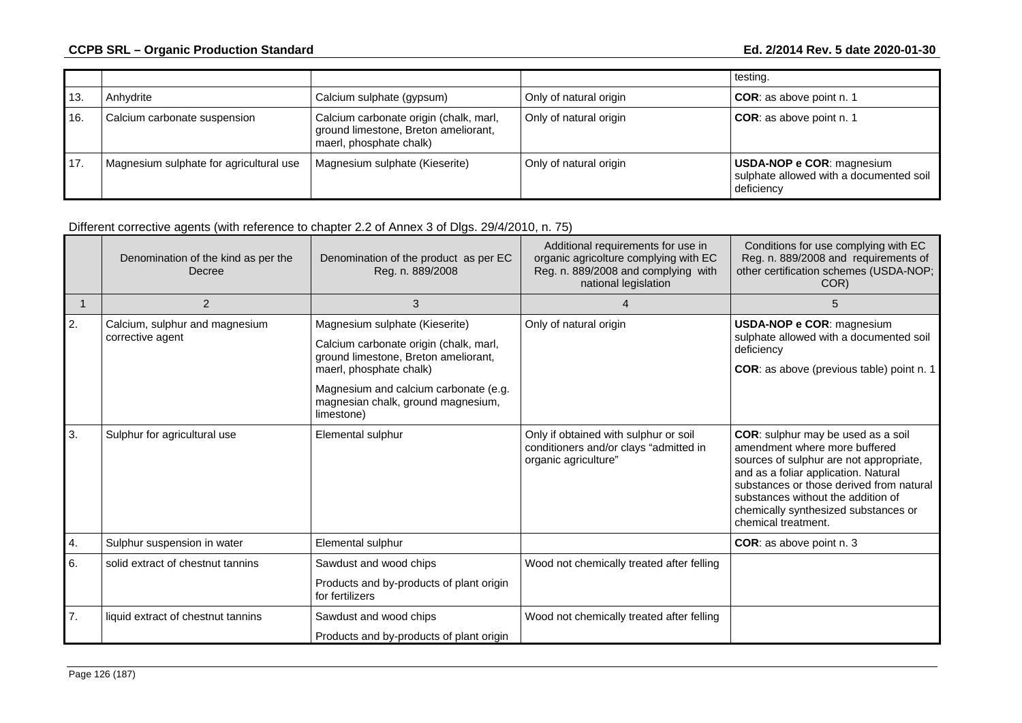|     |                                         |                                                                                                           |                        | testing.                                                                                  |
|-----|-----------------------------------------|-----------------------------------------------------------------------------------------------------------|------------------------|-------------------------------------------------------------------------------------------|
| 13. | Anhydrite                               | Calcium sulphate (gypsum)                                                                                 | Only of natural origin | <b>COR:</b> as above point n. 1                                                           |
| 16. | Calcium carbonate suspension            | Calcium carbonate origin (chalk, marl,<br>ground limestone, Breton ameliorant,<br>maerl, phosphate chalk) | Only of natural origin | <b>COR:</b> as above point n. 1                                                           |
| 17. | Magnesium sulphate for agricultural use | Magnesium sulphate (Kieserite)                                                                            | Only of natural origin | <b>USDA-NOP e COR: magnesium</b><br>sulphate allowed with a documented soil<br>deficiency |

# Different corrective agents (with reference to chapter 2.2 of Annex 3 of Dlgs. 29/4/2010, n. 75)

|    | Denomination of the kind as per the<br>Decree      | Denomination of the product as per EC<br>Reg. n. 889/2008                                                                                                                                                                                | Additional requirements for use in<br>organic agricolture complying with EC<br>Reg. n. 889/2008 and complying with<br>national legislation | Conditions for use complying with EC<br>Reg. n. 889/2008 and requirements of<br>other certification schemes (USDA-NOP;<br>COR)                                                                                                                                                                          |
|----|----------------------------------------------------|------------------------------------------------------------------------------------------------------------------------------------------------------------------------------------------------------------------------------------------|--------------------------------------------------------------------------------------------------------------------------------------------|---------------------------------------------------------------------------------------------------------------------------------------------------------------------------------------------------------------------------------------------------------------------------------------------------------|
|    | 2                                                  | 3                                                                                                                                                                                                                                        | $\overline{4}$                                                                                                                             | 5                                                                                                                                                                                                                                                                                                       |
| 2. | Calcium, sulphur and magnesium<br>corrective agent | Magnesium sulphate (Kieserite)<br>Calcium carbonate origin (chalk, marl,<br>ground limestone, Breton ameliorant,<br>maerl, phosphate chalk)<br>Magnesium and calcium carbonate (e.g.<br>magnesian chalk, ground magnesium,<br>limestone) | Only of natural origin                                                                                                                     | USDA-NOP e COR: magnesium<br>sulphate allowed with a documented soil<br>deficiency<br><b>COR:</b> as above (previous table) point n. 1                                                                                                                                                                  |
| 3. | Sulphur for agricultural use                       | Elemental sulphur                                                                                                                                                                                                                        | Only if obtained with sulphur or soil<br>conditioners and/or clays "admitted in<br>organic agriculture"                                    | COR: sulphur may be used as a soil<br>amendment where more buffered<br>sources of sulphur are not appropriate,<br>and as a foliar application. Natural<br>substances or those derived from natural<br>substances without the addition of<br>chemically synthesized substances or<br>chemical treatment. |
| 4. | Sulphur suspension in water                        | Elemental sulphur                                                                                                                                                                                                                        |                                                                                                                                            | COR: as above point n. 3                                                                                                                                                                                                                                                                                |
| 6. | solid extract of chestnut tannins                  | Sawdust and wood chips                                                                                                                                                                                                                   | Wood not chemically treated after felling                                                                                                  |                                                                                                                                                                                                                                                                                                         |
|    |                                                    | Products and by-products of plant origin<br>for fertilizers                                                                                                                                                                              |                                                                                                                                            |                                                                                                                                                                                                                                                                                                         |
| 7. | liquid extract of chestnut tannins                 | Sawdust and wood chips                                                                                                                                                                                                                   | Wood not chemically treated after felling                                                                                                  |                                                                                                                                                                                                                                                                                                         |
|    |                                                    | Products and by-products of plant origin                                                                                                                                                                                                 |                                                                                                                                            |                                                                                                                                                                                                                                                                                                         |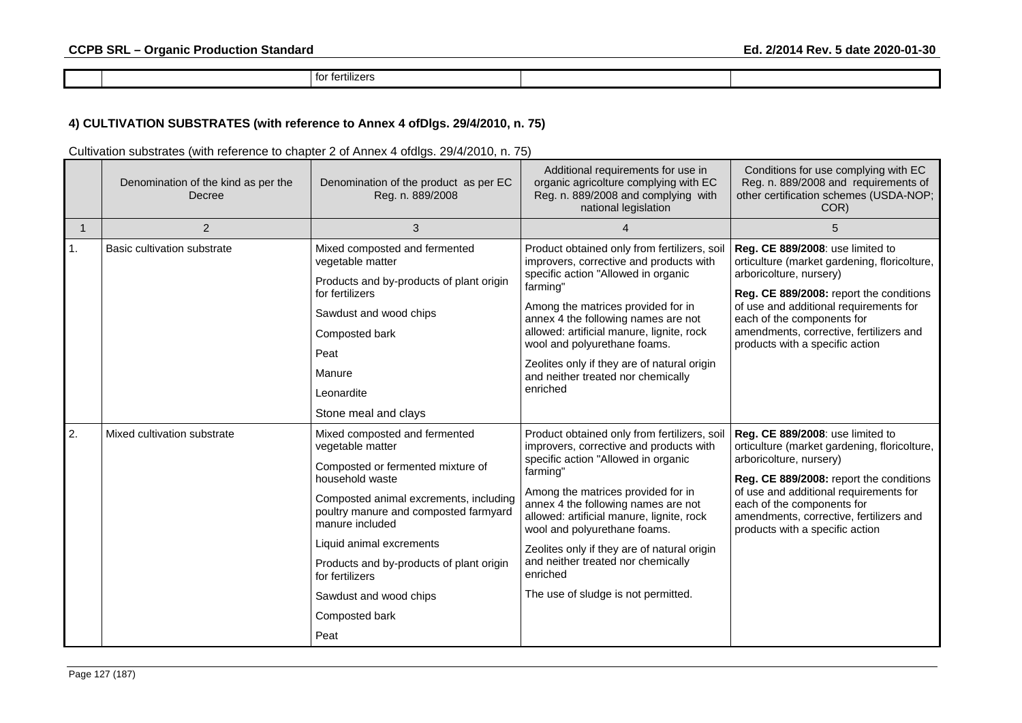for fertilizers

# **4) CULTIVATION SUBSTRATES (with reference to Annex 4 ofDlgs. 29/4/2010, n. 75)**

Cultivation substrates (with reference to chapter 2 of Annex 4 ofdlgs. 29/4/2010, n. 75)

|                | Denomination of the kind as per the<br>Decree | Denomination of the product as per EC<br>Reg. n. 889/2008                                                                                                                                                                                                                                                                                                      | Additional requirements for use in<br>organic agricolture complying with EC<br>Reg. n. 889/2008 and complying with<br>national legislation                                                                                                                                                                                                                                                                                                   | Conditions for use complying with EC<br>Reg. n. 889/2008 and requirements of<br>other certification schemes (USDA-NOP;<br>COR)                                                                                                                                                                               |
|----------------|-----------------------------------------------|----------------------------------------------------------------------------------------------------------------------------------------------------------------------------------------------------------------------------------------------------------------------------------------------------------------------------------------------------------------|----------------------------------------------------------------------------------------------------------------------------------------------------------------------------------------------------------------------------------------------------------------------------------------------------------------------------------------------------------------------------------------------------------------------------------------------|--------------------------------------------------------------------------------------------------------------------------------------------------------------------------------------------------------------------------------------------------------------------------------------------------------------|
| $\mathbf 1$    | $\overline{2}$                                | 3                                                                                                                                                                                                                                                                                                                                                              | 4                                                                                                                                                                                                                                                                                                                                                                                                                                            | 5                                                                                                                                                                                                                                                                                                            |
| $\mathbf{1}$ . | <b>Basic cultivation substrate</b>            | Mixed composted and fermented<br>vegetable matter<br>Products and by-products of plant origin<br>for fertilizers<br>Sawdust and wood chips<br>Composted bark<br>Peat<br>Manure<br>Leonardite<br>Stone meal and clays                                                                                                                                           | Product obtained only from fertilizers, soil<br>improvers, corrective and products with<br>specific action "Allowed in organic<br>farming"<br>Among the matrices provided for in<br>annex 4 the following names are not<br>allowed: artificial manure, lignite, rock<br>wool and polyurethane foams.<br>Zeolites only if they are of natural origin<br>and neither treated nor chemically<br>enriched                                        | Reg. CE 889/2008: use limited to<br>orticulture (market gardening, floricolture,<br>arboricolture, nursery)<br>Reg. CE 889/2008: report the conditions<br>of use and additional requirements for<br>each of the components for<br>amendments, corrective, fertilizers and<br>products with a specific action |
| 2.             | Mixed cultivation substrate                   | Mixed composted and fermented<br>vegetable matter<br>Composted or fermented mixture of<br>household waste<br>Composted animal excrements, including<br>poultry manure and composted farmyard<br>manure included<br>Liquid animal excrements<br>Products and by-products of plant origin<br>for fertilizers<br>Sawdust and wood chips<br>Composted bark<br>Peat | Product obtained only from fertilizers, soil<br>improvers, corrective and products with<br>specific action "Allowed in organic<br>farming"<br>Among the matrices provided for in<br>annex 4 the following names are not<br>allowed: artificial manure, lignite, rock<br>wool and polyurethane foams.<br>Zeolites only if they are of natural origin<br>and neither treated nor chemically<br>enriched<br>The use of sludge is not permitted. | Reg. CE 889/2008: use limited to<br>orticulture (market gardening, floricolture,<br>arboricolture, nursery)<br>Reg. CE 889/2008: report the conditions<br>of use and additional requirements for<br>each of the components for<br>amendments, corrective, fertilizers and<br>products with a specific action |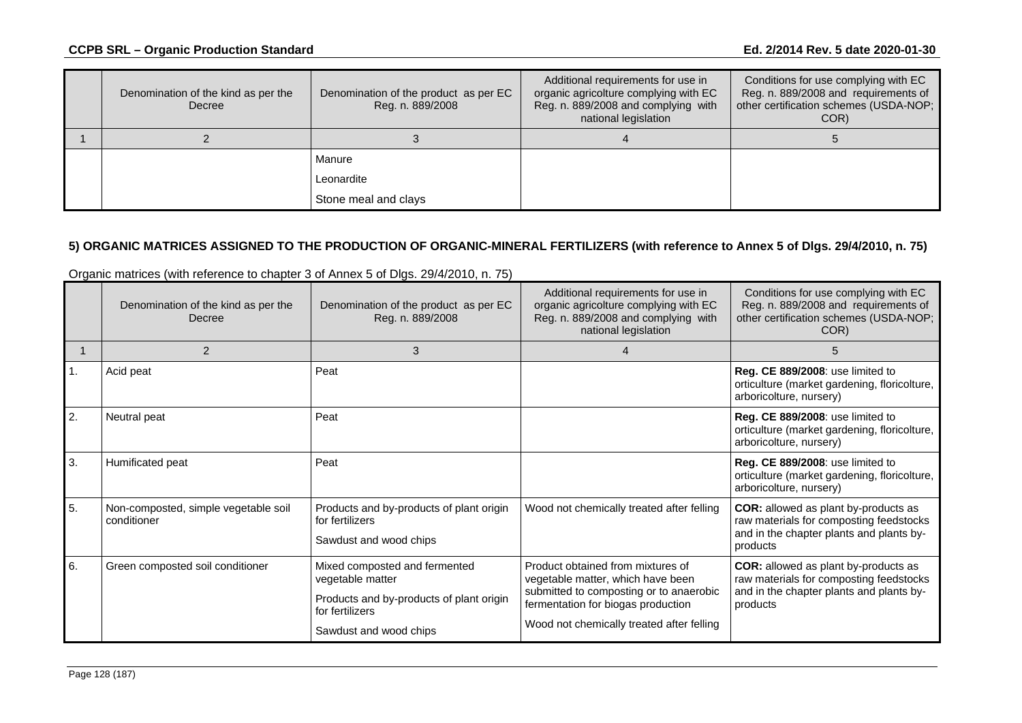### **CCPB SRL – Organic Production Standard CCPB SRL – Organic Production Standard CCPB SRL – Organic Production Standard**

| Denomination of the kind as per the<br>Decree | Denomination of the product as per EC<br>Reg. n. 889/2008 | Additional requirements for use in<br>organic agricolture complying with EC<br>Reg. n. 889/2008 and complying with<br>national legislation | Conditions for use complying with EC<br>Reg. n. 889/2008 and requirements of<br>other certification schemes (USDA-NOP;<br>COR) |
|-----------------------------------------------|-----------------------------------------------------------|--------------------------------------------------------------------------------------------------------------------------------------------|--------------------------------------------------------------------------------------------------------------------------------|
|                                               |                                                           |                                                                                                                                            |                                                                                                                                |
|                                               | Manure                                                    |                                                                                                                                            |                                                                                                                                |
|                                               | Leonardite                                                |                                                                                                                                            |                                                                                                                                |
|                                               | Stone meal and clays                                      |                                                                                                                                            |                                                                                                                                |

## **5) ORGANIC MATRICES ASSIGNED TO THE PRODUCTION OF ORGANIC-MINERAL FERTILIZERS (with reference to Annex 5 of Dlgs. 29/4/2010, n. 75)**

|                  | Denomination of the kind as per the<br>Decree       | Denomination of the product as per EC<br>Reg. n. 889/2008                                                                                  | Additional requirements for use in<br>organic agricolture complying with EC<br>Reg. n. 889/2008 and complying with<br>national legislation                                                           | Conditions for use complying with EC<br>Reg. n. 889/2008 and requirements of<br>other certification schemes (USDA-NOP;<br>COR)          |
|------------------|-----------------------------------------------------|--------------------------------------------------------------------------------------------------------------------------------------------|------------------------------------------------------------------------------------------------------------------------------------------------------------------------------------------------------|-----------------------------------------------------------------------------------------------------------------------------------------|
|                  | 2                                                   | 3                                                                                                                                          |                                                                                                                                                                                                      | 5                                                                                                                                       |
| I 1.             | Acid peat                                           | Peat                                                                                                                                       |                                                                                                                                                                                                      | Reg. CE 889/2008: use limited to<br>orticulture (market gardening, floricolture,<br>arboricolture, nursery)                             |
| $\overline{2}$ . | Neutral peat                                        | Peat                                                                                                                                       |                                                                                                                                                                                                      | Reg. CE 889/2008: use limited to<br>orticulture (market gardening, floricolture,<br>arboricolture, nursery)                             |
| 3.               | Humificated peat                                    | Peat                                                                                                                                       |                                                                                                                                                                                                      | Reg. CE 889/2008: use limited to<br>orticulture (market gardening, floricolture,<br>arboricolture, nursery)                             |
| 5.               | Non-composted, simple vegetable soil<br>conditioner | Products and by-products of plant origin<br>for fertilizers<br>Sawdust and wood chips                                                      | Wood not chemically treated after felling                                                                                                                                                            | COR: allowed as plant by-products as<br>raw materials for composting feedstocks<br>and in the chapter plants and plants by-<br>products |
| 6.               | Green composted soil conditioner                    | Mixed composted and fermented<br>vegetable matter<br>Products and by-products of plant origin<br>for fertilizers<br>Sawdust and wood chips | Product obtained from mixtures of<br>vegetable matter, which have been<br>submitted to composting or to anaerobic<br>fermentation for biogas production<br>Wood not chemically treated after felling | COR: allowed as plant by-products as<br>raw materials for composting feedstocks<br>and in the chapter plants and plants by-<br>products |

Organic matrices (with reference to chapter 3 of Annex 5 of Dlgs. 29/4/2010, n. 75)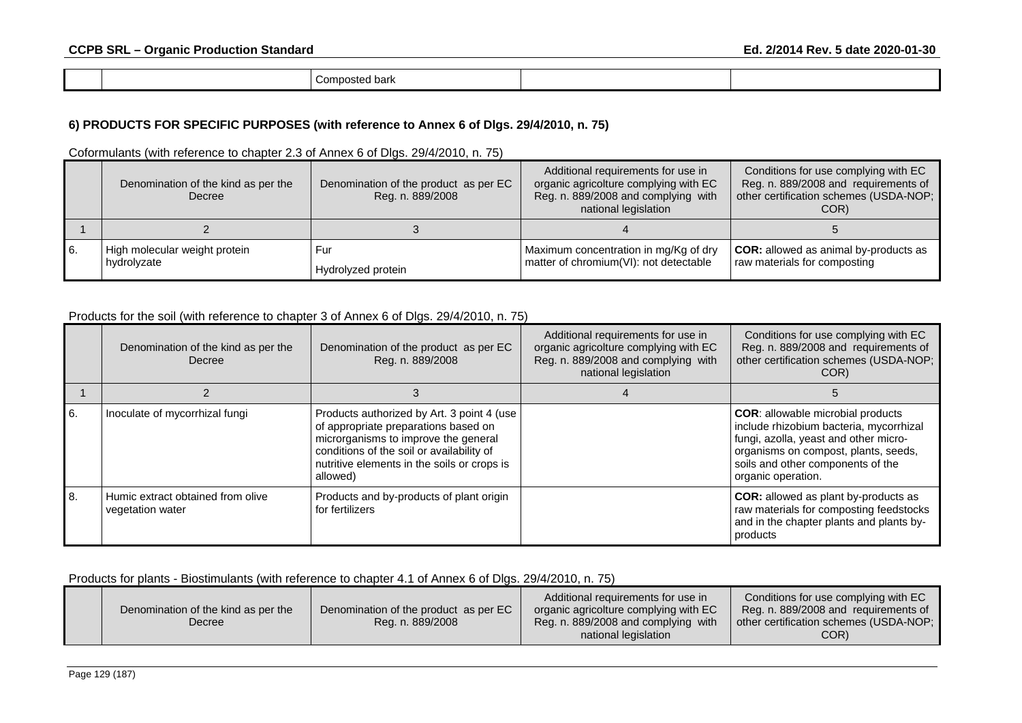Composted bark

# **6) PRODUCTS FOR SPECIFIC PURPOSES (with reference to Annex 6 of Dlgs. 29/4/2010, n. 75)**

|    | Denomination of the kind as per the<br>Decree | Denomination of the product as per EC<br>Reg. n. 889/2008 | Additional requirements for use in<br>organic agricolture complying with EC<br>Reg. n. 889/2008 and complying with<br>national legislation | Conditions for use complying with EC<br>Reg. n. 889/2008 and requirements of<br>other certification schemes (USDA-NOP;<br>COR) |
|----|-----------------------------------------------|-----------------------------------------------------------|--------------------------------------------------------------------------------------------------------------------------------------------|--------------------------------------------------------------------------------------------------------------------------------|
|    |                                               |                                                           |                                                                                                                                            |                                                                                                                                |
| 6. | High molecular weight protein<br>hydrolyzate  | Fur<br>Hydrolyzed protein                                 | Maximum concentration in mg/Kg of dry<br>matter of chromium(VI): not detectable                                                            | <b>COR:</b> allowed as animal by-products as<br>raw materials for composting                                                   |

# Coformulants (with reference to chapter 2.3 of Annex 6 of Dlgs. 29/4/2010, n. 75)

## Products for the soil (with reference to chapter 3 of Annex 6 of Dlgs. 29/4/2010, n. 75)

|    | Denomination of the kind as per the<br>Decree         | Denomination of the product as per EC<br>Reg. n. 889/2008                                                                                                                                                                          | Additional requirements for use in<br>organic agricolture complying with EC<br>Reg. n. 889/2008 and complying with<br>national legislation | Conditions for use complying with EC<br>Reg. n. 889/2008 and requirements of<br>other certification schemes (USDA-NOP;<br>COR)                                                                                                  |
|----|-------------------------------------------------------|------------------------------------------------------------------------------------------------------------------------------------------------------------------------------------------------------------------------------------|--------------------------------------------------------------------------------------------------------------------------------------------|---------------------------------------------------------------------------------------------------------------------------------------------------------------------------------------------------------------------------------|
|    |                                                       |                                                                                                                                                                                                                                    |                                                                                                                                            |                                                                                                                                                                                                                                 |
| 6. | Inoculate of mycorrhizal fungi                        | Products authorized by Art. 3 point 4 (use<br>of appropriate preparations based on<br>microrganisms to improve the general<br>conditions of the soil or availability of<br>nutritive elements in the soils or crops is<br>allowed) |                                                                                                                                            | <b>COR:</b> allowable microbial products<br>include rhizobium bacteria, mycorrhizal<br>fungi, azolla, yeast and other micro-<br>organisms on compost, plants, seeds,<br>soils and other components of the<br>organic operation. |
| 8. | Humic extract obtained from olive<br>vegetation water | Products and by-products of plant origin<br>for fertilizers                                                                                                                                                                        |                                                                                                                                            | <b>COR:</b> allowed as plant by-products as<br>raw materials for composting feedstocks<br>and in the chapter plants and plants by-<br>products                                                                                  |

# Products for plants - Biostimulants (with reference to chapter 4.1 of Annex 6 of Dlgs. 29/4/2010, n. 75)

|  | Denomination of the kind as per the<br>Decree | Denomination of the product as per EC<br>Reg. n. 889/2008 | Additional requirements for use in<br>organic agricolture complying with EC<br>Reg. n. 889/2008 and complying with<br>national legislation | Conditions for use complying with EC<br>Reg. n. 889/2008 and requirements of<br>other certification schemes (USDA-NOP;<br>COR) |
|--|-----------------------------------------------|-----------------------------------------------------------|--------------------------------------------------------------------------------------------------------------------------------------------|--------------------------------------------------------------------------------------------------------------------------------|
|--|-----------------------------------------------|-----------------------------------------------------------|--------------------------------------------------------------------------------------------------------------------------------------------|--------------------------------------------------------------------------------------------------------------------------------|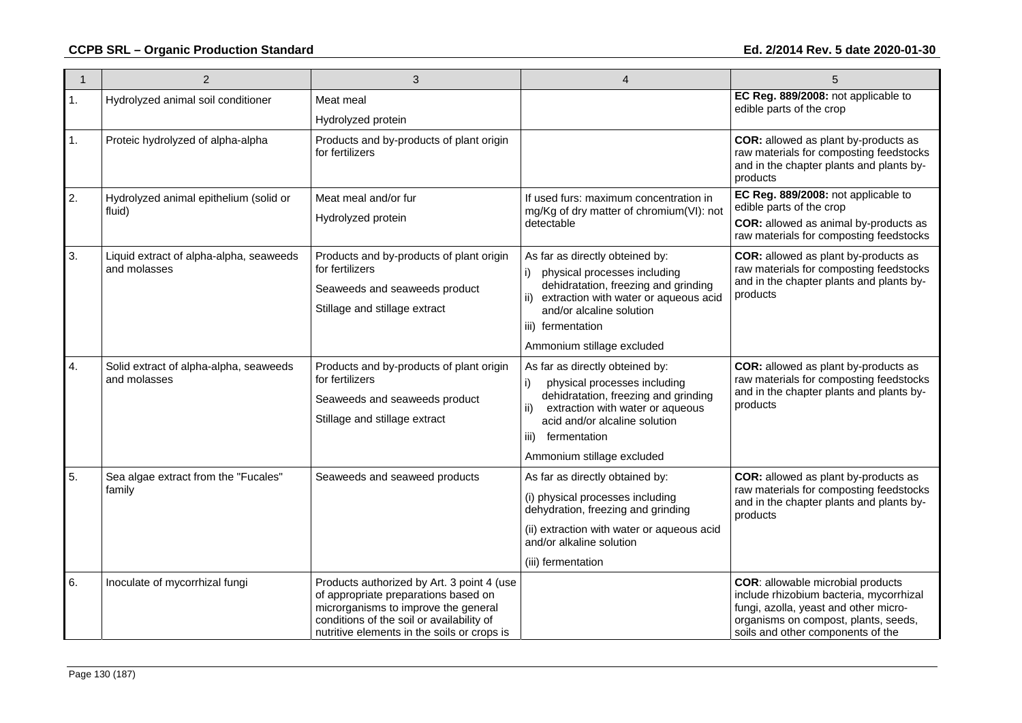## **CCPB SRL – Organic Production Standard CCPB SRL – Organic Production Standard CCPB SRL – Organic Production Standard**

| $\mathbf{1}$ | 2                                                       | 3                                                                                                                                                                                                                      | $\overline{4}$                                                                                                                                                                                                                           | 5                                                                                                                                                                                                         |
|--------------|---------------------------------------------------------|------------------------------------------------------------------------------------------------------------------------------------------------------------------------------------------------------------------------|------------------------------------------------------------------------------------------------------------------------------------------------------------------------------------------------------------------------------------------|-----------------------------------------------------------------------------------------------------------------------------------------------------------------------------------------------------------|
| 1.           | Hydrolyzed animal soil conditioner                      | Meat meal<br>Hydrolyzed protein                                                                                                                                                                                        |                                                                                                                                                                                                                                          | EC Reg. 889/2008: not applicable to<br>edible parts of the crop                                                                                                                                           |
| 1.           | Proteic hydrolyzed of alpha-alpha                       | Products and by-products of plant origin<br>for fertilizers                                                                                                                                                            |                                                                                                                                                                                                                                          | <b>COR:</b> allowed as plant by-products as<br>raw materials for composting feedstocks<br>and in the chapter plants and plants by-<br>products                                                            |
| 2.           | Hydrolyzed animal epithelium (solid or<br>fluid)        | Meat meal and/or fur<br>Hydrolyzed protein                                                                                                                                                                             | If used furs: maximum concentration in<br>mg/Kg of dry matter of chromium(VI): not<br>detectable                                                                                                                                         | EC Reg. 889/2008: not applicable to<br>edible parts of the crop<br>COR: allowed as animal by-products as<br>raw materials for composting feedstocks                                                       |
| 3.           | Liquid extract of alpha-alpha, seaweeds<br>and molasses | Products and by-products of plant origin<br>for fertilizers<br>Seaweeds and seaweeds product<br>Stillage and stillage extract                                                                                          | As far as directly obteined by:<br>i)<br>physical processes including<br>dehidratation, freezing and grinding<br>extraction with water or aqueous acid<br>and/or alcaline solution<br>iii) fermentation<br>Ammonium stillage excluded    | <b>COR:</b> allowed as plant by-products as<br>raw materials for composting feedstocks<br>and in the chapter plants and plants by-<br>products                                                            |
| 4.           | Solid extract of alpha-alpha, seaweeds<br>and molasses  | Products and by-products of plant origin<br>for fertilizers<br>Seaweeds and seaweeds product<br>Stillage and stillage extract                                                                                          | As far as directly obteined by:<br>physical processes including<br>i)<br>dehidratation, freezing and grinding<br>extraction with water or aqueous<br>acid and/or alcaline solution<br>fermentation<br>iii)<br>Ammonium stillage excluded | <b>COR:</b> allowed as plant by-products as<br>raw materials for composting feedstocks<br>and in the chapter plants and plants by-<br>products                                                            |
| 5.           | Sea algae extract from the "Fucales"<br>family          | Seaweeds and seaweed products                                                                                                                                                                                          | As far as directly obtained by:<br>(i) physical processes including<br>dehydration, freezing and grinding<br>(ii) extraction with water or aqueous acid<br>and/or alkaline solution<br>(iii) fermentation                                | <b>COR:</b> allowed as plant by-products as<br>raw materials for composting feedstocks<br>and in the chapter plants and plants by-<br>products                                                            |
| 6.           | Inoculate of mycorrhizal fungi                          | Products authorized by Art. 3 point 4 (use<br>of appropriate preparations based on<br>microrganisms to improve the general<br>conditions of the soil or availability of<br>nutritive elements in the soils or crops is |                                                                                                                                                                                                                                          | <b>COR:</b> allowable microbial products<br>include rhizobium bacteria, mycorrhizal<br>fungi, azolla, yeast and other micro-<br>organisms on compost, plants, seeds,<br>soils and other components of the |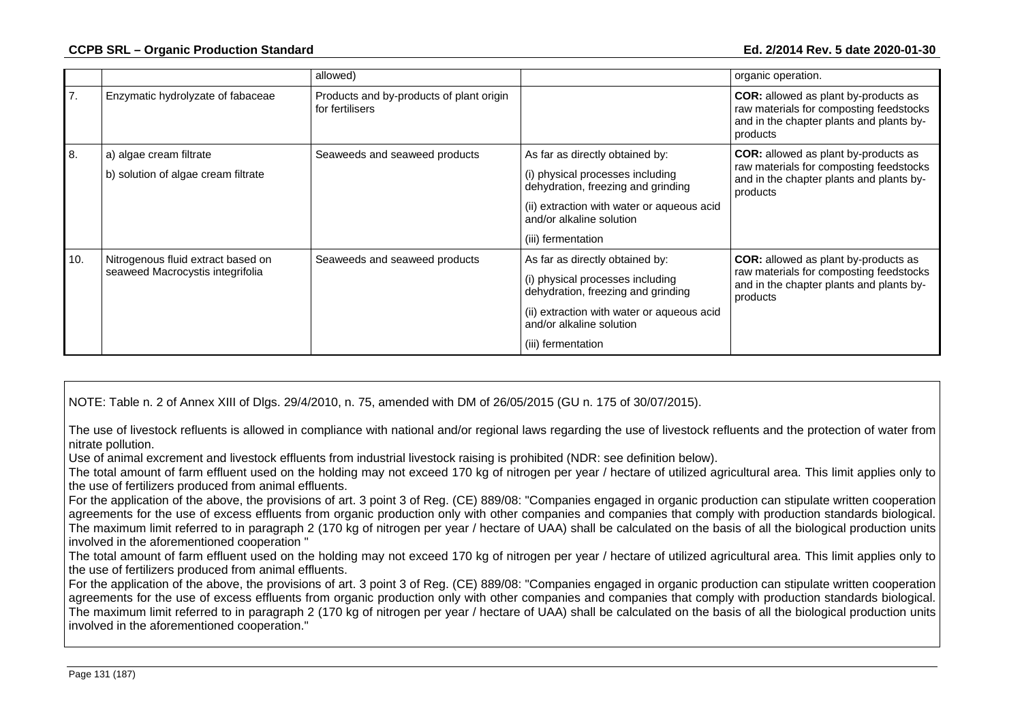|     |                                                                        | allowed)                                                    |                                                                                                                                                                                                           | organic operation.                                                                                                                             |
|-----|------------------------------------------------------------------------|-------------------------------------------------------------|-----------------------------------------------------------------------------------------------------------------------------------------------------------------------------------------------------------|------------------------------------------------------------------------------------------------------------------------------------------------|
| 7.  | Enzymatic hydrolyzate of fabaceae                                      | Products and by-products of plant origin<br>for fertilisers |                                                                                                                                                                                                           | <b>COR:</b> allowed as plant by-products as<br>raw materials for composting feedstocks<br>and in the chapter plants and plants by-<br>products |
| 8.  | a) algae cream filtrate<br>b) solution of algae cream filtrate         | Seaweeds and seaweed products                               | As far as directly obtained by:<br>(i) physical processes including<br>dehydration, freezing and grinding                                                                                                 | <b>COR:</b> allowed as plant by-products as<br>raw materials for composting feedstocks<br>and in the chapter plants and plants by-<br>products |
|     |                                                                        |                                                             | (ii) extraction with water or aqueous acid<br>and/or alkaline solution<br>(iii) fermentation                                                                                                              |                                                                                                                                                |
| 10. | Nitrogenous fluid extract based on<br>seaweed Macrocystis integrifolia | Seaweeds and seaweed products                               | As far as directly obtained by:<br>(i) physical processes including<br>dehydration, freezing and grinding<br>(ii) extraction with water or aqueous acid<br>and/or alkaline solution<br>(iii) fermentation | <b>COR:</b> allowed as plant by-products as<br>raw materials for composting feedstocks<br>and in the chapter plants and plants by-<br>products |

NOTE: Table n. 2 of Annex XIII of Dlgs. 29/4/2010, n. 75, amended with DM of 26/05/2015 (GU n. 175 of 30/07/2015).

The use of livestock refluents is allowed in compliance with national and/or regional laws regarding the use of livestock refluents and the protection of water from nitrate pollution.

Use of animal excrement and livestock effluents from industrial livestock raising is prohibited (NDR: see definition below).

The total amount of farm effluent used on the holding may not exceed 170 kg of nitrogen per year / hectare of utilized agricultural area. This limit applies only to the use of fertilizers produced from animal effluents.

For the application of the above, the provisions of art. 3 point 3 of Reg. (CE) 889/08: "Companies engaged in organic production can stipulate written cooperation agreements for the use of excess effluents from organic production only with other companies and companies that comply with production standards biological. The maximum limit referred to in paragraph 2 (170 kg of nitrogen per year / hectare of UAA) shall be calculated on the basis of all the biological production units involved in the aforementioned cooperation "

The total amount of farm effluent used on the holding may not exceed 170 kg of nitrogen per year / hectare of utilized agricultural area. This limit applies only to the use of fertilizers produced from animal effluents.

For the application of the above, the provisions of art. 3 point 3 of Reg. (CE) 889/08: "Companies engaged in organic production can stipulate written cooperation agreements for the use of excess effluents from organic production only with other companies and companies that comply with production standards biological. The maximum limit referred to in paragraph 2 (170 kg of nitrogen per year / hectare of UAA) shall be calculated on the basis of all the biological production units involved in the aforementioned cooperation."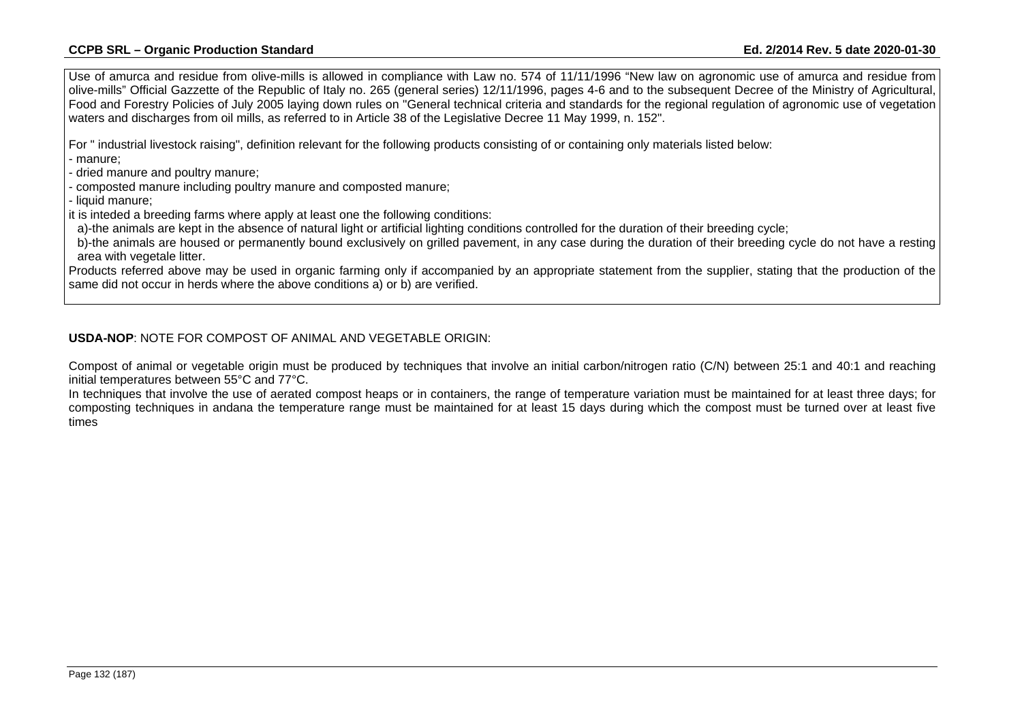#### **CCPB SRL – Organic Production Standard Ed. 2/2014 Rev. 5 date 2020-01-30**

Use of amurca and residue from olive-mills is allowed in compliance with Law no. 574 of 11/11/1996 "New law on agronomic use of amurca and residue from olive-mills" Official Gazzette of the Republic of Italy no. 265 (general series) 12/11/1996, pages 4-6 and to the subsequent Decree of the Ministry of Agricultural, Food and Forestry Policies of July 2005 laying down rules on "General technical criteria and standards for the regional regulation of agronomic use of vegetation waters and discharges from oil mills, as referred to in Article 38 of the Legislative Decree 11 May 1999, n. 152".

For " industrial livestock raising", definition relevant for the following products consisting of or containing only materials listed below:

- manure;

- dried manure and poultry manure;

- composted manure including poultry manure and composted manure;

- liquid manure:

it is inteded a breeding farms where apply at least one the following conditions:

a)-the animals are kept in the absence of natural light or artificial lighting conditions controlled for the duration of their breeding cycle;

b)-the animals are housed or permanently bound exclusively on grilled pavement, in any case during the duration of their breeding cycle do not have a resting area with vegetale litter.

Products referred above may be used in organic farming only if accompanied by an appropriate statement from the supplier, stating that the production of the same did not occur in herds where the above conditions a) or b) are verified.

### **USDA-NOP**: NOTE FOR COMPOST OF ANIMAL AND VEGETABLE ORIGIN:

Compost of animal or vegetable origin must be produced by techniques that involve an initial carbon/nitrogen ratio (C/N) between 25:1 and 40:1 and reaching initial temperatures between 55°C and 77°C.

In techniques that involve the use of aerated compost heaps or in containers, the range of temperature variation must be maintained for at least three days; for composting techniques in andana the temperature range must be maintained for at least 15 days during which the compost must be turned over at least five times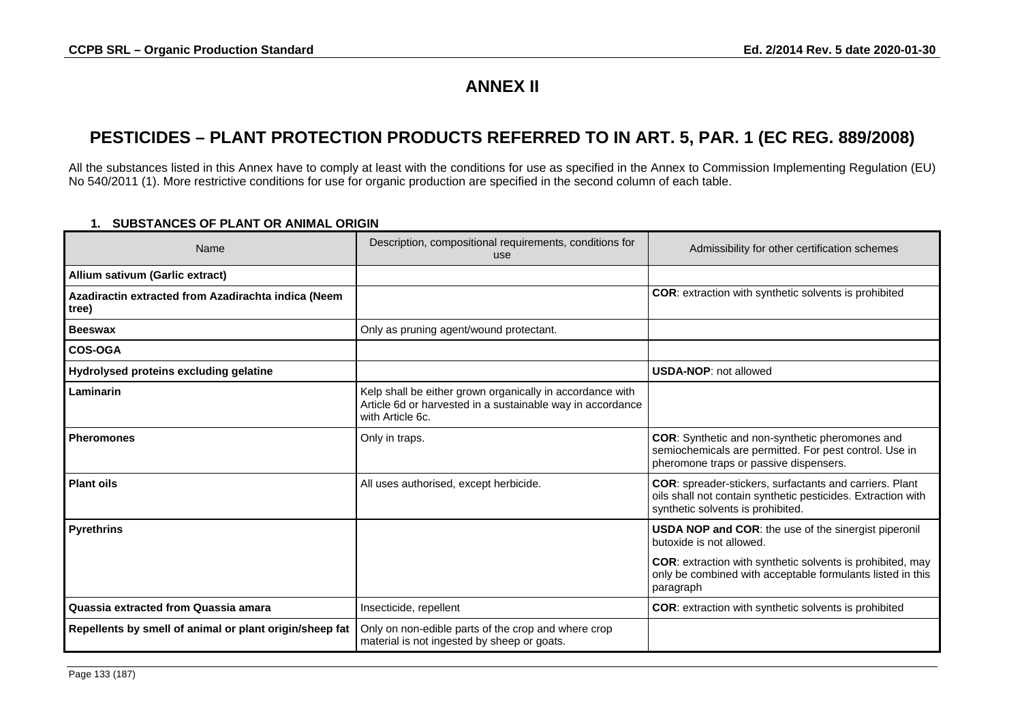# **ANNEX II**

# **PESTICIDES – PLANT PROTECTION PRODUCTS REFERRED TO IN ART. 5, PAR. 1 (EC REG. 889/2008)**

All the substances listed in this Annex have to comply at least with the conditions for use as specified in the Annex to Commission Implementing Regulation (EU) No 540/2011 (1). More restrictive conditions for use for organic production are specified in the second column of each table.

| Name                                                         | Description, compositional requirements, conditions for<br>use                                                                              | Admissibility for other certification schemes                                                                                                                |
|--------------------------------------------------------------|---------------------------------------------------------------------------------------------------------------------------------------------|--------------------------------------------------------------------------------------------------------------------------------------------------------------|
| Allium sativum (Garlic extract)                              |                                                                                                                                             |                                                                                                                                                              |
| Azadiractin extracted from Azadirachta indica (Neem<br>tree) |                                                                                                                                             | <b>COR:</b> extraction with synthetic solvents is prohibited                                                                                                 |
| <b>Beeswax</b>                                               | Only as pruning agent/wound protectant.                                                                                                     |                                                                                                                                                              |
| <b>COS-OGA</b>                                               |                                                                                                                                             |                                                                                                                                                              |
| <b>Hydrolysed proteins excluding gelatine</b>                |                                                                                                                                             | <b>USDA-NOP: not allowed</b>                                                                                                                                 |
| <b>Laminarin</b>                                             | Kelp shall be either grown organically in accordance with<br>Article 6d or harvested in a sustainable way in accordance<br>with Article 6c. |                                                                                                                                                              |
| <b>Pheromones</b>                                            | Only in traps.                                                                                                                              | COR: Synthetic and non-synthetic pheromones and<br>semiochemicals are permitted. For pest control. Use in<br>pheromone traps or passive dispensers.          |
| <b>Plant oils</b>                                            | All uses authorised, except herbicide.                                                                                                      | COR: spreader-stickers, surfactants and carriers. Plant<br>oils shall not contain synthetic pesticides. Extraction with<br>synthetic solvents is prohibited. |
| <b>Pyrethrins</b>                                            |                                                                                                                                             | <b>USDA NOP and COR:</b> the use of the sinergist piperonil<br>butoxide is not allowed.                                                                      |
|                                                              |                                                                                                                                             | <b>COR:</b> extraction with synthetic solvents is prohibited, may<br>only be combined with acceptable formulants listed in this<br>paragraph                 |
| Quassia extracted from Quassia amara                         | Insecticide, repellent                                                                                                                      | <b>COR:</b> extraction with synthetic solvents is prohibited                                                                                                 |
| Repellents by smell of animal or plant origin/sheep fat      | Only on non-edible parts of the crop and where crop<br>material is not ingested by sheep or goats.                                          |                                                                                                                                                              |

#### **1. SUBSTANCES OF PLANT OR ANIMAL ORIGIN**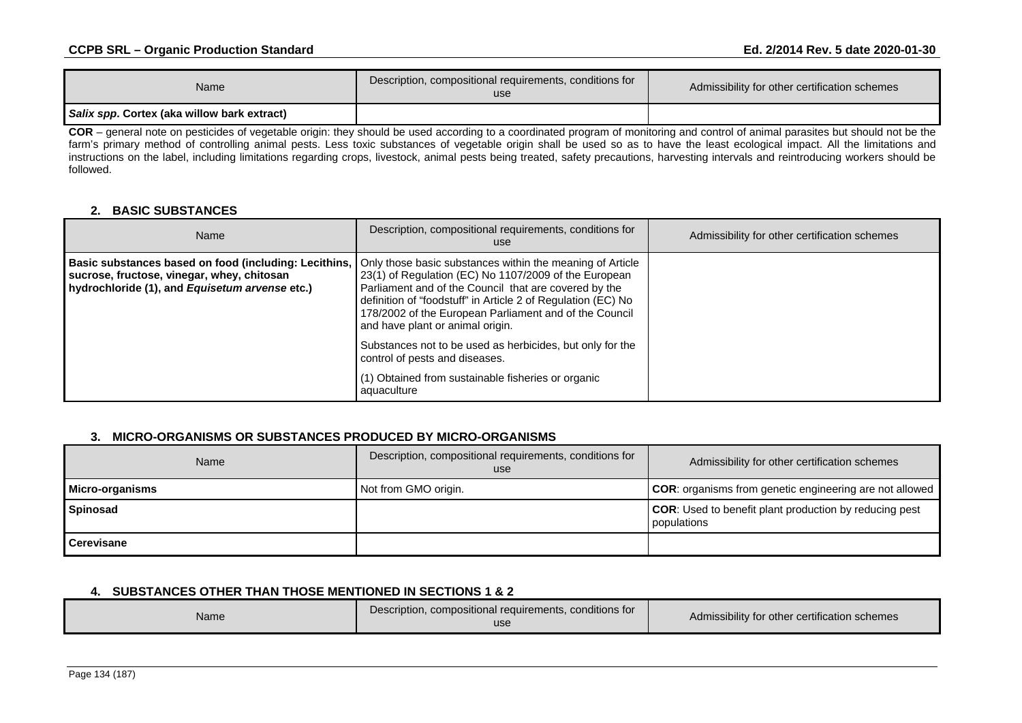#### **CCPB SRL – Organic Production Standard CCPB SRL – Organic Production Standard CCPB SRL – Organic Production Standard**

| Name                                        | Description, compositional requirements, conditions for<br>use | Admissibility for other certification schemes |
|---------------------------------------------|----------------------------------------------------------------|-----------------------------------------------|
| Salix spp. Cortex (aka willow bark extract) |                                                                |                                               |

COR – general note on pesticides of vegetable origin: they should be used according to a coordinated program of monitoring and control of animal parasites but should not be the farm's primary method of controlling animal pests. Less toxic substances of vegetable origin shall be used so as to have the least ecological impact. All the limitations and instructions on the label, including limitations regarding crops, livestock, animal pests being treated, safety precautions, harvesting intervals and reintroducing workers should be followed.

#### **2. BASIC SUBSTANCES**

| Name                                                                                                                                                  | Description, compositional requirements, conditions for<br><b>use</b>                                                                                                                                                                                                                                                                                                                                                                                                                                         | Admissibility for other certification schemes |
|-------------------------------------------------------------------------------------------------------------------------------------------------------|---------------------------------------------------------------------------------------------------------------------------------------------------------------------------------------------------------------------------------------------------------------------------------------------------------------------------------------------------------------------------------------------------------------------------------------------------------------------------------------------------------------|-----------------------------------------------|
| Basic substances based on food (including: Lecithins,<br>sucrose, fructose, vinegar, whey, chitosan<br>hydrochloride (1), and Equisetum arvense etc.) | Only those basic substances within the meaning of Article<br>23(1) of Regulation (EC) No 1107/2009 of the European<br>Parliament and of the Council that are covered by the<br>definition of "foodstuff" in Article 2 of Regulation (EC) No<br>178/2002 of the European Parliament and of the Council<br>and have plant or animal origin.<br>Substances not to be used as herbicides, but only for the<br>control of pests and diseases.<br>(1) Obtained from sustainable fisheries or organic<br>aquaculture |                                               |

#### **3. MICRO-ORGANISMS OR SUBSTANCES PRODUCED BY MICRO-ORGANISMS**

| Name            | Description, compositional requirements, conditions for<br>use | Admissibility for other certification schemes                                |
|-----------------|----------------------------------------------------------------|------------------------------------------------------------------------------|
| Micro-organisms | Not from GMO origin.                                           | <b>COR:</b> organisms from genetic engineering are not allowed               |
| <b>Spinosad</b> |                                                                | <b>COR:</b> Used to benefit plant production by reducing pest<br>populations |
| l Cerevisane    |                                                                |                                                                              |

#### **4. SUBSTANCES OTHER THAN THOSE MENTIONED IN SECTIONS 1 & 2**

| Description, compositional requirements, conditions for<br>Admissibility for other certification schemes<br>Name<br>use |  |
|-------------------------------------------------------------------------------------------------------------------------|--|
|-------------------------------------------------------------------------------------------------------------------------|--|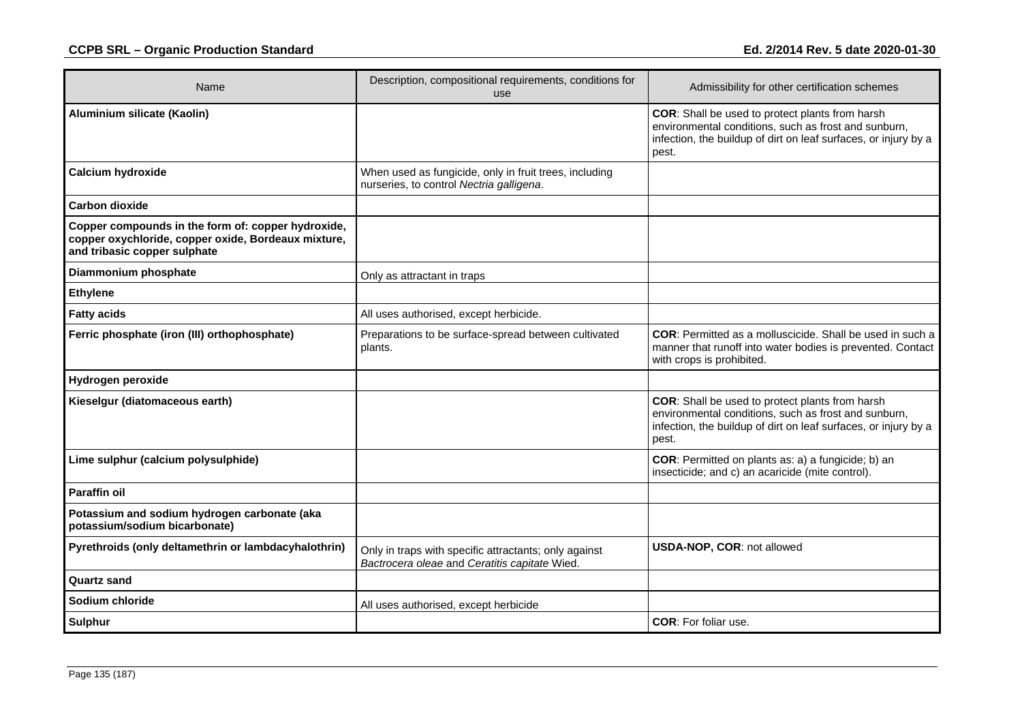# **CCPB SRL – Organic Production Standard CCPB 30 and 2020-01-30 CCPB SRL – Organic Production Standard**

| Name                                                                                                                                      | Description, compositional requirements, conditions for<br>use                                         | Admissibility for other certification schemes                                                                                                                                       |
|-------------------------------------------------------------------------------------------------------------------------------------------|--------------------------------------------------------------------------------------------------------|-------------------------------------------------------------------------------------------------------------------------------------------------------------------------------------|
| Aluminium silicate (Kaolin)                                                                                                               |                                                                                                        | COR: Shall be used to protect plants from harsh<br>environmental conditions, such as frost and sunburn,<br>infection, the buildup of dirt on leaf surfaces, or injury by a<br>pest. |
| Calcium hydroxide                                                                                                                         | When used as fungicide, only in fruit trees, including<br>nurseries, to control Nectria galligena.     |                                                                                                                                                                                     |
| <b>Carbon dioxide</b>                                                                                                                     |                                                                                                        |                                                                                                                                                                                     |
| Copper compounds in the form of: copper hydroxide,<br>copper oxychloride, copper oxide, Bordeaux mixture,<br>and tribasic copper sulphate |                                                                                                        |                                                                                                                                                                                     |
| Diammonium phosphate                                                                                                                      | Only as attractant in traps                                                                            |                                                                                                                                                                                     |
| <b>Ethylene</b>                                                                                                                           |                                                                                                        |                                                                                                                                                                                     |
| <b>Fatty acids</b>                                                                                                                        | All uses authorised, except herbicide.                                                                 |                                                                                                                                                                                     |
| Ferric phosphate (iron (III) orthophosphate)                                                                                              | Preparations to be surface-spread between cultivated<br>plants.                                        | COR: Permitted as a molluscicide. Shall be used in such a<br>manner that runoff into water bodies is prevented. Contact<br>with crops is prohibited.                                |
| Hydrogen peroxide                                                                                                                         |                                                                                                        |                                                                                                                                                                                     |
| Kieselgur (diatomaceous earth)                                                                                                            |                                                                                                        | COR: Shall be used to protect plants from harsh<br>environmental conditions, such as frost and sunburn,<br>infection, the buildup of dirt on leaf surfaces, or injury by a<br>pest. |
| Lime sulphur (calcium polysulphide)                                                                                                       |                                                                                                        | COR: Permitted on plants as: a) a fungicide; b) an<br>insecticide; and c) an acaricide (mite control).                                                                              |
| <b>Paraffin oil</b>                                                                                                                       |                                                                                                        |                                                                                                                                                                                     |
| Potassium and sodium hydrogen carbonate (aka<br>potassium/sodium bicarbonate)                                                             |                                                                                                        |                                                                                                                                                                                     |
| Pyrethroids (only deltamethrin or lambdacyhalothrin)                                                                                      | Only in traps with specific attractants; only against<br>Bactrocera oleae and Ceratitis capitate Wied. | USDA-NOP, COR: not allowed                                                                                                                                                          |
| <b>Quartz sand</b>                                                                                                                        |                                                                                                        |                                                                                                                                                                                     |
| Sodium chloride                                                                                                                           | All uses authorised, except herbicide                                                                  |                                                                                                                                                                                     |
| <b>Sulphur</b>                                                                                                                            |                                                                                                        | <b>COR:</b> For foliar use.                                                                                                                                                         |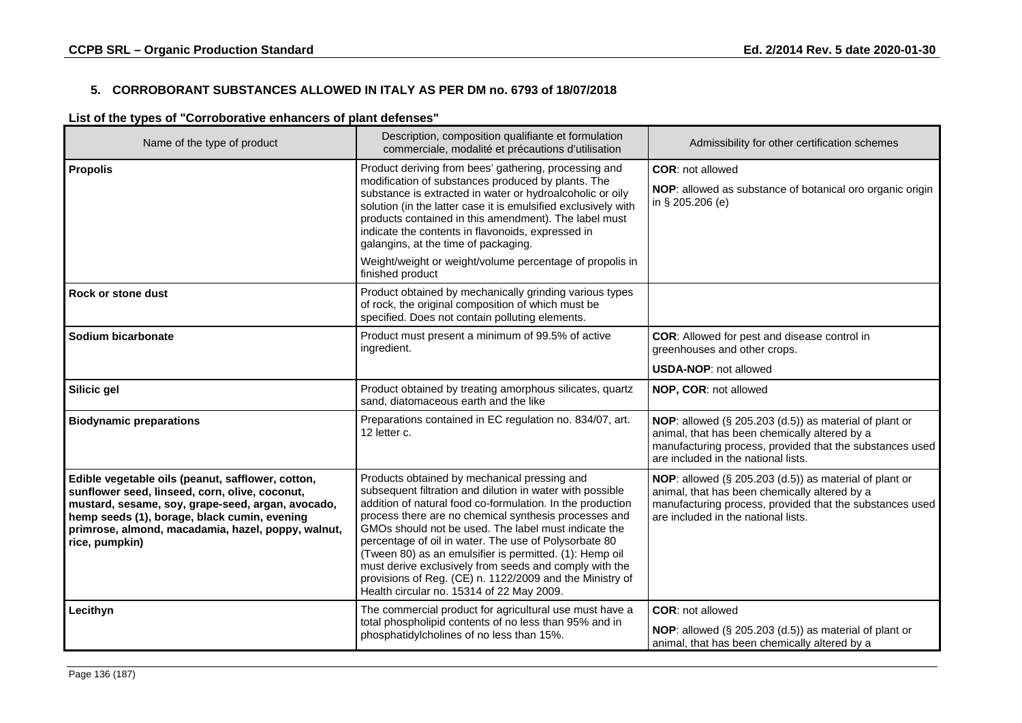#### **5. CORROBORANT SUBSTANCES ALLOWED IN ITALY AS PER DM no. 6793 of 18/07/2018**

### **List of the types of "Corroborative enhancers of plant defenses"**

| Name of the type of product                                                                                                                                                                                                                                                      | Description, composition qualifiante et formulation<br>commerciale, modalité et précautions d'utilisation                                                                                                                                                                                                                                                                                                                                                                                                                                                                       | Admissibility for other certification schemes                                                                                                                                                                         |
|----------------------------------------------------------------------------------------------------------------------------------------------------------------------------------------------------------------------------------------------------------------------------------|---------------------------------------------------------------------------------------------------------------------------------------------------------------------------------------------------------------------------------------------------------------------------------------------------------------------------------------------------------------------------------------------------------------------------------------------------------------------------------------------------------------------------------------------------------------------------------|-----------------------------------------------------------------------------------------------------------------------------------------------------------------------------------------------------------------------|
| <b>Propolis</b>                                                                                                                                                                                                                                                                  | Product deriving from bees' gathering, processing and<br>modification of substances produced by plants. The<br>substance is extracted in water or hydroalcoholic or oily<br>solution (in the latter case it is emulsified exclusively with<br>products contained in this amendment). The label must<br>indicate the contents in flavonoids, expressed in<br>galangins, at the time of packaging.<br>Weight/weight or weight/volume percentage of propolis in                                                                                                                    | <b>COR: not allowed</b><br>NOP: allowed as substance of botanical oro organic origin<br>in § 205.206 (e)                                                                                                              |
|                                                                                                                                                                                                                                                                                  | finished product                                                                                                                                                                                                                                                                                                                                                                                                                                                                                                                                                                |                                                                                                                                                                                                                       |
| Rock or stone dust                                                                                                                                                                                                                                                               | Product obtained by mechanically grinding various types<br>of rock, the original composition of which must be<br>specified. Does not contain polluting elements.                                                                                                                                                                                                                                                                                                                                                                                                                |                                                                                                                                                                                                                       |
| Sodium bicarbonate                                                                                                                                                                                                                                                               | Product must present a minimum of 99.5% of active<br>ingredient.                                                                                                                                                                                                                                                                                                                                                                                                                                                                                                                | COR: Allowed for pest and disease control in<br>greenhouses and other crops.                                                                                                                                          |
|                                                                                                                                                                                                                                                                                  |                                                                                                                                                                                                                                                                                                                                                                                                                                                                                                                                                                                 | <b>USDA-NOP: not allowed</b>                                                                                                                                                                                          |
| Silicic gel                                                                                                                                                                                                                                                                      | Product obtained by treating amorphous silicates, quartz<br>sand, diatomaceous earth and the like                                                                                                                                                                                                                                                                                                                                                                                                                                                                               | NOP, COR: not allowed                                                                                                                                                                                                 |
| <b>Biodynamic preparations</b>                                                                                                                                                                                                                                                   | Preparations contained in EC regulation no. 834/07, art.<br>12 letter c.                                                                                                                                                                                                                                                                                                                                                                                                                                                                                                        | NOP: allowed (§ 205.203 (d.5)) as material of plant or<br>animal, that has been chemically altered by a<br>manufacturing process, provided that the substances used<br>are included in the national lists.            |
| Edible vegetable oils (peanut, safflower, cotton,<br>sunflower seed, linseed, corn, olive, coconut,<br>mustard, sesame, soy, grape-seed, argan, avocado,<br>hemp seeds (1), borage, black cumin, evening<br>primrose, almond, macadamia, hazel, poppy, walnut,<br>rice, pumpkin) | Products obtained by mechanical pressing and<br>subsequent filtration and dilution in water with possible<br>addition of natural food co-formulation. In the production<br>process there are no chemical synthesis processes and<br>GMOs should not be used. The label must indicate the<br>percentage of oil in water. The use of Polysorbate 80<br>(Tween 80) as an emulsifier is permitted. (1): Hemp oil<br>must derive exclusively from seeds and comply with the<br>provisions of Reg. (CE) n. 1122/2009 and the Ministry of<br>Health circular no. 15314 of 22 May 2009. | <b>NOP:</b> allowed ( $\S$ 205.203 (d.5)) as material of plant or<br>animal, that has been chemically altered by a<br>manufacturing process, provided that the substances used<br>are included in the national lists. |
| Lecithyn                                                                                                                                                                                                                                                                         | The commercial product for agricultural use must have a<br>total phospholipid contents of no less than 95% and in<br>phosphatidylcholines of no less than 15%.                                                                                                                                                                                                                                                                                                                                                                                                                  | <b>COR: not allowed</b><br>NOP: allowed (§ 205.203 (d.5)) as material of plant or<br>animal, that has been chemically altered by a                                                                                    |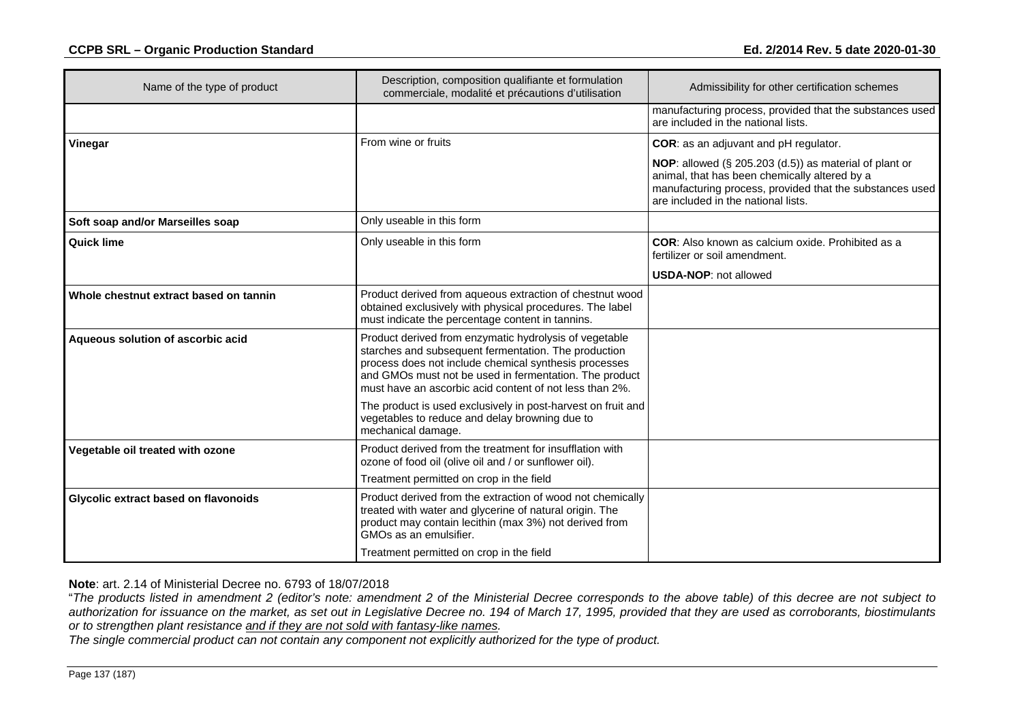| Name of the type of product                 | Description, composition qualifiante et formulation<br>commerciale, modalité et précautions d'utilisation                                                                                                                                                                                    | Admissibility for other certification schemes                                                                                                                                                              |
|---------------------------------------------|----------------------------------------------------------------------------------------------------------------------------------------------------------------------------------------------------------------------------------------------------------------------------------------------|------------------------------------------------------------------------------------------------------------------------------------------------------------------------------------------------------------|
|                                             |                                                                                                                                                                                                                                                                                              | manufacturing process, provided that the substances used<br>are included in the national lists.                                                                                                            |
| Vinegar                                     | From wine or fruits                                                                                                                                                                                                                                                                          | <b>COR:</b> as an adjuvant and pH regulator.                                                                                                                                                               |
|                                             |                                                                                                                                                                                                                                                                                              | NOP: allowed (§ 205.203 (d.5)) as material of plant or<br>animal, that has been chemically altered by a<br>manufacturing process, provided that the substances used<br>are included in the national lists. |
| Soft soap and/or Marseilles soap            | Only useable in this form                                                                                                                                                                                                                                                                    |                                                                                                                                                                                                            |
| <b>Quick lime</b>                           | Only useable in this form                                                                                                                                                                                                                                                                    | <b>COR:</b> Also known as calcium oxide. Prohibited as a<br>fertilizer or soil amendment.                                                                                                                  |
|                                             |                                                                                                                                                                                                                                                                                              | <b>USDA-NOP: not allowed</b>                                                                                                                                                                               |
| Whole chestnut extract based on tannin      | Product derived from aqueous extraction of chestnut wood<br>obtained exclusively with physical procedures. The label<br>must indicate the percentage content in tannins.                                                                                                                     |                                                                                                                                                                                                            |
| Aqueous solution of ascorbic acid           | Product derived from enzymatic hydrolysis of vegetable<br>starches and subsequent fermentation. The production<br>process does not include chemical synthesis processes<br>and GMOs must not be used in fermentation. The product<br>must have an ascorbic acid content of not less than 2%. |                                                                                                                                                                                                            |
|                                             | The product is used exclusively in post-harvest on fruit and<br>vegetables to reduce and delay browning due to<br>mechanical damage.                                                                                                                                                         |                                                                                                                                                                                                            |
| Vegetable oil treated with ozone            | Product derived from the treatment for insufflation with<br>ozone of food oil (olive oil and / or sunflower oil).                                                                                                                                                                            |                                                                                                                                                                                                            |
|                                             | Treatment permitted on crop in the field                                                                                                                                                                                                                                                     |                                                                                                                                                                                                            |
| <b>Glycolic extract based on flavonoids</b> | Product derived from the extraction of wood not chemically<br>treated with water and glycerine of natural origin. The<br>product may contain lecithin (max 3%) not derived from<br>GMOs as an emulsifier.                                                                                    |                                                                                                                                                                                                            |
|                                             | Treatment permitted on crop in the field                                                                                                                                                                                                                                                     |                                                                                                                                                                                                            |

### **Note**: art. 2.14 of Ministerial Decree no. 6793 of 18/07/2018

"*The products listed in amendment 2 (editor's note: amendment 2 of the Ministerial Decree corresponds to the above table) of this decree are not subject to authorization for issuance on the market, as set out in Legislative Decree no. 194 of March 17, 1995, provided that they are used as corroborants, biostimulants or to strengthen plant resistance and if they are not sold with fantasy-like names.* 

*The single commercial product can not contain any component not explicitly authorized for the type of product.*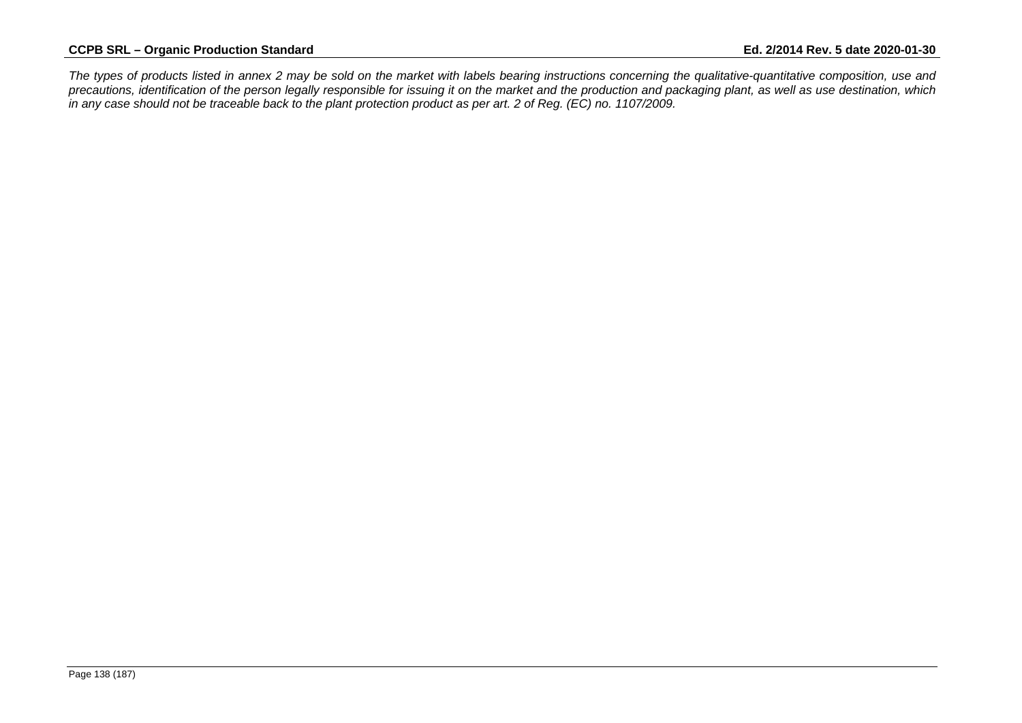*The types of products listed in annex 2 may be sold on the market with labels bearing instructions concerning the qualitative-quantitative composition, use and precautions, identification of the person legally responsible for issuing it on the market and the production and packaging plant, as well as use destination, which in any case should not be traceable back to the plant protection product as per art. 2 of Reg. (EC) no. 1107/2009.*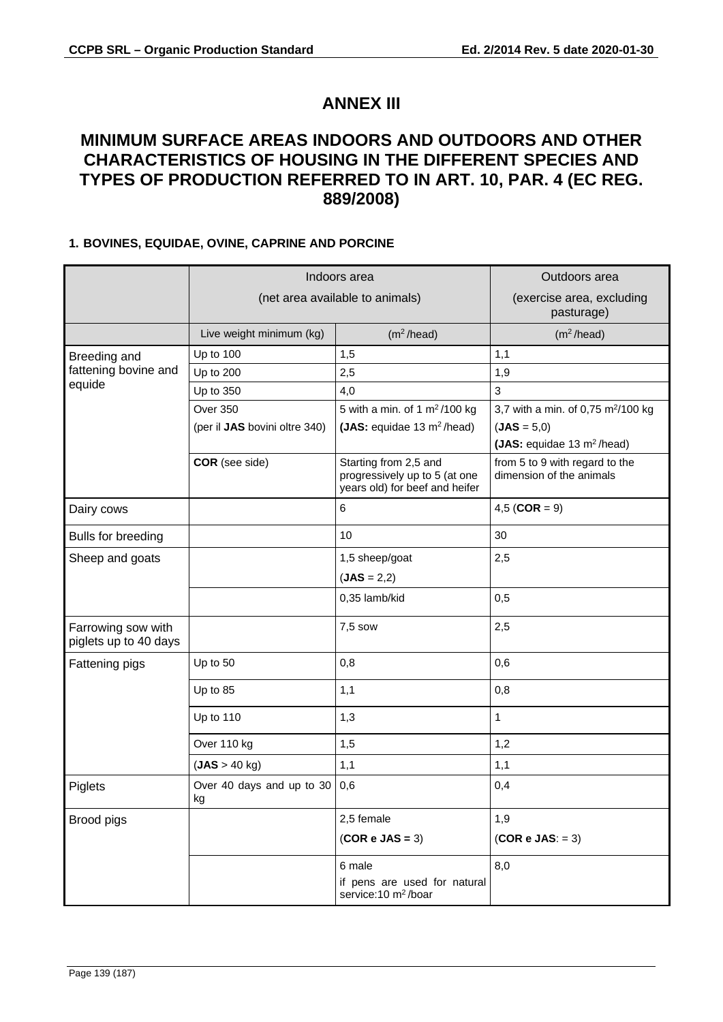# **ANNEX III**

# **MINIMUM SURFACE AREAS INDOORS AND OUTDOORS AND OTHER CHARACTERISTICS OF HOUSING IN THE DIFFERENT SPECIES AND TYPES OF PRODUCTION REFERRED TO IN ART. 10, PAR. 4 (EC REG. 889/2008)**

# **1. BOVINES, EQUIDAE, OVINE, CAPRINE AND PORCINE**

|                                             | Indoors area                    |                                                                                          | Outdoors area                                              |
|---------------------------------------------|---------------------------------|------------------------------------------------------------------------------------------|------------------------------------------------------------|
|                                             | (net area available to animals) |                                                                                          | (exercise area, excluding<br>pasturage)                    |
|                                             | Live weight minimum (kg)        | (m <sup>2</sup> /head)                                                                   | (m <sup>2</sup> /head)                                     |
| Breeding and                                | Up to 100                       | 1,5                                                                                      | 1,1                                                        |
| fattening bovine and                        | Up to 200                       | 2,5                                                                                      | 1,9                                                        |
| equide                                      | Up to 350                       | 4,0                                                                                      | 3                                                          |
|                                             | Over 350                        | 5 with a min. of 1 $m^2/100$ kg                                                          | 3,7 with a min. of 0,75 m <sup>2</sup> /100 kg             |
|                                             | (per il JAS bovini oltre 340)   | $(JAS:$ equidae 13 m <sup>2</sup> /head)                                                 | $(JAS = 5,0)$                                              |
|                                             |                                 |                                                                                          | $(JAS:$ equidae 13 m <sup>2</sup> /head)                   |
|                                             | COR (see side)                  | Starting from 2,5 and<br>progressively up to 5 (at one<br>years old) for beef and heifer | from 5 to 9 with regard to the<br>dimension of the animals |
| Dairy cows                                  |                                 | 6                                                                                        | 4,5 ( $COR = 9$ )                                          |
| Bulls for breeding                          |                                 | 10                                                                                       | 30                                                         |
| Sheep and goats                             |                                 | 1,5 sheep/goat                                                                           | 2,5                                                        |
|                                             |                                 | $(JAS = 2,2)$                                                                            |                                                            |
|                                             |                                 | 0,35 lamb/kid                                                                            | 0,5                                                        |
| Farrowing sow with<br>piglets up to 40 days |                                 | 7,5 sow                                                                                  | 2,5                                                        |
| Fattening pigs                              | Up to 50                        | 0,8                                                                                      | 0,6                                                        |
|                                             | Up to 85                        | 1,1                                                                                      | 0,8                                                        |
|                                             | Up to 110                       | 1,3                                                                                      | 1                                                          |
|                                             | Over 110 kg                     | 1,5                                                                                      | 1,2                                                        |
|                                             | $(JAS > 40$ kg)                 | 1,1                                                                                      | 1,1                                                        |
| Piglets                                     | Over 40 days and up to 30<br>kg | 0,6                                                                                      | 0,4                                                        |
| Brood pigs                                  |                                 | 2,5 female                                                                               | 1,9                                                        |
|                                             |                                 | $(COR e JAS = 3)$                                                                        | $(COR e JAS: = 3)$                                         |
|                                             |                                 | 6 male                                                                                   | 8,0                                                        |
|                                             |                                 | if pens are used for natural<br>service:10 m <sup>2</sup> /boar                          |                                                            |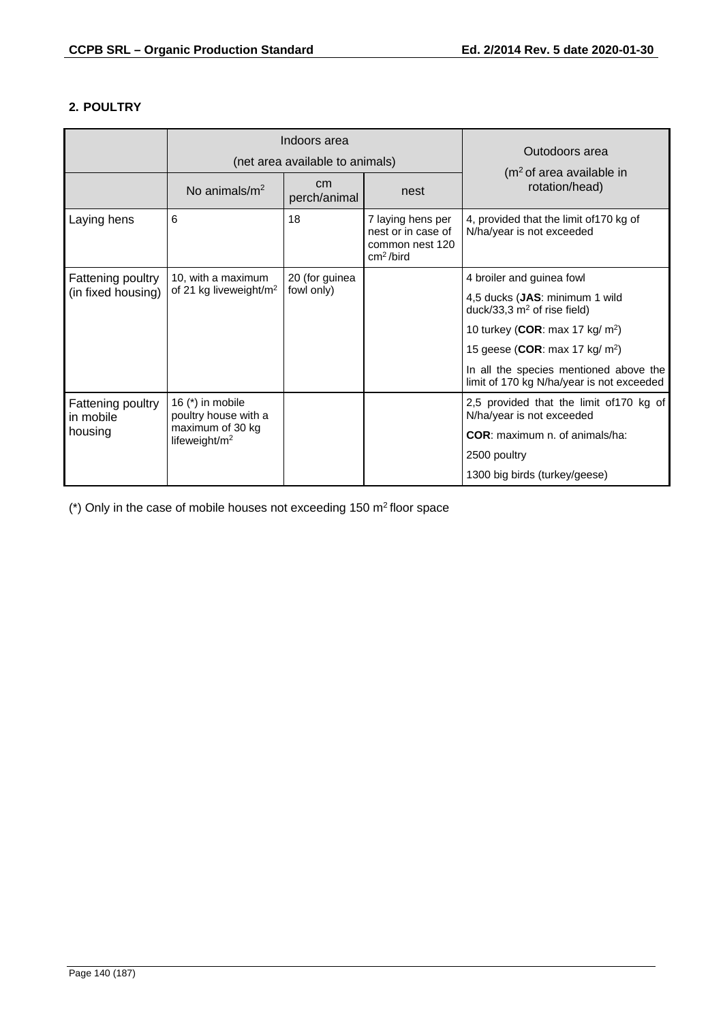## **2. POULTRY**

|                                       | Indoors area<br>(net area available to animals) |                    |                                                                                     | Outodoors area                                                                      |
|---------------------------------------|-------------------------------------------------|--------------------|-------------------------------------------------------------------------------------|-------------------------------------------------------------------------------------|
|                                       | No animals/ $m2$                                | cm<br>perch/animal | nest                                                                                | $(m2$ of area available in<br>rotation/head)                                        |
| Laying hens                           | 6                                               | 18                 | 7 laying hens per<br>nest or in case of<br>common nest 120<br>cm <sup>2</sup> /bird | 4, provided that the limit of 170 kg of<br>N/ha/year is not exceeded                |
| Fattening poultry                     | 10, with a maximum                              | 20 (for guinea     |                                                                                     | 4 broiler and guinea fowl                                                           |
| (in fixed housing)                    | of 21 kg liveweight/ $m2$                       | fowl only)         |                                                                                     | 4,5 ducks (JAS: minimum 1 wild<br>duck/33,3 $m2$ of rise field)                     |
|                                       |                                                 |                    |                                                                                     | 10 turkey (COR: max 17 kg/ m <sup>2</sup> )                                         |
|                                       |                                                 |                    |                                                                                     | 15 geese (COR: max 17 kg/ $m^2$ )                                                   |
|                                       |                                                 |                    |                                                                                     | In all the species mentioned above the<br>limit of 170 kg N/ha/year is not exceeded |
| <b>Fattening poultry</b><br>in mobile | 16 $(*)$ in mobile<br>poultry house with a      |                    |                                                                                     | 2,5 provided that the limit of 170 kg of<br>N/ha/year is not exceeded               |
| housing                               | maximum of 30 kg<br>lifeweight/ $m2$            |                    |                                                                                     | <b>COR:</b> maximum n. of animals/ha:                                               |
|                                       |                                                 |                    |                                                                                     | 2500 poultry                                                                        |
|                                       |                                                 |                    |                                                                                     | 1300 big birds (turkey/geese)                                                       |

( $*$ ) Only in the case of mobile houses not exceeding 150  $m<sup>2</sup>$  floor space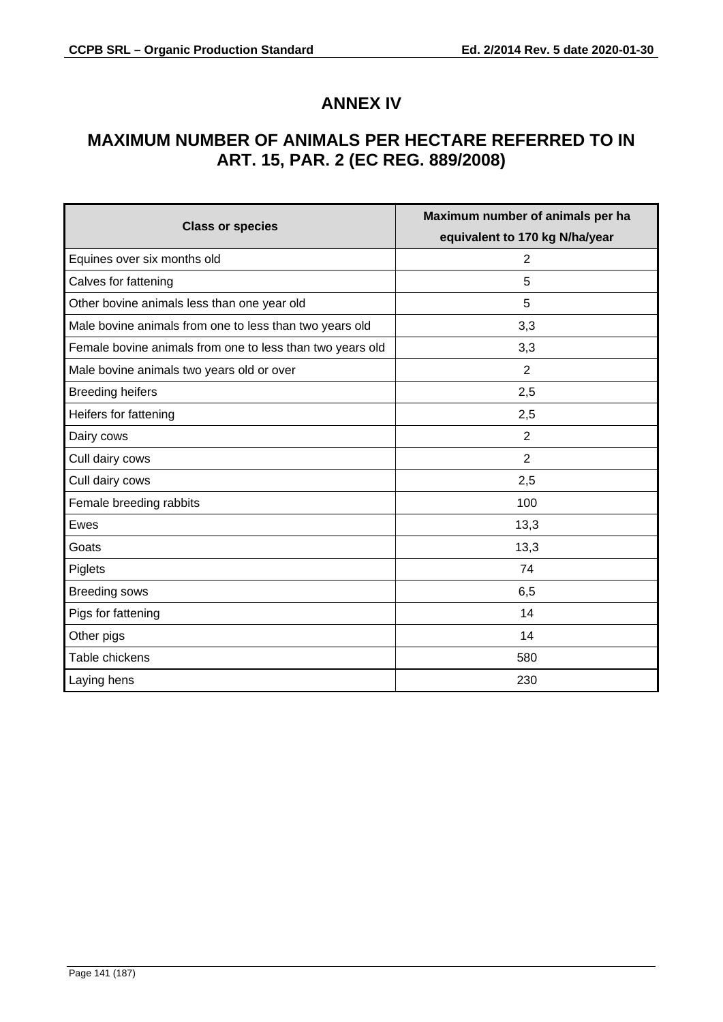# **ANNEX IV**

# **MAXIMUM NUMBER OF ANIMALS PER HECTARE REFERRED TO IN ART. 15, PAR. 2 (EC REG. 889/2008)**

|                                                           | Maximum number of animals per ha |  |
|-----------------------------------------------------------|----------------------------------|--|
| <b>Class or species</b>                                   | equivalent to 170 kg N/ha/year   |  |
| Equines over six months old                               | $\overline{2}$                   |  |
| Calves for fattening                                      | 5                                |  |
| Other bovine animals less than one year old               | 5                                |  |
| Male bovine animals from one to less than two years old   | 3,3                              |  |
| Female bovine animals from one to less than two years old | 3,3                              |  |
| Male bovine animals two years old or over                 | $\overline{2}$                   |  |
| <b>Breeding heifers</b>                                   | 2,5                              |  |
| Heifers for fattening                                     | 2,5                              |  |
| Dairy cows                                                | $\overline{2}$                   |  |
| Cull dairy cows                                           | $\overline{2}$                   |  |
| Cull dairy cows                                           | 2,5                              |  |
| Female breeding rabbits                                   | 100                              |  |
| Ewes                                                      | 13,3                             |  |
| Goats                                                     | 13,3                             |  |
| Piglets                                                   | 74                               |  |
| <b>Breeding sows</b>                                      | 6,5                              |  |
| Pigs for fattening                                        | 14                               |  |
| Other pigs                                                | 14                               |  |
| Table chickens                                            | 580                              |  |
| Laying hens                                               | 230                              |  |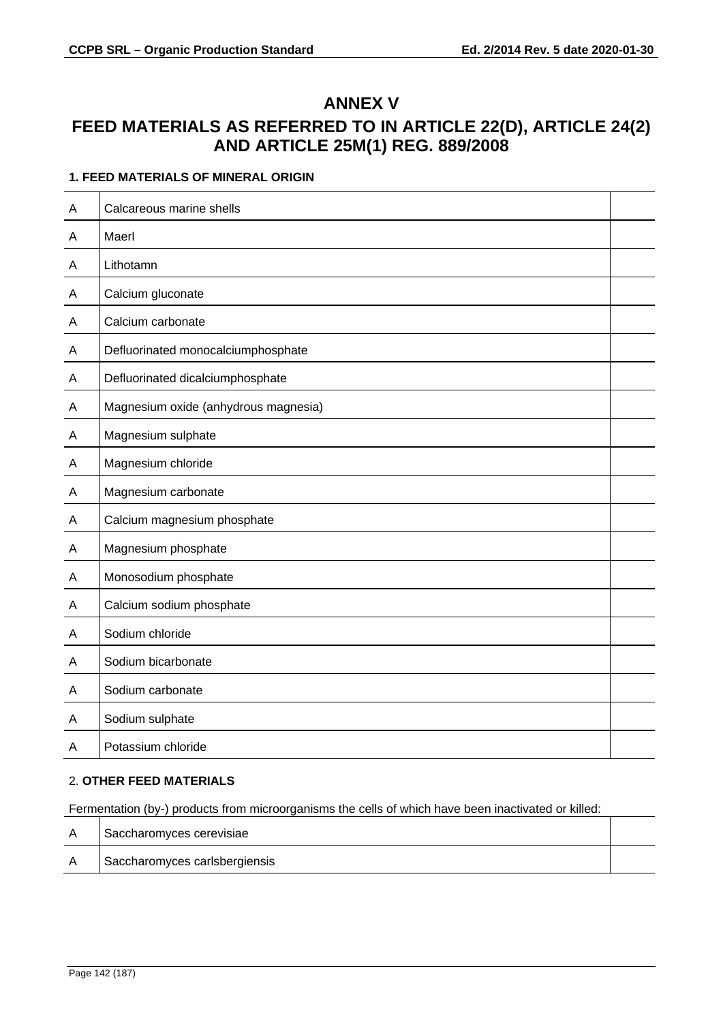# **ANNEX V**

# **FEED MATERIALS AS REFERRED TO IN ARTICLE 22(D), ARTICLE 24(2) AND ARTICLE 25M(1) REG. 889/2008**

## **1. FEED MATERIALS OF MINERAL ORIGIN**

| A | Calcareous marine shells             |  |  |
|---|--------------------------------------|--|--|
| A | Maerl                                |  |  |
| A | Lithotamn                            |  |  |
| A | Calcium gluconate                    |  |  |
| A | Calcium carbonate                    |  |  |
| A | Defluorinated monocalciumphosphate   |  |  |
| A | Defluorinated dicalciumphosphate     |  |  |
| A | Magnesium oxide (anhydrous magnesia) |  |  |
| A | Magnesium sulphate                   |  |  |
| A | Magnesium chloride                   |  |  |
| A | Magnesium carbonate                  |  |  |
| A | Calcium magnesium phosphate          |  |  |
| A | Magnesium phosphate                  |  |  |
| A | Monosodium phosphate                 |  |  |
| A | Calcium sodium phosphate             |  |  |
| A | Sodium chloride                      |  |  |
| A | Sodium bicarbonate                   |  |  |
| A | Sodium carbonate                     |  |  |
| Α | Sodium sulphate                      |  |  |
| A | Potassium chloride                   |  |  |

## 2. **OTHER FEED MATERIALS**

Fermentation (by-) products from microorganisms the cells of which have been inactivated or killed:

| Saccharomyces cerevisiae      |  |
|-------------------------------|--|
| Saccharomyces carlsbergiensis |  |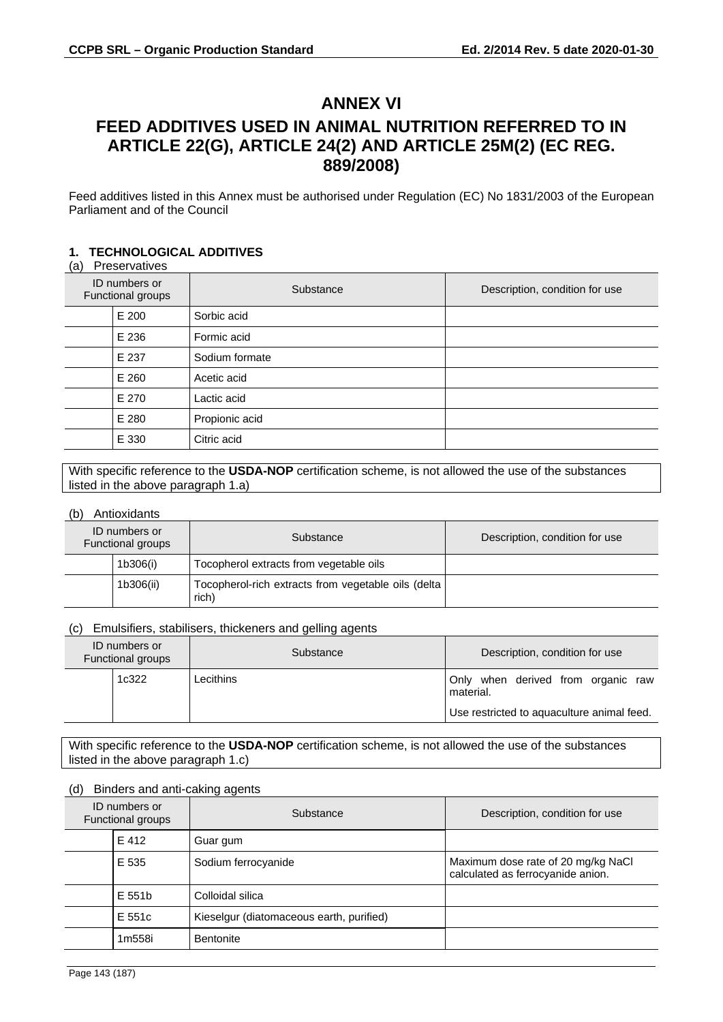# **ANNEX VI FEED ADDITIVES USED IN ANIMAL NUTRITION REFERRED TO IN ARTICLE 22(G), ARTICLE 24(2) AND ARTICLE 25M(2) (EC REG. 889/2008)**

Feed additives listed in this Annex must be authorised under Regulation (EC) No 1831/2003 of the European Parliament and of the Council

## **1. TECHNOLOGICAL ADDITIVES**

#### (a) Preservatives

| <b>ID</b> numbers or<br>Functional groups | Substance      | Description, condition for use |
|-------------------------------------------|----------------|--------------------------------|
| E 200                                     | Sorbic acid    |                                |
| E 236                                     | Formic acid    |                                |
| E 237                                     | Sodium formate |                                |
| E 260                                     | Acetic acid    |                                |
| E 270                                     | Lactic acid    |                                |
| E 280                                     | Propionic acid |                                |
| E 330                                     | Citric acid    |                                |

With specific reference to the **USDA-NOP** certification scheme, is not allowed the use of the substances listed in the above paragraph 1.a)

#### (b) Antioxidants

| ID numbers or<br>Functional groups | Substance                                                     | Description, condition for use |
|------------------------------------|---------------------------------------------------------------|--------------------------------|
| 1b306(i)                           | Tocopherol extracts from vegetable oils                       |                                |
| 1b306(ii)                          | Tocopherol-rich extracts from vegetable oils (delta)<br>rich) |                                |

#### (c) Emulsifiers, stabilisers, thickeners and gelling agents

| ID numbers or<br>Functional groups | Substance | Description, condition for use                  |
|------------------------------------|-----------|-------------------------------------------------|
| 1c322                              | Lecithins | Only when derived from organic raw<br>material. |
|                                    |           | Use restricted to aquaculture animal feed.      |

With specific reference to the **USDA-NOP** certification scheme, is not allowed the use of the substances listed in the above paragraph 1.c)

#### (d) Binders and anti-caking agents

| <b>ID</b> numbers or<br>Functional groups |                    | Substance                                | Description, condition for use                                          |
|-------------------------------------------|--------------------|------------------------------------------|-------------------------------------------------------------------------|
|                                           | E 412              | Guar gum                                 |                                                                         |
|                                           | E 535              | Sodium ferrocyanide                      | Maximum dose rate of 20 mg/kg NaCl<br>calculated as ferrocyanide anion. |
|                                           | E 551b             | Colloidal silica                         |                                                                         |
|                                           | E 551c             | Kieselgur (diatomaceous earth, purified) |                                                                         |
|                                           | 1m <sub>558i</sub> | Bentonite                                |                                                                         |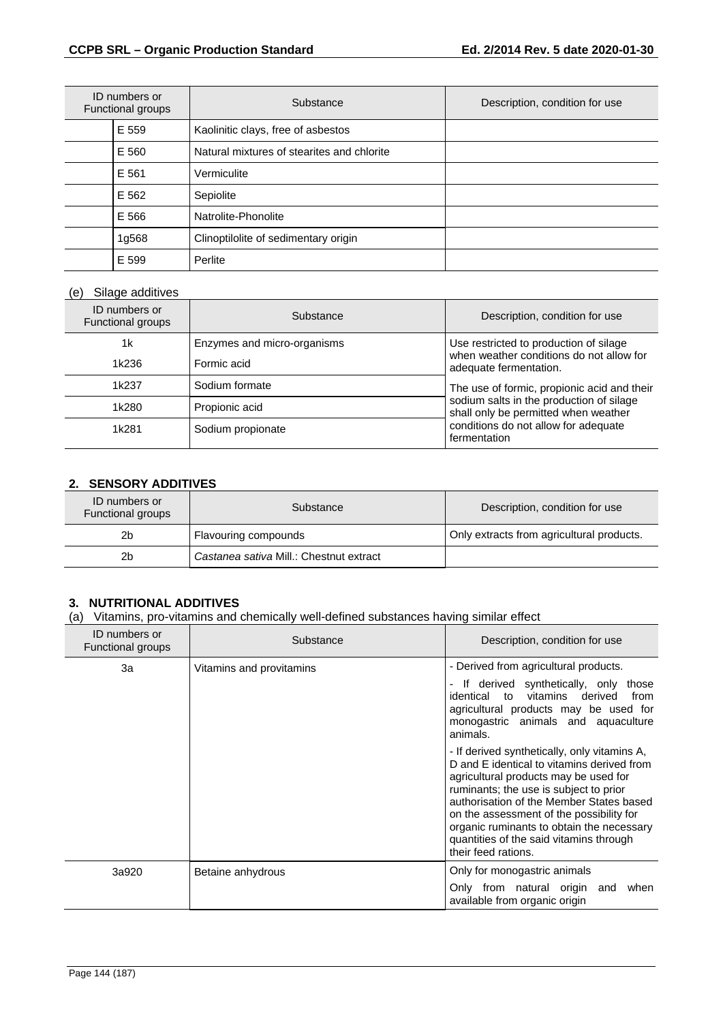| ID numbers or<br>Functional groups | Substance                                  | Description, condition for use |
|------------------------------------|--------------------------------------------|--------------------------------|
| E 559                              | Kaolinitic clays, free of asbestos         |                                |
| E 560                              | Natural mixtures of stearites and chlorite |                                |
| E 561                              | Vermiculite                                |                                |
| E 562                              | Sepiolite                                  |                                |
| E 566                              | Natrolite-Phonolite                        |                                |
| 1g568                              | Clinoptilolite of sedimentary origin       |                                |
| E 599                              | Perlite                                    |                                |

#### (e) Silage additives

| <b>ID</b> numbers or<br>Functional groups | Substance                                  | Description, condition for use                                                     |
|-------------------------------------------|--------------------------------------------|------------------------------------------------------------------------------------|
| 1k<br>1k236                               | Enzymes and micro-organisms<br>Formic acid | Use restricted to production of silage<br>when weather conditions do not allow for |
| 1k237                                     | Sodium formate                             | adequate fermentation.<br>The use of formic, propionic acid and their              |
| 1k280                                     | Propionic acid                             | sodium salts in the production of silage<br>shall only be permitted when weather   |
| 1k281                                     | Sodium propionate                          | conditions do not allow for adequate<br>fermentation                               |

#### **2. SENSORY ADDITIVES**

| ID numbers or<br>Functional groups | Substance                               | Description, condition for use            |
|------------------------------------|-----------------------------------------|-------------------------------------------|
| 2b                                 | Flavouring compounds                    | Only extracts from agricultural products. |
| 2b                                 | Castanea sativa Mill.: Chestnut extract |                                           |

## **3. NUTRITIONAL ADDITIVES**

(a) Vitamins, pro-vitamins and chemically well-defined substances having similar effect

| ID numbers or<br><b>Functional groups</b> | Substance                | Description, condition for use                                                                                                                                                                                                                                                                                                                                                       |
|-------------------------------------------|--------------------------|--------------------------------------------------------------------------------------------------------------------------------------------------------------------------------------------------------------------------------------------------------------------------------------------------------------------------------------------------------------------------------------|
| 3a                                        | Vitamins and provitamins | - Derived from agricultural products.                                                                                                                                                                                                                                                                                                                                                |
|                                           |                          | If derived synthetically, only those<br>identical to vitamins derived<br>from<br>agricultural products may be used for<br>monogastric animals and aquaculture<br>animals.                                                                                                                                                                                                            |
|                                           |                          | - If derived synthetically, only vitamins A,<br>D and E identical to vitamins derived from<br>agricultural products may be used for<br>ruminants; the use is subject to prior<br>authorisation of the Member States based<br>on the assessment of the possibility for<br>organic ruminants to obtain the necessary<br>quantities of the said vitamins through<br>their feed rations. |
| 3a920                                     | Betaine anhydrous        | Only for monogastric animals                                                                                                                                                                                                                                                                                                                                                         |
|                                           |                          | Only from natural origin and<br>when<br>available from organic origin                                                                                                                                                                                                                                                                                                                |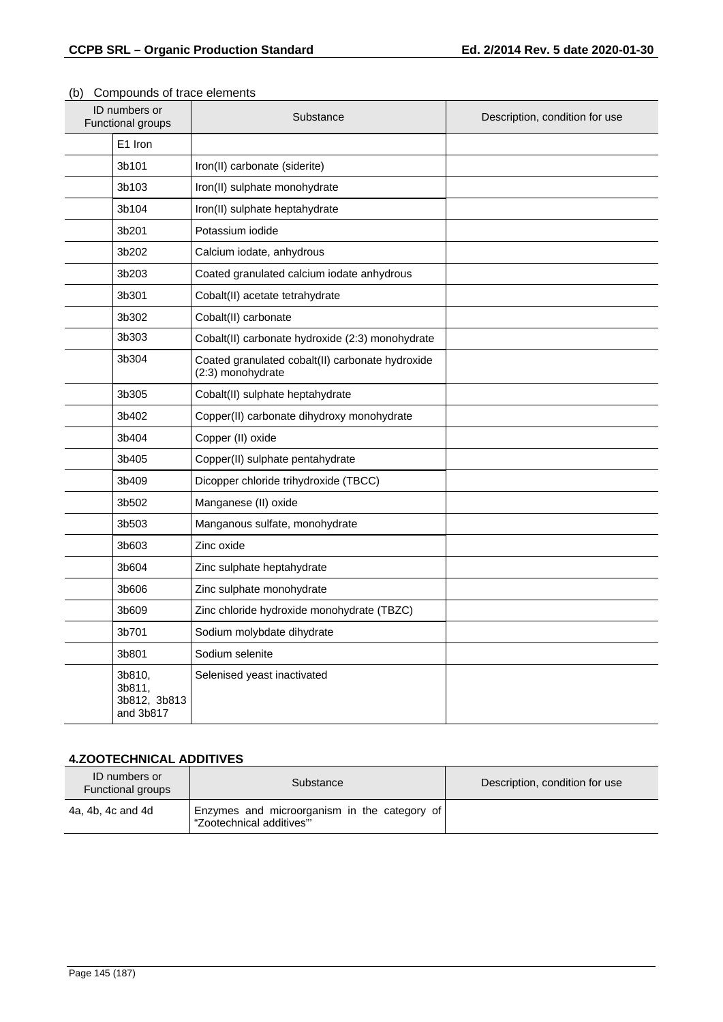| . <b>.</b><br>ID numbers or<br><b>Functional groups</b> | Substance                                                             | Description, condition for use |
|---------------------------------------------------------|-----------------------------------------------------------------------|--------------------------------|
| E1 Iron                                                 |                                                                       |                                |
| 3b101                                                   | Iron(II) carbonate (siderite)                                         |                                |
| 3b103                                                   | Iron(II) sulphate monohydrate                                         |                                |
| 3b104                                                   | Iron(II) sulphate heptahydrate                                        |                                |
| 3b201                                                   | Potassium iodide                                                      |                                |
| 3b202                                                   | Calcium iodate, anhydrous                                             |                                |
| 3b203                                                   | Coated granulated calcium iodate anhydrous                            |                                |
| 3b301                                                   | Cobalt(II) acetate tetrahydrate                                       |                                |
| 3b302                                                   | Cobalt(II) carbonate                                                  |                                |
| 3b303                                                   | Cobalt(II) carbonate hydroxide (2:3) monohydrate                      |                                |
| 3b304                                                   | Coated granulated cobalt(II) carbonate hydroxide<br>(2:3) monohydrate |                                |
| 3b305                                                   | Cobalt(II) sulphate heptahydrate                                      |                                |
| 3b402                                                   | Copper(II) carbonate dihydroxy monohydrate                            |                                |
| 3b404                                                   | Copper (II) oxide                                                     |                                |
| 3b405                                                   | Copper(II) sulphate pentahydrate                                      |                                |
| 3b409                                                   | Dicopper chloride trihydroxide (TBCC)                                 |                                |
| 3b502                                                   | Manganese (II) oxide                                                  |                                |
| 3b503                                                   | Manganous sulfate, monohydrate                                        |                                |
| 3b603                                                   | Zinc oxide                                                            |                                |
| 3b604                                                   | Zinc sulphate heptahydrate                                            |                                |
| 3b606                                                   | Zinc sulphate monohydrate                                             |                                |
| 3b609                                                   | Zinc chloride hydroxide monohydrate (TBZC)                            |                                |
| 3b701                                                   | Sodium molybdate dihydrate                                            |                                |
| 3b801                                                   | Sodium selenite                                                       |                                |
| 3b810,<br>3b811,<br>3b812, 3b813<br>and 3b817           | Selenised yeast inactivated                                           |                                |

#### (b) Compounds of trace elements

## **4.ZOOTECHNICAL ADDITIVES**

| ID numbers or<br>Functional groups | Substance                                                                | Description, condition for use |
|------------------------------------|--------------------------------------------------------------------------|--------------------------------|
| 4a, 4b, 4c and 4d                  | Enzymes and microorganism in the category of<br>"Zootechnical additives" |                                |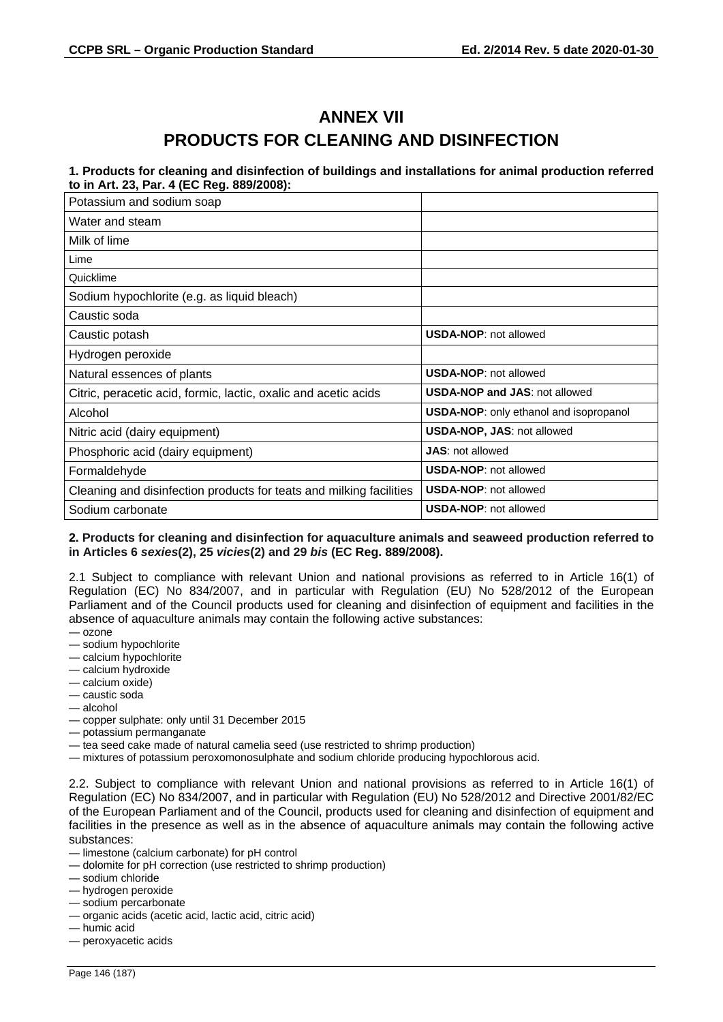# **ANNEX VII PRODUCTS FOR CLEANING AND DISINFECTION**

#### **1. Products for cleaning and disinfection of buildings and installations for animal production referred to in Art. 23, Par. 4 (EC Reg. 889/2008):**

| Potassium and sodium soap                                           |                                               |
|---------------------------------------------------------------------|-----------------------------------------------|
| Water and steam                                                     |                                               |
| Milk of lime                                                        |                                               |
| Lime                                                                |                                               |
| Quicklime                                                           |                                               |
| Sodium hypochlorite (e.g. as liquid bleach)                         |                                               |
| Caustic soda                                                        |                                               |
| Caustic potash                                                      | <b>USDA-NOP: not allowed</b>                  |
| Hydrogen peroxide                                                   |                                               |
| Natural essences of plants                                          | <b>USDA-NOP: not allowed</b>                  |
| Citric, peracetic acid, formic, lactic, oxalic and acetic acids     | <b>USDA-NOP and JAS: not allowed</b>          |
| Alcohol                                                             | <b>USDA-NOP:</b> only ethanol and isopropanol |
| Nitric acid (dairy equipment)                                       | <b>USDA-NOP, JAS: not allowed</b>             |
| Phosphoric acid (dairy equipment)                                   | <b>JAS: not allowed</b>                       |
| Formaldehyde                                                        | <b>USDA-NOP: not allowed</b>                  |
| Cleaning and disinfection products for teats and milking facilities | <b>USDA-NOP: not allowed</b>                  |
| Sodium carbonate                                                    | <b>USDA-NOP: not allowed</b>                  |

#### **2. Products for cleaning and disinfection for aquaculture animals and seaweed production referred to in Articles 6** *sexies***(2), 25** *vicies***(2) and 29** *bis* **(EC Reg. 889/2008).**

2.1 Subject to compliance with relevant Union and national provisions as referred to in Article 16(1) of Regulation (EC) No 834/2007, and in particular with Regulation (EU) No 528/2012 of the European Parliament and of the Council products used for cleaning and disinfection of equipment and facilities in the absence of aquaculture animals may contain the following active substances:

- ozone
- sodium hypochlorite
- calcium hypochlorite
- calcium hydroxide
- calcium oxide)
- caustic soda
- alcohol
- copper sulphate: only until 31 December 2015
- potassium permanganate
- tea seed cake made of natural camelia seed (use restricted to shrimp production)
- mixtures of potassium peroxomonosulphate and sodium chloride producing hypochlorous acid.

2.2. Subject to compliance with relevant Union and national provisions as referred to in Article 16(1) of Regulation (EC) No 834/2007, and in particular with Regulation (EU) No 528/2012 and Directive 2001/82/EC of the European Parliament and of the Council, products used for cleaning and disinfection of equipment and facilities in the presence as well as in the absence of aquaculture animals may contain the following active substances:

- limestone (calcium carbonate) for pH control
- dolomite for pH correction (use restricted to shrimp production)
- sodium chloride
- hydrogen peroxide
- sodium percarbonate
- organic acids (acetic acid, lactic acid, citric acid)
- humic acid
- peroxyacetic acids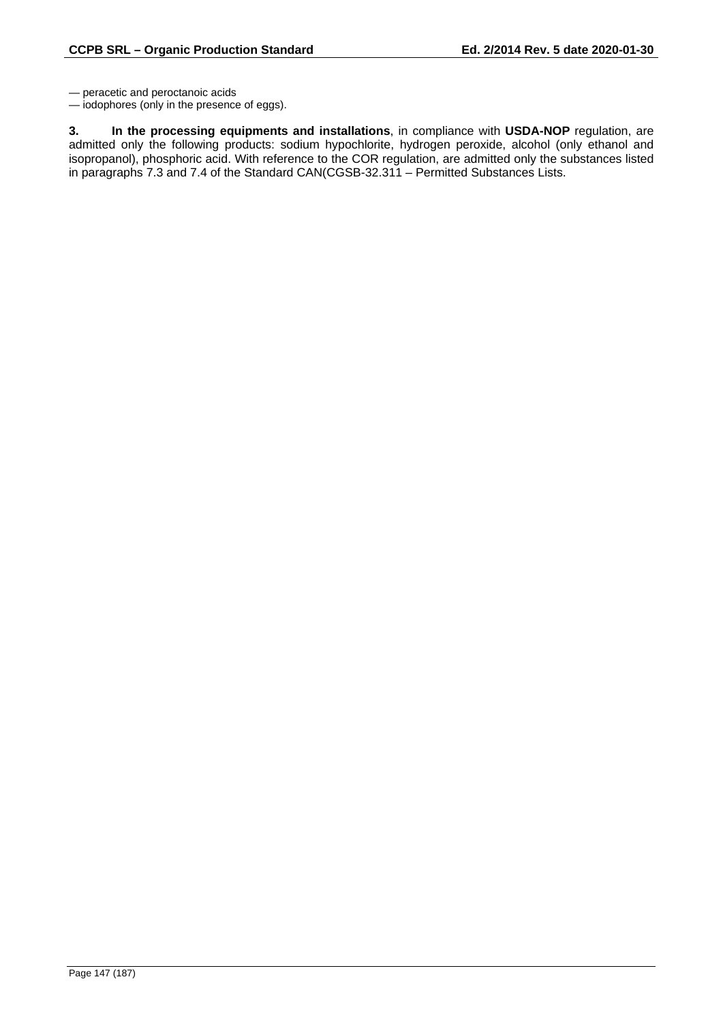— peracetic and peroctanoic acids

— iodophores (only in the presence of eggs).

**3. In the processing equipments and installations**, in compliance with **USDA-NOP** regulation, are admitted only the following products: sodium hypochlorite, hydrogen peroxide, alcohol (only ethanol and isopropanol), phosphoric acid. With reference to the COR regulation, are admitted only the substances listed in paragraphs 7.3 and 7.4 of the Standard CAN(CGSB-32.311 – Permitted Substances Lists.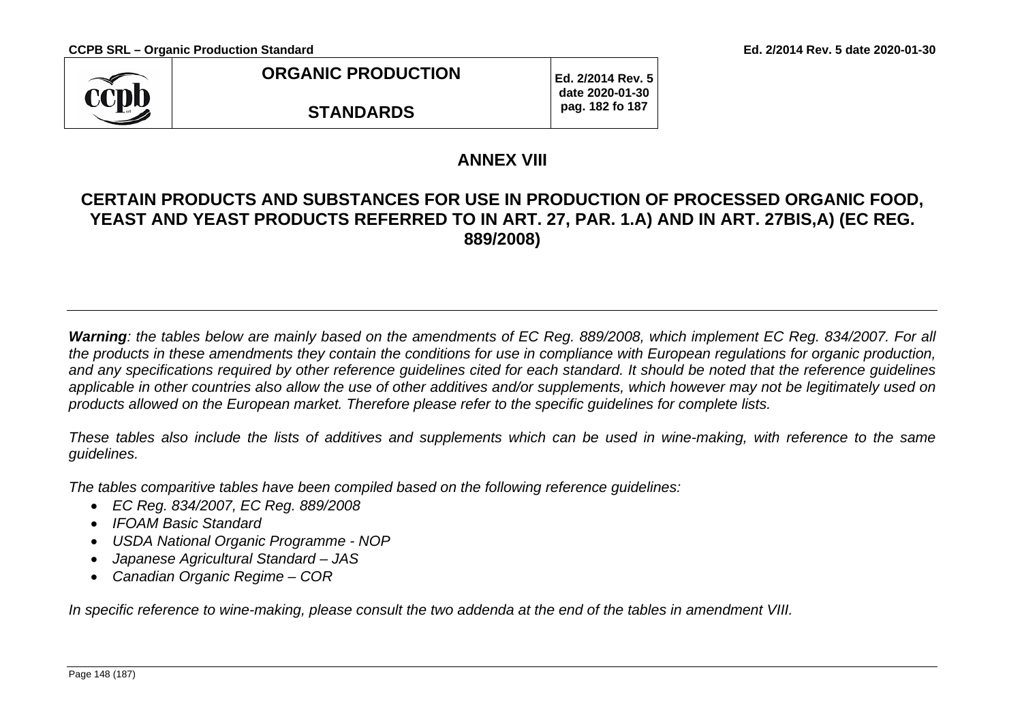

## **ANNEX VIII**

# **CERTAIN PRODUCTS AND SUBSTANCES FOR USE IN PRODUCTION OF PROCESSED ORGANIC FOOD, YEAST AND YEAST PRODUCTS REFERRED TO IN ART. 27, PAR. 1.A) AND IN ART. 27BIS,A) (EC REG. 889/2008)**

*Warning: the tables below are mainly based on the amendments of EC Reg. 889/2008, which implement EC Reg. 834/2007. For all the products in these amendments they contain the conditions for use in compliance with European regulations for organic production, and any specifications required by other reference guidelines cited for each standard. It should be noted that the reference guidelines applicable in other countries also allow the use of other additives and/or supplements, which however may not be legitimately used on products allowed on the European market. Therefore please refer to the specific guidelines for complete lists.* 

*These tables also include the lists of additives and supplements which can be used in wine-making, with reference to the same guidelines.* 

*The tables comparitive tables have been compiled based on the following reference guidelines:* 

- *EC Reg. 834/2007, EC Reg. 889/2008*
- *IFOAM Basic Standard*
- 8 *USDA National Organic Programme - NOP*
- 8 *Japanese Agricultural Standard – JAS*
- 8 *Canadian Organic Regime – COR*

*In specific reference to wine-making, please consult the two addenda at the end of the tables in amendment VIII.*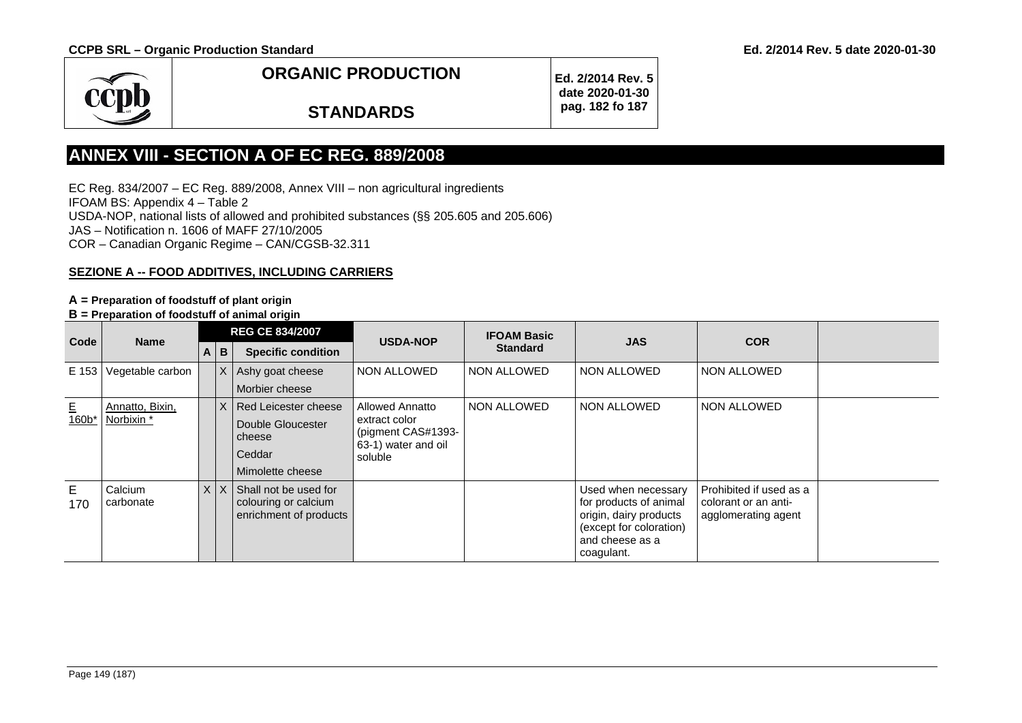

## **ORGANIC PRODUCTION**

**STANDARDS**

**Ed. 2/2014 Rev. 5 date 2020-01-30 pag. 182 fo 187** 

# **ANNEX VIII - SECTION A OF EC REG. 889/2008**

EC Reg. 834/2007 – EC Reg. 889/2008, Annex VIII – non agricultural ingredients IFOAM BS: Appendix 4 – Table 2 USDA-NOP, national lists of allowed and prohibited substances (§§ 205.605 and 205.606) JAS – Notification n. 1606 of MAFF 27/10/2005 COR – Canadian Organic Regime – CAN/CGSB-32.311

#### **SEZIONE A -- FOOD ADDITIVES, INCLUDING CARRIERS**

#### **A = Preparation of foodstuff of plant origin**

#### **B = Preparation of foodstuff of animal origin**

| Code       |                               |         | <b>REG CE 834/2007</b> |                                                                                   | <b>USDA-NOP</b>                                                                                 | <b>IFOAM Basic</b> | <b>JAS</b>                                                                                                                          | <b>COR</b>                                                             |  |
|------------|-------------------------------|---------|------------------------|-----------------------------------------------------------------------------------|-------------------------------------------------------------------------------------------------|--------------------|-------------------------------------------------------------------------------------------------------------------------------------|------------------------------------------------------------------------|--|
|            | <b>Name</b>                   |         | $A$ $B$                | <b>Specific condition</b>                                                         |                                                                                                 | <b>Standard</b>    |                                                                                                                                     |                                                                        |  |
| E 153      | Vegetable carbon              |         | $\times$               | Ashy goat cheese                                                                  | NON ALLOWED                                                                                     | NON ALLOWED        | NON ALLOWED                                                                                                                         | NON ALLOWED                                                            |  |
|            |                               |         |                        | Morbier cheese                                                                    |                                                                                                 |                    |                                                                                                                                     |                                                                        |  |
| E<br>160b* | Annatto, Bixin,<br>Norbixin * |         | X                      | Red Leicester cheese<br>Double Gloucester<br>cheese<br>Ceddar<br>Mimolette cheese | <b>Allowed Annatto</b><br>extract color<br>(pigment CAS#1393-<br>63-1) water and oil<br>soluble | NON ALLOWED        | NON ALLOWED                                                                                                                         | NON ALLOWED                                                            |  |
| E.<br>170  | Calcium<br>carbonate          | $X$ $X$ |                        | Shall not be used for<br>colouring or calcium<br>enrichment of products           |                                                                                                 |                    | Used when necessary<br>for products of animal<br>origin, dairy products<br>(except for coloration)<br>and cheese as a<br>coagulant. | Prohibited if used as a<br>colorant or an anti-<br>agglomerating agent |  |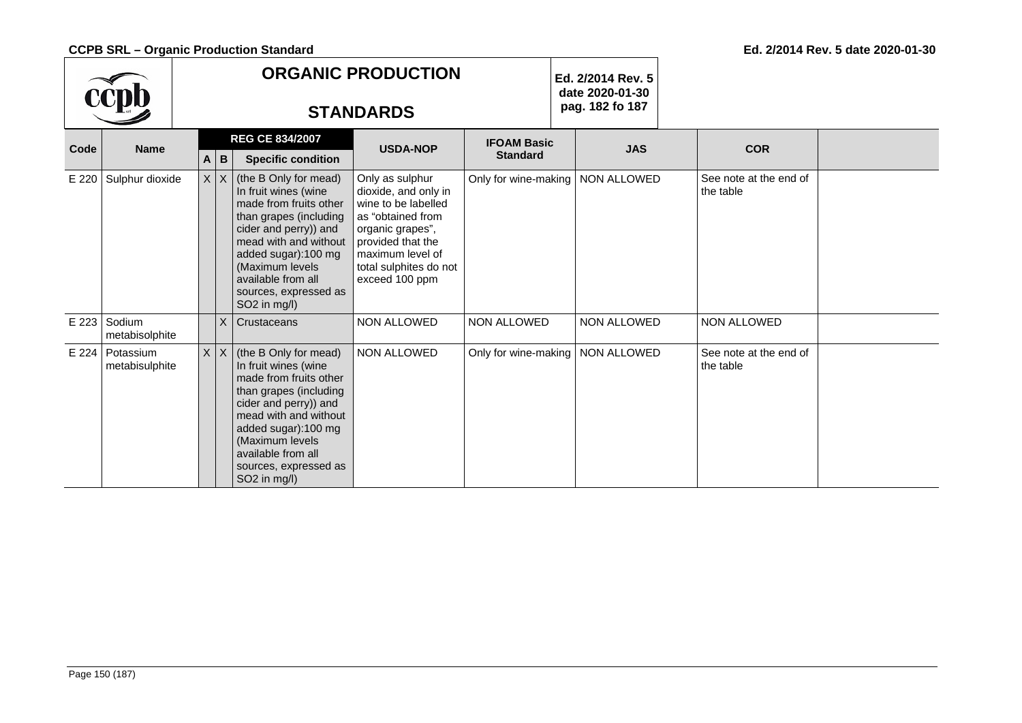|       |                             |                              |                                                                                                                                                                                                                                                                                                       | <b>ORGANIC PRODUCTION</b>                                                                                                                                                                    |                                       |  | Ed. 2/2014 Rev. 5<br>date 2020-01-30 |                                     |  |
|-------|-----------------------------|------------------------------|-------------------------------------------------------------------------------------------------------------------------------------------------------------------------------------------------------------------------------------------------------------------------------------------------------|----------------------------------------------------------------------------------------------------------------------------------------------------------------------------------------------|---------------------------------------|--|--------------------------------------|-------------------------------------|--|
|       |                             |                              |                                                                                                                                                                                                                                                                                                       | <b>STANDARDS</b>                                                                                                                                                                             |                                       |  | pag. 182 fo 187                      |                                     |  |
| Code  | <b>Name</b>                 |                              | REG CE 834/2007                                                                                                                                                                                                                                                                                       | <b>USDA-NOP</b>                                                                                                                                                                              | <b>IFOAM Basic</b><br><b>Standard</b> |  | <b>JAS</b>                           | <b>COR</b>                          |  |
| E 220 | Sulphur dioxide             | $A \mid B$<br>$X$ $\mid$ $X$ | <b>Specific condition</b><br>(the B Only for mead)<br>In fruit wines (wine<br>made from fruits other<br>than grapes (including<br>cider and perry)) and<br>mead with and without<br>added sugar):100 mg<br>(Maximum levels<br>available from all<br>sources, expressed as<br>SO <sub>2</sub> in mg/l) | Only as sulphur<br>dioxide, and only in<br>wine to be labelled<br>as "obtained from<br>organic grapes",<br>provided that the<br>maximum level of<br>total sulphites do not<br>exceed 100 ppm | Only for wine-making                  |  | <b>NON ALLOWED</b>                   | See note at the end of<br>the table |  |
| E 223 | Sodium<br>metabisolphite    | $\times$                     | Crustaceans                                                                                                                                                                                                                                                                                           | NON ALLOWED                                                                                                                                                                                  | NON ALLOWED                           |  | NON ALLOWED                          | NON ALLOWED                         |  |
| E 224 | Potassium<br>metabisulphite | $X$ $X$                      | (the B Only for mead)<br>In fruit wines (wine<br>made from fruits other<br>than grapes (including<br>cider and perry)) and<br>mead with and without<br>added sugar):100 mg<br>(Maximum levels<br>available from all<br>sources, expressed as<br>SO <sub>2</sub> in mg/l)                              | NON ALLOWED                                                                                                                                                                                  |                                       |  | Only for wine-making   NON ALLOWED   | See note at the end of<br>the table |  |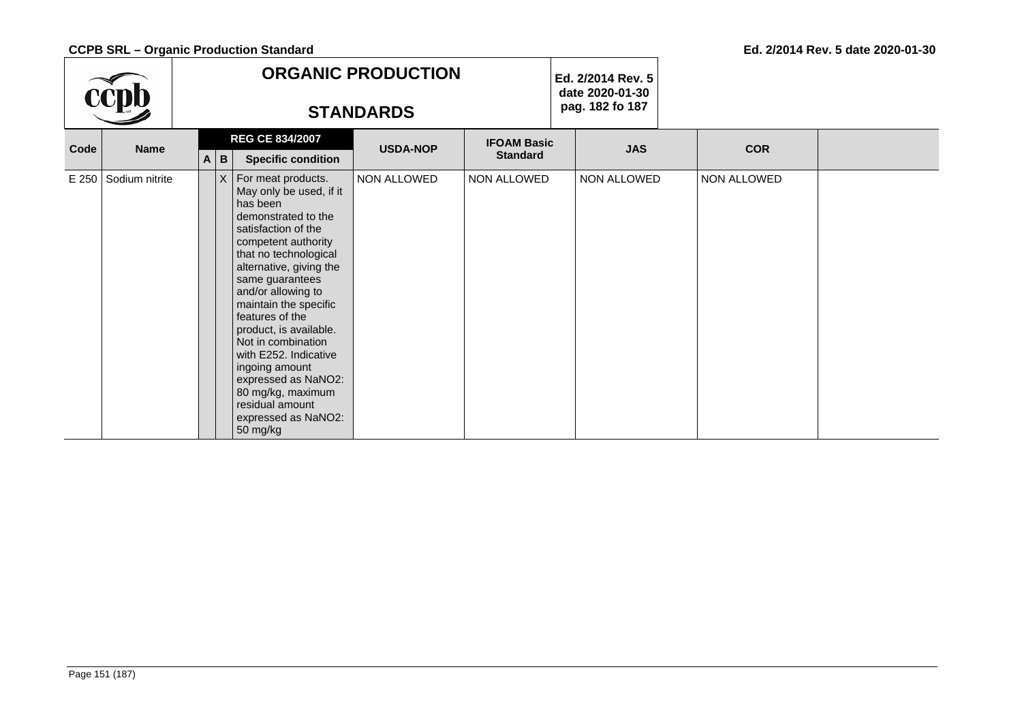|      |                        |  |            |                                                                                                                                                                                                                                                                                                                                                                                                                                                                      | <b>ORGANIC PRODUCTION</b> |                    |            | Ed. 2/2014 Rev. 5<br>date 2020-01-30 |             |  |
|------|------------------------|--|------------|----------------------------------------------------------------------------------------------------------------------------------------------------------------------------------------------------------------------------------------------------------------------------------------------------------------------------------------------------------------------------------------------------------------------------------------------------------------------|---------------------------|--------------------|------------|--------------------------------------|-------------|--|
|      |                        |  |            |                                                                                                                                                                                                                                                                                                                                                                                                                                                                      | <b>STANDARDS</b>          |                    |            | pag. 182 fo 187                      |             |  |
| Code | <b>Name</b>            |  |            | <b>REG CE 834/2007</b>                                                                                                                                                                                                                                                                                                                                                                                                                                               | <b>USDA-NOP</b>           | <b>IFOAM Basic</b> | <b>JAS</b> |                                      | <b>COR</b>  |  |
|      |                        |  | $A \mid B$ | <b>Specific condition</b>                                                                                                                                                                                                                                                                                                                                                                                                                                            |                           | <b>Standard</b>    |            |                                      |             |  |
|      | $E$ 250 Sodium nitrite |  | $\times$   | For meat products.<br>May only be used, if it<br>has been<br>demonstrated to the<br>satisfaction of the<br>competent authority<br>that no technological<br>alternative, giving the<br>same guarantees<br>and/or allowing to<br>maintain the specific<br>features of the<br>product, is available.<br>Not in combination<br>with E252. Indicative<br>ingoing amount<br>expressed as NaNO2:<br>80 mg/kg, maximum<br>residual amount<br>expressed as NaNO2:<br>50 mg/kg | NON ALLOWED               | NON ALLOWED        |            | NON ALLOWED                          | NON ALLOWED |  |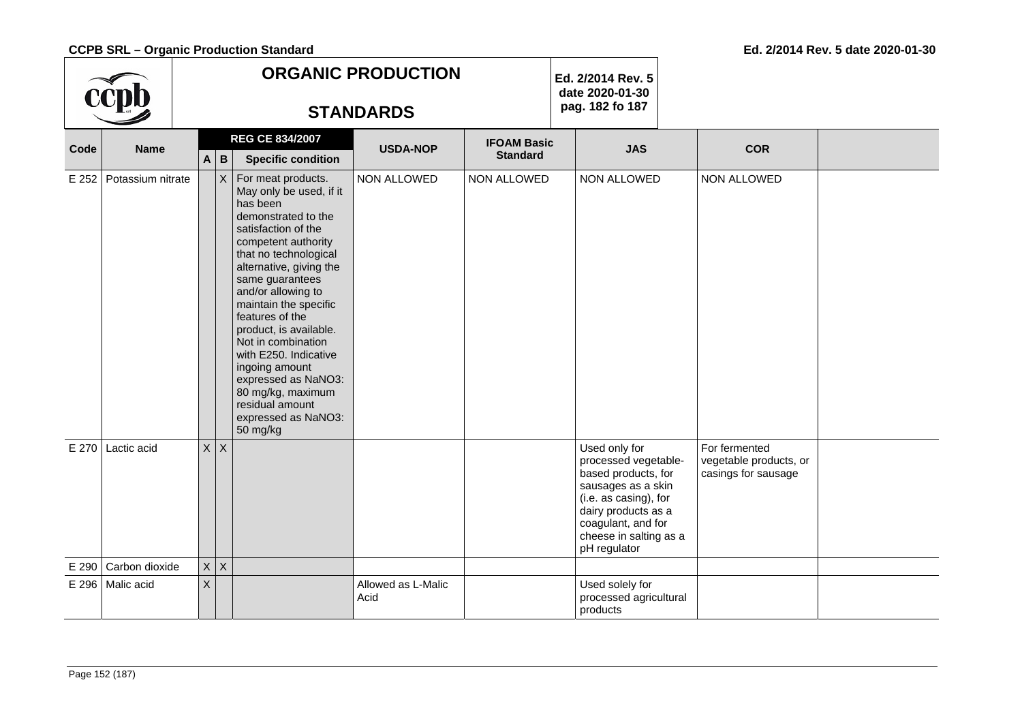|       |                     |             |              |                                                                                                                                                                                                                                                                                                                                                                                                                                                                      | <b>ORGANIC PRODUCTION</b><br><b>STANDARDS</b> |                                       | Ed. 2/2014 Rev. 5<br>date 2020-01-30<br>pag. 182 fo 187                                                                                                                                            |                                                                |  |
|-------|---------------------|-------------|--------------|----------------------------------------------------------------------------------------------------------------------------------------------------------------------------------------------------------------------------------------------------------------------------------------------------------------------------------------------------------------------------------------------------------------------------------------------------------------------|-----------------------------------------------|---------------------------------------|----------------------------------------------------------------------------------------------------------------------------------------------------------------------------------------------------|----------------------------------------------------------------|--|
| Code  | <b>Name</b>         | A           | $\, {\bf B}$ | REG CE 834/2007<br><b>Specific condition</b>                                                                                                                                                                                                                                                                                                                                                                                                                         | <b>USDA-NOP</b>                               | <b>IFOAM Basic</b><br><b>Standard</b> | <b>JAS</b>                                                                                                                                                                                         | <b>COR</b>                                                     |  |
| E 252 | Potassium nitrate   |             | $\mathsf{X}$ | For meat products.<br>May only be used, if it<br>has been<br>demonstrated to the<br>satisfaction of the<br>competent authority<br>that no technological<br>alternative, giving the<br>same guarantees<br>and/or allowing to<br>maintain the specific<br>features of the<br>product, is available.<br>Not in combination<br>with E250. Indicative<br>ingoing amount<br>expressed as NaNO3:<br>80 mg/kg, maximum<br>residual amount<br>expressed as NaNO3:<br>50 mg/kg | NON ALLOWED                                   | NON ALLOWED                           | NON ALLOWED                                                                                                                                                                                        | NON ALLOWED                                                    |  |
|       | $E$ 270 Lactic acid | X           | $\mathsf{X}$ |                                                                                                                                                                                                                                                                                                                                                                                                                                                                      |                                               |                                       | Used only for<br>processed vegetable-<br>based products, for<br>sausages as a skin<br>(i.e. as casing), for<br>dairy products as a<br>coagulant, and for<br>cheese in salting as a<br>pH regulator | For fermented<br>vegetable products, or<br>casings for sausage |  |
| E 290 | Carbon dioxide      | $\mathsf X$ | $\mathsf X$  |                                                                                                                                                                                                                                                                                                                                                                                                                                                                      |                                               |                                       |                                                                                                                                                                                                    |                                                                |  |
|       | E 296   Malic acid  | X           |              |                                                                                                                                                                                                                                                                                                                                                                                                                                                                      | Allowed as L-Malic<br>Acid                    |                                       | Used solely for<br>processed agricultural<br>products                                                                                                                                              |                                                                |  |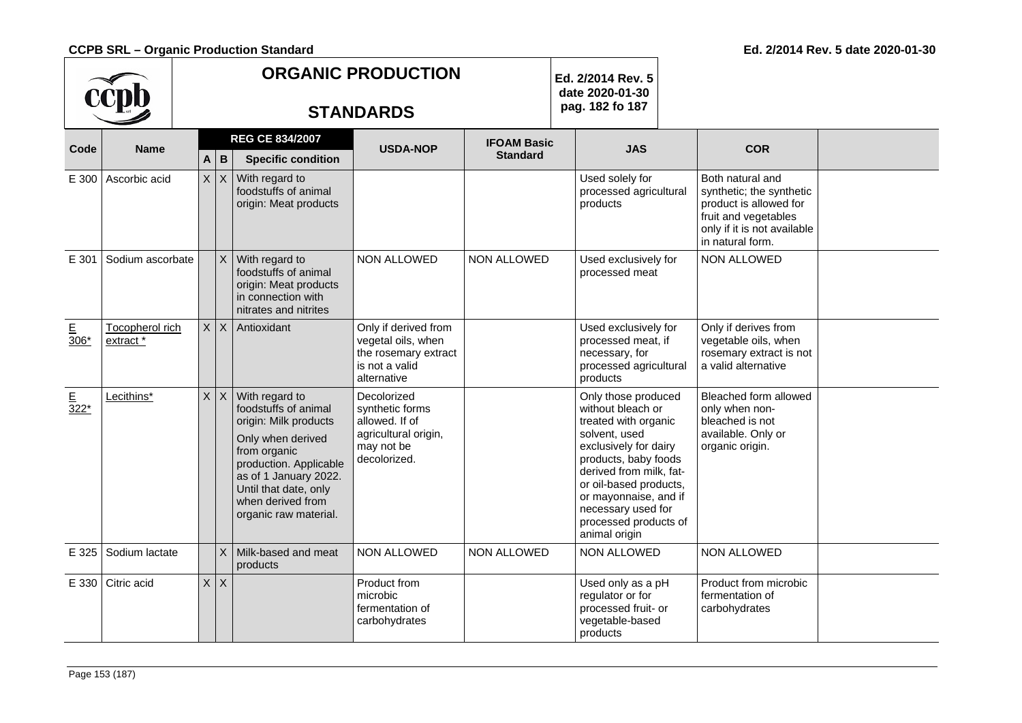|                |                              |                  |                           |                                                                                                                                                                                                                                | <b>ORGANIC PRODUCTION</b>                                                                              |                                       |  | Ed. 2/2014 Rev. 5<br>date 2020-01-30                                                                                                                                                                                                                                             |                                                                                                                                                   |  |
|----------------|------------------------------|------------------|---------------------------|--------------------------------------------------------------------------------------------------------------------------------------------------------------------------------------------------------------------------------|--------------------------------------------------------------------------------------------------------|---------------------------------------|--|----------------------------------------------------------------------------------------------------------------------------------------------------------------------------------------------------------------------------------------------------------------------------------|---------------------------------------------------------------------------------------------------------------------------------------------------|--|
|                |                              | <b>STANDARDS</b> |                           |                                                                                                                                                                                                                                |                                                                                                        |                                       |  | pag. 182 fo 187                                                                                                                                                                                                                                                                  |                                                                                                                                                   |  |
| Code           | <b>Name</b>                  | A                | $\mathbf B$               | REG CE 834/2007<br><b>Specific condition</b>                                                                                                                                                                                   | <b>USDA-NOP</b>                                                                                        | <b>IFOAM Basic</b><br><b>Standard</b> |  | <b>JAS</b>                                                                                                                                                                                                                                                                       | <b>COR</b>                                                                                                                                        |  |
|                | $E$ 300 Ascorbic acid        | X.               | $\boldsymbol{\mathsf{X}}$ | With regard to<br>foodstuffs of animal<br>origin: Meat products                                                                                                                                                                |                                                                                                        |                                       |  | Used solely for<br>processed agricultural<br>products                                                                                                                                                                                                                            | Both natural and<br>synthetic; the synthetic<br>product is allowed for<br>fruit and vegetables<br>only if it is not available<br>in natural form. |  |
| E 301          | Sodium ascorbate             |                  | $\times$                  | With regard to<br>foodstuffs of animal<br>origin: Meat products<br>in connection with<br>nitrates and nitrites                                                                                                                 | NON ALLOWED                                                                                            | NON ALLOWED                           |  | Used exclusively for<br>processed meat                                                                                                                                                                                                                                           | NON ALLOWED                                                                                                                                       |  |
| E<br>$306*$    | Tocopherol rich<br>extract * |                  | $X$ $X$                   | Antioxidant                                                                                                                                                                                                                    | Only if derived from<br>vegetal oils, when<br>the rosemary extract<br>is not a valid<br>alternative    |                                       |  | Used exclusively for<br>processed meat, if<br>necessary, for<br>processed agricultural<br>products                                                                                                                                                                               | Only if derives from<br>vegetable oils, when<br>rosemary extract is not<br>a valid alternative                                                    |  |
| $rac{E}{322*}$ | Lecithins*                   | $\mathsf{X}$     | $\times$                  | With regard to<br>foodstuffs of animal<br>origin: Milk products<br>Only when derived<br>from organic<br>production. Applicable<br>as of 1 January 2022.<br>Until that date, only<br>when derived from<br>organic raw material. | Decolorized<br>synthetic forms<br>allowed. If of<br>agricultural origin,<br>may not be<br>decolorized. |                                       |  | Only those produced<br>without bleach or<br>treated with organic<br>solvent, used<br>exclusively for dairy<br>products, baby foods<br>derived from milk, fat-<br>or oil-based products,<br>or mayonnaise, and if<br>necessary used for<br>processed products of<br>animal origin | Bleached form allowed<br>only when non-<br>bleached is not<br>available. Only or<br>organic origin.                                               |  |
|                | E 325   Sodium lactate       |                  | X                         | Milk-based and meat<br>products                                                                                                                                                                                                | NON ALLOWED                                                                                            | NON ALLOWED                           |  | NON ALLOWED                                                                                                                                                                                                                                                                      | NON ALLOWED                                                                                                                                       |  |
|                | E 330 Citric acid            |                  | $X$ $X$                   |                                                                                                                                                                                                                                | Product from<br>microbic<br>fermentation of<br>carbohydrates                                           |                                       |  | Used only as a pH<br>regulator or for<br>processed fruit- or<br>vegetable-based<br>products                                                                                                                                                                                      | Product from microbic<br>fermentation of<br>carbohydrates                                                                                         |  |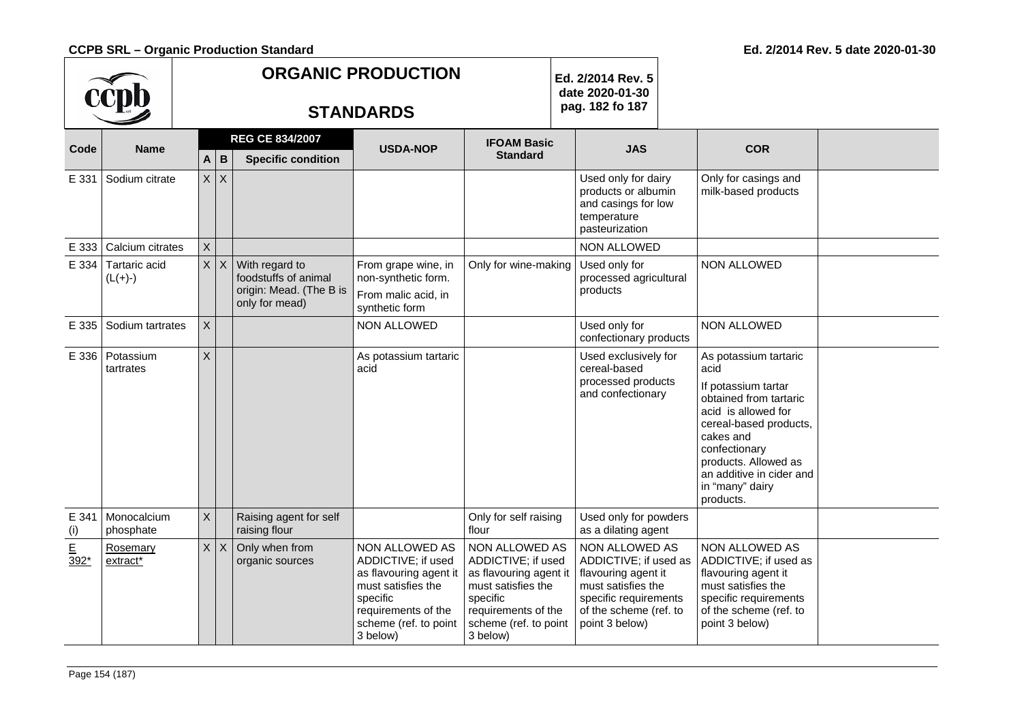|                                            |                                |                           | <b>ORGANIC PRODUCTION</b><br><b>STANDARDS</b> |                                                                                     |                                                                                                                                                              |                                                                                                                                                              |  | Ed. 2/2014 Rev. 5<br>date 2020-01-30                                                                                                                      |                                                                                                                                                                                                                                                   |  |
|--------------------------------------------|--------------------------------|---------------------------|-----------------------------------------------|-------------------------------------------------------------------------------------|--------------------------------------------------------------------------------------------------------------------------------------------------------------|--------------------------------------------------------------------------------------------------------------------------------------------------------------|--|-----------------------------------------------------------------------------------------------------------------------------------------------------------|---------------------------------------------------------------------------------------------------------------------------------------------------------------------------------------------------------------------------------------------------|--|
|                                            |                                |                           |                                               |                                                                                     |                                                                                                                                                              |                                                                                                                                                              |  | pag. 182 fo 187                                                                                                                                           |                                                                                                                                                                                                                                                   |  |
| Code                                       | <b>Name</b>                    | A                         | $\, {\bf B}$                                  | REG CE 834/2007<br><b>Specific condition</b>                                        | <b>USDA-NOP</b>                                                                                                                                              | <b>IFOAM Basic</b><br><b>Standard</b>                                                                                                                        |  | <b>JAS</b>                                                                                                                                                | <b>COR</b>                                                                                                                                                                                                                                        |  |
| E 331                                      | Sodium citrate                 | $\mathsf{X}$              | $\boldsymbol{\mathsf{X}}$                     |                                                                                     |                                                                                                                                                              |                                                                                                                                                              |  | Used only for dairy<br>products or albumin<br>and casings for low<br>temperature<br>pasteurization                                                        | Only for casings and<br>milk-based products                                                                                                                                                                                                       |  |
| E 333                                      | Calcium citrates               | $\boldsymbol{\mathsf{X}}$ |                                               |                                                                                     |                                                                                                                                                              |                                                                                                                                                              |  | NON ALLOWED                                                                                                                                               |                                                                                                                                                                                                                                                   |  |
| E 334<br><b>Tartaric acid</b><br>$(L(+)-)$ |                                | X                         | $\boldsymbol{\mathsf{X}}$                     | With regard to<br>foodstuffs of animal<br>origin: Mead. (The B is<br>only for mead) | From grape wine, in<br>non-synthetic form.<br>From malic acid, in                                                                                            | Only for wine-making                                                                                                                                         |  | Used only for<br>processed agricultural<br>products                                                                                                       | NON ALLOWED                                                                                                                                                                                                                                       |  |
|                                            |                                |                           |                                               |                                                                                     | synthetic form                                                                                                                                               |                                                                                                                                                              |  |                                                                                                                                                           |                                                                                                                                                                                                                                                   |  |
| E 335                                      | Sodium tartrates               | $\mathsf{X}$              |                                               |                                                                                     | NON ALLOWED                                                                                                                                                  |                                                                                                                                                              |  | Used only for<br>confectionary products                                                                                                                   | NON ALLOWED                                                                                                                                                                                                                                       |  |
|                                            | E 336   Potassium<br>tartrates | X                         |                                               |                                                                                     | As potassium tartaric<br>acid                                                                                                                                |                                                                                                                                                              |  | Used exclusively for<br>cereal-based<br>processed products<br>and confectionary                                                                           | As potassium tartaric<br>acid<br>If potassium tartar<br>obtained from tartaric<br>acid is allowed for<br>cereal-based products,<br>cakes and<br>confectionary<br>products. Allowed as<br>an additive in cider and<br>in "many" dairy<br>products. |  |
| E 341<br>(i)                               | Monocalcium<br>phosphate       | $\boldsymbol{\mathsf{X}}$ |                                               | Raising agent for self<br>raising flour                                             |                                                                                                                                                              | Only for self raising<br>flour                                                                                                                               |  | Used only for powders<br>as a dilating agent                                                                                                              |                                                                                                                                                                                                                                                   |  |
| $rac{E}{392*}$                             | Rosemary<br>extract*           | X                         | $\mathsf X$                                   | Only when from<br>organic sources                                                   | NON ALLOWED AS<br>ADDICTIVE; if used<br>as flavouring agent it<br>must satisfies the<br>specific<br>requirements of the<br>scheme (ref. to point<br>3 below) | NON ALLOWED AS<br>ADDICTIVE; if used<br>as flavouring agent it<br>must satisfies the<br>specific<br>requirements of the<br>scheme (ref. to point<br>3 below) |  | NON ALLOWED AS<br>ADDICTIVE; if used as<br>flavouring agent it<br>must satisfies the<br>specific requirements<br>of the scheme (ref. to<br>point 3 below) | NON ALLOWED AS<br>ADDICTIVE; if used as<br>flavouring agent it<br>must satisfies the<br>specific requirements<br>of the scheme (ref. to<br>point 3 below)                                                                                         |  |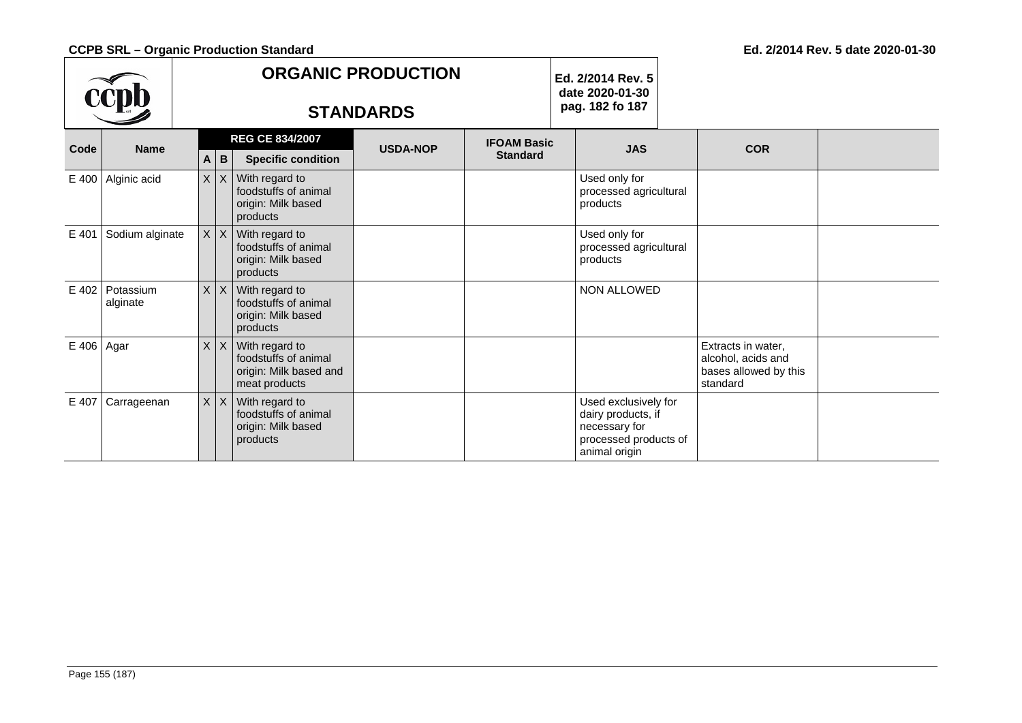|              |                       |                        |            |                                                                                   | <b>ORGANIC PRODUCTION</b> |                    |  | Ed. 2/2014 Rev. 5<br>date 2020-01-30                                                                  |                                                                               |  |
|--------------|-----------------------|------------------------|------------|-----------------------------------------------------------------------------------|---------------------------|--------------------|--|-------------------------------------------------------------------------------------------------------|-------------------------------------------------------------------------------|--|
|              |                       |                        |            |                                                                                   | <b>STANDARDS</b>          |                    |  | pag. 182 fo 187                                                                                       |                                                                               |  |
| Code         | <b>Name</b>           | <b>REG CE 834/2007</b> |            |                                                                                   | <b>USDA-NOP</b>           | <b>IFOAM Basic</b> |  | <b>JAS</b>                                                                                            | <b>COR</b>                                                                    |  |
|              |                       |                        | $A \mid B$ | <b>Specific condition</b>                                                         |                           | <b>Standard</b>    |  |                                                                                                       |                                                                               |  |
|              | $E$ 400 Alginic acid  |                        | $X$ $X$    | With regard to<br>foodstuffs of animal<br>origin: Milk based<br>products          |                           |                    |  | Used only for<br>processed agricultural<br>products                                                   |                                                                               |  |
| E 401        | Sodium alginate       |                        | $X$ $X$    | With regard to<br>foodstuffs of animal<br>origin: Milk based<br>products          |                           |                    |  | Used only for<br>processed agricultural<br>products                                                   |                                                                               |  |
| E 402        | Potassium<br>alginate |                        | $x \mid x$ | With regard to<br>foodstuffs of animal<br>origin: Milk based<br>products          |                           |                    |  | <b>NON ALLOWED</b>                                                                                    |                                                                               |  |
| $E$ 406 Agar |                       |                        | $X$ $X$    | With regard to<br>foodstuffs of animal<br>origin: Milk based and<br>meat products |                           |                    |  |                                                                                                       | Extracts in water,<br>alcohol, acids and<br>bases allowed by this<br>standard |  |
| E 407        | Carrageenan           |                        | $X$ $X$    | With regard to<br>foodstuffs of animal<br>origin: Milk based<br>products          |                           |                    |  | Used exclusively for<br>dairy products, if<br>necessary for<br>processed products of<br>animal origin |                                                                               |  |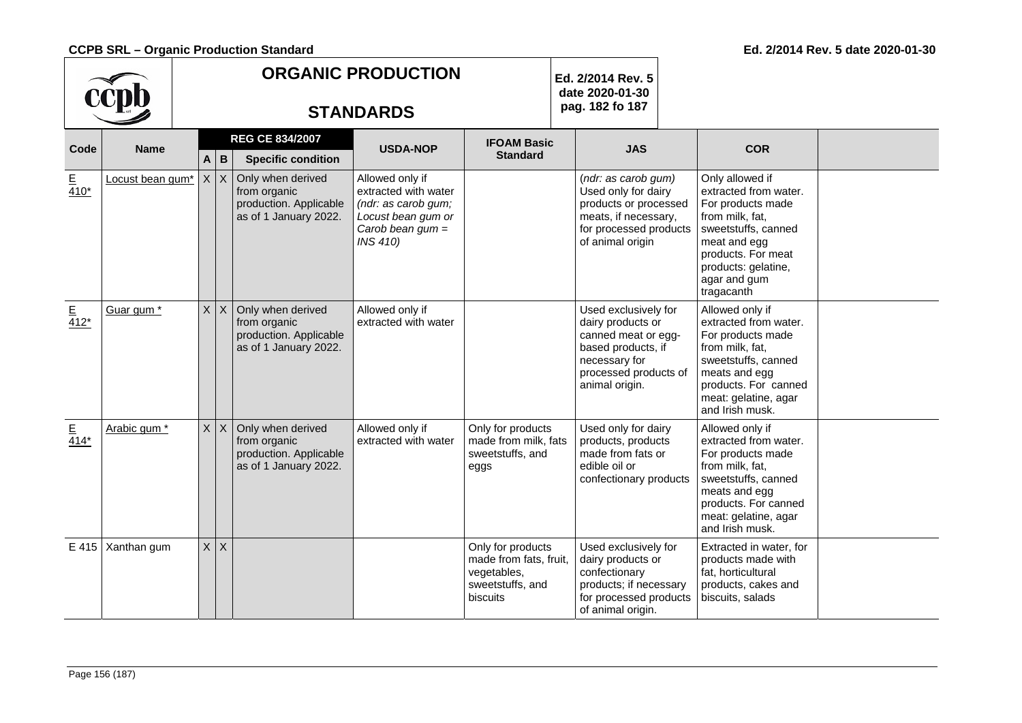| ccpb                     |                   | <b>ORGANIC PRODUCTION</b><br><b>STANDARDS</b> |              |                 |                                                                                      |                                                                                                                        |                                                                                            |                                                                                                                                           | Ed. 2/2014 Rev. 5<br>date 2020-01-30<br>pag. 182 fo 187                                                                                            |                                                                                                                                                                                                    |                                                                                                                                                                                             |  |
|--------------------------|-------------------|-----------------------------------------------|--------------|-----------------|--------------------------------------------------------------------------------------|------------------------------------------------------------------------------------------------------------------------|--------------------------------------------------------------------------------------------|-------------------------------------------------------------------------------------------------------------------------------------------|----------------------------------------------------------------------------------------------------------------------------------------------------|----------------------------------------------------------------------------------------------------------------------------------------------------------------------------------------------------|---------------------------------------------------------------------------------------------------------------------------------------------------------------------------------------------|--|
| Code                     | <b>Name</b>       |                                               |              | $A \mid B$      | REG CE 834/2007<br><b>Specific condition</b>                                         | <b>USDA-NOP</b>                                                                                                        | <b>IFOAM Basic</b><br><b>Standard</b>                                                      |                                                                                                                                           | <b>JAS</b>                                                                                                                                         |                                                                                                                                                                                                    | <b>COR</b>                                                                                                                                                                                  |  |
| E<br>$\frac{1}{4}10^{*}$ | Locust bean gum*  |                                               |              | $X$ $X$         | Only when derived<br>from organic<br>production. Applicable<br>as of 1 January 2022. | Allowed only if<br>extracted with water<br>(ndr: as carob gum;<br>Locust bean gum or<br>Carob bean gum $=$<br>INS 410) |                                                                                            | (ndr: as carob gum)<br>Used only for dairy<br>products or processed<br>meats, if necessary,<br>for processed products<br>of animal origin |                                                                                                                                                    | Only allowed if<br>extracted from water.<br>For products made<br>from milk, fat,<br>sweetstuffs, canned<br>meat and egg<br>products. For meat<br>products: gelatine,<br>agar and gum<br>tragacanth |                                                                                                                                                                                             |  |
| $rac{E}{412*}$           | Guar gum *        |                                               | $x \mid x$   |                 | Only when derived<br>from organic<br>production. Applicable<br>as of 1 January 2022. | Allowed only if<br>extracted with water                                                                                |                                                                                            |                                                                                                                                           | Used exclusively for<br>dairy products or<br>canned meat or egg-<br>based products, if<br>necessary for<br>processed products of<br>animal origin. |                                                                                                                                                                                                    | Allowed only if<br>extracted from water.<br>For products made<br>from milk, fat,<br>sweetstuffs, canned<br>meats and egg<br>products. For canned<br>meat: gelatine, agar<br>and Irish musk. |  |
| $rac{E}{414*}$           | Arabic gum *      |                                               | $X$ $X$      |                 | Only when derived<br>from organic<br>production. Applicable<br>as of 1 January 2022. | Allowed only if<br>extracted with water                                                                                | Only for products<br>made from milk, fats<br>sweetstuffs, and<br>eggs                      |                                                                                                                                           | Used only for dairy<br>products, products<br>made from fats or<br>edible oil or<br>confectionary products                                          |                                                                                                                                                                                                    | Allowed only if<br>extracted from water.<br>For products made<br>from milk, fat,<br>sweetstuffs, canned<br>meats and egg<br>products. For canned<br>meat: gelatine, agar<br>and Irish musk. |  |
|                          | E 415 Xanthan gum |                                               | $\mathsf{X}$ | $\vert x \vert$ |                                                                                      |                                                                                                                        | Only for products<br>made from fats, fruit,<br>vegetables,<br>sweetstuffs, and<br>biscuits |                                                                                                                                           | Used exclusively for<br>dairy products or<br>confectionary<br>products; if necessary<br>for processed products<br>of animal origin.                |                                                                                                                                                                                                    | Extracted in water, for<br>products made with<br>fat, horticultural<br>products, cakes and<br>biscuits, salads                                                                              |  |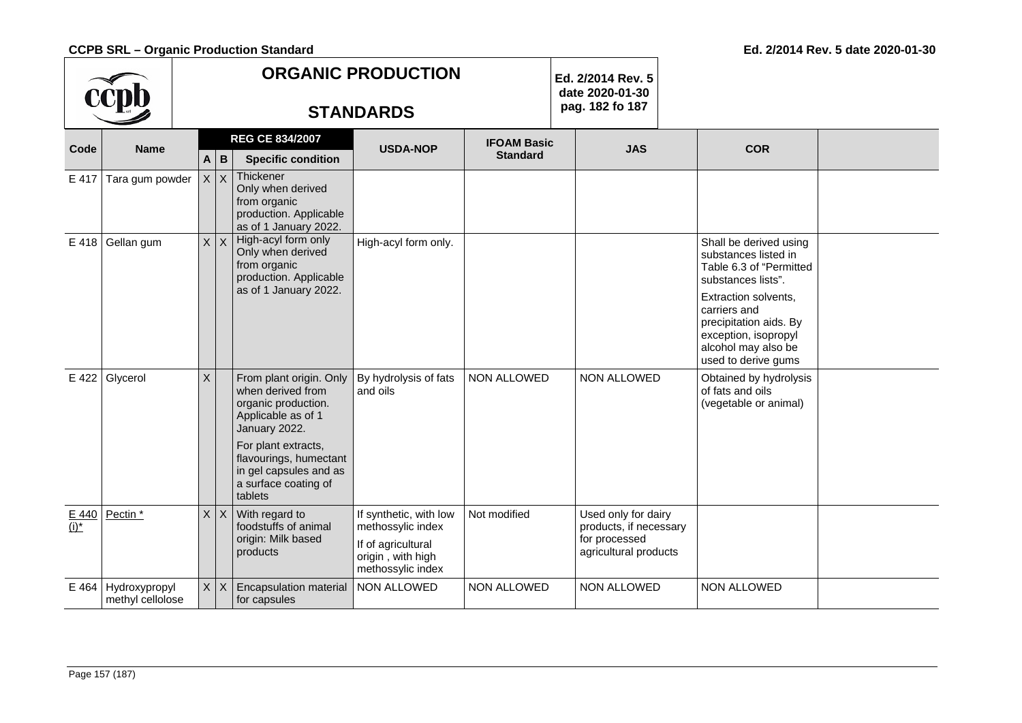|                       |                                           |                           |                |                                                                                                                                                                                                                          | <b>ORGANIC PRODUCTION</b>                                                                                   |                                       |  | Ed. 2/2014 Rev. 5<br>date 2020-01-30<br>pag. 182 fo 187                                 |                                                                                                                                                                                                                                         |  |
|-----------------------|-------------------------------------------|---------------------------|----------------|--------------------------------------------------------------------------------------------------------------------------------------------------------------------------------------------------------------------------|-------------------------------------------------------------------------------------------------------------|---------------------------------------|--|-----------------------------------------------------------------------------------------|-----------------------------------------------------------------------------------------------------------------------------------------------------------------------------------------------------------------------------------------|--|
|                       |                                           |                           |                |                                                                                                                                                                                                                          | <b>STANDARDS</b>                                                                                            |                                       |  |                                                                                         |                                                                                                                                                                                                                                         |  |
| Code                  | <b>Name</b>                               | $\boldsymbol{\mathsf{A}}$ | $\, {\bf B}$   | REG CE 834/2007<br><b>Specific condition</b>                                                                                                                                                                             | <b>USDA-NOP</b>                                                                                             | <b>IFOAM Basic</b><br><b>Standard</b> |  | <b>JAS</b>                                                                              | <b>COR</b>                                                                                                                                                                                                                              |  |
| E 417                 | Tara gum powder                           | $\mathsf{X}$              | $\overline{X}$ | Thickener<br>Only when derived<br>from organic<br>production. Applicable<br>as of 1 January 2022.                                                                                                                        |                                                                                                             |                                       |  |                                                                                         |                                                                                                                                                                                                                                         |  |
|                       | $E$ 418 Gellan gum                        |                           | $x \mid x$     | High-acyl form only<br>Only when derived<br>from organic<br>production. Applicable<br>as of 1 January 2022.                                                                                                              | High-acyl form only.                                                                                        |                                       |  |                                                                                         | Shall be derived using<br>substances listed in<br>Table 6.3 of "Permitted<br>substances lists".<br>Extraction solvents,<br>carriers and<br>precipitation aids. By<br>exception, isopropyl<br>alcohol may also be<br>used to derive gums |  |
|                       | E 422 Glycerol                            | $\mathsf{X}$              |                | From plant origin. Only<br>when derived from<br>organic production.<br>Applicable as of 1<br>January 2022.<br>For plant extracts,<br>flavourings, humectant<br>in gel capsules and as<br>a surface coating of<br>tablets | By hydrolysis of fats<br>and oils                                                                           | NON ALLOWED                           |  | NON ALLOWED                                                                             | Obtained by hydrolysis<br>of fats and oils<br>(vegetable or animal)                                                                                                                                                                     |  |
| $\frac{E 440}{(i)^*}$ | Pectin *                                  | X                         | $\overline{X}$ | With regard to<br>foodstuffs of animal<br>origin: Milk based<br>products                                                                                                                                                 | If synthetic, with low<br>methossylic index<br>If of agricultural<br>origin, with high<br>methossylic index | Not modified                          |  | Used only for dairy<br>products, if necessary<br>for processed<br>agricultural products |                                                                                                                                                                                                                                         |  |
|                       | $E$ 464 Hydroxypropyl<br>methyl cellolose | $\mathsf X$               | Χ              | <b>Encapsulation material</b><br>for capsules                                                                                                                                                                            | NON ALLOWED                                                                                                 | NON ALLOWED                           |  | NON ALLOWED                                                                             | NON ALLOWED                                                                                                                                                                                                                             |  |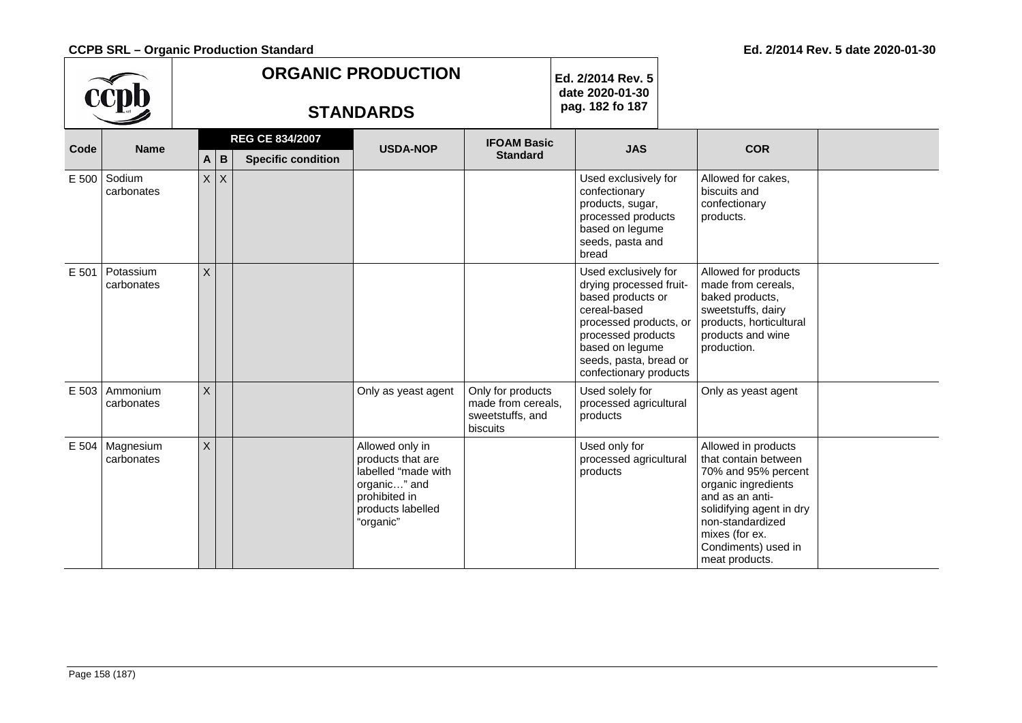|       |                                |                           |                |                           | <b>ORGANIC PRODUCTION</b><br><b>STANDARDS</b>                                                                                  |                                                                         | Ed. 2/2014 Rev. 5<br>date 2020-01-30<br>pag. 182 fo 187                                                                                                                                                     |                                                                                                                                                                                                                         |  |
|-------|--------------------------------|---------------------------|----------------|---------------------------|--------------------------------------------------------------------------------------------------------------------------------|-------------------------------------------------------------------------|-------------------------------------------------------------------------------------------------------------------------------------------------------------------------------------------------------------|-------------------------------------------------------------------------------------------------------------------------------------------------------------------------------------------------------------------------|--|
|       |                                |                           |                | REG CE 834/2007           |                                                                                                                                | <b>IFOAM Basic</b>                                                      | <b>JAS</b>                                                                                                                                                                                                  |                                                                                                                                                                                                                         |  |
| Code  | <b>Name</b>                    | $\boldsymbol{\mathsf{A}}$ | $\overline{B}$ | <b>Specific condition</b> | <b>USDA-NOP</b>                                                                                                                | <b>Standard</b>                                                         |                                                                                                                                                                                                             | <b>COR</b>                                                                                                                                                                                                              |  |
| E 500 | Sodium<br>carbonates           | $\mathsf{X}$              | $\mathsf{X}$   |                           |                                                                                                                                |                                                                         | Used exclusively for<br>confectionary<br>products, sugar,<br>processed products<br>based on legume<br>seeds, pasta and<br>bread                                                                             | Allowed for cakes,<br>biscuits and<br>confectionary<br>products.                                                                                                                                                        |  |
| E 501 | Potassium<br>carbonates        | X                         |                |                           |                                                                                                                                |                                                                         | Used exclusively for<br>drying processed fruit-<br>based products or<br>cereal-based<br>processed products, or<br>processed products<br>based on legume<br>seeds, pasta, bread or<br>confectionary products | Allowed for products<br>made from cereals,<br>baked products,<br>sweetstuffs, dairy<br>products, horticultural<br>products and wine<br>production.                                                                      |  |
|       | E 503   Ammonium<br>carbonates | $\overline{X}$            |                |                           | Only as yeast agent                                                                                                            | Only for products<br>made from cereals,<br>sweetstuffs, and<br>biscuits | Used solely for<br>processed agricultural<br>products                                                                                                                                                       | Only as yeast agent                                                                                                                                                                                                     |  |
|       | E 504 Magnesium<br>carbonates  | $\sf X$                   |                |                           | Allowed only in<br>products that are<br>labelled "made with<br>organic" and<br>prohibited in<br>products labelled<br>"organic" |                                                                         | Used only for<br>processed agricultural<br>products                                                                                                                                                         | Allowed in products<br>that contain between<br>70% and 95% percent<br>organic ingredients<br>and as an anti-<br>solidifying agent in dry<br>non-standardized<br>mixes (for ex.<br>Condiments) used in<br>meat products. |  |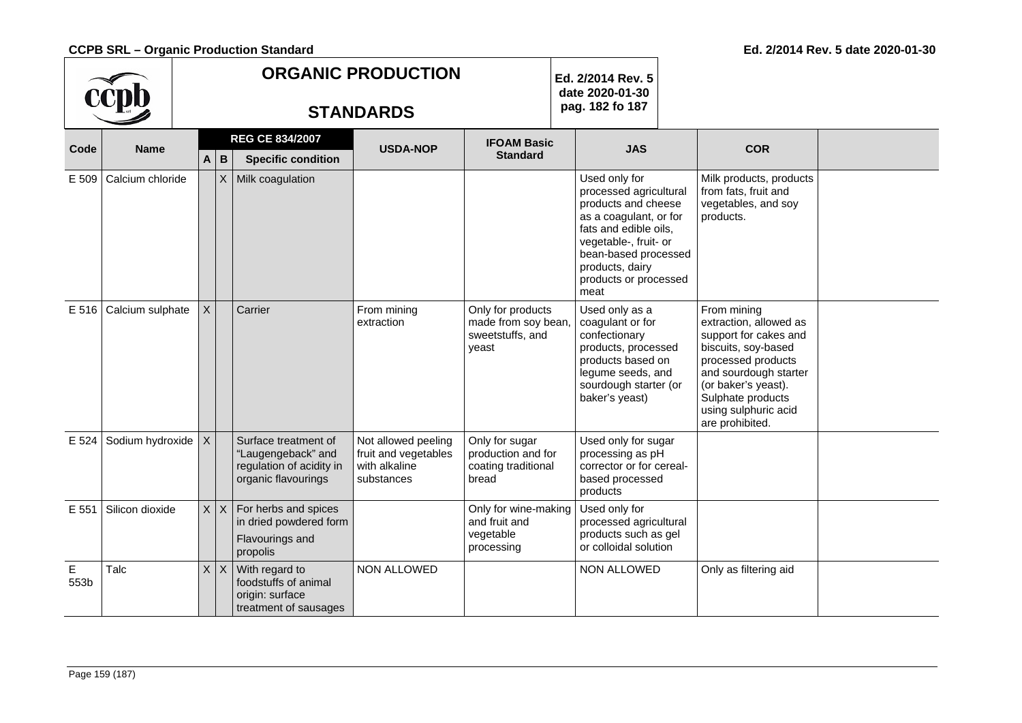|           |                  |                   |          |                                                                                               | <b>ORGANIC PRODUCTION</b>                                                  |                                                                       | Ed. 2/2014 Rev. 5<br>date 2020-01-30                                                                                                                                                                                   |                                                                                                                                                                                                                             |  |
|-----------|------------------|-------------------|----------|-----------------------------------------------------------------------------------------------|----------------------------------------------------------------------------|-----------------------------------------------------------------------|------------------------------------------------------------------------------------------------------------------------------------------------------------------------------------------------------------------------|-----------------------------------------------------------------------------------------------------------------------------------------------------------------------------------------------------------------------------|--|
|           |                  |                   |          |                                                                                               | <b>STANDARDS</b>                                                           |                                                                       | pag. 182 fo 187                                                                                                                                                                                                        |                                                                                                                                                                                                                             |  |
| Code      | <b>Name</b>      | B<br>$\mathsf{A}$ |          | REG CE 834/2007<br><b>Specific condition</b>                                                  | <b>USDA-NOP</b>                                                            | <b>IFOAM Basic</b><br><b>Standard</b>                                 | <b>JAS</b>                                                                                                                                                                                                             | <b>COR</b>                                                                                                                                                                                                                  |  |
| E 509     | Calcium chloride |                   | $\times$ | Milk coagulation                                                                              |                                                                            |                                                                       | Used only for<br>processed agricultural<br>products and cheese<br>as a coagulant, or for<br>fats and edible oils,<br>vegetable-, fruit- or<br>bean-based processed<br>products, dairy<br>products or processed<br>meat | Milk products, products<br>from fats, fruit and<br>vegetables, and soy<br>products.                                                                                                                                         |  |
| E 516     | Calcium sulphate | $\mathsf{X}$      |          | Carrier                                                                                       | From mining<br>extraction                                                  | Only for products<br>made from soy bean.<br>sweetstuffs, and<br>yeast | Used only as a<br>coagulant or for<br>confectionary<br>products, processed<br>products based on<br>legume seeds, and<br>sourdough starter (or<br>baker's yeast)                                                        | From mining<br>extraction, allowed as<br>support for cakes and<br>biscuits, soy-based<br>processed products<br>and sourdough starter<br>(or baker's yeast).<br>Sulphate products<br>using sulphuric acid<br>are prohibited. |  |
| E 524     | Sodium hydroxide | $\mathsf{X}$      |          | Surface treatment of<br>"Laugengeback" and<br>regulation of acidity in<br>organic flavourings | Not allowed peeling<br>fruit and vegetables<br>with alkaline<br>substances | Only for sugar<br>production and for<br>coating traditional<br>bread  | Used only for sugar<br>processing as pH<br>corrector or for cereal-<br>based processed<br>products                                                                                                                     |                                                                                                                                                                                                                             |  |
| E 551     | Silicon dioxide  |                   | $X$ $X$  | For herbs and spices<br>in dried powdered form<br>Flavourings and<br>propolis                 |                                                                            | Only for wine-making<br>and fruit and<br>vegetable<br>processing      | Used only for<br>processed agricultural<br>products such as gel<br>or colloidal solution                                                                                                                               |                                                                                                                                                                                                                             |  |
| E<br>553b | Talc             |                   | X X      | With regard to<br>foodstuffs of animal<br>origin: surface<br>treatment of sausages            | NON ALLOWED                                                                |                                                                       | <b>NON ALLOWED</b>                                                                                                                                                                                                     | Only as filtering aid                                                                                                                                                                                                       |  |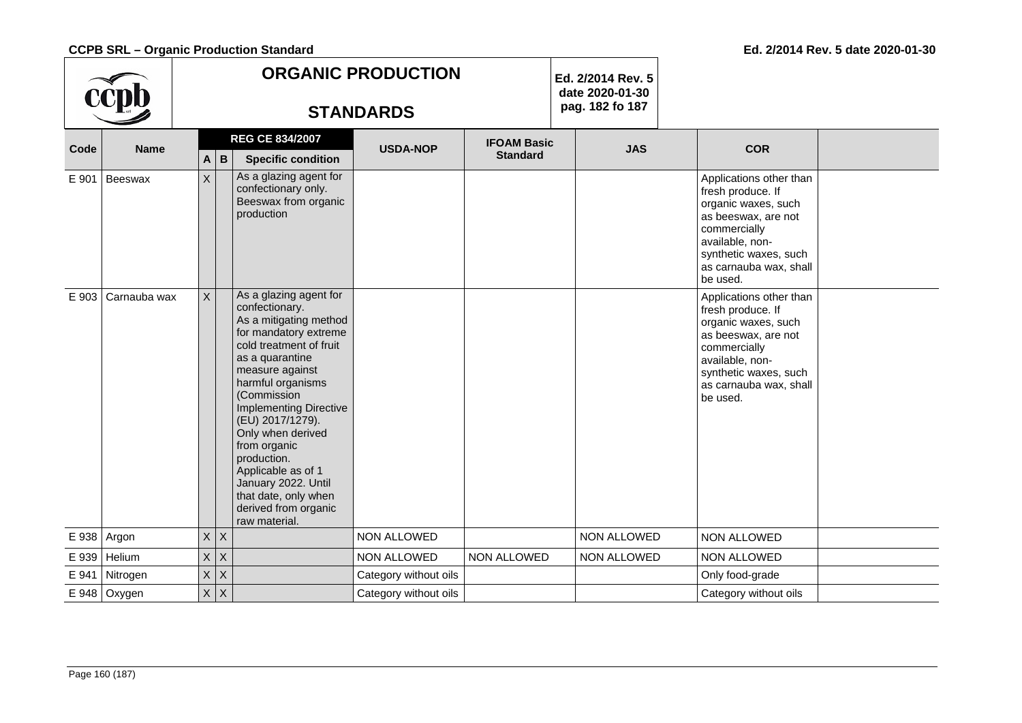|       |                |                                                   |                |                                                                                                                                                                                                                                                                                                                                                                                                                         | <b>ORGANIC PRODUCTION</b><br><b>STANDARDS</b> |                                       | Ed. 2/2014 Rev. 5<br>date 2020-01-30<br>pag. 182 fo 187 |                                                                                                                                                                                              |  |
|-------|----------------|---------------------------------------------------|----------------|-------------------------------------------------------------------------------------------------------------------------------------------------------------------------------------------------------------------------------------------------------------------------------------------------------------------------------------------------------------------------------------------------------------------------|-----------------------------------------------|---------------------------------------|---------------------------------------------------------|----------------------------------------------------------------------------------------------------------------------------------------------------------------------------------------------|--|
| Code  | <b>Name</b>    | REG CE 834/2007<br>$\boldsymbol{\mathsf{A}}$<br>B |                | <b>Specific condition</b>                                                                                                                                                                                                                                                                                                                                                                                               | <b>USDA-NOP</b>                               | <b>IFOAM Basic</b><br><b>Standard</b> | <b>JAS</b>                                              | <b>COR</b>                                                                                                                                                                                   |  |
| E 901 | Beeswax        | $\sf X$                                           |                | As a glazing agent for<br>confectionary only.<br>Beeswax from organic<br>production                                                                                                                                                                                                                                                                                                                                     |                                               |                                       |                                                         | Applications other than<br>fresh produce. If<br>organic waxes, such<br>as beeswax, are not<br>commercially<br>available, non-<br>synthetic waxes, such<br>as carnauba wax, shall<br>be used. |  |
| E 903 | Carnauba wax   | $\mathsf{X}$                                      |                | As a glazing agent for<br>confectionary.<br>As a mitigating method<br>for mandatory extreme<br>cold treatment of fruit<br>as a quarantine<br>measure against<br>harmful organisms<br>(Commission<br><b>Implementing Directive</b><br>(EU) 2017/1279).<br>Only when derived<br>from organic<br>production.<br>Applicable as of 1<br>January 2022. Until<br>that date, only when<br>derived from organic<br>raw material. |                                               |                                       |                                                         | Applications other than<br>fresh produce. If<br>organic waxes, such<br>as beeswax, are not<br>commercially<br>available, non-<br>synthetic waxes, such<br>as carnauba wax, shall<br>be used. |  |
|       | $E$ 938 Argon  | $\mathsf X$                                       | $\mathsf{X}$   |                                                                                                                                                                                                                                                                                                                                                                                                                         | NON ALLOWED                                   |                                       | NON ALLOWED                                             | NON ALLOWED                                                                                                                                                                                  |  |
|       | E 939 Helium   | $\mathsf X$                                       | $\mathsf X$    |                                                                                                                                                                                                                                                                                                                                                                                                                         | NON ALLOWED                                   | NON ALLOWED                           | NON ALLOWED                                             | NON ALLOWED                                                                                                                                                                                  |  |
|       | E 941 Nitrogen | $\sf X$                                           | $\mathsf X$    |                                                                                                                                                                                                                                                                                                                                                                                                                         | Category without oils                         |                                       |                                                         | Only food-grade                                                                                                                                                                              |  |
|       | E 948 Oxygen   | $\overline{\mathsf{x}}$                           | $\overline{X}$ |                                                                                                                                                                                                                                                                                                                                                                                                                         | Category without oils                         |                                       |                                                         | Category without oils                                                                                                                                                                        |  |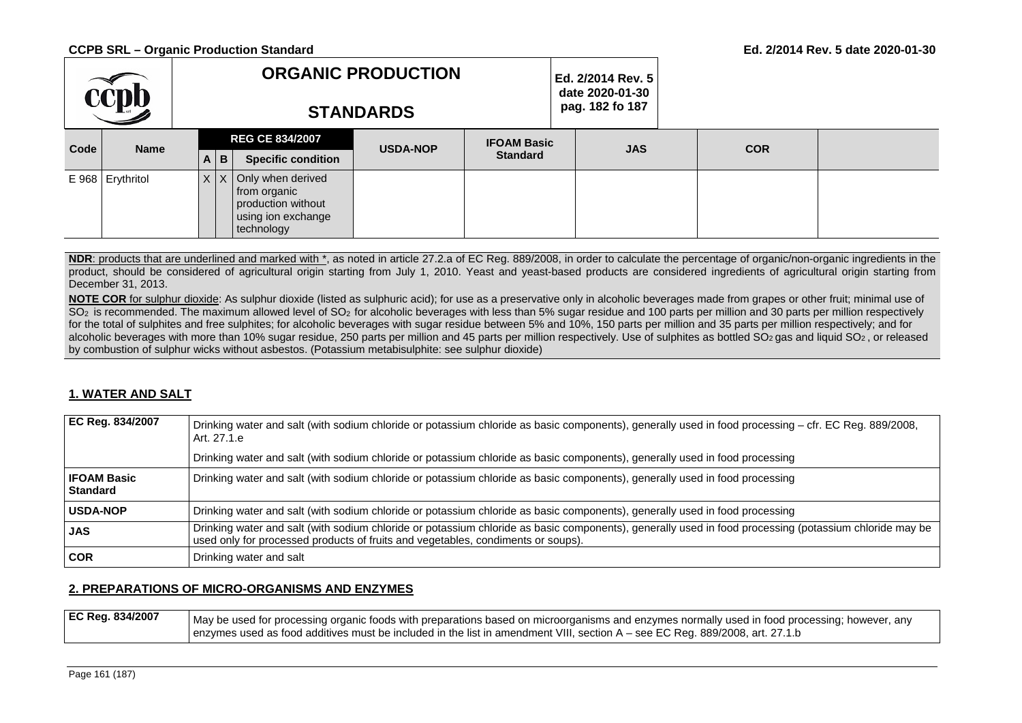**CCPB SRL – Organic Production Standard Ed. 2/2014 Rev. 5 date 2020-01-30** 

|      |                  | <b>ORGANIC PRODUCTION</b><br><b>STANDARDS</b> |         |                                                                                                       |                 |                                       |  | Ed. 2/2014 Rev. 5<br>date 2020-01-30<br>pag. 182 fo 187 |            |  |
|------|------------------|-----------------------------------------------|---------|-------------------------------------------------------------------------------------------------------|-----------------|---------------------------------------|--|---------------------------------------------------------|------------|--|
| Code | <b>Name</b>      |                                               | $A$ $B$ | <b>REG CE 834/2007</b><br><b>Specific condition</b>                                                   | <b>USDA-NOP</b> | <b>IFOAM Basic</b><br><b>Standard</b> |  | <b>JAS</b>                                              | <b>COR</b> |  |
|      | E 968 Erythritol |                                               |         | $X$   X   Only when derived<br>from organic<br>production without<br>using ion exchange<br>technology |                 |                                       |  |                                                         |            |  |

NDR: products that are underlined and marked with \*, as noted in article 27.2.a of EC Reg. 889/2008, in order to calculate the percentage of organic/non-organic ingredients in the product, should be considered of agricultural origin starting from July 1, 2010. Yeast and yeast-based products are considered ingredients of agricultural origin starting from December 31, 2013.

NOTE COR for sulphur dioxide: As sulphur dioxide (listed as sulphuric acid); for use as a preservative only in alcoholic beverages made from grapes or other fruit; minimal use of  $SO<sub>2</sub>$  is recommended. The maximum allowed level of  $SO<sub>2</sub>$  for alcoholic beverages with less than 5% sugar residue and 100 parts per million and 30 parts per million respectively for the total of sulphites and free sulphites; for alcoholic beverages with sugar residue between 5% and 10%, 150 parts per million and 35 parts per million respectively; and for alcoholic beverages with more than 10% sugar residue, 250 parts per million and 45 parts per million respectively. Use of sulphites as bottled SO<sub>2</sub> gas and liquid SO<sub>2</sub>, or released by combustion of sulphur wicks without asbestos. (Potassium metabisulphite: see sulphur dioxide)

#### **1. WATER AND SALT**

| EC Reg. 834/2007               | Drinking water and salt (with sodium chloride or potassium chloride as basic components), generally used in food processing - cfr. EC Reg. 889/2008,<br>Art. 27.1.e                                                                        |
|--------------------------------|--------------------------------------------------------------------------------------------------------------------------------------------------------------------------------------------------------------------------------------------|
|                                | Drinking water and salt (with sodium chloride or potassium chloride as basic components), generally used in food processing                                                                                                                |
| <b>IFOAM Basic</b><br>Standard | Drinking water and salt (with sodium chloride or potassium chloride as basic components), generally used in food processing                                                                                                                |
| USDA-NOP                       | Drinking water and salt (with sodium chloride or potassium chloride as basic components), generally used in food processing                                                                                                                |
| <b>JAS</b>                     | Drinking water and salt (with sodium chloride or potassium chloride as basic components), generally used in food processing (potassium chloride may be<br>used only for processed products of fruits and vegetables, condiments or soups). |
| <b>COR</b>                     | Drinking water and salt                                                                                                                                                                                                                    |

#### **2. PREPARATIONS OF MICRO-ORGANISMS AND ENZYMES**

**EC Reg. 834/2007** May be used for processing organic foods with preparations based on microorganisms and enzymes normally used in food processing; however, any enzymes used as food additives must be included in the list in amendment VIII, section A – see EC Reg. 889/2008, art. 27.1.b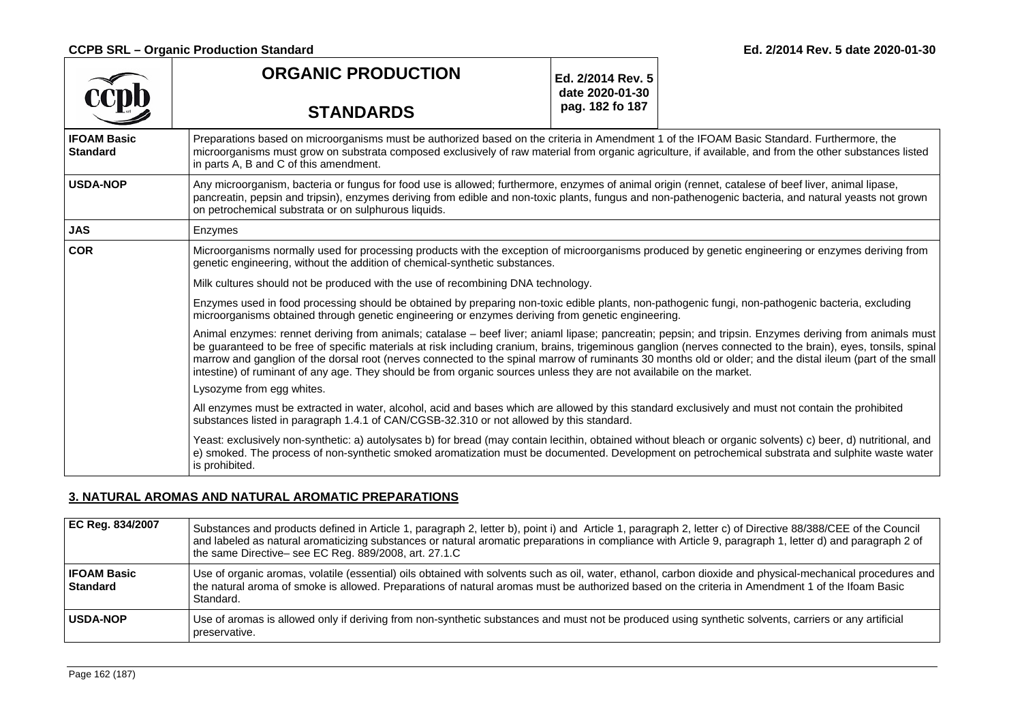|                                       | <b>ORGANIC PRODUCTION</b>                                                                                                                                                                                                                                                                                                                                              | Ed. 2/2014 Rev. 5<br>date 2020-01-30                                                                                                                                                                                                                                                                                                                                                                                                                                                                                                                                                                           |  |  |  |  |  |  |  |
|---------------------------------------|------------------------------------------------------------------------------------------------------------------------------------------------------------------------------------------------------------------------------------------------------------------------------------------------------------------------------------------------------------------------|----------------------------------------------------------------------------------------------------------------------------------------------------------------------------------------------------------------------------------------------------------------------------------------------------------------------------------------------------------------------------------------------------------------------------------------------------------------------------------------------------------------------------------------------------------------------------------------------------------------|--|--|--|--|--|--|--|
|                                       | <b>STANDARDS</b>                                                                                                                                                                                                                                                                                                                                                       | pag. 182 fo 187                                                                                                                                                                                                                                                                                                                                                                                                                                                                                                                                                                                                |  |  |  |  |  |  |  |
| <b>IFOAM Basic</b><br><b>Standard</b> | Preparations based on microorganisms must be authorized based on the criteria in Amendment 1 of the IFOAM Basic Standard. Furthermore, the<br>microorganisms must grow on substrata composed exclusively of raw material from organic agriculture, if available, and from the other substances listed<br>in parts A, B and C of this amendment.                        |                                                                                                                                                                                                                                                                                                                                                                                                                                                                                                                                                                                                                |  |  |  |  |  |  |  |
| <b>USDA-NOP</b>                       | Any microorganism, bacteria or fungus for food use is allowed; furthermore, enzymes of animal origin (rennet, catalese of beef liver, animal lipase,<br>pancreatin, pepsin and tripsin), enzymes deriving from edible and non-toxic plants, fungus and non-pathenogenic bacteria, and natural yeasts not grown<br>on petrochemical substrata or on sulphurous liquids. |                                                                                                                                                                                                                                                                                                                                                                                                                                                                                                                                                                                                                |  |  |  |  |  |  |  |
| <b>JAS</b>                            | Enzymes                                                                                                                                                                                                                                                                                                                                                                |                                                                                                                                                                                                                                                                                                                                                                                                                                                                                                                                                                                                                |  |  |  |  |  |  |  |
| <b>COR</b>                            | Microorganisms normally used for processing products with the exception of microorganisms produced by genetic engineering or enzymes deriving from<br>genetic engineering, without the addition of chemical-synthetic substances.                                                                                                                                      |                                                                                                                                                                                                                                                                                                                                                                                                                                                                                                                                                                                                                |  |  |  |  |  |  |  |
|                                       | Milk cultures should not be produced with the use of recombining DNA technology.                                                                                                                                                                                                                                                                                       |                                                                                                                                                                                                                                                                                                                                                                                                                                                                                                                                                                                                                |  |  |  |  |  |  |  |
|                                       | Enzymes used in food processing should be obtained by preparing non-toxic edible plants, non-pathogenic fungi, non-pathogenic bacteria, excluding<br>microorganisms obtained through genetic engineering or enzymes deriving from genetic engineering.                                                                                                                 |                                                                                                                                                                                                                                                                                                                                                                                                                                                                                                                                                                                                                |  |  |  |  |  |  |  |
|                                       |                                                                                                                                                                                                                                                                                                                                                                        | Animal enzymes: rennet deriving from animals; catalase - beef liver; aniaml lipase; pancreatin; pepsin; and tripsin. Enzymes deriving from animals must<br>be guaranteed to be free of specific materials at risk including cranium, brains, trigeminous ganglion (nerves connected to the brain), eyes, tonsils, spinal<br>marrow and ganglion of the dorsal root (nerves connected to the spinal marrow of ruminants 30 months old or older; and the distal ileum (part of the small<br>intestine) of ruminant of any age. They should be from organic sources unless they are not availabile on the market. |  |  |  |  |  |  |  |
|                                       | Lysozyme from egg whites.                                                                                                                                                                                                                                                                                                                                              |                                                                                                                                                                                                                                                                                                                                                                                                                                                                                                                                                                                                                |  |  |  |  |  |  |  |
|                                       | All enzymes must be extracted in water, alcohol, acid and bases which are allowed by this standard exclusively and must not contain the prohibited<br>substances listed in paragraph 1.4.1 of CAN/CGSB-32.310 or not allowed by this standard.                                                                                                                         |                                                                                                                                                                                                                                                                                                                                                                                                                                                                                                                                                                                                                |  |  |  |  |  |  |  |
|                                       | Yeast: exclusively non-synthetic: a) autolysates b) for bread (may contain lecithin, obtained without bleach or organic solvents) c) beer, d) nutritional, and<br>e) smoked. The process of non-synthetic smoked aromatization must be documented. Development on petrochemical substrata and sulphite waste water<br>is prohibited.                                   |                                                                                                                                                                                                                                                                                                                                                                                                                                                                                                                                                                                                                |  |  |  |  |  |  |  |

#### **3. NATURAL AROMAS AND NATURAL AROMATIC PREPARATIONS**

| EC Reg. 834/2007               | Substances and products defined in Article 1, paragraph 2, letter b), point i) and Article 1, paragraph 2, letter c) of Directive 88/388/CEE of the Council<br>and labeled as natural aromaticizing substances or natural aromatic preparations in compliance with Article 9, paragraph 1, letter d) and paragraph 2 of<br>the same Directive- see EC Reg. 889/2008, art. 27.1.C |
|--------------------------------|----------------------------------------------------------------------------------------------------------------------------------------------------------------------------------------------------------------------------------------------------------------------------------------------------------------------------------------------------------------------------------|
| <b>IFOAM Basic</b><br>Standard | Use of organic aromas, volatile (essential) oils obtained with solvents such as oil, water, ethanol, carbon dioxide and physical-mechanical procedures and<br>the natural aroma of smoke is allowed. Preparations of natural aromas must be authorized based on the criteria in Amendment 1 of the Ifoam Basic<br>Standard.                                                      |
| <b>USDA-NOP</b>                | Use of aromas is allowed only if deriving from non-synthetic substances and must not be produced using synthetic solvents, carriers or any artificial<br>preservative.                                                                                                                                                                                                           |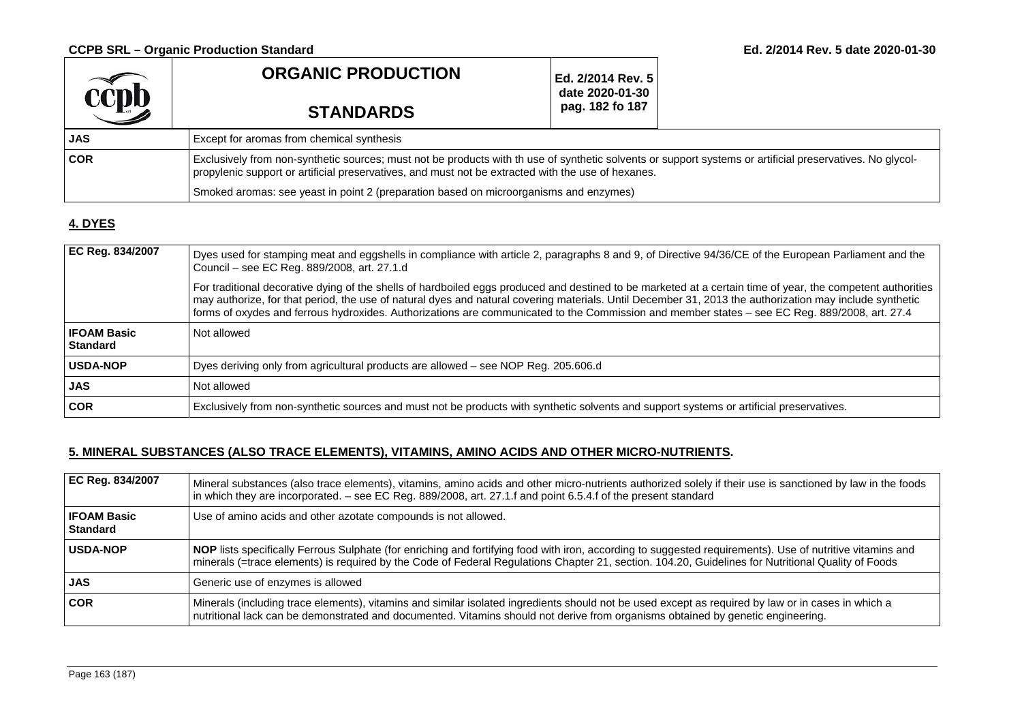| ccpb       | <b>ORGANIC PRODUCTION</b>                                                                                                                                                                                                                                       | Ed. 2/2014 Rev. 5<br>date 2020-01-30 |  |  |  |  |  |  |
|------------|-----------------------------------------------------------------------------------------------------------------------------------------------------------------------------------------------------------------------------------------------------------------|--------------------------------------|--|--|--|--|--|--|
|            | <b>STANDARDS</b>                                                                                                                                                                                                                                                | pag. 182 fo 187                      |  |  |  |  |  |  |
| <b>JAS</b> | Except for aromas from chemical synthesis                                                                                                                                                                                                                       |                                      |  |  |  |  |  |  |
| <b>COR</b> | Exclusively from non-synthetic sources; must not be products with th use of synthetic solvents or support systems or artificial preservatives. No glycol-<br>propulation support or artificial processatives, and must not be extracted with the use of beyanes |                                      |  |  |  |  |  |  |

| j propylenic support or artificial preservatives, and must not be extracted with the use of nexanes. |
|------------------------------------------------------------------------------------------------------|
| Smoked aromas: see yeast in point 2 (preparation based on microorganisms and enzymes)                |

## **4. DYES**

| EC Reg. 834/2007               | Dyes used for stamping meat and eggshells in compliance with article 2, paragraphs 8 and 9, of Directive 94/36/CE of the European Parliament and the<br>Council - see EC Reg. 889/2008, art. 27.1.d                                                                                                                                                                                                                                                                     |
|--------------------------------|-------------------------------------------------------------------------------------------------------------------------------------------------------------------------------------------------------------------------------------------------------------------------------------------------------------------------------------------------------------------------------------------------------------------------------------------------------------------------|
|                                | For traditional decorative dying of the shells of hardboiled eggs produced and destined to be marketed at a certain time of year, the competent authorities<br>may authorize, for that period, the use of natural dyes and natural covering materials. Until December 31, 2013 the authorization may include synthetic<br>forms of oxydes and ferrous hydroxides. Authorizations are communicated to the Commission and member states – see EC Reg. 889/2008, art. 27.4 |
| <b>IFOAM Basic</b><br>Standard | Not allowed                                                                                                                                                                                                                                                                                                                                                                                                                                                             |
| USDA-NOP                       | Dyes deriving only from agricultural products are allowed – see NOP Reg. 205.606.d                                                                                                                                                                                                                                                                                                                                                                                      |
| <b>JAS</b>                     | Not allowed                                                                                                                                                                                                                                                                                                                                                                                                                                                             |
| <b>COR</b>                     | Exclusively from non-synthetic sources and must not be products with synthetic solvents and support systems or artificial preservatives.                                                                                                                                                                                                                                                                                                                                |

#### **5. MINERAL SUBSTANCES (ALSO TRACE ELEMENTS), VITAMINS, AMINO ACIDS AND OTHER MICRO-NUTRIENTS.**

| EC Reg. 834/2007            | Mineral substances (also trace elements), vitamins, amino acids and other micro-nutrients authorized solely if their use is sanctioned by law in the foods<br>in which they are incorporated. - see EC Reg. 889/2008, art. 27.1.f and point 6.5.4.f of the present standard                                     |
|-----------------------------|-----------------------------------------------------------------------------------------------------------------------------------------------------------------------------------------------------------------------------------------------------------------------------------------------------------------|
| l IFOAM Basic<br>l Standard | Use of amino acids and other azotate compounds is not allowed.                                                                                                                                                                                                                                                  |
| <b>I USDA-NOP</b>           | NOP lists specifically Ferrous Sulphate (for enriching and fortifying food with iron, according to suggested requirements). Use of nutritive vitamins and<br>minerals (=trace elements) is required by the Code of Federal Regulations Chapter 21, section. 104.20, Guidelines for Nutritional Quality of Foods |
| <b>JAS</b>                  | Generic use of enzymes is allowed                                                                                                                                                                                                                                                                               |
| <b>COR</b>                  | Minerals (including trace elements), vitamins and similar isolated ingredients should not be used except as required by law or in cases in which a<br>nutritional lack can be demonstrated and documented. Vitamins should not derive from organisms obtained by genetic engineering.                           |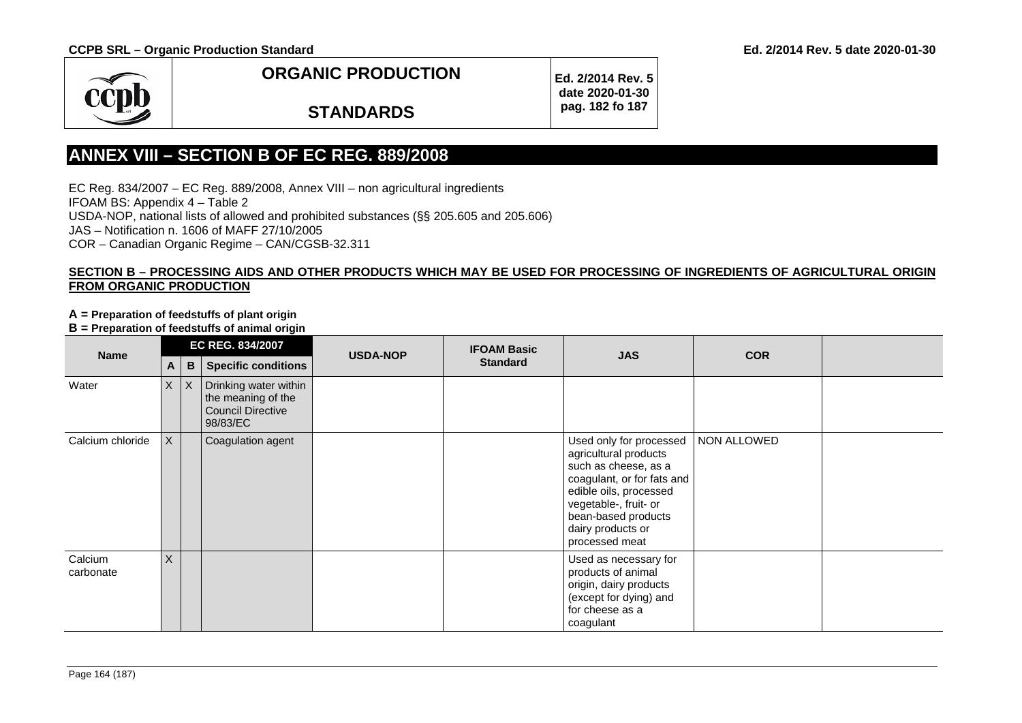

## **ORGANIC PRODUCTION**

**STANDARDS**

**Ed. 2/2014 Rev. 5 date 2020-01-30 pag. 182 fo 187** 

# **ANNEX VIII – SECTION B OF EC REG. 889/2008**

EC Reg. 834/2007 – EC Reg. 889/2008, Annex VIII – non agricultural ingredients IFOAM BS: Appendix 4 – Table 2 USDA-NOP, national lists of allowed and prohibited substances (§§ 205.605 and 205.606) JAS – Notification n. 1606 of MAFF 27/10/2005 COR – Canadian Organic Regime – CAN/CGSB-32.311

#### **SECTION B – PROCESSING AIDS AND OTHER PRODUCTS WHICH MAY BE USED FOR PROCESSING OF INGREDIENTS OF AGRICULTURAL ORIGIN FROM ORGANIC PRODUCTION**

#### **A = Preparation of feedstuffs of plant origin**

**B = Preparation of feedstuffs of animal origin**

| <b>Name</b>          |            |   | EC REG. 834/2007                                                                    | <b>USDA-NOP</b> | <b>IFOAM Basic</b> | <b>JAS</b>                                                                                                                                                                                                              | <b>COR</b>  |  |
|----------------------|------------|---|-------------------------------------------------------------------------------------|-----------------|--------------------|-------------------------------------------------------------------------------------------------------------------------------------------------------------------------------------------------------------------------|-------------|--|
|                      | A          | B | <b>Specific conditions</b>                                                          |                 | <b>Standard</b>    |                                                                                                                                                                                                                         |             |  |
| Water                | $X \mid X$ |   | Drinking water within<br>the meaning of the<br><b>Council Directive</b><br>98/83/EC |                 |                    |                                                                                                                                                                                                                         |             |  |
| Calcium chloride     | X          |   | Coagulation agent                                                                   |                 |                    | Used only for processed<br>agricultural products<br>such as cheese, as a<br>coagulant, or for fats and<br>edible oils, processed<br>vegetable-, fruit- or<br>bean-based products<br>dairy products or<br>processed meat | NON ALLOWED |  |
| Calcium<br>carbonate | X          |   |                                                                                     |                 |                    | Used as necessary for<br>products of animal<br>origin, dairy products<br>(except for dying) and<br>for cheese as a<br>coagulant                                                                                         |             |  |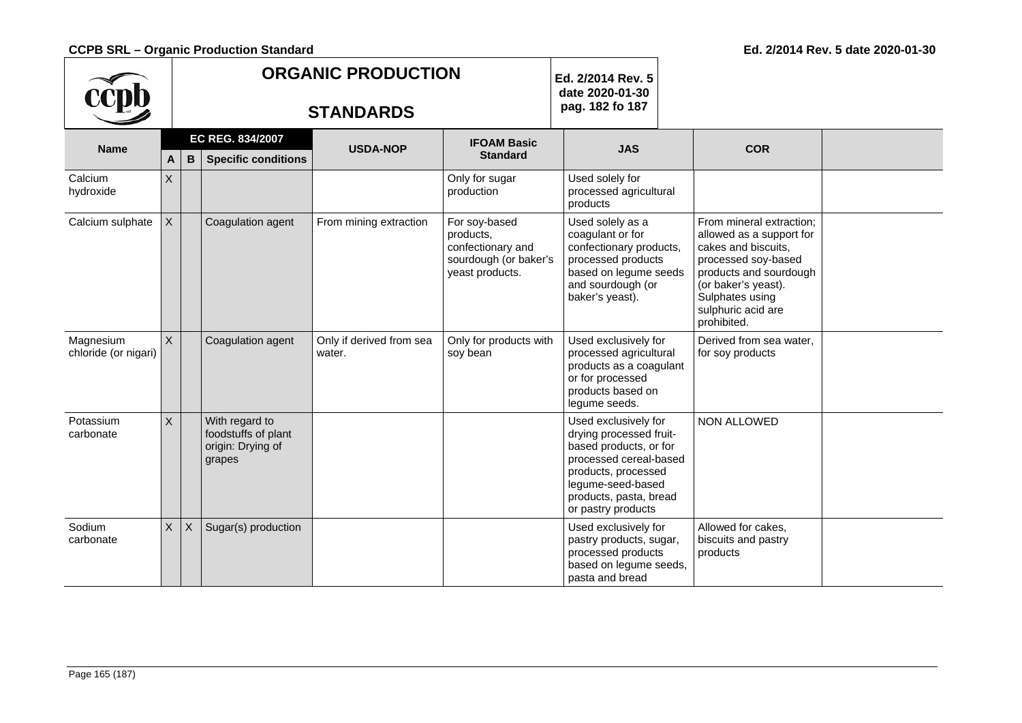# **CCPB SRL – Organic Production Standard Ed. 2/2014 Rev. 5 date 2020-01-30**

|                                   |              |             |                                                                      | <b>ORGANIC PRODUCTION</b><br><b>STANDARDS</b> | Ed. 2/2014 Rev. 5<br>date 2020-01-30<br>pag. 182 fo 187                                     |                                                                                                                                                                                                 |  |                                                                                                                                                                                                             |  |
|-----------------------------------|--------------|-------------|----------------------------------------------------------------------|-----------------------------------------------|---------------------------------------------------------------------------------------------|-------------------------------------------------------------------------------------------------------------------------------------------------------------------------------------------------|--|-------------------------------------------------------------------------------------------------------------------------------------------------------------------------------------------------------------|--|
| <b>Name</b>                       |              |             | EC REG. 834/2007                                                     | <b>IFOAM Basic</b><br><b>USDA-NOP</b>         |                                                                                             | <b>JAS</b>                                                                                                                                                                                      |  | <b>COR</b>                                                                                                                                                                                                  |  |
|                                   | A            | B           | <b>Specific conditions</b>                                           |                                               | <b>Standard</b>                                                                             |                                                                                                                                                                                                 |  |                                                                                                                                                                                                             |  |
| Calcium<br>hydroxide              | X            |             |                                                                      |                                               | Only for sugar<br>production                                                                | Used solely for<br>processed agricultural<br>products                                                                                                                                           |  |                                                                                                                                                                                                             |  |
| Calcium sulphate                  | X            |             | Coagulation agent                                                    | From mining extraction                        | For soy-based<br>products,<br>confectionary and<br>sourdough (or baker's<br>yeast products. | Used solely as a<br>coagulant or for<br>confectionary products,<br>processed products<br>based on legume seeds<br>and sourdough (or<br>baker's yeast).                                          |  | From mineral extraction;<br>allowed as a support for<br>cakes and biscuits,<br>processed soy-based<br>products and sourdough<br>(or baker's yeast).<br>Sulphates using<br>sulphuric acid are<br>prohibited. |  |
| Magnesium<br>chloride (or nigari) | $\mathsf{X}$ |             | Coagulation agent                                                    | Only if derived from sea<br>water.            | Only for products with<br>soy bean                                                          | Used exclusively for<br>processed agricultural<br>products as a coagulant<br>or for processed<br>products based on<br>legume seeds.                                                             |  | Derived from sea water.<br>for soy products                                                                                                                                                                 |  |
| Potassium<br>carbonate            | X            |             | With regard to<br>foodstuffs of plant<br>origin: Drying of<br>grapes |                                               |                                                                                             | Used exclusively for<br>drying processed fruit-<br>based products, or for<br>processed cereal-based<br>products, processed<br>legume-seed-based<br>products, pasta, bread<br>or pastry products |  | <b>NON ALLOWED</b>                                                                                                                                                                                          |  |
| Sodium<br>carbonate               | X            | $\mathsf X$ | Sugar(s) production                                                  |                                               |                                                                                             | Used exclusively for<br>pastry products, sugar,<br>processed products<br>based on legume seeds,                                                                                                 |  | Allowed for cakes,<br>biscuits and pastry<br>products                                                                                                                                                       |  |

pasta and bread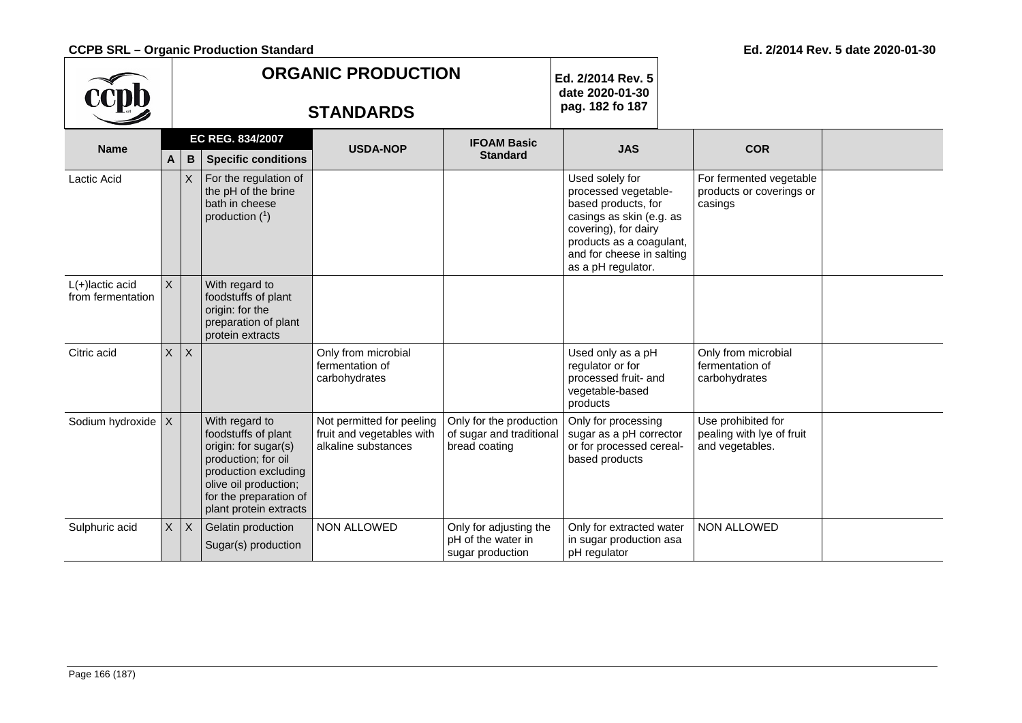|                                          |              |              |                                                                                                                                                                                           | <b>ORGANIC PRODUCTION</b><br><b>STANDARDS</b>                                 | Ed. 2/2014 Rev. 5<br>date 2020-01-30<br>pag. 182 fo 187              |                                                                                                                                                                                                   |                                                                    |  |
|------------------------------------------|--------------|--------------|-------------------------------------------------------------------------------------------------------------------------------------------------------------------------------------------|-------------------------------------------------------------------------------|----------------------------------------------------------------------|---------------------------------------------------------------------------------------------------------------------------------------------------------------------------------------------------|--------------------------------------------------------------------|--|
| <b>Name</b>                              |              |              | EC REG. 834/2007                                                                                                                                                                          | <b>USDA-NOP</b>                                                               | <b>IFOAM Basic</b>                                                   | <b>JAS</b>                                                                                                                                                                                        | <b>COR</b>                                                         |  |
|                                          | A            | $\, {\bf B}$ | <b>Specific conditions</b>                                                                                                                                                                |                                                                               | <b>Standard</b>                                                      |                                                                                                                                                                                                   |                                                                    |  |
| Lactic Acid                              |              | $\times$     | For the regulation of<br>the pH of the brine<br>bath in cheese<br>production $(1)$                                                                                                        |                                                                               |                                                                      | Used solely for<br>processed vegetable-<br>based products, for<br>casings as skin (e.g. as<br>covering), for dairy<br>products as a coagulant,<br>and for cheese in salting<br>as a pH regulator. | For fermented vegetable<br>products or coverings or<br>casings     |  |
| $L$ (+) lactic acid<br>from fermentation | X            |              | With regard to<br>foodstuffs of plant<br>origin: for the<br>preparation of plant<br>protein extracts                                                                                      |                                                                               |                                                                      |                                                                                                                                                                                                   |                                                                    |  |
| Citric acid                              | X            | $\mathsf{X}$ |                                                                                                                                                                                           | Only from microbial<br>fermentation of<br>carbohydrates                       |                                                                      | Used only as a pH<br>regulator or for<br>processed fruit- and<br>vegetable-based<br>products                                                                                                      | Only from microbial<br>fermentation of<br>carbohydrates            |  |
| Sodium hydroxide                         | $\mathsf{X}$ |              | With regard to<br>foodstuffs of plant<br>origin: for sugar(s)<br>production; for oil<br>production excluding<br>olive oil production;<br>for the preparation of<br>plant protein extracts | Not permitted for peeling<br>fruit and vegetables with<br>alkaline substances | Only for the production<br>of sugar and traditional<br>bread coating | Only for processing<br>sugar as a pH corrector<br>or for processed cereal-<br>based products                                                                                                      | Use prohibited for<br>pealing with lye of fruit<br>and vegetables. |  |
| Sulphuric acid                           | $X$   $X$    |              | Gelatin production<br>Sugar(s) production                                                                                                                                                 | <b>NON ALLOWED</b>                                                            | Only for adjusting the<br>pH of the water in<br>sugar production     | Only for extracted water<br>in sugar production asa<br>pH regulator                                                                                                                               | NON ALLOWED                                                        |  |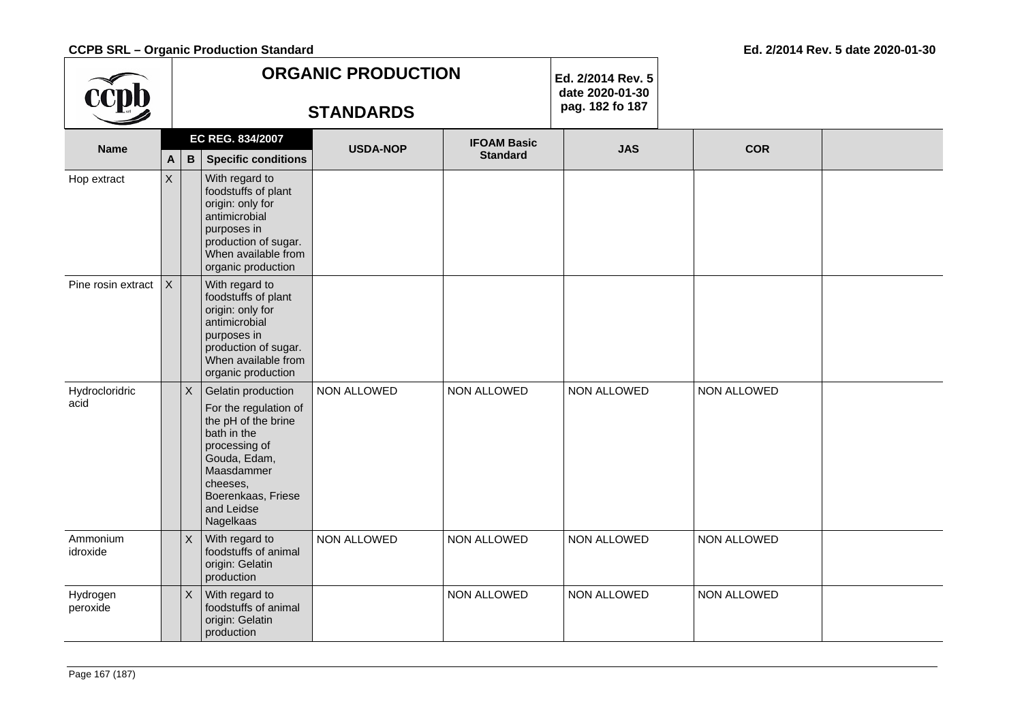|                        |              |                           |                                                                                                                                                                                               | <b>ORGANIC PRODUCTION</b> |                                       | Ed. 2/2014 Rev. 5<br>date 2020-01-30 |  |             |  |
|------------------------|--------------|---------------------------|-----------------------------------------------------------------------------------------------------------------------------------------------------------------------------------------------|---------------------------|---------------------------------------|--------------------------------------|--|-------------|--|
|                        |              |                           |                                                                                                                                                                                               | <b>STANDARDS</b>          | pag. 182 fo 187                       |                                      |  |             |  |
| <b>Name</b>            | $\mathsf{A}$ | $\, {\bf B} \,$           | EC REG. 834/2007<br><b>Specific conditions</b>                                                                                                                                                | <b>USDA-NOP</b>           | <b>IFOAM Basic</b><br><b>Standard</b> | <b>JAS</b>                           |  | <b>COR</b>  |  |
| Hop extract            | X            |                           | With regard to<br>foodstuffs of plant<br>origin: only for<br>antimicrobial<br>purposes in<br>production of sugar.<br>When available from<br>organic production                                |                           |                                       |                                      |  |             |  |
| Pine rosin extract     | $\mathsf{X}$ |                           | With regard to<br>foodstuffs of plant<br>origin: only for<br>antimicrobial<br>purposes in<br>production of sugar.<br>When available from<br>organic production                                |                           |                                       |                                      |  |             |  |
| Hydrocloridric<br>acid |              | $\mathsf X$               | Gelatin production<br>For the regulation of<br>the pH of the brine<br>bath in the<br>processing of<br>Gouda, Edam,<br>Maasdammer<br>cheeses.<br>Boerenkaas, Friese<br>and Leidse<br>Nagelkaas | NON ALLOWED               | NON ALLOWED                           | NON ALLOWED                          |  | NON ALLOWED |  |
| Ammonium<br>idroxide   |              | $\boldsymbol{\mathsf{X}}$ | With regard to<br>foodstuffs of animal<br>origin: Gelatin<br>production                                                                                                                       | NON ALLOWED               | NON ALLOWED                           | NON ALLOWED                          |  | NON ALLOWED |  |
| Hydrogen<br>peroxide   |              | X                         | With regard to<br>foodstuffs of animal<br>origin: Gelatin<br>production                                                                                                                       |                           | NON ALLOWED                           | <b>NON ALLOWED</b>                   |  | NON ALLOWED |  |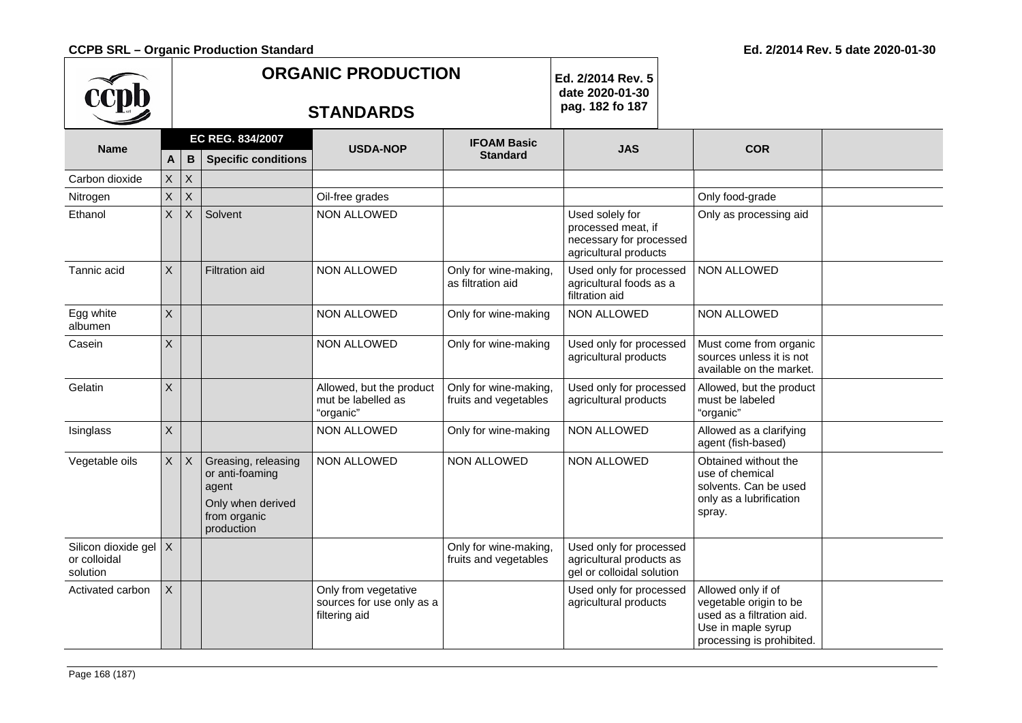# **CCPB SRL – Organic Production Standard Ed. 2/2014 Rev. 5 date 2020-01-30**

processing is prohibited.

|                                                 |                           |                           |                                                                                                    | <b>ORGANIC PRODUCTION</b><br><b>STANDARDS</b>                      |                                                |                                                                                           | Ed. 2/2014 Rev. 5<br>date 2020-01-30<br>pag. 182 fo 187 |                                                                                                       |  |
|-------------------------------------------------|---------------------------|---------------------------|----------------------------------------------------------------------------------------------------|--------------------------------------------------------------------|------------------------------------------------|-------------------------------------------------------------------------------------------|---------------------------------------------------------|-------------------------------------------------------------------------------------------------------|--|
| <b>Name</b>                                     |                           |                           | EC REG. 834/2007                                                                                   | <b>USDA-NOP</b>                                                    | <b>IFOAM Basic</b>                             | <b>JAS</b>                                                                                |                                                         | <b>COR</b>                                                                                            |  |
|                                                 | А                         | $\, {\bf B}$              | <b>Specific conditions</b>                                                                         |                                                                    | <b>Standard</b>                                |                                                                                           |                                                         |                                                                                                       |  |
| Carbon dioxide                                  | $\mathsf{X}$              | $\boldsymbol{\mathsf{X}}$ |                                                                                                    |                                                                    |                                                |                                                                                           |                                                         |                                                                                                       |  |
| Nitrogen                                        | $\boldsymbol{\mathsf{X}}$ | $\mathsf X$               |                                                                                                    | Oil-free grades                                                    |                                                |                                                                                           |                                                         | Only food-grade                                                                                       |  |
| Ethanol                                         | $\mathsf{X}$              | X                         | Solvent                                                                                            | NON ALLOWED                                                        |                                                | Used solely for<br>processed meat, if<br>necessary for processed<br>agricultural products |                                                         | Only as processing aid                                                                                |  |
| Tannic acid                                     | X                         |                           | <b>Filtration aid</b>                                                                              | NON ALLOWED                                                        | Only for wine-making,<br>as filtration aid     | Used only for processed<br>agricultural foods as a<br>filtration aid                      |                                                         | NON ALLOWED                                                                                           |  |
| Egg white<br>albumen                            | $\times$                  |                           |                                                                                                    | NON ALLOWED                                                        | Only for wine-making                           | <b>NON ALLOWED</b>                                                                        |                                                         | NON ALLOWED                                                                                           |  |
| Casein                                          | $\times$                  |                           |                                                                                                    | NON ALLOWED                                                        | Only for wine-making                           | Used only for processed<br>agricultural products                                          |                                                         | Must come from organic<br>sources unless it is not<br>available on the market.                        |  |
| Gelatin                                         | X                         |                           |                                                                                                    | Allowed, but the product<br>mut be labelled as<br>"organic"        | Only for wine-making,<br>fruits and vegetables | Used only for processed<br>agricultural products                                          |                                                         | Allowed, but the product<br>must be labeled<br>"organic"                                              |  |
| Isinglass                                       | X                         |                           |                                                                                                    | NON ALLOWED                                                        | Only for wine-making                           | NON ALLOWED                                                                               |                                                         | Allowed as a clarifying<br>agent (fish-based)                                                         |  |
| Vegetable oils                                  | $\mathsf X$               | X                         | Greasing, releasing<br>or anti-foaming<br>agent<br>Only when derived<br>from organic<br>production | NON ALLOWED                                                        | NON ALLOWED                                    | <b>NON ALLOWED</b>                                                                        |                                                         | Obtained without the<br>use of chemical<br>solvents. Can be used<br>only as a lubrification<br>spray. |  |
| Silicon dioxide gel<br>or colloidal<br>solution | $\mathsf{X}$              |                           |                                                                                                    |                                                                    | Only for wine-making,<br>fruits and vegetables | Used only for processed<br>agricultural products as<br>gel or colloidal solution          |                                                         |                                                                                                       |  |
| Activated carbon                                | X                         |                           |                                                                                                    | Only from vegetative<br>sources for use only as a<br>filtering aid |                                                | Used only for processed<br>agricultural products                                          |                                                         | Allowed only if of<br>vegetable origin to be<br>used as a filtration aid.<br>Use in maple syrup       |  |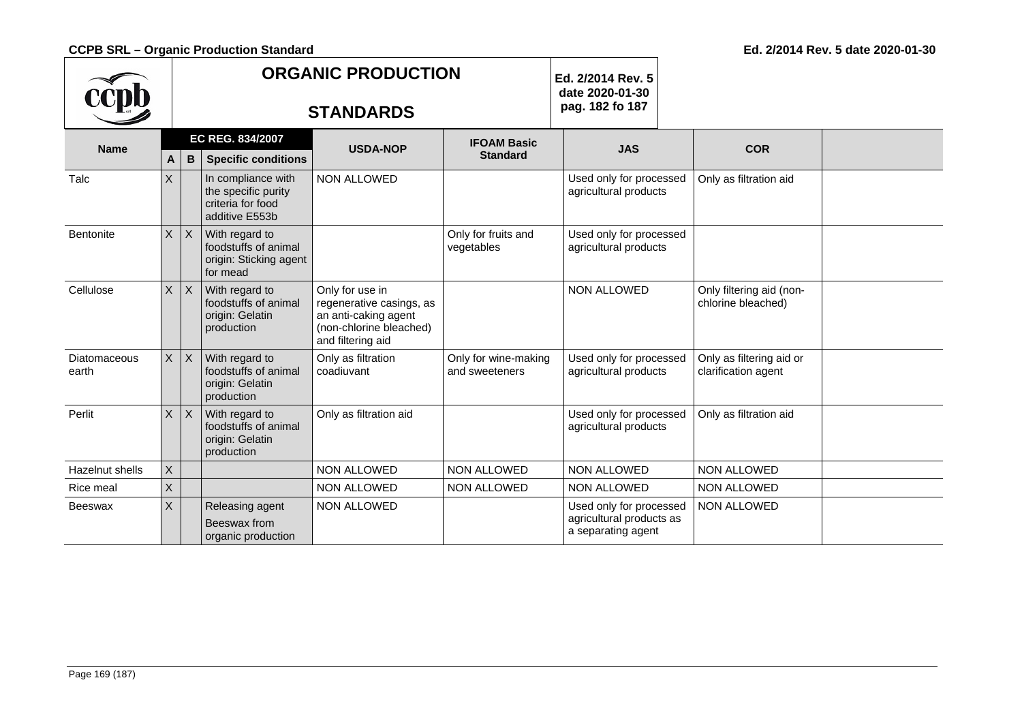|                              |                  |   |                                                                                  | <b>ORGANIC PRODUCTION</b>                                                                                           |                                        | Ed. 2/2014 Rev. 5<br>date 2020-01-30                                      | pag. 182 fo 187 |                                                 |  |  |  |
|------------------------------|------------------|---|----------------------------------------------------------------------------------|---------------------------------------------------------------------------------------------------------------------|----------------------------------------|---------------------------------------------------------------------------|-----------------|-------------------------------------------------|--|--|--|
|                              |                  |   |                                                                                  | <b>STANDARDS</b>                                                                                                    |                                        |                                                                           |                 |                                                 |  |  |  |
| <b>Name</b>                  | EC REG. 834/2007 |   |                                                                                  | <b>USDA-NOP</b>                                                                                                     | <b>IFOAM Basic</b>                     | <b>JAS</b>                                                                |                 | <b>COR</b>                                      |  |  |  |
|                              | A                | B | <b>Specific conditions</b>                                                       |                                                                                                                     | <b>Standard</b>                        |                                                                           |                 |                                                 |  |  |  |
| Talc                         | X                |   | In compliance with<br>the specific purity<br>criteria for food<br>additive E553b | NON ALLOWED                                                                                                         |                                        | Used only for processed<br>agricultural products                          |                 | Only as filtration aid                          |  |  |  |
| Bentonite                    | $X$   $X$        |   | With regard to<br>foodstuffs of animal<br>origin: Sticking agent<br>for mead     |                                                                                                                     | Only for fruits and<br>vegetables      | Used only for processed<br>agricultural products                          |                 |                                                 |  |  |  |
| Cellulose                    | $X \mid X$       |   | With regard to<br>foodstuffs of animal<br>origin: Gelatin<br>production          | Only for use in<br>regenerative casings, as<br>an anti-caking agent<br>(non-chlorine bleached)<br>and filtering aid |                                        | NON ALLOWED                                                               |                 | Only filtering aid (non-<br>chlorine bleached)  |  |  |  |
| <b>Diatomaceous</b><br>earth | $X \mid X$       |   | With regard to<br>foodstuffs of animal<br>origin: Gelatin<br>production          | Only as filtration<br>coadiuvant                                                                                    | Only for wine-making<br>and sweeteners | Used only for processed<br>agricultural products                          |                 | Only as filtering aid or<br>clarification agent |  |  |  |
| Perlit                       | $X$   $X$        |   | With regard to<br>foodstuffs of animal<br>origin: Gelatin<br>production          | Only as filtration aid                                                                                              |                                        | Used only for processed<br>agricultural products                          |                 | Only as filtration aid                          |  |  |  |
| Hazelnut shells              | X.               |   |                                                                                  | <b>NON ALLOWED</b>                                                                                                  | NON ALLOWED                            | NON ALLOWED                                                               |                 | NON ALLOWED                                     |  |  |  |
| Rice meal                    | X                |   |                                                                                  | NON ALLOWED                                                                                                         | NON ALLOWED                            | NON ALLOWED                                                               |                 | NON ALLOWED                                     |  |  |  |
| <b>Beeswax</b>               | X                |   | Releasing agent<br>Beeswax from<br>organic production                            | <b>NON ALLOWED</b>                                                                                                  |                                        | Used only for processed<br>agricultural products as<br>a separating agent |                 | NON ALLOWED                                     |  |  |  |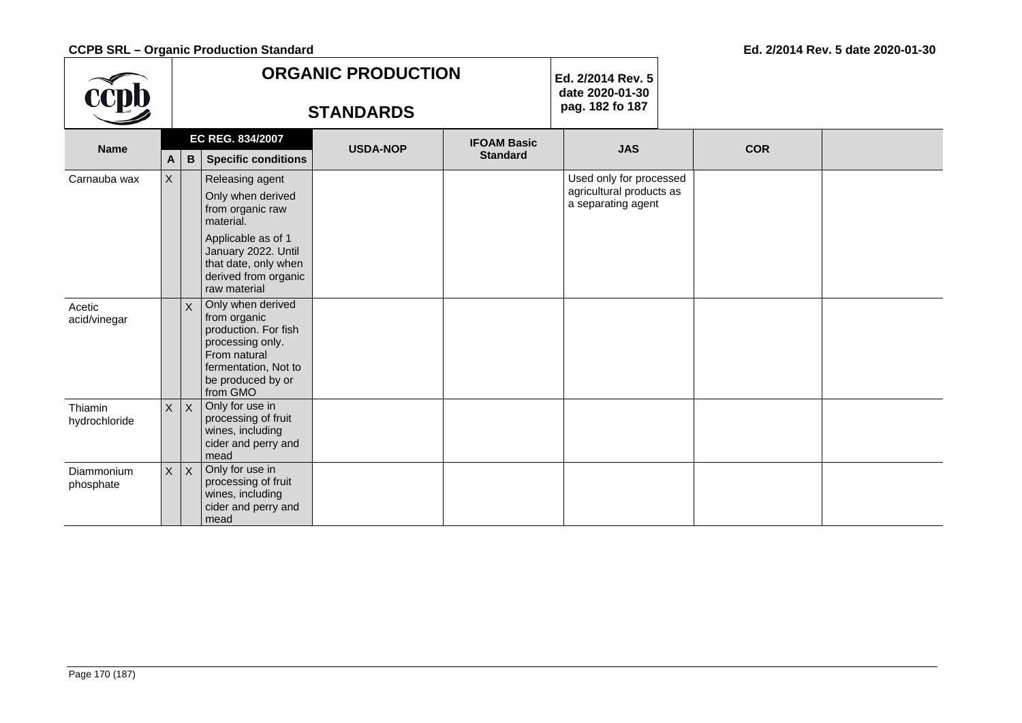|                          |            |            |                                                                                                                                                        | <b>ORGANIC PRODUCTION</b><br><b>STANDARDS</b> | Ed. 2/2014 Rev. 5<br>date 2020-01-30<br>pag. 182 fo 187 |                                                |            |  |
|--------------------------|------------|------------|--------------------------------------------------------------------------------------------------------------------------------------------------------|-----------------------------------------------|---------------------------------------------------------|------------------------------------------------|------------|--|
| <b>Name</b>              |            |            | EC REG. 834/2007                                                                                                                                       | <b>USDA-NOP</b>                               |                                                         | <b>JAS</b>                                     | <b>COR</b> |  |
|                          | A          | B          | <b>Specific conditions</b>                                                                                                                             |                                               | <b>Standard</b>                                         |                                                |            |  |
| Carnauba wax             | X          |            | Releasing agent                                                                                                                                        |                                               |                                                         | Used only for processed                        |            |  |
|                          |            |            | Only when derived<br>from organic raw<br>material.                                                                                                     |                                               |                                                         | agricultural products as<br>a separating agent |            |  |
|                          |            |            | Applicable as of 1<br>January 2022. Until<br>that date, only when<br>derived from organic<br>raw material                                              |                                               |                                                         |                                                |            |  |
| Acetic<br>acid/vinegar   |            | X          | Only when derived<br>from organic<br>production. For fish<br>processing only.<br>From natural<br>fermentation, Not to<br>be produced by or<br>from GMO |                                               |                                                         |                                                |            |  |
| Thiamin<br>hydrochloride |            | $x \mid x$ | Only for use in<br>processing of fruit<br>wines, including<br>cider and perry and<br>mead                                                              |                                               |                                                         |                                                |            |  |
| Diammonium<br>phosphate  | $x \mid x$ |            | Only for use in<br>processing of fruit<br>wines, including<br>cider and perry and<br>mead                                                              |                                               |                                                         |                                                |            |  |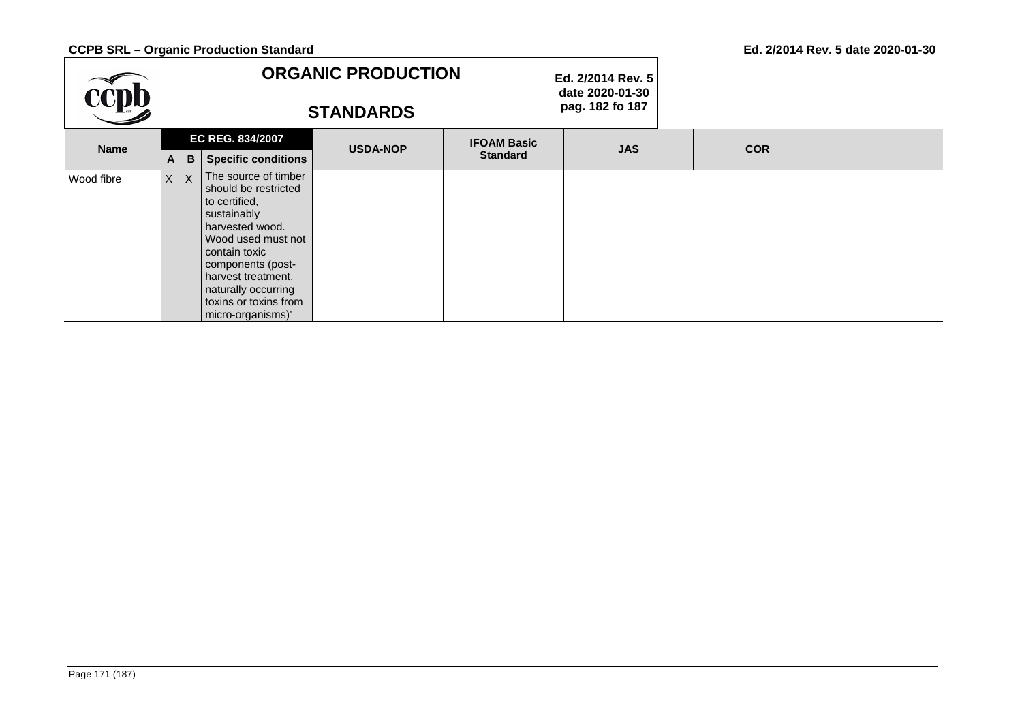|             |              |   |                                                                                                                                                                                                                                                        | <b>ORGANIC PRODUCTION</b> | Ed. 2/2014 Rev. 5<br>date 2020-01-30 |            |            |  |
|-------------|--------------|---|--------------------------------------------------------------------------------------------------------------------------------------------------------------------------------------------------------------------------------------------------------|---------------------------|--------------------------------------|------------|------------|--|
| cchn        |              |   |                                                                                                                                                                                                                                                        | <b>STANDARDS</b>          | pag. 182 fo 187                      |            |            |  |
| <b>Name</b> |              |   | EC REG. 834/2007                                                                                                                                                                                                                                       | <b>USDA-NOP</b>           | <b>IFOAM Basic</b>                   | <b>JAS</b> | <b>COR</b> |  |
|             | A            | B | <b>Specific conditions</b>                                                                                                                                                                                                                             |                           | <b>Standard</b>                      |            |            |  |
| Wood fibre  | $\mathsf{X}$ | X | The source of timber<br>should be restricted<br>to certified,<br>sustainably<br>harvested wood.<br>Wood used must not<br>contain toxic<br>components (post-<br>harvest treatment,<br>naturally occurring<br>toxins or toxins from<br>micro-organisms)' |                           |                                      |            |            |  |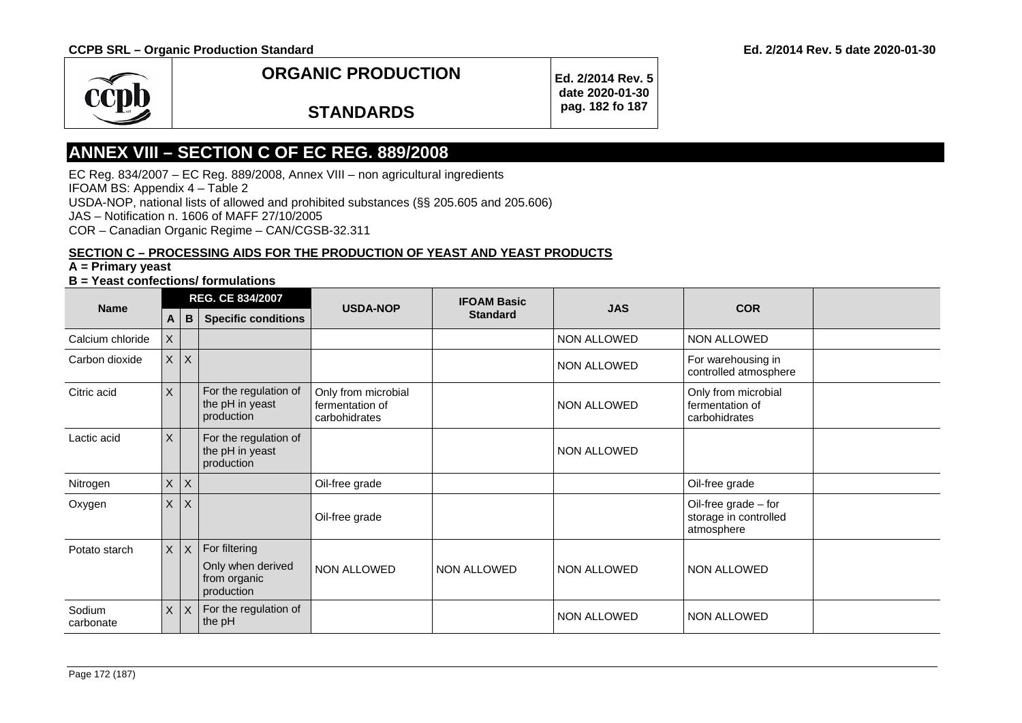

## **ORGANIC PRODUCTION**

**Ed. 2/2014 Rev. 5 date 2020-01-30 pag. 182 fo 187** 

# **STANDARDS**

# **ANNEX VIII – SECTION C OF EC REG. 889/2008**

EC Reg. 834/2007 – EC Reg. 889/2008, Annex VIII – non agricultural ingredients

IFOAM BS: Appendix 4 – Table 2

USDA-NOP, national lists of allowed and prohibited substances (§§ 205.605 and 205.606)

JAS – Notification n. 1606 of MAFF 27/10/2005

COR – Canadian Organic Regime – CAN/CGSB-32.311

#### **SECTION C – PROCESSING AIDS FOR THE PRODUCTION OF YEAST AND YEAST PRODUCTS**

#### **A = Primary yeast**

**B = Yeast confections/ formulations**

| <b>Name</b>         |              |              | <b>REG. CE 834/2007</b>                                | <b>USDA-NOP</b>                                         | <b>IFOAM Basic</b> | <b>JAS</b>  | <b>COR</b>                                                    |  |
|---------------------|--------------|--------------|--------------------------------------------------------|---------------------------------------------------------|--------------------|-------------|---------------------------------------------------------------|--|
|                     | $\mathsf{A}$ | B            | <b>Specific conditions</b>                             |                                                         | <b>Standard</b>    |             |                                                               |  |
| Calcium chloride    | X            |              |                                                        |                                                         |                    | NON ALLOWED | NON ALLOWED                                                   |  |
| Carbon dioxide      |              | $X$ $X$      |                                                        |                                                         |                    | NON ALLOWED | For warehousing in<br>controlled atmosphere                   |  |
| Citric acid         | $\mathsf{X}$ |              | For the regulation of<br>the pH in yeast<br>production | Only from microbial<br>fermentation of<br>carbohidrates |                    | NON ALLOWED | Only from microbial<br>fermentation of<br>carbohidrates       |  |
| Lactic acid         | X            |              | For the regulation of<br>the pH in yeast<br>production |                                                         |                    | NON ALLOWED |                                                               |  |
| Nitrogen            | $X$ $X$      |              |                                                        | Oil-free grade                                          |                    |             | Oil-free grade                                                |  |
| Oxygen              | X            | $\mathsf{X}$ |                                                        | Oil-free grade                                          |                    |             | Oil-free grade $-$ for<br>storage in controlled<br>atmosphere |  |
| Potato starch       | $X$   $X$    |              | For filtering                                          |                                                         |                    |             |                                                               |  |
|                     |              |              | Only when derived<br>from organic<br>production        | NON ALLOWED                                             | NON ALLOWED        | NON ALLOWED | <b>NON ALLOWED</b>                                            |  |
| Sodium<br>carbonate | $X$ $X$      |              | For the regulation of<br>the pH                        |                                                         |                    | NON ALLOWED | NON ALLOWED                                                   |  |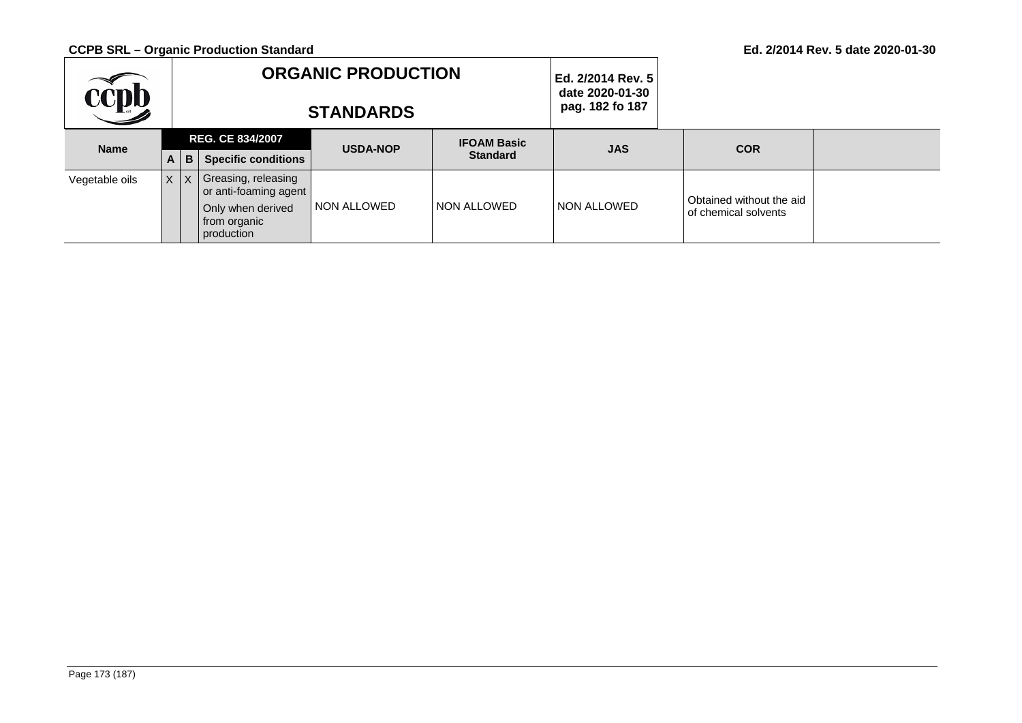| ccpb           |         | <b>ORGANIC PRODUCTION</b><br><b>STANDARDS</b> |                                                                                                 |                 |                                       | Ed. 2/2014 Rev. 5<br>date 2020-01-30<br>pag. 182 fo 187 |                                                  |  |
|----------------|---------|-----------------------------------------------|-------------------------------------------------------------------------------------------------|-----------------|---------------------------------------|---------------------------------------------------------|--------------------------------------------------|--|
| <b>Name</b>    |         | $A \mid B$                                    | <b>REG. CE 834/2007</b><br><b>Specific conditions</b>                                           | <b>USDA-NOP</b> | <b>IFOAM Basic</b><br><b>Standard</b> | <b>JAS</b>                                              | <b>COR</b>                                       |  |
| Vegetable oils | $X$ $X$ |                                               | Greasing, releasing<br>or anti-foaming agent<br>Only when derived<br>from organic<br>production | NON ALLOWED     | NON ALLOWED                           | NON ALLOWED                                             | Obtained without the aid<br>of chemical solvents |  |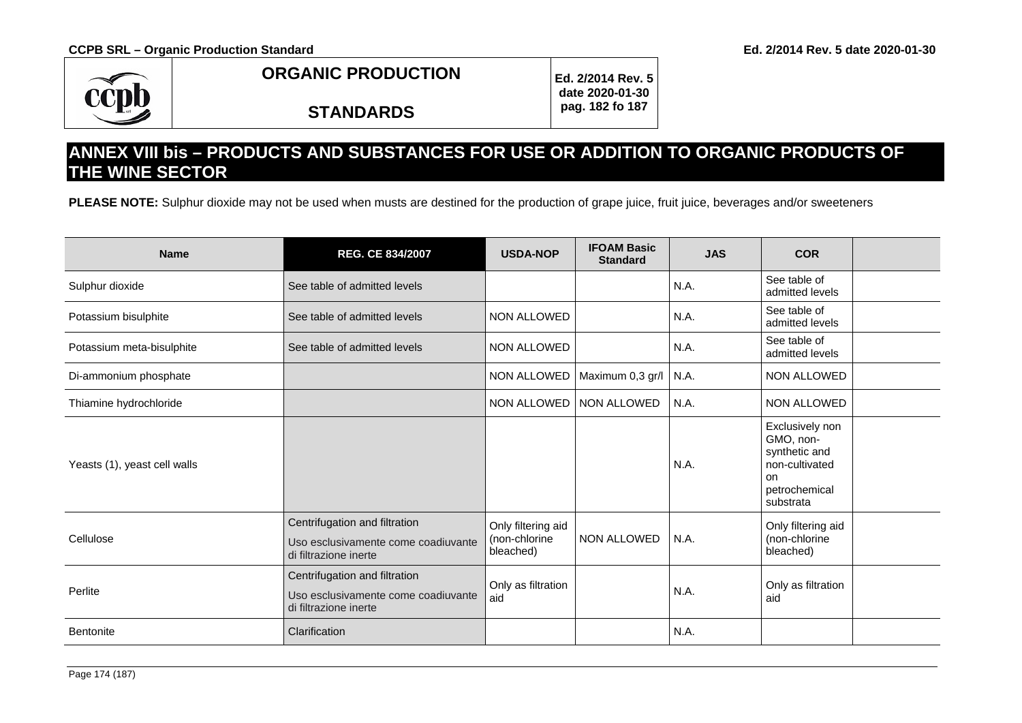

# **ORGANIC PRODUCTION**

**STANDARDS**

**Ed. 2/2014 Rev. 5 date 2020-01-30 pag. 182 fo 187** 

## **ANNEX VIII bis – PRODUCTS AND SUBSTANCES FOR USE OR ADDITION TO ORGANIC PRODUCTS OF THE WINE SECTOR**

**PLEASE NOTE:** Sulphur dioxide may not be used when musts are destined for the production of grape juice, fruit juice, beverages and/or sweeteners

| <b>Name</b>                  | REG. CE 834/2007                                                                              | <b>USDA-NOP</b>                                  | <b>IFOAM Basic</b><br><b>Standard</b> | <b>JAS</b> | <b>COR</b>                                                                                           |  |
|------------------------------|-----------------------------------------------------------------------------------------------|--------------------------------------------------|---------------------------------------|------------|------------------------------------------------------------------------------------------------------|--|
| Sulphur dioxide              | See table of admitted levels                                                                  |                                                  |                                       | N.A.       | See table of<br>admitted levels                                                                      |  |
| Potassium bisulphite         | See table of admitted levels                                                                  | <b>NON ALLOWED</b>                               |                                       | N.A.       | See table of<br>admitted levels                                                                      |  |
| Potassium meta-bisulphite    | See table of admitted levels                                                                  | NON ALLOWED                                      |                                       | N.A.       | See table of<br>admitted levels                                                                      |  |
| Di-ammonium phosphate        |                                                                                               | NON ALLOWED                                      | Maximum 0,3 gr/l                      | N.A.       | NON ALLOWED                                                                                          |  |
| Thiamine hydrochloride       |                                                                                               | <b>NON ALLOWED</b>                               | <b>NON ALLOWED</b>                    | N.A.       | NON ALLOWED                                                                                          |  |
| Yeasts (1), yeast cell walls |                                                                                               |                                                  |                                       | N.A.       | Exclusively non<br>GMO, non-<br>synthetic and<br>non-cultivated<br>on.<br>petrochemical<br>substrata |  |
| Cellulose                    | Centrifugation and filtration<br>Uso esclusivamente come coadiuvante<br>di filtrazione inerte | Only filtering aid<br>(non-chlorine<br>bleached) | <b>NON ALLOWED</b>                    | N.A.       | Only filtering aid<br>(non-chlorine<br>bleached)                                                     |  |
| Perlite                      | Centrifugation and filtration<br>Uso esclusivamente come coadiuvante<br>di filtrazione inerte | Only as filtration<br>aid                        |                                       | N.A.       | Only as filtration<br>aid                                                                            |  |
| <b>Bentonite</b>             | Clarification                                                                                 |                                                  |                                       | N.A.       |                                                                                                      |  |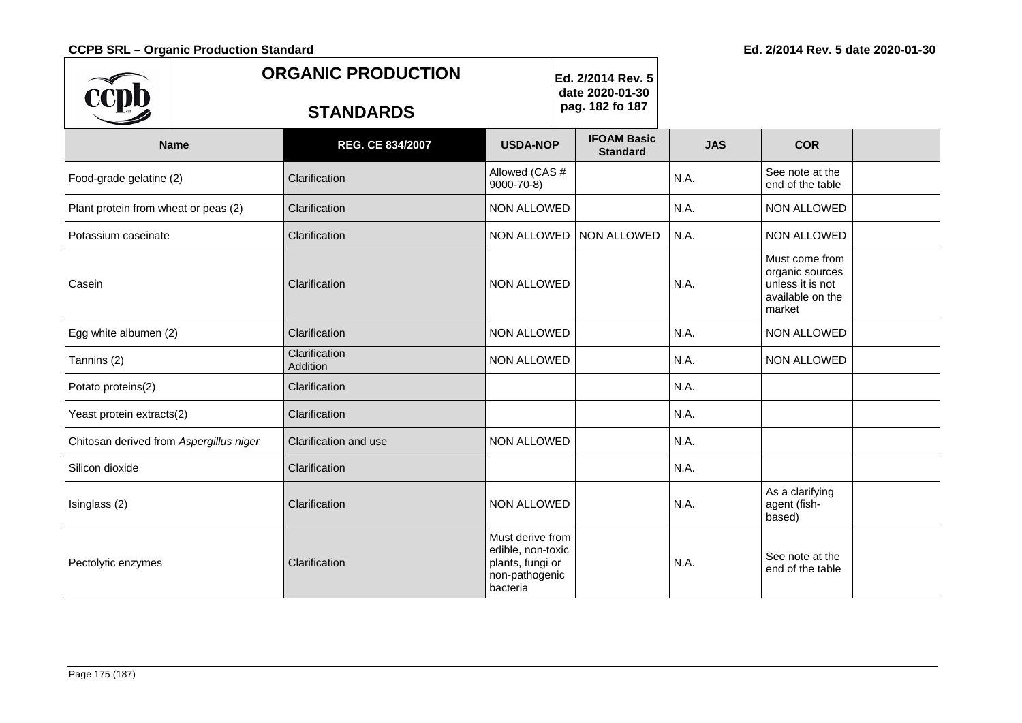|                                         |             | <b>ORGANIC PRODUCTION</b> |                                                                                         |             | Ed. 2/2014 Rev. 5<br>date 2020-01-30  |            |                                                                                     |  |
|-----------------------------------------|-------------|---------------------------|-----------------------------------------------------------------------------------------|-------------|---------------------------------------|------------|-------------------------------------------------------------------------------------|--|
|                                         |             | <b>STANDARDS</b>          |                                                                                         |             | pag. 182 fo 187                       |            |                                                                                     |  |
|                                         | <b>Name</b> | REG. CE 834/2007          | <b>USDA-NOP</b>                                                                         |             | <b>IFOAM Basic</b><br><b>Standard</b> | <b>JAS</b> | <b>COR</b>                                                                          |  |
| Food-grade gelatine (2)                 |             | Clarification             | Allowed (CAS #<br>$9000 - 70 - 8$                                                       |             |                                       | N.A.       | See note at the<br>end of the table                                                 |  |
| Plant protein from wheat or peas (2)    |             | Clarification             | <b>NON ALLOWED</b>                                                                      |             |                                       | N.A.       | NON ALLOWED                                                                         |  |
| Potassium caseinate                     |             | Clarification             | NON ALLOWED                                                                             |             | NON ALLOWED                           | N.A.       | NON ALLOWED                                                                         |  |
| Casein                                  |             | Clarification             | NON ALLOWED                                                                             |             |                                       | N.A.       | Must come from<br>organic sources<br>unless it is not<br>available on the<br>market |  |
| Egg white albumen (2)                   |             | Clarification             |                                                                                         | NON ALLOWED |                                       | N.A.       | NON ALLOWED                                                                         |  |
| Tannins (2)                             |             | Clarification<br>Addition | <b>NON ALLOWED</b>                                                                      |             |                                       | N.A.       | NON ALLOWED                                                                         |  |
| Potato proteins(2)                      |             | Clarification             |                                                                                         |             |                                       | N.A.       |                                                                                     |  |
| Yeast protein extracts(2)               |             | Clarification             |                                                                                         |             |                                       | N.A.       |                                                                                     |  |
| Chitosan derived from Aspergillus niger |             | Clarification and use     | <b>NON ALLOWED</b>                                                                      |             |                                       | N.A.       |                                                                                     |  |
| Silicon dioxide                         |             | Clarification             |                                                                                         |             |                                       | N.A.       |                                                                                     |  |
| Isinglass (2)                           |             | Clarification             | <b>NON ALLOWED</b>                                                                      |             |                                       | N.A.       | As a clarifying<br>agent (fish-<br>based)                                           |  |
| Pectolytic enzymes                      |             | Clarification             | Must derive from<br>edible, non-toxic<br>plants, fungi or<br>non-pathogenic<br>bacteria |             |                                       | N.A.       | See note at the<br>end of the table                                                 |  |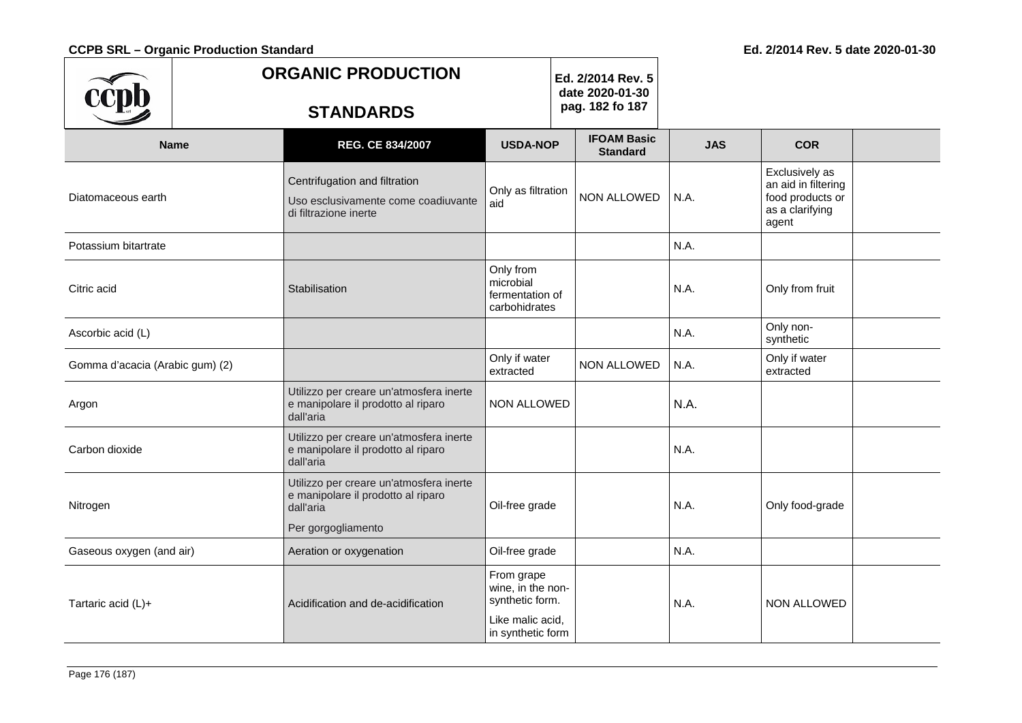|                                 |             | <b>ORGANIC PRODUCTION</b>                                                                     |                                                                                             |  | Ed. 2/2014 Rev. 5<br>date 2020-01-30  |      |            |                                                                                       |  |
|---------------------------------|-------------|-----------------------------------------------------------------------------------------------|---------------------------------------------------------------------------------------------|--|---------------------------------------|------|------------|---------------------------------------------------------------------------------------|--|
|                                 |             | <b>STANDARDS</b>                                                                              |                                                                                             |  | pag. 182 fo 187                       |      |            |                                                                                       |  |
|                                 | <b>Name</b> | REG. CE 834/2007                                                                              | <b>USDA-NOP</b>                                                                             |  | <b>IFOAM Basic</b><br><b>Standard</b> |      | <b>JAS</b> | <b>COR</b>                                                                            |  |
| Diatomaceous earth              |             | Centrifugation and filtration<br>Uso esclusivamente come coadiuvante<br>di filtrazione inerte | Only as filtration<br>aid                                                                   |  | NON ALLOWED                           | N.A. |            | Exclusively as<br>an aid in filtering<br>food products or<br>as a clarifying<br>agent |  |
| Potassium bitartrate            |             |                                                                                               |                                                                                             |  |                                       | N.A. |            |                                                                                       |  |
| Citric acid                     |             | Stabilisation                                                                                 | Only from<br>microbial<br>fermentation of<br>carbohidrates                                  |  |                                       | N.A. |            | Only from fruit                                                                       |  |
| Ascorbic acid (L)               |             |                                                                                               |                                                                                             |  |                                       | N.A. |            | Only non-<br>synthetic                                                                |  |
| Gomma d'acacia (Arabic gum) (2) |             |                                                                                               | Only if water<br>extracted                                                                  |  | NON ALLOWED                           | N.A. |            | Only if water<br>extracted                                                            |  |
| Argon                           |             | Utilizzo per creare un'atmosfera inerte<br>e manipolare il prodotto al riparo<br>dall'aria    | NON ALLOWED                                                                                 |  |                                       | N.A. |            |                                                                                       |  |
| Carbon dioxide                  |             | Utilizzo per creare un'atmosfera inerte<br>e manipolare il prodotto al riparo<br>dall'aria    |                                                                                             |  |                                       | N.A. |            |                                                                                       |  |
| Nitrogen                        |             | Utilizzo per creare un'atmosfera inerte<br>e manipolare il prodotto al riparo<br>dall'aria    | Oil-free grade                                                                              |  |                                       | N.A. |            | Only food-grade                                                                       |  |
|                                 |             | Per gorgogliamento                                                                            |                                                                                             |  |                                       |      |            |                                                                                       |  |
| Gaseous oxygen (and air)        |             | Aeration or oxygenation                                                                       | Oil-free grade                                                                              |  |                                       | N.A. |            |                                                                                       |  |
| Tartaric acid (L)+              |             | Acidification and de-acidification                                                            | From grape<br>wine, in the non-<br>synthetic form.<br>Like malic acid,<br>in synthetic form |  |                                       | N.A. |            | NON ALLOWED                                                                           |  |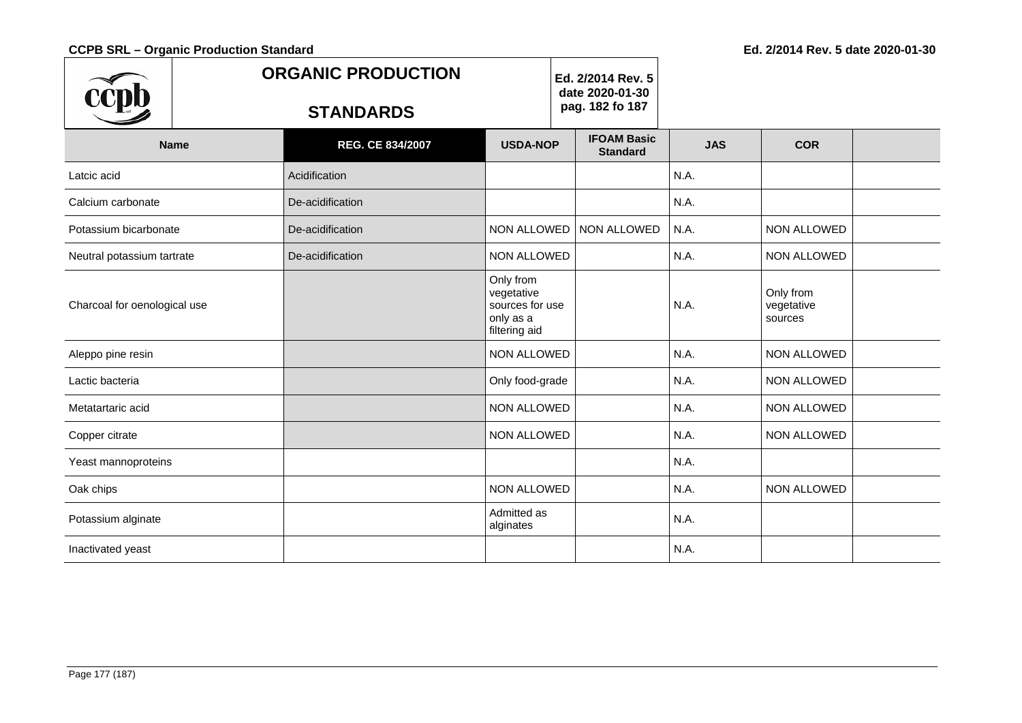|                              |             | <b>ORGANIC PRODUCTION</b> |                                                                          | Ed. 2/2014 Rev. 5<br>date 2020-01-30  |            |                                    |  |
|------------------------------|-------------|---------------------------|--------------------------------------------------------------------------|---------------------------------------|------------|------------------------------------|--|
|                              |             | <b>STANDARDS</b>          |                                                                          | pag. 182 fo 187                       |            |                                    |  |
|                              | <b>Name</b> | <b>REG. CE 834/2007</b>   | <b>USDA-NOP</b>                                                          | <b>IFOAM Basic</b><br><b>Standard</b> | <b>JAS</b> | <b>COR</b>                         |  |
| Latcic acid                  |             | Acidification             |                                                                          |                                       | N.A.       |                                    |  |
| Calcium carbonate            |             | De-acidification          |                                                                          |                                       | N.A.       |                                    |  |
| Potassium bicarbonate        |             | De-acidification          | NON ALLOWED                                                              | NON ALLOWED                           | N.A.       | NON ALLOWED                        |  |
| Neutral potassium tartrate   |             | De-acidification          | NON ALLOWED                                                              |                                       | N.A.       | NON ALLOWED                        |  |
| Charcoal for oenological use |             |                           | Only from<br>vegetative<br>sources for use<br>only as a<br>filtering aid |                                       | N.A.       | Only from<br>vegetative<br>sources |  |
| Aleppo pine resin            |             |                           | NON ALLOWED                                                              |                                       | N.A.       | NON ALLOWED                        |  |
| Lactic bacteria              |             |                           | Only food-grade                                                          |                                       | N.A.       | NON ALLOWED                        |  |
| Metatartaric acid            |             |                           | NON ALLOWED                                                              |                                       | N.A.       | NON ALLOWED                        |  |
| Copper citrate               |             |                           | NON ALLOWED                                                              |                                       | N.A.       | NON ALLOWED                        |  |
| Yeast mannoproteins          |             |                           |                                                                          |                                       | N.A.       |                                    |  |
| Oak chips                    |             |                           | NON ALLOWED                                                              |                                       | N.A.       | NON ALLOWED                        |  |
| Potassium alginate           |             |                           | Admitted as<br>alginates                                                 |                                       | N.A.       |                                    |  |
| Inactivated yeast            |             |                           |                                                                          |                                       | N.A.       |                                    |  |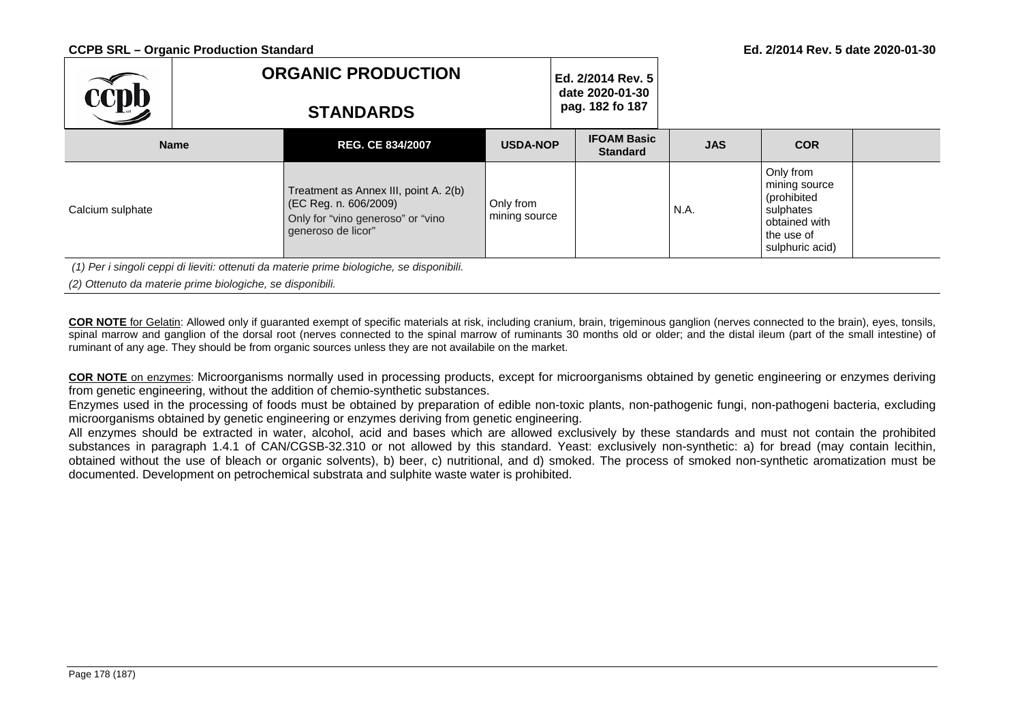#### **CCPB SRL – Organic Production Standard Ed. 2/2014 Rev. 5 date 2020-01-30**

|                  |             | <b>ORGANIC PRODUCTION</b>                                                                                                 |                            | Ed. 2/2014 Rev. 5<br>date 2020-01-30  |            |                                                                                                          |
|------------------|-------------|---------------------------------------------------------------------------------------------------------------------------|----------------------------|---------------------------------------|------------|----------------------------------------------------------------------------------------------------------|
| ccpb             |             | <b>STANDARDS</b>                                                                                                          |                            | pag. 182 fo 187                       |            |                                                                                                          |
|                  | <b>Name</b> | <b>REG. CE 834/2007</b>                                                                                                   | <b>USDA-NOP</b>            | <b>IFOAM Basic</b><br><b>Standard</b> | <b>JAS</b> | <b>COR</b>                                                                                               |
| Calcium sulphate |             | Treatment as Annex III, point A. 2(b)<br>(EC Reg. n. 606/2009)<br>Only for "vino generoso" or "vino<br>generoso de licor" | Only from<br>mining source |                                       | N.A.       | Only from<br>mining source<br>(prohibited<br>sulphates<br>obtained with<br>the use of<br>sulphuric acid) |

 *(1) Per i singoli ceppi di lieviti: ottenuti da materie prime biologiche, se disponibili.* 

*(2) Ottenuto da materie prime biologiche, se disponibili.* 

COR NOTE for Gelatin: Allowed only if guaranted exempt of specific materials at risk, including cranium, brain, trigeminous ganglion (nerves connected to the brain), eyes, tonsils, spinal marrow and ganglion of the dorsal root (nerves connected to the spinal marrow of ruminants 30 months old or older; and the distal ileum (part of the small intestine) of ruminant of any age. They should be from organic sources unless they are not availabile on the market.

**COR NOTE** on enzymes: Microorganisms normally used in processing products, except for microorganisms obtained by genetic engineering or enzymes deriving from genetic engineering, without the addition of chemio-synthetic substances.

Enzymes used in the processing of foods must be obtained by preparation of edible non-toxic plants, non-pathogenic fungi, non-pathogeni bacteria, excluding microorganisms obtained by genetic engineering or enzymes deriving from genetic engineering.

All enzymes should be extracted in water, alcohol, acid and bases which are allowed exclusively by these standards and must not contain the prohibited substances in paragraph 1.4.1 of CAN/CGSB-32.310 or not allowed by this standard. Yeast: exclusively non-synthetic: a) for bread (may contain lecithin, obtained without the use of bleach or organic solvents), b) beer, c) nutritional, and d) smoked. The process of smoked non-synthetic aromatization must be documented. Development on petrochemical substrata and sulphite waste water is prohibited.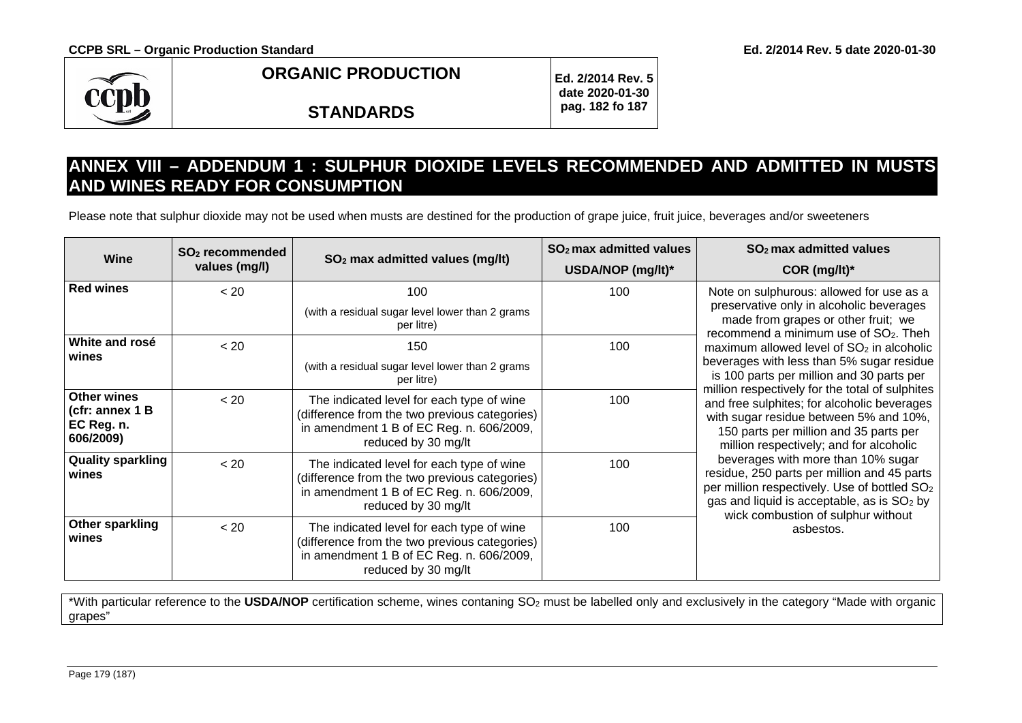

## **ORGANIC PRODUCTION**

**STANDARDS**

**Ed. 2/2014 Rev. 5 date 2020-01-30 pag. 182 fo 187** 

# **ANNEX VIII – ADDENDUM 1 : SULPHUR DIOXIDE LEVELS RECOMMENDED AND ADMITTED IN MUSTS**

# **AND WINES READY FOR CONSUMPTION**

Please note that sulphur dioxide may not be used when musts are destined for the production of grape juice, fruit juice, beverages and/or sweeteners

| Wine                                                      | SO <sub>2</sub> recommended<br>values (mg/l) | SO <sub>2</sub> max admitted values (mg/lt)                                                                                                                   | SO <sub>2</sub> max admitted values | SO <sub>2</sub> max admitted values                                                                                                                                                                                                           |
|-----------------------------------------------------------|----------------------------------------------|---------------------------------------------------------------------------------------------------------------------------------------------------------------|-------------------------------------|-----------------------------------------------------------------------------------------------------------------------------------------------------------------------------------------------------------------------------------------------|
|                                                           |                                              |                                                                                                                                                               | USDA/NOP (mg/lt)*                   | COR (mg/lt) $*$                                                                                                                                                                                                                               |
| <b>Red wines</b>                                          | < 20                                         | 100<br>(with a residual sugar level lower than 2 grams<br>per litre)                                                                                          | 100                                 | Note on sulphurous: allowed for use as a<br>preservative only in alcoholic beverages<br>made from grapes or other fruit; we<br>recommend a minimum use of SO <sub>2</sub> . Theh                                                              |
| White and rosé<br>wines                                   | ~120                                         | 150<br>(with a residual sugar level lower than 2 grams<br>per litre)                                                                                          | 100                                 | maximum allowed level of $SO2$ in alcoholic<br>beverages with less than 5% sugar residue<br>is 100 parts per million and 30 parts per<br>million respectively for the total of sulphites                                                      |
| Other wines<br>(cfr: annex 1 B<br>EC Reg. n.<br>606/2009) | < 20                                         | The indicated level for each type of wine<br>(difference from the two previous categories)<br>in amendment 1 B of EC Reg. n. 606/2009,<br>reduced by 30 mg/lt | 100                                 | and free sulphites; for alcoholic beverages<br>with sugar residue between 5% and 10%,<br>150 parts per million and 35 parts per<br>million respectively; and for alcoholic                                                                    |
| <b>Quality sparkling</b><br>wines                         | ~120                                         | The indicated level for each type of wine<br>(difference from the two previous categories)<br>in amendment 1 B of EC Reg. n. 606/2009,<br>reduced by 30 mg/lt | 100                                 | beverages with more than 10% sugar<br>residue, 250 parts per million and 45 parts<br>per million respectively. Use of bottled SO <sub>2</sub><br>gas and liquid is acceptable, as is SO <sub>2</sub> by<br>wick combustion of sulphur without |
| Other sparkling<br>wines                                  | < 20                                         | The indicated level for each type of wine<br>(difference from the two previous categories)<br>in amendment 1 B of EC Reg. n. 606/2009,<br>reduced by 30 mg/lt | 100                                 | asbestos.                                                                                                                                                                                                                                     |

\*With particular reference to the **USDA/NOP** certification scheme, wines contaning SO<sub>2</sub> must be labelled only and exclusively in the category "Made with organic grapes"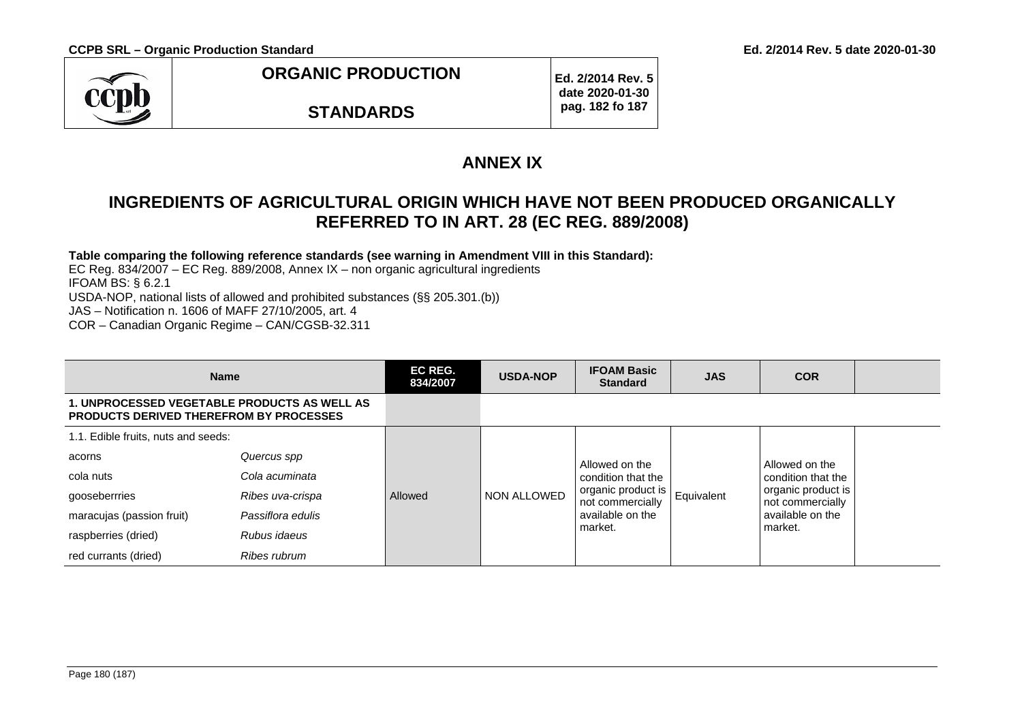

**STANDARDS**

**Ed. 2/2014 Rev. 5 date 2020-01-30 pag. 182 fo 187** 

# **ANNEX IX**

# **INGREDIENTS OF AGRICULTURAL ORIGIN WHICH HAVE NOT BEEN PRODUCED ORGANICALLY REFERRED TO IN ART. 28 (EC REG. 889/2008)**

**Table comparing the following reference standards (see warning in Amendment VIII in this Standard):** 

EC Reg. 834/2007 – EC Reg. 889/2008, Annex IX – non organic agricultural ingredients

IFOAM BS: § 6.2.1

USDA-NOP, national lists of allowed and prohibited substances (§§ 205.301.(b))

JAS – Notification n. 1606 of MAFF 27/10/2005, art. 4

COR – Canadian Organic Regime – CAN/CGSB-32.311

| <b>Name</b>                                                                                           |                   | <b>EC REG.</b><br>834/2007 | <b>USDA-NOP</b> | <b>IFOAM Basic</b><br><b>Standard</b>                      | <b>JAS</b> | <b>COR</b>                                                 |  |
|-------------------------------------------------------------------------------------------------------|-------------------|----------------------------|-----------------|------------------------------------------------------------|------------|------------------------------------------------------------|--|
| <b>1. UNPROCESSED VEGETABLE PRODUCTS AS WELL AS</b><br><b>PRODUCTS DERIVED THEREFROM BY PROCESSES</b> |                   |                            |                 |                                                            |            |                                                            |  |
| 1.1. Edible fruits, nuts and seeds:                                                                   |                   |                            |                 |                                                            |            |                                                            |  |
| acorns                                                                                                | Quercus spp       | Allowed                    |                 | Allowed on the                                             |            | Allowed on the                                             |  |
| cola nuts                                                                                             | Cola acuminata    |                            |                 | condition that the                                         |            | condition that the                                         |  |
| gooseberrries                                                                                         | Ribes uva-crispa  |                            | NON ALLOWED     | organic product is<br>not commercially<br>available on the | Equivalent | organic product is<br>not commercially<br>available on the |  |
| maracujas (passion fruit)                                                                             | Passiflora edulis |                            |                 |                                                            |            |                                                            |  |
| raspberries (dried)                                                                                   | Rubus idaeus      |                            |                 | market.                                                    |            | market.                                                    |  |
| red currants (dried)                                                                                  | Ribes rubrum      |                            |                 |                                                            |            |                                                            |  |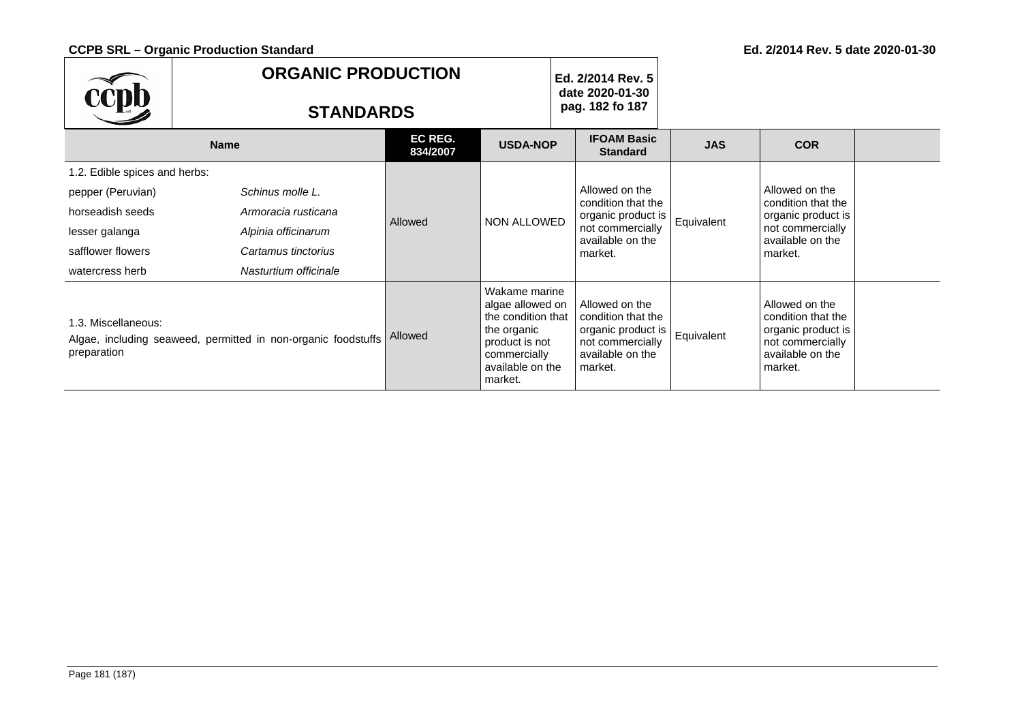### **CCPB SRL – Organic Production Standard CCPB SRL – Organic Production Standard CCPB SRL – Organic Production Standard**

| <b>ORGANIC PRODUCTION</b>                                                                                                        |                                                                                                                |                            |                                                                                                                                         | Ed. 2/2014 Rev. 5<br>date 2020-01-30<br>pag. 182 fo 187 |                                                                                                               |            |                                                                                                               |  |
|----------------------------------------------------------------------------------------------------------------------------------|----------------------------------------------------------------------------------------------------------------|----------------------------|-----------------------------------------------------------------------------------------------------------------------------------------|---------------------------------------------------------|---------------------------------------------------------------------------------------------------------------|------------|---------------------------------------------------------------------------------------------------------------|--|
|                                                                                                                                  | <b>STANDARDS</b>                                                                                               |                            |                                                                                                                                         |                                                         |                                                                                                               |            |                                                                                                               |  |
| <b>Name</b>                                                                                                                      |                                                                                                                | <b>EC REG.</b><br>834/2007 | <b>USDA-NOP</b>                                                                                                                         |                                                         | <b>IFOAM Basic</b><br><b>Standard</b>                                                                         | <b>JAS</b> | <b>COR</b>                                                                                                    |  |
| 1.2. Edible spices and herbs:<br>pepper (Peruvian)<br>horseadish seeds<br>lesser galanga<br>safflower flowers<br>watercress herb | Schinus molle L.<br>Armoracia rusticana<br>Alpinia officinarum<br>Cartamus tinctorius<br>Nasturtium officinale | Allowed                    | NON ALLOWED                                                                                                                             |                                                         | Allowed on the<br>condition that the<br>organic product is<br>not commercially<br>available on the<br>market. | Equivalent | Allowed on the<br>condition that the<br>organic product is<br>not commercially<br>available on the<br>market. |  |
| 1.3. Miscellaneous:<br>preparation                                                                                               | Algae, including seaweed, permitted in non-organic foodstuffs                                                  | Allowed                    | Wakame marine<br>algae allowed on<br>the condition that<br>the organic<br>product is not<br>commercially<br>available on the<br>market. |                                                         | Allowed on the<br>condition that the<br>organic product is<br>not commercially<br>available on the<br>market. | Equivalent | Allowed on the<br>condition that the<br>organic product is<br>not commercially<br>available on the<br>market. |  |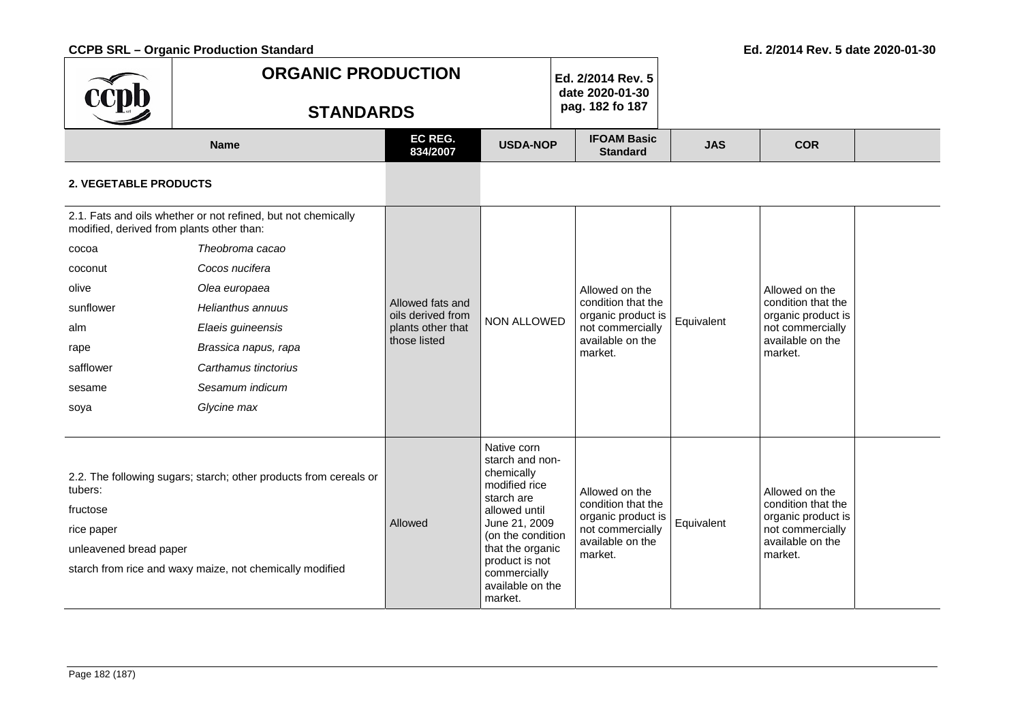## **CCPB SRL – Organic Production Standard CCPB SRL – Organic Production Standard CCPB SRL – Organic Production Standard**

|                                                             | <b>ORGANIC PRODUCTION</b><br><b>STANDARDS</b>                                                                                 |                                       |                                                                                                                                                                                                                         | Ed. 2/2014 Rev. 5<br>date 2020-01-30<br>pag. 182 fo 187 |                                                                                                               |                                                 |                                                                                                               |  |
|-------------------------------------------------------------|-------------------------------------------------------------------------------------------------------------------------------|---------------------------------------|-------------------------------------------------------------------------------------------------------------------------------------------------------------------------------------------------------------------------|---------------------------------------------------------|---------------------------------------------------------------------------------------------------------------|-------------------------------------------------|---------------------------------------------------------------------------------------------------------------|--|
|                                                             | <b>Name</b>                                                                                                                   | EC REG.<br>834/2007                   | <b>USDA-NOP</b>                                                                                                                                                                                                         |                                                         | <b>IFOAM Basic</b><br><b>Standard</b>                                                                         | <b>JAS</b>                                      | <b>COR</b>                                                                                                    |  |
| <b>2. VEGETABLE PRODUCTS</b>                                |                                                                                                                               |                                       |                                                                                                                                                                                                                         |                                                         |                                                                                                               |                                                 |                                                                                                               |  |
| modified, derived from plants other than:                   | 2.1. Fats and oils whether or not refined, but not chemically                                                                 |                                       |                                                                                                                                                                                                                         |                                                         |                                                                                                               |                                                 |                                                                                                               |  |
| cocoa                                                       | Theobroma cacao                                                                                                               |                                       |                                                                                                                                                                                                                         |                                                         |                                                                                                               |                                                 |                                                                                                               |  |
| coconut                                                     | Cocos nucifera                                                                                                                |                                       |                                                                                                                                                                                                                         |                                                         |                                                                                                               |                                                 |                                                                                                               |  |
| olive                                                       | Olea europaea                                                                                                                 |                                       |                                                                                                                                                                                                                         | Allowed on the                                          |                                                                                                               | Allowed on the                                  |                                                                                                               |  |
| sunflower                                                   | Helianthus annuus                                                                                                             | Allowed fats and<br>oils derived from | condition that the<br>organic product is<br><b>NON ALLOWED</b><br>not commercially<br>available on the<br>market.                                                                                                       |                                                         | condition that the<br>organic product is                                                                      |                                                 |                                                                                                               |  |
| alm                                                         | Elaeis guineensis                                                                                                             | plants other that                     |                                                                                                                                                                                                                         |                                                         | Equivalent                                                                                                    | not commercially<br>available on the<br>market. |                                                                                                               |  |
| rape                                                        | Brassica napus, rapa                                                                                                          | those listed                          |                                                                                                                                                                                                                         |                                                         |                                                                                                               |                                                 |                                                                                                               |  |
| safflower                                                   | Carthamus tinctorius                                                                                                          |                                       |                                                                                                                                                                                                                         |                                                         |                                                                                                               |                                                 |                                                                                                               |  |
| sesame                                                      | Sesamum indicum                                                                                                               |                                       |                                                                                                                                                                                                                         |                                                         |                                                                                                               |                                                 |                                                                                                               |  |
| soya                                                        | Glycine max                                                                                                                   |                                       |                                                                                                                                                                                                                         |                                                         |                                                                                                               |                                                 |                                                                                                               |  |
| tubers:<br>fructose<br>rice paper<br>unleavened bread paper | 2.2. The following sugars; starch; other products from cereals or<br>starch from rice and waxy maize, not chemically modified | Allowed                               | Native corn<br>starch and non-<br>chemically<br>modified rice<br>starch are<br>allowed until<br>June 21, 2009<br>(on the condition<br>that the organic<br>product is not<br>commercially<br>available on the<br>market. |                                                         | Allowed on the<br>condition that the<br>organic product is<br>not commercially<br>available on the<br>market. | Equivalent                                      | Allowed on the<br>condition that the<br>organic product is<br>not commercially<br>available on the<br>market. |  |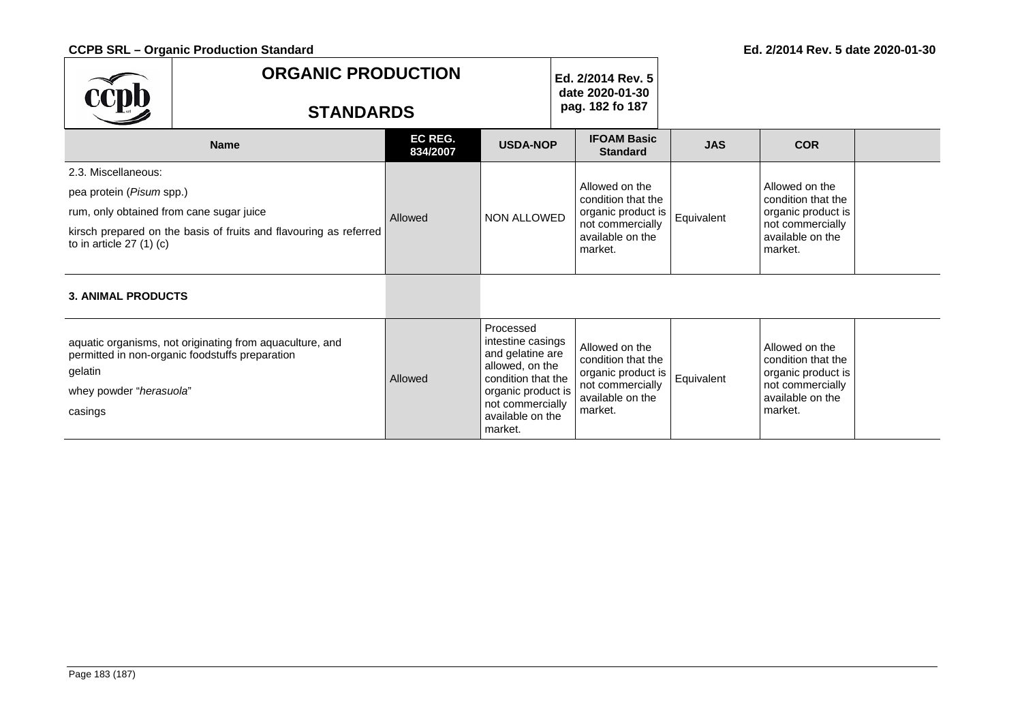## **CCPB SRL – Organic Production Standard CCPB SRL – Organic Production Standard CCPB SRL – Organic Production Standard**

|                                                                                                                                                                                                         | <b>ORGANIC PRODUCTION</b>                                                                                   |                     |                                                                                                                                                                      |                                                                                                               | Ed. 2/2014 Rev. 5<br>date 2020-01-30                                                                          |                                                                                                               |                                                                                                               |  |
|---------------------------------------------------------------------------------------------------------------------------------------------------------------------------------------------------------|-------------------------------------------------------------------------------------------------------------|---------------------|----------------------------------------------------------------------------------------------------------------------------------------------------------------------|---------------------------------------------------------------------------------------------------------------|---------------------------------------------------------------------------------------------------------------|---------------------------------------------------------------------------------------------------------------|---------------------------------------------------------------------------------------------------------------|--|
|                                                                                                                                                                                                         | <b>STANDARDS</b>                                                                                            |                     |                                                                                                                                                                      |                                                                                                               | pag. 182 fo 187                                                                                               |                                                                                                               |                                                                                                               |  |
|                                                                                                                                                                                                         | <b>Name</b>                                                                                                 | EC REG.<br>834/2007 | <b>USDA-NOP</b>                                                                                                                                                      |                                                                                                               | <b>IFOAM Basic</b><br><b>Standard</b>                                                                         | <b>JAS</b>                                                                                                    | <b>COR</b>                                                                                                    |  |
| 2.3. Miscellaneous:<br>pea protein (Pisum spp.)<br>rum, only obtained from cane sugar juice<br>Allowed<br>kirsch prepared on the basis of fruits and flavouring as referred<br>to in article $27(1)(c)$ |                                                                                                             | NON ALLOWED         |                                                                                                                                                                      | Allowed on the<br>condition that the<br>organic product is<br>not commercially<br>available on the<br>market. | Equivalent                                                                                                    | Allowed on the<br>condition that the<br>organic product is<br>not commercially<br>available on the<br>market. |                                                                                                               |  |
| <b>3. ANIMAL PRODUCTS</b>                                                                                                                                                                               |                                                                                                             |                     |                                                                                                                                                                      |                                                                                                               |                                                                                                               |                                                                                                               |                                                                                                               |  |
| gelatin<br>whey powder "herasuola"<br>casings                                                                                                                                                           | aquatic organisms, not originating from aquaculture, and<br>permitted in non-organic foodstuffs preparation | Allowed             | Processed<br>intestine casings<br>and gelatine are<br>allowed, on the<br>condition that the<br>organic product is<br>not commercially<br>available on the<br>market. |                                                                                                               | Allowed on the<br>condition that the<br>organic product is<br>not commercially<br>available on the<br>market. | Equivalent                                                                                                    | Allowed on the<br>condition that the<br>organic product is<br>not commercially<br>available on the<br>market. |  |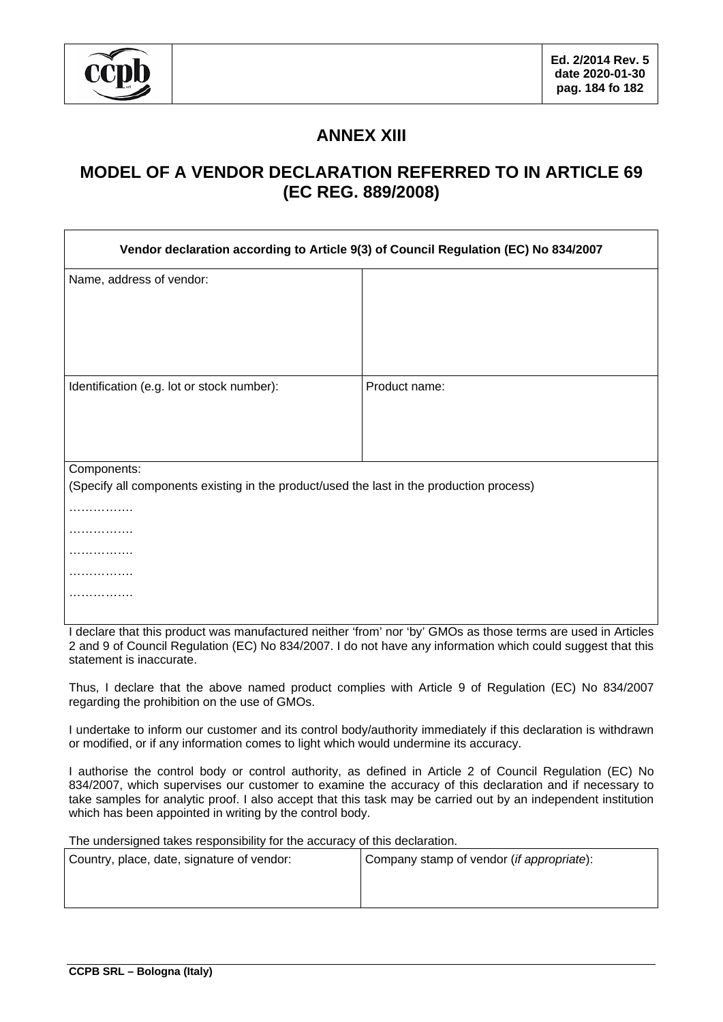

# **ANNEX XIII**

# **MODEL OF A VENDOR DECLARATION REFERRED TO IN ARTICLE 69 (EC REG. 889/2008)**

| Vendor declaration according to Article 9(3) of Council Regulation (EC) No 834/2007      |               |  |  |  |  |
|------------------------------------------------------------------------------------------|---------------|--|--|--|--|
| Name, address of vendor:                                                                 |               |  |  |  |  |
|                                                                                          |               |  |  |  |  |
|                                                                                          |               |  |  |  |  |
|                                                                                          |               |  |  |  |  |
|                                                                                          |               |  |  |  |  |
| Identification (e.g. lot or stock number):                                               | Product name: |  |  |  |  |
|                                                                                          |               |  |  |  |  |
|                                                                                          |               |  |  |  |  |
| Components:                                                                              |               |  |  |  |  |
| (Specify all components existing in the product/used the last in the production process) |               |  |  |  |  |
|                                                                                          |               |  |  |  |  |
|                                                                                          |               |  |  |  |  |
|                                                                                          |               |  |  |  |  |
|                                                                                          |               |  |  |  |  |
|                                                                                          |               |  |  |  |  |
|                                                                                          |               |  |  |  |  |

I declare that this product was manufactured neither 'from' nor 'by' GMOs as those terms are used in Articles 2 and 9 of Council Regulation (EC) No 834/2007. I do not have any information which could suggest that this statement is inaccurate.

Thus, I declare that the above named product complies with Article 9 of Regulation (EC) No 834/2007 regarding the prohibition on the use of GMOs.

I undertake to inform our customer and its control body/authority immediately if this declaration is withdrawn or modified, or if any information comes to light which would undermine its accuracy.

I authorise the control body or control authority, as defined in Article 2 of Council Regulation (EC) No 834/2007, which supervises our customer to examine the accuracy of this declaration and if necessary to take samples for analytic proof. I also accept that this task may be carried out by an independent institution which has been appointed in writing by the control body.

The undersigned takes responsibility for the accuracy of this declaration.

| Country, place, date, signature of vendor: | Company stamp of vendor (if appropriate): |  |  |
|--------------------------------------------|-------------------------------------------|--|--|
|                                            |                                           |  |  |
|                                            |                                           |  |  |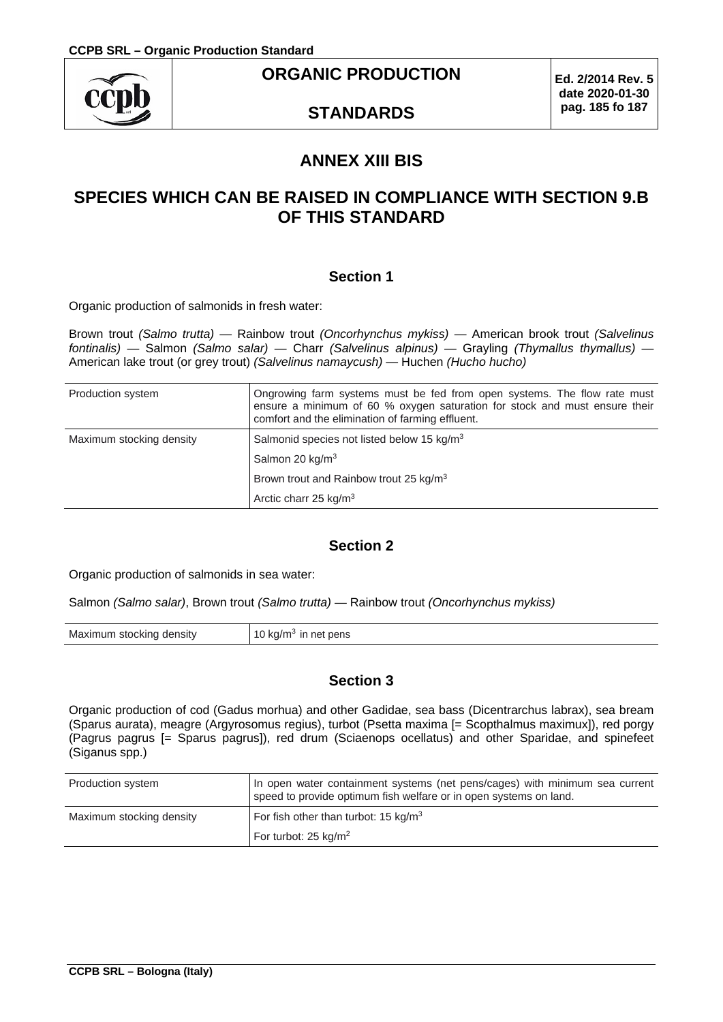

**STANDARDS**

**Ed. 2/2014 Rev. 5 date 2020-01-30 pag. 185 fo 187** 

# **ANNEX XIII BIS**

# **SPECIES WHICH CAN BE RAISED IN COMPLIANCE WITH SECTION 9.B OF THIS STANDARD**

### **Section 1**

Organic production of salmonids in fresh water:

Brown trout *(Salmo trutta)* — Rainbow trout *(Oncorhynchus mykiss)* — American brook trout *(Salvelinus fontinalis)* — Salmon *(Salmo salar)* — Charr *(Salvelinus alpinus)* — Grayling *(Thymallus thymallus)* — American lake trout (or grey trout) *(Salvelinus namaycush)* — Huchen *(Hucho hucho)*

| Production system        | Ongrowing farm systems must be fed from open systems. The flow rate must<br>ensure a minimum of 60 % oxygen saturation for stock and must ensure their<br>comfort and the elimination of farming effluent. |
|--------------------------|------------------------------------------------------------------------------------------------------------------------------------------------------------------------------------------------------------|
| Maximum stocking density | Salmonid species not listed below 15 kg/m <sup>3</sup>                                                                                                                                                     |
|                          | Salmon 20 kg/m <sup>3</sup>                                                                                                                                                                                |
|                          | Brown trout and Rainbow trout 25 kg/m <sup>3</sup>                                                                                                                                                         |
|                          | Arctic charr 25 $kg/m3$                                                                                                                                                                                    |

## **Section 2**

Organic production of salmonids in sea water:

Salmon *(Salmo salar)*, Brown trout *(Salmo trutta)* — Rainbow trout *(Oncorhynchus mykiss)*

| Maximum<br>density<br>stocking | net pens<br>к. |
|--------------------------------|----------------|

#### **Section 3**

Organic production of cod (Gadus morhua) and other Gadidae, sea bass (Dicentrarchus labrax), sea bream (Sparus aurata), meagre (Argyrosomus regius), turbot (Psetta maxima [= Scopthalmus maximux]), red porgy (Pagrus pagrus [= Sparus pagrus]), red drum (Sciaenops ocellatus) and other Sparidae, and spinefeet (Siganus spp.)

| Production system        | In open water containment systems (net pens/cages) with minimum sea current<br>speed to provide optimum fish welfare or in open systems on land. |
|--------------------------|--------------------------------------------------------------------------------------------------------------------------------------------------|
| Maximum stocking density | For fish other than turbot: 15 $kg/m3$                                                                                                           |
|                          | For turbot: $25 \text{ kg/m}^2$                                                                                                                  |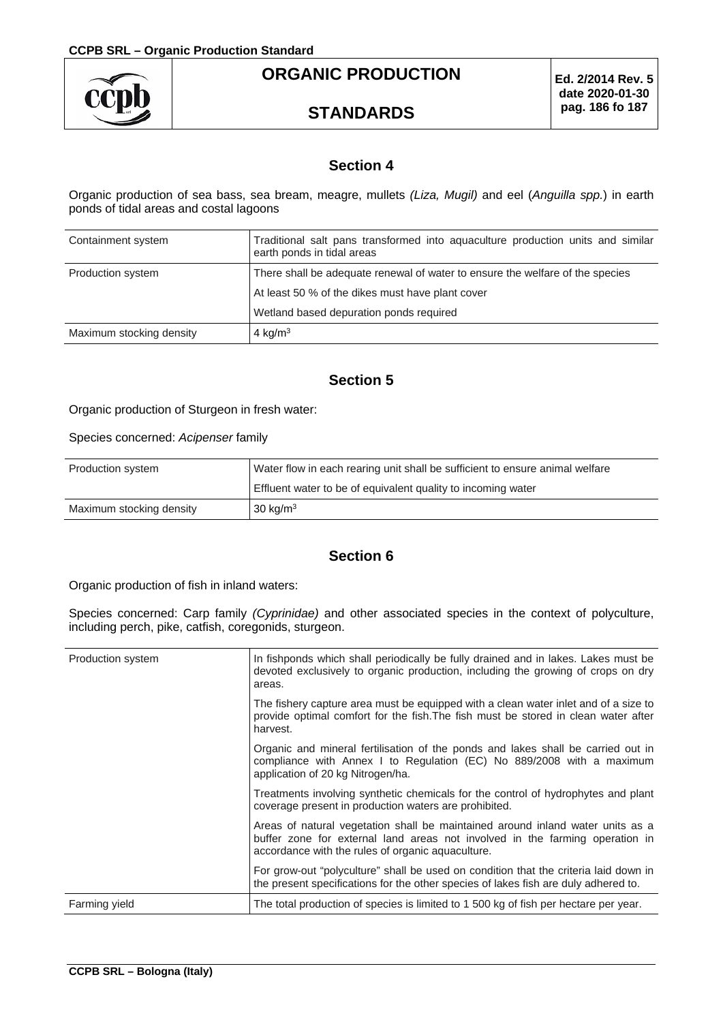

# **STANDARDS**

**Ed. 2/2014 Rev. 5 date 2020-01-30 pag. 186 fo 187** 

## **Section 4**

Organic production of sea bass, sea bream, meagre, mullets *(Liza, Mugil)* and eel (*Anguilla spp.*) in earth ponds of tidal areas and costal lagoons

| Containment system       | Traditional salt pans transformed into aquaculture production units and similar<br>earth ponds in tidal areas |
|--------------------------|---------------------------------------------------------------------------------------------------------------|
| Production system        | There shall be adequate renewal of water to ensure the welfare of the species                                 |
|                          | At least 50 % of the dikes must have plant cover                                                              |
|                          | Wetland based depuration ponds required                                                                       |
| Maximum stocking density | 4 kg/ $m3$                                                                                                    |

## **Section 5**

Organic production of Sturgeon in fresh water:

Species concerned: *Acipenser* family

| Production system        | Water flow in each rearing unit shall be sufficient to ensure animal welfare |  |
|--------------------------|------------------------------------------------------------------------------|--|
|                          | Effluent water to be of equivalent quality to incoming water                 |  |
| Maximum stocking density | $30 \text{ kg/m}^3$                                                          |  |

#### **Section 6**

Organic production of fish in inland waters:

Species concerned: Carp family *(Cyprinidae)* and other associated species in the context of polyculture, including perch, pike, catfish, coregonids, sturgeon.

| Production system | In fishponds which shall periodically be fully drained and in lakes. Lakes must be<br>devoted exclusively to organic production, including the growing of crops on dry<br>areas.                                    |
|-------------------|---------------------------------------------------------------------------------------------------------------------------------------------------------------------------------------------------------------------|
|                   | The fishery capture area must be equipped with a clean water inlet and of a size to<br>provide optimal comfort for the fish. The fish must be stored in clean water after<br>harvest.                               |
|                   | Organic and mineral fertilisation of the ponds and lakes shall be carried out in<br>compliance with Annex I to Regulation (EC) No 889/2008 with a maximum<br>application of 20 kg Nitrogen/ha.                      |
|                   | Treatments involving synthetic chemicals for the control of hydrophytes and plant<br>coverage present in production waters are prohibited.                                                                          |
|                   | Areas of natural vegetation shall be maintained around inland water units as a<br>buffer zone for external land areas not involved in the farming operation in<br>accordance with the rules of organic aquaculture. |
|                   | For grow-out "polyculture" shall be used on condition that the criteria laid down in<br>the present specifications for the other species of lakes fish are duly adhered to.                                         |
| Farming yield     | The total production of species is limited to 1 500 kg of fish per hectare per year.                                                                                                                                |